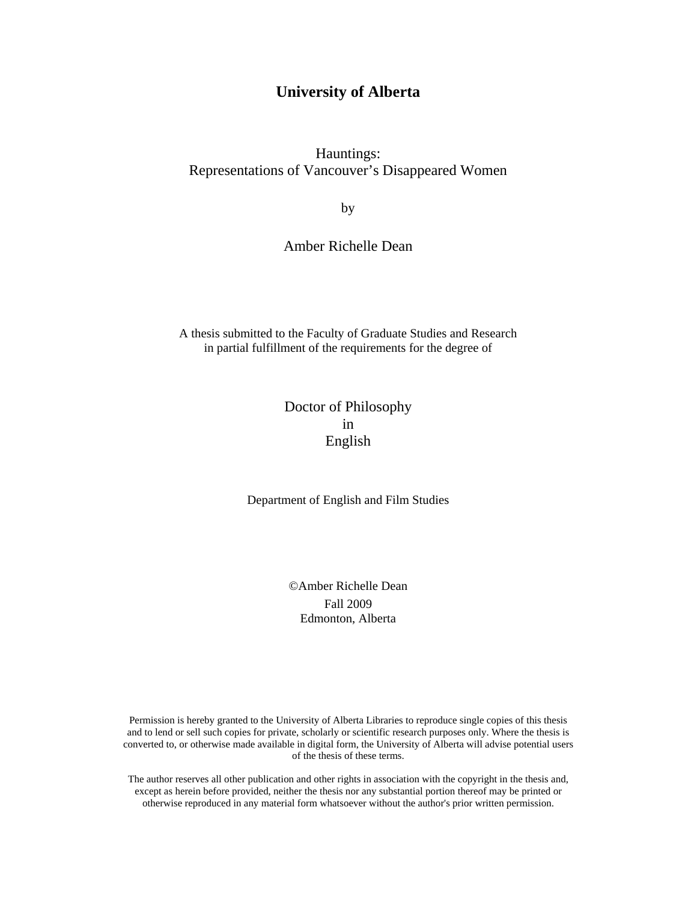## **University of Alberta**

Hauntings: Representations of Vancouver's Disappeared Women

by

Amber Richelle Dean

A thesis submitted to the Faculty of Graduate Studies and Research in partial fulfillment of the requirements for the degree of

### Doctor of Philosophy in English

Department of English and Film Studies

©Amber Richelle Dean Fall 2009 Edmonton, Alberta

Permission is hereby granted to the University of Alberta Libraries to reproduce single copies of this thesis and to lend or sell such copies for private, scholarly or scientific research purposes only. Where the thesis is converted to, or otherwise made available in digital form, the University of Alberta will advise potential users of the thesis of these terms.

The author reserves all other publication and other rights in association with the copyright in the thesis and, except as herein before provided, neither the thesis nor any substantial portion thereof may be printed or otherwise reproduced in any material form whatsoever without the author's prior written permission.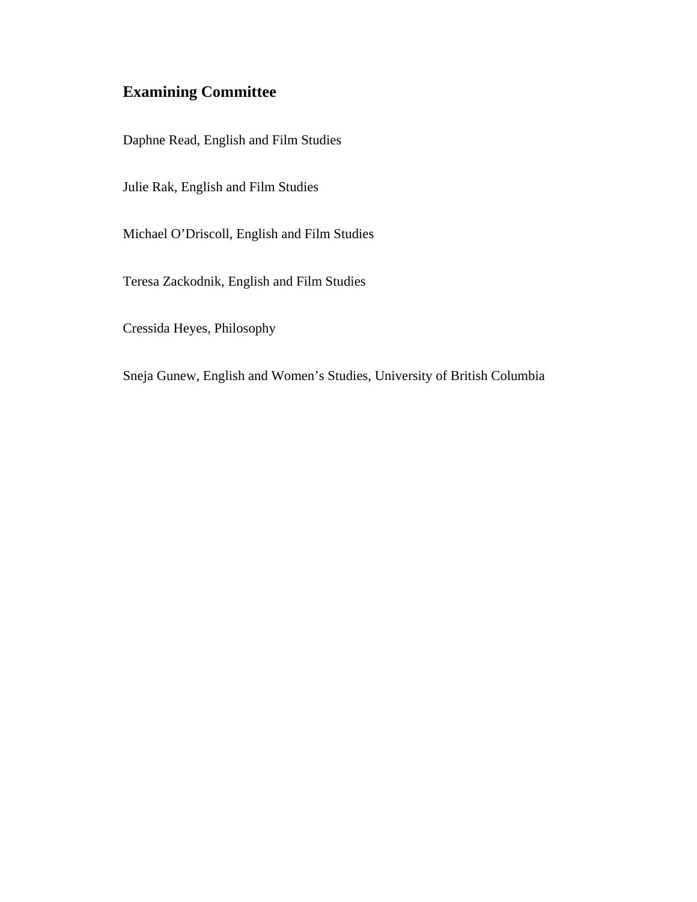# **Examining Committee**

Daphne Read, English and Film Studies

Julie Rak, English and Film Studies

Michael O'Driscoll, English and Film Studies

Teresa Zackodnik, English and Film Studies

Cressida Heyes, Philosophy

Sneja Gunew, English and Women's Studies, University of British Columbia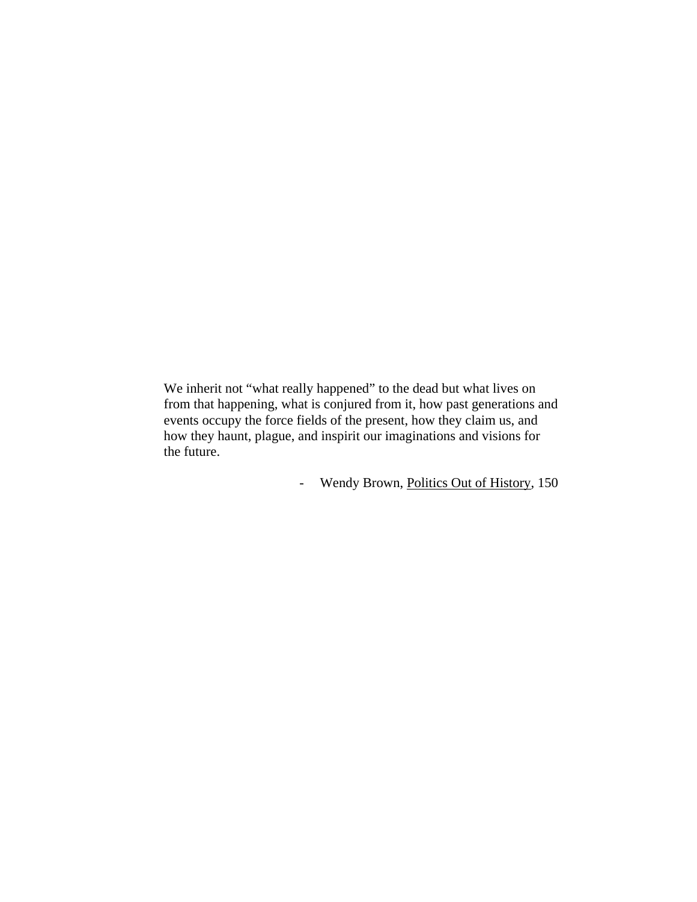We inherit not "what really happened" to the dead but what lives on from that happening, what is conjured from it, how past generations and events occupy the force fields of the present, how they claim us, and how they haunt, plague, and inspirit our imaginations and visions for the future.

- Wendy Brown, Politics Out of History, 150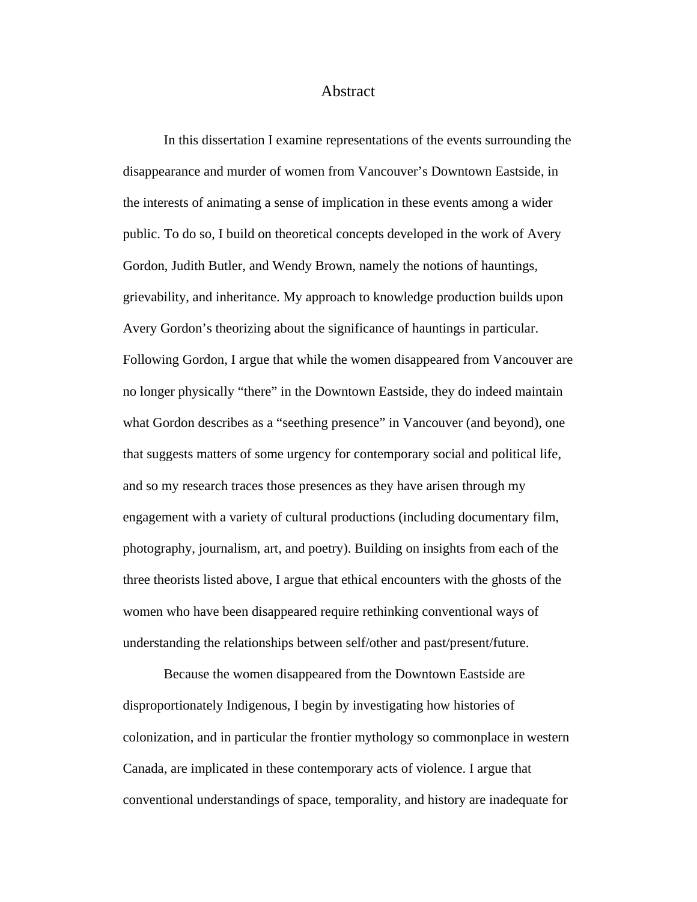#### Abstract

In this dissertation I examine representations of the events surrounding the disappearance and murder of women from Vancouver's Downtown Eastside, in the interests of animating a sense of implication in these events among a wider public. To do so, I build on theoretical concepts developed in the work of Avery Gordon, Judith Butler, and Wendy Brown, namely the notions of hauntings, grievability, and inheritance. My approach to knowledge production builds upon Avery Gordon's theorizing about the significance of hauntings in particular. Following Gordon, I argue that while the women disappeared from Vancouver are no longer physically "there" in the Downtown Eastside, they do indeed maintain what Gordon describes as a "seething presence" in Vancouver (and beyond), one that suggests matters of some urgency for contemporary social and political life, and so my research traces those presences as they have arisen through my engagement with a variety of cultural productions (including documentary film, photography, journalism, art, and poetry). Building on insights from each of the three theorists listed above, I argue that ethical encounters with the ghosts of the women who have been disappeared require rethinking conventional ways of understanding the relationships between self/other and past/present/future.

Because the women disappeared from the Downtown Eastside are disproportionately Indigenous, I begin by investigating how histories of colonization, and in particular the frontier mythology so commonplace in western Canada, are implicated in these contemporary acts of violence. I argue that conventional understandings of space, temporality, and history are inadequate for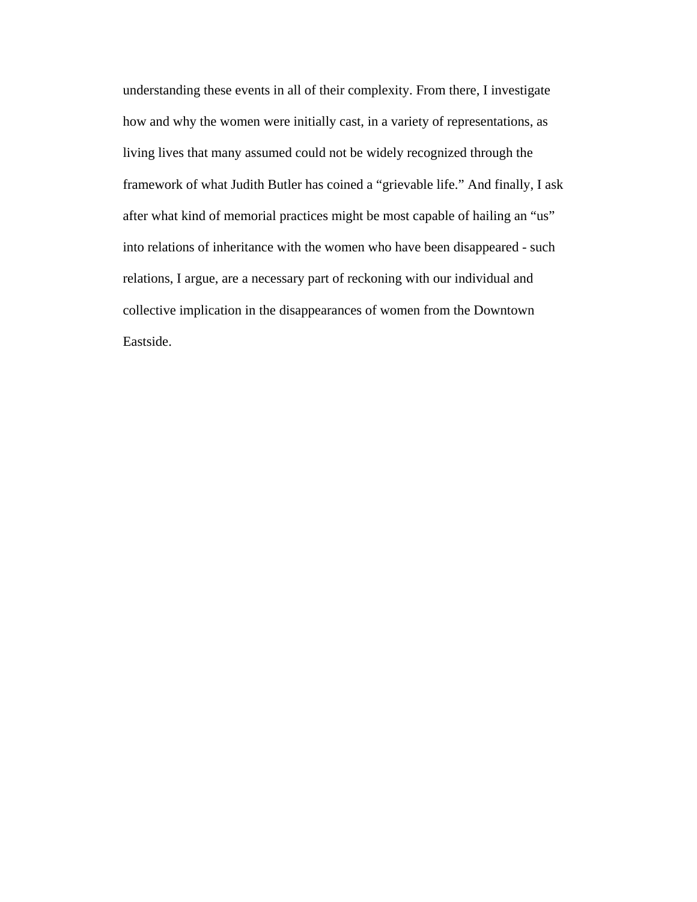understanding these events in all of their complexity. From there, I investigate how and why the women were initially cast, in a variety of representations, as living lives that many assumed could not be widely recognized through the framework of what Judith Butler has coined a "grievable life." And finally, I ask after what kind of memorial practices might be most capable of hailing an "us" into relations of inheritance with the women who have been disappeared - such relations, I argue, are a necessary part of reckoning with our individual and collective implication in the disappearances of women from the Downtown Eastside.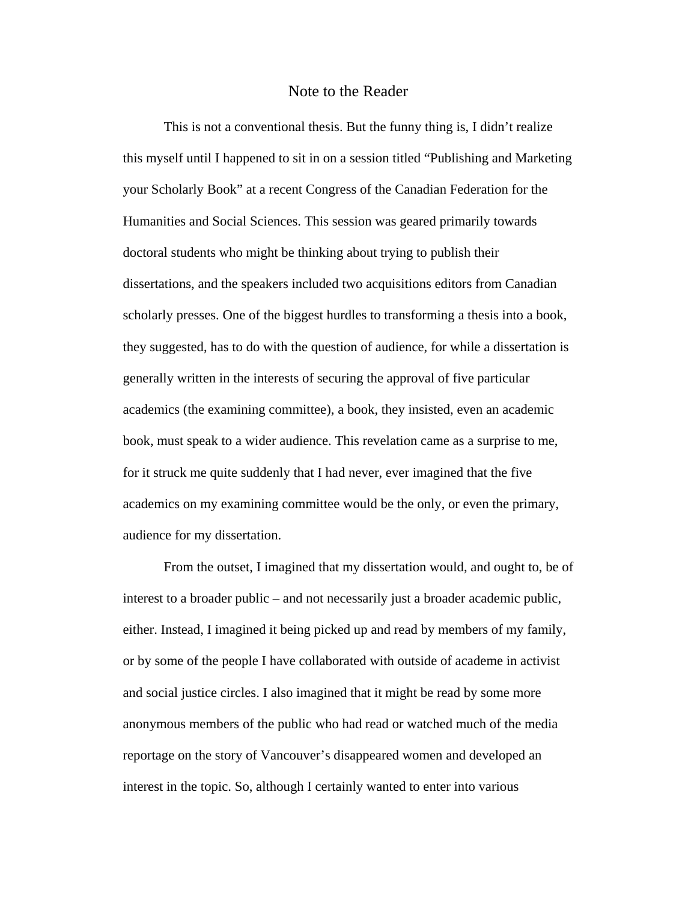#### Note to the Reader

 This is not a conventional thesis. But the funny thing is, I didn't realize this myself until I happened to sit in on a session titled "Publishing and Marketing your Scholarly Book" at a recent Congress of the Canadian Federation for the Humanities and Social Sciences. This session was geared primarily towards doctoral students who might be thinking about trying to publish their dissertations, and the speakers included two acquisitions editors from Canadian scholarly presses. One of the biggest hurdles to transforming a thesis into a book, they suggested, has to do with the question of audience, for while a dissertation is generally written in the interests of securing the approval of five particular academics (the examining committee), a book, they insisted, even an academic book, must speak to a wider audience. This revelation came as a surprise to me, for it struck me quite suddenly that I had never, ever imagined that the five academics on my examining committee would be the only, or even the primary, audience for my dissertation.

 From the outset, I imagined that my dissertation would, and ought to, be of interest to a broader public – and not necessarily just a broader academic public, either. Instead, I imagined it being picked up and read by members of my family, or by some of the people I have collaborated with outside of academe in activist and social justice circles. I also imagined that it might be read by some more anonymous members of the public who had read or watched much of the media reportage on the story of Vancouver's disappeared women and developed an interest in the topic. So, although I certainly wanted to enter into various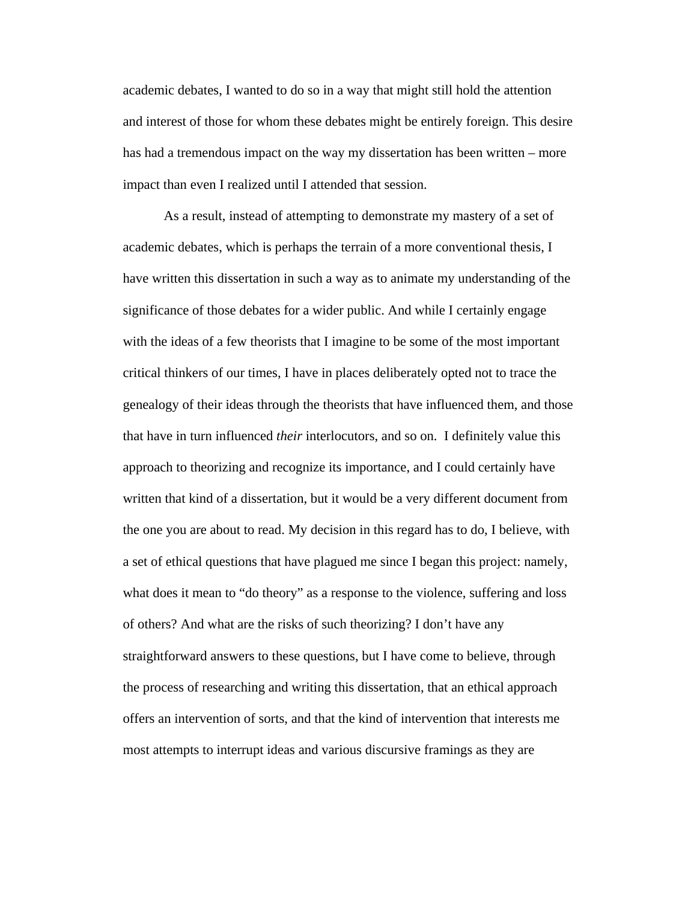academic debates, I wanted to do so in a way that might still hold the attention and interest of those for whom these debates might be entirely foreign. This desire has had a tremendous impact on the way my dissertation has been written – more impact than even I realized until I attended that session.

 As a result, instead of attempting to demonstrate my mastery of a set of academic debates, which is perhaps the terrain of a more conventional thesis, I have written this dissertation in such a way as to animate my understanding of the significance of those debates for a wider public. And while I certainly engage with the ideas of a few theorists that I imagine to be some of the most important critical thinkers of our times, I have in places deliberately opted not to trace the genealogy of their ideas through the theorists that have influenced them, and those that have in turn influenced *their* interlocutors, and so on. I definitely value this approach to theorizing and recognize its importance, and I could certainly have written that kind of a dissertation, but it would be a very different document from the one you are about to read. My decision in this regard has to do, I believe, with a set of ethical questions that have plagued me since I began this project: namely, what does it mean to "do theory" as a response to the violence, suffering and loss of others? And what are the risks of such theorizing? I don't have any straightforward answers to these questions, but I have come to believe, through the process of researching and writing this dissertation, that an ethical approach offers an intervention of sorts, and that the kind of intervention that interests me most attempts to interrupt ideas and various discursive framings as they are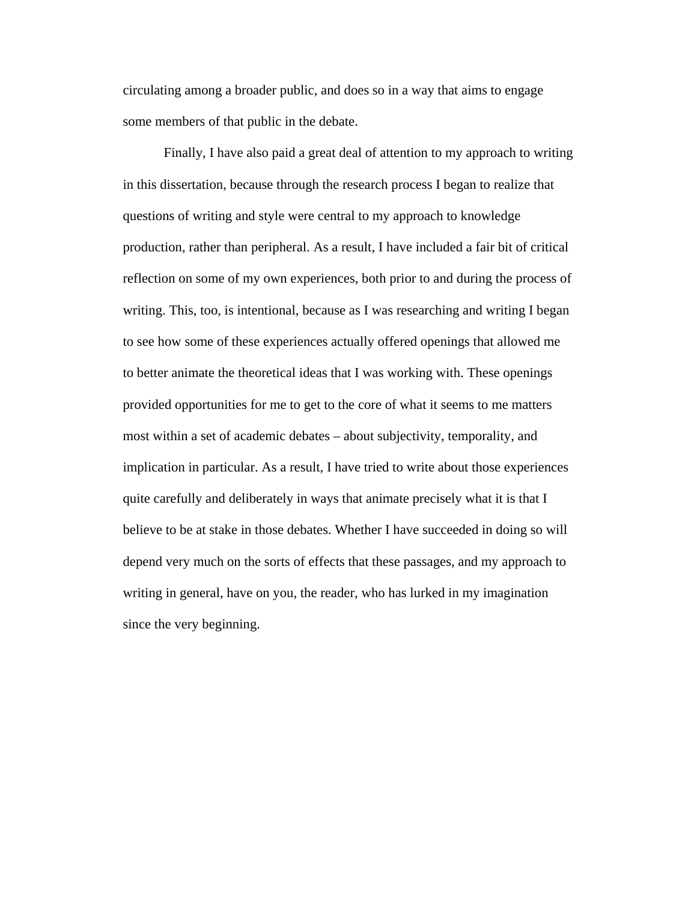circulating among a broader public, and does so in a way that aims to engage some members of that public in the debate.

 Finally, I have also paid a great deal of attention to my approach to writing in this dissertation, because through the research process I began to realize that questions of writing and style were central to my approach to knowledge production, rather than peripheral. As a result, I have included a fair bit of critical reflection on some of my own experiences, both prior to and during the process of writing. This, too, is intentional, because as I was researching and writing I began to see how some of these experiences actually offered openings that allowed me to better animate the theoretical ideas that I was working with. These openings provided opportunities for me to get to the core of what it seems to me matters most within a set of academic debates – about subjectivity, temporality, and implication in particular. As a result, I have tried to write about those experiences quite carefully and deliberately in ways that animate precisely what it is that I believe to be at stake in those debates. Whether I have succeeded in doing so will depend very much on the sorts of effects that these passages, and my approach to writing in general, have on you, the reader, who has lurked in my imagination since the very beginning.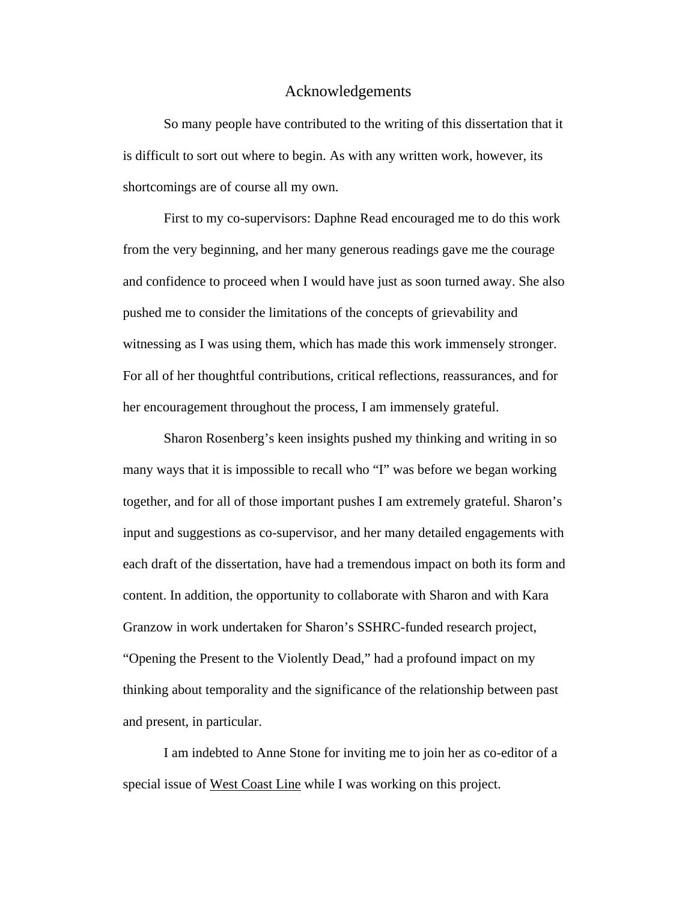#### Acknowledgements

So many people have contributed to the writing of this dissertation that it is difficult to sort out where to begin. As with any written work, however, its shortcomings are of course all my own.

First to my co-supervisors: Daphne Read encouraged me to do this work from the very beginning, and her many generous readings gave me the courage and confidence to proceed when I would have just as soon turned away. She also pushed me to consider the limitations of the concepts of grievability and witnessing as I was using them, which has made this work immensely stronger. For all of her thoughtful contributions, critical reflections, reassurances, and for her encouragement throughout the process, I am immensely grateful.

Sharon Rosenberg's keen insights pushed my thinking and writing in so many ways that it is impossible to recall who "I" was before we began working together, and for all of those important pushes I am extremely grateful. Sharon's input and suggestions as co-supervisor, and her many detailed engagements with each draft of the dissertation, have had a tremendous impact on both its form and content. In addition, the opportunity to collaborate with Sharon and with Kara Granzow in work undertaken for Sharon's SSHRC-funded research project, "Opening the Present to the Violently Dead," had a profound impact on my thinking about temporality and the significance of the relationship between past and present, in particular.

I am indebted to Anne Stone for inviting me to join her as co-editor of a special issue of West Coast Line while I was working on this project.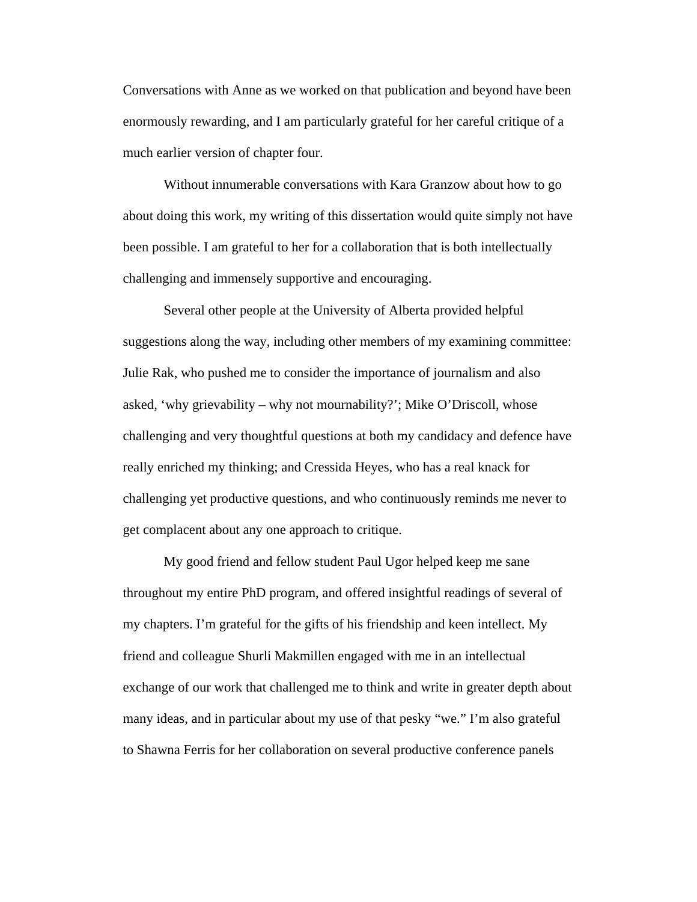Conversations with Anne as we worked on that publication and beyond have been enormously rewarding, and I am particularly grateful for her careful critique of a much earlier version of chapter four.

Without innumerable conversations with Kara Granzow about how to go about doing this work, my writing of this dissertation would quite simply not have been possible. I am grateful to her for a collaboration that is both intellectually challenging and immensely supportive and encouraging.

Several other people at the University of Alberta provided helpful suggestions along the way, including other members of my examining committee: Julie Rak, who pushed me to consider the importance of journalism and also asked, 'why grievability – why not mournability?'; Mike O'Driscoll, whose challenging and very thoughtful questions at both my candidacy and defence have really enriched my thinking; and Cressida Heyes, who has a real knack for challenging yet productive questions, and who continuously reminds me never to get complacent about any one approach to critique.

My good friend and fellow student Paul Ugor helped keep me sane throughout my entire PhD program, and offered insightful readings of several of my chapters. I'm grateful for the gifts of his friendship and keen intellect. My friend and colleague Shurli Makmillen engaged with me in an intellectual exchange of our work that challenged me to think and write in greater depth about many ideas, and in particular about my use of that pesky "we." I'm also grateful to Shawna Ferris for her collaboration on several productive conference panels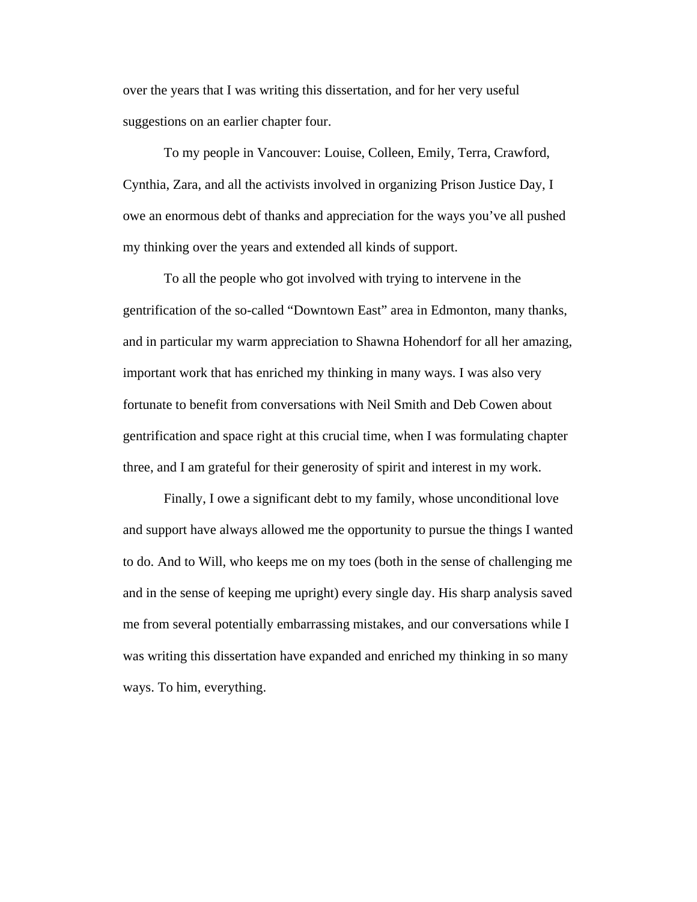over the years that I was writing this dissertation, and for her very useful suggestions on an earlier chapter four.

To my people in Vancouver: Louise, Colleen, Emily, Terra, Crawford, Cynthia, Zara, and all the activists involved in organizing Prison Justice Day, I owe an enormous debt of thanks and appreciation for the ways you've all pushed my thinking over the years and extended all kinds of support.

To all the people who got involved with trying to intervene in the gentrification of the so-called "Downtown East" area in Edmonton, many thanks, and in particular my warm appreciation to Shawna Hohendorf for all her amazing, important work that has enriched my thinking in many ways. I was also very fortunate to benefit from conversations with Neil Smith and Deb Cowen about gentrification and space right at this crucial time, when I was formulating chapter three, and I am grateful for their generosity of spirit and interest in my work.

Finally, I owe a significant debt to my family, whose unconditional love and support have always allowed me the opportunity to pursue the things I wanted to do. And to Will, who keeps me on my toes (both in the sense of challenging me and in the sense of keeping me upright) every single day. His sharp analysis saved me from several potentially embarrassing mistakes, and our conversations while I was writing this dissertation have expanded and enriched my thinking in so many ways. To him, everything.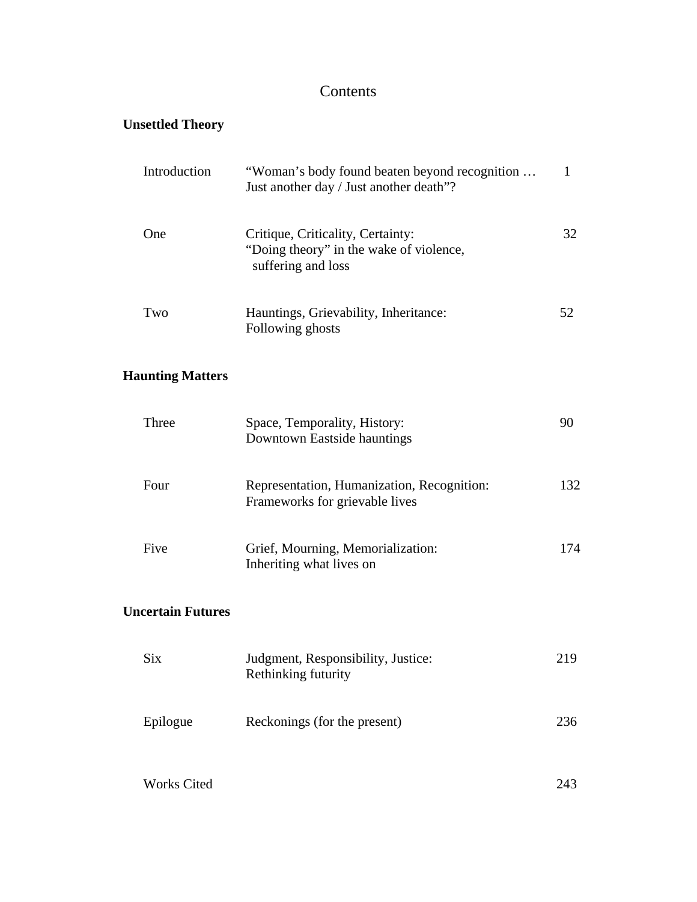## Contents

## **Unsettled Theory**

| Introduction | "Woman's body found beaten beyond recognition<br>Just another day / Just another death"?           |    |
|--------------|----------------------------------------------------------------------------------------------------|----|
| One          | Critique, Criticality, Certainty:<br>"Doing theory" in the wake of violence,<br>suffering and loss | 32 |
| Two          | Hauntings, Grievability, Inheritance:<br>Following ghosts                                          | 52 |

## **Haunting Matters**

| Three | Space, Temporality, History:<br>Downtown Eastside hauntings                  | 90  |
|-------|------------------------------------------------------------------------------|-----|
| Four  | Representation, Humanization, Recognition:<br>Frameworks for grievable lives | 132 |
| Five  | Grief, Mourning, Memorialization:<br>Inheriting what lives on                | 174 |

## **Uncertain Futures**

| <b>Six</b> | Judgment, Responsibility, Justice:<br>Rethinking futurity | 219 |
|------------|-----------------------------------------------------------|-----|
| Epilogue   | Reckonings (for the present)                              | 236 |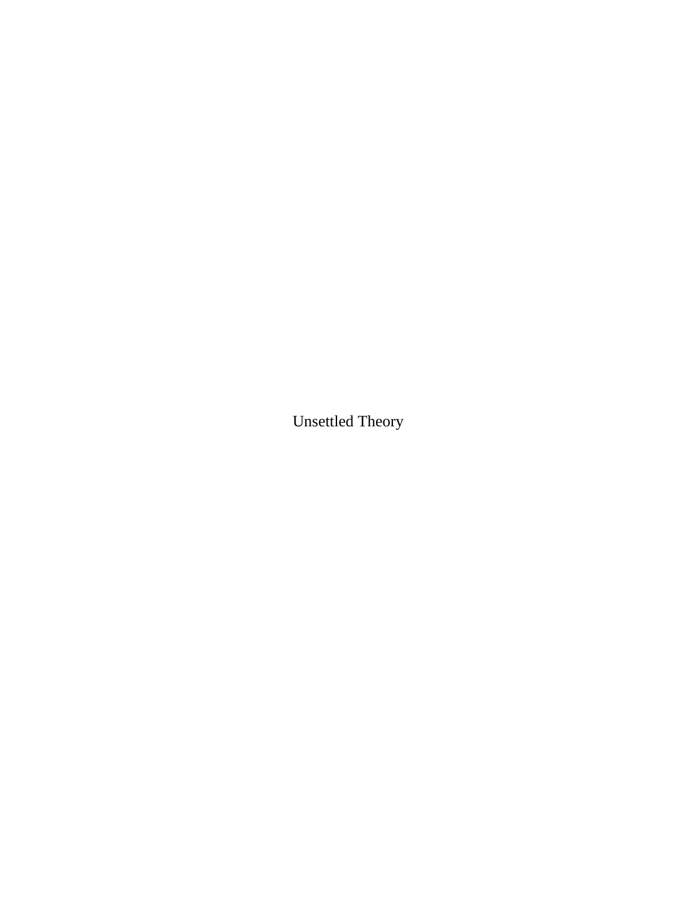Unsettled Theory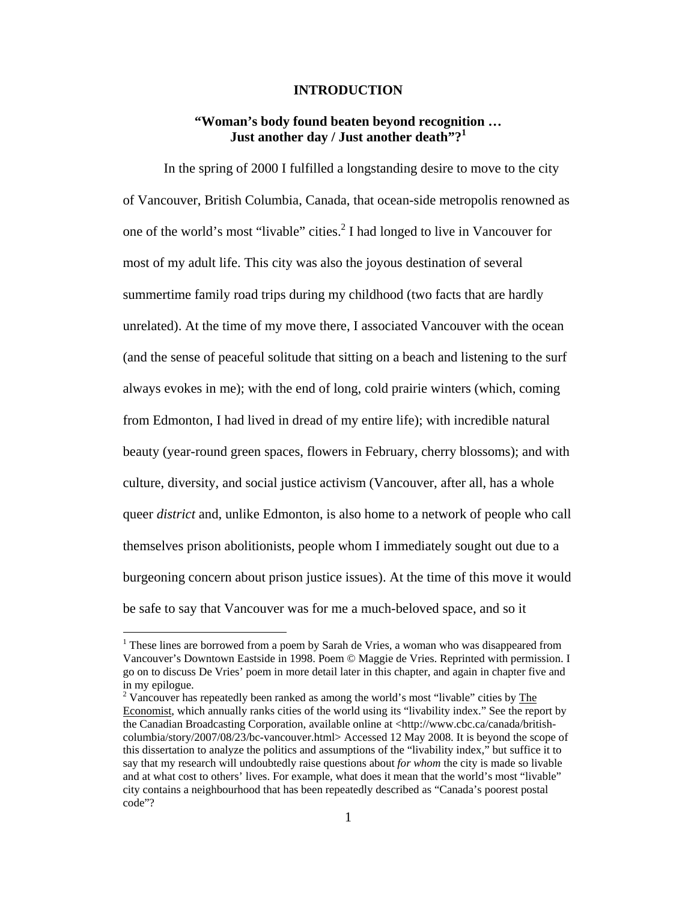#### **INTRODUCTION**

#### **"Woman's body found beaten beyond recognition … Just another day / Just another death"?<sup>1</sup>**

In the spring of 2000 I fulfilled a longstanding desire to move to the city of Vancouver, British Columbia, Canada, that ocean-side metropolis renowned as one of the world's most "livable" cities. $^2$  I had longed to live in Vancouver for most of my adult life. This city was also the joyous destination of several summertime family road trips during my childhood (two facts that are hardly unrelated). At the time of my move there, I associated Vancouver with the ocean (and the sense of peaceful solitude that sitting on a beach and listening to the surf always evokes in me); with the end of long, cold prairie winters (which, coming from Edmonton, I had lived in dread of my entire life); with incredible natural beauty (year-round green spaces, flowers in February, cherry blossoms); and with culture, diversity, and social justice activism (Vancouver, after all, has a whole queer *district* and, unlike Edmonton, is also home to a network of people who call themselves prison abolitionists, people whom I immediately sought out due to a burgeoning concern about prison justice issues). At the time of this move it would be safe to say that Vancouver was for me a much-beloved space, and so it

 $\overline{a}$ 

<sup>&</sup>lt;sup>1</sup> These lines are borrowed from a poem by Sarah de Vries, a woman who was disappeared from Vancouver's Downtown Eastside in 1998. Poem © Maggie de Vries. Reprinted with permission. I go on to discuss De Vries' poem in more detail later in this chapter, and again in chapter five and in my epilogue.

<sup>&</sup>lt;sup>2</sup> Vancouver has repeatedly been ranked as among the world's most "livable" cities by  $\overline{\text{The}}$ Economist, which annually ranks cities of the world using its "livability index." See the report by the Canadian Broadcasting Corporation, available online at <http://www.cbc.ca/canada/britishcolumbia/story/2007/08/23/bc-vancouver.html> Accessed 12 May 2008. It is beyond the scope of this dissertation to analyze the politics and assumptions of the "livability index," but suffice it to say that my research will undoubtedly raise questions about *for whom* the city is made so livable and at what cost to others' lives. For example, what does it mean that the world's most "livable" city contains a neighbourhood that has been repeatedly described as "Canada's poorest postal code"?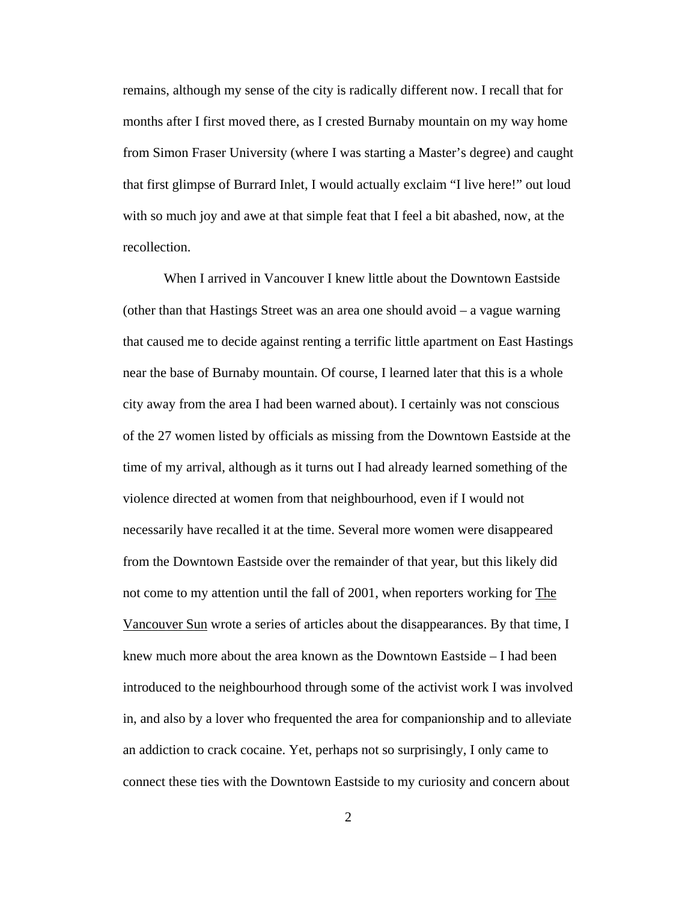remains, although my sense of the city is radically different now. I recall that for months after I first moved there, as I crested Burnaby mountain on my way home from Simon Fraser University (where I was starting a Master's degree) and caught that first glimpse of Burrard Inlet, I would actually exclaim "I live here!" out loud with so much joy and awe at that simple feat that I feel a bit abashed, now, at the recollection.

When I arrived in Vancouver I knew little about the Downtown Eastside (other than that Hastings Street was an area one should avoid – a vague warning that caused me to decide against renting a terrific little apartment on East Hastings near the base of Burnaby mountain. Of course, I learned later that this is a whole city away from the area I had been warned about). I certainly was not conscious of the 27 women listed by officials as missing from the Downtown Eastside at the time of my arrival, although as it turns out I had already learned something of the violence directed at women from that neighbourhood, even if I would not necessarily have recalled it at the time. Several more women were disappeared from the Downtown Eastside over the remainder of that year, but this likely did not come to my attention until the fall of 2001, when reporters working for The Vancouver Sun wrote a series of articles about the disappearances. By that time, I knew much more about the area known as the Downtown Eastside – I had been introduced to the neighbourhood through some of the activist work I was involved in, and also by a lover who frequented the area for companionship and to alleviate an addiction to crack cocaine. Yet, perhaps not so surprisingly, I only came to connect these ties with the Downtown Eastside to my curiosity and concern about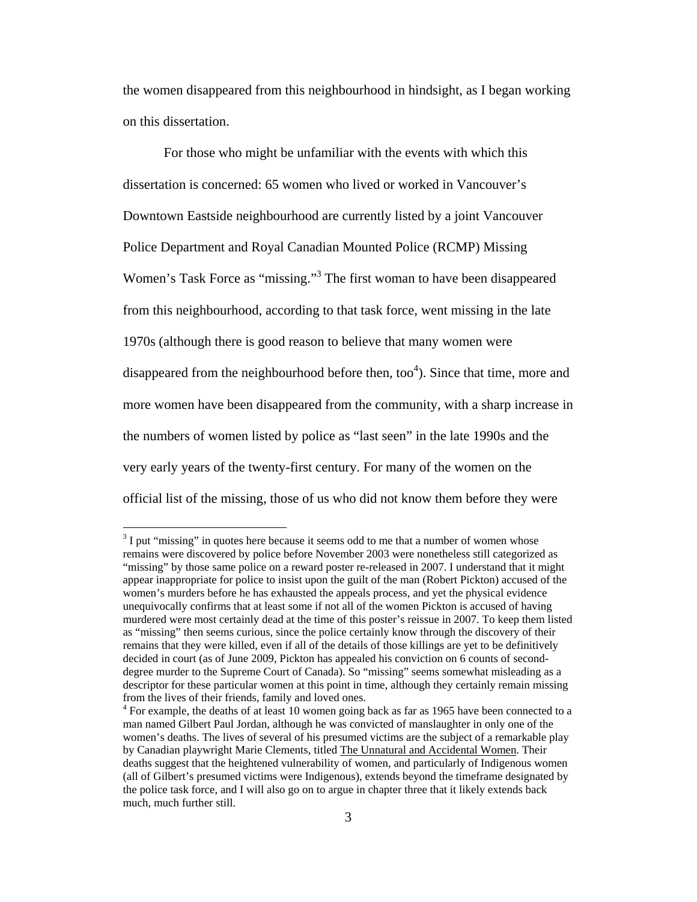the women disappeared from this neighbourhood in hindsight, as I began working on this dissertation.

For those who might be unfamiliar with the events with which this dissertation is concerned: 65 women who lived or worked in Vancouver's Downtown Eastside neighbourhood are currently listed by a joint Vancouver Police Department and Royal Canadian Mounted Police (RCMP) Missing Women's Task Force as "missing."<sup>3</sup> The first woman to have been disappeared from this neighbourhood, according to that task force, went missing in the late 1970s (although there is good reason to believe that many women were disappeared from the neighbourhood before then, too<sup>4</sup>). Since that time, more and more women have been disappeared from the community, with a sharp increase in the numbers of women listed by police as "last seen" in the late 1990s and the very early years of the twenty-first century. For many of the women on the official list of the missing, those of us who did not know them before they were

 $\overline{a}$ 

 $3$  I put "missing" in quotes here because it seems odd to me that a number of women whose remains were discovered by police before November 2003 were nonetheless still categorized as "missing" by those same police on a reward poster re-released in 2007. I understand that it might appear inappropriate for police to insist upon the guilt of the man (Robert Pickton) accused of the women's murders before he has exhausted the appeals process, and yet the physical evidence unequivocally confirms that at least some if not all of the women Pickton is accused of having murdered were most certainly dead at the time of this poster's reissue in 2007. To keep them listed as "missing" then seems curious, since the police certainly know through the discovery of their remains that they were killed, even if all of the details of those killings are yet to be definitively decided in court (as of June 2009, Pickton has appealed his conviction on 6 counts of seconddegree murder to the Supreme Court of Canada). So "missing" seems somewhat misleading as a descriptor for these particular women at this point in time, although they certainly remain missing from the lives of their friends, family and loved ones.

<sup>&</sup>lt;sup>4</sup> For example, the deaths of at least 10 women going back as far as 1965 have been connected to a man named Gilbert Paul Jordan, although he was convicted of manslaughter in only one of the women's deaths. The lives of several of his presumed victims are the subject of a remarkable play by Canadian playwright Marie Clements, titled The Unnatural and Accidental Women. Their deaths suggest that the heightened vulnerability of women, and particularly of Indigenous women (all of Gilbert's presumed victims were Indigenous), extends beyond the timeframe designated by the police task force, and I will also go on to argue in chapter three that it likely extends back much, much further still.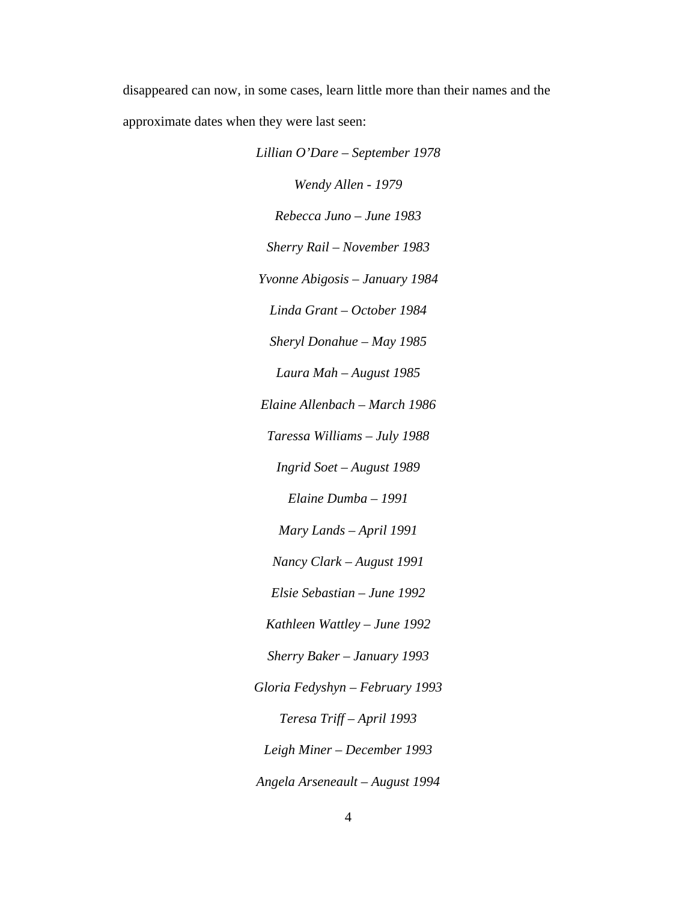disappeared can now, in some cases, learn little more than their names and the approximate dates when they were last seen:

> *Lillian O'Dare – September 1978 Wendy Allen - 1979 Rebecca Juno – June 1983 Sherry Rail – November 1983 Yvonne Abigosis – January 1984 Linda Grant – October 1984 Sheryl Donahue – May 1985 Laura Mah – August 1985 Elaine Allenbach – March 1986 Taressa Williams – July 1988 Ingrid Soet – August 1989 Elaine Dumba – 1991 Mary Lands – April 1991 Nancy Clark – August 1991 Elsie Sebastian – June 1992 Kathleen Wattley – June 1992 Sherry Baker – January 1993 Gloria Fedyshyn – February 1993 Teresa Triff – April 1993 Leigh Miner – December 1993 Angela Arseneault – August 1994*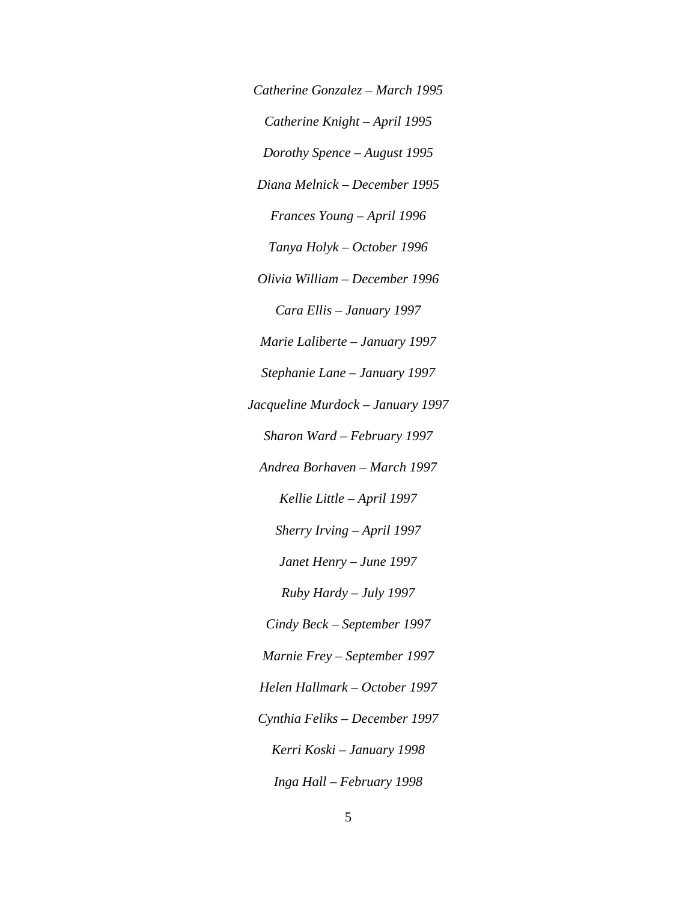*Catherine Gonzalez – March 1995 Catherine Knight – April 1995 Dorothy Spence – August 1995 Diana Melnick – December 1995 Frances Young – April 1996 Tanya Holyk – October 1996 Olivia William – December 1996 Cara Ellis – January 1997 Marie Laliberte – January 1997 Stephanie Lane – January 1997 Jacqueline Murdock – January 1997 Sharon Ward – February 1997 Andrea Borhaven – March 1997 Kellie Little – April 1997 Sherry Irving – April 1997 Janet Henry – June 1997 Ruby Hardy – July 1997 Cindy Beck – September 1997 Marnie Frey – September 1997 Helen Hallmark – October 1997 Cynthia Feliks – December 1997 Kerri Koski – January 1998 Inga Hall – February 1998*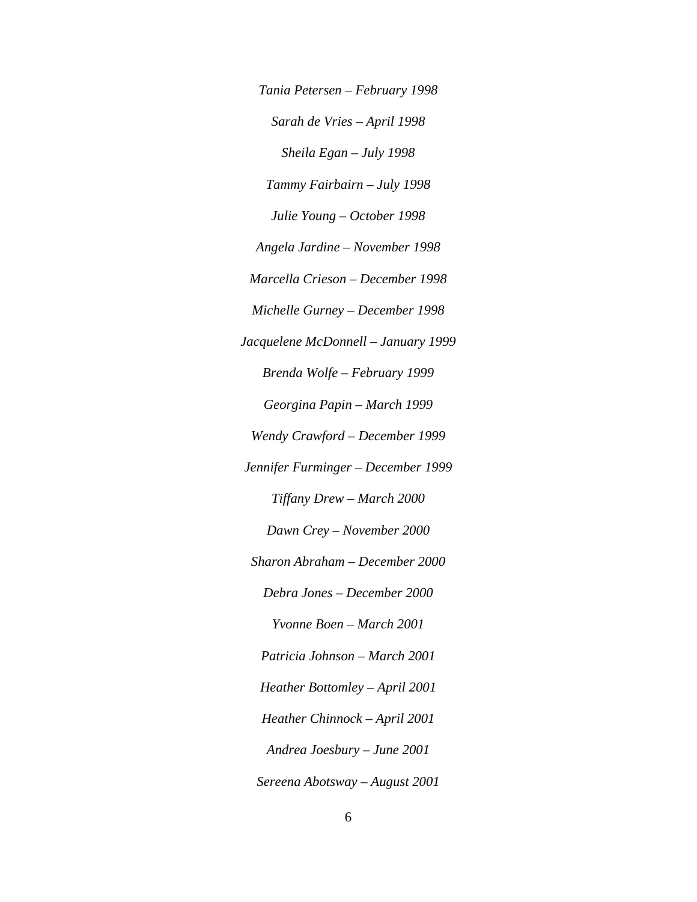*Tania Petersen – February 1998 Sarah de Vries – April 1998 Sheila Egan – July 1998 Tammy Fairbairn – July 1998 Julie Young – October 1998 Angela Jardine – November 1998 Marcella Crieson – December 1998 Michelle Gurney – December 1998 Jacquelene McDonnell – January 1999 Brenda Wolfe – February 1999 Georgina Papin – March 1999 Wendy Crawford – December 1999 Jennifer Furminger – December 1999 Tiffany Drew – March 2000 Dawn Crey – November 2000 Sharon Abraham – December 2000 Debra Jones – December 2000 Yvonne Boen – March 2001 Patricia Johnson – March 2001 Heather Bottomley – April 2001 Heather Chinnock – April 2001 Andrea Joesbury – June 2001 Sereena Abotsway – August 2001*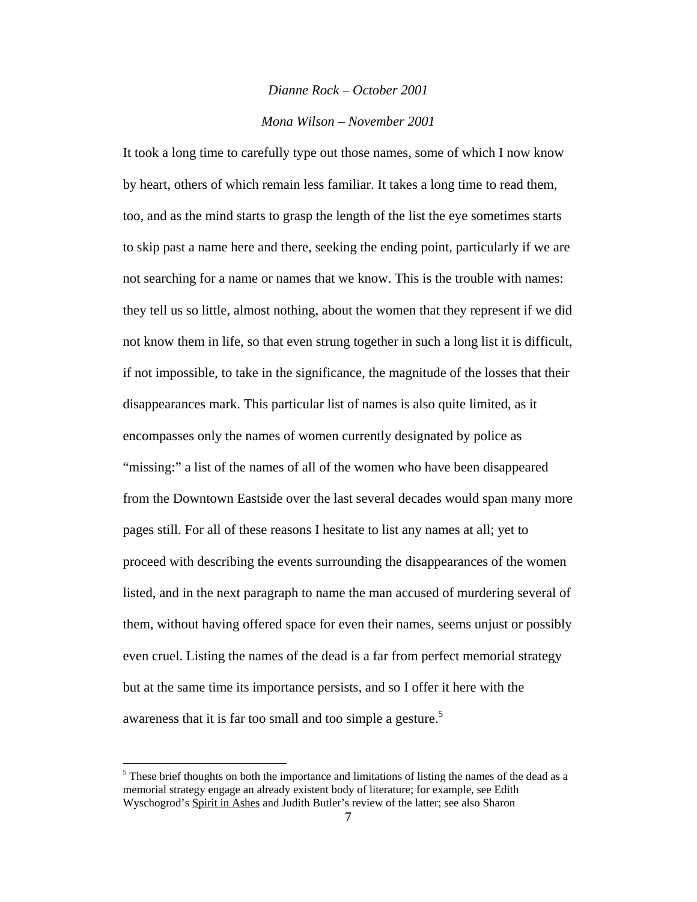# *Dianne Rock – October 2001 Mona Wilson – November 2001*

It took a long time to carefully type out those names, some of which I now know by heart, others of which remain less familiar. It takes a long time to read them, too, and as the mind starts to grasp the length of the list the eye sometimes starts to skip past a name here and there, seeking the ending point, particularly if we are not searching for a name or names that we know. This is the trouble with names: they tell us so little, almost nothing, about the women that they represent if we did not know them in life, so that even strung together in such a long list it is difficult, if not impossible, to take in the significance, the magnitude of the losses that their disappearances mark. This particular list of names is also quite limited, as it encompasses only the names of women currently designated by police as "missing:" a list of the names of all of the women who have been disappeared from the Downtown Eastside over the last several decades would span many more pages still. For all of these reasons I hesitate to list any names at all; yet to proceed with describing the events surrounding the disappearances of the women listed, and in the next paragraph to name the man accused of murdering several of them, without having offered space for even their names, seems unjust or possibly even cruel. Listing the names of the dead is a far from perfect memorial strategy but at the same time its importance persists, and so I offer it here with the awareness that it is far too small and too simple a gesture.<sup>5</sup>

 $\overline{a}$ 

 $<sup>5</sup>$  These brief thoughts on both the importance and limitations of listing the names of the dead as a</sup> memorial strategy engage an already existent body of literature; for example, see Edith Wyschogrod's Spirit in Ashes and Judith Butler's review of the latter; see also Sharon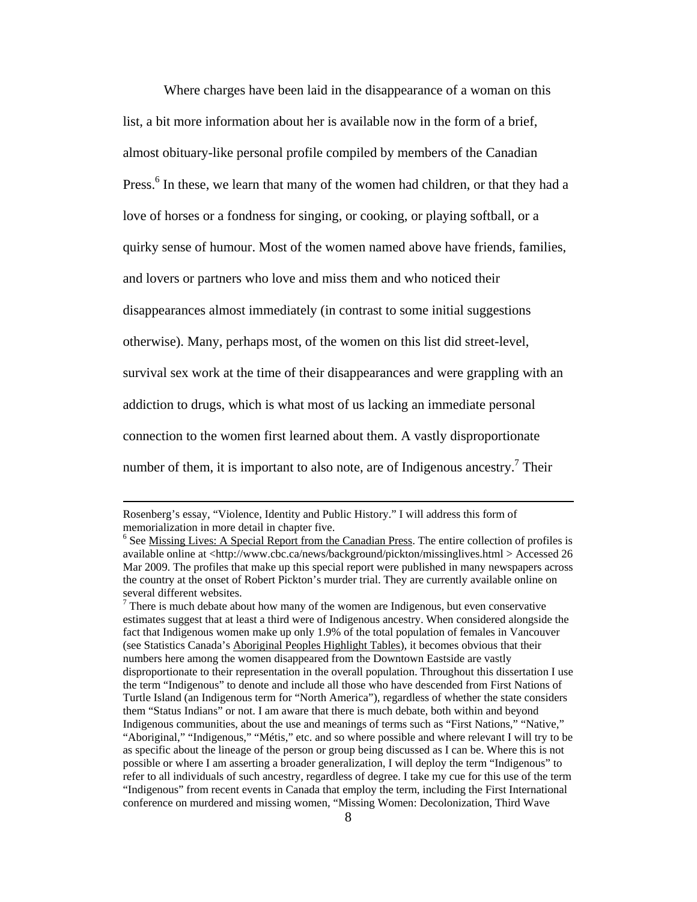Where charges have been laid in the disappearance of a woman on this list, a bit more information about her is available now in the form of a brief, almost obituary-like personal profile compiled by members of the Canadian Press.<sup>6</sup> In these, we learn that many of the women had children, or that they had a love of horses or a fondness for singing, or cooking, or playing softball, or a quirky sense of humour. Most of the women named above have friends, families, and lovers or partners who love and miss them and who noticed their disappearances almost immediately (in contrast to some initial suggestions otherwise). Many, perhaps most, of the women on this list did street-level, survival sex work at the time of their disappearances and were grappling with an addiction to drugs, which is what most of us lacking an immediate personal connection to the women first learned about them. A vastly disproportionate number of them, it is important to also note, are of Indigenous ancestry.<sup>7</sup> Their

Rosenberg's essay, "Violence, Identity and Public History." I will address this form of memorialization in more detail in chapter five.

<sup>&</sup>lt;sup>6</sup> See Missing Lives: A Special Report from the Canadian Press. The entire collection of profiles is available online at <http://www.cbc.ca/news/background/pickton/missinglives.html > Accessed 26 Mar 2009. The profiles that make up this special report were published in many newspapers across the country at the onset of Robert Pickton's murder trial. They are currently available online on several different websites.

 $7$  There is much debate about how many of the women are Indigenous, but even conservative estimates suggest that at least a third were of Indigenous ancestry. When considered alongside the fact that Indigenous women make up only 1.9% of the total population of females in Vancouver (see Statistics Canada's Aboriginal Peoples Highlight Tables), it becomes obvious that their numbers here among the women disappeared from the Downtown Eastside are vastly disproportionate to their representation in the overall population. Throughout this dissertation I use the term "Indigenous" to denote and include all those who have descended from First Nations of Turtle Island (an Indigenous term for "North America"), regardless of whether the state considers them "Status Indians" or not. I am aware that there is much debate, both within and beyond Indigenous communities, about the use and meanings of terms such as "First Nations," "Native," "Aboriginal," "Indigenous," "Métis," etc. and so where possible and where relevant I will try to be as specific about the lineage of the person or group being discussed as I can be. Where this is not possible or where I am asserting a broader generalization, I will deploy the term "Indigenous" to refer to all individuals of such ancestry, regardless of degree. I take my cue for this use of the term "Indigenous" from recent events in Canada that employ the term, including the First International conference on murdered and missing women, "Missing Women: Decolonization, Third Wave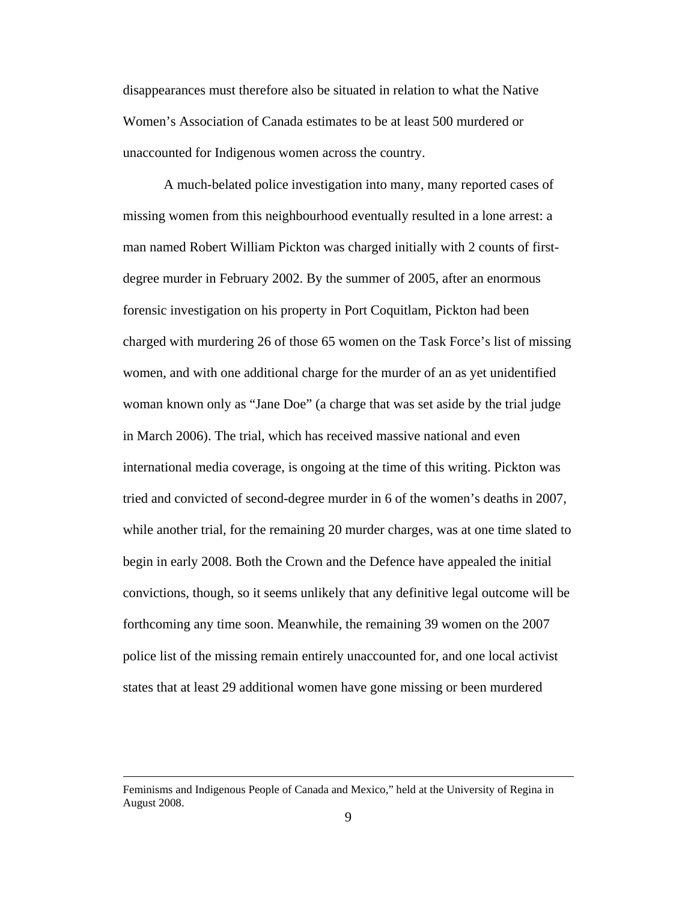disappearances must therefore also be situated in relation to what the Native Women's Association of Canada estimates to be at least 500 murdered or unaccounted for Indigenous women across the country.

A much-belated police investigation into many, many reported cases of missing women from this neighbourhood eventually resulted in a lone arrest: a man named Robert William Pickton was charged initially with 2 counts of firstdegree murder in February 2002. By the summer of 2005, after an enormous forensic investigation on his property in Port Coquitlam, Pickton had been charged with murdering 26 of those 65 women on the Task Force's list of missing women, and with one additional charge for the murder of an as yet unidentified woman known only as "Jane Doe" (a charge that was set aside by the trial judge in March 2006). The trial, which has received massive national and even international media coverage, is ongoing at the time of this writing. Pickton was tried and convicted of second-degree murder in 6 of the women's deaths in 2007, while another trial, for the remaining 20 murder charges, was at one time slated to begin in early 2008. Both the Crown and the Defence have appealed the initial convictions, though, so it seems unlikely that any definitive legal outcome will be forthcoming any time soon. Meanwhile, the remaining 39 women on the 2007 police list of the missing remain entirely unaccounted for, and one local activist states that at least 29 additional women have gone missing or been murdered

Feminisms and Indigenous People of Canada and Mexico," held at the University of Regina in August 2008.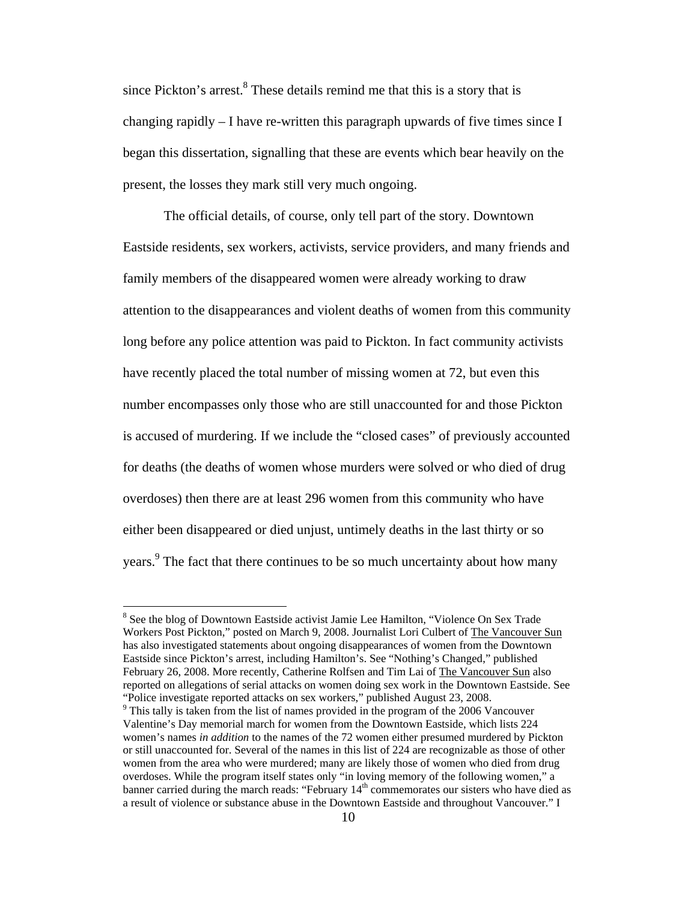since Pickton's arrest. $8$  These details remind me that this is a story that is changing rapidly  $-I$  have re-written this paragraph upwards of five times since I began this dissertation, signalling that these are events which bear heavily on the present, the losses they mark still very much ongoing.

The official details, of course, only tell part of the story. Downtown Eastside residents, sex workers, activists, service providers, and many friends and family members of the disappeared women were already working to draw attention to the disappearances and violent deaths of women from this community long before any police attention was paid to Pickton. In fact community activists have recently placed the total number of missing women at 72, but even this number encompasses only those who are still unaccounted for and those Pickton is accused of murdering. If we include the "closed cases" of previously accounted for deaths (the deaths of women whose murders were solved or who died of drug overdoses) then there are at least 296 women from this community who have either been disappeared or died unjust, untimely deaths in the last thirty or so years.<sup>9</sup> The fact that there continues to be so much uncertainty about how many

 $\overline{a}$ 

<sup>&</sup>lt;sup>8</sup> See the blog of Downtown Eastside activist Jamie Lee Hamilton, "Violence On Sex Trade Workers Post Pickton," posted on March 9, 2008. Journalist Lori Culbert of The Vancouver Sun has also investigated statements about ongoing disappearances of women from the Downtown Eastside since Pickton's arrest, including Hamilton's. See "Nothing's Changed," published February 26, 2008. More recently, Catherine Rolfsen and Tim Lai of The Vancouver Sun also reported on allegations of serial attacks on women doing sex work in the Downtown Eastside. See "Police investigate reported attacks on sex workers," published August 23, 2008. 9

<sup>&</sup>lt;sup>9</sup> This tally is taken from the list of names provided in the program of the 2006 Vancouver Valentine's Day memorial march for women from the Downtown Eastside, which lists 224 women's names *in addition* to the names of the 72 women either presumed murdered by Pickton or still unaccounted for. Several of the names in this list of 224 are recognizable as those of other women from the area who were murdered; many are likely those of women who died from drug overdoses. While the program itself states only "in loving memory of the following women," a banner carried during the march reads: "February 14<sup>th</sup> commemorates our sisters who have died as a result of violence or substance abuse in the Downtown Eastside and throughout Vancouver." I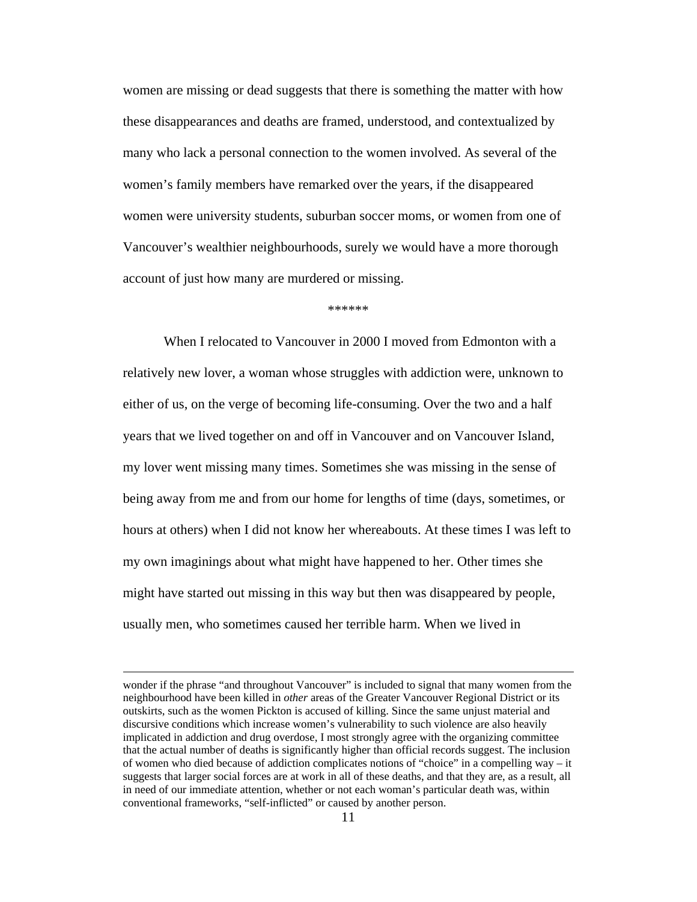women are missing or dead suggests that there is something the matter with how these disappearances and deaths are framed, understood, and contextualized by many who lack a personal connection to the women involved. As several of the women's family members have remarked over the years, if the disappeared women were university students, suburban soccer moms, or women from one of Vancouver's wealthier neighbourhoods, surely we would have a more thorough account of just how many are murdered or missing.

\*\*\*\*\*\*

When I relocated to Vancouver in 2000 I moved from Edmonton with a relatively new lover, a woman whose struggles with addiction were, unknown to either of us, on the verge of becoming life-consuming. Over the two and a half years that we lived together on and off in Vancouver and on Vancouver Island, my lover went missing many times. Sometimes she was missing in the sense of being away from me and from our home for lengths of time (days, sometimes, or hours at others) when I did not know her whereabouts. At these times I was left to my own imaginings about what might have happened to her. Other times she might have started out missing in this way but then was disappeared by people, usually men, who sometimes caused her terrible harm. When we lived in

wonder if the phrase "and throughout Vancouver" is included to signal that many women from the neighbourhood have been killed in *other* areas of the Greater Vancouver Regional District or its outskirts, such as the women Pickton is accused of killing. Since the same unjust material and discursive conditions which increase women's vulnerability to such violence are also heavily implicated in addiction and drug overdose, I most strongly agree with the organizing committee that the actual number of deaths is significantly higher than official records suggest. The inclusion of women who died because of addiction complicates notions of "choice" in a compelling way – it suggests that larger social forces are at work in all of these deaths, and that they are, as a result, all in need of our immediate attention, whether or not each woman's particular death was, within conventional frameworks, "self-inflicted" or caused by another person.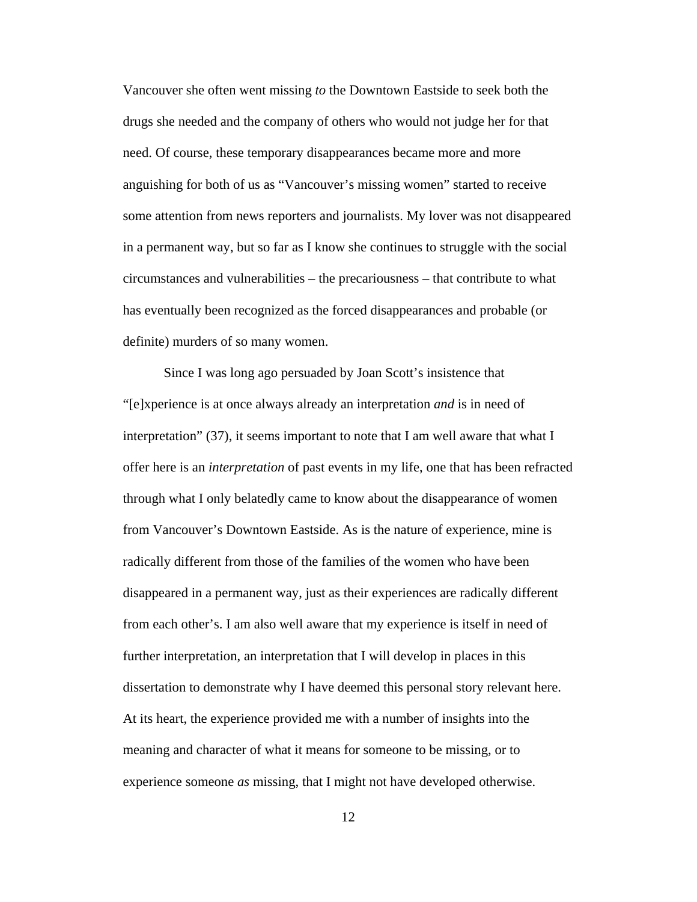Vancouver she often went missing *to* the Downtown Eastside to seek both the drugs she needed and the company of others who would not judge her for that need. Of course, these temporary disappearances became more and more anguishing for both of us as "Vancouver's missing women" started to receive some attention from news reporters and journalists. My lover was not disappeared in a permanent way, but so far as I know she continues to struggle with the social circumstances and vulnerabilities – the precariousness – that contribute to what has eventually been recognized as the forced disappearances and probable (or definite) murders of so many women.

Since I was long ago persuaded by Joan Scott's insistence that "[e]xperience is at once always already an interpretation *and* is in need of interpretation" (37), it seems important to note that I am well aware that what I offer here is an *interpretation* of past events in my life, one that has been refracted through what I only belatedly came to know about the disappearance of women from Vancouver's Downtown Eastside. As is the nature of experience, mine is radically different from those of the families of the women who have been disappeared in a permanent way, just as their experiences are radically different from each other's. I am also well aware that my experience is itself in need of further interpretation, an interpretation that I will develop in places in this dissertation to demonstrate why I have deemed this personal story relevant here. At its heart, the experience provided me with a number of insights into the meaning and character of what it means for someone to be missing, or to experience someone *as* missing, that I might not have developed otherwise.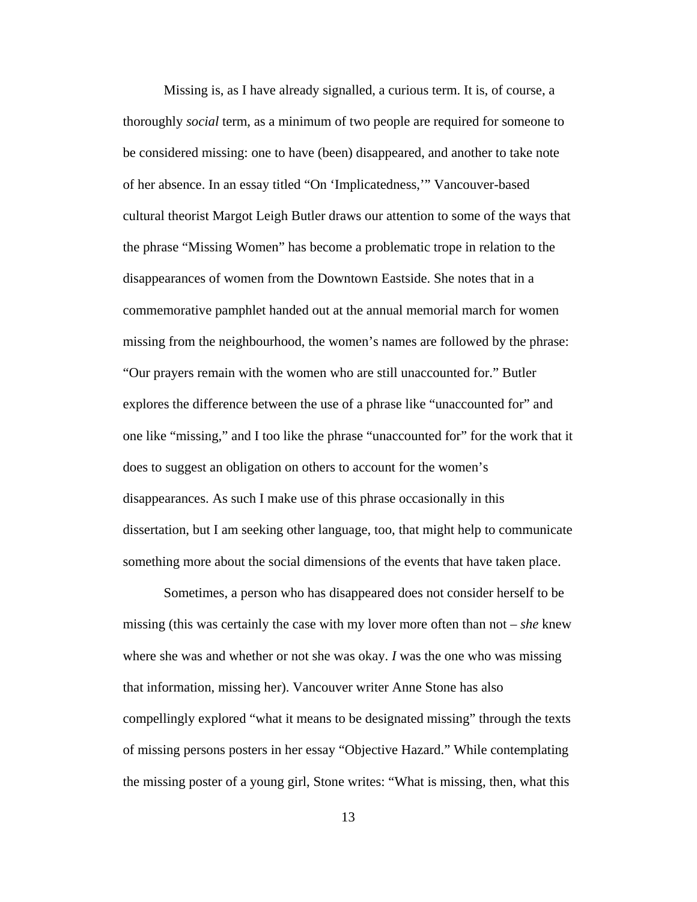Missing is, as I have already signalled, a curious term. It is, of course, a thoroughly *social* term, as a minimum of two people are required for someone to be considered missing: one to have (been) disappeared, and another to take note of her absence. In an essay titled "On 'Implicatedness,'" Vancouver-based cultural theorist Margot Leigh Butler draws our attention to some of the ways that the phrase "Missing Women" has become a problematic trope in relation to the disappearances of women from the Downtown Eastside. She notes that in a commemorative pamphlet handed out at the annual memorial march for women missing from the neighbourhood, the women's names are followed by the phrase: "Our prayers remain with the women who are still unaccounted for." Butler explores the difference between the use of a phrase like "unaccounted for" and one like "missing," and I too like the phrase "unaccounted for" for the work that it does to suggest an obligation on others to account for the women's disappearances. As such I make use of this phrase occasionally in this dissertation, but I am seeking other language, too, that might help to communicate something more about the social dimensions of the events that have taken place.

Sometimes, a person who has disappeared does not consider herself to be missing (this was certainly the case with my lover more often than not – *she* knew where she was and whether or not she was okay. *I* was the one who was missing that information, missing her). Vancouver writer Anne Stone has also compellingly explored "what it means to be designated missing" through the texts of missing persons posters in her essay "Objective Hazard." While contemplating the missing poster of a young girl, Stone writes: "What is missing, then, what this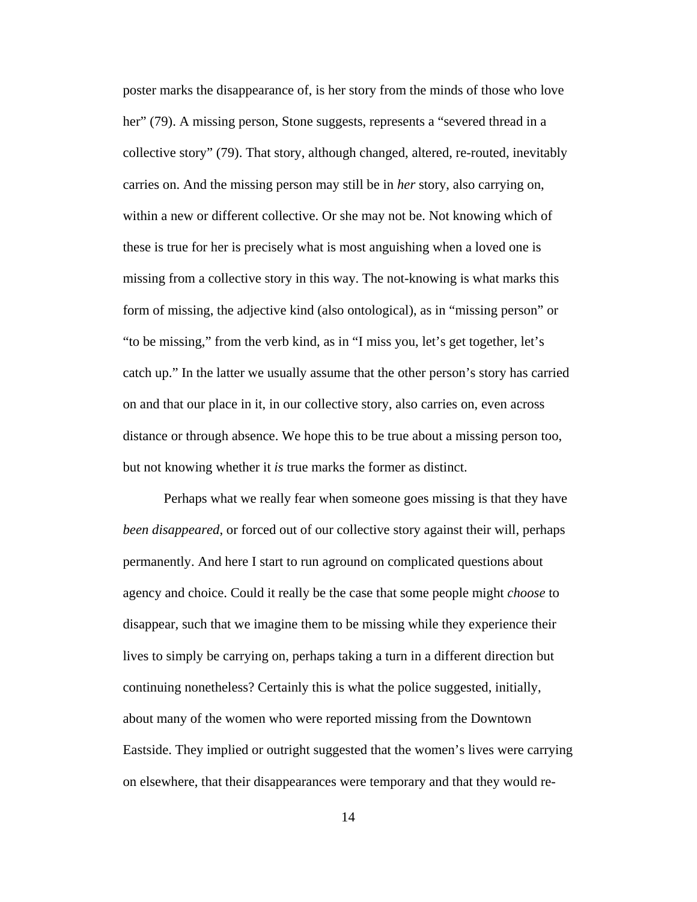poster marks the disappearance of, is her story from the minds of those who love her" (79). A missing person, Stone suggests, represents a "severed thread in a collective story" (79). That story, although changed, altered, re-routed, inevitably carries on. And the missing person may still be in *her* story, also carrying on, within a new or different collective. Or she may not be. Not knowing which of these is true for her is precisely what is most anguishing when a loved one is missing from a collective story in this way. The not-knowing is what marks this form of missing, the adjective kind (also ontological), as in "missing person" or "to be missing," from the verb kind, as in "I miss you, let's get together, let's catch up." In the latter we usually assume that the other person's story has carried on and that our place in it, in our collective story, also carries on, even across distance or through absence. We hope this to be true about a missing person too, but not knowing whether it *is* true marks the former as distinct.

Perhaps what we really fear when someone goes missing is that they have *been disappeared*, or forced out of our collective story against their will, perhaps permanently. And here I start to run aground on complicated questions about agency and choice. Could it really be the case that some people might *choose* to disappear, such that we imagine them to be missing while they experience their lives to simply be carrying on, perhaps taking a turn in a different direction but continuing nonetheless? Certainly this is what the police suggested, initially, about many of the women who were reported missing from the Downtown Eastside. They implied or outright suggested that the women's lives were carrying on elsewhere, that their disappearances were temporary and that they would re-

14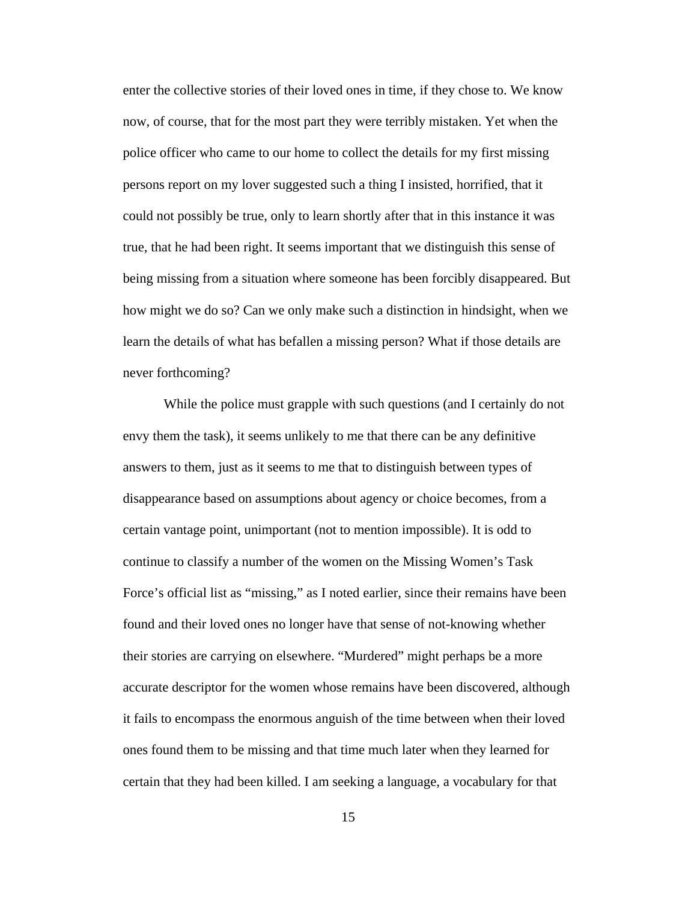enter the collective stories of their loved ones in time, if they chose to. We know now, of course, that for the most part they were terribly mistaken. Yet when the police officer who came to our home to collect the details for my first missing persons report on my lover suggested such a thing I insisted, horrified, that it could not possibly be true, only to learn shortly after that in this instance it was true, that he had been right. It seems important that we distinguish this sense of being missing from a situation where someone has been forcibly disappeared. But how might we do so? Can we only make such a distinction in hindsight, when we learn the details of what has befallen a missing person? What if those details are never forthcoming?

While the police must grapple with such questions (and I certainly do not envy them the task), it seems unlikely to me that there can be any definitive answers to them, just as it seems to me that to distinguish between types of disappearance based on assumptions about agency or choice becomes, from a certain vantage point, unimportant (not to mention impossible). It is odd to continue to classify a number of the women on the Missing Women's Task Force's official list as "missing," as I noted earlier, since their remains have been found and their loved ones no longer have that sense of not-knowing whether their stories are carrying on elsewhere. "Murdered" might perhaps be a more accurate descriptor for the women whose remains have been discovered, although it fails to encompass the enormous anguish of the time between when their loved ones found them to be missing and that time much later when they learned for certain that they had been killed. I am seeking a language, a vocabulary for that

15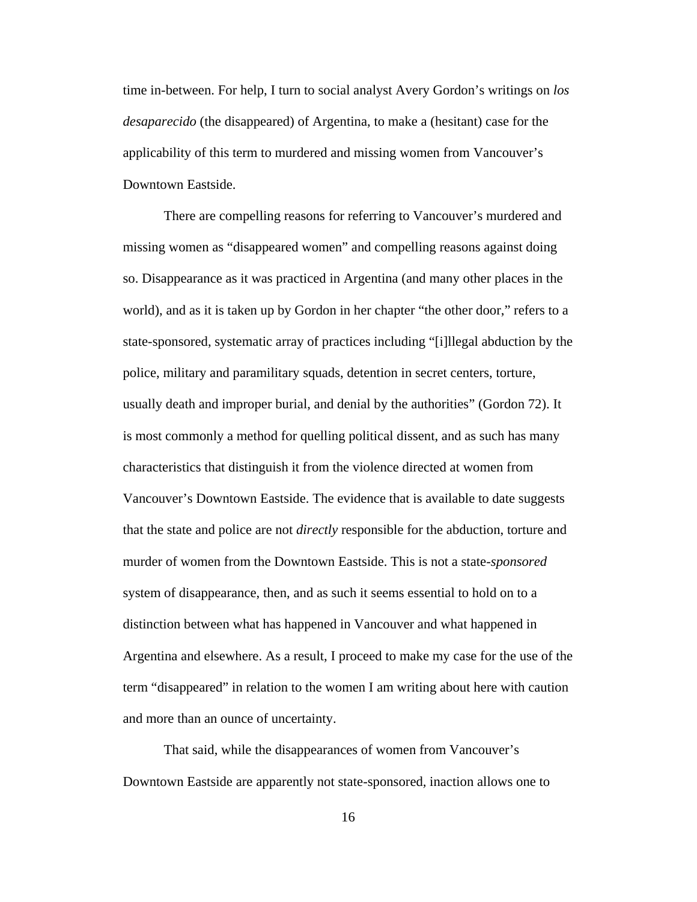time in-between. For help, I turn to social analyst Avery Gordon's writings on *los desaparecido* (the disappeared) of Argentina, to make a (hesitant) case for the applicability of this term to murdered and missing women from Vancouver's Downtown Eastside.

There are compelling reasons for referring to Vancouver's murdered and missing women as "disappeared women" and compelling reasons against doing so. Disappearance as it was practiced in Argentina (and many other places in the world), and as it is taken up by Gordon in her chapter "the other door," refers to a state-sponsored, systematic array of practices including "[i]llegal abduction by the police, military and paramilitary squads, detention in secret centers, torture, usually death and improper burial, and denial by the authorities" (Gordon 72). It is most commonly a method for quelling political dissent, and as such has many characteristics that distinguish it from the violence directed at women from Vancouver's Downtown Eastside. The evidence that is available to date suggests that the state and police are not *directly* responsible for the abduction, torture and murder of women from the Downtown Eastside. This is not a state-*sponsored*  system of disappearance, then, and as such it seems essential to hold on to a distinction between what has happened in Vancouver and what happened in Argentina and elsewhere. As a result, I proceed to make my case for the use of the term "disappeared" in relation to the women I am writing about here with caution and more than an ounce of uncertainty.

That said, while the disappearances of women from Vancouver's Downtown Eastside are apparently not state-sponsored*,* inaction allows one to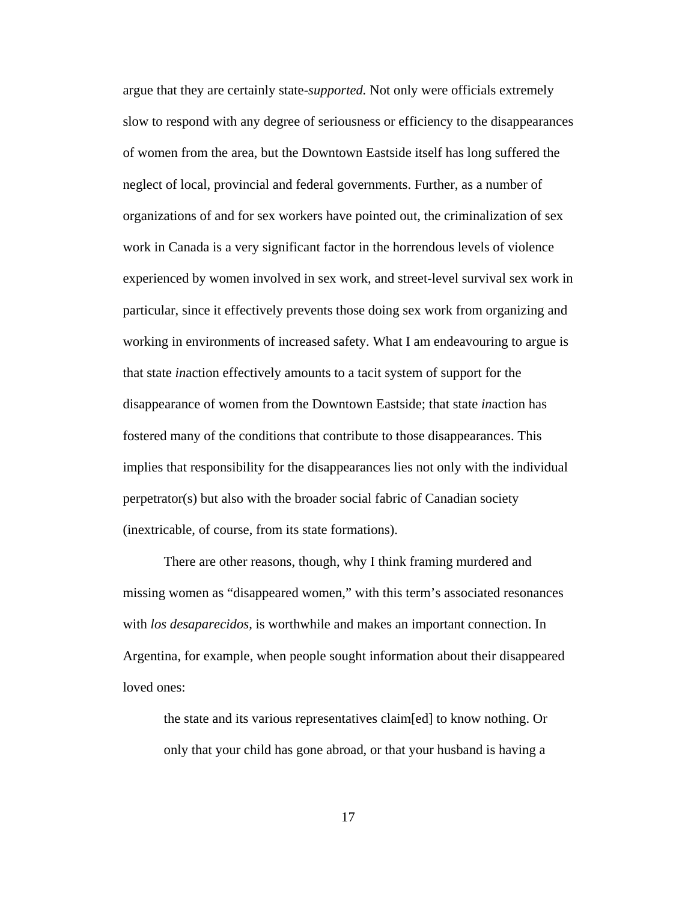argue that they are certainly state-*supported.* Not only were officials extremely slow to respond with any degree of seriousness or efficiency to the disappearances of women from the area, but the Downtown Eastside itself has long suffered the neglect of local, provincial and federal governments. Further, as a number of organizations of and for sex workers have pointed out, the criminalization of sex work in Canada is a very significant factor in the horrendous levels of violence experienced by women involved in sex work, and street-level survival sex work in particular, since it effectively prevents those doing sex work from organizing and working in environments of increased safety. What I am endeavouring to argue is that state *in*action effectively amounts to a tacit system of support for the disappearance of women from the Downtown Eastside; that state *in*action has fostered many of the conditions that contribute to those disappearances. This implies that responsibility for the disappearances lies not only with the individual perpetrator(s) but also with the broader social fabric of Canadian society (inextricable, of course, from its state formations).

There are other reasons, though, why I think framing murdered and missing women as "disappeared women," with this term's associated resonances with *los desaparecidos,* is worthwhile and makes an important connection. In Argentina, for example, when people sought information about their disappeared loved ones:

the state and its various representatives claim[ed] to know nothing. Or only that your child has gone abroad, or that your husband is having a

17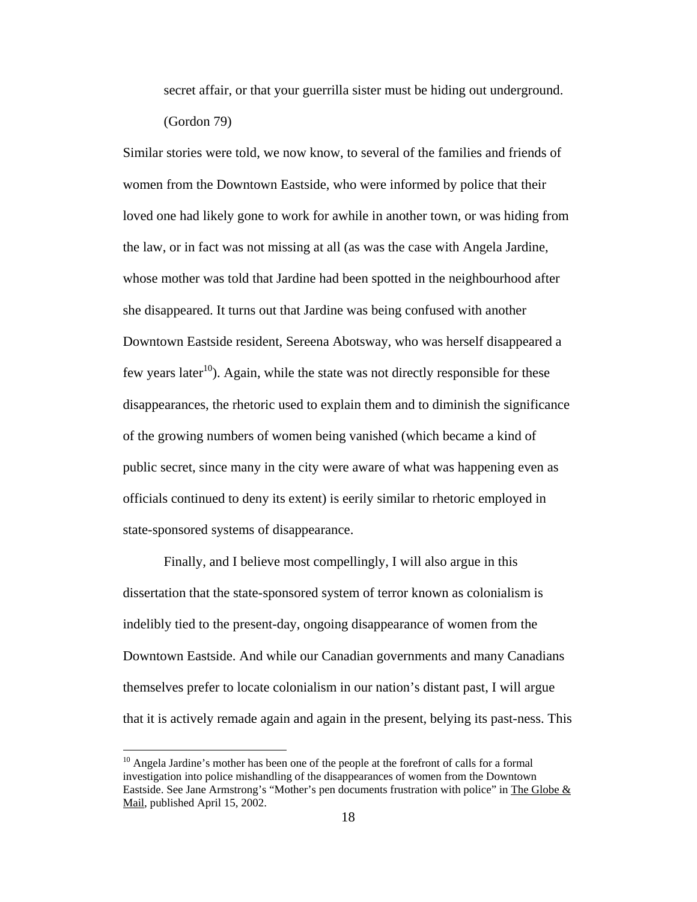secret affair, or that your guerrilla sister must be hiding out underground. (Gordon 79)

Similar stories were told, we now know, to several of the families and friends of women from the Downtown Eastside, who were informed by police that their loved one had likely gone to work for awhile in another town, or was hiding from the law, or in fact was not missing at all (as was the case with Angela Jardine, whose mother was told that Jardine had been spotted in the neighbourhood after she disappeared. It turns out that Jardine was being confused with another Downtown Eastside resident, Sereena Abotsway, who was herself disappeared a few years later<sup>10</sup>). Again, while the state was not directly responsible for these disappearances, the rhetoric used to explain them and to diminish the significance of the growing numbers of women being vanished (which became a kind of public secret, since many in the city were aware of what was happening even as officials continued to deny its extent) is eerily similar to rhetoric employed in state-sponsored systems of disappearance.

Finally, and I believe most compellingly, I will also argue in this dissertation that the state-sponsored system of terror known as colonialism is indelibly tied to the present-day, ongoing disappearance of women from the Downtown Eastside. And while our Canadian governments and many Canadians themselves prefer to locate colonialism in our nation's distant past, I will argue that it is actively remade again and again in the present, belying its past-ness. This

 $\overline{a}$ 

<sup>&</sup>lt;sup>10</sup> Angela Jardine's mother has been one of the people at the forefront of calls for a formal investigation into police mishandling of the disappearances of women from the Downtown Eastside. See Jane Armstrong's "Mother's pen documents frustration with police" in The Globe & Mail, published April 15, 2002.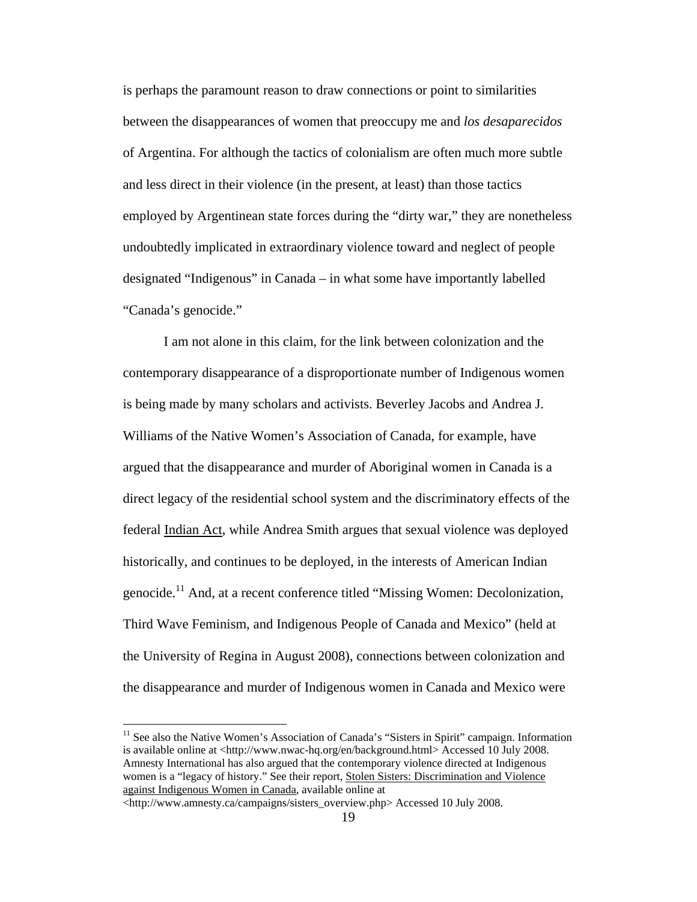is perhaps the paramount reason to draw connections or point to similarities between the disappearances of women that preoccupy me and *los desaparecidos*  of Argentina. For although the tactics of colonialism are often much more subtle and less direct in their violence (in the present, at least) than those tactics employed by Argentinean state forces during the "dirty war," they are nonetheless undoubtedly implicated in extraordinary violence toward and neglect of people designated "Indigenous" in Canada – in what some have importantly labelled "Canada's genocide."

I am not alone in this claim, for the link between colonization and the contemporary disappearance of a disproportionate number of Indigenous women is being made by many scholars and activists. Beverley Jacobs and Andrea J. Williams of the Native Women's Association of Canada, for example, have argued that the disappearance and murder of Aboriginal women in Canada is a direct legacy of the residential school system and the discriminatory effects of the federal Indian Act, while Andrea Smith argues that sexual violence was deployed historically, and continues to be deployed, in the interests of American Indian genocide.<sup>11</sup> And, at a recent conference titled "Missing Women: Decolonization, Third Wave Feminism, and Indigenous People of Canada and Mexico" (held at the University of Regina in August 2008), connections between colonization and the disappearance and murder of Indigenous women in Canada and Mexico were

 $\overline{a}$ 

<sup>&</sup>lt;sup>11</sup> See also the Native Women's Association of Canada's "Sisters in Spirit" campaign. Information is available online at <http://www.nwac-hq.org/en/background.html> Accessed 10 July 2008. Amnesty International has also argued that the contemporary violence directed at Indigenous women is a "legacy of history." See their report, Stolen Sisters: Discrimination and Violence against Indigenous Women in Canada, available online at

<sup>&</sup>lt;http://www.amnesty.ca/campaigns/sisters\_overview.php> Accessed 10 July 2008.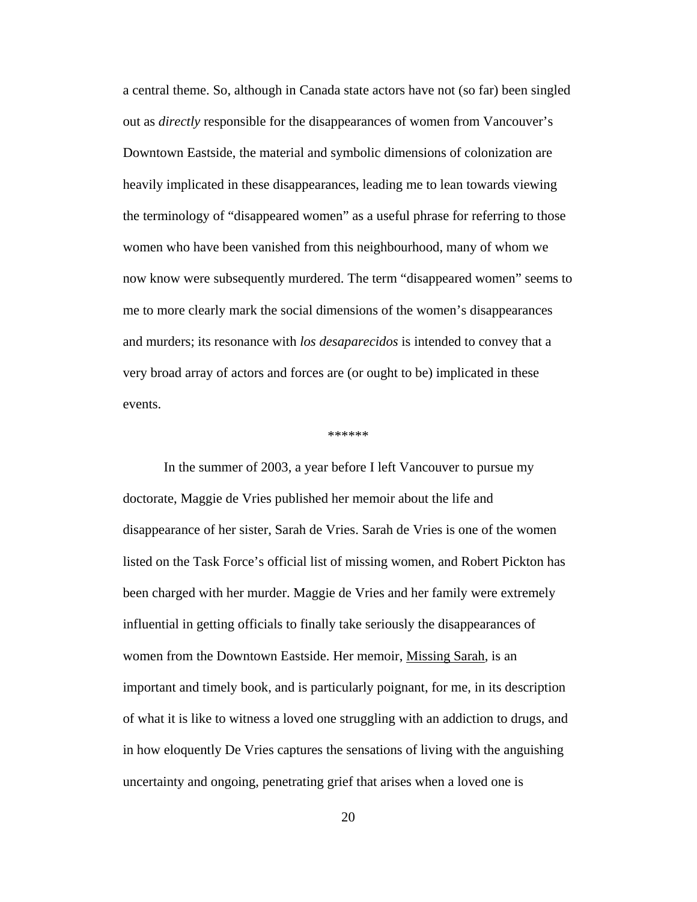a central theme. So, although in Canada state actors have not (so far) been singled out as *directly* responsible for the disappearances of women from Vancouver's Downtown Eastside, the material and symbolic dimensions of colonization are heavily implicated in these disappearances, leading me to lean towards viewing the terminology of "disappeared women" as a useful phrase for referring to those women who have been vanished from this neighbourhood, many of whom we now know were subsequently murdered. The term "disappeared women" seems to me to more clearly mark the social dimensions of the women's disappearances and murders; its resonance with *los desaparecidos* is intended to convey that a very broad array of actors and forces are (or ought to be) implicated in these events.

#### \*\*\*\*\*\*

In the summer of 2003, a year before I left Vancouver to pursue my doctorate, Maggie de Vries published her memoir about the life and disappearance of her sister, Sarah de Vries. Sarah de Vries is one of the women listed on the Task Force's official list of missing women, and Robert Pickton has been charged with her murder. Maggie de Vries and her family were extremely influential in getting officials to finally take seriously the disappearances of women from the Downtown Eastside. Her memoir, Missing Sarah, is an important and timely book, and is particularly poignant, for me, in its description of what it is like to witness a loved one struggling with an addiction to drugs, and in how eloquently De Vries captures the sensations of living with the anguishing uncertainty and ongoing, penetrating grief that arises when a loved one is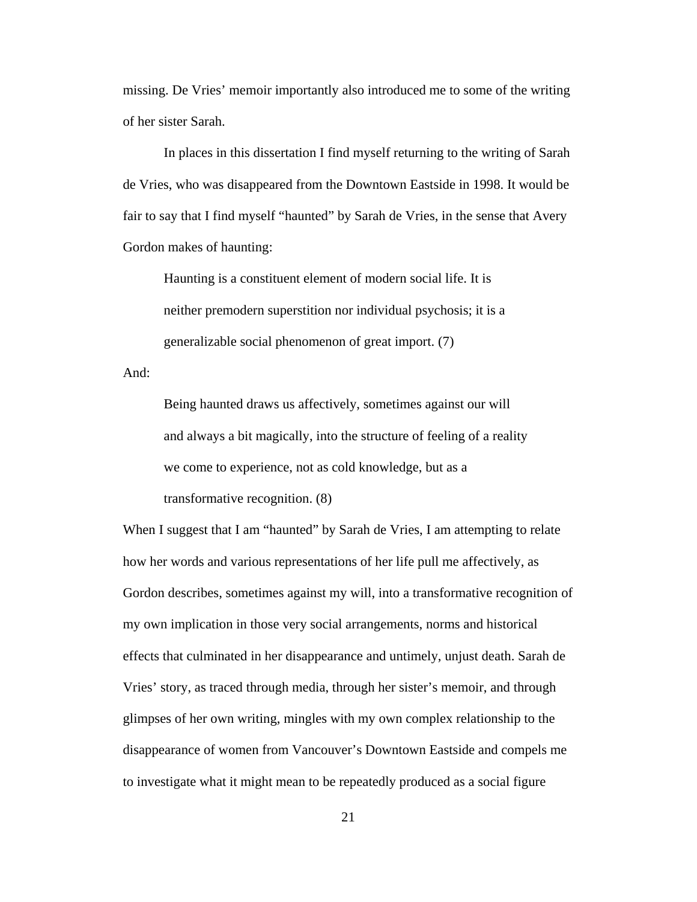missing. De Vries' memoir importantly also introduced me to some of the writing of her sister Sarah.

In places in this dissertation I find myself returning to the writing of Sarah de Vries, who was disappeared from the Downtown Eastside in 1998. It would be fair to say that I find myself "haunted" by Sarah de Vries, in the sense that Avery Gordon makes of haunting:

Haunting is a constituent element of modern social life. It is neither premodern superstition nor individual psychosis; it is a generalizable social phenomenon of great import. (7)

And:

Being haunted draws us affectively, sometimes against our will and always a bit magically, into the structure of feeling of a reality we come to experience, not as cold knowledge, but as a transformative recognition. (8)

When I suggest that I am "haunted" by Sarah de Vries, I am attempting to relate how her words and various representations of her life pull me affectively, as Gordon describes, sometimes against my will, into a transformative recognition of my own implication in those very social arrangements, norms and historical effects that culminated in her disappearance and untimely, unjust death. Sarah de Vries' story, as traced through media, through her sister's memoir, and through glimpses of her own writing, mingles with my own complex relationship to the disappearance of women from Vancouver's Downtown Eastside and compels me to investigate what it might mean to be repeatedly produced as a social figure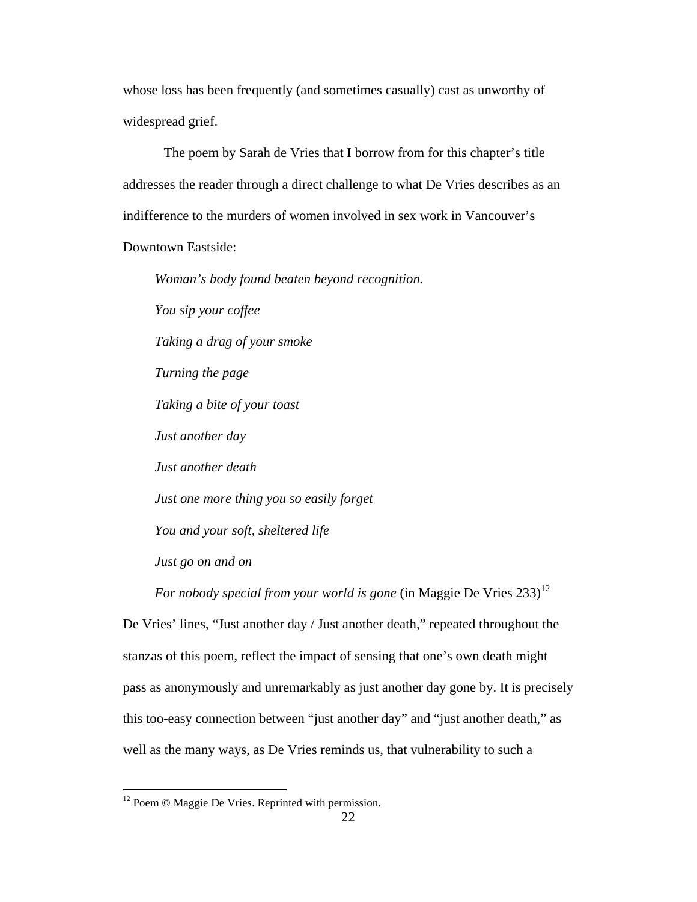whose loss has been frequently (and sometimes casually) cast as unworthy of widespread grief.

The poem by Sarah de Vries that I borrow from for this chapter's title addresses the reader through a direct challenge to what De Vries describes as an indifference to the murders of women involved in sex work in Vancouver's Downtown Eastside:

*Woman's body found beaten beyond recognition. You sip your coffee Taking a drag of your smoke Turning the page Taking a bite of your toast Just another day Just another death Just one more thing you so easily forget You and your soft, sheltered life Just go on and on* 

De Vries' lines, "Just another day / Just another death," repeated throughout the stanzas of this poem, reflect the impact of sensing that one's own death might pass as anonymously and unremarkably as just another day gone by. It is precisely this too-easy connection between "just another day" and "just another death," as well as the many ways, as De Vries reminds us, that vulnerability to such a

*For nobody special from your world is gone* (in Maggie De Vries 233)<sup>12</sup>

 $\overline{a}$ 

<sup>12</sup> Poem © Maggie De Vries. Reprinted with permission.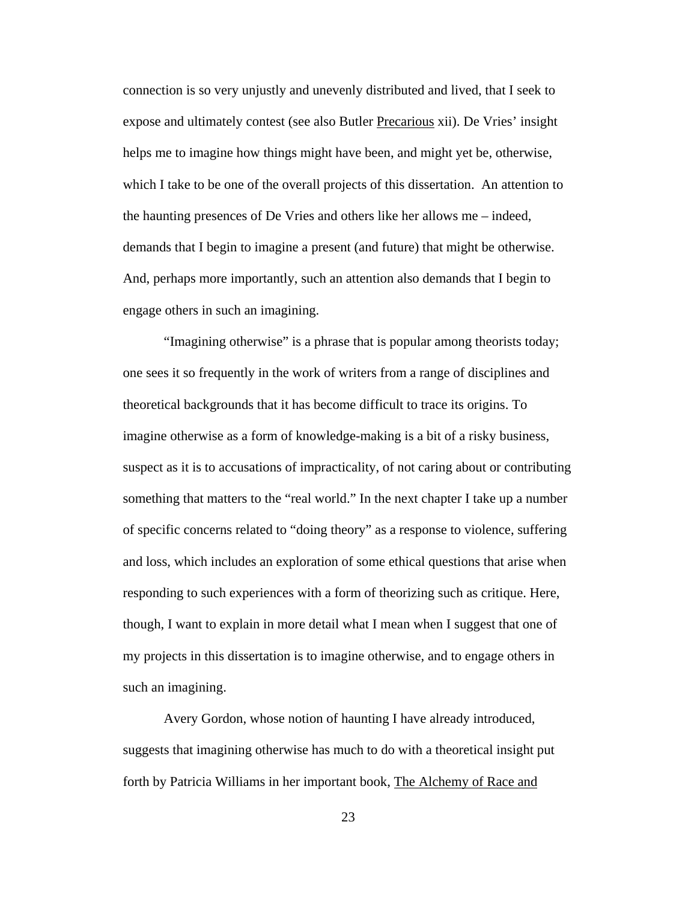connection is so very unjustly and unevenly distributed and lived, that I seek to expose and ultimately contest (see also Butler Precarious xii). De Vries' insight helps me to imagine how things might have been, and might yet be, otherwise, which I take to be one of the overall projects of this dissertation. An attention to the haunting presences of De Vries and others like her allows me – indeed, demands that I begin to imagine a present (and future) that might be otherwise. And, perhaps more importantly, such an attention also demands that I begin to engage others in such an imagining.

 "Imagining otherwise" is a phrase that is popular among theorists today; one sees it so frequently in the work of writers from a range of disciplines and theoretical backgrounds that it has become difficult to trace its origins. To imagine otherwise as a form of knowledge-making is a bit of a risky business, suspect as it is to accusations of impracticality, of not caring about or contributing something that matters to the "real world." In the next chapter I take up a number of specific concerns related to "doing theory" as a response to violence, suffering and loss, which includes an exploration of some ethical questions that arise when responding to such experiences with a form of theorizing such as critique. Here, though, I want to explain in more detail what I mean when I suggest that one of my projects in this dissertation is to imagine otherwise, and to engage others in such an imagining.

 Avery Gordon, whose notion of haunting I have already introduced, suggests that imagining otherwise has much to do with a theoretical insight put forth by Patricia Williams in her important book, The Alchemy of Race and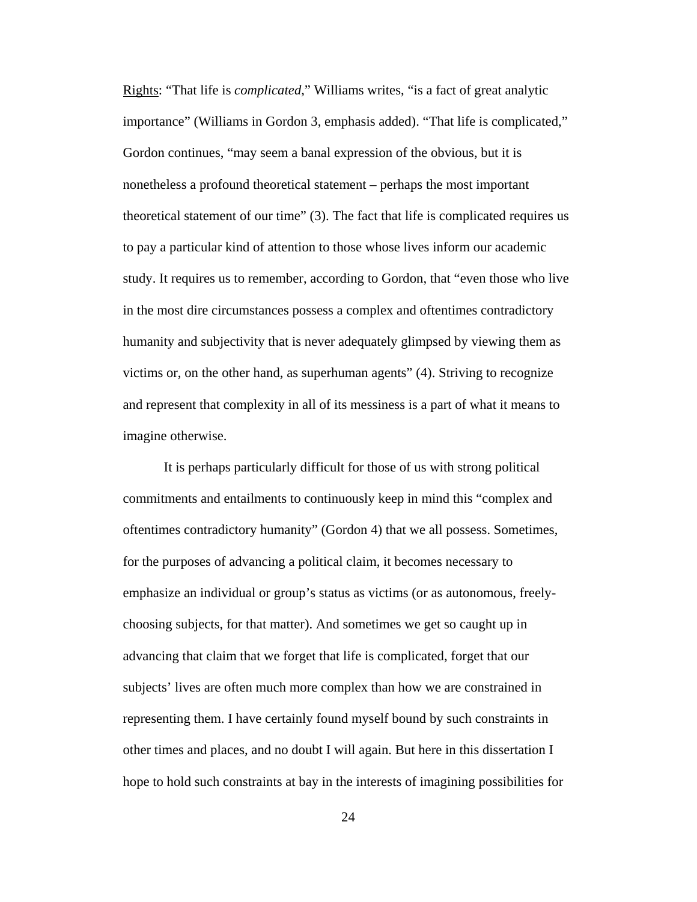Rights: "That life is *complicated*," Williams writes, "is a fact of great analytic importance" (Williams in Gordon 3, emphasis added). "That life is complicated," Gordon continues, "may seem a banal expression of the obvious, but it is nonetheless a profound theoretical statement – perhaps the most important theoretical statement of our time" (3). The fact that life is complicated requires us to pay a particular kind of attention to those whose lives inform our academic study. It requires us to remember, according to Gordon, that "even those who live in the most dire circumstances possess a complex and oftentimes contradictory humanity and subjectivity that is never adequately glimpsed by viewing them as victims or, on the other hand, as superhuman agents" (4). Striving to recognize and represent that complexity in all of its messiness is a part of what it means to imagine otherwise.

 It is perhaps particularly difficult for those of us with strong political commitments and entailments to continuously keep in mind this "complex and oftentimes contradictory humanity" (Gordon 4) that we all possess. Sometimes, for the purposes of advancing a political claim, it becomes necessary to emphasize an individual or group's status as victims (or as autonomous, freelychoosing subjects, for that matter). And sometimes we get so caught up in advancing that claim that we forget that life is complicated, forget that our subjects' lives are often much more complex than how we are constrained in representing them. I have certainly found myself bound by such constraints in other times and places, and no doubt I will again. But here in this dissertation I hope to hold such constraints at bay in the interests of imagining possibilities for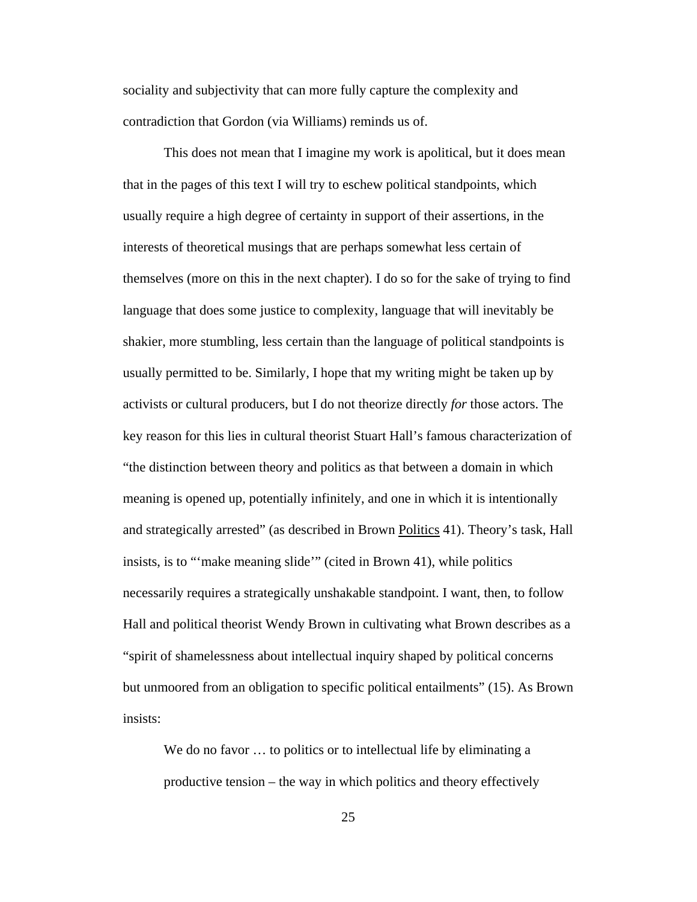sociality and subjectivity that can more fully capture the complexity and contradiction that Gordon (via Williams) reminds us of.

This does not mean that I imagine my work is apolitical, but it does mean that in the pages of this text I will try to eschew political standpoints, which usually require a high degree of certainty in support of their assertions, in the interests of theoretical musings that are perhaps somewhat less certain of themselves (more on this in the next chapter). I do so for the sake of trying to find language that does some justice to complexity, language that will inevitably be shakier, more stumbling, less certain than the language of political standpoints is usually permitted to be. Similarly, I hope that my writing might be taken up by activists or cultural producers, but I do not theorize directly *for* those actors. The key reason for this lies in cultural theorist Stuart Hall's famous characterization of "the distinction between theory and politics as that between a domain in which meaning is opened up, potentially infinitely, and one in which it is intentionally and strategically arrested" (as described in Brown Politics 41). Theory's task, Hall insists, is to "'make meaning slide'" (cited in Brown 41), while politics necessarily requires a strategically unshakable standpoint. I want, then, to follow Hall and political theorist Wendy Brown in cultivating what Brown describes as a "spirit of shamelessness about intellectual inquiry shaped by political concerns but unmoored from an obligation to specific political entailments" (15). As Brown insists:

We do no favor ... to politics or to intellectual life by eliminating a productive tension – the way in which politics and theory effectively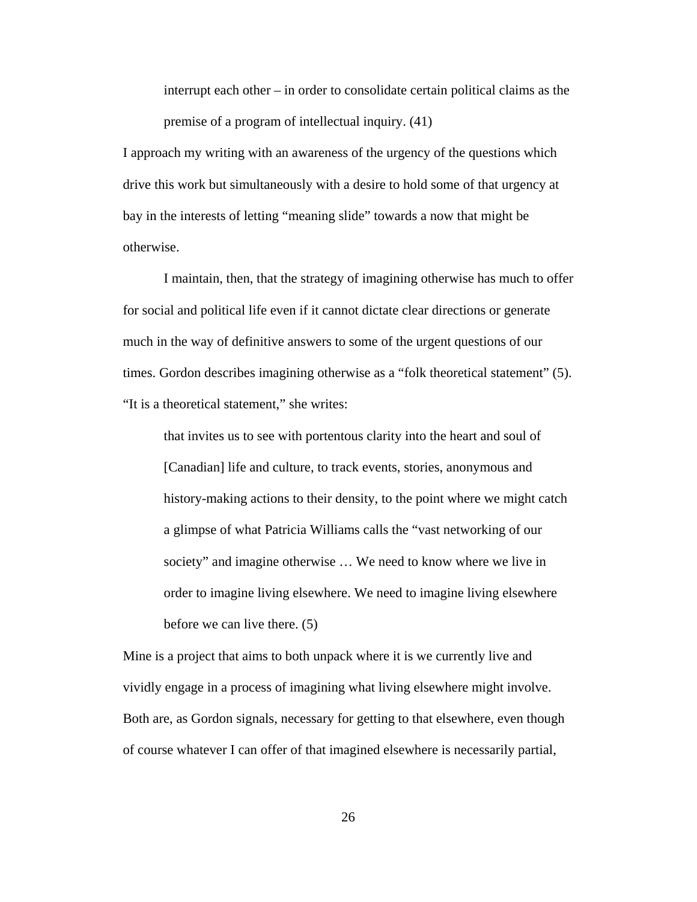interrupt each other – in order to consolidate certain political claims as the premise of a program of intellectual inquiry. (41)

I approach my writing with an awareness of the urgency of the questions which drive this work but simultaneously with a desire to hold some of that urgency at bay in the interests of letting "meaning slide" towards a now that might be otherwise.

 I maintain, then, that the strategy of imagining otherwise has much to offer for social and political life even if it cannot dictate clear directions or generate much in the way of definitive answers to some of the urgent questions of our times. Gordon describes imagining otherwise as a "folk theoretical statement" (5). "It is a theoretical statement," she writes:

that invites us to see with portentous clarity into the heart and soul of [Canadian] life and culture, to track events, stories, anonymous and history-making actions to their density, to the point where we might catch a glimpse of what Patricia Williams calls the "vast networking of our society" and imagine otherwise … We need to know where we live in order to imagine living elsewhere. We need to imagine living elsewhere before we can live there. (5)

Mine is a project that aims to both unpack where it is we currently live and vividly engage in a process of imagining what living elsewhere might involve. Both are, as Gordon signals, necessary for getting to that elsewhere, even though of course whatever I can offer of that imagined elsewhere is necessarily partial,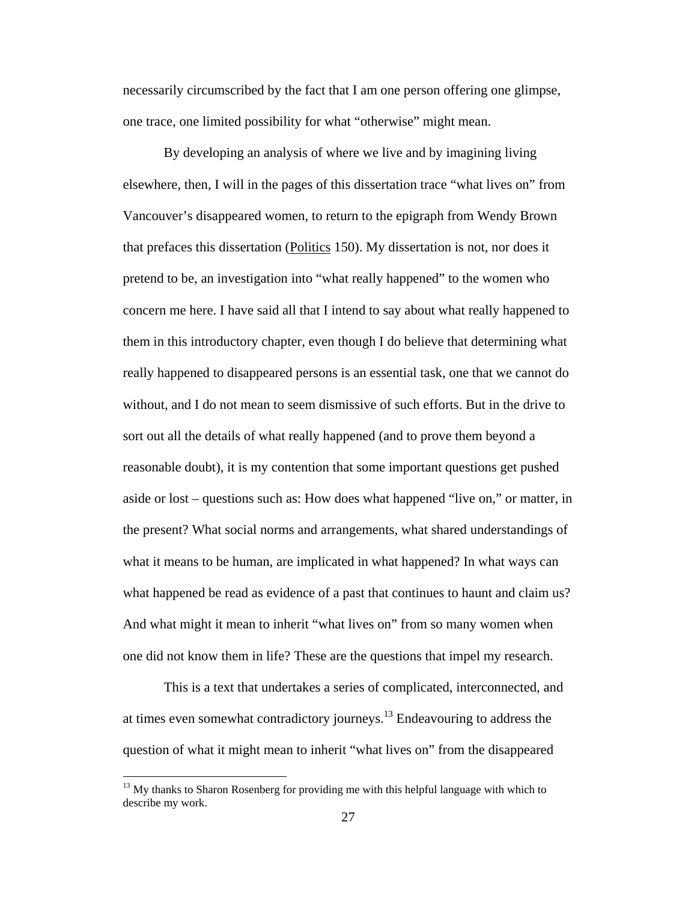necessarily circumscribed by the fact that I am one person offering one glimpse, one trace, one limited possibility for what "otherwise" might mean.

By developing an analysis of where we live and by imagining living elsewhere, then, I will in the pages of this dissertation trace "what lives on" from Vancouver's disappeared women, to return to the epigraph from Wendy Brown that prefaces this dissertation (Politics 150). My dissertation is not, nor does it pretend to be, an investigation into "what really happened" to the women who concern me here. I have said all that I intend to say about what really happened to them in this introductory chapter, even though I do believe that determining what really happened to disappeared persons is an essential task, one that we cannot do without, and I do not mean to seem dismissive of such efforts. But in the drive to sort out all the details of what really happened (and to prove them beyond a reasonable doubt), it is my contention that some important questions get pushed aside or lost – questions such as: How does what happened "live on," or matter, in the present? What social norms and arrangements, what shared understandings of what it means to be human, are implicated in what happened? In what ways can what happened be read as evidence of a past that continues to haunt and claim us? And what might it mean to inherit "what lives on" from so many women when one did not know them in life? These are the questions that impel my research.

This is a text that undertakes a series of complicated, interconnected, and at times even somewhat contradictory journeys.13 Endeavouring to address the question of what it might mean to inherit "what lives on" from the disappeared

 $\overline{a}$ 

 $13$  My thanks to Sharon Rosenberg for providing me with this helpful language with which to describe my work.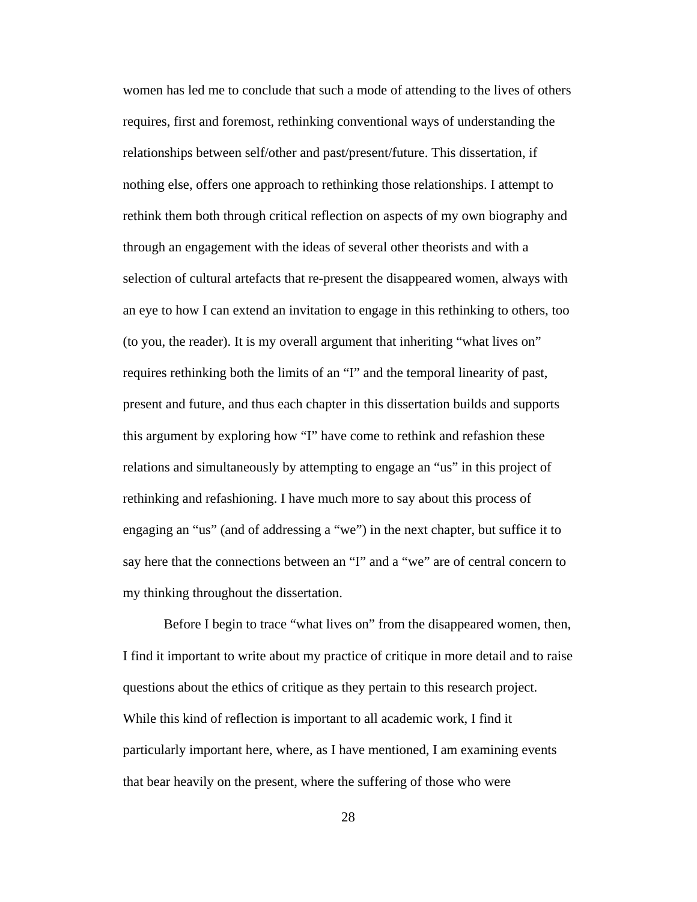women has led me to conclude that such a mode of attending to the lives of others requires, first and foremost, rethinking conventional ways of understanding the relationships between self/other and past/present/future. This dissertation, if nothing else, offers one approach to rethinking those relationships. I attempt to rethink them both through critical reflection on aspects of my own biography and through an engagement with the ideas of several other theorists and with a selection of cultural artefacts that re-present the disappeared women, always with an eye to how I can extend an invitation to engage in this rethinking to others, too (to you, the reader). It is my overall argument that inheriting "what lives on" requires rethinking both the limits of an "I" and the temporal linearity of past, present and future, and thus each chapter in this dissertation builds and supports this argument by exploring how "I" have come to rethink and refashion these relations and simultaneously by attempting to engage an "us" in this project of rethinking and refashioning. I have much more to say about this process of engaging an "us" (and of addressing a "we") in the next chapter, but suffice it to say here that the connections between an "I" and a "we" are of central concern to my thinking throughout the dissertation.

Before I begin to trace "what lives on" from the disappeared women, then, I find it important to write about my practice of critique in more detail and to raise questions about the ethics of critique as they pertain to this research project. While this kind of reflection is important to all academic work, I find it particularly important here, where, as I have mentioned, I am examining events that bear heavily on the present, where the suffering of those who were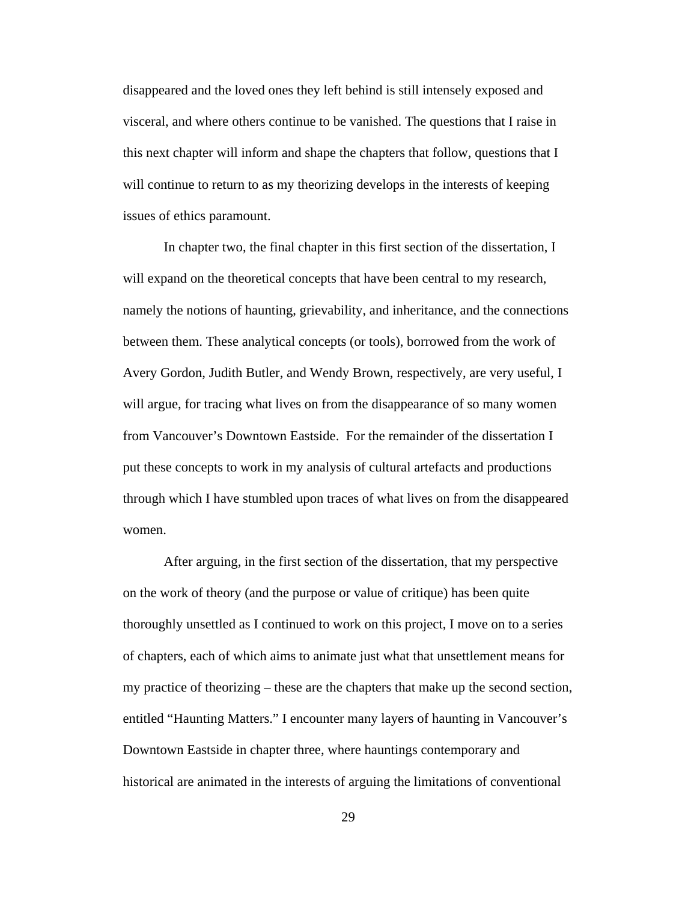disappeared and the loved ones they left behind is still intensely exposed and visceral, and where others continue to be vanished. The questions that I raise in this next chapter will inform and shape the chapters that follow, questions that I will continue to return to as my theorizing develops in the interests of keeping issues of ethics paramount.

In chapter two, the final chapter in this first section of the dissertation, I will expand on the theoretical concepts that have been central to my research, namely the notions of haunting, grievability, and inheritance, and the connections between them. These analytical concepts (or tools), borrowed from the work of Avery Gordon, Judith Butler, and Wendy Brown, respectively, are very useful, I will argue, for tracing what lives on from the disappearance of so many women from Vancouver's Downtown Eastside. For the remainder of the dissertation I put these concepts to work in my analysis of cultural artefacts and productions through which I have stumbled upon traces of what lives on from the disappeared women.

After arguing, in the first section of the dissertation, that my perspective on the work of theory (and the purpose or value of critique) has been quite thoroughly unsettled as I continued to work on this project, I move on to a series of chapters, each of which aims to animate just what that unsettlement means for my practice of theorizing – these are the chapters that make up the second section, entitled "Haunting Matters." I encounter many layers of haunting in Vancouver's Downtown Eastside in chapter three, where hauntings contemporary and historical are animated in the interests of arguing the limitations of conventional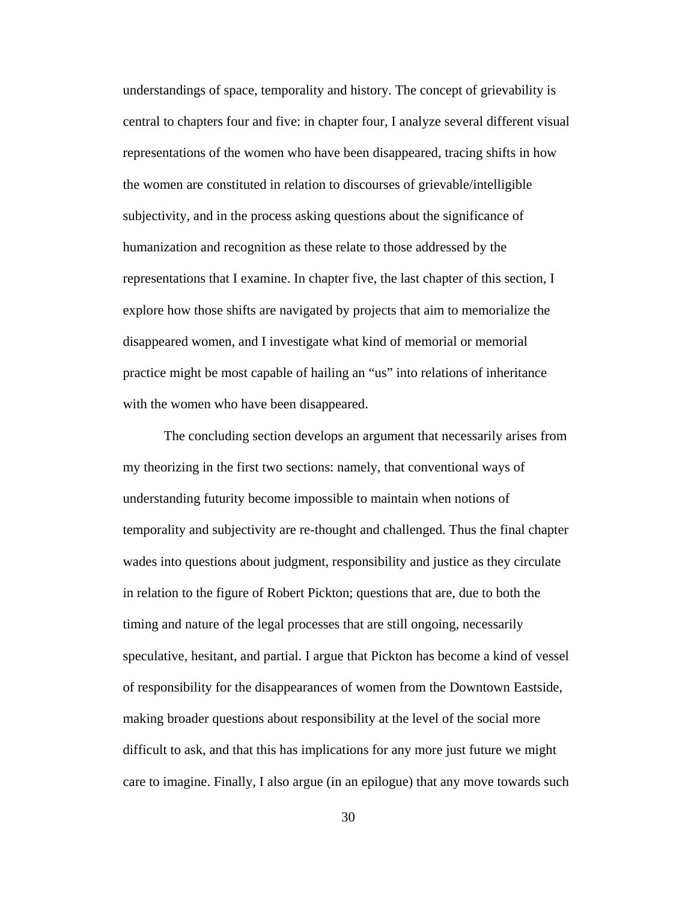understandings of space, temporality and history. The concept of grievability is central to chapters four and five: in chapter four, I analyze several different visual representations of the women who have been disappeared, tracing shifts in how the women are constituted in relation to discourses of grievable/intelligible subjectivity, and in the process asking questions about the significance of humanization and recognition as these relate to those addressed by the representations that I examine. In chapter five, the last chapter of this section, I explore how those shifts are navigated by projects that aim to memorialize the disappeared women, and I investigate what kind of memorial or memorial practice might be most capable of hailing an "us" into relations of inheritance with the women who have been disappeared.

The concluding section develops an argument that necessarily arises from my theorizing in the first two sections: namely, that conventional ways of understanding futurity become impossible to maintain when notions of temporality and subjectivity are re-thought and challenged. Thus the final chapter wades into questions about judgment, responsibility and justice as they circulate in relation to the figure of Robert Pickton; questions that are, due to both the timing and nature of the legal processes that are still ongoing, necessarily speculative, hesitant, and partial. I argue that Pickton has become a kind of vessel of responsibility for the disappearances of women from the Downtown Eastside, making broader questions about responsibility at the level of the social more difficult to ask, and that this has implications for any more just future we might care to imagine. Finally, I also argue (in an epilogue) that any move towards such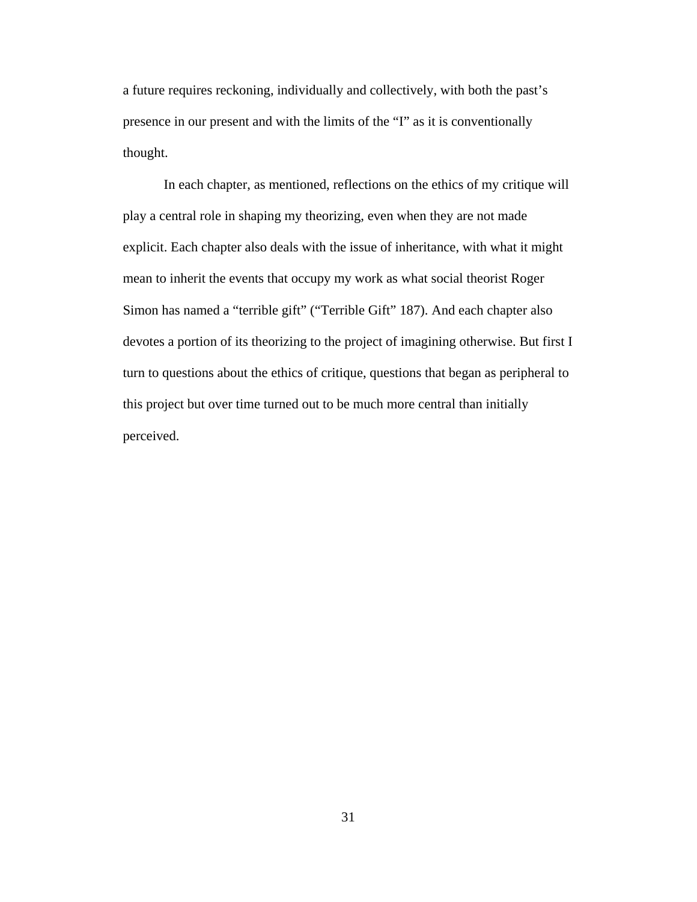a future requires reckoning, individually and collectively, with both the past's presence in our present and with the limits of the "I" as it is conventionally thought.

In each chapter, as mentioned, reflections on the ethics of my critique will play a central role in shaping my theorizing, even when they are not made explicit. Each chapter also deals with the issue of inheritance, with what it might mean to inherit the events that occupy my work as what social theorist Roger Simon has named a "terrible gift" ("Terrible Gift" 187). And each chapter also devotes a portion of its theorizing to the project of imagining otherwise. But first I turn to questions about the ethics of critique, questions that began as peripheral to this project but over time turned out to be much more central than initially perceived.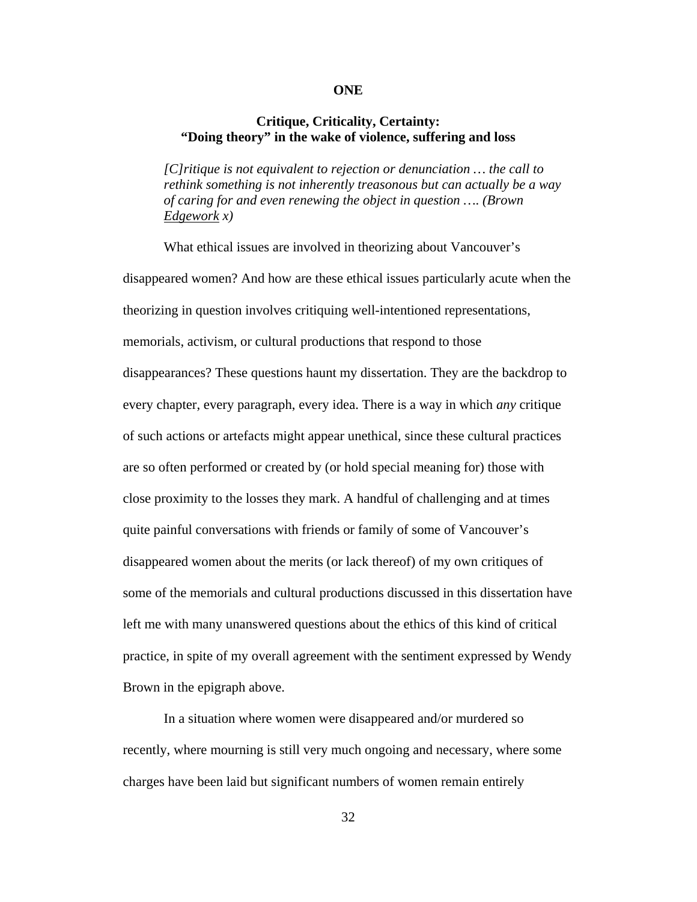### **ONE**

# **Critique, Criticality, Certainty: "Doing theory" in the wake of violence, suffering and loss**

*[C]ritique is not equivalent to rejection or denunciation … the call to rethink something is not inherently treasonous but can actually be a way of caring for and even renewing the object in question …*. *(Brown Edgework x)*

What ethical issues are involved in theorizing about Vancouver's disappeared women? And how are these ethical issues particularly acute when the theorizing in question involves critiquing well-intentioned representations, memorials, activism, or cultural productions that respond to those disappearances? These questions haunt my dissertation. They are the backdrop to every chapter, every paragraph, every idea. There is a way in which *any* critique of such actions or artefacts might appear unethical, since these cultural practices are so often performed or created by (or hold special meaning for) those with close proximity to the losses they mark. A handful of challenging and at times quite painful conversations with friends or family of some of Vancouver's disappeared women about the merits (or lack thereof) of my own critiques of some of the memorials and cultural productions discussed in this dissertation have left me with many unanswered questions about the ethics of this kind of critical practice, in spite of my overall agreement with the sentiment expressed by Wendy Brown in the epigraph above.

In a situation where women were disappeared and/or murdered so recently, where mourning is still very much ongoing and necessary, where some charges have been laid but significant numbers of women remain entirely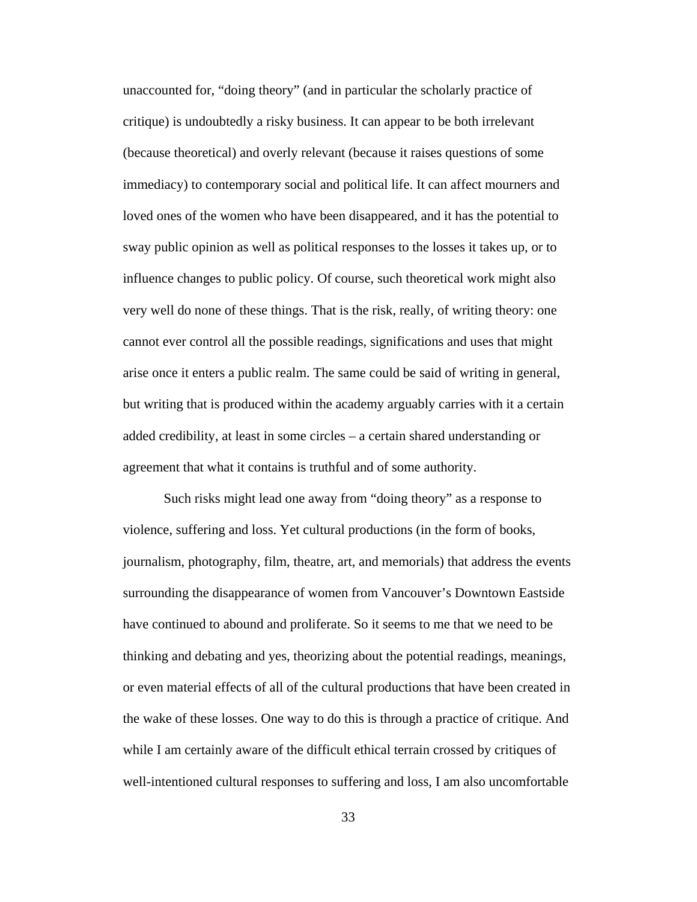unaccounted for, "doing theory" (and in particular the scholarly practice of critique) is undoubtedly a risky business. It can appear to be both irrelevant (because theoretical) and overly relevant (because it raises questions of some immediacy) to contemporary social and political life. It can affect mourners and loved ones of the women who have been disappeared, and it has the potential to sway public opinion as well as political responses to the losses it takes up, or to influence changes to public policy. Of course, such theoretical work might also very well do none of these things. That is the risk, really, of writing theory: one cannot ever control all the possible readings, significations and uses that might arise once it enters a public realm. The same could be said of writing in general, but writing that is produced within the academy arguably carries with it a certain added credibility, at least in some circles – a certain shared understanding or agreement that what it contains is truthful and of some authority.

 Such risks might lead one away from "doing theory" as a response to violence, suffering and loss. Yet cultural productions (in the form of books, journalism, photography, film, theatre, art, and memorials) that address the events surrounding the disappearance of women from Vancouver's Downtown Eastside have continued to abound and proliferate. So it seems to me that we need to be thinking and debating and yes, theorizing about the potential readings, meanings, or even material effects of all of the cultural productions that have been created in the wake of these losses. One way to do this is through a practice of critique. And while I am certainly aware of the difficult ethical terrain crossed by critiques of well-intentioned cultural responses to suffering and loss, I am also uncomfortable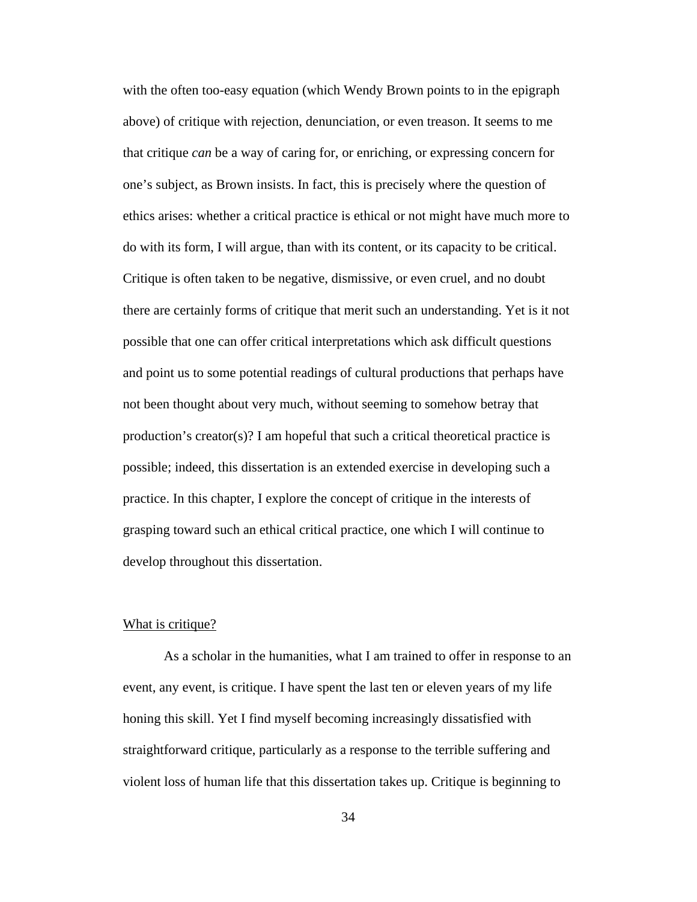with the often too-easy equation (which Wendy Brown points to in the epigraph above) of critique with rejection, denunciation, or even treason. It seems to me that critique *can* be a way of caring for, or enriching, or expressing concern for one's subject, as Brown insists. In fact, this is precisely where the question of ethics arises: whether a critical practice is ethical or not might have much more to do with its form, I will argue, than with its content, or its capacity to be critical. Critique is often taken to be negative, dismissive, or even cruel, and no doubt there are certainly forms of critique that merit such an understanding. Yet is it not possible that one can offer critical interpretations which ask difficult questions and point us to some potential readings of cultural productions that perhaps have not been thought about very much, without seeming to somehow betray that production's creator(s)? I am hopeful that such a critical theoretical practice is possible; indeed, this dissertation is an extended exercise in developing such a practice. In this chapter, I explore the concept of critique in the interests of grasping toward such an ethical critical practice, one which I will continue to develop throughout this dissertation.

### What is critique?

 As a scholar in the humanities, what I am trained to offer in response to an event, any event, is critique. I have spent the last ten or eleven years of my life honing this skill. Yet I find myself becoming increasingly dissatisfied with straightforward critique, particularly as a response to the terrible suffering and violent loss of human life that this dissertation takes up. Critique is beginning to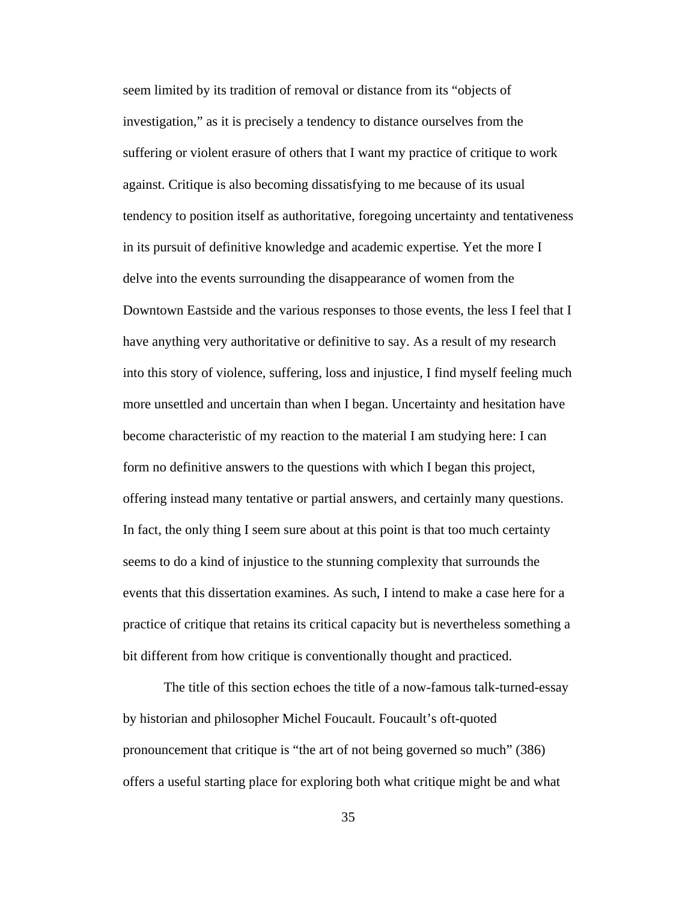seem limited by its tradition of removal or distance from its "objects of investigation," as it is precisely a tendency to distance ourselves from the suffering or violent erasure of others that I want my practice of critique to work against. Critique is also becoming dissatisfying to me because of its usual tendency to position itself as authoritative, foregoing uncertainty and tentativeness in its pursuit of definitive knowledge and academic expertise*.* Yet the more I delve into the events surrounding the disappearance of women from the Downtown Eastside and the various responses to those events, the less I feel that I have anything very authoritative or definitive to say. As a result of my research into this story of violence, suffering, loss and injustice, I find myself feeling much more unsettled and uncertain than when I began. Uncertainty and hesitation have become characteristic of my reaction to the material I am studying here: I can form no definitive answers to the questions with which I began this project, offering instead many tentative or partial answers, and certainly many questions. In fact, the only thing I seem sure about at this point is that too much certainty seems to do a kind of injustice to the stunning complexity that surrounds the events that this dissertation examines. As such, I intend to make a case here for a practice of critique that retains its critical capacity but is nevertheless something a bit different from how critique is conventionally thought and practiced.

 The title of this section echoes the title of a now-famous talk-turned-essay by historian and philosopher Michel Foucault. Foucault's oft-quoted pronouncement that critique is "the art of not being governed so much" (386) offers a useful starting place for exploring both what critique might be and what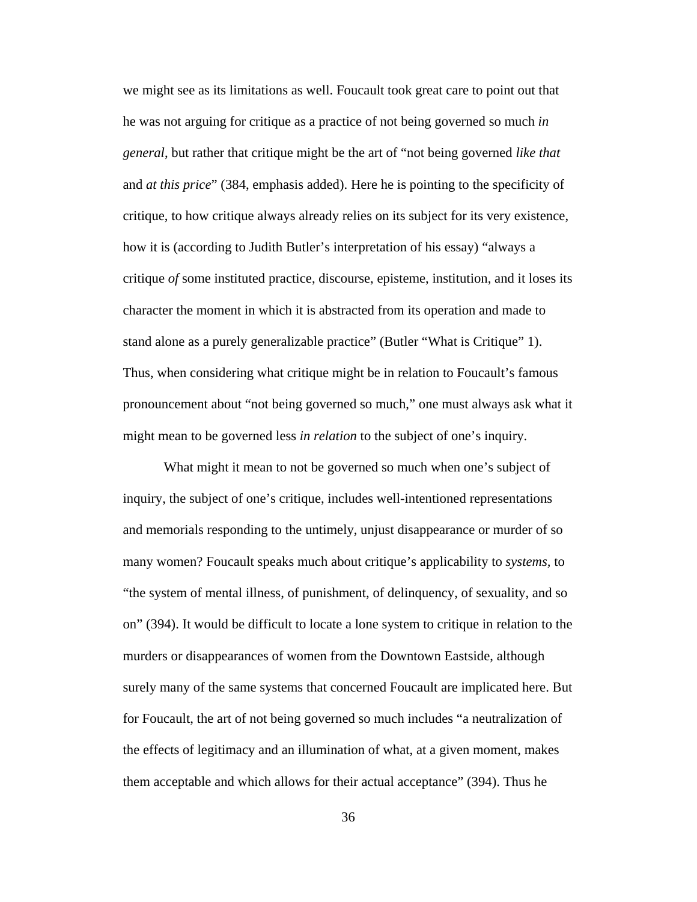we might see as its limitations as well. Foucault took great care to point out that he was not arguing for critique as a practice of not being governed so much *in general*, but rather that critique might be the art of "not being governed *like that*  and *at this price*" (384, emphasis added). Here he is pointing to the specificity of critique, to how critique always already relies on its subject for its very existence, how it is (according to Judith Butler's interpretation of his essay) "always a critique *of* some instituted practice, discourse, episteme, institution, and it loses its character the moment in which it is abstracted from its operation and made to stand alone as a purely generalizable practice" (Butler "What is Critique" 1). Thus, when considering what critique might be in relation to Foucault's famous pronouncement about "not being governed so much," one must always ask what it might mean to be governed less *in relation* to the subject of one's inquiry.

 What might it mean to not be governed so much when one's subject of inquiry, the subject of one's critique, includes well-intentioned representations and memorials responding to the untimely, unjust disappearance or murder of so many women? Foucault speaks much about critique's applicability to *systems,* to "the system of mental illness, of punishment, of delinquency, of sexuality, and so on" (394). It would be difficult to locate a lone system to critique in relation to the murders or disappearances of women from the Downtown Eastside, although surely many of the same systems that concerned Foucault are implicated here. But for Foucault, the art of not being governed so much includes "a neutralization of the effects of legitimacy and an illumination of what, at a given moment, makes them acceptable and which allows for their actual acceptance" (394). Thus he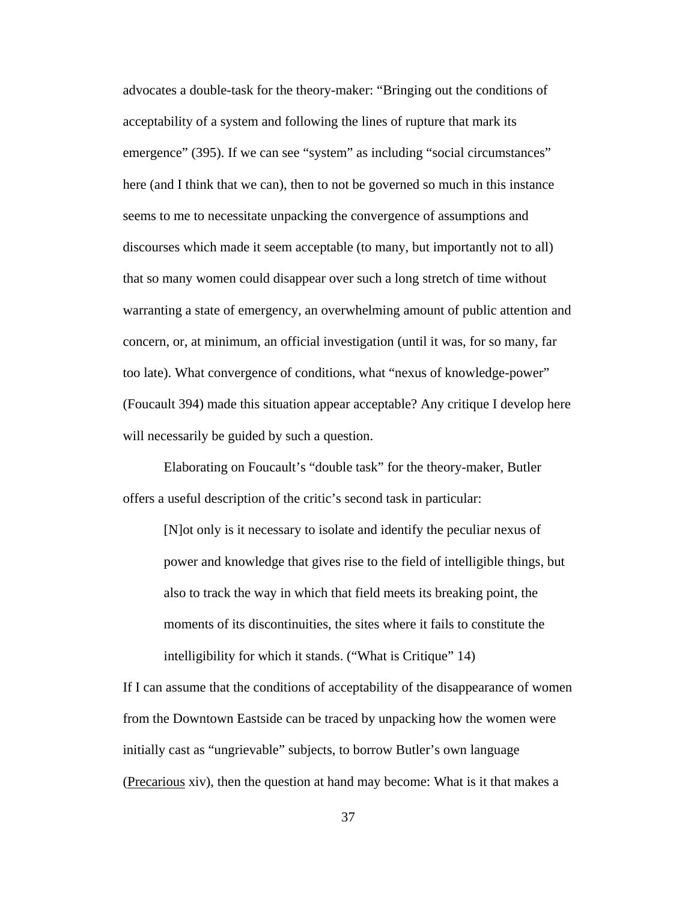advocates a double-task for the theory-maker: "Bringing out the conditions of acceptability of a system and following the lines of rupture that mark its emergence" (395). If we can see "system" as including "social circumstances" here (and I think that we can), then to not be governed so much in this instance seems to me to necessitate unpacking the convergence of assumptions and discourses which made it seem acceptable (to many, but importantly not to all) that so many women could disappear over such a long stretch of time without warranting a state of emergency, an overwhelming amount of public attention and concern, or, at minimum, an official investigation (until it was, for so many, far too late). What convergence of conditions, what "nexus of knowledge-power" (Foucault 394) made this situation appear acceptable? Any critique I develop here will necessarily be guided by such a question.

 Elaborating on Foucault's "double task" for the theory-maker, Butler offers a useful description of the critic's second task in particular:

[N]ot only is it necessary to isolate and identify the peculiar nexus of power and knowledge that gives rise to the field of intelligible things, but also to track the way in which that field meets its breaking point, the moments of its discontinuities, the sites where it fails to constitute the intelligibility for which it stands. ("What is Critique" 14)

If I can assume that the conditions of acceptability of the disappearance of women from the Downtown Eastside can be traced by unpacking how the women were initially cast as "ungrievable" subjects, to borrow Butler's own language (Precarious xiv), then the question at hand may become: What is it that makes a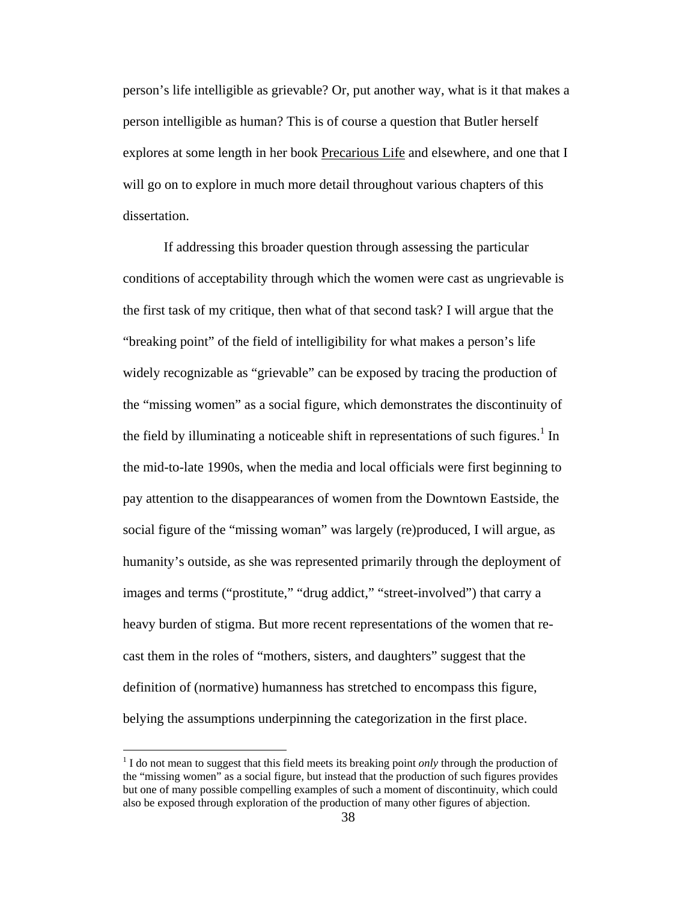person's life intelligible as grievable? Or, put another way, what is it that makes a person intelligible as human? This is of course a question that Butler herself explores at some length in her book Precarious Life and elsewhere, and one that I will go on to explore in much more detail throughout various chapters of this dissertation.

If addressing this broader question through assessing the particular conditions of acceptability through which the women were cast as ungrievable is the first task of my critique, then what of that second task? I will argue that the "breaking point" of the field of intelligibility for what makes a person's life widely recognizable as "grievable" can be exposed by tracing the production of the "missing women" as a social figure, which demonstrates the discontinuity of the field by illuminating a noticeable shift in representations of such figures.<sup>1</sup> In the mid-to-late 1990s, when the media and local officials were first beginning to pay attention to the disappearances of women from the Downtown Eastside, the social figure of the "missing woman" was largely (re)produced, I will argue, as humanity's outside, as she was represented primarily through the deployment of images and terms ("prostitute," "drug addict," "street-involved") that carry a heavy burden of stigma. But more recent representations of the women that recast them in the roles of "mothers, sisters, and daughters" suggest that the definition of (normative) humanness has stretched to encompass this figure, belying the assumptions underpinning the categorization in the first place.

 $\overline{a}$ 

<sup>&</sup>lt;sup>1</sup> I do not mean to suggest that this field meets its breaking point *only* through the production of the "missing women" as a social figure, but instead that the production of such figures provides but one of many possible compelling examples of such a moment of discontinuity, which could also be exposed through exploration of the production of many other figures of abjection.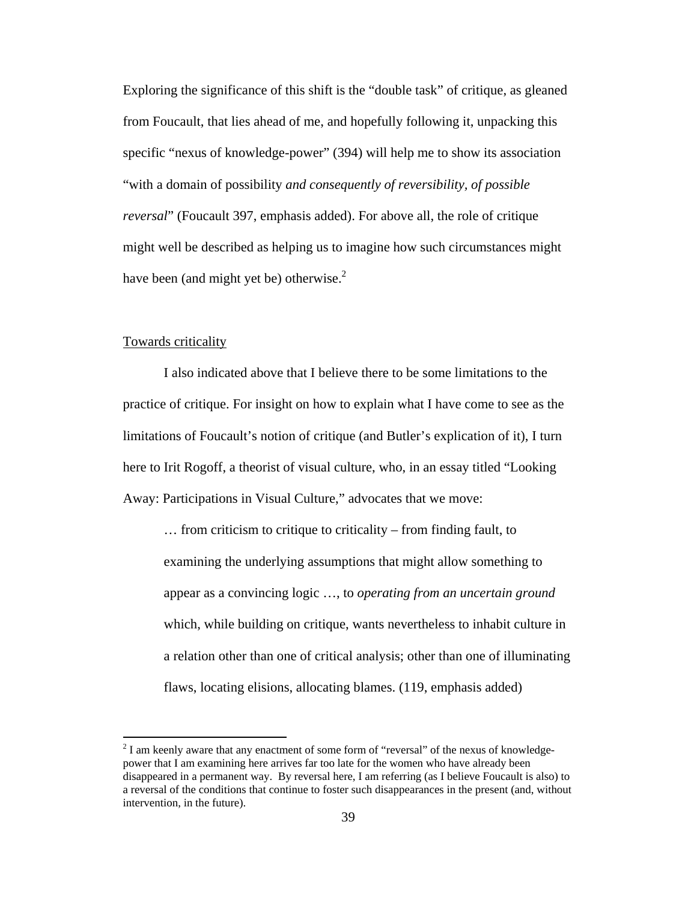Exploring the significance of this shift is the "double task" of critique, as gleaned from Foucault, that lies ahead of me, and hopefully following it, unpacking this specific "nexus of knowledge-power" (394) will help me to show its association "with a domain of possibility *and consequently of reversibility, of possible reversal*" (Foucault 397, emphasis added). For above all, the role of critique might well be described as helping us to imagine how such circumstances might have been (and might yet be) otherwise. $<sup>2</sup>$ </sup>

### Towards criticality

 $\overline{a}$ 

 I also indicated above that I believe there to be some limitations to the practice of critique. For insight on how to explain what I have come to see as the limitations of Foucault's notion of critique (and Butler's explication of it), I turn here to Irit Rogoff, a theorist of visual culture, who, in an essay titled "Looking Away: Participations in Visual Culture," advocates that we move:

… from criticism to critique to criticality – from finding fault, to examining the underlying assumptions that might allow something to appear as a convincing logic …, to *operating from an uncertain ground* which, while building on critique, wants nevertheless to inhabit culture in a relation other than one of critical analysis; other than one of illuminating flaws, locating elisions, allocating blames. (119, emphasis added)

 $2<sup>2</sup>$  I am keenly aware that any enactment of some form of "reversal" of the nexus of knowledgepower that I am examining here arrives far too late for the women who have already been disappeared in a permanent way. By reversal here, I am referring (as I believe Foucault is also) to a reversal of the conditions that continue to foster such disappearances in the present (and, without intervention, in the future).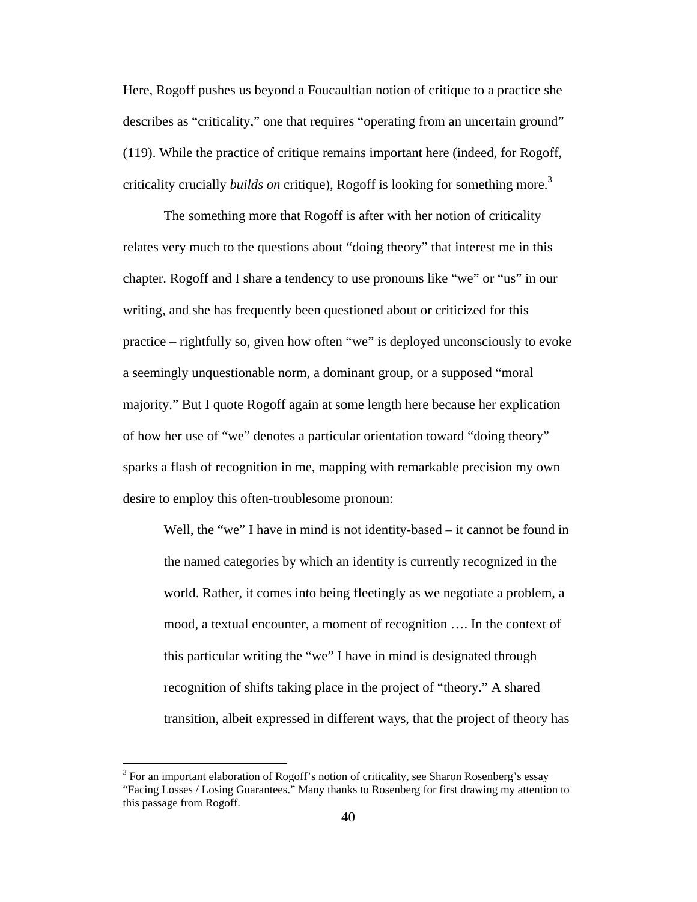Here, Rogoff pushes us beyond a Foucaultian notion of critique to a practice she describes as "criticality," one that requires "operating from an uncertain ground" (119). While the practice of critique remains important here (indeed, for Rogoff, criticality crucially *builds on* critique), Rogoff is looking for something more.3

The something more that Rogoff is after with her notion of criticality relates very much to the questions about "doing theory" that interest me in this chapter. Rogoff and I share a tendency to use pronouns like "we" or "us" in our writing, and she has frequently been questioned about or criticized for this practice – rightfully so, given how often "we" is deployed unconsciously to evoke a seemingly unquestionable norm, a dominant group, or a supposed "moral majority." But I quote Rogoff again at some length here because her explication of how her use of "we" denotes a particular orientation toward "doing theory" sparks a flash of recognition in me, mapping with remarkable precision my own desire to employ this often-troublesome pronoun:

Well, the "we" I have in mind is not identity-based – it cannot be found in the named categories by which an identity is currently recognized in the world. Rather, it comes into being fleetingly as we negotiate a problem, a mood, a textual encounter, a moment of recognition …. In the context of this particular writing the "we" I have in mind is designated through recognition of shifts taking place in the project of "theory." A shared transition, albeit expressed in different ways, that the project of theory has

 $\overline{a}$ 

 $3$  For an important elaboration of Rogoff's notion of criticality, see Sharon Rosenberg's essay "Facing Losses / Losing Guarantees." Many thanks to Rosenberg for first drawing my attention to this passage from Rogoff.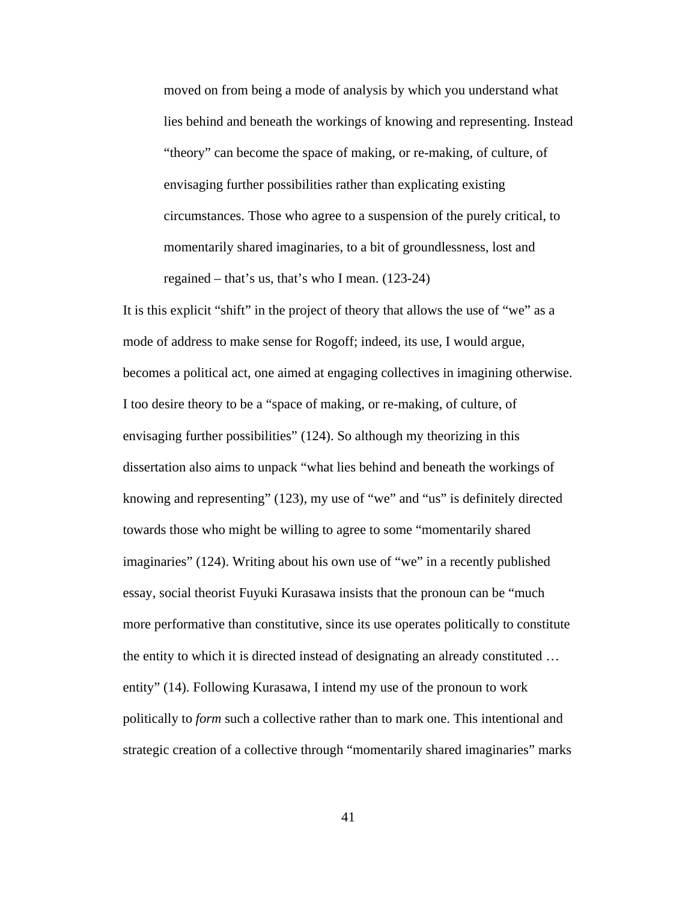moved on from being a mode of analysis by which you understand what lies behind and beneath the workings of knowing and representing. Instead "theory" can become the space of making, or re-making, of culture, of envisaging further possibilities rather than explicating existing circumstances. Those who agree to a suspension of the purely critical, to momentarily shared imaginaries, to a bit of groundlessness, lost and regained – that's us, that's who I mean. (123-24)

It is this explicit "shift" in the project of theory that allows the use of "we" as a mode of address to make sense for Rogoff; indeed, its use, I would argue, becomes a political act, one aimed at engaging collectives in imagining otherwise. I too desire theory to be a "space of making, or re-making, of culture, of envisaging further possibilities" (124). So although my theorizing in this dissertation also aims to unpack "what lies behind and beneath the workings of knowing and representing" (123), my use of "we" and "us" is definitely directed towards those who might be willing to agree to some "momentarily shared imaginaries" (124). Writing about his own use of "we" in a recently published essay, social theorist Fuyuki Kurasawa insists that the pronoun can be "much more performative than constitutive, since its use operates politically to constitute the entity to which it is directed instead of designating an already constituted … entity" (14). Following Kurasawa, I intend my use of the pronoun to work politically to *form* such a collective rather than to mark one. This intentional and strategic creation of a collective through "momentarily shared imaginaries" marks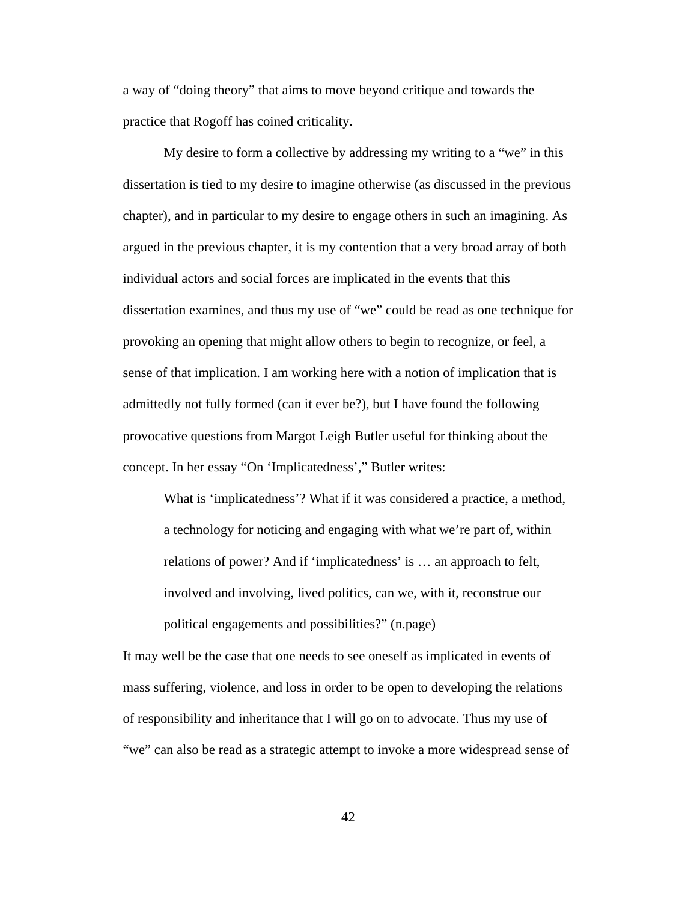a way of "doing theory" that aims to move beyond critique and towards the practice that Rogoff has coined criticality.

My desire to form a collective by addressing my writing to a "we" in this dissertation is tied to my desire to imagine otherwise (as discussed in the previous chapter), and in particular to my desire to engage others in such an imagining. As argued in the previous chapter, it is my contention that a very broad array of both individual actors and social forces are implicated in the events that this dissertation examines, and thus my use of "we" could be read as one technique for provoking an opening that might allow others to begin to recognize, or feel, a sense of that implication. I am working here with a notion of implication that is admittedly not fully formed (can it ever be?), but I have found the following provocative questions from Margot Leigh Butler useful for thinking about the concept. In her essay "On 'Implicatedness'," Butler writes:

What is 'implicatedness'? What if it was considered a practice, a method, a technology for noticing and engaging with what we're part of, within relations of power? And if 'implicatedness' is … an approach to felt, involved and involving, lived politics, can we, with it, reconstrue our political engagements and possibilities?" (n.page)

It may well be the case that one needs to see oneself as implicated in events of mass suffering, violence, and loss in order to be open to developing the relations of responsibility and inheritance that I will go on to advocate. Thus my use of "we" can also be read as a strategic attempt to invoke a more widespread sense of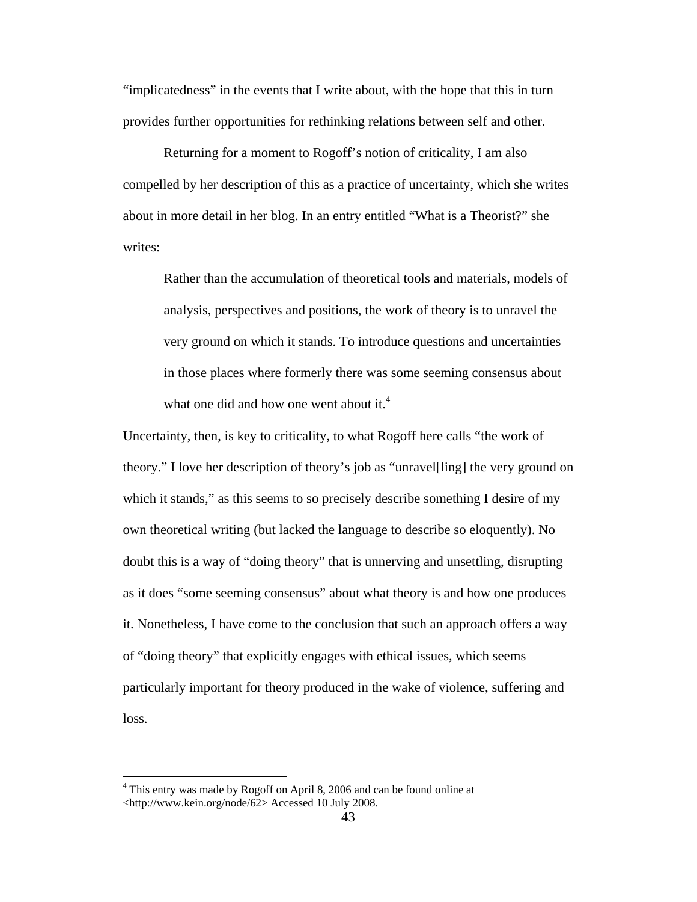"implicatedness" in the events that I write about, with the hope that this in turn provides further opportunities for rethinking relations between self and other.

Returning for a moment to Rogoff's notion of criticality, I am also compelled by her description of this as a practice of uncertainty, which she writes about in more detail in her blog. In an entry entitled "What is a Theorist?" she writes:

Rather than the accumulation of theoretical tools and materials, models of analysis, perspectives and positions, the work of theory is to unravel the very ground on which it stands. To introduce questions and uncertainties in those places where formerly there was some seeming consensus about what one did and how one went about it. $4$ 

Uncertainty, then, is key to criticality, to what Rogoff here calls "the work of theory." I love her description of theory's job as "unravel[ling] the very ground on which it stands," as this seems to so precisely describe something I desire of my own theoretical writing (but lacked the language to describe so eloquently). No doubt this is a way of "doing theory" that is unnerving and unsettling, disrupting as it does "some seeming consensus" about what theory is and how one produces it. Nonetheless, I have come to the conclusion that such an approach offers a way of "doing theory" that explicitly engages with ethical issues, which seems particularly important for theory produced in the wake of violence, suffering and loss.

 $\overline{a}$ 

<sup>&</sup>lt;sup>4</sup> This entry was made by Rogoff on April 8, 2006 and can be found online at <http://www.kein.org/node/62> Accessed 10 July 2008.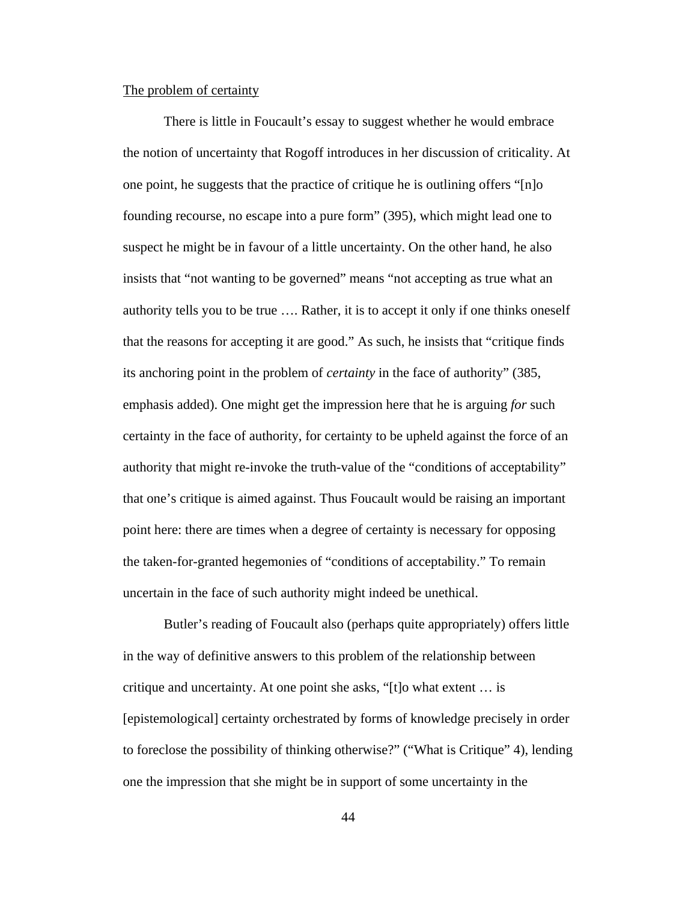### The problem of certainty

 There is little in Foucault's essay to suggest whether he would embrace the notion of uncertainty that Rogoff introduces in her discussion of criticality. At one point, he suggests that the practice of critique he is outlining offers "[n]o founding recourse, no escape into a pure form" (395), which might lead one to suspect he might be in favour of a little uncertainty. On the other hand, he also insists that "not wanting to be governed" means "not accepting as true what an authority tells you to be true …. Rather, it is to accept it only if one thinks oneself that the reasons for accepting it are good." As such, he insists that "critique finds its anchoring point in the problem of *certainty* in the face of authority" (385, emphasis added). One might get the impression here that he is arguing *for* such certainty in the face of authority, for certainty to be upheld against the force of an authority that might re-invoke the truth-value of the "conditions of acceptability" that one's critique is aimed against. Thus Foucault would be raising an important point here: there are times when a degree of certainty is necessary for opposing the taken-for-granted hegemonies of "conditions of acceptability." To remain uncertain in the face of such authority might indeed be unethical.

Butler's reading of Foucault also (perhaps quite appropriately) offers little in the way of definitive answers to this problem of the relationship between critique and uncertainty. At one point she asks, "[t]o what extent … is [epistemological] certainty orchestrated by forms of knowledge precisely in order to foreclose the possibility of thinking otherwise?" ("What is Critique" 4), lending one the impression that she might be in support of some uncertainty in the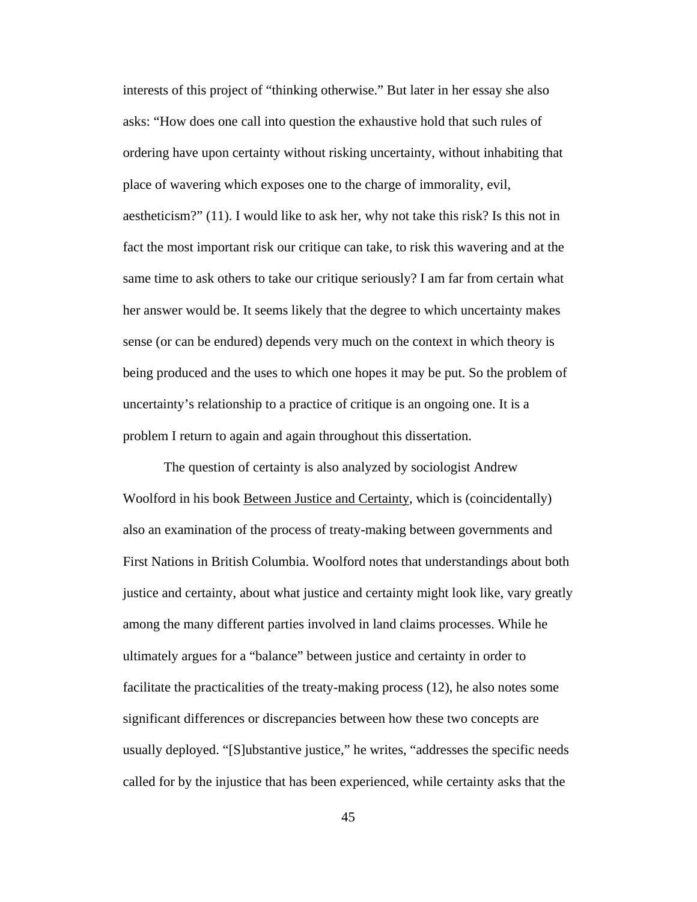interests of this project of "thinking otherwise." But later in her essay she also asks: "How does one call into question the exhaustive hold that such rules of ordering have upon certainty without risking uncertainty, without inhabiting that place of wavering which exposes one to the charge of immorality, evil, aestheticism?" (11). I would like to ask her, why not take this risk? Is this not in fact the most important risk our critique can take, to risk this wavering and at the same time to ask others to take our critique seriously? I am far from certain what her answer would be. It seems likely that the degree to which uncertainty makes sense (or can be endured) depends very much on the context in which theory is being produced and the uses to which one hopes it may be put. So the problem of uncertainty's relationship to a practice of critique is an ongoing one. It is a problem I return to again and again throughout this dissertation.

The question of certainty is also analyzed by sociologist Andrew Woolford in his book Between Justice and Certainty, which is (coincidentally) also an examination of the process of treaty-making between governments and First Nations in British Columbia. Woolford notes that understandings about both justice and certainty, about what justice and certainty might look like, vary greatly among the many different parties involved in land claims processes. While he ultimately argues for a "balance" between justice and certainty in order to facilitate the practicalities of the treaty-making process (12), he also notes some significant differences or discrepancies between how these two concepts are usually deployed. "[S]ubstantive justice," he writes, "addresses the specific needs called for by the injustice that has been experienced, while certainty asks that the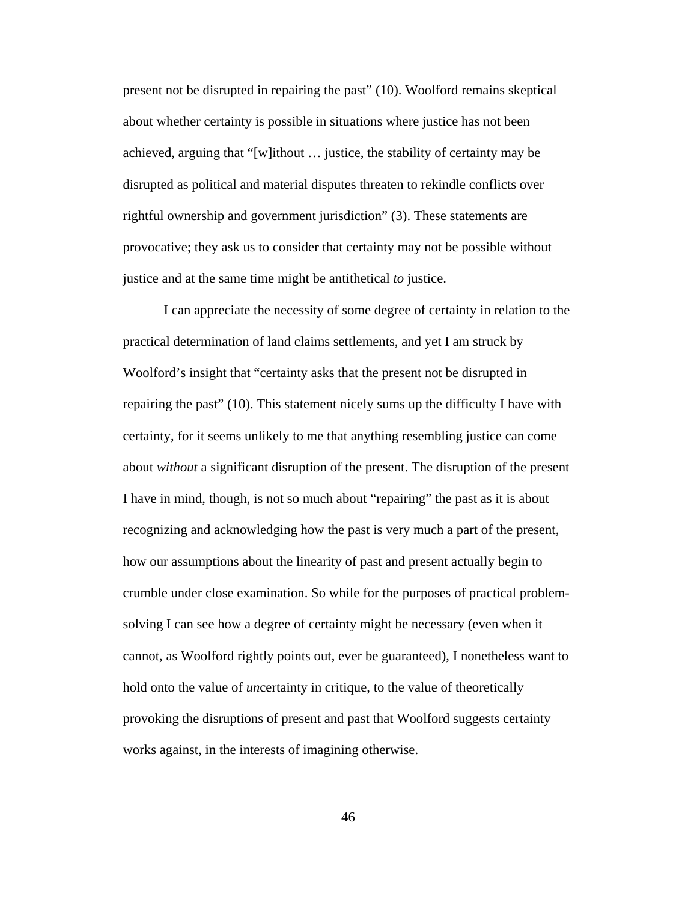present not be disrupted in repairing the past" (10). Woolford remains skeptical about whether certainty is possible in situations where justice has not been achieved, arguing that "[w]ithout … justice, the stability of certainty may be disrupted as political and material disputes threaten to rekindle conflicts over rightful ownership and government jurisdiction" (3). These statements are provocative; they ask us to consider that certainty may not be possible without justice and at the same time might be antithetical *to* justice.

I can appreciate the necessity of some degree of certainty in relation to the practical determination of land claims settlements, and yet I am struck by Woolford's insight that "certainty asks that the present not be disrupted in repairing the past" (10). This statement nicely sums up the difficulty I have with certainty, for it seems unlikely to me that anything resembling justice can come about *without* a significant disruption of the present. The disruption of the present I have in mind, though, is not so much about "repairing" the past as it is about recognizing and acknowledging how the past is very much a part of the present, how our assumptions about the linearity of past and present actually begin to crumble under close examination. So while for the purposes of practical problemsolving I can see how a degree of certainty might be necessary (even when it cannot, as Woolford rightly points out, ever be guaranteed), I nonetheless want to hold onto the value of *un*certainty in critique, to the value of theoretically provoking the disruptions of present and past that Woolford suggests certainty works against, in the interests of imagining otherwise.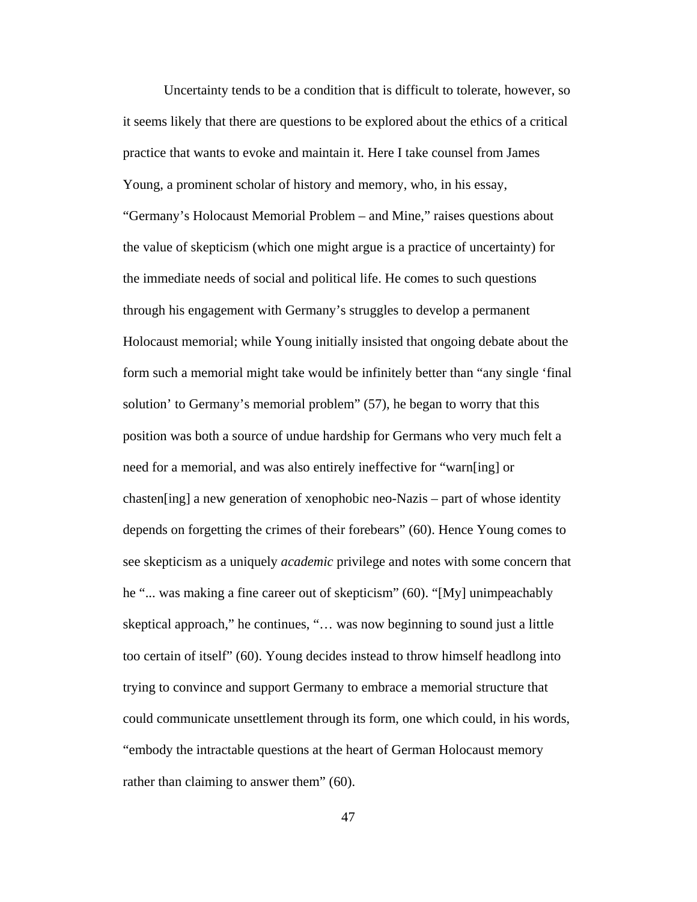Uncertainty tends to be a condition that is difficult to tolerate, however, so it seems likely that there are questions to be explored about the ethics of a critical practice that wants to evoke and maintain it. Here I take counsel from James Young, a prominent scholar of history and memory, who, in his essay, "Germany's Holocaust Memorial Problem – and Mine," raises questions about the value of skepticism (which one might argue is a practice of uncertainty) for the immediate needs of social and political life. He comes to such questions through his engagement with Germany's struggles to develop a permanent Holocaust memorial; while Young initially insisted that ongoing debate about the form such a memorial might take would be infinitely better than "any single 'final solution' to Germany's memorial problem" (57), he began to worry that this position was both a source of undue hardship for Germans who very much felt a need for a memorial, and was also entirely ineffective for "warn[ing] or chasten[ing] a new generation of xenophobic neo-Nazis – part of whose identity depends on forgetting the crimes of their forebears" (60). Hence Young comes to see skepticism as a uniquely *academic* privilege and notes with some concern that he "... was making a fine career out of skepticism" (60). "[My] unimpeachably skeptical approach," he continues, "… was now beginning to sound just a little too certain of itself" (60). Young decides instead to throw himself headlong into trying to convince and support Germany to embrace a memorial structure that could communicate unsettlement through its form, one which could, in his words, "embody the intractable questions at the heart of German Holocaust memory rather than claiming to answer them" (60).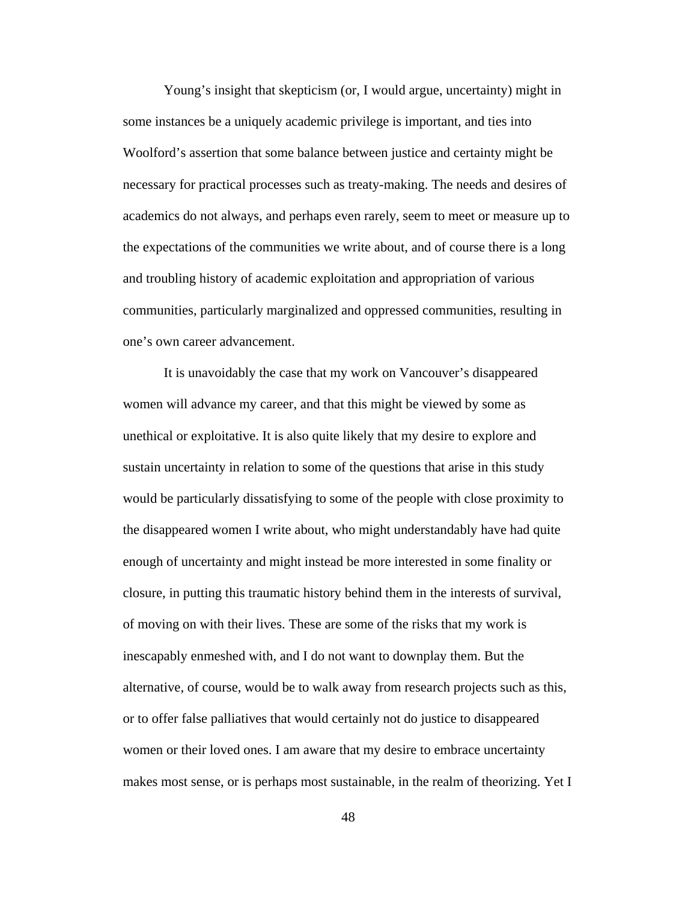Young's insight that skepticism (or, I would argue, uncertainty) might in some instances be a uniquely academic privilege is important, and ties into Woolford's assertion that some balance between justice and certainty might be necessary for practical processes such as treaty-making. The needs and desires of academics do not always, and perhaps even rarely, seem to meet or measure up to the expectations of the communities we write about, and of course there is a long and troubling history of academic exploitation and appropriation of various communities, particularly marginalized and oppressed communities, resulting in one's own career advancement.

It is unavoidably the case that my work on Vancouver's disappeared women will advance my career, and that this might be viewed by some as unethical or exploitative. It is also quite likely that my desire to explore and sustain uncertainty in relation to some of the questions that arise in this study would be particularly dissatisfying to some of the people with close proximity to the disappeared women I write about, who might understandably have had quite enough of uncertainty and might instead be more interested in some finality or closure, in putting this traumatic history behind them in the interests of survival, of moving on with their lives. These are some of the risks that my work is inescapably enmeshed with, and I do not want to downplay them. But the alternative, of course, would be to walk away from research projects such as this, or to offer false palliatives that would certainly not do justice to disappeared women or their loved ones. I am aware that my desire to embrace uncertainty makes most sense, or is perhaps most sustainable, in the realm of theorizing. Yet I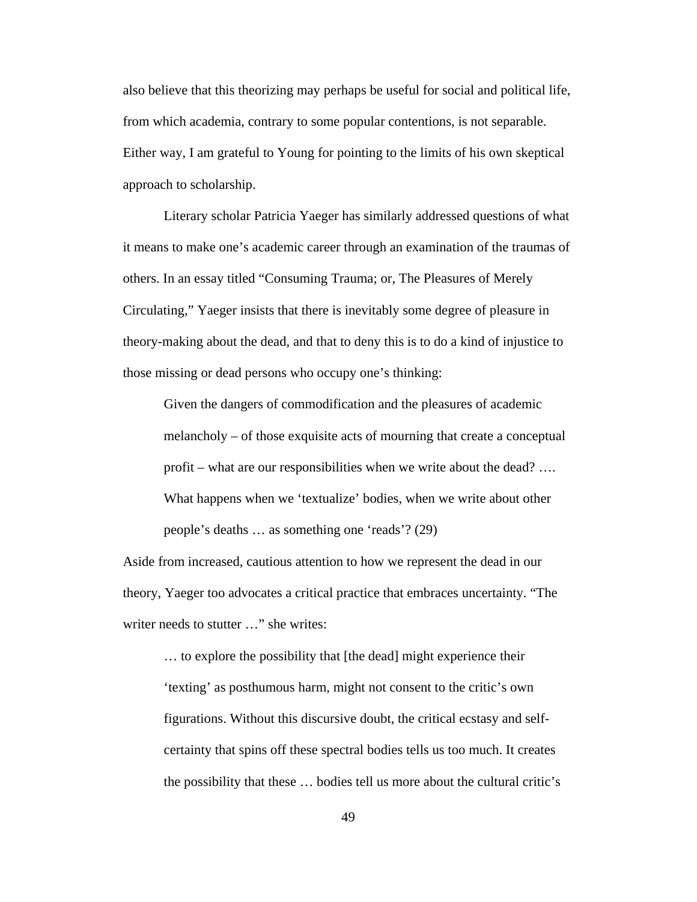also believe that this theorizing may perhaps be useful for social and political life, from which academia, contrary to some popular contentions, is not separable. Either way, I am grateful to Young for pointing to the limits of his own skeptical approach to scholarship.

 Literary scholar Patricia Yaeger has similarly addressed questions of what it means to make one's academic career through an examination of the traumas of others. In an essay titled "Consuming Trauma; or, The Pleasures of Merely Circulating," Yaeger insists that there is inevitably some degree of pleasure in theory-making about the dead, and that to deny this is to do a kind of injustice to those missing or dead persons who occupy one's thinking:

Given the dangers of commodification and the pleasures of academic melancholy – of those exquisite acts of mourning that create a conceptual profit – what are our responsibilities when we write about the dead? …. What happens when we 'textualize' bodies, when we write about other people's deaths … as something one 'reads'? (29)

Aside from increased, cautious attention to how we represent the dead in our theory, Yaeger too advocates a critical practice that embraces uncertainty. "The writer needs to stutter ..." she writes:

… to explore the possibility that [the dead] might experience their 'texting' as posthumous harm, might not consent to the critic's own figurations. Without this discursive doubt, the critical ecstasy and selfcertainty that spins off these spectral bodies tells us too much. It creates the possibility that these … bodies tell us more about the cultural critic's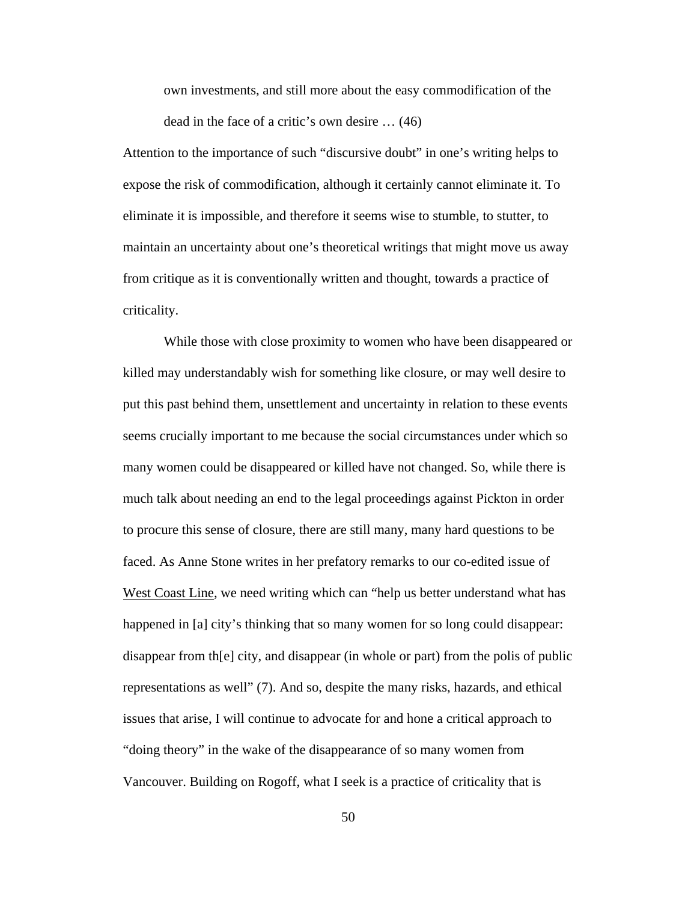own investments, and still more about the easy commodification of the dead in the face of a critic's own desire … (46)

Attention to the importance of such "discursive doubt" in one's writing helps to expose the risk of commodification, although it certainly cannot eliminate it. To eliminate it is impossible, and therefore it seems wise to stumble, to stutter, to maintain an uncertainty about one's theoretical writings that might move us away from critique as it is conventionally written and thought, towards a practice of criticality.

While those with close proximity to women who have been disappeared or killed may understandably wish for something like closure, or may well desire to put this past behind them, unsettlement and uncertainty in relation to these events seems crucially important to me because the social circumstances under which so many women could be disappeared or killed have not changed. So, while there is much talk about needing an end to the legal proceedings against Pickton in order to procure this sense of closure, there are still many, many hard questions to be faced. As Anne Stone writes in her prefatory remarks to our co-edited issue of West Coast Line, we need writing which can "help us better understand what has happened in [a] city's thinking that so many women for so long could disappear: disappear from th[e] city, and disappear (in whole or part) from the polis of public representations as well" (7). And so, despite the many risks, hazards, and ethical issues that arise, I will continue to advocate for and hone a critical approach to "doing theory" in the wake of the disappearance of so many women from Vancouver. Building on Rogoff, what I seek is a practice of criticality that is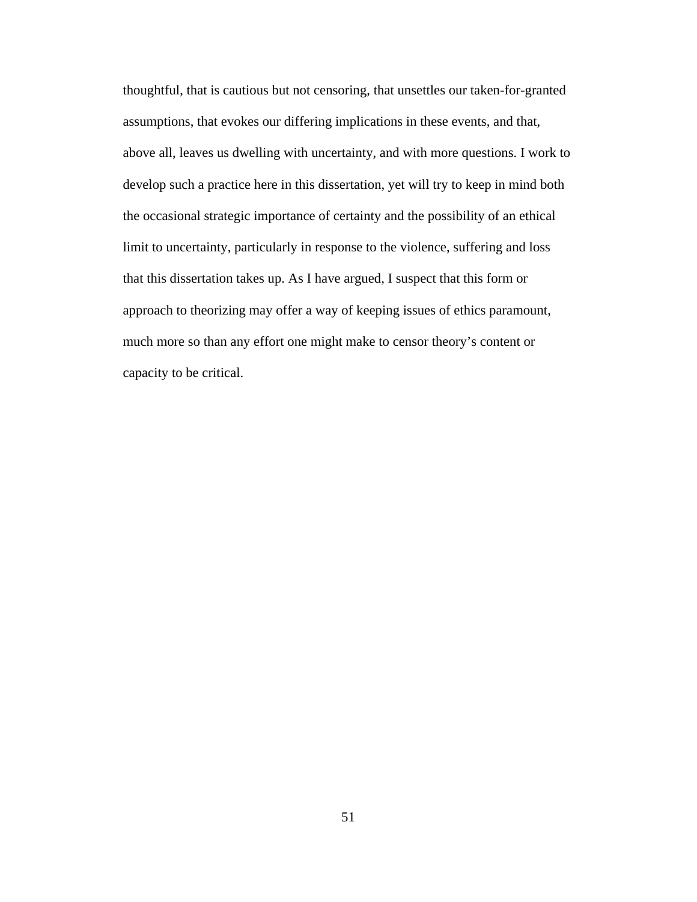thoughtful, that is cautious but not censoring, that unsettles our taken-for-granted assumptions, that evokes our differing implications in these events, and that, above all, leaves us dwelling with uncertainty, and with more questions. I work to develop such a practice here in this dissertation, yet will try to keep in mind both the occasional strategic importance of certainty and the possibility of an ethical limit to uncertainty, particularly in response to the violence, suffering and loss that this dissertation takes up. As I have argued, I suspect that this form or approach to theorizing may offer a way of keeping issues of ethics paramount, much more so than any effort one might make to censor theory's content or capacity to be critical.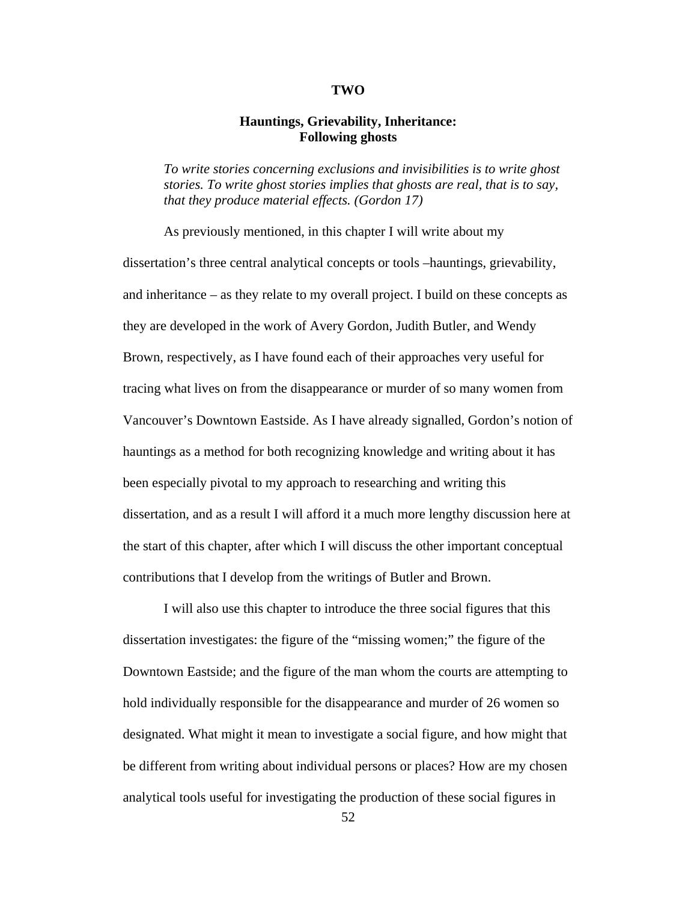### **TWO**

# **Hauntings, Grievability, Inheritance: Following ghosts**

*To write stories concerning exclusions and invisibilities is to write ghost stories. To write ghost stories implies that ghosts are real, that is to say, that they produce material effects. (Gordon 17)* 

 As previously mentioned, in this chapter I will write about my dissertation's three central analytical concepts or tools –hauntings, grievability, and inheritance – as they relate to my overall project. I build on these concepts as they are developed in the work of Avery Gordon, Judith Butler, and Wendy Brown, respectively, as I have found each of their approaches very useful for tracing what lives on from the disappearance or murder of so many women from Vancouver's Downtown Eastside. As I have already signalled, Gordon's notion of hauntings as a method for both recognizing knowledge and writing about it has been especially pivotal to my approach to researching and writing this dissertation, and as a result I will afford it a much more lengthy discussion here at the start of this chapter, after which I will discuss the other important conceptual contributions that I develop from the writings of Butler and Brown.

I will also use this chapter to introduce the three social figures that this dissertation investigates: the figure of the "missing women;" the figure of the Downtown Eastside; and the figure of the man whom the courts are attempting to hold individually responsible for the disappearance and murder of 26 women so designated. What might it mean to investigate a social figure, and how might that be different from writing about individual persons or places? How are my chosen analytical tools useful for investigating the production of these social figures in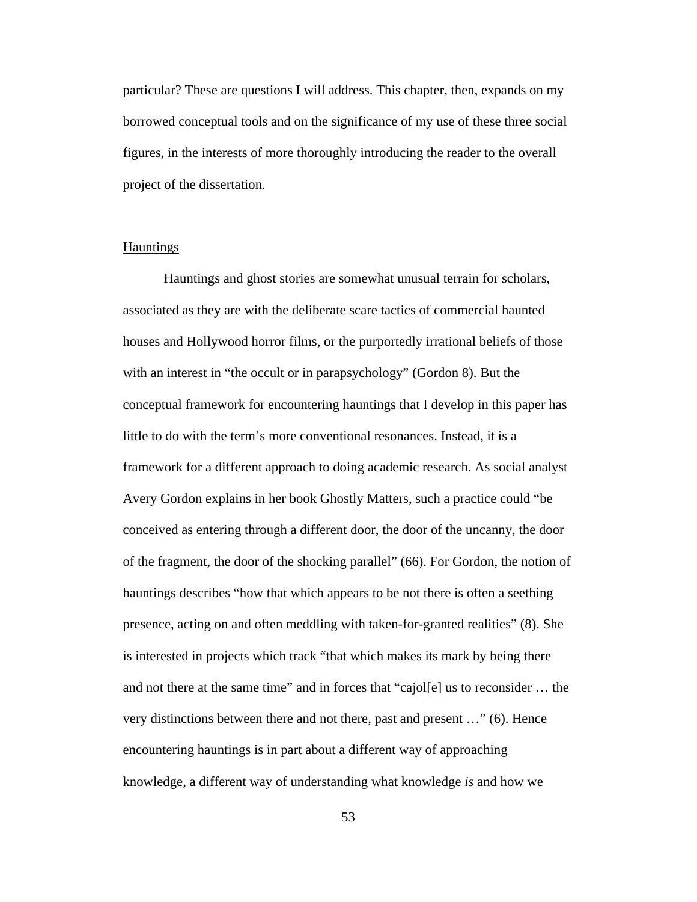particular? These are questions I will address. This chapter, then, expands on my borrowed conceptual tools and on the significance of my use of these three social figures, in the interests of more thoroughly introducing the reader to the overall project of the dissertation.

# **Hauntings**

Hauntings and ghost stories are somewhat unusual terrain for scholars, associated as they are with the deliberate scare tactics of commercial haunted houses and Hollywood horror films, or the purportedly irrational beliefs of those with an interest in "the occult or in parapsychology" (Gordon 8). But the conceptual framework for encountering hauntings that I develop in this paper has little to do with the term's more conventional resonances. Instead, it is a framework for a different approach to doing academic research. As social analyst Avery Gordon explains in her book Ghostly Matters, such a practice could "be conceived as entering through a different door, the door of the uncanny, the door of the fragment, the door of the shocking parallel" (66). For Gordon, the notion of hauntings describes "how that which appears to be not there is often a seething presence, acting on and often meddling with taken-for-granted realities" (8). She is interested in projects which track "that which makes its mark by being there and not there at the same time" and in forces that "cajol[e] us to reconsider … the very distinctions between there and not there, past and present …" (6). Hence encountering hauntings is in part about a different way of approaching knowledge, a different way of understanding what knowledge *is* and how we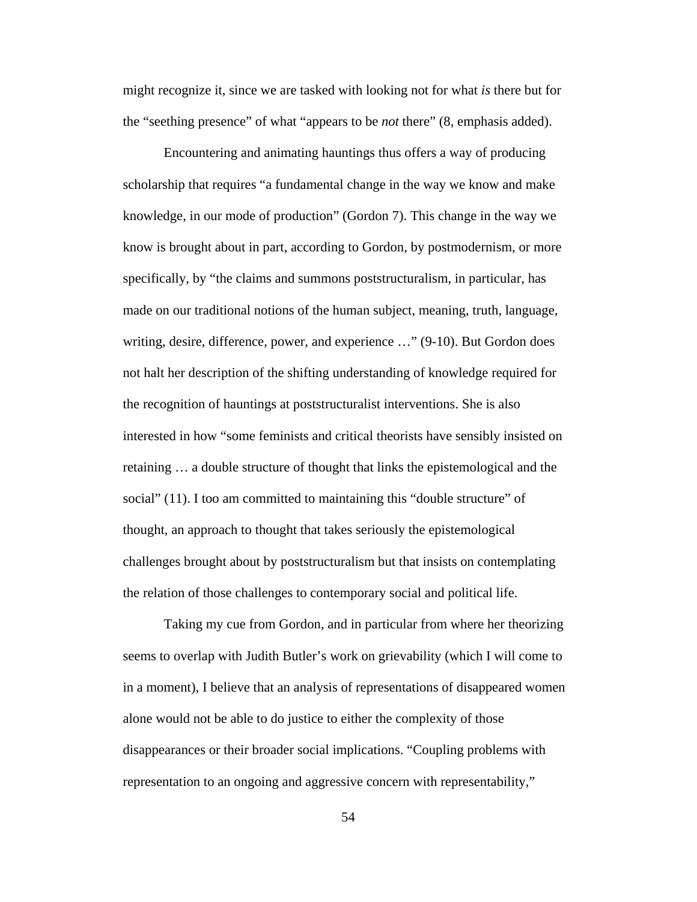might recognize it, since we are tasked with looking not for what *is* there but for the "seething presence" of what "appears to be *not* there" (8, emphasis added).

Encountering and animating hauntings thus offers a way of producing scholarship that requires "a fundamental change in the way we know and make knowledge, in our mode of production" (Gordon 7). This change in the way we know is brought about in part, according to Gordon, by postmodernism, or more specifically, by "the claims and summons poststructuralism, in particular, has made on our traditional notions of the human subject, meaning, truth, language, writing, desire, difference, power, and experience …" (9-10). But Gordon does not halt her description of the shifting understanding of knowledge required for the recognition of hauntings at poststructuralist interventions. She is also interested in how "some feminists and critical theorists have sensibly insisted on retaining … a double structure of thought that links the epistemological and the social" (11). I too am committed to maintaining this "double structure" of thought, an approach to thought that takes seriously the epistemological challenges brought about by poststructuralism but that insists on contemplating the relation of those challenges to contemporary social and political life.

Taking my cue from Gordon, and in particular from where her theorizing seems to overlap with Judith Butler's work on grievability (which I will come to in a moment), I believe that an analysis of representations of disappeared women alone would not be able to do justice to either the complexity of those disappearances or their broader social implications. "Coupling problems with representation to an ongoing and aggressive concern with representability,"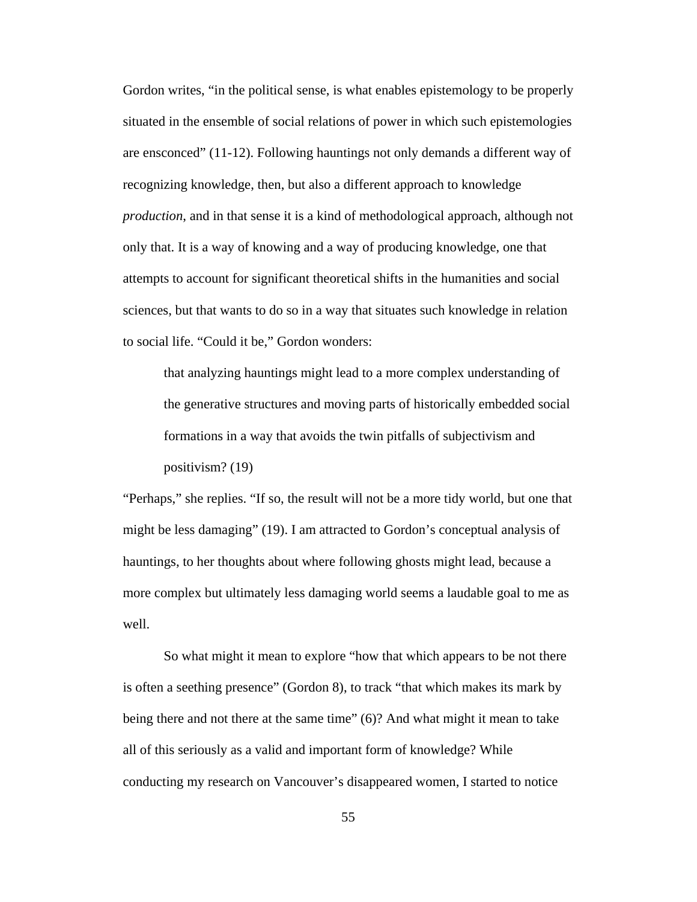Gordon writes, "in the political sense, is what enables epistemology to be properly situated in the ensemble of social relations of power in which such epistemologies are ensconced" (11-12). Following hauntings not only demands a different way of recognizing knowledge, then, but also a different approach to knowledge *production*, and in that sense it is a kind of methodological approach, although not only that. It is a way of knowing and a way of producing knowledge, one that attempts to account for significant theoretical shifts in the humanities and social sciences, but that wants to do so in a way that situates such knowledge in relation to social life. "Could it be," Gordon wonders:

that analyzing hauntings might lead to a more complex understanding of the generative structures and moving parts of historically embedded social formations in a way that avoids the twin pitfalls of subjectivism and positivism? (19)

"Perhaps," she replies. "If so, the result will not be a more tidy world, but one that might be less damaging" (19). I am attracted to Gordon's conceptual analysis of hauntings, to her thoughts about where following ghosts might lead, because a more complex but ultimately less damaging world seems a laudable goal to me as well.

So what might it mean to explore "how that which appears to be not there is often a seething presence" (Gordon 8), to track "that which makes its mark by being there and not there at the same time" (6)? And what might it mean to take all of this seriously as a valid and important form of knowledge? While conducting my research on Vancouver's disappeared women, I started to notice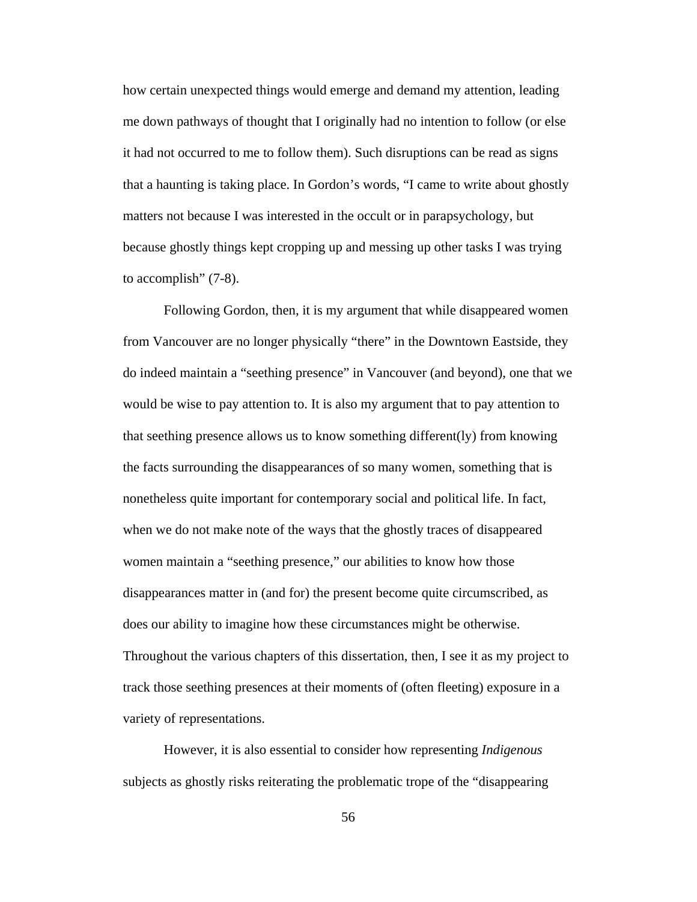how certain unexpected things would emerge and demand my attention, leading me down pathways of thought that I originally had no intention to follow (or else it had not occurred to me to follow them). Such disruptions can be read as signs that a haunting is taking place. In Gordon's words, "I came to write about ghostly matters not because I was interested in the occult or in parapsychology, but because ghostly things kept cropping up and messing up other tasks I was trying to accomplish" (7-8).

Following Gordon, then, it is my argument that while disappeared women from Vancouver are no longer physically "there" in the Downtown Eastside, they do indeed maintain a "seething presence" in Vancouver (and beyond), one that we would be wise to pay attention to. It is also my argument that to pay attention to that seething presence allows us to know something different(ly) from knowing the facts surrounding the disappearances of so many women, something that is nonetheless quite important for contemporary social and political life. In fact, when we do not make note of the ways that the ghostly traces of disappeared women maintain a "seething presence," our abilities to know how those disappearances matter in (and for) the present become quite circumscribed, as does our ability to imagine how these circumstances might be otherwise. Throughout the various chapters of this dissertation, then, I see it as my project to track those seething presences at their moments of (often fleeting) exposure in a variety of representations.

However, it is also essential to consider how representing *Indigenous* subjects as ghostly risks reiterating the problematic trope of the "disappearing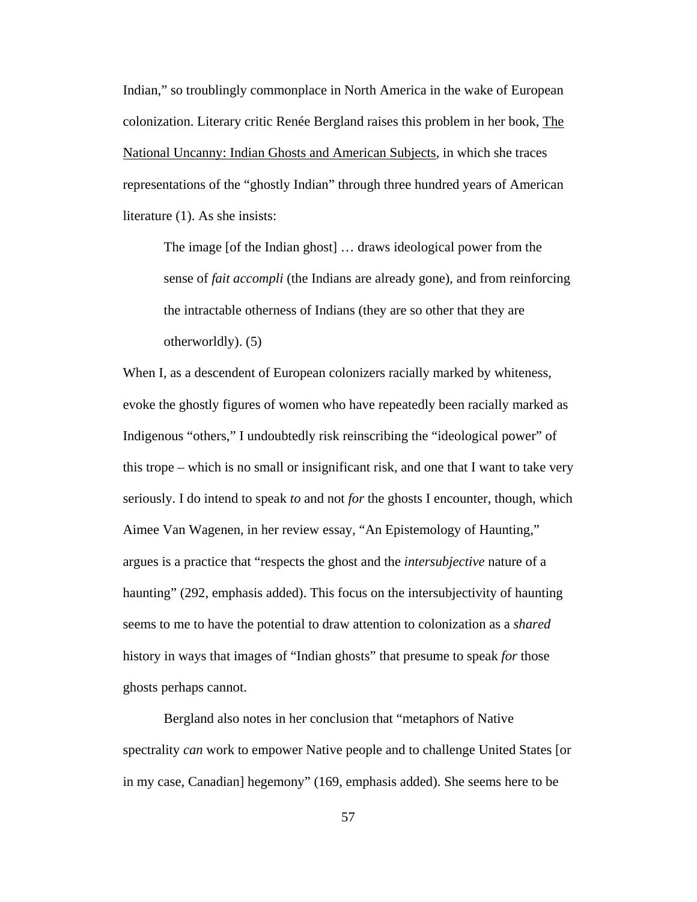Indian," so troublingly commonplace in North America in the wake of European colonization. Literary critic Renée Bergland raises this problem in her book, The National Uncanny: Indian Ghosts and American Subjects, in which she traces representations of the "ghostly Indian" through three hundred years of American literature (1). As she insists:

The image [of the Indian ghost] … draws ideological power from the sense of *fait accompli* (the Indians are already gone), and from reinforcing the intractable otherness of Indians (they are so other that they are otherworldly). (5)

When I, as a descendent of European colonizers racially marked by whiteness, evoke the ghostly figures of women who have repeatedly been racially marked as Indigenous "others," I undoubtedly risk reinscribing the "ideological power" of this trope – which is no small or insignificant risk, and one that I want to take very seriously. I do intend to speak *to* and not *for* the ghosts I encounter, though, which Aimee Van Wagenen, in her review essay, "An Epistemology of Haunting," argues is a practice that "respects the ghost and the *intersubjective* nature of a haunting" (292, emphasis added). This focus on the intersubjectivity of haunting seems to me to have the potential to draw attention to colonization as a *shared* history in ways that images of "Indian ghosts" that presume to speak *for* those ghosts perhaps cannot.

Bergland also notes in her conclusion that "metaphors of Native spectrality *can* work to empower Native people and to challenge United States [or in my case, Canadian] hegemony" (169, emphasis added). She seems here to be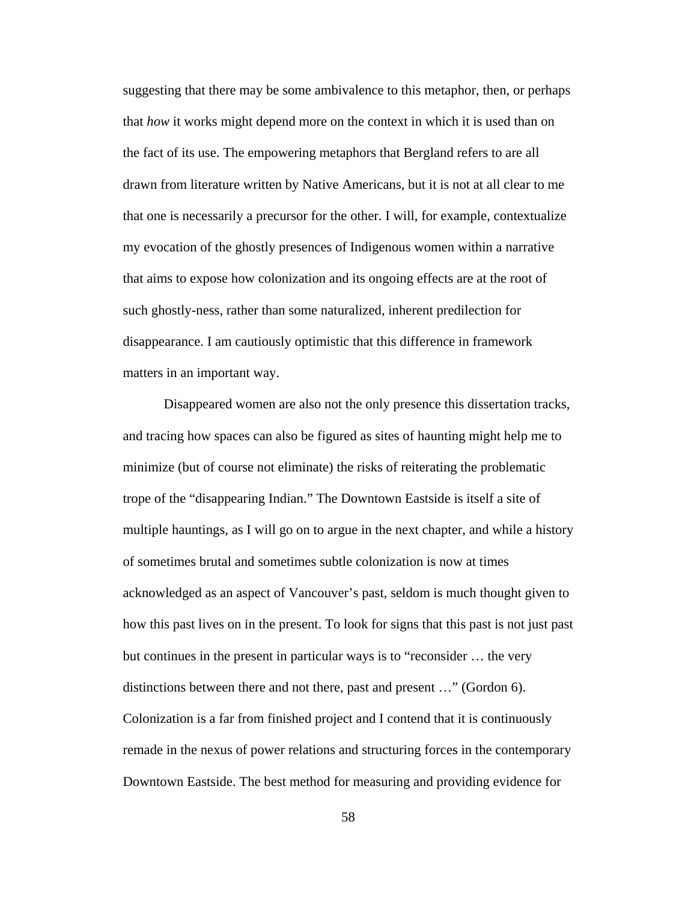suggesting that there may be some ambivalence to this metaphor, then, or perhaps that *how* it works might depend more on the context in which it is used than on the fact of its use. The empowering metaphors that Bergland refers to are all drawn from literature written by Native Americans, but it is not at all clear to me that one is necessarily a precursor for the other. I will, for example, contextualize my evocation of the ghostly presences of Indigenous women within a narrative that aims to expose how colonization and its ongoing effects are at the root of such ghostly-ness, rather than some naturalized, inherent predilection for disappearance. I am cautiously optimistic that this difference in framework matters in an important way.

Disappeared women are also not the only presence this dissertation tracks, and tracing how spaces can also be figured as sites of haunting might help me to minimize (but of course not eliminate) the risks of reiterating the problematic trope of the "disappearing Indian." The Downtown Eastside is itself a site of multiple hauntings, as I will go on to argue in the next chapter, and while a history of sometimes brutal and sometimes subtle colonization is now at times acknowledged as an aspect of Vancouver's past, seldom is much thought given to how this past lives on in the present. To look for signs that this past is not just past but continues in the present in particular ways is to "reconsider … the very distinctions between there and not there, past and present …" (Gordon 6). Colonization is a far from finished project and I contend that it is continuously remade in the nexus of power relations and structuring forces in the contemporary Downtown Eastside. The best method for measuring and providing evidence for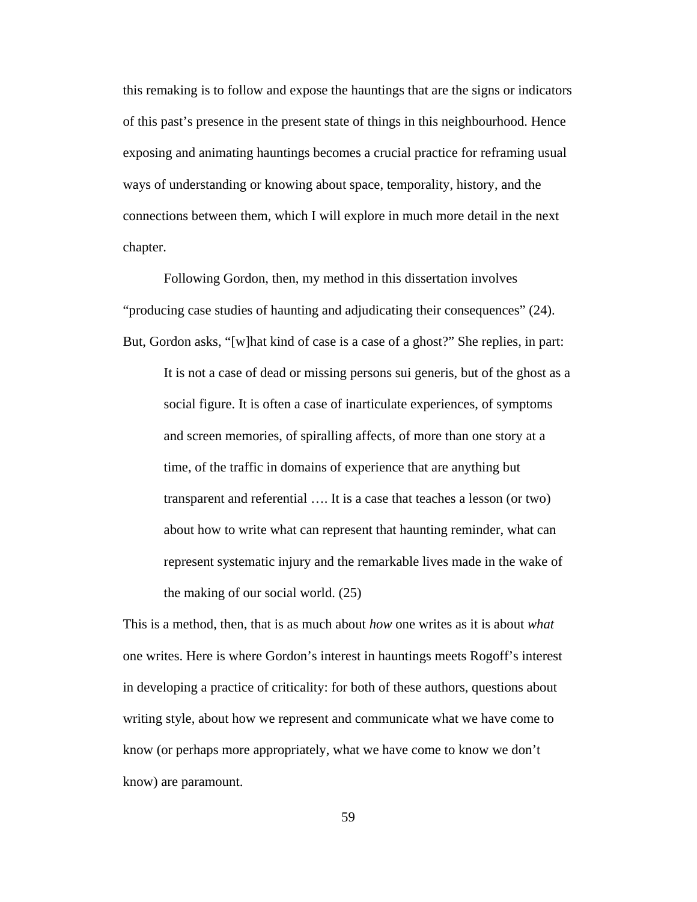this remaking is to follow and expose the hauntings that are the signs or indicators of this past's presence in the present state of things in this neighbourhood. Hence exposing and animating hauntings becomes a crucial practice for reframing usual ways of understanding or knowing about space, temporality, history, and the connections between them, which I will explore in much more detail in the next chapter.

Following Gordon, then, my method in this dissertation involves "producing case studies of haunting and adjudicating their consequences" (24). But, Gordon asks, "[w]hat kind of case is a case of a ghost?" She replies, in part:

It is not a case of dead or missing persons sui generis, but of the ghost as a social figure. It is often a case of inarticulate experiences, of symptoms and screen memories, of spiralling affects, of more than one story at a time, of the traffic in domains of experience that are anything but transparent and referential …. It is a case that teaches a lesson (or two) about how to write what can represent that haunting reminder, what can represent systematic injury and the remarkable lives made in the wake of the making of our social world. (25)

This is a method, then, that is as much about *how* one writes as it is about *what*  one writes. Here is where Gordon's interest in hauntings meets Rogoff's interest in developing a practice of criticality: for both of these authors, questions about writing style, about how we represent and communicate what we have come to know (or perhaps more appropriately, what we have come to know we don't know) are paramount.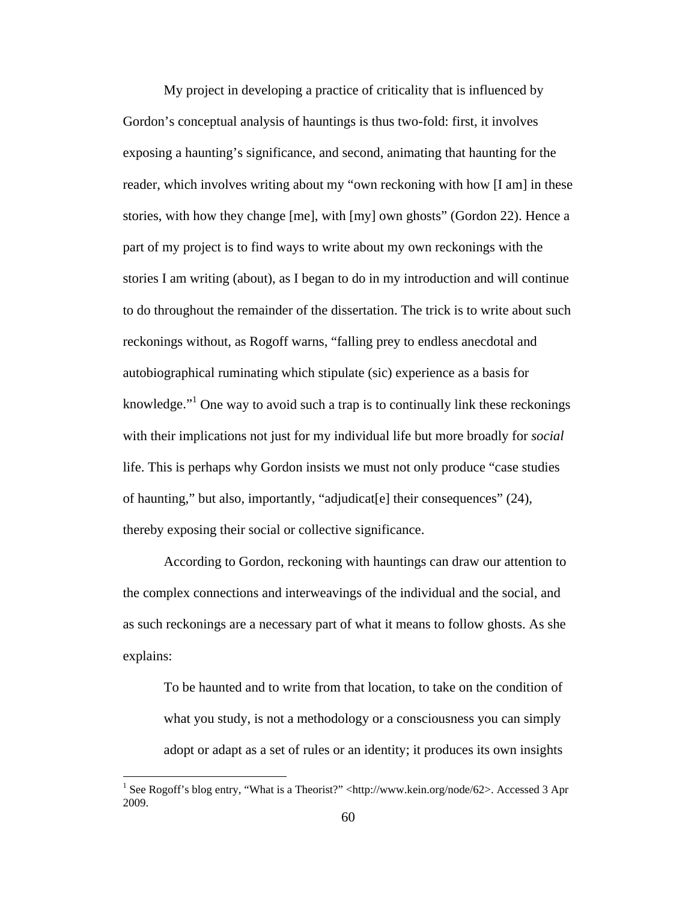My project in developing a practice of criticality that is influenced by Gordon's conceptual analysis of hauntings is thus two-fold: first, it involves exposing a haunting's significance, and second, animating that haunting for the reader, which involves writing about my "own reckoning with how [I am] in these stories, with how they change [me], with [my] own ghosts" (Gordon 22). Hence a part of my project is to find ways to write about my own reckonings with the stories I am writing (about), as I began to do in my introduction and will continue to do throughout the remainder of the dissertation. The trick is to write about such reckonings without, as Rogoff warns, "falling prey to endless anecdotal and autobiographical ruminating which stipulate (sic) experience as a basis for knowledge."<sup>1</sup> One way to avoid such a trap is to continually link these reckonings with their implications not just for my individual life but more broadly for *social* life. This is perhaps why Gordon insists we must not only produce "case studies of haunting," but also, importantly, "adjudicat[e] their consequences" (24), thereby exposing their social or collective significance.

According to Gordon, reckoning with hauntings can draw our attention to the complex connections and interweavings of the individual and the social, and as such reckonings are a necessary part of what it means to follow ghosts. As she explains:

To be haunted and to write from that location, to take on the condition of what you study, is not a methodology or a consciousness you can simply adopt or adapt as a set of rules or an identity; it produces its own insights

 1 See Rogoff's blog entry, "What is a Theorist?" <http://www.kein.org/node/62>. Accessed 3 Apr 2009.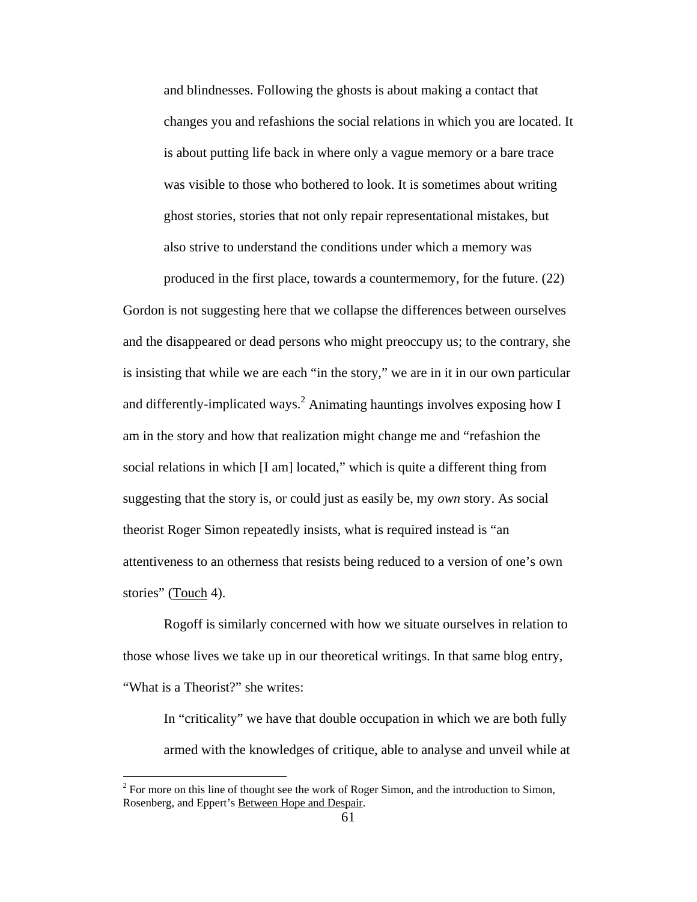and blindnesses. Following the ghosts is about making a contact that changes you and refashions the social relations in which you are located. It is about putting life back in where only a vague memory or a bare trace was visible to those who bothered to look. It is sometimes about writing ghost stories, stories that not only repair representational mistakes, but also strive to understand the conditions under which a memory was

produced in the first place, towards a countermemory, for the future. (22) Gordon is not suggesting here that we collapse the differences between ourselves and the disappeared or dead persons who might preoccupy us; to the contrary, she is insisting that while we are each "in the story," we are in it in our own particular and differently-implicated ways.<sup>2</sup> Animating hauntings involves exposing how I am in the story and how that realization might change me and "refashion the social relations in which [I am] located," which is quite a different thing from suggesting that the story is, or could just as easily be, my *own* story. As social theorist Roger Simon repeatedly insists, what is required instead is "an attentiveness to an otherness that resists being reduced to a version of one's own stories" (Touch 4).

 Rogoff is similarly concerned with how we situate ourselves in relation to those whose lives we take up in our theoretical writings. In that same blog entry, "What is a Theorist?" she writes:

In "criticality" we have that double occupation in which we are both fully armed with the knowledges of critique, able to analyse and unveil while at

 $\overline{a}$ 

 $2^2$  For more on this line of thought see the work of Roger Simon, and the introduction to Simon, Rosenberg, and Eppert's Between Hope and Despair.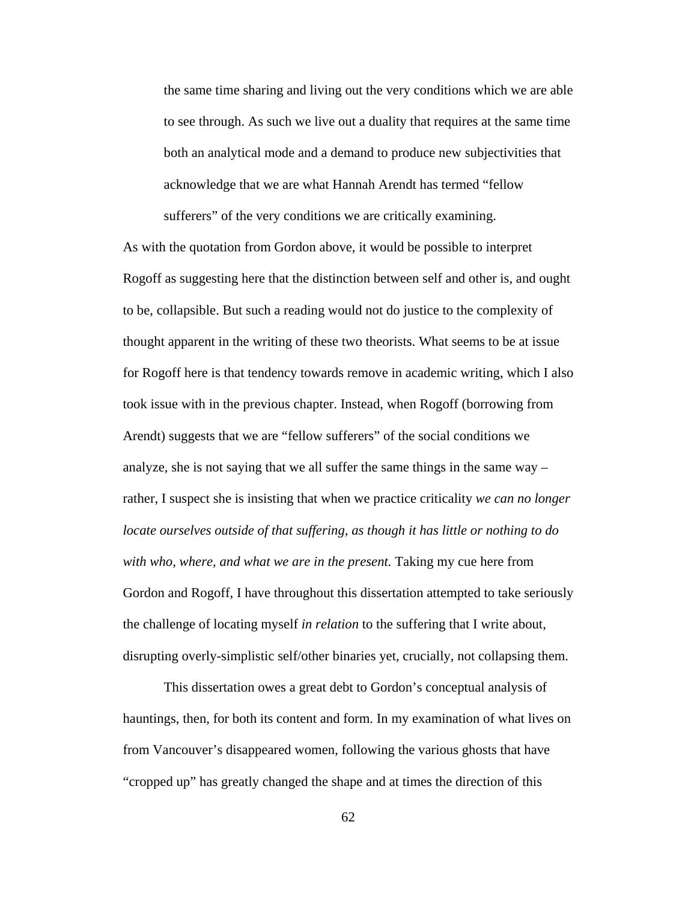the same time sharing and living out the very conditions which we are able to see through. As such we live out a duality that requires at the same time both an analytical mode and a demand to produce new subjectivities that acknowledge that we are what Hannah Arendt has termed "fellow sufferers" of the very conditions we are critically examining.

As with the quotation from Gordon above, it would be possible to interpret Rogoff as suggesting here that the distinction between self and other is, and ought to be, collapsible. But such a reading would not do justice to the complexity of thought apparent in the writing of these two theorists. What seems to be at issue for Rogoff here is that tendency towards remove in academic writing, which I also took issue with in the previous chapter. Instead, when Rogoff (borrowing from Arendt) suggests that we are "fellow sufferers" of the social conditions we analyze, she is not saying that we all suffer the same things in the same way – rather, I suspect she is insisting that when we practice criticality *we can no longer locate ourselves outside of that suffering, as though it has little or nothing to do with who, where, and what we are in the present.* Taking my cue here from Gordon and Rogoff, I have throughout this dissertation attempted to take seriously the challenge of locating myself *in relation* to the suffering that I write about, disrupting overly-simplistic self/other binaries yet, crucially, not collapsing them.

 This dissertation owes a great debt to Gordon's conceptual analysis of hauntings, then, for both its content and form. In my examination of what lives on from Vancouver's disappeared women, following the various ghosts that have "cropped up" has greatly changed the shape and at times the direction of this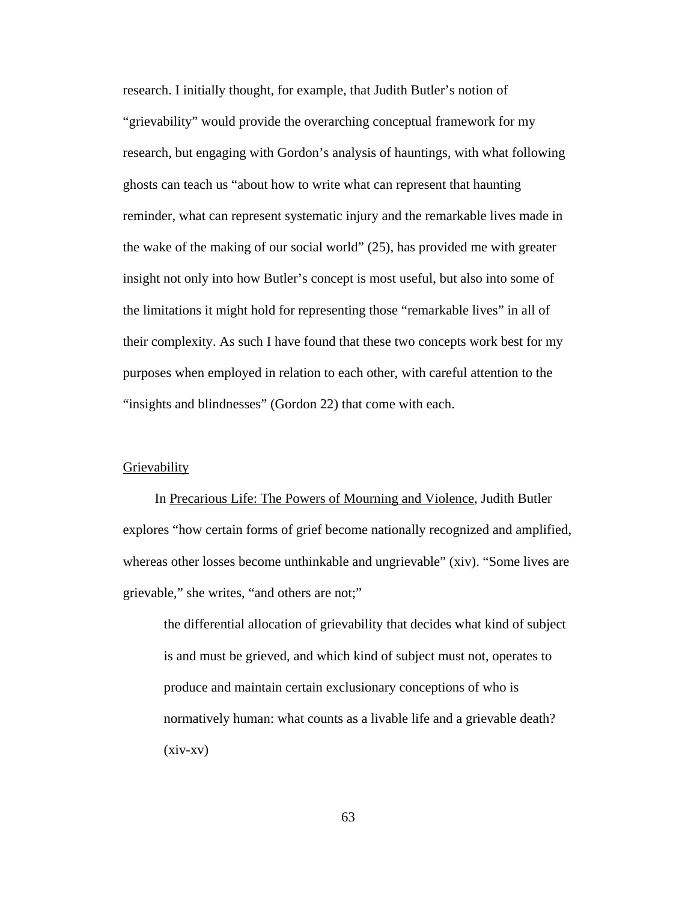research. I initially thought, for example, that Judith Butler's notion of "grievability" would provide the overarching conceptual framework for my research, but engaging with Gordon's analysis of hauntings, with what following ghosts can teach us "about how to write what can represent that haunting reminder, what can represent systematic injury and the remarkable lives made in the wake of the making of our social world" (25), has provided me with greater insight not only into how Butler's concept is most useful, but also into some of the limitations it might hold for representing those "remarkable lives" in all of their complexity. As such I have found that these two concepts work best for my purposes when employed in relation to each other, with careful attention to the "insights and blindnesses" (Gordon 22) that come with each.

## Grievability

In Precarious Life: The Powers of Mourning and Violence, Judith Butler explores "how certain forms of grief become nationally recognized and amplified, whereas other losses become unthinkable and ungrievable" (xiv). "Some lives are grievable," she writes, "and others are not;"

the differential allocation of grievability that decides what kind of subject is and must be grieved, and which kind of subject must not, operates to produce and maintain certain exclusionary conceptions of who is normatively human: what counts as a livable life and a grievable death? (xiv-xv)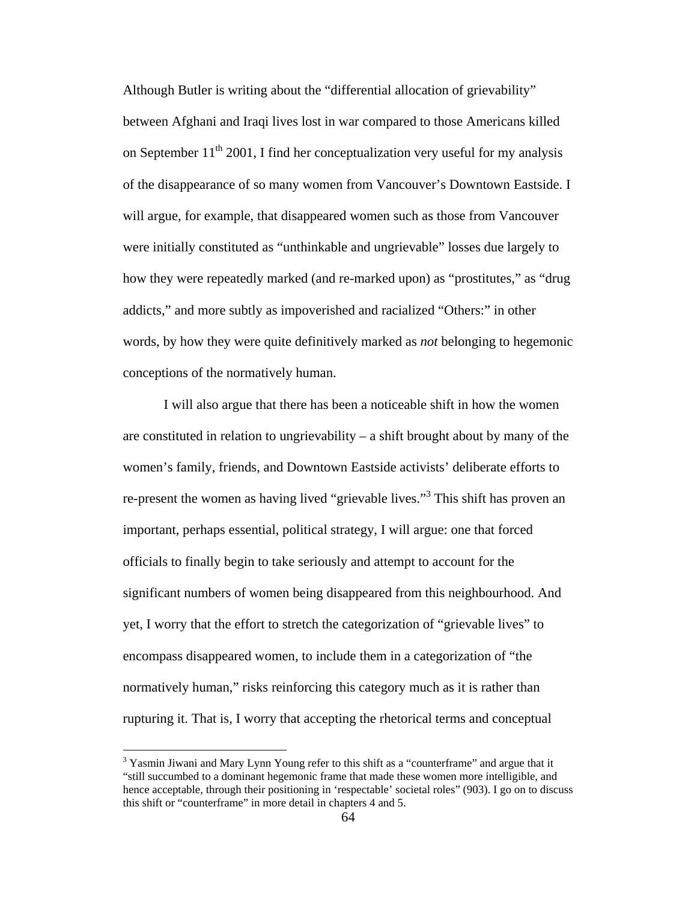Although Butler is writing about the "differential allocation of grievability" between Afghani and Iraqi lives lost in war compared to those Americans killed on September  $11<sup>th</sup>$  2001, I find her conceptualization very useful for my analysis of the disappearance of so many women from Vancouver's Downtown Eastside. I will argue, for example, that disappeared women such as those from Vancouver were initially constituted as "unthinkable and ungrievable" losses due largely to how they were repeatedly marked (and re-marked upon) as "prostitutes," as "drug addicts," and more subtly as impoverished and racialized "Others:" in other words, by how they were quite definitively marked as *not* belonging to hegemonic conceptions of the normatively human.

I will also argue that there has been a noticeable shift in how the women are constituted in relation to ungrievability  $-$  a shift brought about by many of the women's family, friends, and Downtown Eastside activists' deliberate efforts to re-present the women as having lived "grievable lives."<sup>3</sup> This shift has proven an important, perhaps essential, political strategy, I will argue: one that forced officials to finally begin to take seriously and attempt to account for the significant numbers of women being disappeared from this neighbourhood. And yet, I worry that the effort to stretch the categorization of "grievable lives" to encompass disappeared women, to include them in a categorization of "the normatively human," risks reinforcing this category much as it is rather than rupturing it. That is, I worry that accepting the rhetorical terms and conceptual

<sup>&</sup>lt;sup>3</sup> Yasmin Jiwani and Mary Lynn Young refer to this shift as a "counterframe" and argue that it "still succumbed to a dominant hegemonic frame that made these women more intelligible, and hence acceptable, through their positioning in 'respectable' societal roles" (903). I go on to discuss this shift or "counterframe" in more detail in chapters 4 and 5.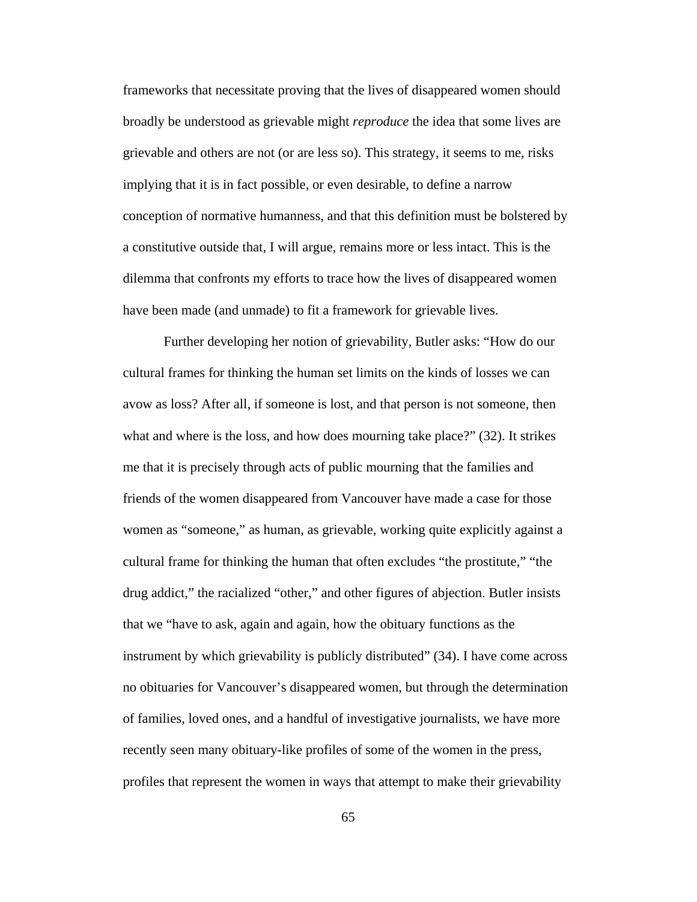frameworks that necessitate proving that the lives of disappeared women should broadly be understood as grievable might *reproduce* the idea that some lives are grievable and others are not (or are less so). This strategy, it seems to me, risks implying that it is in fact possible, or even desirable, to define a narrow conception of normative humanness, and that this definition must be bolstered by a constitutive outside that, I will argue, remains more or less intact. This is the dilemma that confronts my efforts to trace how the lives of disappeared women have been made (and unmade) to fit a framework for grievable lives.

 Further developing her notion of grievability, Butler asks: "How do our cultural frames for thinking the human set limits on the kinds of losses we can avow as loss? After all, if someone is lost, and that person is not someone, then what and where is the loss, and how does mourning take place?" (32). It strikes me that it is precisely through acts of public mourning that the families and friends of the women disappeared from Vancouver have made a case for those women as "someone," as human, as grievable, working quite explicitly against a cultural frame for thinking the human that often excludes "the prostitute," "the drug addict," the racialized "other," and other figures of abjection. Butler insists that we "have to ask, again and again, how the obituary functions as the instrument by which grievability is publicly distributed" (34). I have come across no obituaries for Vancouver's disappeared women, but through the determination of families, loved ones, and a handful of investigative journalists, we have more recently seen many obituary-like profiles of some of the women in the press, profiles that represent the women in ways that attempt to make their grievability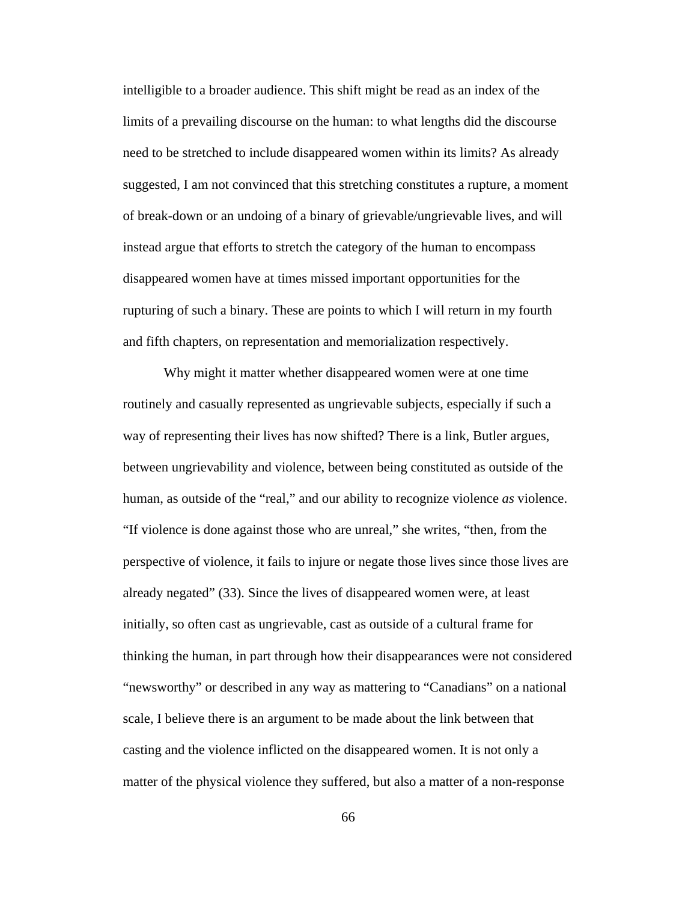intelligible to a broader audience. This shift might be read as an index of the limits of a prevailing discourse on the human: to what lengths did the discourse need to be stretched to include disappeared women within its limits? As already suggested, I am not convinced that this stretching constitutes a rupture, a moment of break-down or an undoing of a binary of grievable/ungrievable lives, and will instead argue that efforts to stretch the category of the human to encompass disappeared women have at times missed important opportunities for the rupturing of such a binary. These are points to which I will return in my fourth and fifth chapters, on representation and memorialization respectively.

 Why might it matter whether disappeared women were at one time routinely and casually represented as ungrievable subjects, especially if such a way of representing their lives has now shifted? There is a link, Butler argues, between ungrievability and violence, between being constituted as outside of the human, as outside of the "real," and our ability to recognize violence *as* violence. "If violence is done against those who are unreal," she writes, "then, from the perspective of violence, it fails to injure or negate those lives since those lives are already negated" (33). Since the lives of disappeared women were, at least initially, so often cast as ungrievable, cast as outside of a cultural frame for thinking the human, in part through how their disappearances were not considered "newsworthy" or described in any way as mattering to "Canadians" on a national scale, I believe there is an argument to be made about the link between that casting and the violence inflicted on the disappeared women. It is not only a matter of the physical violence they suffered, but also a matter of a non-response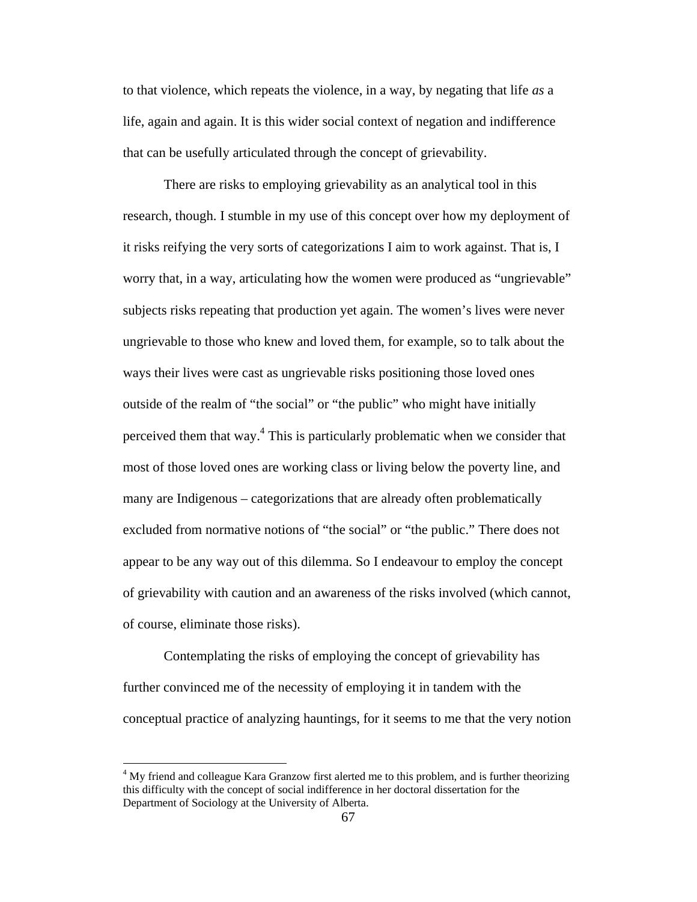to that violence, which repeats the violence, in a way, by negating that life *as* a life, again and again. It is this wider social context of negation and indifference that can be usefully articulated through the concept of grievability.

 There are risks to employing grievability as an analytical tool in this research, though. I stumble in my use of this concept over how my deployment of it risks reifying the very sorts of categorizations I aim to work against. That is, I worry that, in a way, articulating how the women were produced as "ungrievable" subjects risks repeating that production yet again. The women's lives were never ungrievable to those who knew and loved them, for example, so to talk about the ways their lives were cast as ungrievable risks positioning those loved ones outside of the realm of "the social" or "the public" who might have initially perceived them that way.<sup>4</sup> This is particularly problematic when we consider that most of those loved ones are working class or living below the poverty line, and many are Indigenous – categorizations that are already often problematically excluded from normative notions of "the social" or "the public." There does not appear to be any way out of this dilemma. So I endeavour to employ the concept of grievability with caution and an awareness of the risks involved (which cannot, of course, eliminate those risks).

 Contemplating the risks of employing the concept of grievability has further convinced me of the necessity of employing it in tandem with the conceptual practice of analyzing hauntings, for it seems to me that the very notion

 $\overline{a}$ 

<sup>&</sup>lt;sup>4</sup> My friend and colleague Kara Granzow first alerted me to this problem, and is further theorizing this difficulty with the concept of social indifference in her doctoral dissertation for the Department of Sociology at the University of Alberta.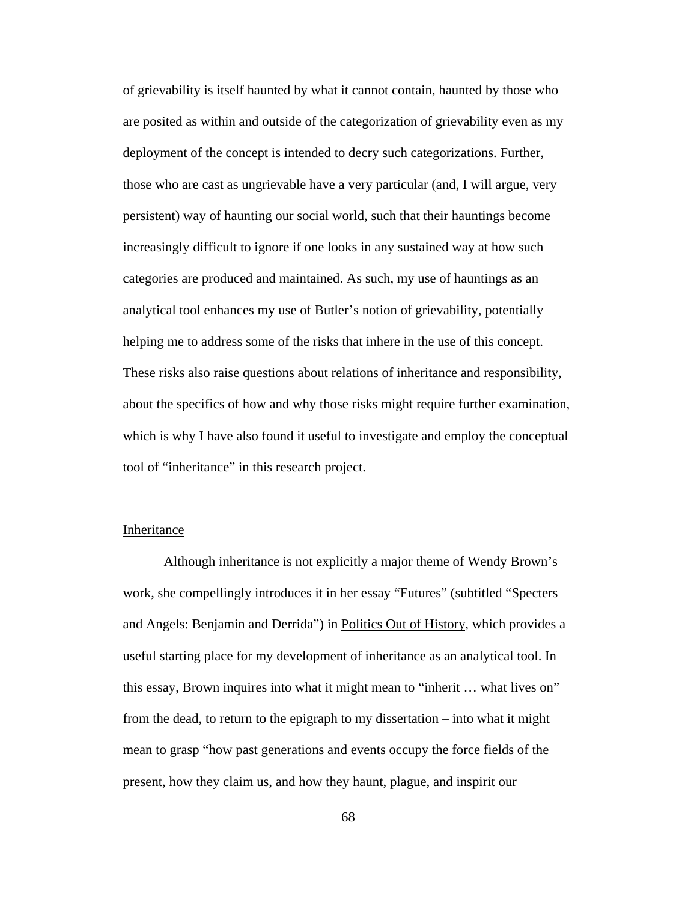of grievability is itself haunted by what it cannot contain, haunted by those who are posited as within and outside of the categorization of grievability even as my deployment of the concept is intended to decry such categorizations. Further, those who are cast as ungrievable have a very particular (and, I will argue, very persistent) way of haunting our social world, such that their hauntings become increasingly difficult to ignore if one looks in any sustained way at how such categories are produced and maintained. As such, my use of hauntings as an analytical tool enhances my use of Butler's notion of grievability, potentially helping me to address some of the risks that inhere in the use of this concept. These risks also raise questions about relations of inheritance and responsibility, about the specifics of how and why those risks might require further examination, which is why I have also found it useful to investigate and employ the conceptual tool of "inheritance" in this research project.

### **Inheritance**

 Although inheritance is not explicitly a major theme of Wendy Brown's work, she compellingly introduces it in her essay "Futures" (subtitled "Specters and Angels: Benjamin and Derrida") in Politics Out of History, which provides a useful starting place for my development of inheritance as an analytical tool. In this essay, Brown inquires into what it might mean to "inherit … what lives on" from the dead, to return to the epigraph to my dissertation – into what it might mean to grasp "how past generations and events occupy the force fields of the present, how they claim us, and how they haunt, plague, and inspirit our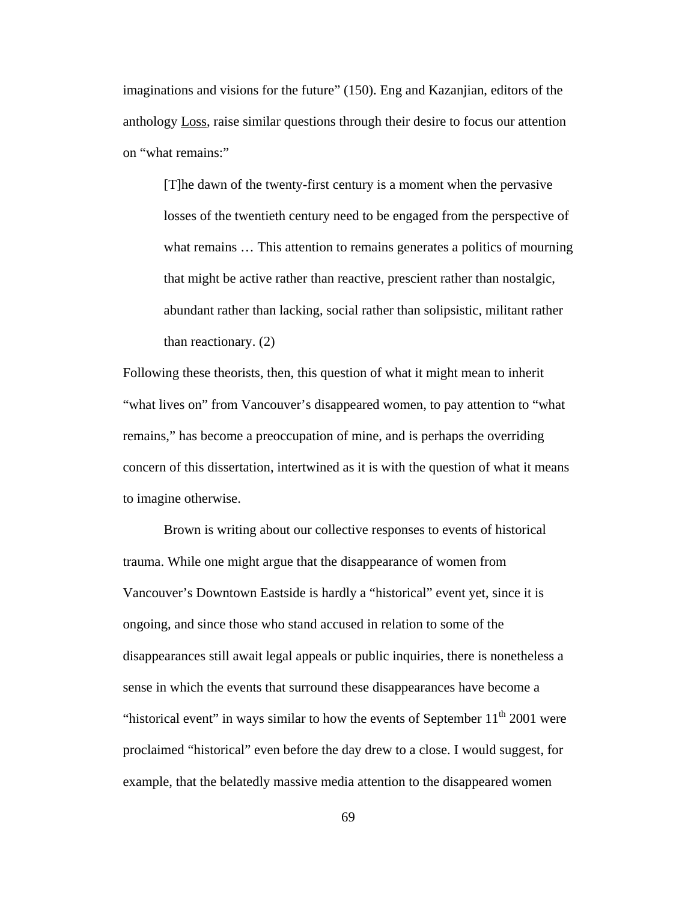imaginations and visions for the future" (150). Eng and Kazanjian, editors of the anthology Loss, raise similar questions through their desire to focus our attention on "what remains:"

[T]he dawn of the twenty-first century is a moment when the pervasive losses of the twentieth century need to be engaged from the perspective of what remains ... This attention to remains generates a politics of mourning that might be active rather than reactive, prescient rather than nostalgic, abundant rather than lacking, social rather than solipsistic, militant rather than reactionary. (2)

Following these theorists, then, this question of what it might mean to inherit "what lives on" from Vancouver's disappeared women, to pay attention to "what remains," has become a preoccupation of mine, and is perhaps the overriding concern of this dissertation, intertwined as it is with the question of what it means to imagine otherwise.

Brown is writing about our collective responses to events of historical trauma. While one might argue that the disappearance of women from Vancouver's Downtown Eastside is hardly a "historical" event yet, since it is ongoing, and since those who stand accused in relation to some of the disappearances still await legal appeals or public inquiries, there is nonetheless a sense in which the events that surround these disappearances have become a "historical event" in ways similar to how the events of September  $11<sup>th</sup>$  2001 were proclaimed "historical" even before the day drew to a close. I would suggest, for example, that the belatedly massive media attention to the disappeared women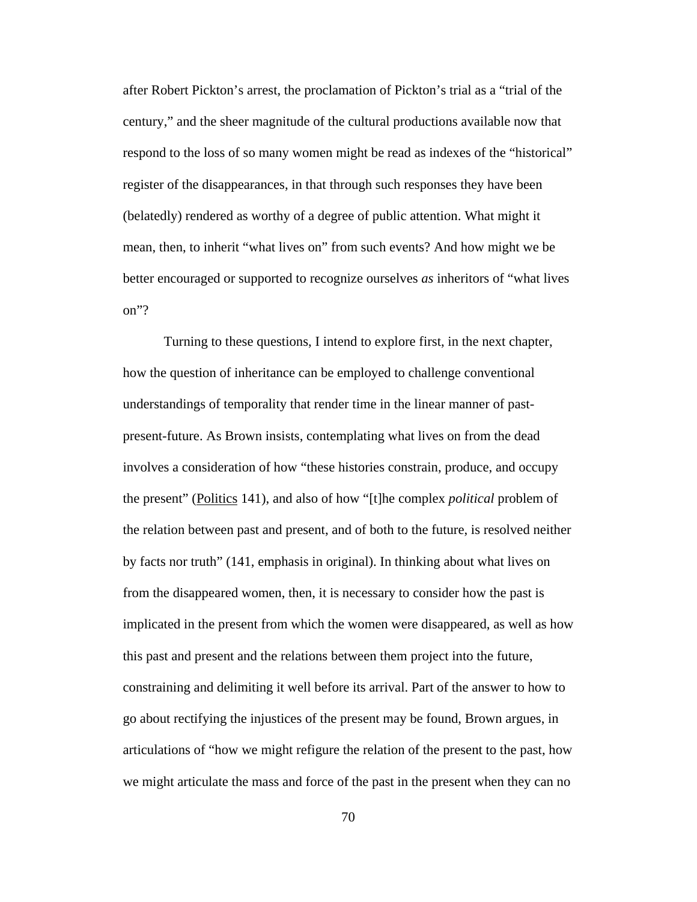after Robert Pickton's arrest, the proclamation of Pickton's trial as a "trial of the century," and the sheer magnitude of the cultural productions available now that respond to the loss of so many women might be read as indexes of the "historical" register of the disappearances, in that through such responses they have been (belatedly) rendered as worthy of a degree of public attention. What might it mean, then, to inherit "what lives on" from such events? And how might we be better encouraged or supported to recognize ourselves *as* inheritors of "what lives on"?

 Turning to these questions, I intend to explore first, in the next chapter, how the question of inheritance can be employed to challenge conventional understandings of temporality that render time in the linear manner of pastpresent-future. As Brown insists, contemplating what lives on from the dead involves a consideration of how "these histories constrain, produce, and occupy the present" (Politics 141), and also of how "[t]he complex *political* problem of the relation between past and present, and of both to the future, is resolved neither by facts nor truth" (141, emphasis in original). In thinking about what lives on from the disappeared women, then, it is necessary to consider how the past is implicated in the present from which the women were disappeared, as well as how this past and present and the relations between them project into the future, constraining and delimiting it well before its arrival. Part of the answer to how to go about rectifying the injustices of the present may be found, Brown argues, in articulations of "how we might refigure the relation of the present to the past, how we might articulate the mass and force of the past in the present when they can no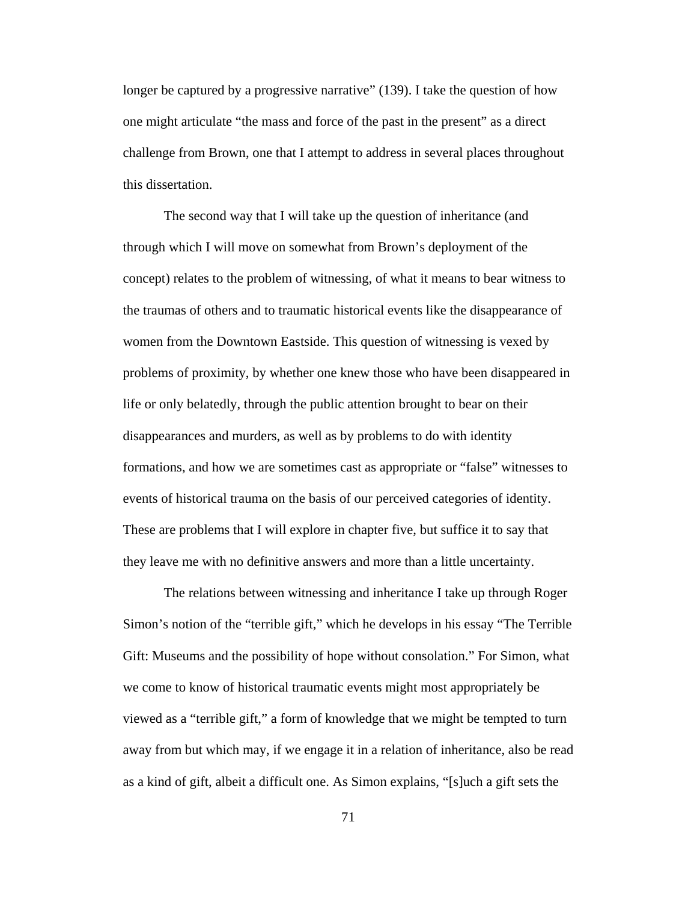longer be captured by a progressive narrative" (139). I take the question of how one might articulate "the mass and force of the past in the present" as a direct challenge from Brown, one that I attempt to address in several places throughout this dissertation.

 The second way that I will take up the question of inheritance (and through which I will move on somewhat from Brown's deployment of the concept) relates to the problem of witnessing, of what it means to bear witness to the traumas of others and to traumatic historical events like the disappearance of women from the Downtown Eastside. This question of witnessing is vexed by problems of proximity, by whether one knew those who have been disappeared in life or only belatedly, through the public attention brought to bear on their disappearances and murders, as well as by problems to do with identity formations, and how we are sometimes cast as appropriate or "false" witnesses to events of historical trauma on the basis of our perceived categories of identity. These are problems that I will explore in chapter five, but suffice it to say that they leave me with no definitive answers and more than a little uncertainty.

The relations between witnessing and inheritance I take up through Roger Simon's notion of the "terrible gift," which he develops in his essay "The Terrible Gift: Museums and the possibility of hope without consolation." For Simon, what we come to know of historical traumatic events might most appropriately be viewed as a "terrible gift," a form of knowledge that we might be tempted to turn away from but which may, if we engage it in a relation of inheritance, also be read as a kind of gift, albeit a difficult one. As Simon explains, "[s]uch a gift sets the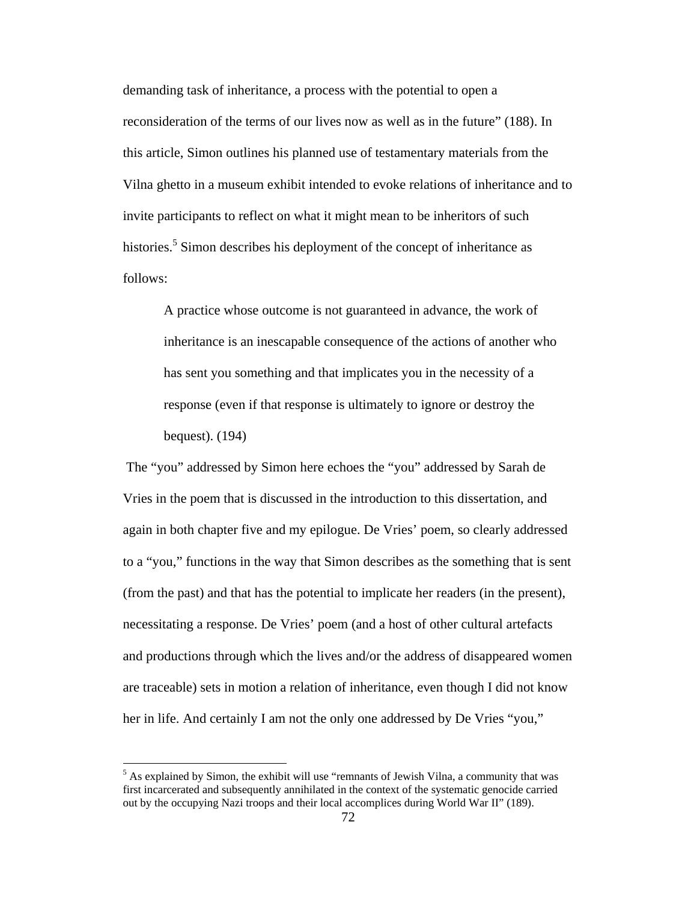demanding task of inheritance, a process with the potential to open a reconsideration of the terms of our lives now as well as in the future" (188). In this article, Simon outlines his planned use of testamentary materials from the Vilna ghetto in a museum exhibit intended to evoke relations of inheritance and to invite participants to reflect on what it might mean to be inheritors of such histories.<sup>5</sup> Simon describes his deployment of the concept of inheritance as follows:

A practice whose outcome is not guaranteed in advance, the work of inheritance is an inescapable consequence of the actions of another who has sent you something and that implicates you in the necessity of a response (even if that response is ultimately to ignore or destroy the bequest). (194)

 The "you" addressed by Simon here echoes the "you" addressed by Sarah de Vries in the poem that is discussed in the introduction to this dissertation, and again in both chapter five and my epilogue. De Vries' poem, so clearly addressed to a "you," functions in the way that Simon describes as the something that is sent (from the past) and that has the potential to implicate her readers (in the present), necessitating a response. De Vries' poem (and a host of other cultural artefacts and productions through which the lives and/or the address of disappeared women are traceable) sets in motion a relation of inheritance, even though I did not know her in life. And certainly I am not the only one addressed by De Vries "you,"

<sup>&</sup>lt;sup>5</sup> As explained by Simon, the exhibit will use "remnants of Jewish Vilna, a community that was first incarcerated and subsequently annihilated in the context of the systematic genocide carried out by the occupying Nazi troops and their local accomplices during World War II" (189).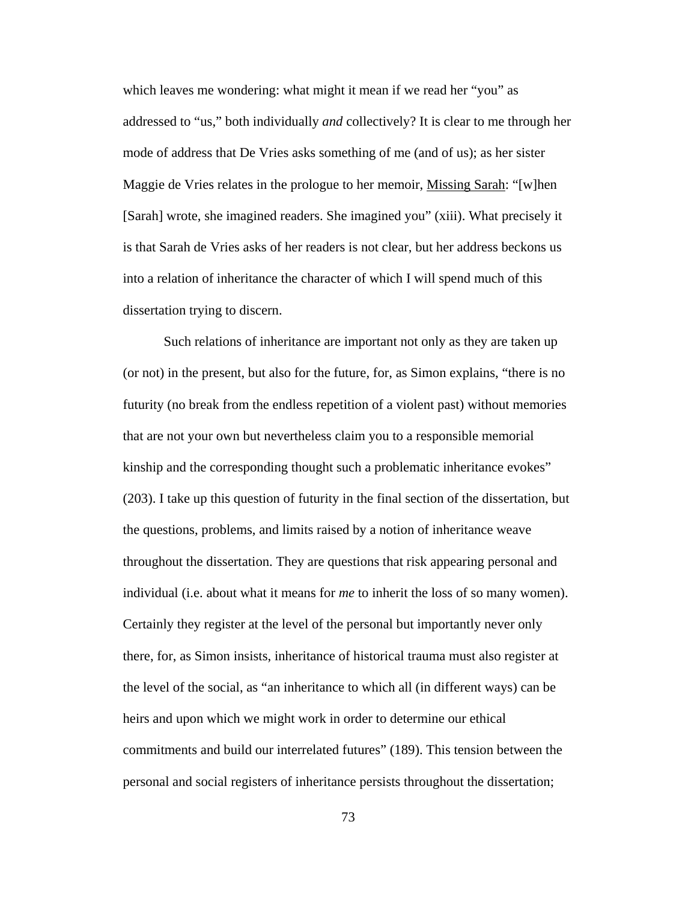which leaves me wondering: what might it mean if we read her "you" as addressed to "us," both individually *and* collectively? It is clear to me through her mode of address that De Vries asks something of me (and of us); as her sister Maggie de Vries relates in the prologue to her memoir, Missing Sarah: "[w]hen [Sarah] wrote, she imagined readers. She imagined you" (xiii). What precisely it is that Sarah de Vries asks of her readers is not clear, but her address beckons us into a relation of inheritance the character of which I will spend much of this dissertation trying to discern.

Such relations of inheritance are important not only as they are taken up (or not) in the present, but also for the future, for, as Simon explains, "there is no futurity (no break from the endless repetition of a violent past) without memories that are not your own but nevertheless claim you to a responsible memorial kinship and the corresponding thought such a problematic inheritance evokes" (203). I take up this question of futurity in the final section of the dissertation, but the questions, problems, and limits raised by a notion of inheritance weave throughout the dissertation. They are questions that risk appearing personal and individual (i.e. about what it means for *me* to inherit the loss of so many women). Certainly they register at the level of the personal but importantly never only there, for, as Simon insists, inheritance of historical trauma must also register at the level of the social, as "an inheritance to which all (in different ways) can be heirs and upon which we might work in order to determine our ethical commitments and build our interrelated futures" (189). This tension between the personal and social registers of inheritance persists throughout the dissertation;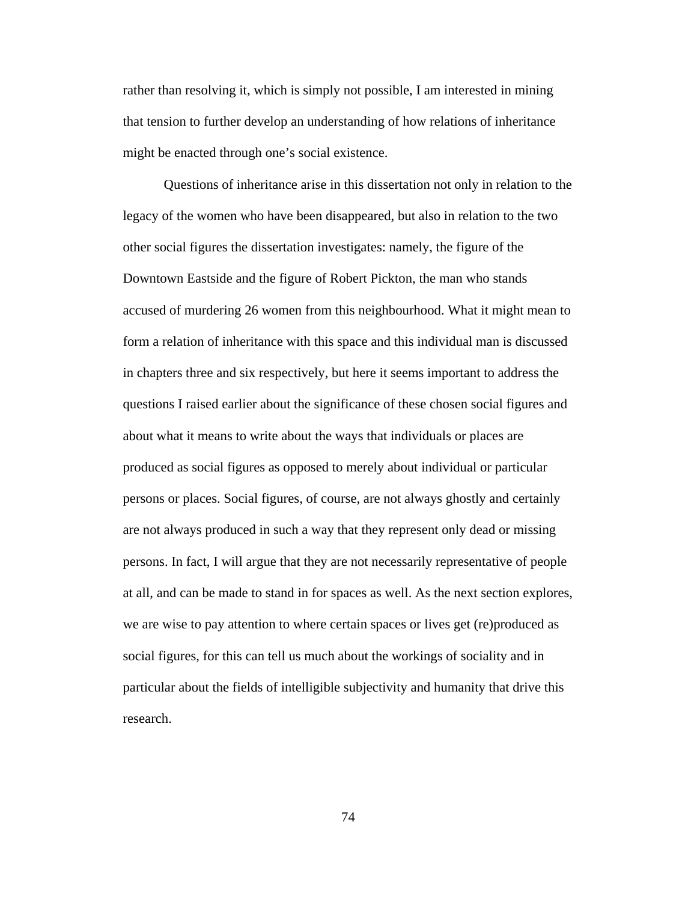rather than resolving it, which is simply not possible, I am interested in mining that tension to further develop an understanding of how relations of inheritance might be enacted through one's social existence.

Questions of inheritance arise in this dissertation not only in relation to the legacy of the women who have been disappeared, but also in relation to the two other social figures the dissertation investigates: namely, the figure of the Downtown Eastside and the figure of Robert Pickton, the man who stands accused of murdering 26 women from this neighbourhood. What it might mean to form a relation of inheritance with this space and this individual man is discussed in chapters three and six respectively, but here it seems important to address the questions I raised earlier about the significance of these chosen social figures and about what it means to write about the ways that individuals or places are produced as social figures as opposed to merely about individual or particular persons or places. Social figures, of course, are not always ghostly and certainly are not always produced in such a way that they represent only dead or missing persons. In fact, I will argue that they are not necessarily representative of people at all, and can be made to stand in for spaces as well. As the next section explores, we are wise to pay attention to where certain spaces or lives get (re)produced as social figures, for this can tell us much about the workings of sociality and in particular about the fields of intelligible subjectivity and humanity that drive this research.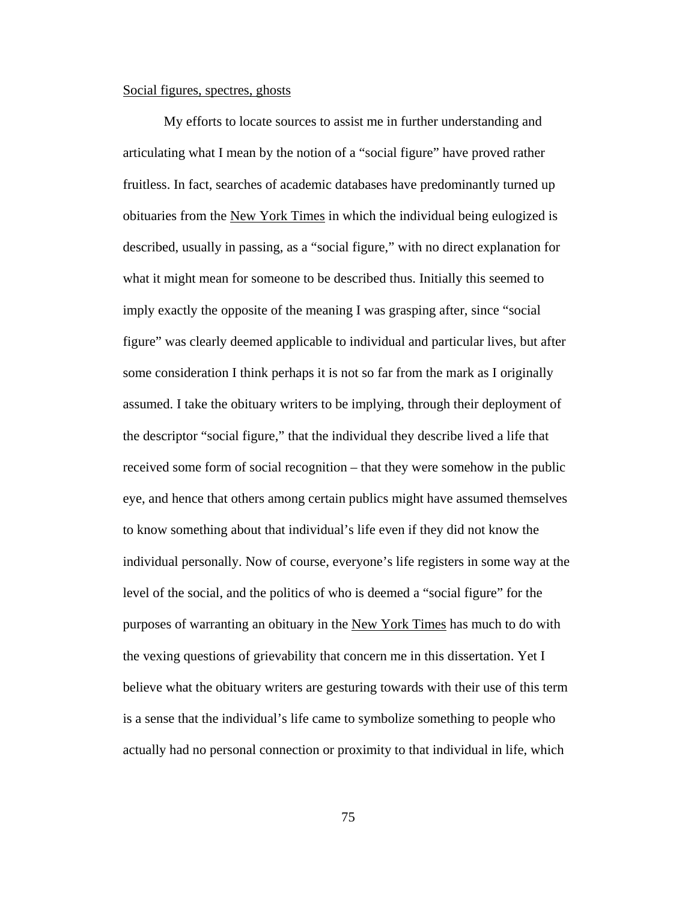### Social figures, spectres, ghosts

 My efforts to locate sources to assist me in further understanding and articulating what I mean by the notion of a "social figure" have proved rather fruitless. In fact, searches of academic databases have predominantly turned up obituaries from the New York Times in which the individual being eulogized is described, usually in passing, as a "social figure," with no direct explanation for what it might mean for someone to be described thus. Initially this seemed to imply exactly the opposite of the meaning I was grasping after, since "social figure" was clearly deemed applicable to individual and particular lives, but after some consideration I think perhaps it is not so far from the mark as I originally assumed. I take the obituary writers to be implying, through their deployment of the descriptor "social figure," that the individual they describe lived a life that received some form of social recognition – that they were somehow in the public eye, and hence that others among certain publics might have assumed themselves to know something about that individual's life even if they did not know the individual personally. Now of course, everyone's life registers in some way at the level of the social, and the politics of who is deemed a "social figure" for the purposes of warranting an obituary in the New York Times has much to do with the vexing questions of grievability that concern me in this dissertation. Yet I believe what the obituary writers are gesturing towards with their use of this term is a sense that the individual's life came to symbolize something to people who actually had no personal connection or proximity to that individual in life, which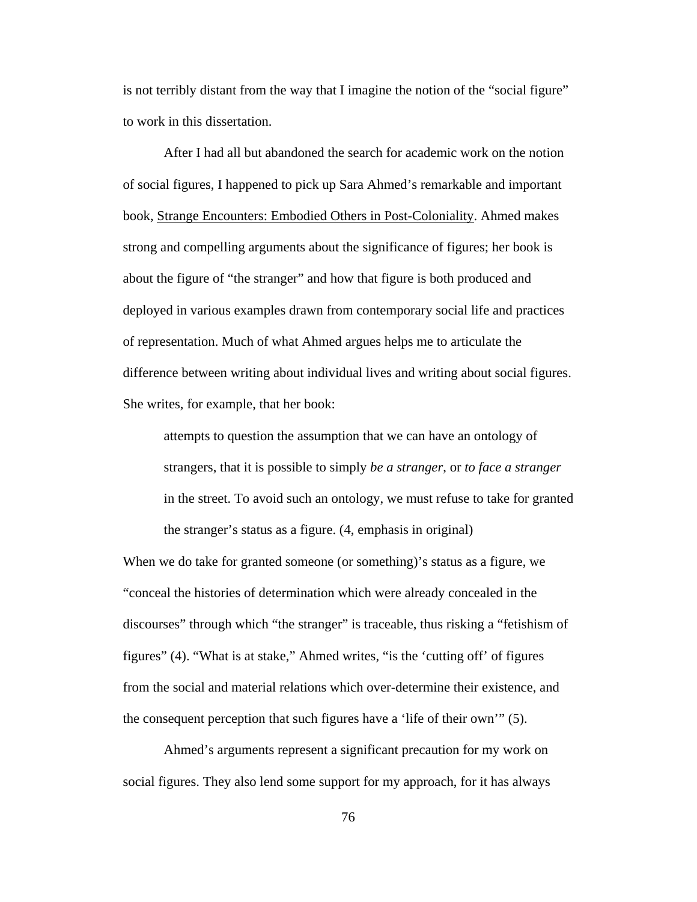is not terribly distant from the way that I imagine the notion of the "social figure" to work in this dissertation.

 After I had all but abandoned the search for academic work on the notion of social figures, I happened to pick up Sara Ahmed's remarkable and important book, Strange Encounters: Embodied Others in Post-Coloniality. Ahmed makes strong and compelling arguments about the significance of figures; her book is about the figure of "the stranger" and how that figure is both produced and deployed in various examples drawn from contemporary social life and practices of representation. Much of what Ahmed argues helps me to articulate the difference between writing about individual lives and writing about social figures. She writes, for example, that her book:

attempts to question the assumption that we can have an ontology of strangers, that it is possible to simply *be a stranger*, or *to face a stranger*  in the street. To avoid such an ontology, we must refuse to take for granted the stranger's status as a figure. (4, emphasis in original)

When we do take for granted someone (or something)'s status as a figure, we "conceal the histories of determination which were already concealed in the discourses" through which "the stranger" is traceable, thus risking a "fetishism of figures" (4). "What is at stake," Ahmed writes, "is the 'cutting off' of figures from the social and material relations which over-determine their existence, and the consequent perception that such figures have a 'life of their own'" (5).

 Ahmed's arguments represent a significant precaution for my work on social figures. They also lend some support for my approach, for it has always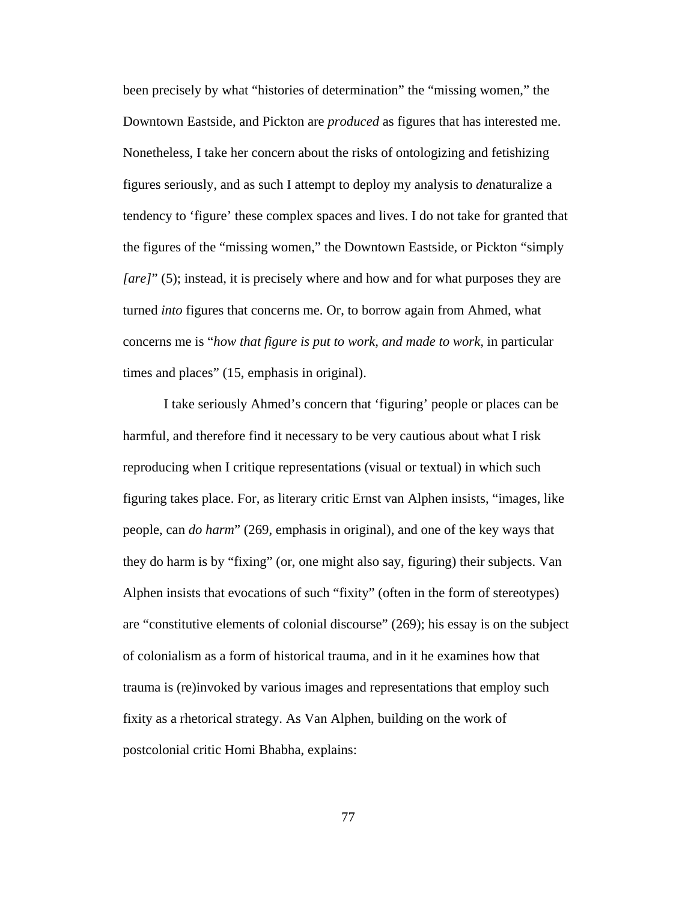been precisely by what "histories of determination" the "missing women," the Downtown Eastside, and Pickton are *produced* as figures that has interested me. Nonetheless, I take her concern about the risks of ontologizing and fetishizing figures seriously, and as such I attempt to deploy my analysis to *de*naturalize a tendency to 'figure' these complex spaces and lives. I do not take for granted that the figures of the "missing women," the Downtown Eastside, or Pickton "simply *[are]*" (5); instead, it is precisely where and how and for what purposes they are turned *into* figures that concerns me. Or, to borrow again from Ahmed, what concerns me is "*how that figure is put to work, and made to work,* in particular times and places" (15, emphasis in original).

 I take seriously Ahmed's concern that 'figuring' people or places can be harmful, and therefore find it necessary to be very cautious about what I risk reproducing when I critique representations (visual or textual) in which such figuring takes place. For, as literary critic Ernst van Alphen insists, "images, like people, can *do harm*" (269, emphasis in original), and one of the key ways that they do harm is by "fixing" (or, one might also say, figuring) their subjects. Van Alphen insists that evocations of such "fixity" (often in the form of stereotypes) are "constitutive elements of colonial discourse" (269); his essay is on the subject of colonialism as a form of historical trauma, and in it he examines how that trauma is (re)invoked by various images and representations that employ such fixity as a rhetorical strategy. As Van Alphen, building on the work of postcolonial critic Homi Bhabha, explains: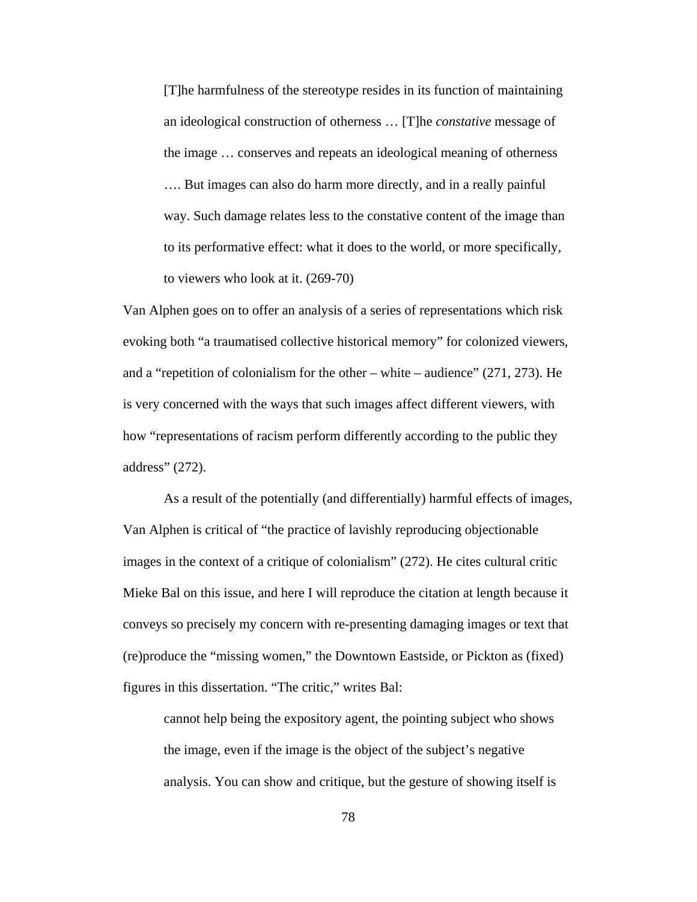[T]he harmfulness of the stereotype resides in its function of maintaining an ideological construction of otherness … [T]he *constative* message of the image … conserves and repeats an ideological meaning of otherness …. But images can also do harm more directly, and in a really painful way. Such damage relates less to the constative content of the image than to its performative effect: what it does to the world, or more specifically, to viewers who look at it. (269-70)

Van Alphen goes on to offer an analysis of a series of representations which risk evoking both "a traumatised collective historical memory" for colonized viewers, and a "repetition of colonialism for the other – white – audience" (271, 273). He is very concerned with the ways that such images affect different viewers, with how "representations of racism perform differently according to the public they address" (272).

As a result of the potentially (and differentially) harmful effects of images, Van Alphen is critical of "the practice of lavishly reproducing objectionable images in the context of a critique of colonialism" (272). He cites cultural critic Mieke Bal on this issue, and here I will reproduce the citation at length because it conveys so precisely my concern with re-presenting damaging images or text that (re)produce the "missing women," the Downtown Eastside, or Pickton as (fixed) figures in this dissertation. "The critic," writes Bal:

cannot help being the expository agent, the pointing subject who shows the image, even if the image is the object of the subject's negative analysis. You can show and critique, but the gesture of showing itself is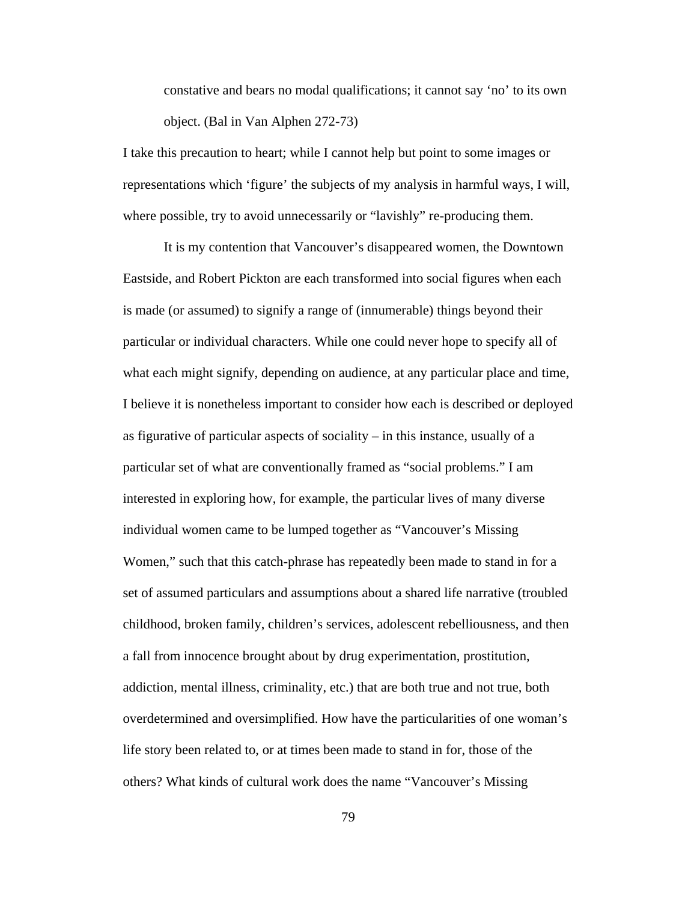constative and bears no modal qualifications; it cannot say 'no' to its own object. (Bal in Van Alphen 272-73)

I take this precaution to heart; while I cannot help but point to some images or representations which 'figure' the subjects of my analysis in harmful ways, I will, where possible, try to avoid unnecessarily or "lavishly" re-producing them.

 It is my contention that Vancouver's disappeared women, the Downtown Eastside, and Robert Pickton are each transformed into social figures when each is made (or assumed) to signify a range of (innumerable) things beyond their particular or individual characters. While one could never hope to specify all of what each might signify, depending on audience, at any particular place and time, I believe it is nonetheless important to consider how each is described or deployed as figurative of particular aspects of sociality – in this instance, usually of a particular set of what are conventionally framed as "social problems." I am interested in exploring how, for example, the particular lives of many diverse individual women came to be lumped together as "Vancouver's Missing Women," such that this catch-phrase has repeatedly been made to stand in for a set of assumed particulars and assumptions about a shared life narrative (troubled childhood, broken family, children's services, adolescent rebelliousness, and then a fall from innocence brought about by drug experimentation, prostitution, addiction, mental illness, criminality, etc.) that are both true and not true, both overdetermined and oversimplified. How have the particularities of one woman's life story been related to, or at times been made to stand in for, those of the others? What kinds of cultural work does the name "Vancouver's Missing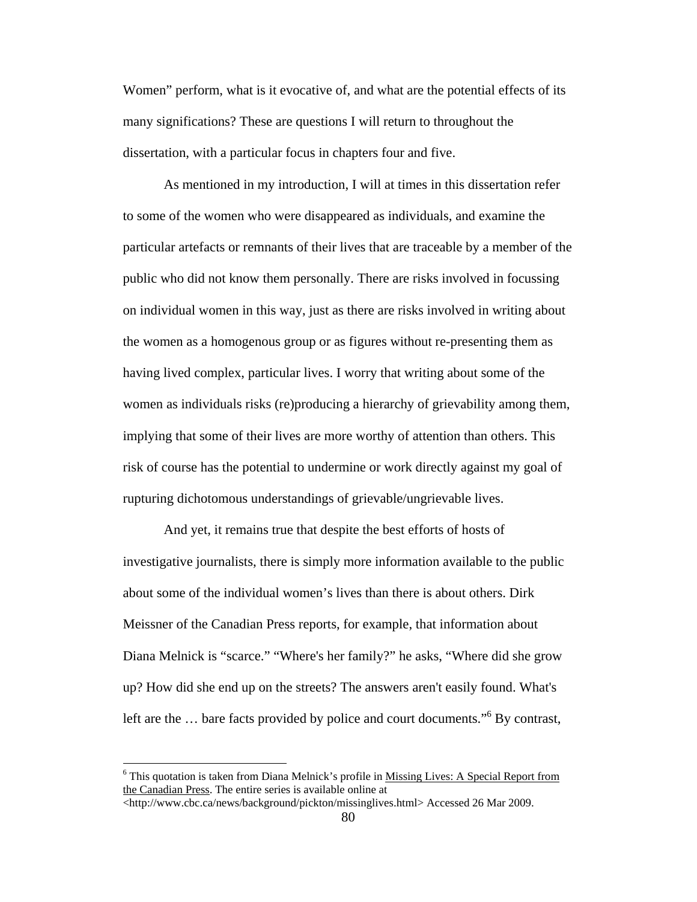Women" perform, what is it evocative of, and what are the potential effects of its many significations? These are questions I will return to throughout the dissertation, with a particular focus in chapters four and five.

As mentioned in my introduction, I will at times in this dissertation refer to some of the women who were disappeared as individuals, and examine the particular artefacts or remnants of their lives that are traceable by a member of the public who did not know them personally. There are risks involved in focussing on individual women in this way, just as there are risks involved in writing about the women as a homogenous group or as figures without re-presenting them as having lived complex, particular lives. I worry that writing about some of the women as individuals risks (re)producing a hierarchy of grievability among them, implying that some of their lives are more worthy of attention than others. This risk of course has the potential to undermine or work directly against my goal of rupturing dichotomous understandings of grievable/ungrievable lives.

And yet, it remains true that despite the best efforts of hosts of investigative journalists, there is simply more information available to the public about some of the individual women's lives than there is about others. Dirk Meissner of the Canadian Press reports, for example, that information about Diana Melnick is "scarce." "Where's her family?" he asks, "Where did she grow up? How did she end up on the streets? The answers aren't easily found. What's left are the ... bare facts provided by police and court documents."<sup>6</sup> By contrast,

<sup>&</sup>lt;sup>6</sup> This quotation is taken from Diana Melnick's profile in *Missing Lives: A Special Report from* the Canadian Press. The entire series is available online at

<sup>&</sup>lt;http://www.cbc.ca/news/background/pickton/missinglives.html> Accessed 26 Mar 2009.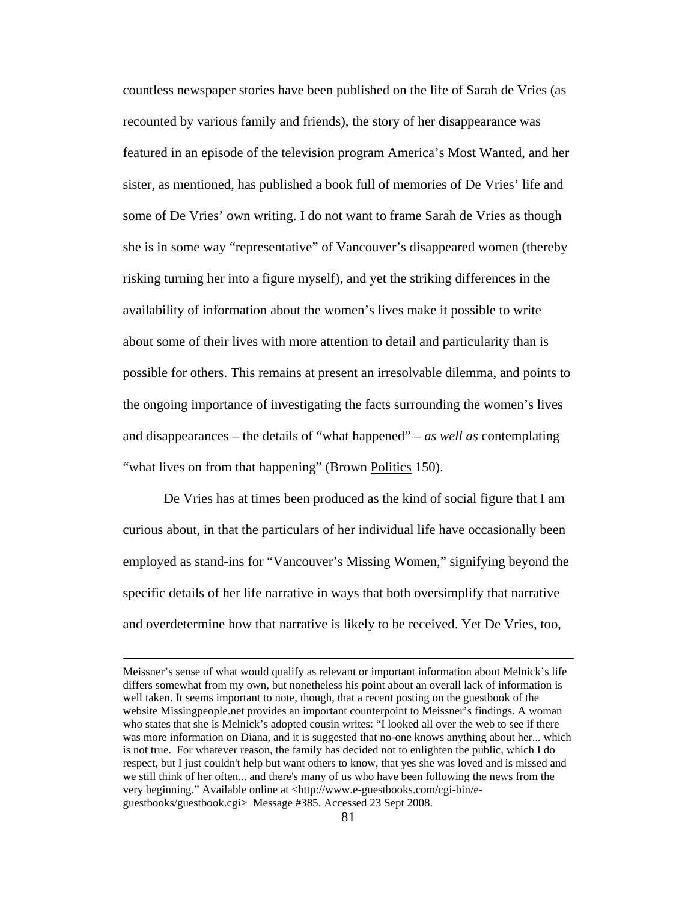countless newspaper stories have been published on the life of Sarah de Vries (as recounted by various family and friends), the story of her disappearance was featured in an episode of the television program America's Most Wanted, and her sister, as mentioned, has published a book full of memories of De Vries' life and some of De Vries' own writing. I do not want to frame Sarah de Vries as though she is in some way "representative" of Vancouver's disappeared women (thereby risking turning her into a figure myself), and yet the striking differences in the availability of information about the women's lives make it possible to write about some of their lives with more attention to detail and particularity than is possible for others. This remains at present an irresolvable dilemma, and points to the ongoing importance of investigating the facts surrounding the women's lives and disappearances – the details of "what happened" – *as well as* contemplating "what lives on from that happening" (Brown Politics 150).

De Vries has at times been produced as the kind of social figure that I am curious about, in that the particulars of her individual life have occasionally been employed as stand-ins for "Vancouver's Missing Women," signifying beyond the specific details of her life narrative in ways that both oversimplify that narrative and overdetermine how that narrative is likely to be received. Yet De Vries, too,

Meissner's sense of what would qualify as relevant or important information about Melnick's life differs somewhat from my own, but nonetheless his point about an overall lack of information is well taken. It seems important to note, though, that a recent posting on the guestbook of the website Missingpeople.net provides an important counterpoint to Meissner's findings. A woman who states that she is Melnick's adopted cousin writes: "I looked all over the web to see if there was more information on Diana, and it is suggested that no-one knows anything about her... which is not true. For whatever reason, the family has decided not to enlighten the public, which I do respect, but I just couldn't help but want others to know, that yes she was loved and is missed and we still think of her often... and there's many of us who have been following the news from the very beginning." Available online at <http://www.e-guestbooks.com/cgi-bin/eguestbooks/guestbook.cgi> Message #385. Accessed 23 Sept 2008.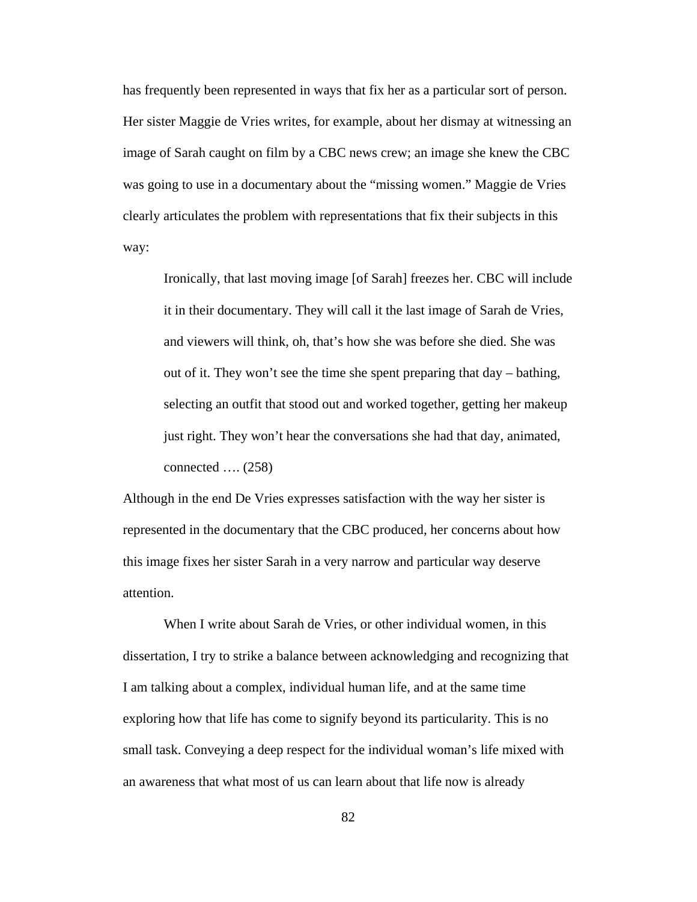has frequently been represented in ways that fix her as a particular sort of person. Her sister Maggie de Vries writes, for example, about her dismay at witnessing an image of Sarah caught on film by a CBC news crew; an image she knew the CBC was going to use in a documentary about the "missing women." Maggie de Vries clearly articulates the problem with representations that fix their subjects in this way:

Ironically, that last moving image [of Sarah] freezes her. CBC will include it in their documentary. They will call it the last image of Sarah de Vries, and viewers will think, oh, that's how she was before she died. She was out of it. They won't see the time she spent preparing that day – bathing, selecting an outfit that stood out and worked together, getting her makeup just right. They won't hear the conversations she had that day, animated, connected …. (258)

Although in the end De Vries expresses satisfaction with the way her sister is represented in the documentary that the CBC produced, her concerns about how this image fixes her sister Sarah in a very narrow and particular way deserve attention.

When I write about Sarah de Vries, or other individual women, in this dissertation, I try to strike a balance between acknowledging and recognizing that I am talking about a complex, individual human life, and at the same time exploring how that life has come to signify beyond its particularity. This is no small task. Conveying a deep respect for the individual woman's life mixed with an awareness that what most of us can learn about that life now is already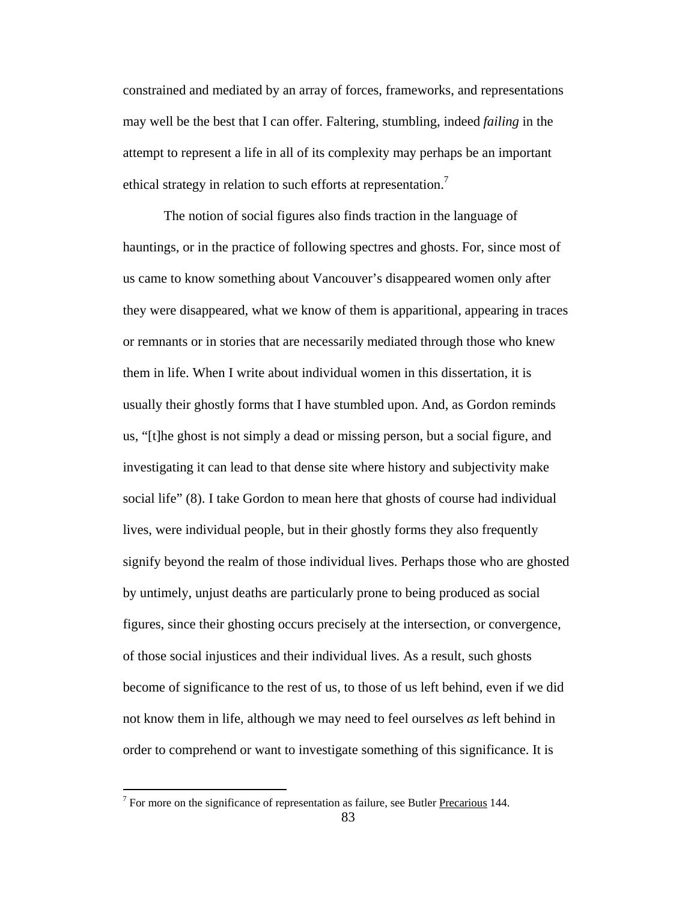constrained and mediated by an array of forces, frameworks, and representations may well be the best that I can offer. Faltering, stumbling, indeed *failing* in the attempt to represent a life in all of its complexity may perhaps be an important ethical strategy in relation to such efforts at representation.<sup>7</sup>

The notion of social figures also finds traction in the language of hauntings, or in the practice of following spectres and ghosts. For, since most of us came to know something about Vancouver's disappeared women only after they were disappeared, what we know of them is apparitional, appearing in traces or remnants or in stories that are necessarily mediated through those who knew them in life. When I write about individual women in this dissertation, it is usually their ghostly forms that I have stumbled upon. And, as Gordon reminds us, "[t]he ghost is not simply a dead or missing person, but a social figure, and investigating it can lead to that dense site where history and subjectivity make social life" (8). I take Gordon to mean here that ghosts of course had individual lives, were individual people, but in their ghostly forms they also frequently signify beyond the realm of those individual lives. Perhaps those who are ghosted by untimely, unjust deaths are particularly prone to being produced as social figures, since their ghosting occurs precisely at the intersection, or convergence, of those social injustices and their individual lives. As a result, such ghosts become of significance to the rest of us, to those of us left behind, even if we did not know them in life, although we may need to feel ourselves *as* left behind in order to comprehend or want to investigate something of this significance. It is

 $\overline{a}$ 

 $7$  For more on the significance of representation as failure, see Butler Precarious 144.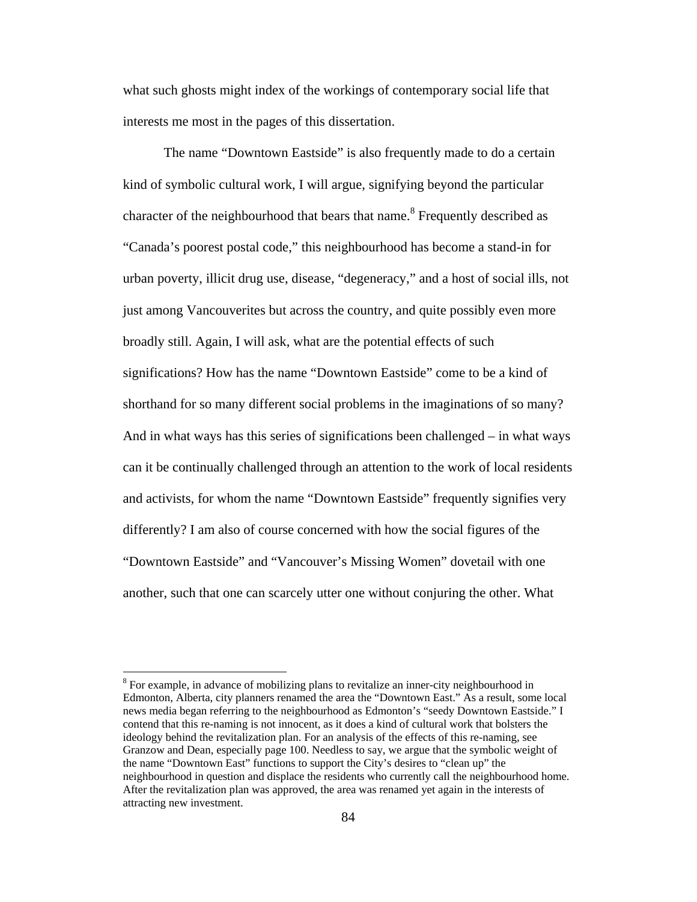what such ghosts might index of the workings of contemporary social life that interests me most in the pages of this dissertation.

The name "Downtown Eastside" is also frequently made to do a certain kind of symbolic cultural work, I will argue, signifying beyond the particular character of the neighbourhood that bears that name.<sup>8</sup> Frequently described as "Canada's poorest postal code," this neighbourhood has become a stand-in for urban poverty, illicit drug use, disease, "degeneracy," and a host of social ills, not just among Vancouverites but across the country, and quite possibly even more broadly still. Again, I will ask, what are the potential effects of such significations? How has the name "Downtown Eastside" come to be a kind of shorthand for so many different social problems in the imaginations of so many? And in what ways has this series of significations been challenged – in what ways can it be continually challenged through an attention to the work of local residents and activists, for whom the name "Downtown Eastside" frequently signifies very differently? I am also of course concerned with how the social figures of the "Downtown Eastside" and "Vancouver's Missing Women" dovetail with one another, such that one can scarcely utter one without conjuring the other. What

 $\overline{a}$ 

<sup>&</sup>lt;sup>8</sup> For example, in advance of mobilizing plans to revitalize an inner-city neighbourhood in Edmonton, Alberta, city planners renamed the area the "Downtown East." As a result, some local news media began referring to the neighbourhood as Edmonton's "seedy Downtown Eastside." I contend that this re-naming is not innocent, as it does a kind of cultural work that bolsters the ideology behind the revitalization plan. For an analysis of the effects of this re-naming, see Granzow and Dean, especially page 100. Needless to say, we argue that the symbolic weight of the name "Downtown East" functions to support the City's desires to "clean up" the neighbourhood in question and displace the residents who currently call the neighbourhood home. After the revitalization plan was approved, the area was renamed yet again in the interests of attracting new investment.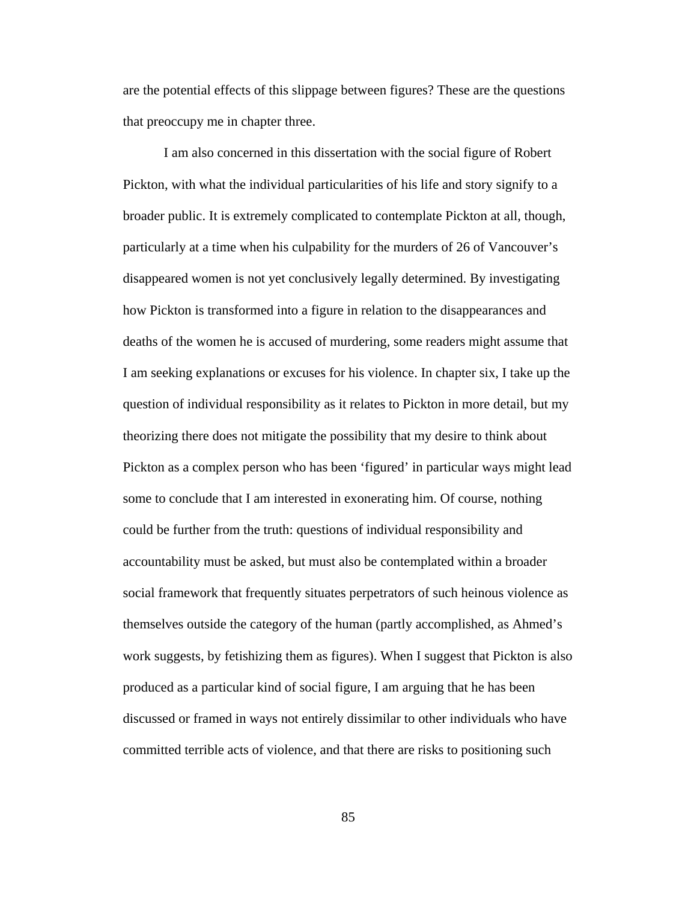are the potential effects of this slippage between figures? These are the questions that preoccupy me in chapter three.

I am also concerned in this dissertation with the social figure of Robert Pickton, with what the individual particularities of his life and story signify to a broader public. It is extremely complicated to contemplate Pickton at all, though, particularly at a time when his culpability for the murders of 26 of Vancouver's disappeared women is not yet conclusively legally determined. By investigating how Pickton is transformed into a figure in relation to the disappearances and deaths of the women he is accused of murdering, some readers might assume that I am seeking explanations or excuses for his violence. In chapter six, I take up the question of individual responsibility as it relates to Pickton in more detail, but my theorizing there does not mitigate the possibility that my desire to think about Pickton as a complex person who has been 'figured' in particular ways might lead some to conclude that I am interested in exonerating him. Of course, nothing could be further from the truth: questions of individual responsibility and accountability must be asked, but must also be contemplated within a broader social framework that frequently situates perpetrators of such heinous violence as themselves outside the category of the human (partly accomplished, as Ahmed's work suggests, by fetishizing them as figures). When I suggest that Pickton is also produced as a particular kind of social figure, I am arguing that he has been discussed or framed in ways not entirely dissimilar to other individuals who have committed terrible acts of violence, and that there are risks to positioning such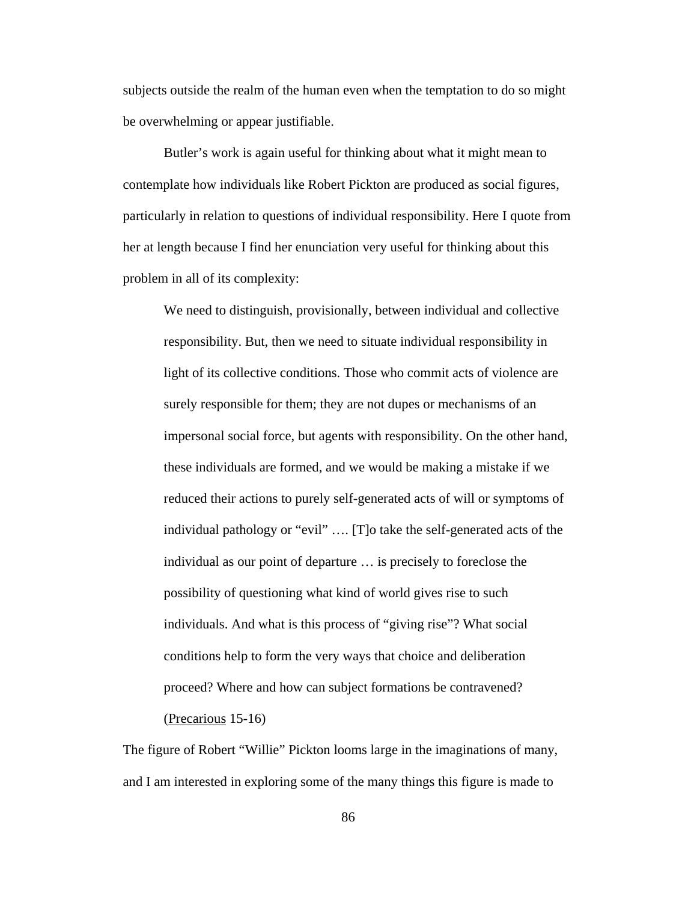subjects outside the realm of the human even when the temptation to do so might be overwhelming or appear justifiable.

Butler's work is again useful for thinking about what it might mean to contemplate how individuals like Robert Pickton are produced as social figures, particularly in relation to questions of individual responsibility. Here I quote from her at length because I find her enunciation very useful for thinking about this problem in all of its complexity:

We need to distinguish, provisionally, between individual and collective responsibility. But, then we need to situate individual responsibility in light of its collective conditions. Those who commit acts of violence are surely responsible for them; they are not dupes or mechanisms of an impersonal social force, but agents with responsibility. On the other hand, these individuals are formed, and we would be making a mistake if we reduced their actions to purely self-generated acts of will or symptoms of individual pathology or "evil" …. [T]o take the self-generated acts of the individual as our point of departure … is precisely to foreclose the possibility of questioning what kind of world gives rise to such individuals. And what is this process of "giving rise"? What social conditions help to form the very ways that choice and deliberation proceed? Where and how can subject formations be contravened? (Precarious 15-16)

The figure of Robert "Willie" Pickton looms large in the imaginations of many, and I am interested in exploring some of the many things this figure is made to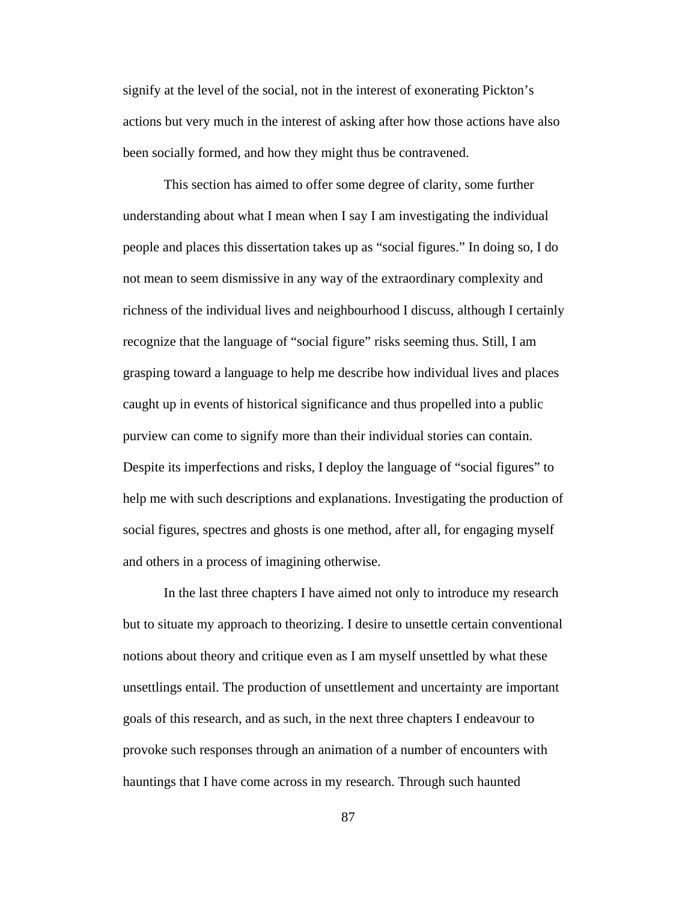signify at the level of the social, not in the interest of exonerating Pickton's actions but very much in the interest of asking after how those actions have also been socially formed, and how they might thus be contravened.

 This section has aimed to offer some degree of clarity, some further understanding about what I mean when I say I am investigating the individual people and places this dissertation takes up as "social figures." In doing so, I do not mean to seem dismissive in any way of the extraordinary complexity and richness of the individual lives and neighbourhood I discuss, although I certainly recognize that the language of "social figure" risks seeming thus. Still, I am grasping toward a language to help me describe how individual lives and places caught up in events of historical significance and thus propelled into a public purview can come to signify more than their individual stories can contain. Despite its imperfections and risks, I deploy the language of "social figures" to help me with such descriptions and explanations. Investigating the production of social figures, spectres and ghosts is one method, after all, for engaging myself and others in a process of imagining otherwise.

 In the last three chapters I have aimed not only to introduce my research but to situate my approach to theorizing. I desire to unsettle certain conventional notions about theory and critique even as I am myself unsettled by what these unsettlings entail. The production of unsettlement and uncertainty are important goals of this research, and as such, in the next three chapters I endeavour to provoke such responses through an animation of a number of encounters with hauntings that I have come across in my research. Through such haunted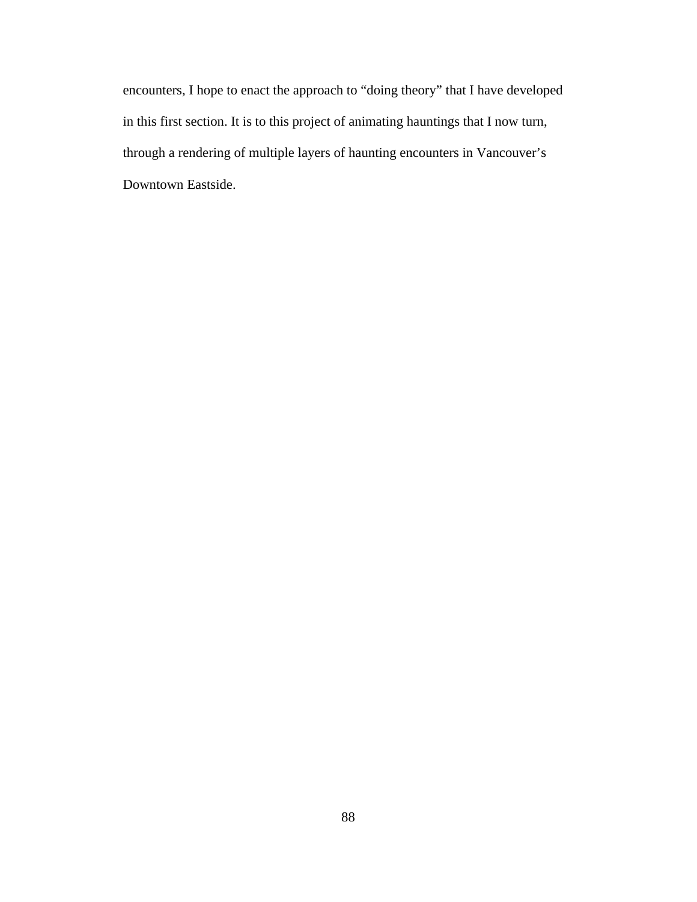encounters, I hope to enact the approach to "doing theory" that I have developed in this first section. It is to this project of animating hauntings that I now turn, through a rendering of multiple layers of haunting encounters in Vancouver's Downtown Eastside.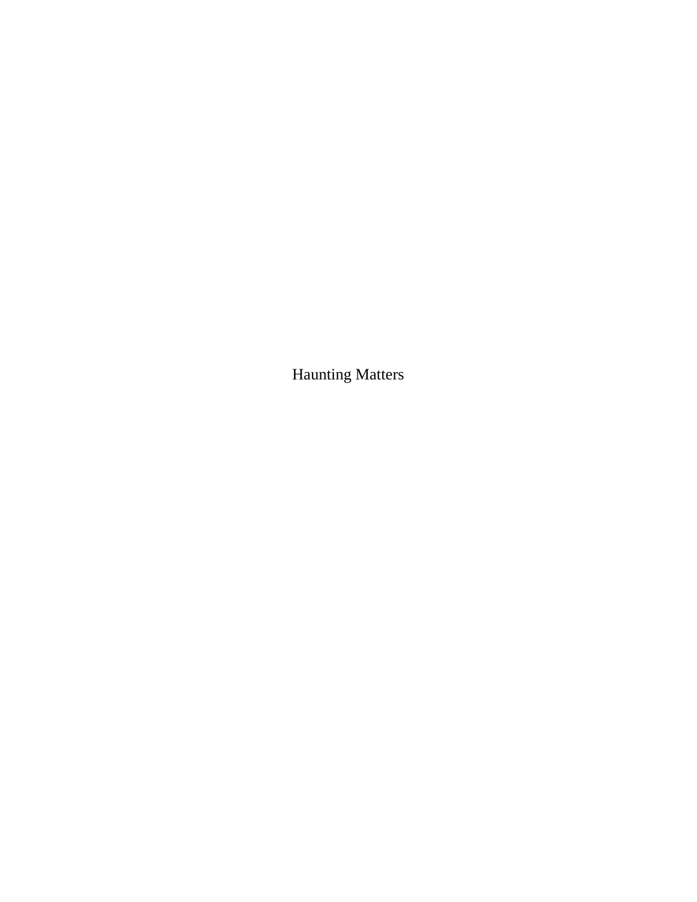Haunting Matters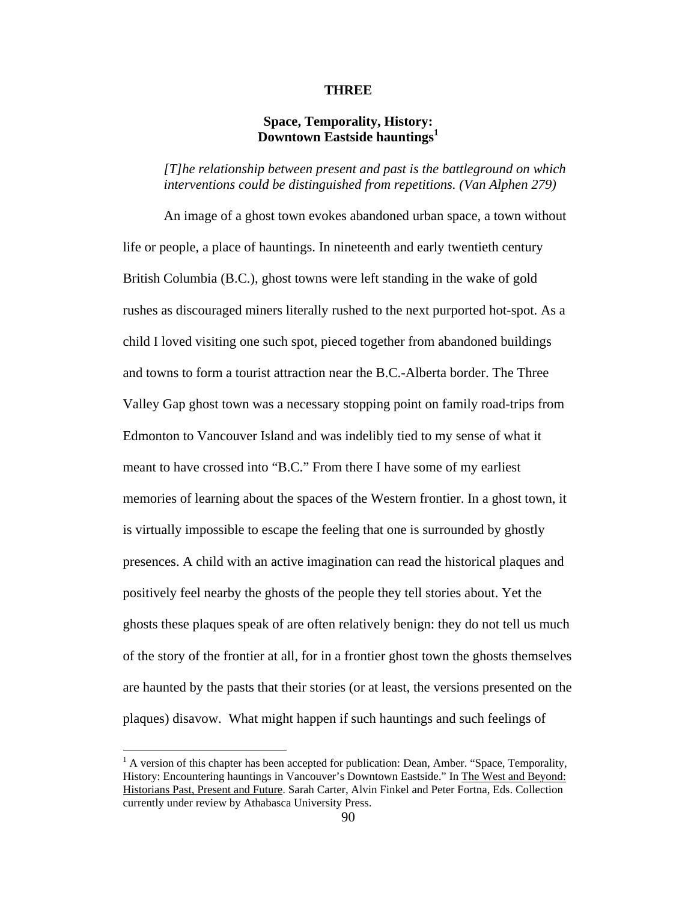#### **THREE**

# **Space, Temporality, History: Downtown Eastside hauntings<sup>1</sup>**

# *[T]he relationship between present and past is the battleground on which interventions could be distinguished from repetitions. (Van Alphen 279)*

An image of a ghost town evokes abandoned urban space, a town without life or people, a place of hauntings. In nineteenth and early twentieth century British Columbia (B.C.), ghost towns were left standing in the wake of gold rushes as discouraged miners literally rushed to the next purported hot-spot. As a child I loved visiting one such spot, pieced together from abandoned buildings and towns to form a tourist attraction near the B.C.-Alberta border. The Three Valley Gap ghost town was a necessary stopping point on family road-trips from Edmonton to Vancouver Island and was indelibly tied to my sense of what it meant to have crossed into "B.C." From there I have some of my earliest memories of learning about the spaces of the Western frontier. In a ghost town, it is virtually impossible to escape the feeling that one is surrounded by ghostly presences. A child with an active imagination can read the historical plaques and positively feel nearby the ghosts of the people they tell stories about. Yet the ghosts these plaques speak of are often relatively benign: they do not tell us much of the story of the frontier at all, for in a frontier ghost town the ghosts themselves are haunted by the pasts that their stories (or at least, the versions presented on the plaques) disavow. What might happen if such hauntings and such feelings of

 $<sup>1</sup>$  A version of this chapter has been accepted for publication: Dean, Amber. "Space, Temporality,</sup> History: Encountering hauntings in Vancouver's Downtown Eastside." In The West and Beyond: Historians Past, Present and Future. Sarah Carter, Alvin Finkel and Peter Fortna, Eds. Collection currently under review by Athabasca University Press.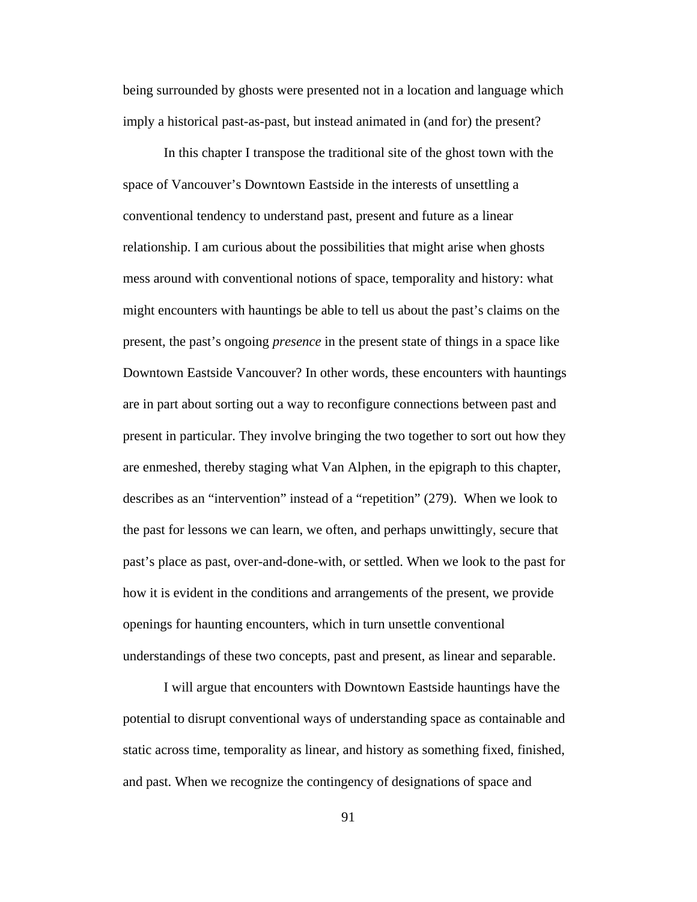being surrounded by ghosts were presented not in a location and language which imply a historical past-as-past, but instead animated in (and for) the present?

In this chapter I transpose the traditional site of the ghost town with the space of Vancouver's Downtown Eastside in the interests of unsettling a conventional tendency to understand past, present and future as a linear relationship. I am curious about the possibilities that might arise when ghosts mess around with conventional notions of space, temporality and history: what might encounters with hauntings be able to tell us about the past's claims on the present, the past's ongoing *presence* in the present state of things in a space like Downtown Eastside Vancouver? In other words, these encounters with hauntings are in part about sorting out a way to reconfigure connections between past and present in particular. They involve bringing the two together to sort out how they are enmeshed, thereby staging what Van Alphen, in the epigraph to this chapter, describes as an "intervention" instead of a "repetition" (279). When we look to the past for lessons we can learn, we often, and perhaps unwittingly, secure that past's place as past, over-and-done-with, or settled. When we look to the past for how it is evident in the conditions and arrangements of the present, we provide openings for haunting encounters, which in turn unsettle conventional understandings of these two concepts, past and present, as linear and separable.

I will argue that encounters with Downtown Eastside hauntings have the potential to disrupt conventional ways of understanding space as containable and static across time, temporality as linear, and history as something fixed, finished, and past. When we recognize the contingency of designations of space and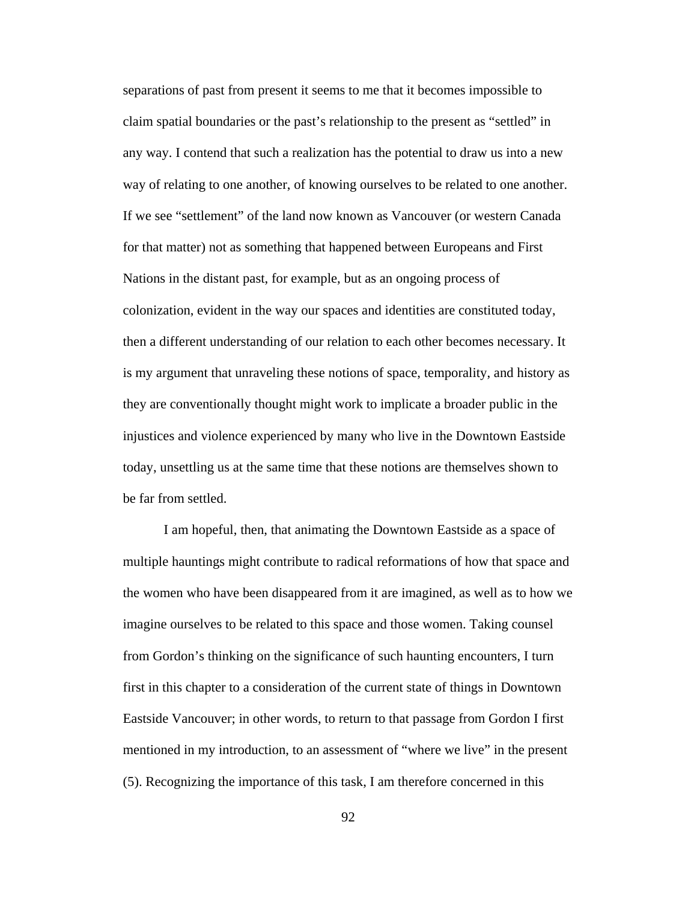separations of past from present it seems to me that it becomes impossible to claim spatial boundaries or the past's relationship to the present as "settled" in any way. I contend that such a realization has the potential to draw us into a new way of relating to one another, of knowing ourselves to be related to one another. If we see "settlement" of the land now known as Vancouver (or western Canada for that matter) not as something that happened between Europeans and First Nations in the distant past, for example, but as an ongoing process of colonization, evident in the way our spaces and identities are constituted today, then a different understanding of our relation to each other becomes necessary. It is my argument that unraveling these notions of space, temporality, and history as they are conventionally thought might work to implicate a broader public in the injustices and violence experienced by many who live in the Downtown Eastside today, unsettling us at the same time that these notions are themselves shown to be far from settled.

I am hopeful, then, that animating the Downtown Eastside as a space of multiple hauntings might contribute to radical reformations of how that space and the women who have been disappeared from it are imagined, as well as to how we imagine ourselves to be related to this space and those women. Taking counsel from Gordon's thinking on the significance of such haunting encounters, I turn first in this chapter to a consideration of the current state of things in Downtown Eastside Vancouver; in other words, to return to that passage from Gordon I first mentioned in my introduction, to an assessment of "where we live" in the present (5). Recognizing the importance of this task, I am therefore concerned in this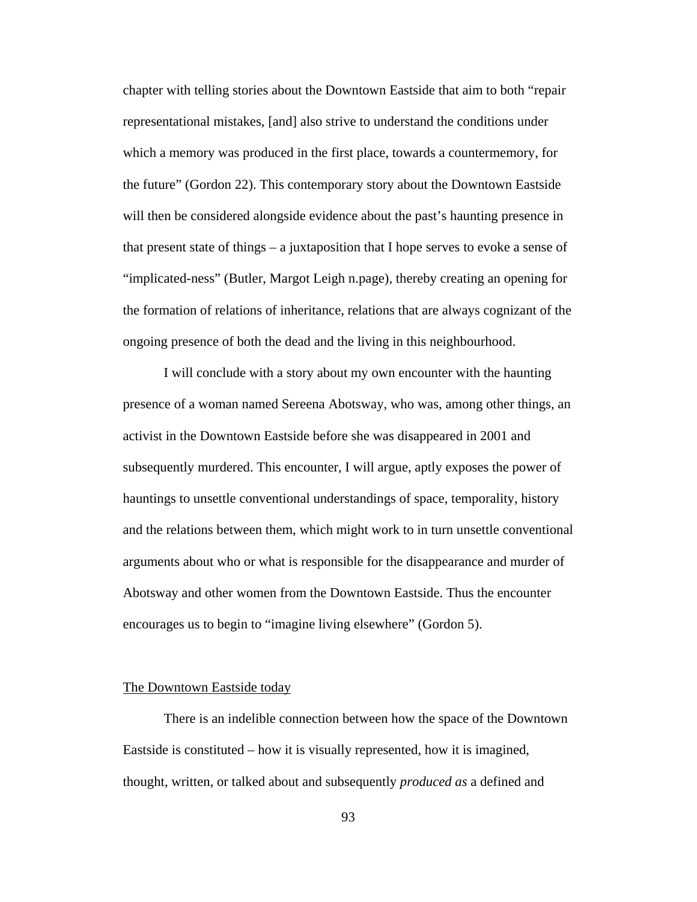chapter with telling stories about the Downtown Eastside that aim to both "repair representational mistakes, [and] also strive to understand the conditions under which a memory was produced in the first place, towards a countermemory, for the future" (Gordon 22). This contemporary story about the Downtown Eastside will then be considered alongside evidence about the past's haunting presence in that present state of things – a juxtaposition that I hope serves to evoke a sense of "implicated-ness" (Butler, Margot Leigh n.page), thereby creating an opening for the formation of relations of inheritance, relations that are always cognizant of the ongoing presence of both the dead and the living in this neighbourhood.

I will conclude with a story about my own encounter with the haunting presence of a woman named Sereena Abotsway, who was, among other things, an activist in the Downtown Eastside before she was disappeared in 2001 and subsequently murdered. This encounter, I will argue, aptly exposes the power of hauntings to unsettle conventional understandings of space, temporality, history and the relations between them, which might work to in turn unsettle conventional arguments about who or what is responsible for the disappearance and murder of Abotsway and other women from the Downtown Eastside. Thus the encounter encourages us to begin to "imagine living elsewhere" (Gordon 5).

#### The Downtown Eastside today

There is an indelible connection between how the space of the Downtown Eastside is constituted – how it is visually represented, how it is imagined, thought, written, or talked about and subsequently *produced as* a defined and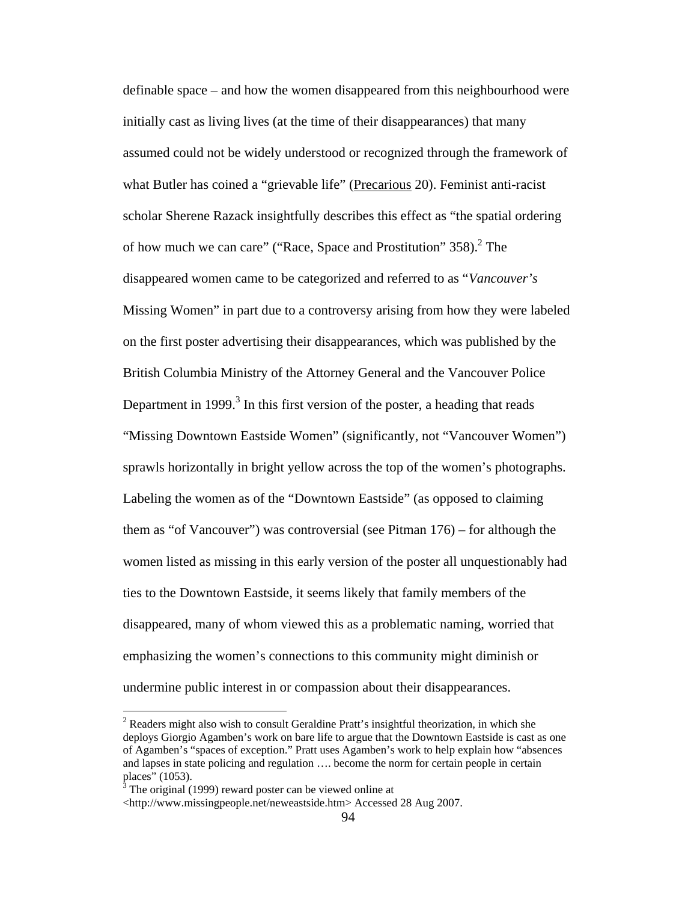definable space – and how the women disappeared from this neighbourhood were initially cast as living lives (at the time of their disappearances) that many assumed could not be widely understood or recognized through the framework of what Butler has coined a "grievable life" (Precarious 20). Feminist anti-racist scholar Sherene Razack insightfully describes this effect as "the spatial ordering of how much we can care" ("Race, Space and Prostitution"  $358$ ).<sup>2</sup> The disappeared women came to be categorized and referred to as "*Vancouver's* Missing Women" in part due to a controversy arising from how they were labeled on the first poster advertising their disappearances, which was published by the British Columbia Ministry of the Attorney General and the Vancouver Police Department in 1999.<sup>3</sup> In this first version of the poster, a heading that reads "Missing Downtown Eastside Women" (significantly, not "Vancouver Women") sprawls horizontally in bright yellow across the top of the women's photographs. Labeling the women as of the "Downtown Eastside" (as opposed to claiming them as "of Vancouver") was controversial (see Pitman 176) – for although the women listed as missing in this early version of the poster all unquestionably had ties to the Downtown Eastside, it seems likely that family members of the disappeared, many of whom viewed this as a problematic naming, worried that emphasizing the women's connections to this community might diminish or undermine public interest in or compassion about their disappearances.

 $2^{2}$  Readers might also wish to consult Geraldine Pratt's insightful theorization, in which she deploys Giorgio Agamben's work on bare life to argue that the Downtown Eastside is cast as one of Agamben's "spaces of exception." Pratt uses Agamben's work to help explain how "absences and lapses in state policing and regulation …. become the norm for certain people in certain places" (1053).

 $3$  The original (1999) reward poster can be viewed online at

<sup>&</sup>lt;http://www.missingpeople.net/neweastside.htm> Accessed 28 Aug 2007.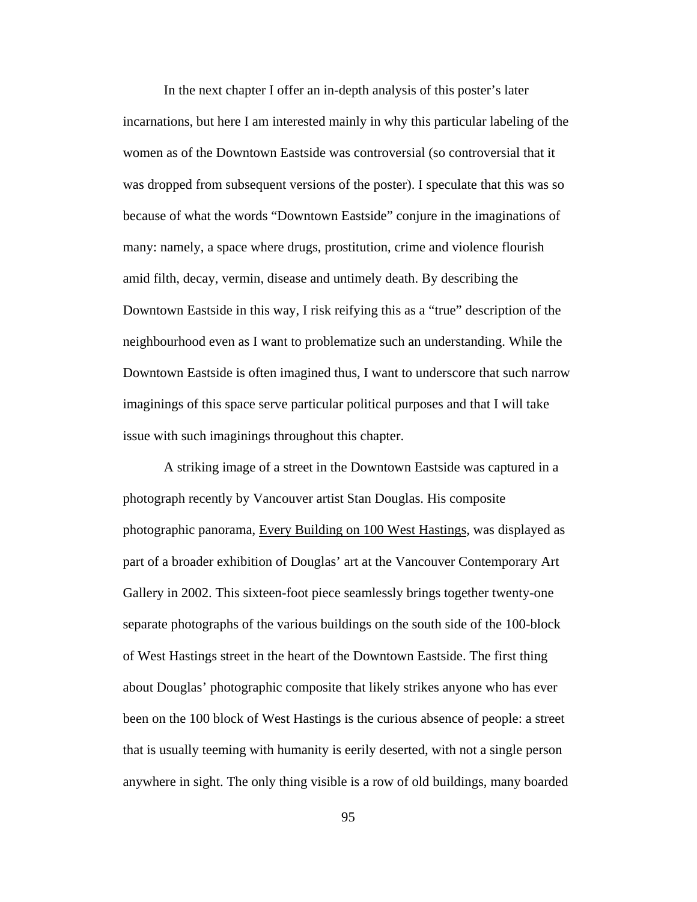In the next chapter I offer an in-depth analysis of this poster's later incarnations, but here I am interested mainly in why this particular labeling of the women as of the Downtown Eastside was controversial (so controversial that it was dropped from subsequent versions of the poster). I speculate that this was so because of what the words "Downtown Eastside" conjure in the imaginations of many: namely, a space where drugs, prostitution, crime and violence flourish amid filth, decay, vermin, disease and untimely death. By describing the Downtown Eastside in this way, I risk reifying this as a "true" description of the neighbourhood even as I want to problematize such an understanding. While the Downtown Eastside is often imagined thus, I want to underscore that such narrow imaginings of this space serve particular political purposes and that I will take issue with such imaginings throughout this chapter.

A striking image of a street in the Downtown Eastside was captured in a photograph recently by Vancouver artist Stan Douglas. His composite photographic panorama, Every Building on 100 West Hastings, was displayed as part of a broader exhibition of Douglas' art at the Vancouver Contemporary Art Gallery in 2002. This sixteen-foot piece seamlessly brings together twenty-one separate photographs of the various buildings on the south side of the 100-block of West Hastings street in the heart of the Downtown Eastside. The first thing about Douglas' photographic composite that likely strikes anyone who has ever been on the 100 block of West Hastings is the curious absence of people: a street that is usually teeming with humanity is eerily deserted, with not a single person anywhere in sight. The only thing visible is a row of old buildings, many boarded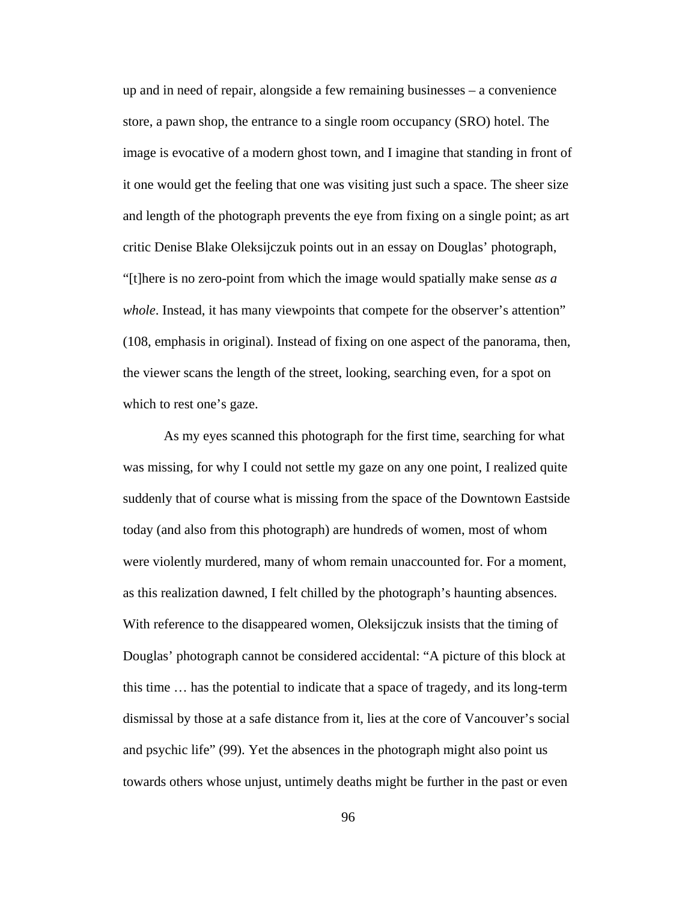up and in need of repair, alongside a few remaining businesses – a convenience store, a pawn shop, the entrance to a single room occupancy (SRO) hotel. The image is evocative of a modern ghost town, and I imagine that standing in front of it one would get the feeling that one was visiting just such a space. The sheer size and length of the photograph prevents the eye from fixing on a single point; as art critic Denise Blake Oleksijczuk points out in an essay on Douglas' photograph, "[t]here is no zero-point from which the image would spatially make sense *as a whole*. Instead, it has many viewpoints that compete for the observer's attention" (108, emphasis in original). Instead of fixing on one aspect of the panorama, then, the viewer scans the length of the street, looking, searching even, for a spot on which to rest one's gaze.

As my eyes scanned this photograph for the first time, searching for what was missing, for why I could not settle my gaze on any one point, I realized quite suddenly that of course what is missing from the space of the Downtown Eastside today (and also from this photograph) are hundreds of women, most of whom were violently murdered, many of whom remain unaccounted for. For a moment, as this realization dawned, I felt chilled by the photograph's haunting absences. With reference to the disappeared women, Oleksijczuk insists that the timing of Douglas' photograph cannot be considered accidental: "A picture of this block at this time … has the potential to indicate that a space of tragedy, and its long-term dismissal by those at a safe distance from it, lies at the core of Vancouver's social and psychic life" (99). Yet the absences in the photograph might also point us towards others whose unjust, untimely deaths might be further in the past or even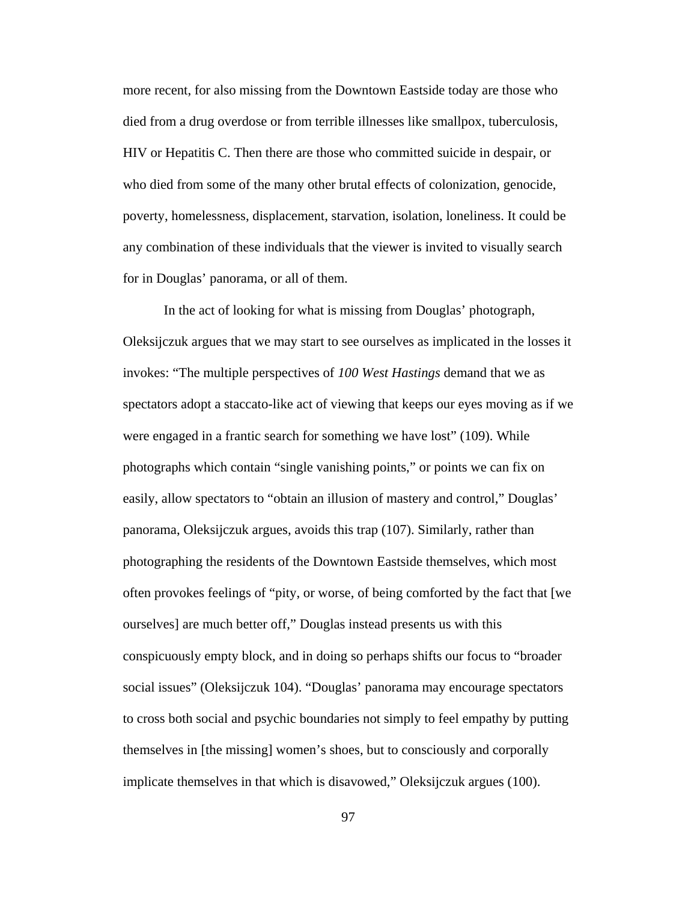more recent, for also missing from the Downtown Eastside today are those who died from a drug overdose or from terrible illnesses like smallpox, tuberculosis, HIV or Hepatitis C. Then there are those who committed suicide in despair, or who died from some of the many other brutal effects of colonization, genocide, poverty, homelessness, displacement, starvation, isolation, loneliness. It could be any combination of these individuals that the viewer is invited to visually search for in Douglas' panorama, or all of them.

In the act of looking for what is missing from Douglas' photograph, Oleksijczuk argues that we may start to see ourselves as implicated in the losses it invokes: "The multiple perspectives of *100 West Hastings* demand that we as spectators adopt a staccato-like act of viewing that keeps our eyes moving as if we were engaged in a frantic search for something we have lost" (109). While photographs which contain "single vanishing points," or points we can fix on easily, allow spectators to "obtain an illusion of mastery and control," Douglas' panorama, Oleksijczuk argues, avoids this trap (107). Similarly, rather than photographing the residents of the Downtown Eastside themselves, which most often provokes feelings of "pity, or worse, of being comforted by the fact that [we ourselves] are much better off," Douglas instead presents us with this conspicuously empty block, and in doing so perhaps shifts our focus to "broader social issues" (Oleksijczuk 104). "Douglas' panorama may encourage spectators to cross both social and psychic boundaries not simply to feel empathy by putting themselves in [the missing] women's shoes, but to consciously and corporally implicate themselves in that which is disavowed," Oleksijczuk argues (100).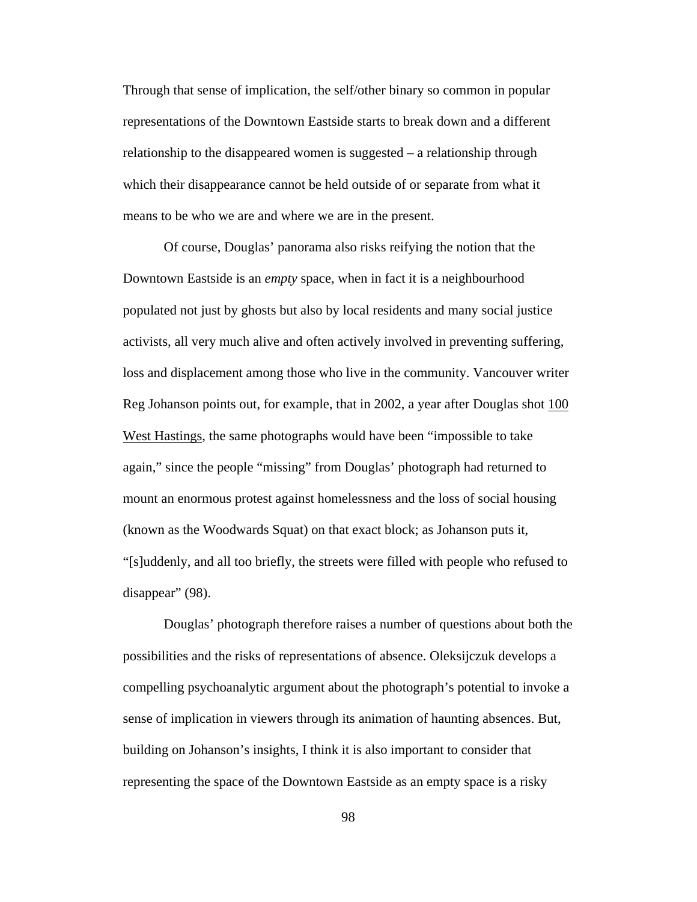Through that sense of implication, the self/other binary so common in popular representations of the Downtown Eastside starts to break down and a different relationship to the disappeared women is suggested – a relationship through which their disappearance cannot be held outside of or separate from what it means to be who we are and where we are in the present.

 Of course, Douglas' panorama also risks reifying the notion that the Downtown Eastside is an *empty* space, when in fact it is a neighbourhood populated not just by ghosts but also by local residents and many social justice activists, all very much alive and often actively involved in preventing suffering, loss and displacement among those who live in the community. Vancouver writer Reg Johanson points out, for example, that in 2002, a year after Douglas shot 100 West Hastings, the same photographs would have been "impossible to take again," since the people "missing" from Douglas' photograph had returned to mount an enormous protest against homelessness and the loss of social housing (known as the Woodwards Squat) on that exact block; as Johanson puts it, "[s]uddenly, and all too briefly, the streets were filled with people who refused to disappear" (98).

Douglas' photograph therefore raises a number of questions about both the possibilities and the risks of representations of absence. Oleksijczuk develops a compelling psychoanalytic argument about the photograph's potential to invoke a sense of implication in viewers through its animation of haunting absences. But, building on Johanson's insights, I think it is also important to consider that representing the space of the Downtown Eastside as an empty space is a risky

98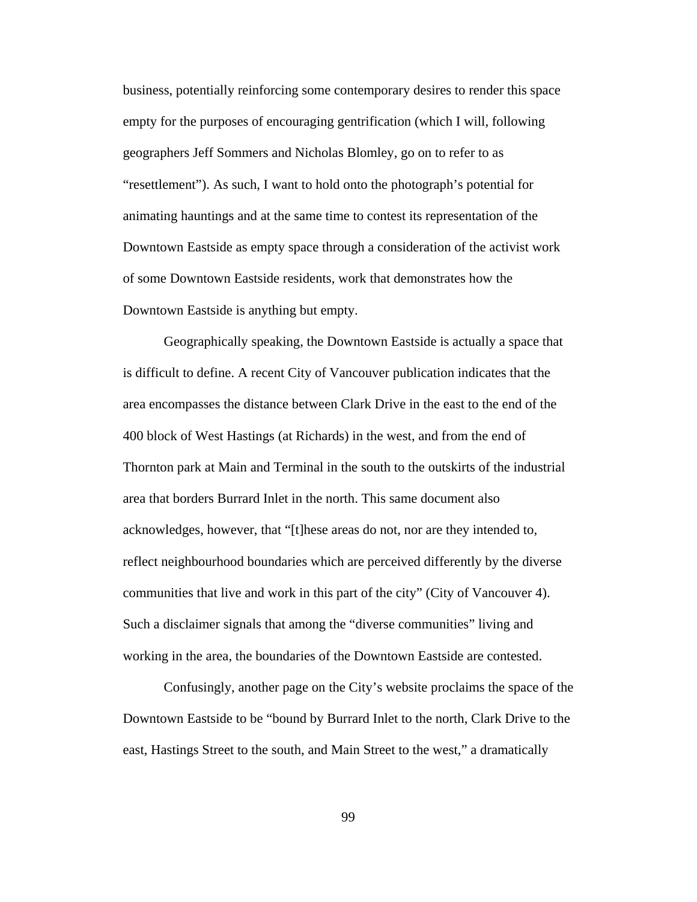business, potentially reinforcing some contemporary desires to render this space empty for the purposes of encouraging gentrification (which I will, following geographers Jeff Sommers and Nicholas Blomley, go on to refer to as "resettlement"). As such, I want to hold onto the photograph's potential for animating hauntings and at the same time to contest its representation of the Downtown Eastside as empty space through a consideration of the activist work of some Downtown Eastside residents, work that demonstrates how the Downtown Eastside is anything but empty.

Geographically speaking, the Downtown Eastside is actually a space that is difficult to define. A recent City of Vancouver publication indicates that the area encompasses the distance between Clark Drive in the east to the end of the 400 block of West Hastings (at Richards) in the west, and from the end of Thornton park at Main and Terminal in the south to the outskirts of the industrial area that borders Burrard Inlet in the north. This same document also acknowledges, however, that "[t]hese areas do not, nor are they intended to, reflect neighbourhood boundaries which are perceived differently by the diverse communities that live and work in this part of the city" (City of Vancouver 4). Such a disclaimer signals that among the "diverse communities" living and working in the area, the boundaries of the Downtown Eastside are contested.

Confusingly, another page on the City's website proclaims the space of the Downtown Eastside to be "bound by Burrard Inlet to the north, Clark Drive to the east, Hastings Street to the south, and Main Street to the west," a dramatically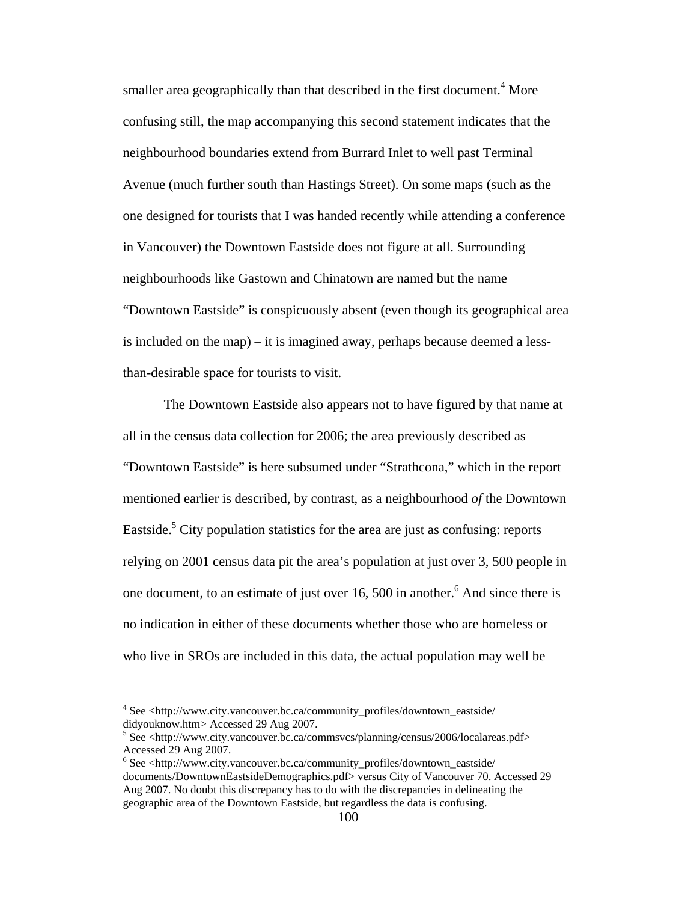smaller area geographically than that described in the first document.<sup>4</sup> More confusing still, the map accompanying this second statement indicates that the neighbourhood boundaries extend from Burrard Inlet to well past Terminal Avenue (much further south than Hastings Street). On some maps (such as the one designed for tourists that I was handed recently while attending a conference in Vancouver) the Downtown Eastside does not figure at all. Surrounding neighbourhoods like Gastown and Chinatown are named but the name "Downtown Eastside" is conspicuously absent (even though its geographical area is included on the map) – it is imagined away, perhaps because deemed a lessthan-desirable space for tourists to visit.

The Downtown Eastside also appears not to have figured by that name at all in the census data collection for 2006; the area previously described as "Downtown Eastside" is here subsumed under "Strathcona," which in the report mentioned earlier is described, by contrast, as a neighbourhood *of* the Downtown Eastside.<sup>5</sup> City population statistics for the area are just as confusing: reports relying on 2001 census data pit the area's population at just over 3, 500 people in one document, to an estimate of just over 16, 500 in another.<sup>6</sup> And since there is no indication in either of these documents whether those who are homeless or who live in SROs are included in this data, the actual population may well be

<sup>&</sup>lt;sup>4</sup> See <http://www.city.vancouver.bc.ca/community\_profiles/downtown\_eastside/ didyouknow.htm> Accessed 29 Aug 2007.

<sup>&</sup>lt;sup>5</sup> See <http://www.city.vancouver.bc.ca/commsvcs/planning/census/2006/localareas.pdf> Accessed 29 Aug 2007.

<sup>&</sup>lt;sup>6</sup> See <http://www.city.vancouver.bc.ca/community\_profiles/downtown\_eastside/ documents/DowntownEastsideDemographics.pdf> versus City of Vancouver 70. Accessed 29 Aug 2007. No doubt this discrepancy has to do with the discrepancies in delineating the geographic area of the Downtown Eastside, but regardless the data is confusing.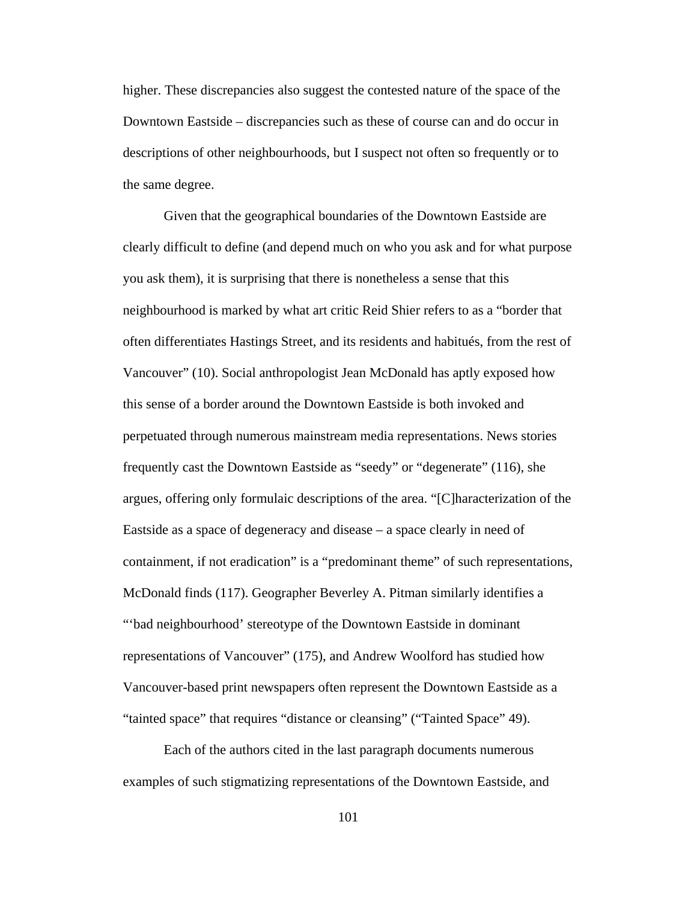higher. These discrepancies also suggest the contested nature of the space of the Downtown Eastside – discrepancies such as these of course can and do occur in descriptions of other neighbourhoods, but I suspect not often so frequently or to the same degree.

Given that the geographical boundaries of the Downtown Eastside are clearly difficult to define (and depend much on who you ask and for what purpose you ask them), it is surprising that there is nonetheless a sense that this neighbourhood is marked by what art critic Reid Shier refers to as a "border that often differentiates Hastings Street, and its residents and habitués, from the rest of Vancouver" (10). Social anthropologist Jean McDonald has aptly exposed how this sense of a border around the Downtown Eastside is both invoked and perpetuated through numerous mainstream media representations. News stories frequently cast the Downtown Eastside as "seedy" or "degenerate" (116), she argues, offering only formulaic descriptions of the area. "[C]haracterization of the Eastside as a space of degeneracy and disease – a space clearly in need of containment, if not eradication" is a "predominant theme" of such representations, McDonald finds (117). Geographer Beverley A. Pitman similarly identifies a "'bad neighbourhood' stereotype of the Downtown Eastside in dominant representations of Vancouver" (175), and Andrew Woolford has studied how Vancouver-based print newspapers often represent the Downtown Eastside as a "tainted space" that requires "distance or cleansing" ("Tainted Space" 49).

Each of the authors cited in the last paragraph documents numerous examples of such stigmatizing representations of the Downtown Eastside, and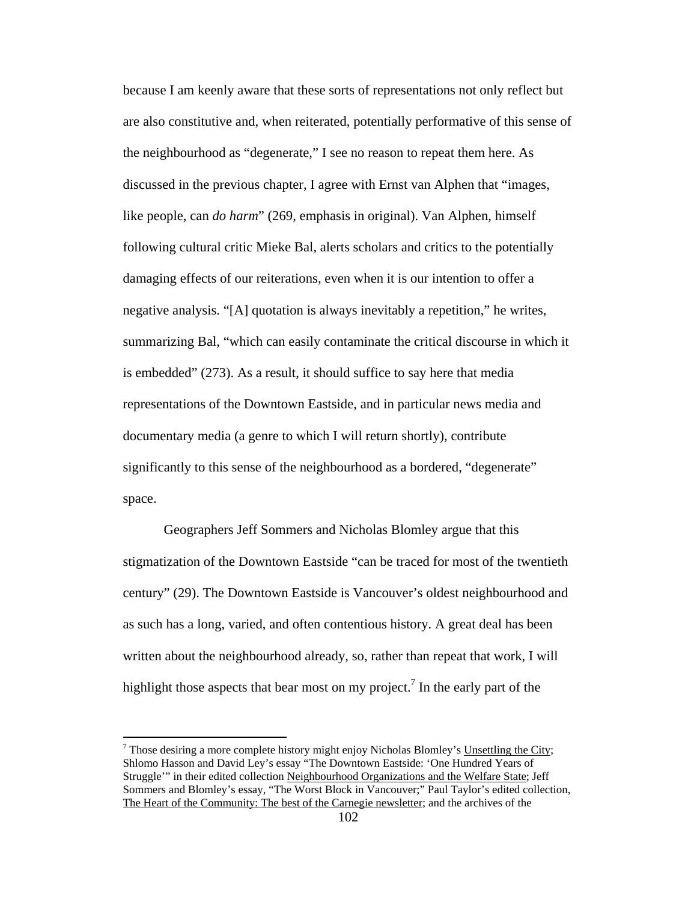because I am keenly aware that these sorts of representations not only reflect but are also constitutive and, when reiterated, potentially performative of this sense of the neighbourhood as "degenerate," I see no reason to repeat them here. As discussed in the previous chapter, I agree with Ernst van Alphen that "images, like people, can *do harm*" (269, emphasis in original). Van Alphen, himself following cultural critic Mieke Bal, alerts scholars and critics to the potentially damaging effects of our reiterations, even when it is our intention to offer a negative analysis. "[A] quotation is always inevitably a repetition," he writes, summarizing Bal, "which can easily contaminate the critical discourse in which it is embedded" (273). As a result, it should suffice to say here that media representations of the Downtown Eastside, and in particular news media and documentary media (a genre to which I will return shortly), contribute significantly to this sense of the neighbourhood as a bordered, "degenerate" space.

Geographers Jeff Sommers and Nicholas Blomley argue that this stigmatization of the Downtown Eastside "can be traced for most of the twentieth century" (29). The Downtown Eastside is Vancouver's oldest neighbourhood and as such has a long, varied, and often contentious history. A great deal has been written about the neighbourhood already, so, rather than repeat that work, I will highlight those aspects that bear most on my project.<sup>7</sup> In the early part of the

<sup>&</sup>lt;sup>7</sup> Those desiring a more complete history might enjoy Nicholas Blomley's Unsettling the City; Shlomo Hasson and David Ley's essay "The Downtown Eastside: 'One Hundred Years of Struggle'" in their edited collection Neighbourhood Organizations and the Welfare State; Jeff Sommers and Blomley's essay, "The Worst Block in Vancouver;" Paul Taylor's edited collection, The Heart of the Community: The best of the Carnegie newsletter; and the archives of the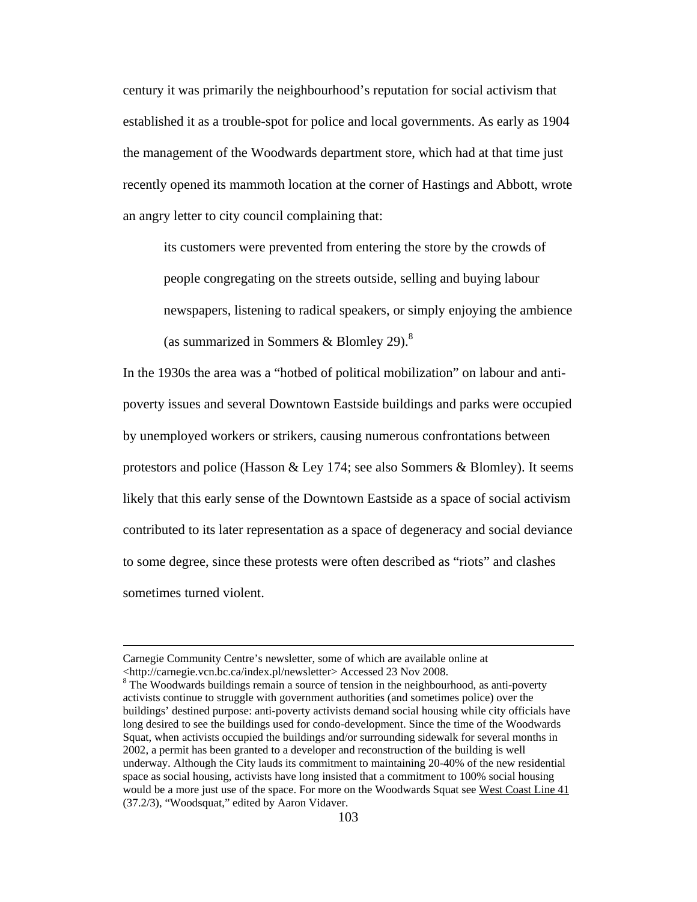century it was primarily the neighbourhood's reputation for social activism that established it as a trouble-spot for police and local governments. As early as 1904 the management of the Woodwards department store, which had at that time just recently opened its mammoth location at the corner of Hastings and Abbott, wrote an angry letter to city council complaining that:

its customers were prevented from entering the store by the crowds of people congregating on the streets outside, selling and buying labour newspapers, listening to radical speakers, or simply enjoying the ambience (as summarized in Sommers & Blomley 29). $8$ 

In the 1930s the area was a "hotbed of political mobilization" on labour and antipoverty issues and several Downtown Eastside buildings and parks were occupied by unemployed workers or strikers, causing numerous confrontations between protestors and police (Hasson & Ley 174; see also Sommers & Blomley). It seems likely that this early sense of the Downtown Eastside as a space of social activism contributed to its later representation as a space of degeneracy and social deviance to some degree, since these protests were often described as "riots" and clashes sometimes turned violent.

Carnegie Community Centre's newsletter, some of which are available online at <http://carnegie.vcn.bc.ca/index.pl/newsletter> Accessed 23 Nov 2008.

<sup>&</sup>lt;sup>8</sup> The Woodwards buildings remain a source of tension in the neighbourhood, as anti-poverty activists continue to struggle with government authorities (and sometimes police) over the buildings' destined purpose: anti-poverty activists demand social housing while city officials have long desired to see the buildings used for condo-development. Since the time of the Woodwards Squat, when activists occupied the buildings and/or surrounding sidewalk for several months in 2002, a permit has been granted to a developer and reconstruction of the building is well underway. Although the City lauds its commitment to maintaining 20-40% of the new residential space as social housing, activists have long insisted that a commitment to 100% social housing would be a more just use of the space. For more on the Woodwards Squat see West Coast Line 41 (37.2/3), "Woodsquat," edited by Aaron Vidaver.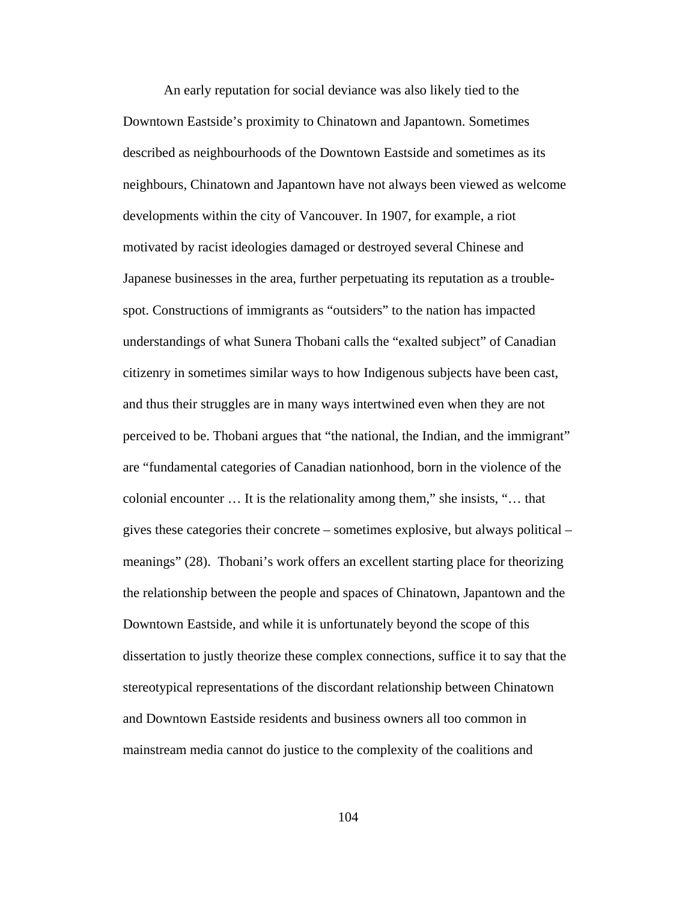An early reputation for social deviance was also likely tied to the Downtown Eastside's proximity to Chinatown and Japantown. Sometimes described as neighbourhoods of the Downtown Eastside and sometimes as its neighbours, Chinatown and Japantown have not always been viewed as welcome developments within the city of Vancouver. In 1907, for example, a riot motivated by racist ideologies damaged or destroyed several Chinese and Japanese businesses in the area, further perpetuating its reputation as a troublespot. Constructions of immigrants as "outsiders" to the nation has impacted understandings of what Sunera Thobani calls the "exalted subject" of Canadian citizenry in sometimes similar ways to how Indigenous subjects have been cast, and thus their struggles are in many ways intertwined even when they are not perceived to be. Thobani argues that "the national, the Indian, and the immigrant" are "fundamental categories of Canadian nationhood, born in the violence of the colonial encounter … It is the relationality among them," she insists, "… that gives these categories their concrete – sometimes explosive, but always political – meanings" (28). Thobani's work offers an excellent starting place for theorizing the relationship between the people and spaces of Chinatown, Japantown and the Downtown Eastside, and while it is unfortunately beyond the scope of this dissertation to justly theorize these complex connections, suffice it to say that the stereotypical representations of the discordant relationship between Chinatown and Downtown Eastside residents and business owners all too common in mainstream media cannot do justice to the complexity of the coalitions and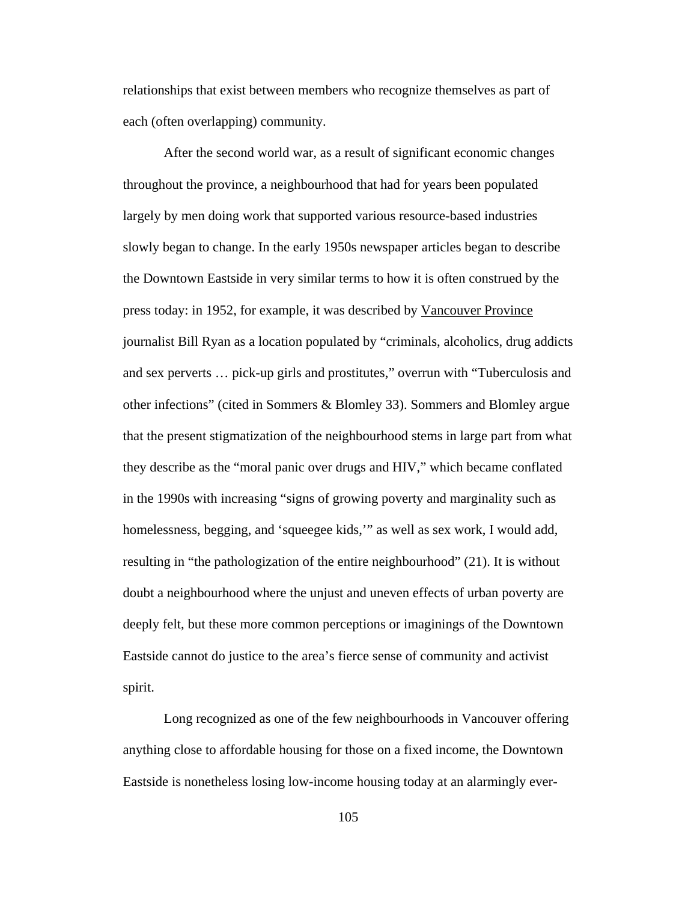relationships that exist between members who recognize themselves as part of each (often overlapping) community.

After the second world war, as a result of significant economic changes throughout the province, a neighbourhood that had for years been populated largely by men doing work that supported various resource-based industries slowly began to change. In the early 1950s newspaper articles began to describe the Downtown Eastside in very similar terms to how it is often construed by the press today: in 1952, for example, it was described by Vancouver Province journalist Bill Ryan as a location populated by "criminals, alcoholics, drug addicts and sex perverts … pick-up girls and prostitutes," overrun with "Tuberculosis and other infections" (cited in Sommers & Blomley 33). Sommers and Blomley argue that the present stigmatization of the neighbourhood stems in large part from what they describe as the "moral panic over drugs and HIV," which became conflated in the 1990s with increasing "signs of growing poverty and marginality such as homelessness, begging, and 'squeegee kids,'" as well as sex work, I would add, resulting in "the pathologization of the entire neighbourhood" (21). It is without doubt a neighbourhood where the unjust and uneven effects of urban poverty are deeply felt, but these more common perceptions or imaginings of the Downtown Eastside cannot do justice to the area's fierce sense of community and activist spirit.

Long recognized as one of the few neighbourhoods in Vancouver offering anything close to affordable housing for those on a fixed income, the Downtown Eastside is nonetheless losing low-income housing today at an alarmingly ever-

105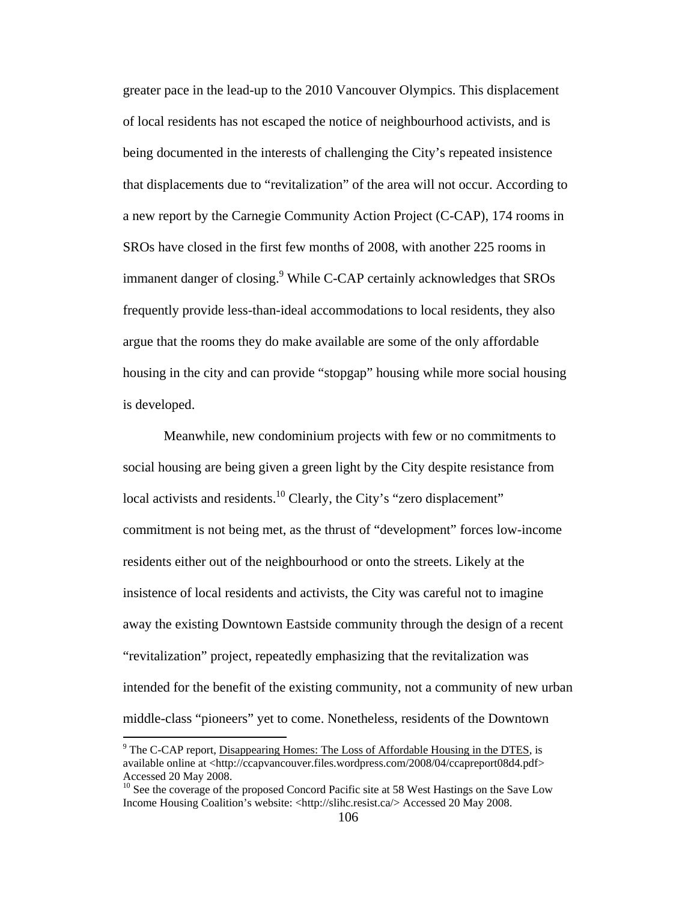greater pace in the lead-up to the 2010 Vancouver Olympics. This displacement of local residents has not escaped the notice of neighbourhood activists, and is being documented in the interests of challenging the City's repeated insistence that displacements due to "revitalization" of the area will not occur. According to a new report by the Carnegie Community Action Project (C-CAP), 174 rooms in SROs have closed in the first few months of 2008, with another 225 rooms in immanent danger of closing.<sup>9</sup> While C-CAP certainly acknowledges that SROs frequently provide less-than-ideal accommodations to local residents, they also argue that the rooms they do make available are some of the only affordable housing in the city and can provide "stopgap" housing while more social housing is developed.

Meanwhile, new condominium projects with few or no commitments to social housing are being given a green light by the City despite resistance from local activists and residents.<sup>10</sup> Clearly, the City's "zero displacement" commitment is not being met, as the thrust of "development" forces low-income residents either out of the neighbourhood or onto the streets. Likely at the insistence of local residents and activists, the City was careful not to imagine away the existing Downtown Eastside community through the design of a recent "revitalization" project, repeatedly emphasizing that the revitalization was intended for the benefit of the existing community, not a community of new urban middle-class "pioneers" yet to come. Nonetheless, residents of the Downtown

<sup>&</sup>lt;sup>9</sup> The C-CAP report, Disappearing Homes: The Loss of Affordable Housing in the DTES, is available online at <http://ccapvancouver.files.wordpress.com/2008/04/ccapreport08d4.pdf> Accessed 20 May 2008.

 $10$  See the coverage of the proposed Concord Pacific site at 58 West Hastings on the Save Low Income Housing Coalition's website: <http://slihc.resist.ca/> Accessed 20 May 2008.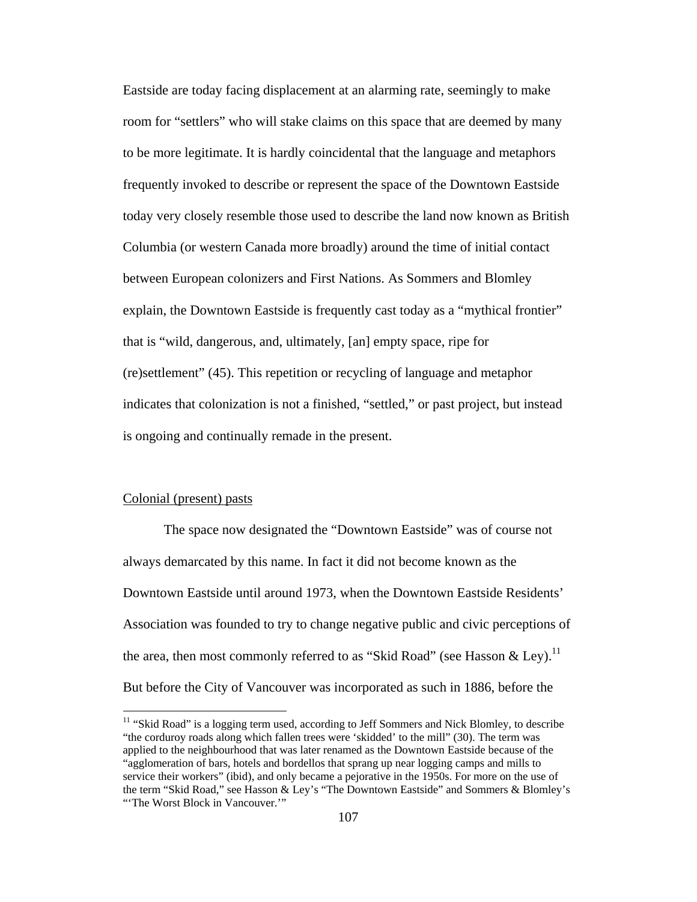Eastside are today facing displacement at an alarming rate, seemingly to make room for "settlers" who will stake claims on this space that are deemed by many to be more legitimate. It is hardly coincidental that the language and metaphors frequently invoked to describe or represent the space of the Downtown Eastside today very closely resemble those used to describe the land now known as British Columbia (or western Canada more broadly) around the time of initial contact between European colonizers and First Nations. As Sommers and Blomley explain, the Downtown Eastside is frequently cast today as a "mythical frontier" that is "wild, dangerous, and, ultimately, [an] empty space, ripe for (re)settlement" (45). This repetition or recycling of language and metaphor indicates that colonization is not a finished, "settled," or past project, but instead is ongoing and continually remade in the present.

## Colonial (present) pasts

1

 The space now designated the "Downtown Eastside" was of course not always demarcated by this name. In fact it did not become known as the Downtown Eastside until around 1973, when the Downtown Eastside Residents' Association was founded to try to change negative public and civic perceptions of the area, then most commonly referred to as "Skid Road" (see Hasson & Ley).<sup>11</sup> But before the City of Vancouver was incorporated as such in 1886, before the

 $11$  "Skid Road" is a logging term used, according to Jeff Sommers and Nick Blomley, to describe "the corduroy roads along which fallen trees were 'skidded' to the mill" (30). The term was applied to the neighbourhood that was later renamed as the Downtown Eastside because of the "agglomeration of bars, hotels and bordellos that sprang up near logging camps and mills to service their workers" (ibid), and only became a pejorative in the 1950s. For more on the use of the term "Skid Road," see Hasson & Ley's "The Downtown Eastside" and Sommers & Blomley's "'The Worst Block in Vancouver.'"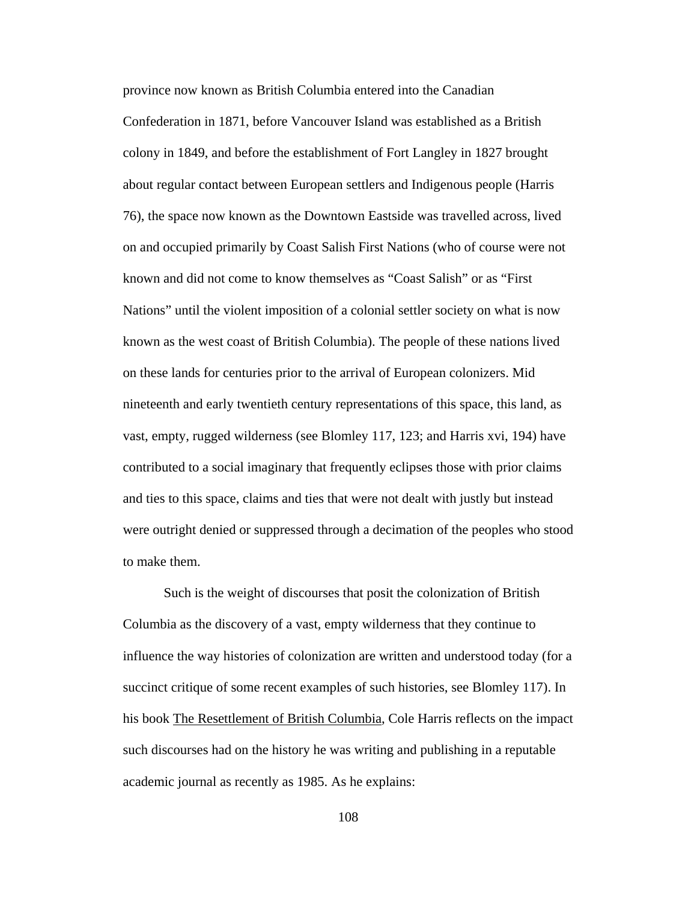province now known as British Columbia entered into the Canadian

Confederation in 1871, before Vancouver Island was established as a British colony in 1849, and before the establishment of Fort Langley in 1827 brought about regular contact between European settlers and Indigenous people (Harris 76), the space now known as the Downtown Eastside was travelled across, lived on and occupied primarily by Coast Salish First Nations (who of course were not known and did not come to know themselves as "Coast Salish" or as "First Nations" until the violent imposition of a colonial settler society on what is now known as the west coast of British Columbia). The people of these nations lived on these lands for centuries prior to the arrival of European colonizers. Mid nineteenth and early twentieth century representations of this space, this land, as vast, empty, rugged wilderness (see Blomley 117, 123; and Harris xvi, 194) have contributed to a social imaginary that frequently eclipses those with prior claims and ties to this space, claims and ties that were not dealt with justly but instead were outright denied or suppressed through a decimation of the peoples who stood to make them.

Such is the weight of discourses that posit the colonization of British Columbia as the discovery of a vast, empty wilderness that they continue to influence the way histories of colonization are written and understood today (for a succinct critique of some recent examples of such histories, see Blomley 117). In his book The Resettlement of British Columbia, Cole Harris reflects on the impact such discourses had on the history he was writing and publishing in a reputable academic journal as recently as 1985. As he explains: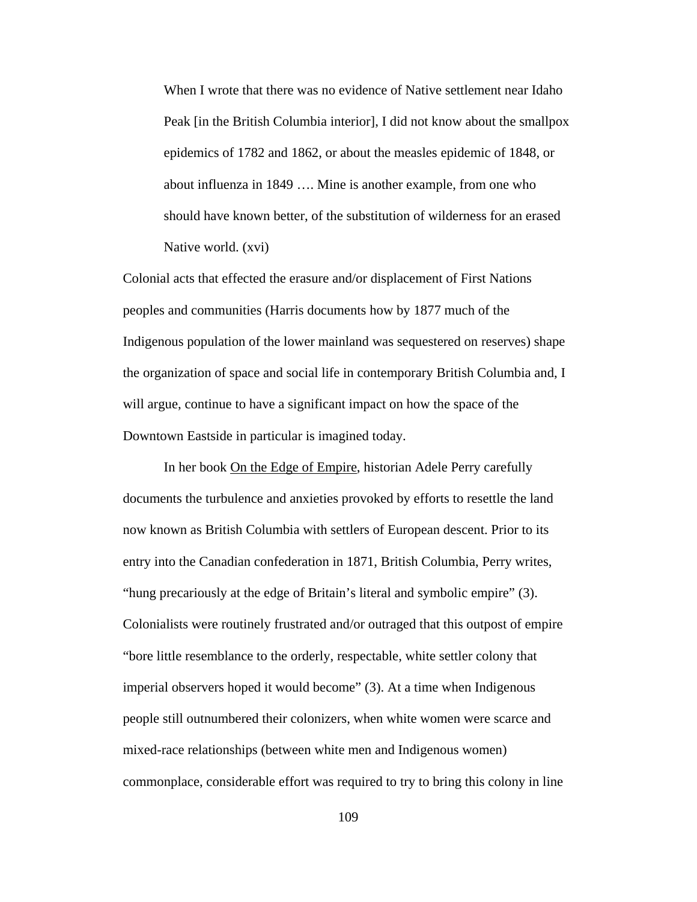When I wrote that there was no evidence of Native settlement near Idaho Peak [in the British Columbia interior], I did not know about the smallpox epidemics of 1782 and 1862, or about the measles epidemic of 1848, or about influenza in 1849 …. Mine is another example, from one who should have known better, of the substitution of wilderness for an erased Native world. (xvi)

Colonial acts that effected the erasure and/or displacement of First Nations peoples and communities (Harris documents how by 1877 much of the Indigenous population of the lower mainland was sequestered on reserves) shape the organization of space and social life in contemporary British Columbia and, I will argue, continue to have a significant impact on how the space of the Downtown Eastside in particular is imagined today.

 In her book On the Edge of Empire, historian Adele Perry carefully documents the turbulence and anxieties provoked by efforts to resettle the land now known as British Columbia with settlers of European descent. Prior to its entry into the Canadian confederation in 1871, British Columbia, Perry writes, "hung precariously at the edge of Britain's literal and symbolic empire" (3). Colonialists were routinely frustrated and/or outraged that this outpost of empire "bore little resemblance to the orderly, respectable, white settler colony that imperial observers hoped it would become" (3). At a time when Indigenous people still outnumbered their colonizers, when white women were scarce and mixed-race relationships (between white men and Indigenous women) commonplace, considerable effort was required to try to bring this colony in line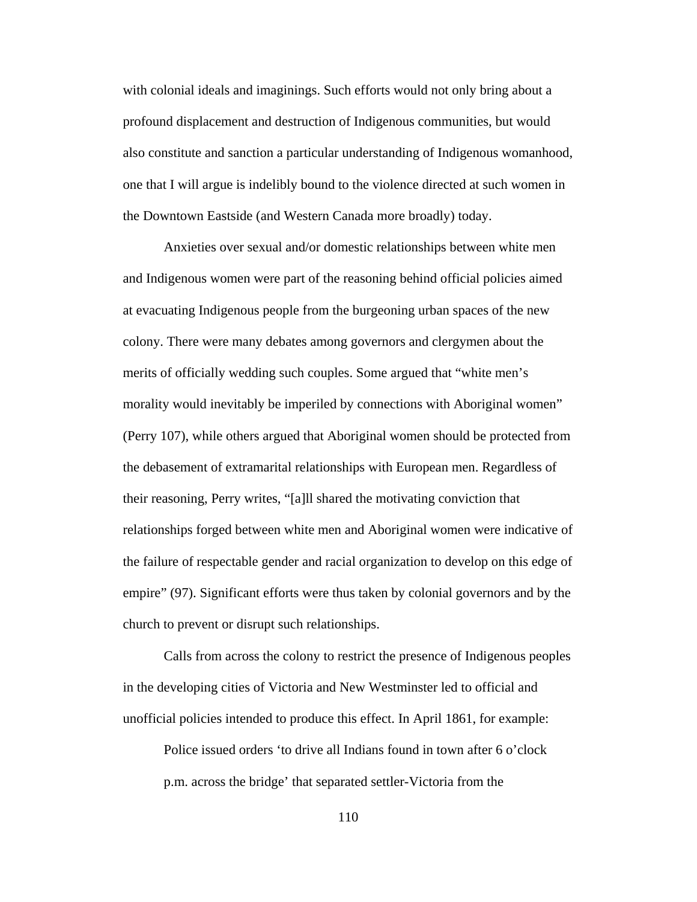with colonial ideals and imaginings. Such efforts would not only bring about a profound displacement and destruction of Indigenous communities, but would also constitute and sanction a particular understanding of Indigenous womanhood, one that I will argue is indelibly bound to the violence directed at such women in the Downtown Eastside (and Western Canada more broadly) today.

 Anxieties over sexual and/or domestic relationships between white men and Indigenous women were part of the reasoning behind official policies aimed at evacuating Indigenous people from the burgeoning urban spaces of the new colony. There were many debates among governors and clergymen about the merits of officially wedding such couples. Some argued that "white men's morality would inevitably be imperiled by connections with Aboriginal women" (Perry 107), while others argued that Aboriginal women should be protected from the debasement of extramarital relationships with European men. Regardless of their reasoning, Perry writes, "[a]ll shared the motivating conviction that relationships forged between white men and Aboriginal women were indicative of the failure of respectable gender and racial organization to develop on this edge of empire" (97). Significant efforts were thus taken by colonial governors and by the church to prevent or disrupt such relationships.

 Calls from across the colony to restrict the presence of Indigenous peoples in the developing cities of Victoria and New Westminster led to official and unofficial policies intended to produce this effect. In April 1861, for example:

Police issued orders 'to drive all Indians found in town after 6 o'clock p.m. across the bridge' that separated settler-Victoria from the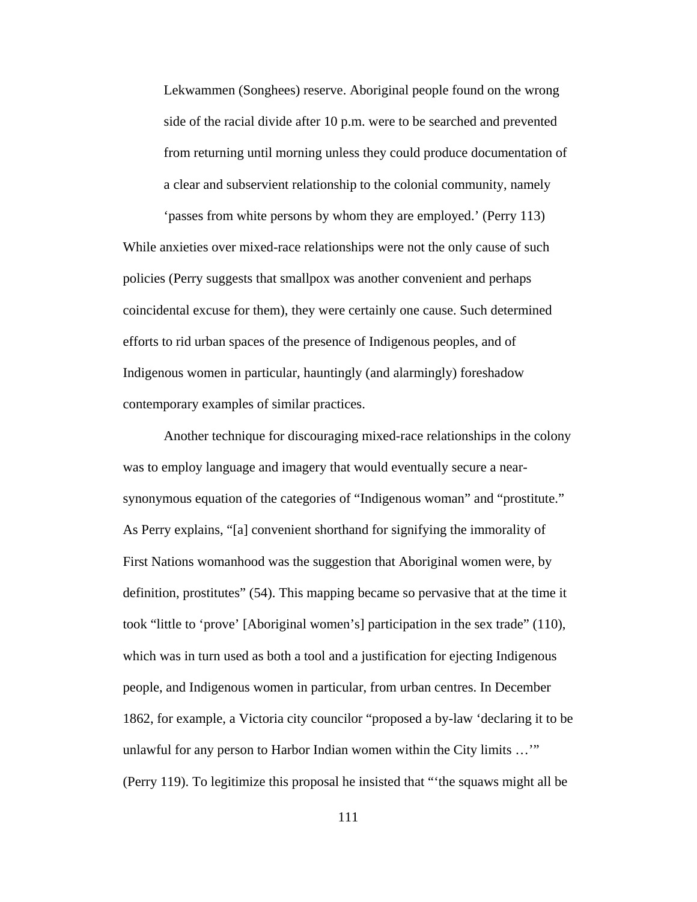Lekwammen (Songhees) reserve. Aboriginal people found on the wrong side of the racial divide after 10 p.m. were to be searched and prevented from returning until morning unless they could produce documentation of a clear and subservient relationship to the colonial community, namely

'passes from white persons by whom they are employed.' (Perry 113)

While anxieties over mixed-race relationships were not the only cause of such policies (Perry suggests that smallpox was another convenient and perhaps coincidental excuse for them), they were certainly one cause. Such determined efforts to rid urban spaces of the presence of Indigenous peoples, and of Indigenous women in particular, hauntingly (and alarmingly) foreshadow contemporary examples of similar practices.

 Another technique for discouraging mixed-race relationships in the colony was to employ language and imagery that would eventually secure a nearsynonymous equation of the categories of "Indigenous woman" and "prostitute." As Perry explains, "[a] convenient shorthand for signifying the immorality of First Nations womanhood was the suggestion that Aboriginal women were, by definition, prostitutes" (54). This mapping became so pervasive that at the time it took "little to 'prove' [Aboriginal women's] participation in the sex trade" (110), which was in turn used as both a tool and a justification for ejecting Indigenous people, and Indigenous women in particular, from urban centres. In December 1862, for example, a Victoria city councilor "proposed a by-law 'declaring it to be unlawful for any person to Harbor Indian women within the City limits …'" (Perry 119). To legitimize this proposal he insisted that "'the squaws might all be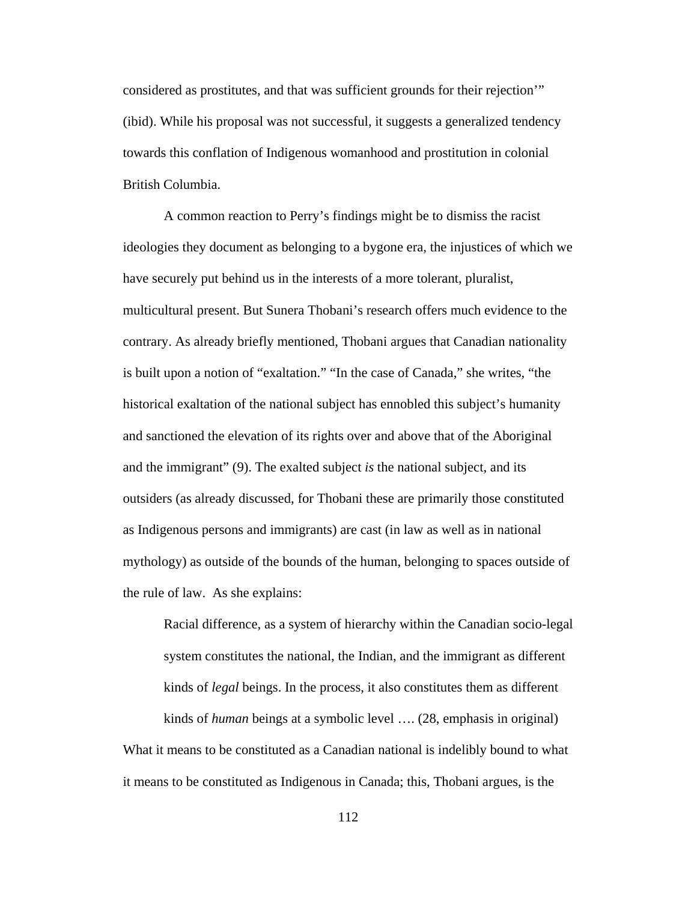considered as prostitutes, and that was sufficient grounds for their rejection'" (ibid). While his proposal was not successful, it suggests a generalized tendency towards this conflation of Indigenous womanhood and prostitution in colonial British Columbia.

 A common reaction to Perry's findings might be to dismiss the racist ideologies they document as belonging to a bygone era, the injustices of which we have securely put behind us in the interests of a more tolerant, pluralist, multicultural present. But Sunera Thobani's research offers much evidence to the contrary. As already briefly mentioned, Thobani argues that Canadian nationality is built upon a notion of "exaltation." "In the case of Canada," she writes, "the historical exaltation of the national subject has ennobled this subject's humanity and sanctioned the elevation of its rights over and above that of the Aboriginal and the immigrant" (9). The exalted subject *is* the national subject, and its outsiders (as already discussed, for Thobani these are primarily those constituted as Indigenous persons and immigrants) are cast (in law as well as in national mythology) as outside of the bounds of the human, belonging to spaces outside of the rule of law. As she explains:

Racial difference, as a system of hierarchy within the Canadian socio-legal system constitutes the national, the Indian, and the immigrant as different kinds of *legal* beings. In the process, it also constitutes them as different

kinds of *human* beings at a symbolic level …. (28, emphasis in original) What it means to be constituted as a Canadian national is indelibly bound to what it means to be constituted as Indigenous in Canada; this, Thobani argues, is the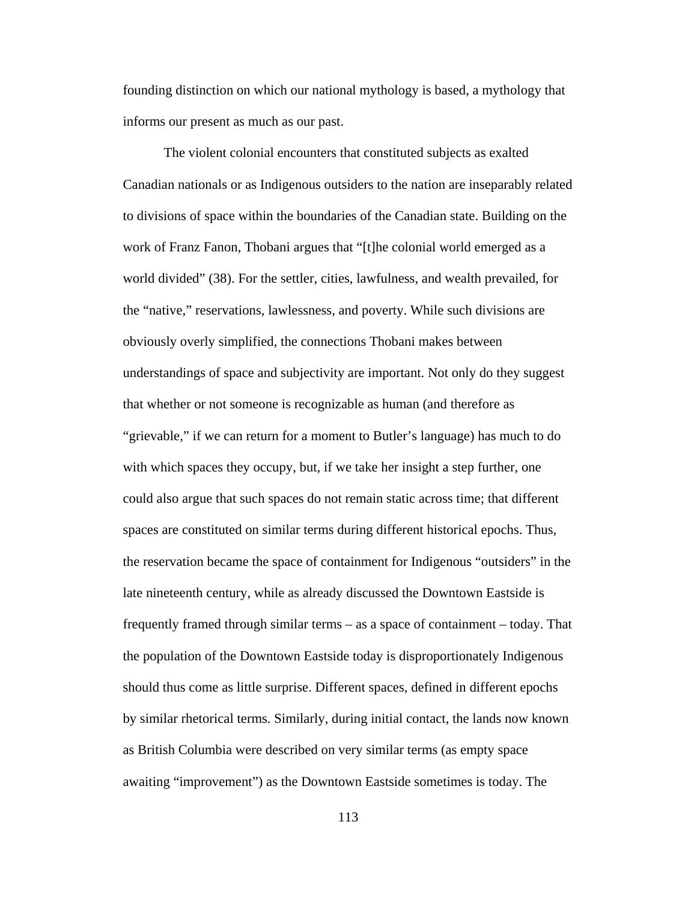founding distinction on which our national mythology is based, a mythology that informs our present as much as our past.

 The violent colonial encounters that constituted subjects as exalted Canadian nationals or as Indigenous outsiders to the nation are inseparably related to divisions of space within the boundaries of the Canadian state. Building on the work of Franz Fanon, Thobani argues that "[t]he colonial world emerged as a world divided" (38). For the settler, cities, lawfulness, and wealth prevailed, for the "native," reservations, lawlessness, and poverty. While such divisions are obviously overly simplified, the connections Thobani makes between understandings of space and subjectivity are important. Not only do they suggest that whether or not someone is recognizable as human (and therefore as "grievable," if we can return for a moment to Butler's language) has much to do with which spaces they occupy, but, if we take her insight a step further, one could also argue that such spaces do not remain static across time; that different spaces are constituted on similar terms during different historical epochs. Thus, the reservation became the space of containment for Indigenous "outsiders" in the late nineteenth century, while as already discussed the Downtown Eastside is frequently framed through similar terms – as a space of containment – today. That the population of the Downtown Eastside today is disproportionately Indigenous should thus come as little surprise. Different spaces, defined in different epochs by similar rhetorical terms. Similarly, during initial contact, the lands now known as British Columbia were described on very similar terms (as empty space awaiting "improvement") as the Downtown Eastside sometimes is today. The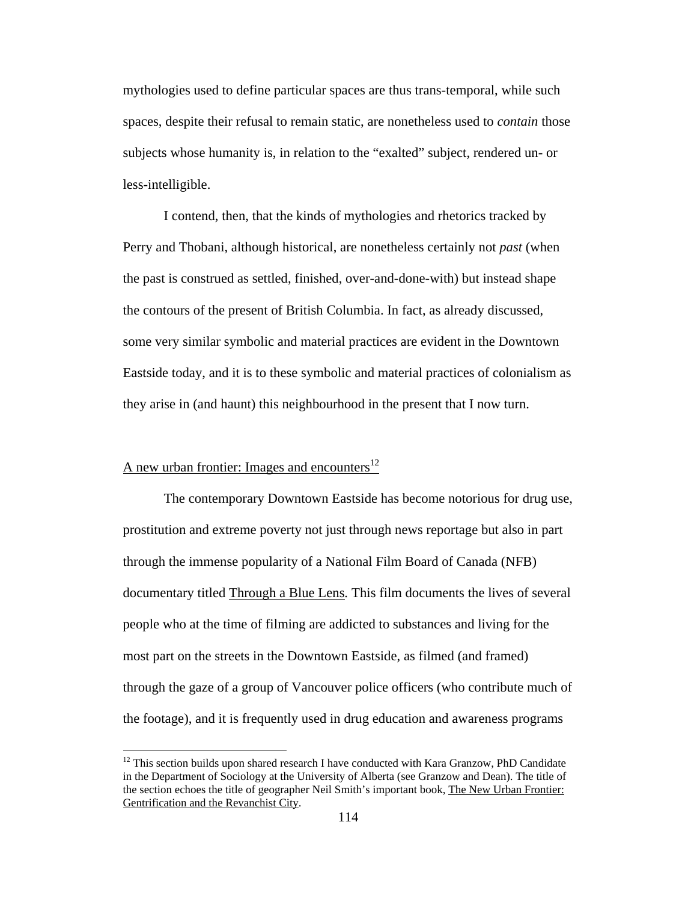mythologies used to define particular spaces are thus trans-temporal, while such spaces, despite their refusal to remain static, are nonetheless used to *contain* those subjects whose humanity is, in relation to the "exalted" subject, rendered un- or less-intelligible.

I contend, then, that the kinds of mythologies and rhetorics tracked by Perry and Thobani, although historical, are nonetheless certainly not *past* (when the past is construed as settled, finished, over-and-done-with) but instead shape the contours of the present of British Columbia. In fact, as already discussed, some very similar symbolic and material practices are evident in the Downtown Eastside today, and it is to these symbolic and material practices of colonialism as they arise in (and haunt) this neighbourhood in the present that I now turn.

## A new urban frontier: Images and encounters<sup>12</sup>

 $\overline{a}$ 

 The contemporary Downtown Eastside has become notorious for drug use, prostitution and extreme poverty not just through news reportage but also in part through the immense popularity of a National Film Board of Canada (NFB) documentary titled Through a Blue Lens*.* This film documents the lives of several people who at the time of filming are addicted to substances and living for the most part on the streets in the Downtown Eastside, as filmed (and framed) through the gaze of a group of Vancouver police officers (who contribute much of the footage), and it is frequently used in drug education and awareness programs

 $12$  This section builds upon shared research I have conducted with Kara Granzow, PhD Candidate in the Department of Sociology at the University of Alberta (see Granzow and Dean). The title of the section echoes the title of geographer Neil Smith's important book, The New Urban Frontier: Gentrification and the Revanchist City.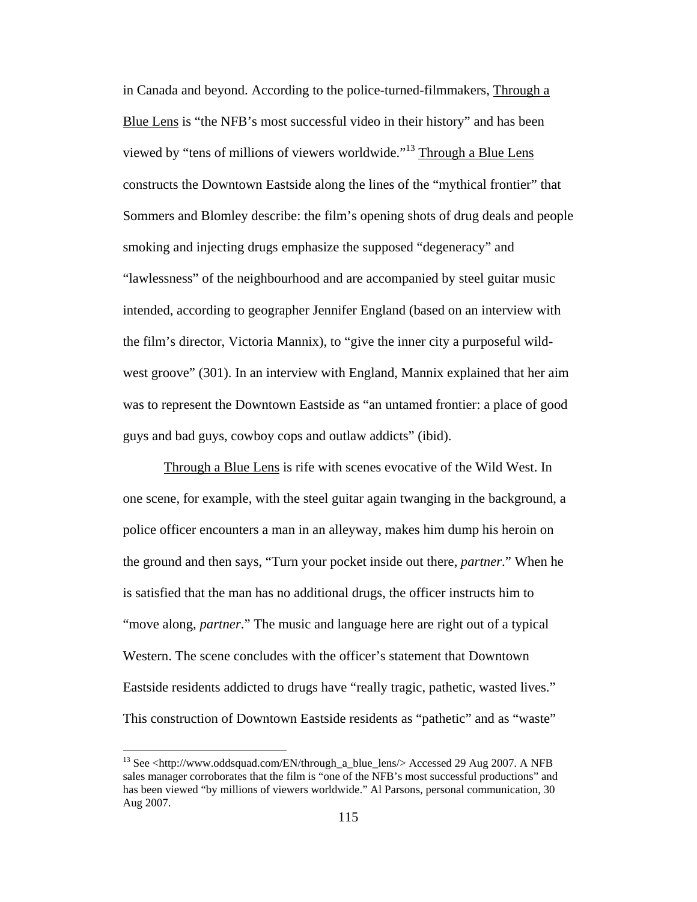in Canada and beyond. According to the police-turned-filmmakers, Through a Blue Lens is "the NFB's most successful video in their history" and has been viewed by "tens of millions of viewers worldwide."13 Through a Blue Lens constructs the Downtown Eastside along the lines of the "mythical frontier" that Sommers and Blomley describe: the film's opening shots of drug deals and people smoking and injecting drugs emphasize the supposed "degeneracy" and "lawlessness" of the neighbourhood and are accompanied by steel guitar music intended, according to geographer Jennifer England (based on an interview with the film's director, Victoria Mannix), to "give the inner city a purposeful wildwest groove" (301). In an interview with England, Mannix explained that her aim was to represent the Downtown Eastside as "an untamed frontier: a place of good guys and bad guys, cowboy cops and outlaw addicts" (ibid).

Through a Blue Lens is rife with scenes evocative of the Wild West. In one scene, for example, with the steel guitar again twanging in the background, a police officer encounters a man in an alleyway, makes him dump his heroin on the ground and then says, "Turn your pocket inside out there, *partner*." When he is satisfied that the man has no additional drugs, the officer instructs him to "move along, *partner*." The music and language here are right out of a typical Western. The scene concludes with the officer's statement that Downtown Eastside residents addicted to drugs have "really tragic, pathetic, wasted lives." This construction of Downtown Eastside residents as "pathetic" and as "waste"

<sup>&</sup>lt;sup>13</sup> See <http://www.oddsquad.com/EN/through a blue lens/> Accessed 29 Aug 2007. A NFB sales manager corroborates that the film is "one of the NFB's most successful productions" and has been viewed "by millions of viewers worldwide." Al Parsons, personal communication, 30 Aug 2007.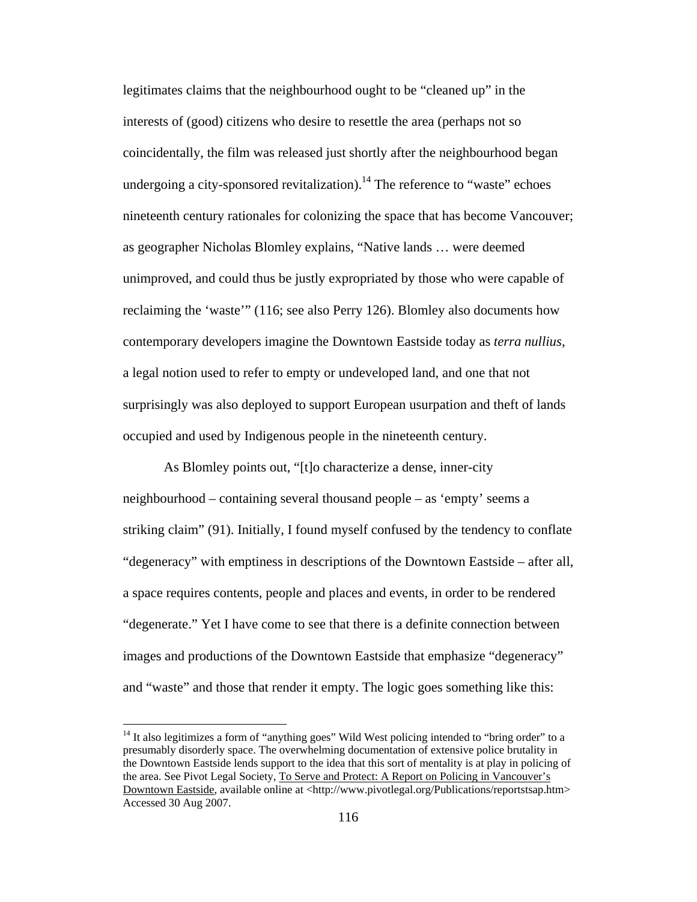legitimates claims that the neighbourhood ought to be "cleaned up" in the interests of (good) citizens who desire to resettle the area (perhaps not so coincidentally, the film was released just shortly after the neighbourhood began undergoing a city-sponsored revitalization).<sup>14</sup> The reference to "waste" echoes nineteenth century rationales for colonizing the space that has become Vancouver; as geographer Nicholas Blomley explains, "Native lands … were deemed unimproved, and could thus be justly expropriated by those who were capable of reclaiming the 'waste'" (116; see also Perry 126). Blomley also documents how contemporary developers imagine the Downtown Eastside today as *terra nullius*, a legal notion used to refer to empty or undeveloped land, and one that not surprisingly was also deployed to support European usurpation and theft of lands occupied and used by Indigenous people in the nineteenth century.

As Blomley points out, "[t]o characterize a dense, inner-city neighbourhood – containing several thousand people – as 'empty' seems a striking claim" (91). Initially, I found myself confused by the tendency to conflate "degeneracy" with emptiness in descriptions of the Downtown Eastside – after all, a space requires contents, people and places and events, in order to be rendered "degenerate." Yet I have come to see that there is a definite connection between images and productions of the Downtown Eastside that emphasize "degeneracy" and "waste" and those that render it empty. The logic goes something like this:

<sup>&</sup>lt;sup>14</sup> It also legitimizes a form of "anything goes" Wild West policing intended to "bring order" to a presumably disorderly space. The overwhelming documentation of extensive police brutality in the Downtown Eastside lends support to the idea that this sort of mentality is at play in policing of the area. See Pivot Legal Society, To Serve and Protect: A Report on Policing in Vancouver's Downtown Eastside, available online at <http://www.pivotlegal.org/Publications/reportstsap.htm> Accessed 30 Aug 2007.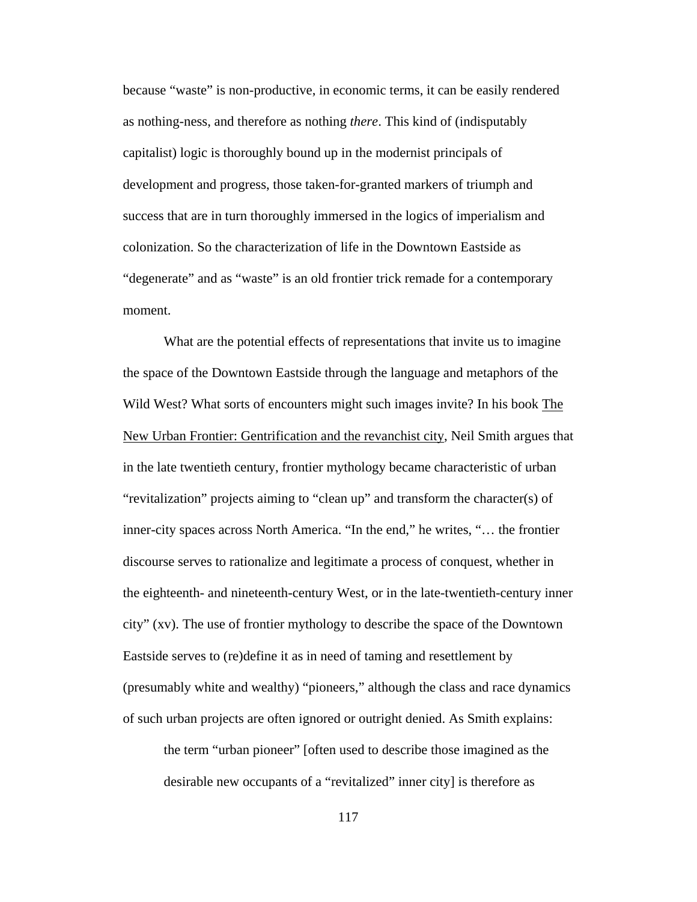because "waste" is non-productive, in economic terms, it can be easily rendered as nothing-ness, and therefore as nothing *there*. This kind of (indisputably capitalist) logic is thoroughly bound up in the modernist principals of development and progress, those taken-for-granted markers of triumph and success that are in turn thoroughly immersed in the logics of imperialism and colonization. So the characterization of life in the Downtown Eastside as "degenerate" and as "waste" is an old frontier trick remade for a contemporary moment.

What are the potential effects of representations that invite us to imagine the space of the Downtown Eastside through the language and metaphors of the Wild West? What sorts of encounters might such images invite? In his book The New Urban Frontier: Gentrification and the revanchist city, Neil Smith argues that in the late twentieth century, frontier mythology became characteristic of urban "revitalization" projects aiming to "clean up" and transform the character(s) of inner-city spaces across North America. "In the end," he writes, "… the frontier discourse serves to rationalize and legitimate a process of conquest, whether in the eighteenth- and nineteenth-century West, or in the late-twentieth-century inner city" (xv). The use of frontier mythology to describe the space of the Downtown Eastside serves to (re)define it as in need of taming and resettlement by (presumably white and wealthy) "pioneers," although the class and race dynamics of such urban projects are often ignored or outright denied. As Smith explains:

the term "urban pioneer" [often used to describe those imagined as the desirable new occupants of a "revitalized" inner city] is therefore as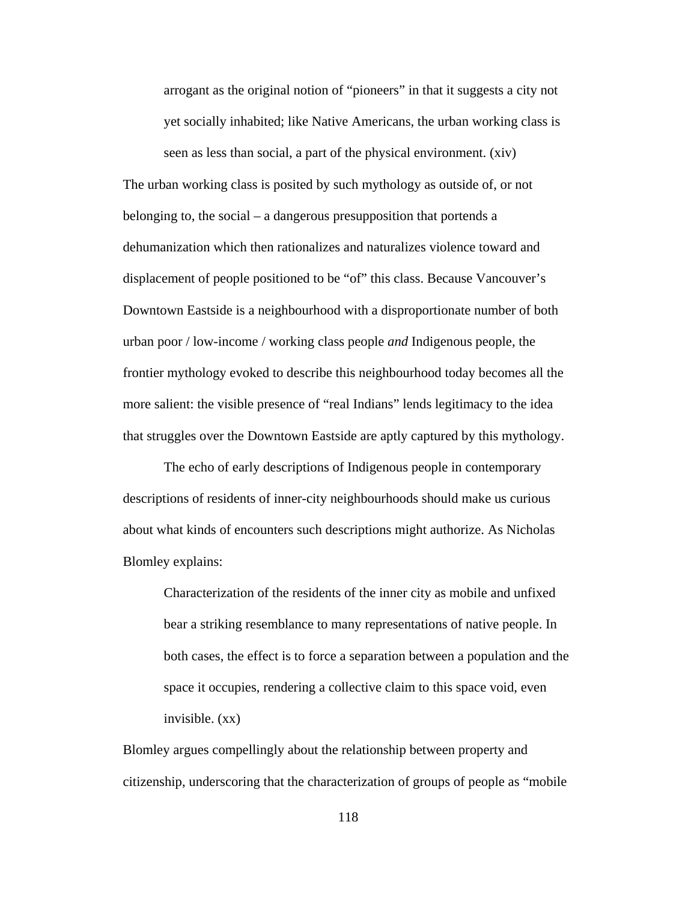arrogant as the original notion of "pioneers" in that it suggests a city not yet socially inhabited; like Native Americans, the urban working class is seen as less than social, a part of the physical environment. (xiv)

The urban working class is posited by such mythology as outside of, or not belonging to, the social – a dangerous presupposition that portends a dehumanization which then rationalizes and naturalizes violence toward and displacement of people positioned to be "of" this class. Because Vancouver's Downtown Eastside is a neighbourhood with a disproportionate number of both urban poor / low-income / working class people *and* Indigenous people, the frontier mythology evoked to describe this neighbourhood today becomes all the more salient: the visible presence of "real Indians" lends legitimacy to the idea that struggles over the Downtown Eastside are aptly captured by this mythology.

The echo of early descriptions of Indigenous people in contemporary descriptions of residents of inner-city neighbourhoods should make us curious about what kinds of encounters such descriptions might authorize. As Nicholas Blomley explains:

Characterization of the residents of the inner city as mobile and unfixed bear a striking resemblance to many representations of native people. In both cases, the effect is to force a separation between a population and the space it occupies, rendering a collective claim to this space void, even invisible. (xx)

Blomley argues compellingly about the relationship between property and citizenship, underscoring that the characterization of groups of people as "mobile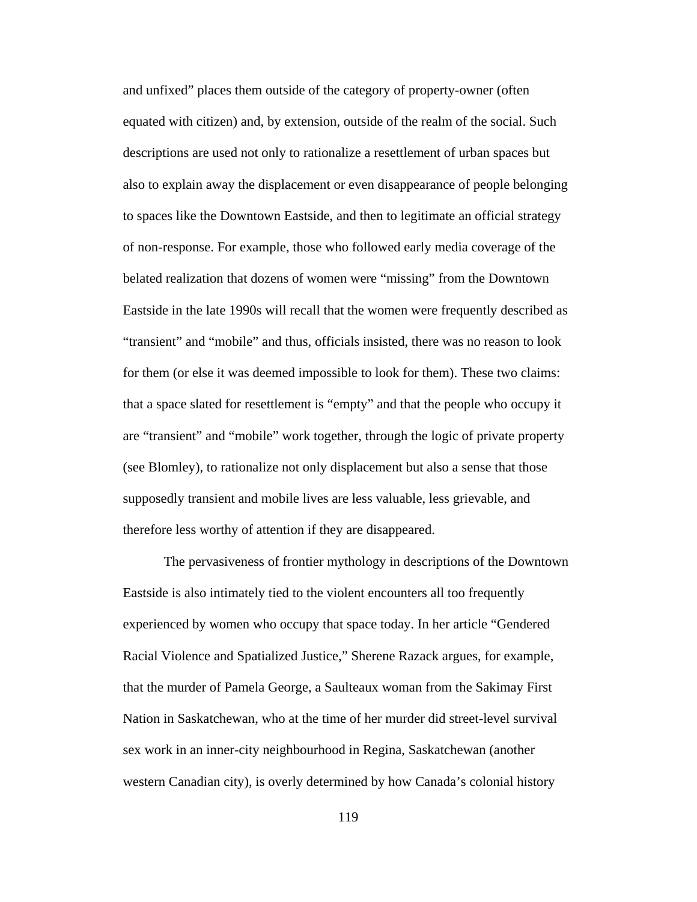and unfixed" places them outside of the category of property-owner (often equated with citizen) and, by extension, outside of the realm of the social. Such descriptions are used not only to rationalize a resettlement of urban spaces but also to explain away the displacement or even disappearance of people belonging to spaces like the Downtown Eastside, and then to legitimate an official strategy of non-response. For example, those who followed early media coverage of the belated realization that dozens of women were "missing" from the Downtown Eastside in the late 1990s will recall that the women were frequently described as "transient" and "mobile" and thus, officials insisted, there was no reason to look for them (or else it was deemed impossible to look for them). These two claims: that a space slated for resettlement is "empty" and that the people who occupy it are "transient" and "mobile" work together, through the logic of private property (see Blomley), to rationalize not only displacement but also a sense that those supposedly transient and mobile lives are less valuable, less grievable, and therefore less worthy of attention if they are disappeared.

 The pervasiveness of frontier mythology in descriptions of the Downtown Eastside is also intimately tied to the violent encounters all too frequently experienced by women who occupy that space today. In her article "Gendered Racial Violence and Spatialized Justice," Sherene Razack argues, for example, that the murder of Pamela George, a Saulteaux woman from the Sakimay First Nation in Saskatchewan, who at the time of her murder did street-level survival sex work in an inner-city neighbourhood in Regina, Saskatchewan (another western Canadian city), is overly determined by how Canada's colonial history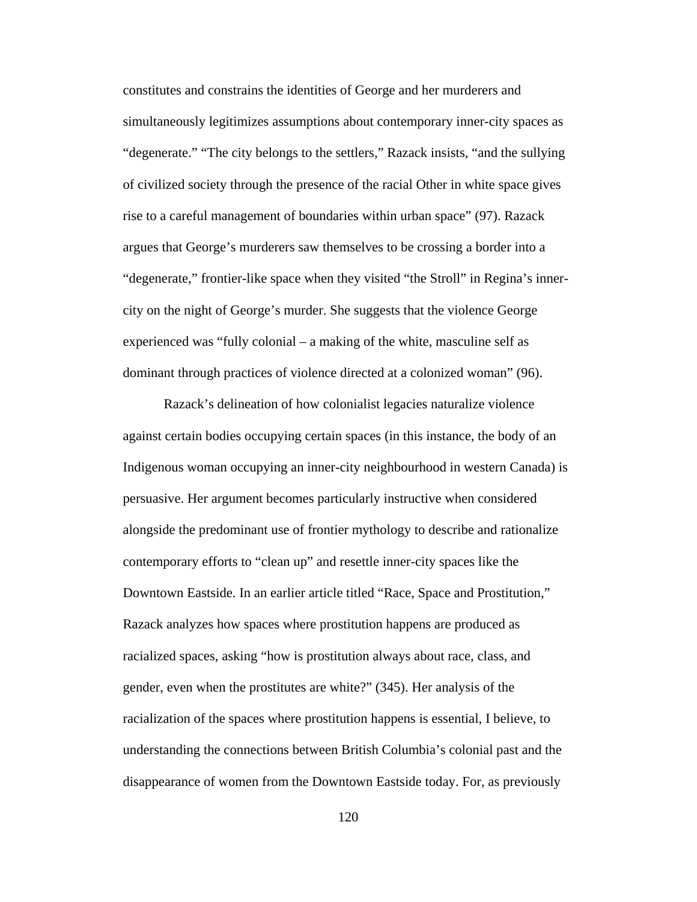constitutes and constrains the identities of George and her murderers and simultaneously legitimizes assumptions about contemporary inner-city spaces as "degenerate." "The city belongs to the settlers," Razack insists, "and the sullying of civilized society through the presence of the racial Other in white space gives rise to a careful management of boundaries within urban space" (97). Razack argues that George's murderers saw themselves to be crossing a border into a "degenerate," frontier-like space when they visited "the Stroll" in Regina's innercity on the night of George's murder. She suggests that the violence George experienced was "fully colonial – a making of the white, masculine self as dominant through practices of violence directed at a colonized woman" (96).

Razack's delineation of how colonialist legacies naturalize violence against certain bodies occupying certain spaces (in this instance, the body of an Indigenous woman occupying an inner-city neighbourhood in western Canada) is persuasive. Her argument becomes particularly instructive when considered alongside the predominant use of frontier mythology to describe and rationalize contemporary efforts to "clean up" and resettle inner-city spaces like the Downtown Eastside. In an earlier article titled "Race, Space and Prostitution," Razack analyzes how spaces where prostitution happens are produced as racialized spaces, asking "how is prostitution always about race, class, and gender, even when the prostitutes are white?" (345). Her analysis of the racialization of the spaces where prostitution happens is essential, I believe, to understanding the connections between British Columbia's colonial past and the disappearance of women from the Downtown Eastside today. For, as previously

120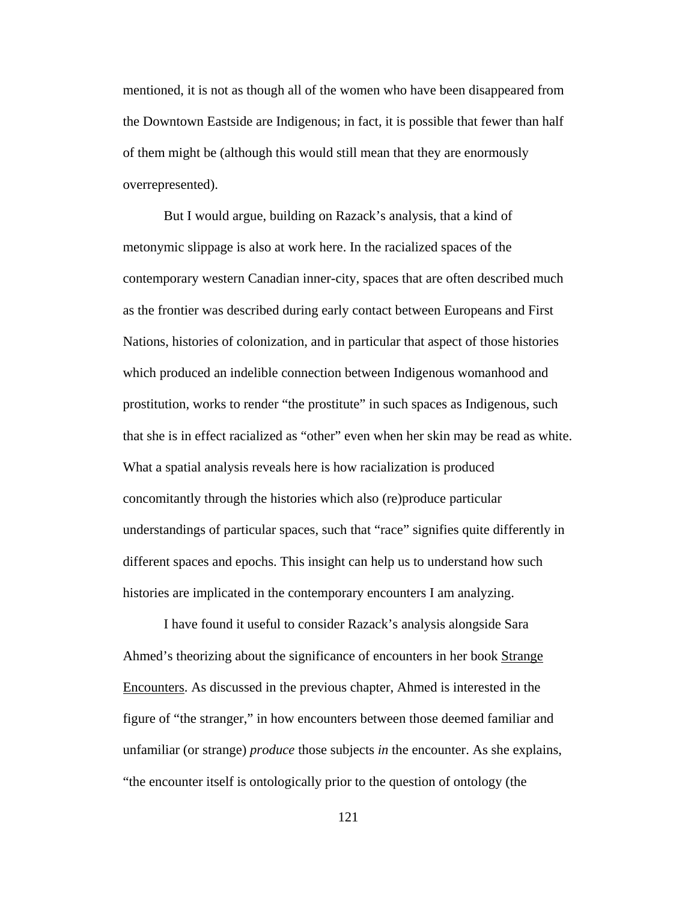mentioned, it is not as though all of the women who have been disappeared from the Downtown Eastside are Indigenous; in fact, it is possible that fewer than half of them might be (although this would still mean that they are enormously overrepresented).

But I would argue, building on Razack's analysis, that a kind of metonymic slippage is also at work here. In the racialized spaces of the contemporary western Canadian inner-city, spaces that are often described much as the frontier was described during early contact between Europeans and First Nations, histories of colonization, and in particular that aspect of those histories which produced an indelible connection between Indigenous womanhood and prostitution, works to render "the prostitute" in such spaces as Indigenous, such that she is in effect racialized as "other" even when her skin may be read as white. What a spatial analysis reveals here is how racialization is produced concomitantly through the histories which also (re)produce particular understandings of particular spaces, such that "race" signifies quite differently in different spaces and epochs. This insight can help us to understand how such histories are implicated in the contemporary encounters I am analyzing.

 I have found it useful to consider Razack's analysis alongside Sara Ahmed's theorizing about the significance of encounters in her book Strange Encounters. As discussed in the previous chapter, Ahmed is interested in the figure of "the stranger," in how encounters between those deemed familiar and unfamiliar (or strange) *produce* those subjects *in* the encounter. As she explains, "the encounter itself is ontologically prior to the question of ontology (the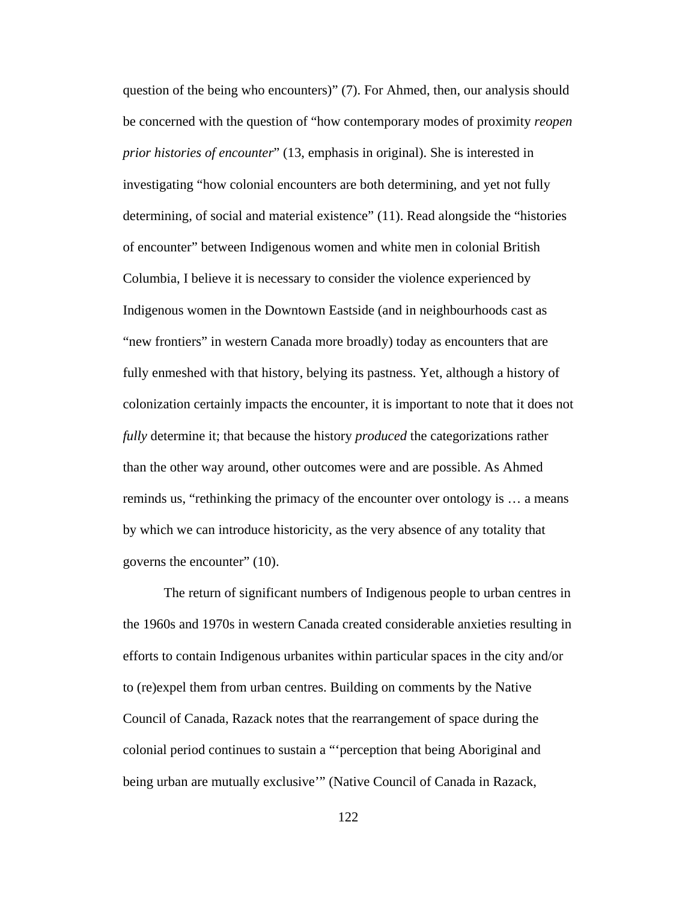question of the being who encounters)" (7). For Ahmed, then, our analysis should be concerned with the question of "how contemporary modes of proximity *reopen prior histories of encounter*" (13, emphasis in original). She is interested in investigating "how colonial encounters are both determining, and yet not fully determining, of social and material existence" (11). Read alongside the "histories of encounter" between Indigenous women and white men in colonial British Columbia, I believe it is necessary to consider the violence experienced by Indigenous women in the Downtown Eastside (and in neighbourhoods cast as "new frontiers" in western Canada more broadly) today as encounters that are fully enmeshed with that history, belying its pastness. Yet, although a history of colonization certainly impacts the encounter, it is important to note that it does not *fully* determine it; that because the history *produced* the categorizations rather than the other way around, other outcomes were and are possible. As Ahmed reminds us, "rethinking the primacy of the encounter over ontology is … a means by which we can introduce historicity, as the very absence of any totality that governs the encounter" (10).

The return of significant numbers of Indigenous people to urban centres in the 1960s and 1970s in western Canada created considerable anxieties resulting in efforts to contain Indigenous urbanites within particular spaces in the city and/or to (re)expel them from urban centres. Building on comments by the Native Council of Canada, Razack notes that the rearrangement of space during the colonial period continues to sustain a "'perception that being Aboriginal and being urban are mutually exclusive'" (Native Council of Canada in Razack,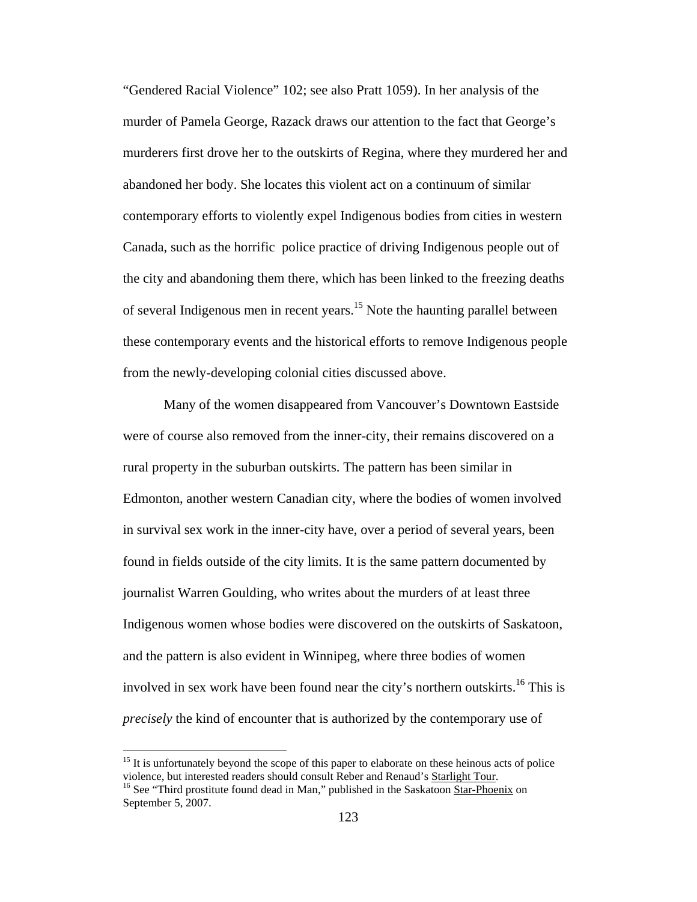"Gendered Racial Violence" 102; see also Pratt 1059). In her analysis of the murder of Pamela George, Razack draws our attention to the fact that George's murderers first drove her to the outskirts of Regina, where they murdered her and abandoned her body. She locates this violent act on a continuum of similar contemporary efforts to violently expel Indigenous bodies from cities in western Canada, such as the horrific police practice of driving Indigenous people out of the city and abandoning them there, which has been linked to the freezing deaths of several Indigenous men in recent years.<sup>15</sup> Note the haunting parallel between these contemporary events and the historical efforts to remove Indigenous people from the newly-developing colonial cities discussed above.

Many of the women disappeared from Vancouver's Downtown Eastside were of course also removed from the inner-city, their remains discovered on a rural property in the suburban outskirts. The pattern has been similar in Edmonton, another western Canadian city, where the bodies of women involved in survival sex work in the inner-city have, over a period of several years, been found in fields outside of the city limits. It is the same pattern documented by journalist Warren Goulding, who writes about the murders of at least three Indigenous women whose bodies were discovered on the outskirts of Saskatoon, and the pattern is also evident in Winnipeg, where three bodies of women involved in sex work have been found near the city's northern outskirts.<sup>16</sup> This is *precisely* the kind of encounter that is authorized by the contemporary use of

 $15$  It is unfortunately beyond the scope of this paper to elaborate on these heinous acts of police violence, but interested readers should consult Reber and Renaud's  $\frac{Starlight Tour}{}$ .

<sup>&</sup>lt;sup>16</sup> See "Third prostitute found dead in Man," published in the Saskatoon Star-Phoenix on September 5, 2007.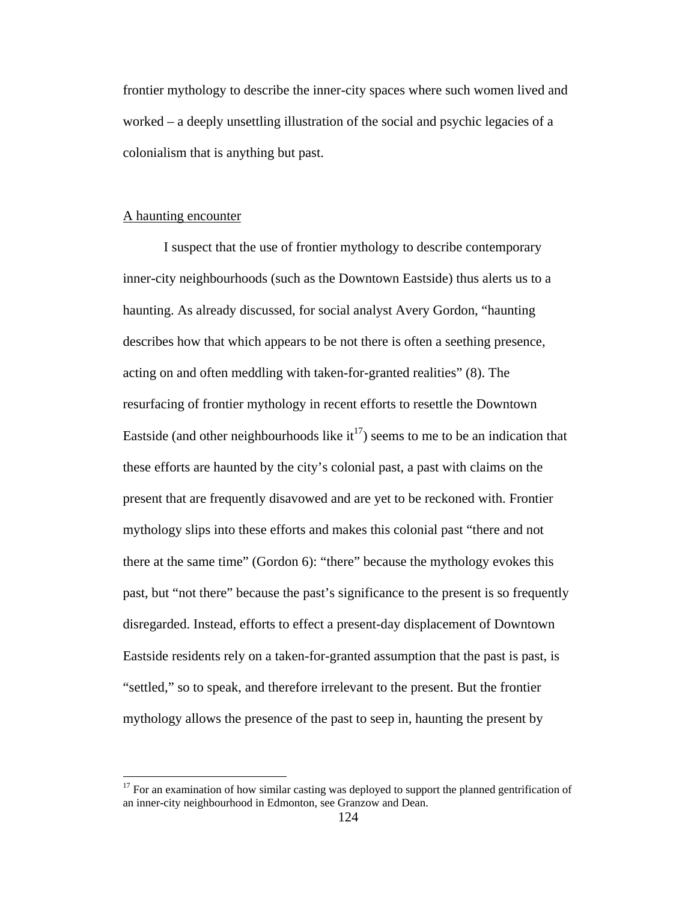frontier mythology to describe the inner-city spaces where such women lived and worked – a deeply unsettling illustration of the social and psychic legacies of a colonialism that is anything but past.

## A haunting encounter

 $\overline{a}$ 

 I suspect that the use of frontier mythology to describe contemporary inner-city neighbourhoods (such as the Downtown Eastside) thus alerts us to a haunting. As already discussed, for social analyst Avery Gordon, "haunting describes how that which appears to be not there is often a seething presence, acting on and often meddling with taken-for-granted realities" (8). The resurfacing of frontier mythology in recent efforts to resettle the Downtown Eastside (and other neighbourhoods like  $it^{17}$ ) seems to me to be an indication that these efforts are haunted by the city's colonial past, a past with claims on the present that are frequently disavowed and are yet to be reckoned with. Frontier mythology slips into these efforts and makes this colonial past "there and not there at the same time" (Gordon 6): "there" because the mythology evokes this past, but "not there" because the past's significance to the present is so frequently disregarded. Instead, efforts to effect a present-day displacement of Downtown Eastside residents rely on a taken-for-granted assumption that the past is past, is "settled," so to speak, and therefore irrelevant to the present. But the frontier mythology allows the presence of the past to seep in, haunting the present by

 $17$  For an examination of how similar casting was deployed to support the planned gentrification of an inner-city neighbourhood in Edmonton, see Granzow and Dean.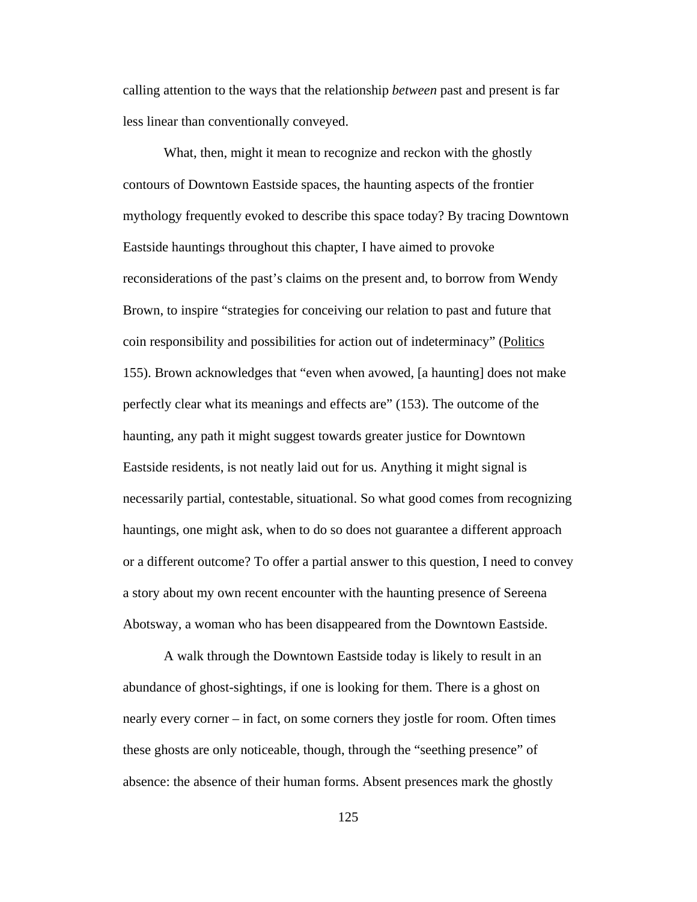calling attention to the ways that the relationship *between* past and present is far less linear than conventionally conveyed.

What, then, might it mean to recognize and reckon with the ghostly contours of Downtown Eastside spaces, the haunting aspects of the frontier mythology frequently evoked to describe this space today? By tracing Downtown Eastside hauntings throughout this chapter, I have aimed to provoke reconsiderations of the past's claims on the present and, to borrow from Wendy Brown, to inspire "strategies for conceiving our relation to past and future that coin responsibility and possibilities for action out of indeterminacy" (Politics 155). Brown acknowledges that "even when avowed, [a haunting] does not make perfectly clear what its meanings and effects are" (153). The outcome of the haunting, any path it might suggest towards greater justice for Downtown Eastside residents, is not neatly laid out for us. Anything it might signal is necessarily partial, contestable, situational. So what good comes from recognizing hauntings, one might ask, when to do so does not guarantee a different approach or a different outcome? To offer a partial answer to this question, I need to convey a story about my own recent encounter with the haunting presence of Sereena Abotsway, a woman who has been disappeared from the Downtown Eastside.

A walk through the Downtown Eastside today is likely to result in an abundance of ghost-sightings, if one is looking for them. There is a ghost on nearly every corner – in fact, on some corners they jostle for room. Often times these ghosts are only noticeable, though, through the "seething presence" of absence: the absence of their human forms. Absent presences mark the ghostly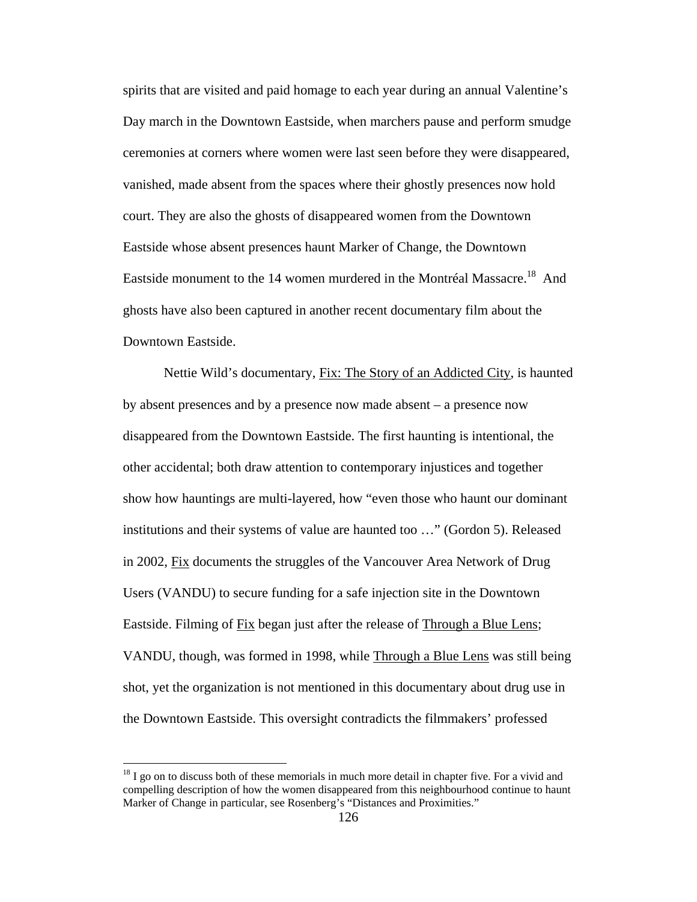spirits that are visited and paid homage to each year during an annual Valentine's Day march in the Downtown Eastside, when marchers pause and perform smudge ceremonies at corners where women were last seen before they were disappeared, vanished, made absent from the spaces where their ghostly presences now hold court. They are also the ghosts of disappeared women from the Downtown Eastside whose absent presences haunt Marker of Change, the Downtown Eastside monument to the 14 women murdered in the Montréal Massacre.<sup>18</sup> And ghosts have also been captured in another recent documentary film about the Downtown Eastside.

Nettie Wild's documentary, Fix: The Story of an Addicted City, is haunted by absent presences and by a presence now made absent – a presence now disappeared from the Downtown Eastside. The first haunting is intentional, the other accidental; both draw attention to contemporary injustices and together show how hauntings are multi-layered, how "even those who haunt our dominant institutions and their systems of value are haunted too …" (Gordon 5). Released in 2002, Fix documents the struggles of the Vancouver Area Network of Drug Users (VANDU) to secure funding for a safe injection site in the Downtown Eastside. Filming of Fix began just after the release of Through a Blue Lens; VANDU, though, was formed in 1998, while Through a Blue Lens was still being shot, yet the organization is not mentioned in this documentary about drug use in the Downtown Eastside. This oversight contradicts the filmmakers' professed

 $18$  I go on to discuss both of these memorials in much more detail in chapter five. For a vivid and compelling description of how the women disappeared from this neighbourhood continue to haunt Marker of Change in particular, see Rosenberg's "Distances and Proximities."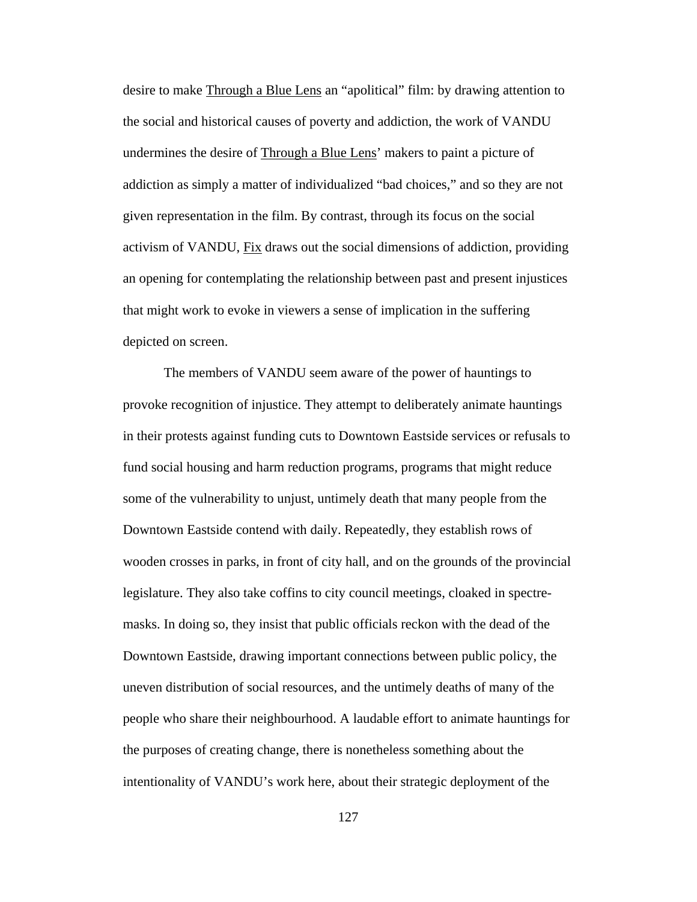desire to make Through a Blue Lens an "apolitical" film: by drawing attention to the social and historical causes of poverty and addiction, the work of VANDU undermines the desire of Through a Blue Lens' makers to paint a picture of addiction as simply a matter of individualized "bad choices," and so they are not given representation in the film. By contrast, through its focus on the social activism of VANDU, Fix draws out the social dimensions of addiction, providing an opening for contemplating the relationship between past and present injustices that might work to evoke in viewers a sense of implication in the suffering depicted on screen.

The members of VANDU seem aware of the power of hauntings to provoke recognition of injustice. They attempt to deliberately animate hauntings in their protests against funding cuts to Downtown Eastside services or refusals to fund social housing and harm reduction programs, programs that might reduce some of the vulnerability to unjust, untimely death that many people from the Downtown Eastside contend with daily. Repeatedly, they establish rows of wooden crosses in parks, in front of city hall, and on the grounds of the provincial legislature. They also take coffins to city council meetings, cloaked in spectremasks. In doing so, they insist that public officials reckon with the dead of the Downtown Eastside, drawing important connections between public policy, the uneven distribution of social resources, and the untimely deaths of many of the people who share their neighbourhood. A laudable effort to animate hauntings for the purposes of creating change, there is nonetheless something about the intentionality of VANDU's work here, about their strategic deployment of the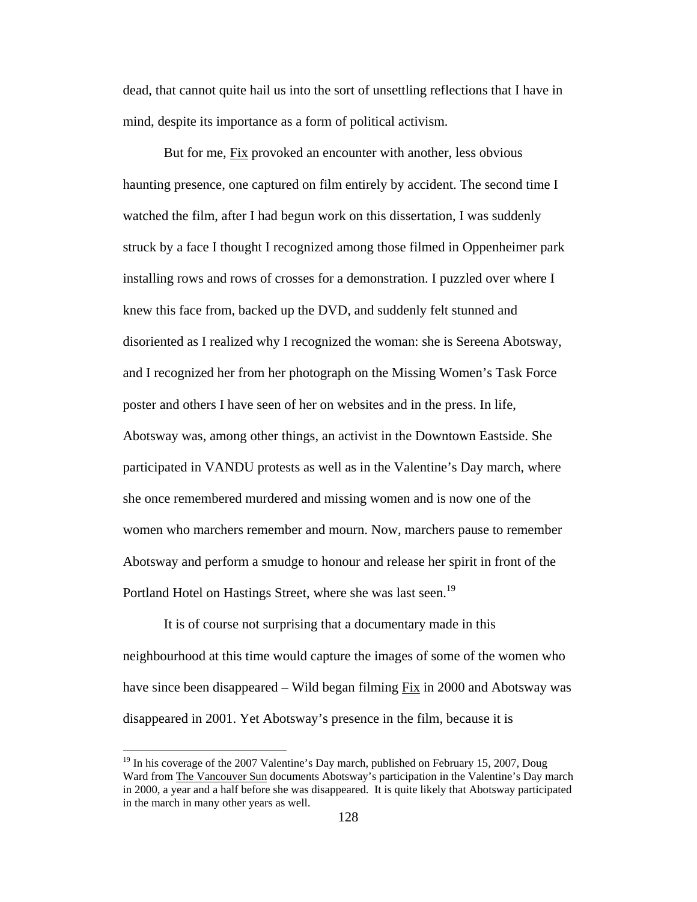dead, that cannot quite hail us into the sort of unsettling reflections that I have in mind, despite its importance as a form of political activism.

But for me, Fix provoked an encounter with another, less obvious haunting presence, one captured on film entirely by accident. The second time I watched the film, after I had begun work on this dissertation, I was suddenly struck by a face I thought I recognized among those filmed in Oppenheimer park installing rows and rows of crosses for a demonstration. I puzzled over where I knew this face from, backed up the DVD, and suddenly felt stunned and disoriented as I realized why I recognized the woman: she is Sereena Abotsway, and I recognized her from her photograph on the Missing Women's Task Force poster and others I have seen of her on websites and in the press. In life, Abotsway was, among other things, an activist in the Downtown Eastside. She participated in VANDU protests as well as in the Valentine's Day march, where she once remembered murdered and missing women and is now one of the women who marchers remember and mourn. Now, marchers pause to remember Abotsway and perform a smudge to honour and release her spirit in front of the Portland Hotel on Hastings Street, where she was last seen.<sup>19</sup>

It is of course not surprising that a documentary made in this neighbourhood at this time would capture the images of some of the women who have since been disappeared – Wild began filming Fix in 2000 and Abotsway was disappeared in 2001. Yet Abotsway's presence in the film, because it is

 $19$  In his coverage of the 2007 Valentine's Day march, published on February 15, 2007, Doug Ward from The Vancouver Sun documents Abotsway's participation in the Valentine's Day march in 2000, a year and a half before she was disappeared. It is quite likely that Abotsway participated in the march in many other years as well.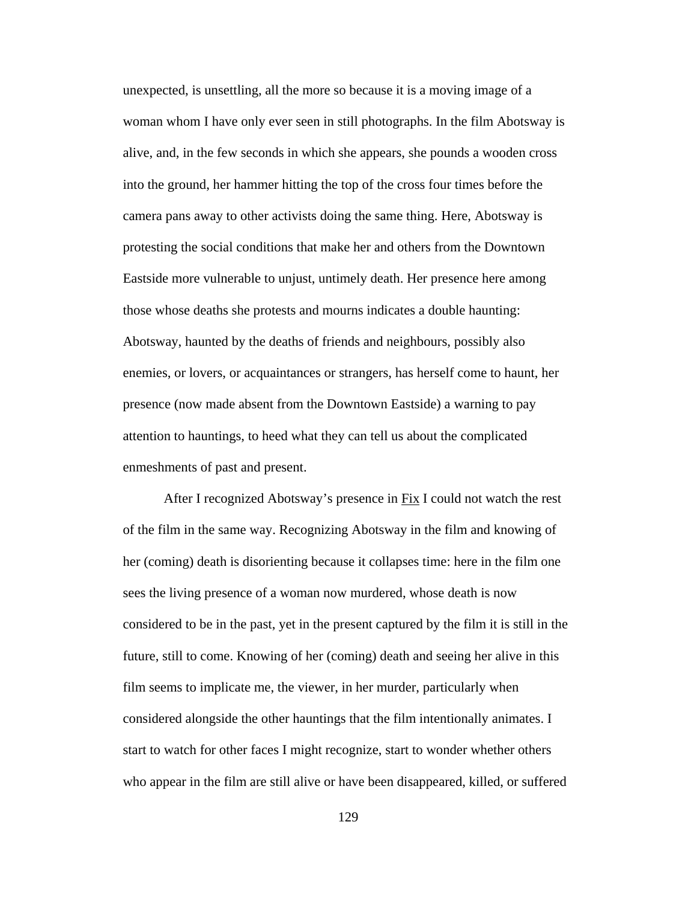unexpected, is unsettling, all the more so because it is a moving image of a woman whom I have only ever seen in still photographs. In the film Abotsway is alive, and, in the few seconds in which she appears, she pounds a wooden cross into the ground, her hammer hitting the top of the cross four times before the camera pans away to other activists doing the same thing. Here, Abotsway is protesting the social conditions that make her and others from the Downtown Eastside more vulnerable to unjust, untimely death. Her presence here among those whose deaths she protests and mourns indicates a double haunting: Abotsway, haunted by the deaths of friends and neighbours, possibly also enemies, or lovers, or acquaintances or strangers, has herself come to haunt, her presence (now made absent from the Downtown Eastside) a warning to pay attention to hauntings, to heed what they can tell us about the complicated enmeshments of past and present.

After I recognized Abotsway's presence in Fix I could not watch the rest of the film in the same way. Recognizing Abotsway in the film and knowing of her (coming) death is disorienting because it collapses time: here in the film one sees the living presence of a woman now murdered, whose death is now considered to be in the past, yet in the present captured by the film it is still in the future, still to come. Knowing of her (coming) death and seeing her alive in this film seems to implicate me, the viewer, in her murder, particularly when considered alongside the other hauntings that the film intentionally animates. I start to watch for other faces I might recognize, start to wonder whether others who appear in the film are still alive or have been disappeared, killed, or suffered

129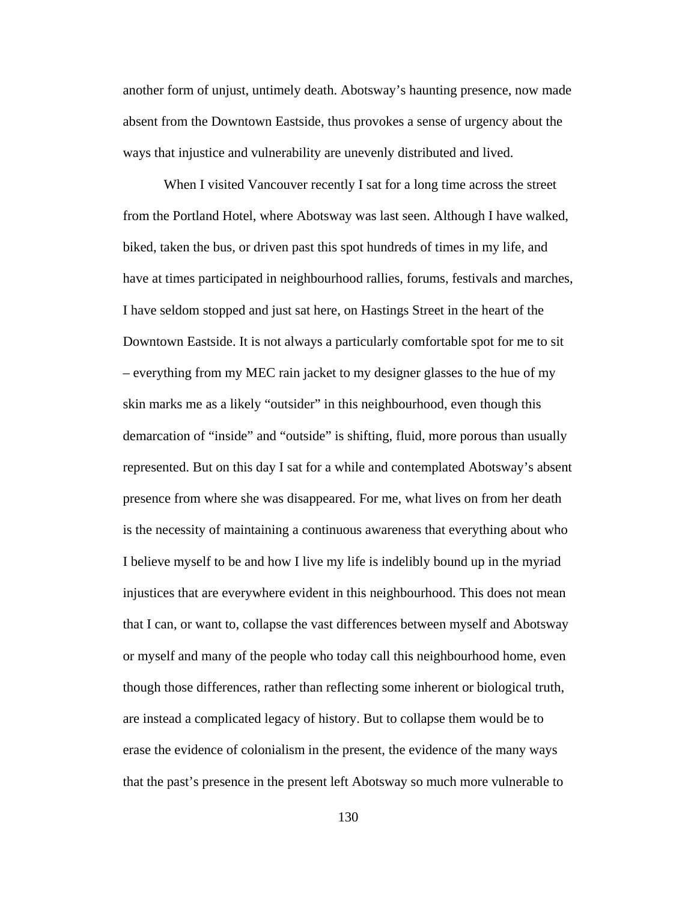another form of unjust, untimely death. Abotsway's haunting presence, now made absent from the Downtown Eastside, thus provokes a sense of urgency about the ways that injustice and vulnerability are unevenly distributed and lived.

When I visited Vancouver recently I sat for a long time across the street from the Portland Hotel, where Abotsway was last seen. Although I have walked, biked, taken the bus, or driven past this spot hundreds of times in my life, and have at times participated in neighbourhood rallies, forums, festivals and marches, I have seldom stopped and just sat here, on Hastings Street in the heart of the Downtown Eastside. It is not always a particularly comfortable spot for me to sit – everything from my MEC rain jacket to my designer glasses to the hue of my skin marks me as a likely "outsider" in this neighbourhood, even though this demarcation of "inside" and "outside" is shifting, fluid, more porous than usually represented. But on this day I sat for a while and contemplated Abotsway's absent presence from where she was disappeared. For me, what lives on from her death is the necessity of maintaining a continuous awareness that everything about who I believe myself to be and how I live my life is indelibly bound up in the myriad injustices that are everywhere evident in this neighbourhood. This does not mean that I can, or want to, collapse the vast differences between myself and Abotsway or myself and many of the people who today call this neighbourhood home, even though those differences, rather than reflecting some inherent or biological truth, are instead a complicated legacy of history. But to collapse them would be to erase the evidence of colonialism in the present, the evidence of the many ways that the past's presence in the present left Abotsway so much more vulnerable to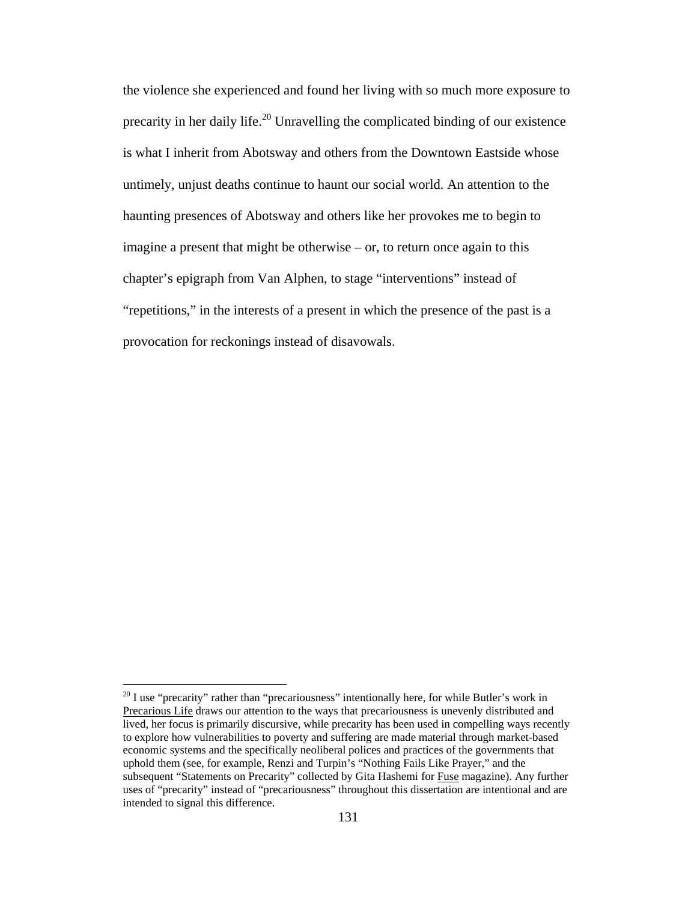the violence she experienced and found her living with so much more exposure to precarity in her daily life.<sup>20</sup> Unravelling the complicated binding of our existence is what I inherit from Abotsway and others from the Downtown Eastside whose untimely, unjust deaths continue to haunt our social world. An attention to the haunting presences of Abotsway and others like her provokes me to begin to imagine a present that might be otherwise – or, to return once again to this chapter's epigraph from Van Alphen, to stage "interventions" instead of "repetitions," in the interests of a present in which the presence of the past is a provocation for reckonings instead of disavowals.

 $20$  I use "precarity" rather than "precariousness" intentionally here, for while Butler's work in Precarious Life draws our attention to the ways that precariousness is unevenly distributed and lived, her focus is primarily discursive, while precarity has been used in compelling ways recently to explore how vulnerabilities to poverty and suffering are made material through market-based economic systems and the specifically neoliberal polices and practices of the governments that uphold them (see, for example, Renzi and Turpin's "Nothing Fails Like Prayer," and the subsequent "Statements on Precarity" collected by Gita Hashemi for Fuse magazine). Any further uses of "precarity" instead of "precariousness" throughout this dissertation are intentional and are intended to signal this difference.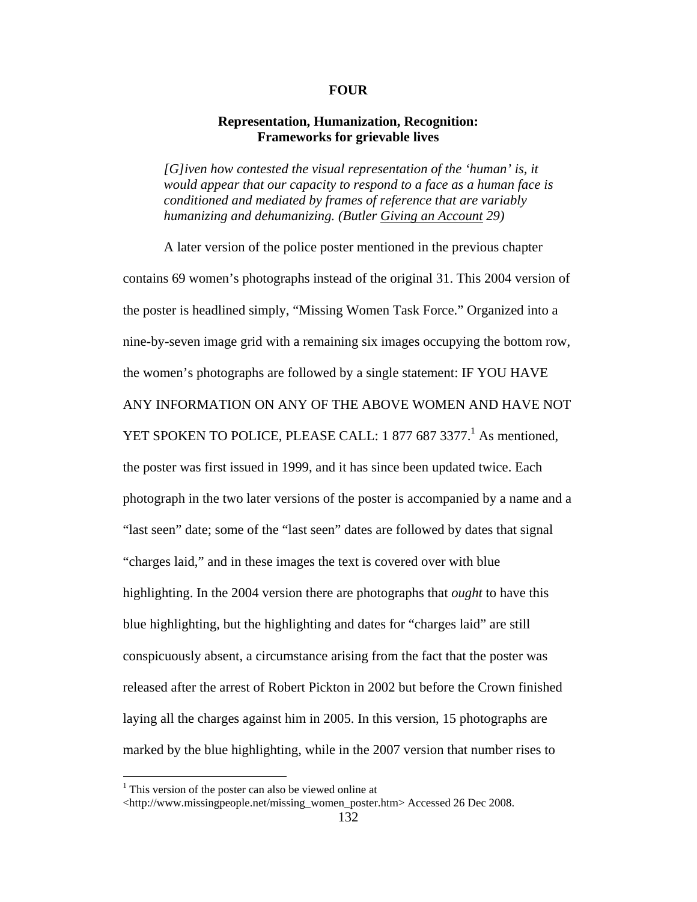### **FOUR**

# **Representation, Humanization, Recognition: Frameworks for grievable lives**

*[G]iven how contested the visual representation of the 'human' is, it would appear that our capacity to respond to a face as a human face is conditioned and mediated by frames of reference that are variably humanizing and dehumanizing. (Butler Giving an Account 29)* 

A later version of the police poster mentioned in the previous chapter contains 69 women's photographs instead of the original 31. This 2004 version of the poster is headlined simply, "Missing Women Task Force." Organized into a nine-by-seven image grid with a remaining six images occupying the bottom row, the women's photographs are followed by a single statement: IF YOU HAVE ANY INFORMATION ON ANY OF THE ABOVE WOMEN AND HAVE NOT YET SPOKEN TO POLICE, PLEASE CALL: 1 877 687 3377.<sup>1</sup> As mentioned, the poster was first issued in 1999, and it has since been updated twice. Each photograph in the two later versions of the poster is accompanied by a name and a "last seen" date; some of the "last seen" dates are followed by dates that signal "charges laid," and in these images the text is covered over with blue highlighting. In the 2004 version there are photographs that *ought* to have this blue highlighting, but the highlighting and dates for "charges laid" are still conspicuously absent, a circumstance arising from the fact that the poster was released after the arrest of Robert Pickton in 2002 but before the Crown finished laying all the charges against him in 2005. In this version, 15 photographs are marked by the blue highlighting, while in the 2007 version that number rises to

<sup>&</sup>lt;sup>1</sup> This version of the poster can also be viewed online at

<sup>&</sup>lt;http://www.missingpeople.net/missing\_women\_poster.htm> Accessed 26 Dec 2008.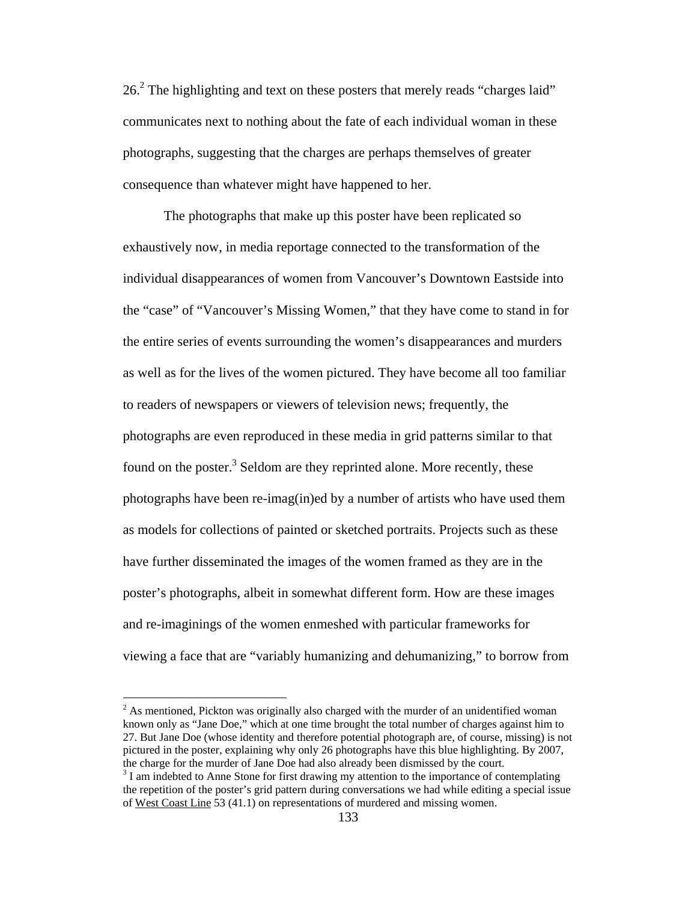$26<sup>2</sup>$ . The highlighting and text on these posters that merely reads "charges laid" communicates next to nothing about the fate of each individual woman in these photographs, suggesting that the charges are perhaps themselves of greater consequence than whatever might have happened to her.

The photographs that make up this poster have been replicated so exhaustively now, in media reportage connected to the transformation of the individual disappearances of women from Vancouver's Downtown Eastside into the "case" of "Vancouver's Missing Women," that they have come to stand in for the entire series of events surrounding the women's disappearances and murders as well as for the lives of the women pictured. They have become all too familiar to readers of newspapers or viewers of television news; frequently, the photographs are even reproduced in these media in grid patterns similar to that found on the poster.<sup>3</sup> Seldom are they reprinted alone. More recently, these photographs have been re-imag(in)ed by a number of artists who have used them as models for collections of painted or sketched portraits. Projects such as these have further disseminated the images of the women framed as they are in the poster's photographs, albeit in somewhat different form. How are these images and re-imaginings of the women enmeshed with particular frameworks for viewing a face that are "variably humanizing and dehumanizing," to borrow from

 $2^{2}$  As mentioned, Pickton was originally also charged with the murder of an unidentified woman known only as "Jane Doe," which at one time brought the total number of charges against him to 27. But Jane Doe (whose identity and therefore potential photograph are, of course, missing) is not pictured in the poster, explaining why only 26 photographs have this blue highlighting. By 2007, the charge for the murder of Jane Doe had also already been dismissed by the court.

<sup>&</sup>lt;sup>3</sup> I am indebted to Anne Stone for first drawing my attention to the importance of contemplating the repetition of the poster's grid pattern during conversations we had while editing a special issue of West Coast Line 53 (41.1) on representations of murdered and missing women.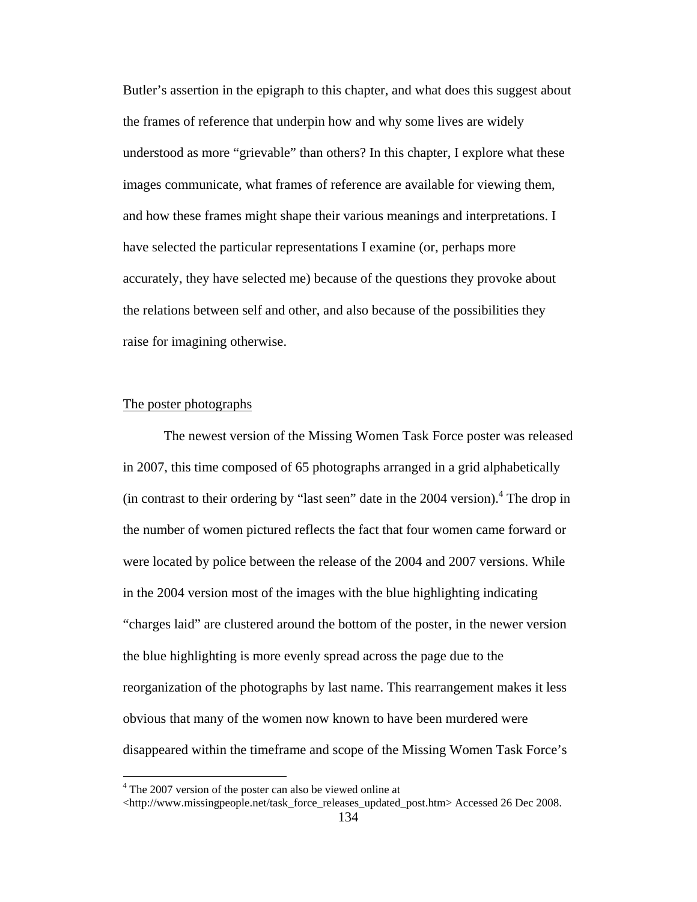Butler's assertion in the epigraph to this chapter, and what does this suggest about the frames of reference that underpin how and why some lives are widely understood as more "grievable" than others? In this chapter, I explore what these images communicate, what frames of reference are available for viewing them, and how these frames might shape their various meanings and interpretations. I have selected the particular representations I examine (or, perhaps more accurately, they have selected me) because of the questions they provoke about the relations between self and other, and also because of the possibilities they raise for imagining otherwise.

## The poster photographs

 $\overline{a}$ 

The newest version of the Missing Women Task Force poster was released in 2007, this time composed of 65 photographs arranged in a grid alphabetically (in contrast to their ordering by "last seen" date in the 2004 version).4 The drop in the number of women pictured reflects the fact that four women came forward or were located by police between the release of the 2004 and 2007 versions. While in the 2004 version most of the images with the blue highlighting indicating "charges laid" are clustered around the bottom of the poster, in the newer version the blue highlighting is more evenly spread across the page due to the reorganization of the photographs by last name. This rearrangement makes it less obvious that many of the women now known to have been murdered were disappeared within the timeframe and scope of the Missing Women Task Force's

<sup>&</sup>lt;sup>4</sup> The 2007 version of the poster can also be viewed online at

<sup>&</sup>lt;http://www.missingpeople.net/task\_force\_releases\_updated\_post.htm> Accessed 26 Dec 2008.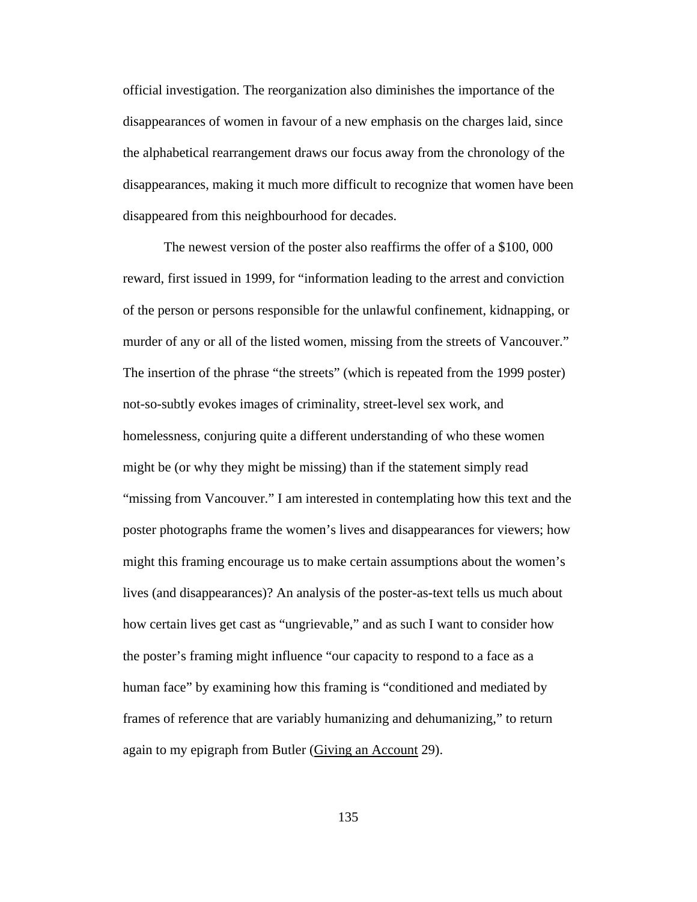official investigation. The reorganization also diminishes the importance of the disappearances of women in favour of a new emphasis on the charges laid, since the alphabetical rearrangement draws our focus away from the chronology of the disappearances, making it much more difficult to recognize that women have been disappeared from this neighbourhood for decades.

The newest version of the poster also reaffirms the offer of a \$100, 000 reward, first issued in 1999, for "information leading to the arrest and conviction of the person or persons responsible for the unlawful confinement, kidnapping, or murder of any or all of the listed women, missing from the streets of Vancouver." The insertion of the phrase "the streets" (which is repeated from the 1999 poster) not-so-subtly evokes images of criminality, street-level sex work, and homelessness, conjuring quite a different understanding of who these women might be (or why they might be missing) than if the statement simply read "missing from Vancouver." I am interested in contemplating how this text and the poster photographs frame the women's lives and disappearances for viewers; how might this framing encourage us to make certain assumptions about the women's lives (and disappearances)? An analysis of the poster-as-text tells us much about how certain lives get cast as "ungrievable," and as such I want to consider how the poster's framing might influence "our capacity to respond to a face as a human face" by examining how this framing is "conditioned and mediated by frames of reference that are variably humanizing and dehumanizing," to return again to my epigraph from Butler (Giving an Account 29).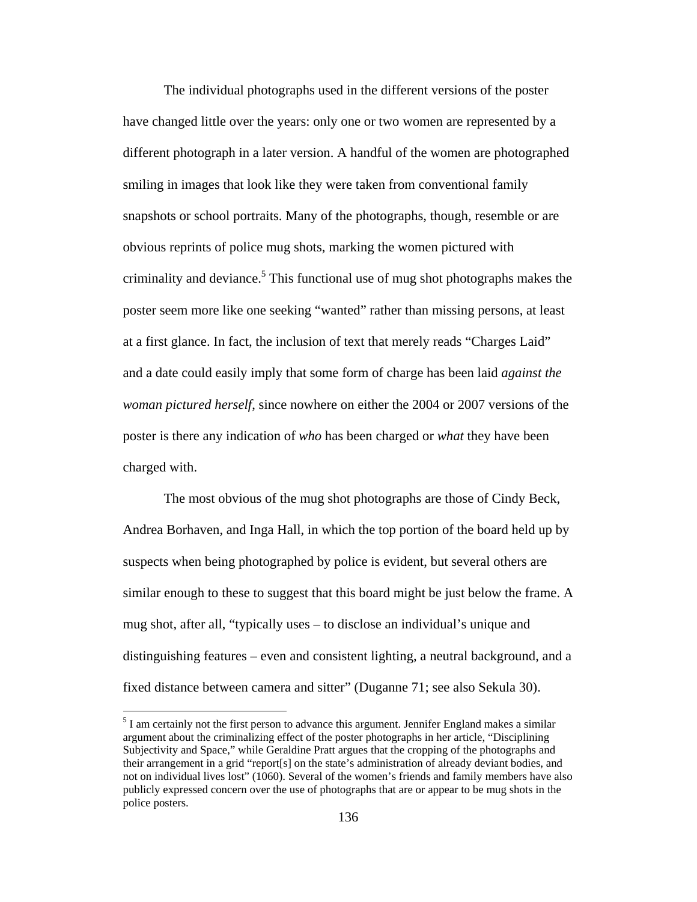The individual photographs used in the different versions of the poster have changed little over the years: only one or two women are represented by a different photograph in a later version. A handful of the women are photographed smiling in images that look like they were taken from conventional family snapshots or school portraits. Many of the photographs, though, resemble or are obvious reprints of police mug shots, marking the women pictured with criminality and deviance.<sup>5</sup> This functional use of mug shot photographs makes the poster seem more like one seeking "wanted" rather than missing persons, at least at a first glance. In fact, the inclusion of text that merely reads "Charges Laid" and a date could easily imply that some form of charge has been laid *against the woman pictured herself*, since nowhere on either the 2004 or 2007 versions of the poster is there any indication of *who* has been charged or *what* they have been charged with.

The most obvious of the mug shot photographs are those of Cindy Beck, Andrea Borhaven, and Inga Hall, in which the top portion of the board held up by suspects when being photographed by police is evident, but several others are similar enough to these to suggest that this board might be just below the frame. A mug shot, after all, "typically uses – to disclose an individual's unique and distinguishing features – even and consistent lighting, a neutral background, and a fixed distance between camera and sitter" (Duganne 71; see also Sekula 30).

 $<sup>5</sup>$  I am certainly not the first person to advance this argument. Jennifer England makes a similar</sup> argument about the criminalizing effect of the poster photographs in her article, "Disciplining Subjectivity and Space," while Geraldine Pratt argues that the cropping of the photographs and their arrangement in a grid "report[s] on the state's administration of already deviant bodies, and not on individual lives lost" (1060). Several of the women's friends and family members have also publicly expressed concern over the use of photographs that are or appear to be mug shots in the police posters.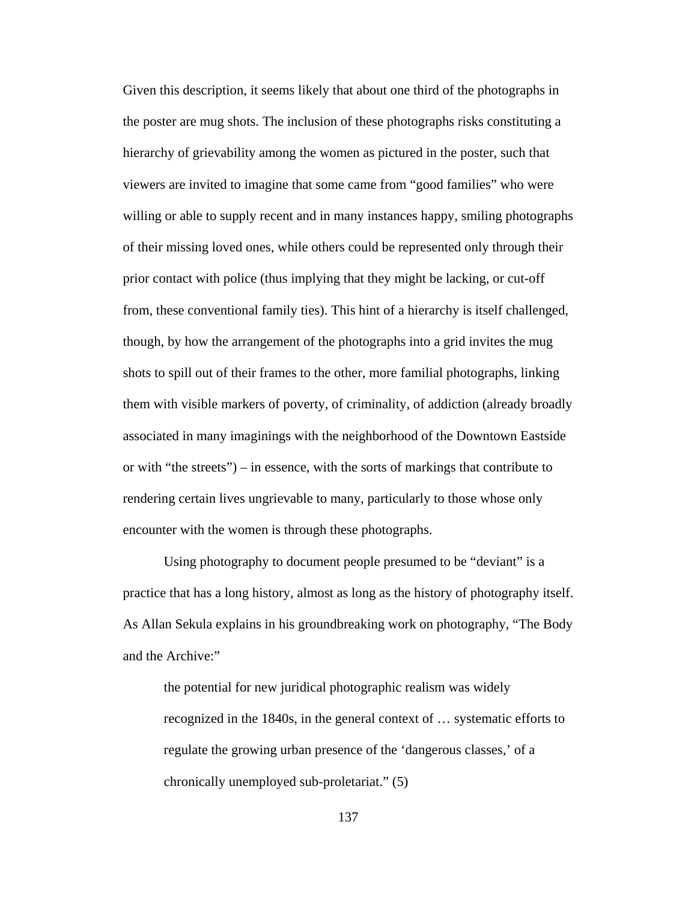Given this description, it seems likely that about one third of the photographs in the poster are mug shots. The inclusion of these photographs risks constituting a hierarchy of grievability among the women as pictured in the poster, such that viewers are invited to imagine that some came from "good families" who were willing or able to supply recent and in many instances happy, smiling photographs of their missing loved ones, while others could be represented only through their prior contact with police (thus implying that they might be lacking, or cut-off from, these conventional family ties). This hint of a hierarchy is itself challenged, though, by how the arrangement of the photographs into a grid invites the mug shots to spill out of their frames to the other, more familial photographs, linking them with visible markers of poverty, of criminality, of addiction (already broadly associated in many imaginings with the neighborhood of the Downtown Eastside or with "the streets") – in essence, with the sorts of markings that contribute to rendering certain lives ungrievable to many, particularly to those whose only encounter with the women is through these photographs.

Using photography to document people presumed to be "deviant" is a practice that has a long history, almost as long as the history of photography itself. As Allan Sekula explains in his groundbreaking work on photography, "The Body and the Archive:"

the potential for new juridical photographic realism was widely recognized in the 1840s, in the general context of … systematic efforts to regulate the growing urban presence of the 'dangerous classes,' of a chronically unemployed sub-proletariat." (5)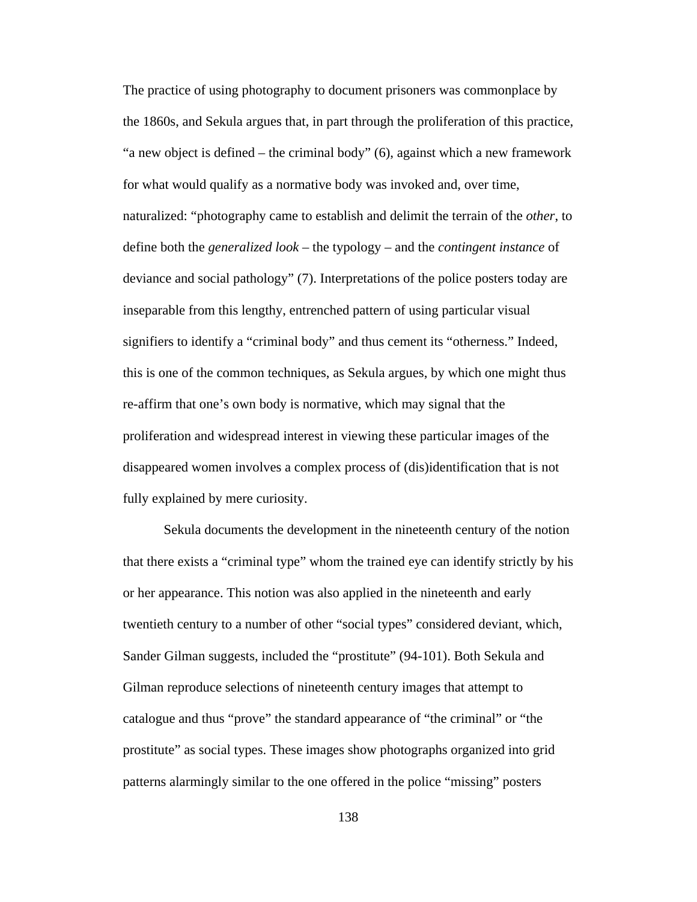The practice of using photography to document prisoners was commonplace by the 1860s, and Sekula argues that, in part through the proliferation of this practice, "a new object is defined – the criminal body" (6), against which a new framework for what would qualify as a normative body was invoked and, over time, naturalized: "photography came to establish and delimit the terrain of the *other*, to define both the *generalized look* – the typology – and the *contingent instance* of deviance and social pathology" (7). Interpretations of the police posters today are inseparable from this lengthy, entrenched pattern of using particular visual signifiers to identify a "criminal body" and thus cement its "otherness." Indeed, this is one of the common techniques, as Sekula argues, by which one might thus re-affirm that one's own body is normative, which may signal that the proliferation and widespread interest in viewing these particular images of the disappeared women involves a complex process of (dis)identification that is not fully explained by mere curiosity.

Sekula documents the development in the nineteenth century of the notion that there exists a "criminal type" whom the trained eye can identify strictly by his or her appearance. This notion was also applied in the nineteenth and early twentieth century to a number of other "social types" considered deviant, which, Sander Gilman suggests, included the "prostitute" (94-101). Both Sekula and Gilman reproduce selections of nineteenth century images that attempt to catalogue and thus "prove" the standard appearance of "the criminal" or "the prostitute" as social types. These images show photographs organized into grid patterns alarmingly similar to the one offered in the police "missing" posters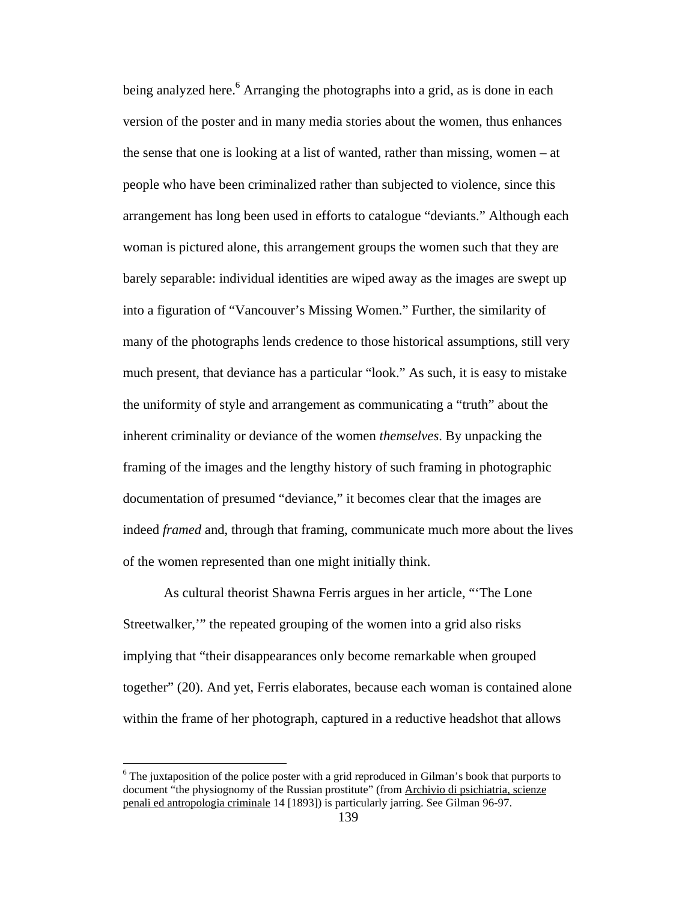being analyzed here.<sup>6</sup> Arranging the photographs into a grid, as is done in each version of the poster and in many media stories about the women, thus enhances the sense that one is looking at a list of wanted, rather than missing, women – at people who have been criminalized rather than subjected to violence, since this arrangement has long been used in efforts to catalogue "deviants." Although each woman is pictured alone, this arrangement groups the women such that they are barely separable: individual identities are wiped away as the images are swept up into a figuration of "Vancouver's Missing Women." Further, the similarity of many of the photographs lends credence to those historical assumptions, still very much present, that deviance has a particular "look." As such, it is easy to mistake the uniformity of style and arrangement as communicating a "truth" about the inherent criminality or deviance of the women *themselves*. By unpacking the framing of the images and the lengthy history of such framing in photographic documentation of presumed "deviance," it becomes clear that the images are indeed *framed* and, through that framing, communicate much more about the lives of the women represented than one might initially think.

As cultural theorist Shawna Ferris argues in her article, "'The Lone Streetwalker,'" the repeated grouping of the women into a grid also risks implying that "their disappearances only become remarkable when grouped together" (20). And yet, Ferris elaborates, because each woman is contained alone within the frame of her photograph, captured in a reductive headshot that allows

 $6$  The juxtaposition of the police poster with a grid reproduced in Gilman's book that purports to document "the physiognomy of the Russian prostitute" (from Archivio di psichiatria, scienze penali ed antropologia criminale 14 [1893]) is particularly jarring. See Gilman 96-97.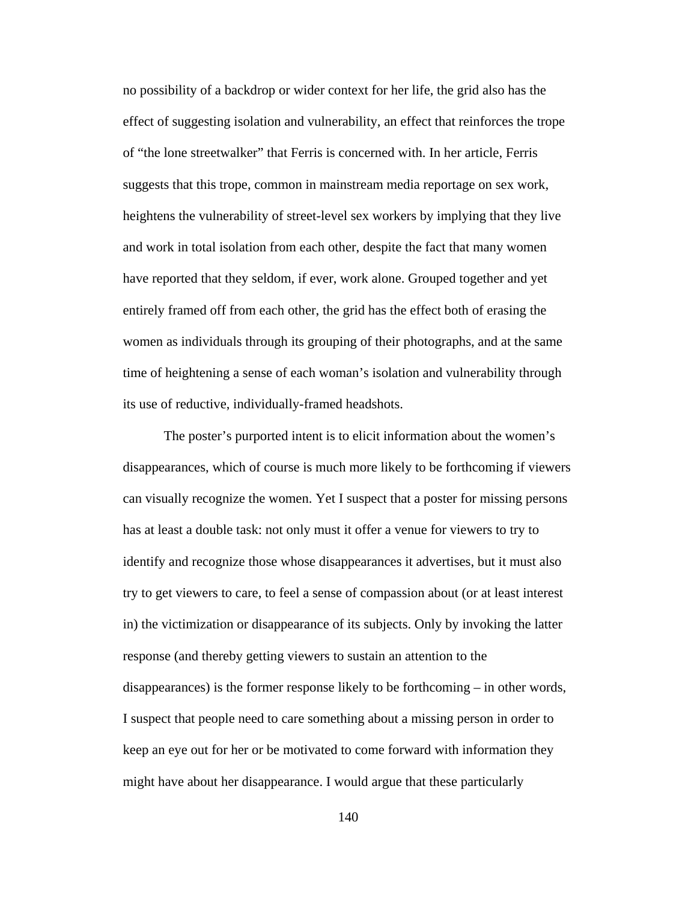no possibility of a backdrop or wider context for her life, the grid also has the effect of suggesting isolation and vulnerability, an effect that reinforces the trope of "the lone streetwalker" that Ferris is concerned with. In her article, Ferris suggests that this trope, common in mainstream media reportage on sex work, heightens the vulnerability of street-level sex workers by implying that they live and work in total isolation from each other, despite the fact that many women have reported that they seldom, if ever, work alone. Grouped together and yet entirely framed off from each other, the grid has the effect both of erasing the women as individuals through its grouping of their photographs, and at the same time of heightening a sense of each woman's isolation and vulnerability through its use of reductive, individually-framed headshots.

The poster's purported intent is to elicit information about the women's disappearances, which of course is much more likely to be forthcoming if viewers can visually recognize the women. Yet I suspect that a poster for missing persons has at least a double task: not only must it offer a venue for viewers to try to identify and recognize those whose disappearances it advertises, but it must also try to get viewers to care, to feel a sense of compassion about (or at least interest in) the victimization or disappearance of its subjects. Only by invoking the latter response (and thereby getting viewers to sustain an attention to the disappearances) is the former response likely to be forthcoming – in other words, I suspect that people need to care something about a missing person in order to keep an eye out for her or be motivated to come forward with information they might have about her disappearance. I would argue that these particularly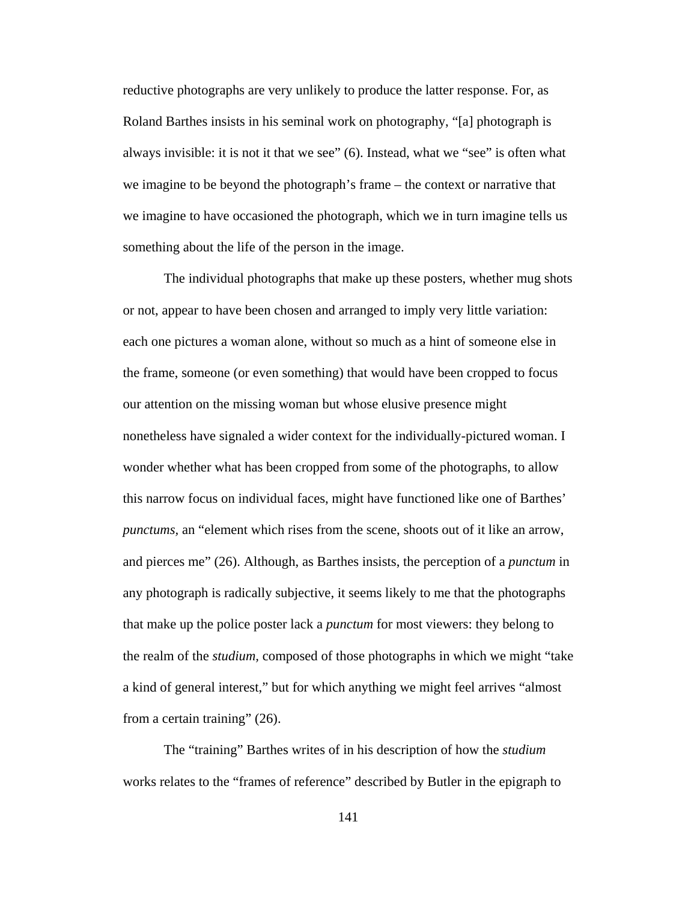reductive photographs are very unlikely to produce the latter response. For, as Roland Barthes insists in his seminal work on photography, "[a] photograph is always invisible: it is not it that we see" (6). Instead, what we "see" is often what we imagine to be beyond the photograph's frame – the context or narrative that we imagine to have occasioned the photograph, which we in turn imagine tells us something about the life of the person in the image.

The individual photographs that make up these posters, whether mug shots or not, appear to have been chosen and arranged to imply very little variation: each one pictures a woman alone, without so much as a hint of someone else in the frame, someone (or even something) that would have been cropped to focus our attention on the missing woman but whose elusive presence might nonetheless have signaled a wider context for the individually-pictured woman. I wonder whether what has been cropped from some of the photographs, to allow this narrow focus on individual faces, might have functioned like one of Barthes' *punctums,* an "element which rises from the scene, shoots out of it like an arrow, and pierces me" (26). Although, as Barthes insists, the perception of a *punctum* in any photograph is radically subjective, it seems likely to me that the photographs that make up the police poster lack a *punctum* for most viewers: they belong to the realm of the *studium,* composed of those photographs in which we might "take a kind of general interest," but for which anything we might feel arrives "almost from a certain training" (26).

The "training" Barthes writes of in his description of how the *studium*  works relates to the "frames of reference" described by Butler in the epigraph to

141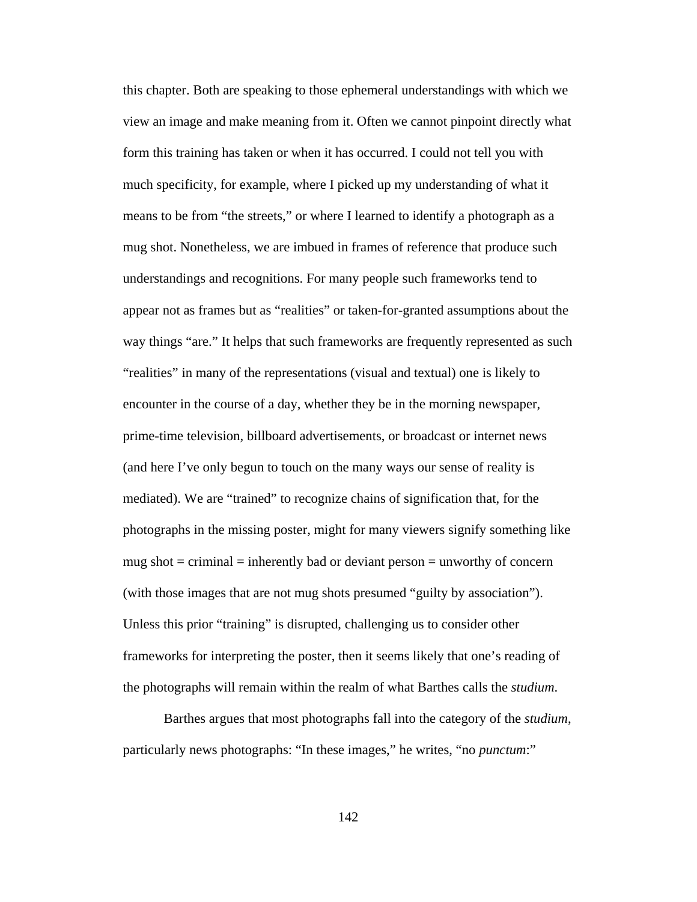this chapter. Both are speaking to those ephemeral understandings with which we view an image and make meaning from it. Often we cannot pinpoint directly what form this training has taken or when it has occurred. I could not tell you with much specificity, for example, where I picked up my understanding of what it means to be from "the streets," or where I learned to identify a photograph as a mug shot. Nonetheless, we are imbued in frames of reference that produce such understandings and recognitions. For many people such frameworks tend to appear not as frames but as "realities" or taken-for-granted assumptions about the way things "are." It helps that such frameworks are frequently represented as such "realities" in many of the representations (visual and textual) one is likely to encounter in the course of a day, whether they be in the morning newspaper, prime-time television, billboard advertisements, or broadcast or internet news (and here I've only begun to touch on the many ways our sense of reality is mediated). We are "trained" to recognize chains of signification that, for the photographs in the missing poster, might for many viewers signify something like mug shot  $=$  criminal  $=$  inherently bad or deviant person  $=$  unworthy of concern (with those images that are not mug shots presumed "guilty by association"). Unless this prior "training" is disrupted, challenging us to consider other frameworks for interpreting the poster, then it seems likely that one's reading of the photographs will remain within the realm of what Barthes calls the *studium*.

Barthes argues that most photographs fall into the category of the *studium*, particularly news photographs: "In these images," he writes, "no *punctum*:"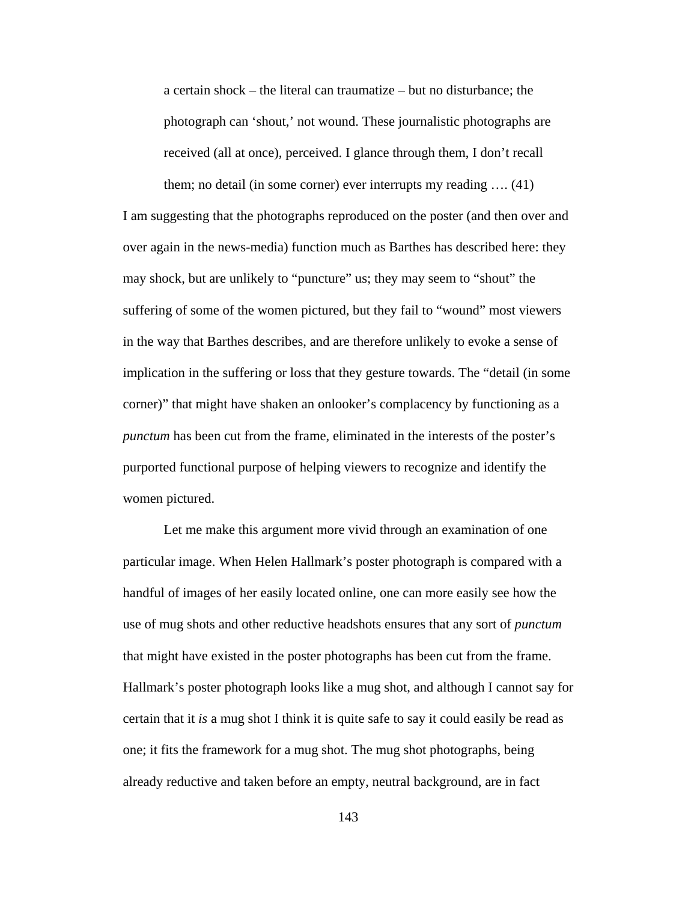a certain shock – the literal can traumatize – but no disturbance; the photograph can 'shout,' not wound. These journalistic photographs are received (all at once), perceived. I glance through them, I don't recall

them; no detail (in some corner) ever interrupts my reading …. (41)

I am suggesting that the photographs reproduced on the poster (and then over and over again in the news-media) function much as Barthes has described here: they may shock, but are unlikely to "puncture" us; they may seem to "shout" the suffering of some of the women pictured, but they fail to "wound" most viewers in the way that Barthes describes, and are therefore unlikely to evoke a sense of implication in the suffering or loss that they gesture towards. The "detail (in some corner)" that might have shaken an onlooker's complacency by functioning as a *punctum* has been cut from the frame, eliminated in the interests of the poster's purported functional purpose of helping viewers to recognize and identify the women pictured.

Let me make this argument more vivid through an examination of one particular image. When Helen Hallmark's poster photograph is compared with a handful of images of her easily located online, one can more easily see how the use of mug shots and other reductive headshots ensures that any sort of *punctum*  that might have existed in the poster photographs has been cut from the frame. Hallmark's poster photograph looks like a mug shot, and although I cannot say for certain that it *is* a mug shot I think it is quite safe to say it could easily be read as one; it fits the framework for a mug shot. The mug shot photographs, being already reductive and taken before an empty, neutral background, are in fact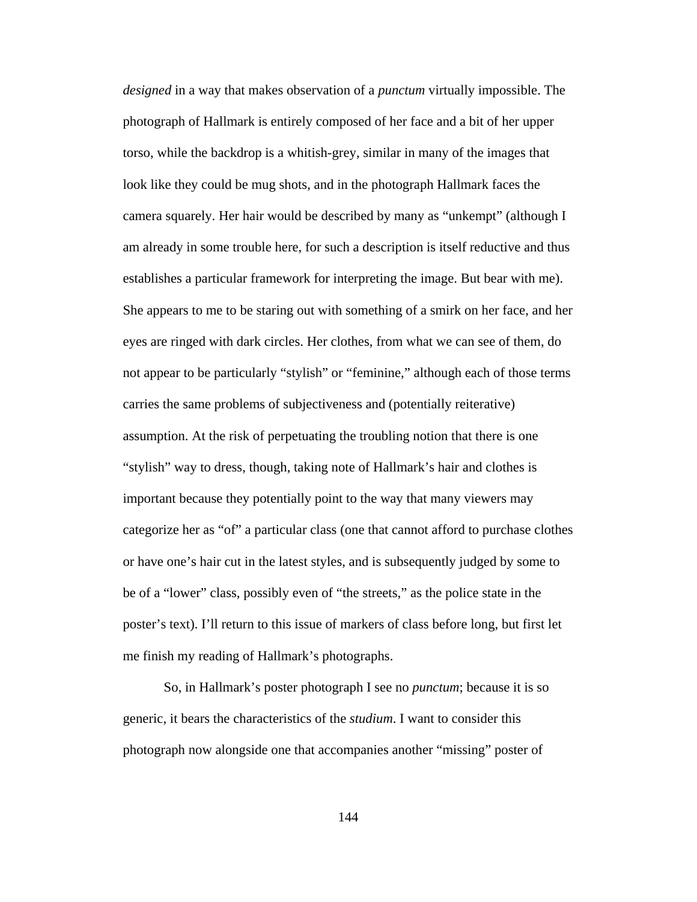*designed* in a way that makes observation of a *punctum* virtually impossible. The photograph of Hallmark is entirely composed of her face and a bit of her upper torso, while the backdrop is a whitish-grey, similar in many of the images that look like they could be mug shots, and in the photograph Hallmark faces the camera squarely. Her hair would be described by many as "unkempt" (although I am already in some trouble here, for such a description is itself reductive and thus establishes a particular framework for interpreting the image. But bear with me). She appears to me to be staring out with something of a smirk on her face, and her eyes are ringed with dark circles. Her clothes, from what we can see of them, do not appear to be particularly "stylish" or "feminine," although each of those terms carries the same problems of subjectiveness and (potentially reiterative) assumption. At the risk of perpetuating the troubling notion that there is one "stylish" way to dress, though, taking note of Hallmark's hair and clothes is important because they potentially point to the way that many viewers may categorize her as "of" a particular class (one that cannot afford to purchase clothes or have one's hair cut in the latest styles, and is subsequently judged by some to be of a "lower" class, possibly even of "the streets," as the police state in the poster's text). I'll return to this issue of markers of class before long, but first let me finish my reading of Hallmark's photographs.

So, in Hallmark's poster photograph I see no *punctum*; because it is so generic, it bears the characteristics of the *studium*. I want to consider this photograph now alongside one that accompanies another "missing" poster of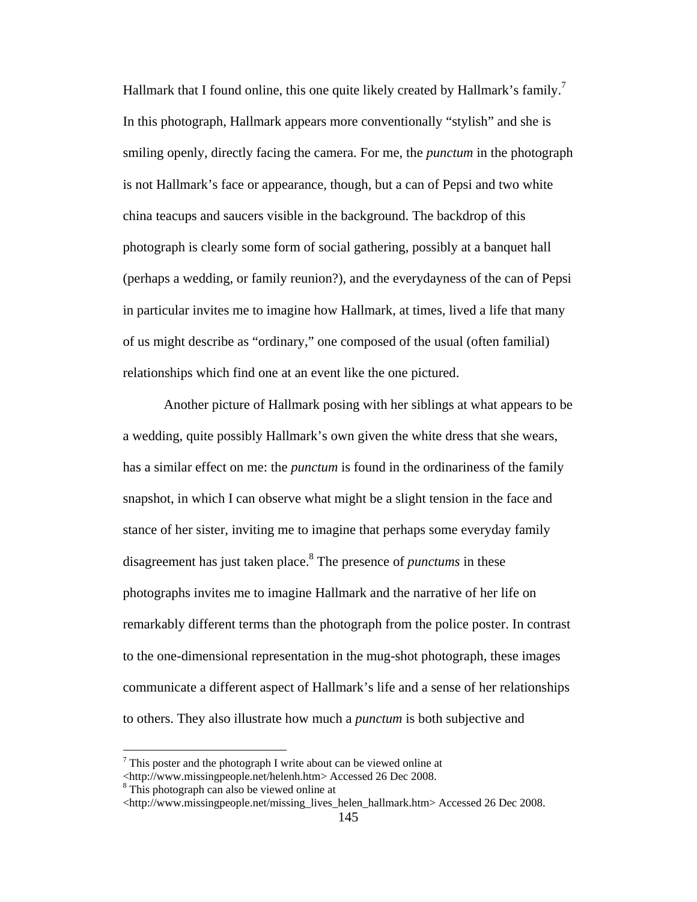Hallmark that I found online, this one quite likely created by Hallmark's family.<sup>7</sup> In this photograph, Hallmark appears more conventionally "stylish" and she is smiling openly, directly facing the camera. For me, the *punctum* in the photograph is not Hallmark's face or appearance, though, but a can of Pepsi and two white china teacups and saucers visible in the background. The backdrop of this photograph is clearly some form of social gathering, possibly at a banquet hall (perhaps a wedding, or family reunion?), and the everydayness of the can of Pepsi in particular invites me to imagine how Hallmark, at times, lived a life that many of us might describe as "ordinary," one composed of the usual (often familial) relationships which find one at an event like the one pictured.

Another picture of Hallmark posing with her siblings at what appears to be a wedding, quite possibly Hallmark's own given the white dress that she wears, has a similar effect on me: the *punctum* is found in the ordinariness of the family snapshot, in which I can observe what might be a slight tension in the face and stance of her sister, inviting me to imagine that perhaps some everyday family disagreement has just taken place.8 The presence of *punctums* in these photographs invites me to imagine Hallmark and the narrative of her life on remarkably different terms than the photograph from the police poster. In contrast to the one-dimensional representation in the mug-shot photograph, these images communicate a different aspect of Hallmark's life and a sense of her relationships to others. They also illustrate how much a *punctum* is both subjective and

 $7$  This poster and the photograph I write about can be viewed online at

<sup>&</sup>lt;http://www.missingpeople.net/helenh.htm> Accessed 26 Dec 2008.

<sup>&</sup>lt;sup>8</sup> This photograph can also be viewed online at

 $\langle$ http://www.missingpeople.net/missing\_lives\_helen\_hallmark.htm> Accessed 26 Dec 2008.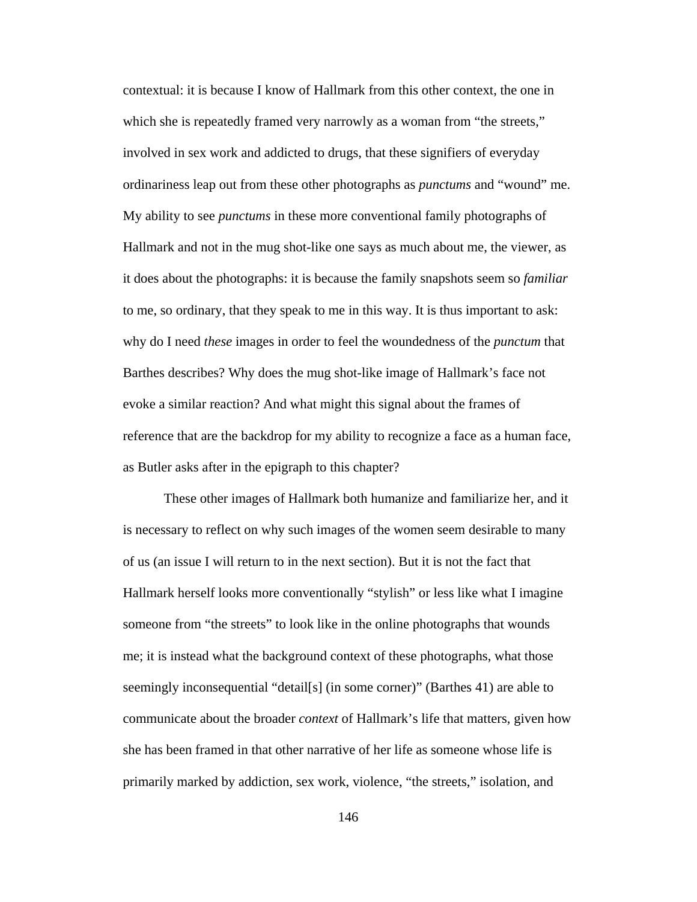contextual: it is because I know of Hallmark from this other context, the one in which she is repeatedly framed very narrowly as a woman from "the streets," involved in sex work and addicted to drugs, that these signifiers of everyday ordinariness leap out from these other photographs as *punctums* and "wound" me. My ability to see *punctums* in these more conventional family photographs of Hallmark and not in the mug shot-like one says as much about me, the viewer, as it does about the photographs: it is because the family snapshots seem so *familiar*  to me, so ordinary, that they speak to me in this way. It is thus important to ask: why do I need *these* images in order to feel the woundedness of the *punctum* that Barthes describes? Why does the mug shot-like image of Hallmark's face not evoke a similar reaction? And what might this signal about the frames of reference that are the backdrop for my ability to recognize a face as a human face, as Butler asks after in the epigraph to this chapter?

These other images of Hallmark both humanize and familiarize her, and it is necessary to reflect on why such images of the women seem desirable to many of us (an issue I will return to in the next section). But it is not the fact that Hallmark herself looks more conventionally "stylish" or less like what I imagine someone from "the streets" to look like in the online photographs that wounds me; it is instead what the background context of these photographs, what those seemingly inconsequential "detail[s] (in some corner)" (Barthes 41) are able to communicate about the broader *context* of Hallmark's life that matters, given how she has been framed in that other narrative of her life as someone whose life is primarily marked by addiction, sex work, violence, "the streets," isolation, and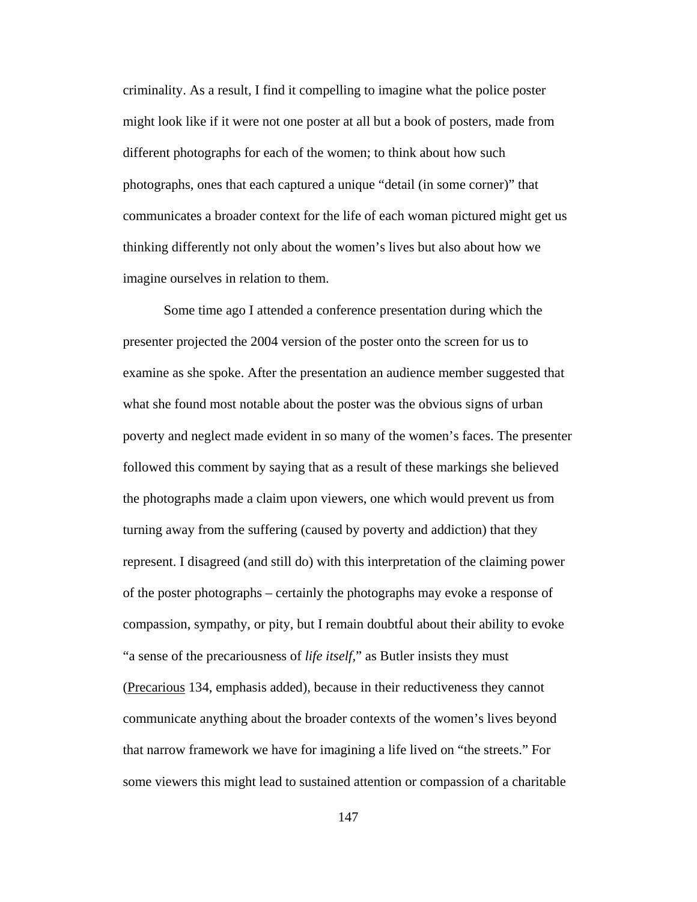criminality. As a result, I find it compelling to imagine what the police poster might look like if it were not one poster at all but a book of posters, made from different photographs for each of the women; to think about how such photographs, ones that each captured a unique "detail (in some corner)" that communicates a broader context for the life of each woman pictured might get us thinking differently not only about the women's lives but also about how we imagine ourselves in relation to them.

Some time ago I attended a conference presentation during which the presenter projected the 2004 version of the poster onto the screen for us to examine as she spoke. After the presentation an audience member suggested that what she found most notable about the poster was the obvious signs of urban poverty and neglect made evident in so many of the women's faces. The presenter followed this comment by saying that as a result of these markings she believed the photographs made a claim upon viewers, one which would prevent us from turning away from the suffering (caused by poverty and addiction) that they represent. I disagreed (and still do) with this interpretation of the claiming power of the poster photographs – certainly the photographs may evoke a response of compassion, sympathy, or pity, but I remain doubtful about their ability to evoke "a sense of the precariousness of *life itself,*" as Butler insists they must (Precarious 134, emphasis added), because in their reductiveness they cannot communicate anything about the broader contexts of the women's lives beyond that narrow framework we have for imagining a life lived on "the streets." For some viewers this might lead to sustained attention or compassion of a charitable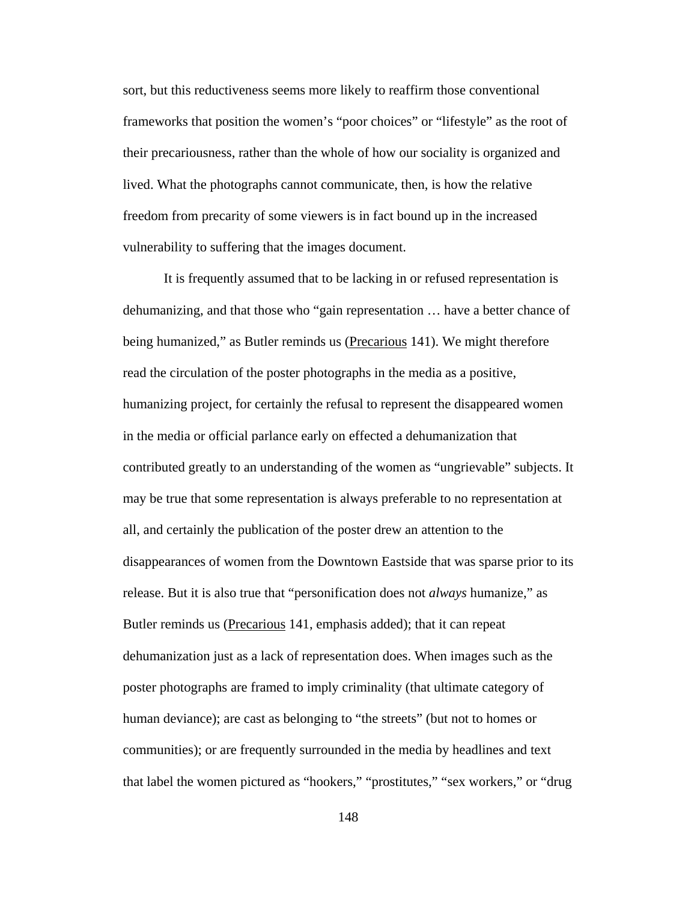sort, but this reductiveness seems more likely to reaffirm those conventional frameworks that position the women's "poor choices" or "lifestyle" as the root of their precariousness, rather than the whole of how our sociality is organized and lived. What the photographs cannot communicate, then, is how the relative freedom from precarity of some viewers is in fact bound up in the increased vulnerability to suffering that the images document.

It is frequently assumed that to be lacking in or refused representation is dehumanizing, and that those who "gain representation … have a better chance of being humanized," as Butler reminds us (Precarious 141). We might therefore read the circulation of the poster photographs in the media as a positive, humanizing project, for certainly the refusal to represent the disappeared women in the media or official parlance early on effected a dehumanization that contributed greatly to an understanding of the women as "ungrievable" subjects. It may be true that some representation is always preferable to no representation at all, and certainly the publication of the poster drew an attention to the disappearances of women from the Downtown Eastside that was sparse prior to its release. But it is also true that "personification does not *always* humanize," as Butler reminds us (Precarious 141, emphasis added); that it can repeat dehumanization just as a lack of representation does. When images such as the poster photographs are framed to imply criminality (that ultimate category of human deviance); are cast as belonging to "the streets" (but not to homes or communities); or are frequently surrounded in the media by headlines and text that label the women pictured as "hookers," "prostitutes," "sex workers," or "drug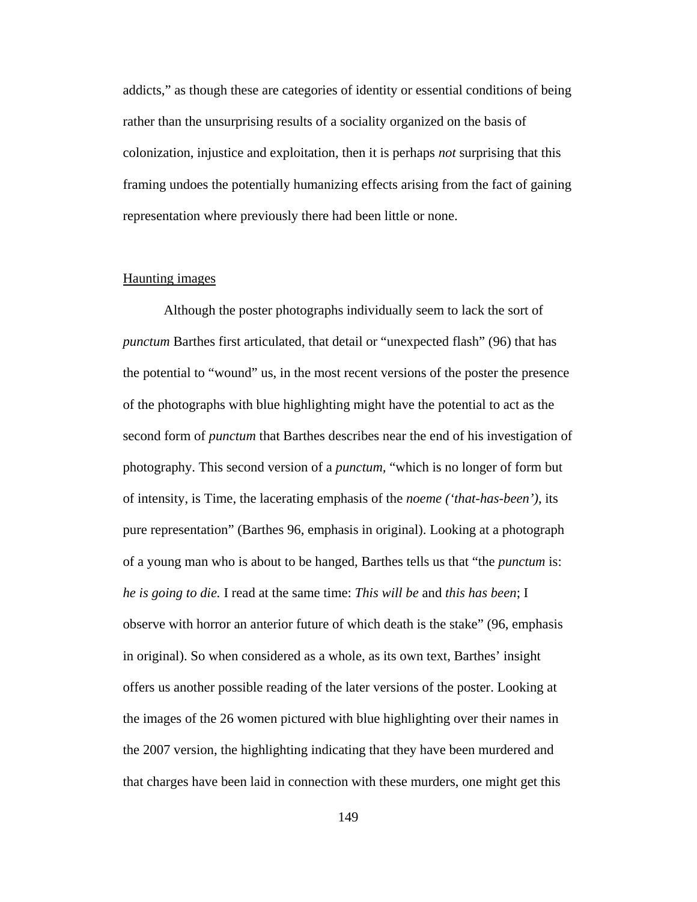addicts," as though these are categories of identity or essential conditions of being rather than the unsurprising results of a sociality organized on the basis of colonization, injustice and exploitation, then it is perhaps *not* surprising that this framing undoes the potentially humanizing effects arising from the fact of gaining representation where previously there had been little or none.

### Haunting images

Although the poster photographs individually seem to lack the sort of *punctum* Barthes first articulated, that detail or "unexpected flash" (96) that has the potential to "wound" us, in the most recent versions of the poster the presence of the photographs with blue highlighting might have the potential to act as the second form of *punctum* that Barthes describes near the end of his investigation of photography. This second version of a *punctum,* "which is no longer of form but of intensity, is Time, the lacerating emphasis of the *noeme ('that-has-been')*, its pure representation" (Barthes 96, emphasis in original). Looking at a photograph of a young man who is about to be hanged, Barthes tells us that "the *punctum* is: *he is going to die.* I read at the same time: *This will be* and *this has been*; I observe with horror an anterior future of which death is the stake" (96, emphasis in original). So when considered as a whole, as its own text, Barthes' insight offers us another possible reading of the later versions of the poster. Looking at the images of the 26 women pictured with blue highlighting over their names in the 2007 version, the highlighting indicating that they have been murdered and that charges have been laid in connection with these murders, one might get this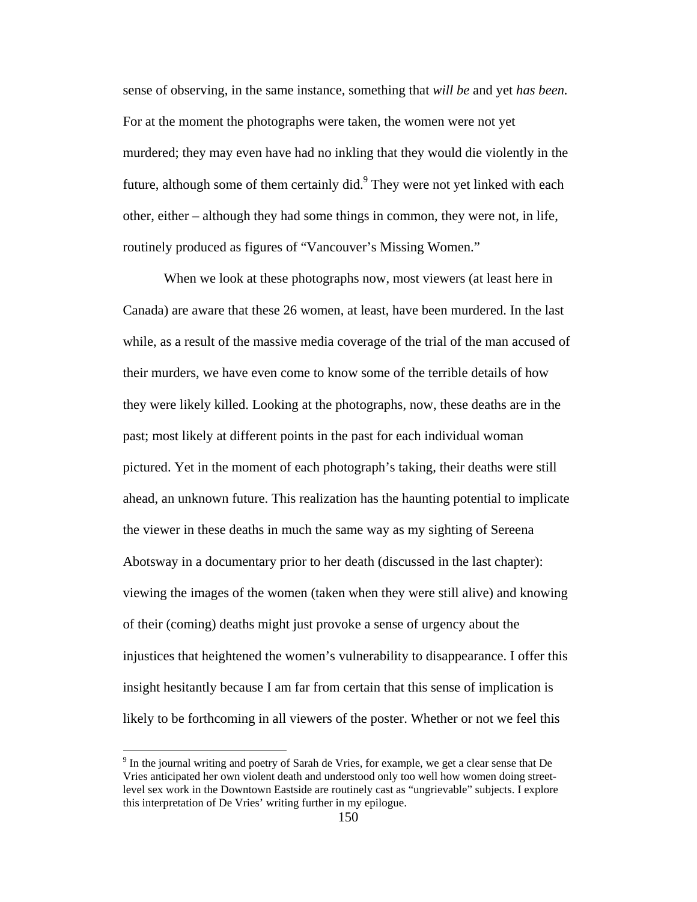sense of observing, in the same instance, something that *will be* and yet *has been.*  For at the moment the photographs were taken, the women were not yet murdered; they may even have had no inkling that they would die violently in the future, although some of them certainly did.<sup>9</sup> They were not yet linked with each other, either – although they had some things in common, they were not, in life, routinely produced as figures of "Vancouver's Missing Women."

When we look at these photographs now, most viewers (at least here in Canada) are aware that these 26 women, at least, have been murdered. In the last while, as a result of the massive media coverage of the trial of the man accused of their murders, we have even come to know some of the terrible details of how they were likely killed. Looking at the photographs, now, these deaths are in the past; most likely at different points in the past for each individual woman pictured. Yet in the moment of each photograph's taking, their deaths were still ahead, an unknown future. This realization has the haunting potential to implicate the viewer in these deaths in much the same way as my sighting of Sereena Abotsway in a documentary prior to her death (discussed in the last chapter): viewing the images of the women (taken when they were still alive) and knowing of their (coming) deaths might just provoke a sense of urgency about the injustices that heightened the women's vulnerability to disappearance. I offer this insight hesitantly because I am far from certain that this sense of implication is likely to be forthcoming in all viewers of the poster. Whether or not we feel this

 $9<sup>9</sup>$  In the journal writing and poetry of Sarah de Vries, for example, we get a clear sense that De Vries anticipated her own violent death and understood only too well how women doing streetlevel sex work in the Downtown Eastside are routinely cast as "ungrievable" subjects. I explore this interpretation of De Vries' writing further in my epilogue.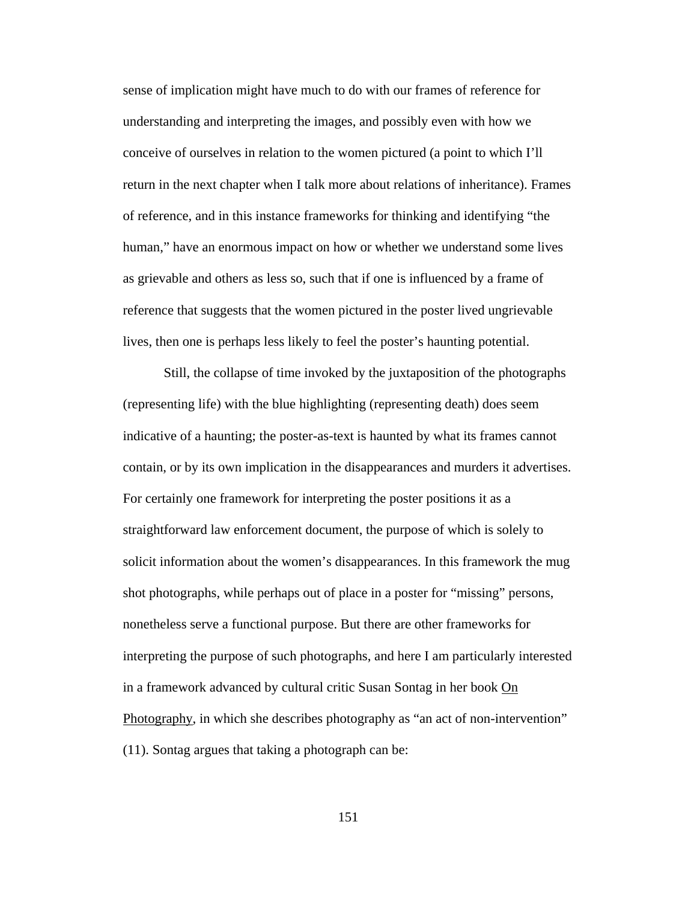sense of implication might have much to do with our frames of reference for understanding and interpreting the images, and possibly even with how we conceive of ourselves in relation to the women pictured (a point to which I'll return in the next chapter when I talk more about relations of inheritance). Frames of reference, and in this instance frameworks for thinking and identifying "the human," have an enormous impact on how or whether we understand some lives as grievable and others as less so, such that if one is influenced by a frame of reference that suggests that the women pictured in the poster lived ungrievable lives, then one is perhaps less likely to feel the poster's haunting potential.

Still, the collapse of time invoked by the juxtaposition of the photographs (representing life) with the blue highlighting (representing death) does seem indicative of a haunting; the poster-as-text is haunted by what its frames cannot contain, or by its own implication in the disappearances and murders it advertises. For certainly one framework for interpreting the poster positions it as a straightforward law enforcement document, the purpose of which is solely to solicit information about the women's disappearances. In this framework the mug shot photographs, while perhaps out of place in a poster for "missing" persons, nonetheless serve a functional purpose. But there are other frameworks for interpreting the purpose of such photographs, and here I am particularly interested in a framework advanced by cultural critic Susan Sontag in her book On Photography, in which she describes photography as "an act of non-intervention" (11). Sontag argues that taking a photograph can be: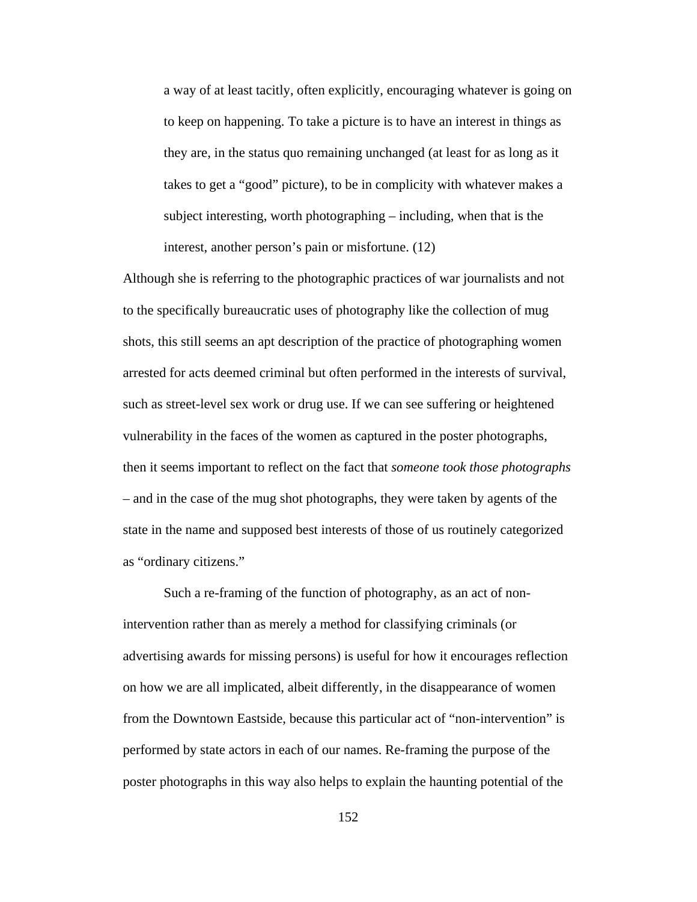a way of at least tacitly, often explicitly, encouraging whatever is going on to keep on happening. To take a picture is to have an interest in things as they are, in the status quo remaining unchanged (at least for as long as it takes to get a "good" picture), to be in complicity with whatever makes a subject interesting, worth photographing – including, when that is the interest, another person's pain or misfortune. (12)

Although she is referring to the photographic practices of war journalists and not to the specifically bureaucratic uses of photography like the collection of mug shots, this still seems an apt description of the practice of photographing women arrested for acts deemed criminal but often performed in the interests of survival, such as street-level sex work or drug use. If we can see suffering or heightened vulnerability in the faces of the women as captured in the poster photographs, then it seems important to reflect on the fact that *someone took those photographs*  – and in the case of the mug shot photographs, they were taken by agents of the state in the name and supposed best interests of those of us routinely categorized as "ordinary citizens."

Such a re-framing of the function of photography, as an act of nonintervention rather than as merely a method for classifying criminals (or advertising awards for missing persons) is useful for how it encourages reflection on how we are all implicated, albeit differently, in the disappearance of women from the Downtown Eastside, because this particular act of "non-intervention" is performed by state actors in each of our names. Re-framing the purpose of the poster photographs in this way also helps to explain the haunting potential of the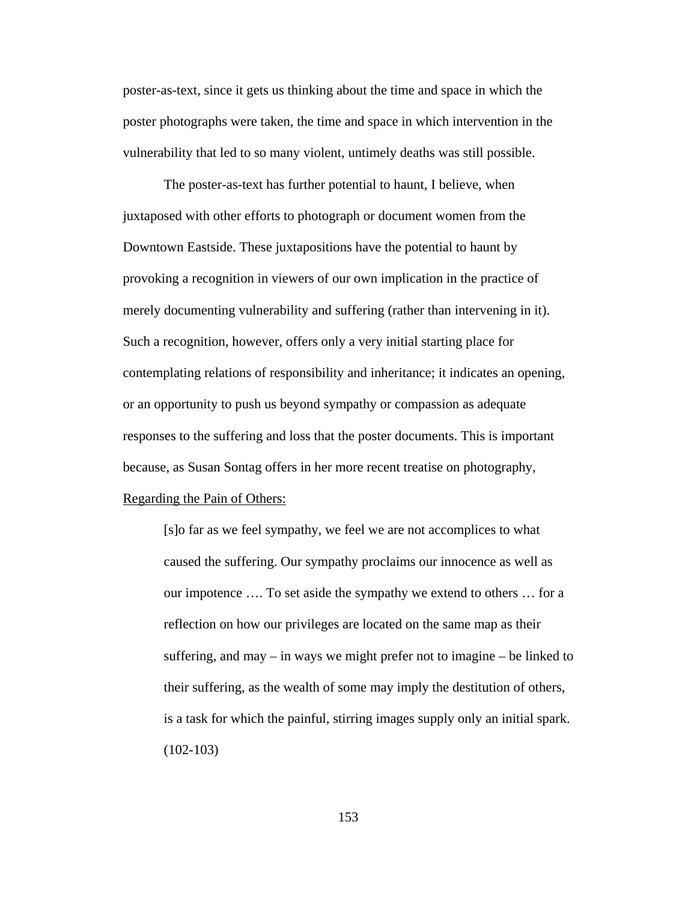poster-as-text, since it gets us thinking about the time and space in which the poster photographs were taken, the time and space in which intervention in the vulnerability that led to so many violent, untimely deaths was still possible.

 The poster-as-text has further potential to haunt, I believe, when juxtaposed with other efforts to photograph or document women from the Downtown Eastside. These juxtapositions have the potential to haunt by provoking a recognition in viewers of our own implication in the practice of merely documenting vulnerability and suffering (rather than intervening in it). Such a recognition, however, offers only a very initial starting place for contemplating relations of responsibility and inheritance; it indicates an opening, or an opportunity to push us beyond sympathy or compassion as adequate responses to the suffering and loss that the poster documents. This is important because, as Susan Sontag offers in her more recent treatise on photography, Regarding the Pain of Others:

[s]o far as we feel sympathy, we feel we are not accomplices to what caused the suffering. Our sympathy proclaims our innocence as well as our impotence …. To set aside the sympathy we extend to others … for a reflection on how our privileges are located on the same map as their suffering, and may – in ways we might prefer not to imagine – be linked to their suffering, as the wealth of some may imply the destitution of others, is a task for which the painful, stirring images supply only an initial spark.  $(102-103)$ 

153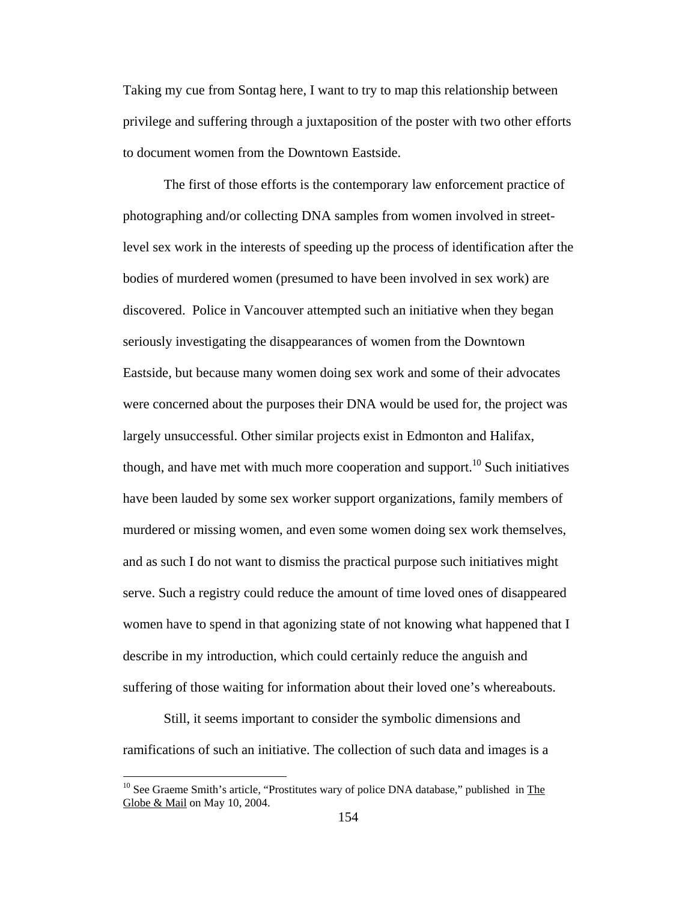Taking my cue from Sontag here, I want to try to map this relationship between privilege and suffering through a juxtaposition of the poster with two other efforts to document women from the Downtown Eastside.

The first of those efforts is the contemporary law enforcement practice of photographing and/or collecting DNA samples from women involved in streetlevel sex work in the interests of speeding up the process of identification after the bodies of murdered women (presumed to have been involved in sex work) are discovered. Police in Vancouver attempted such an initiative when they began seriously investigating the disappearances of women from the Downtown Eastside, but because many women doing sex work and some of their advocates were concerned about the purposes their DNA would be used for, the project was largely unsuccessful. Other similar projects exist in Edmonton and Halifax, though, and have met with much more cooperation and support.<sup>10</sup> Such initiatives have been lauded by some sex worker support organizations, family members of murdered or missing women, and even some women doing sex work themselves, and as such I do not want to dismiss the practical purpose such initiatives might serve. Such a registry could reduce the amount of time loved ones of disappeared women have to spend in that agonizing state of not knowing what happened that I describe in my introduction, which could certainly reduce the anguish and suffering of those waiting for information about their loved one's whereabouts.

Still, it seems important to consider the symbolic dimensions and ramifications of such an initiative. The collection of such data and images is a

<sup>&</sup>lt;sup>10</sup> See Graeme Smith's article, "Prostitutes wary of police DNA database," published in The Globe & Mail on May 10, 2004.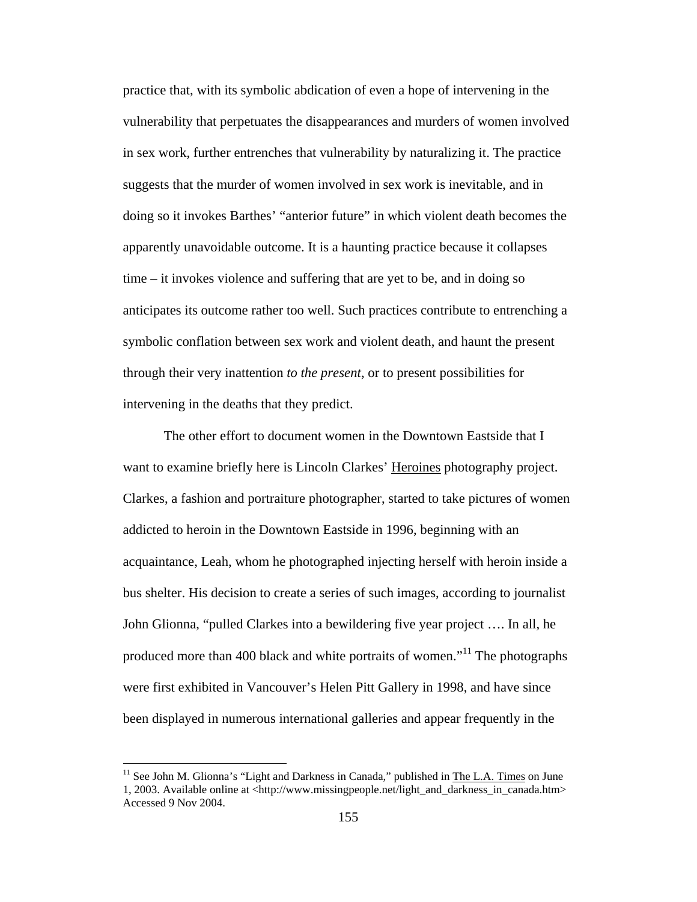practice that, with its symbolic abdication of even a hope of intervening in the vulnerability that perpetuates the disappearances and murders of women involved in sex work, further entrenches that vulnerability by naturalizing it. The practice suggests that the murder of women involved in sex work is inevitable, and in doing so it invokes Barthes' "anterior future" in which violent death becomes the apparently unavoidable outcome. It is a haunting practice because it collapses time – it invokes violence and suffering that are yet to be, and in doing so anticipates its outcome rather too well. Such practices contribute to entrenching a symbolic conflation between sex work and violent death, and haunt the present through their very inattention *to the present*, or to present possibilities for intervening in the deaths that they predict.

The other effort to document women in the Downtown Eastside that I want to examine briefly here is Lincoln Clarkes' Heroines photography project. Clarkes, a fashion and portraiture photographer, started to take pictures of women addicted to heroin in the Downtown Eastside in 1996, beginning with an acquaintance, Leah, whom he photographed injecting herself with heroin inside a bus shelter. His decision to create a series of such images, according to journalist John Glionna, "pulled Clarkes into a bewildering five year project …. In all, he produced more than 400 black and white portraits of women."11 The photographs were first exhibited in Vancouver's Helen Pitt Gallery in 1998, and have since been displayed in numerous international galleries and appear frequently in the

 $11$  See John M. Glionna's "Light and Darkness in Canada," published in The L.A. Times on June 1, 2003. Available online at <http://www.missingpeople.net/light\_and\_darkness\_in\_canada.htm> Accessed 9 Nov 2004.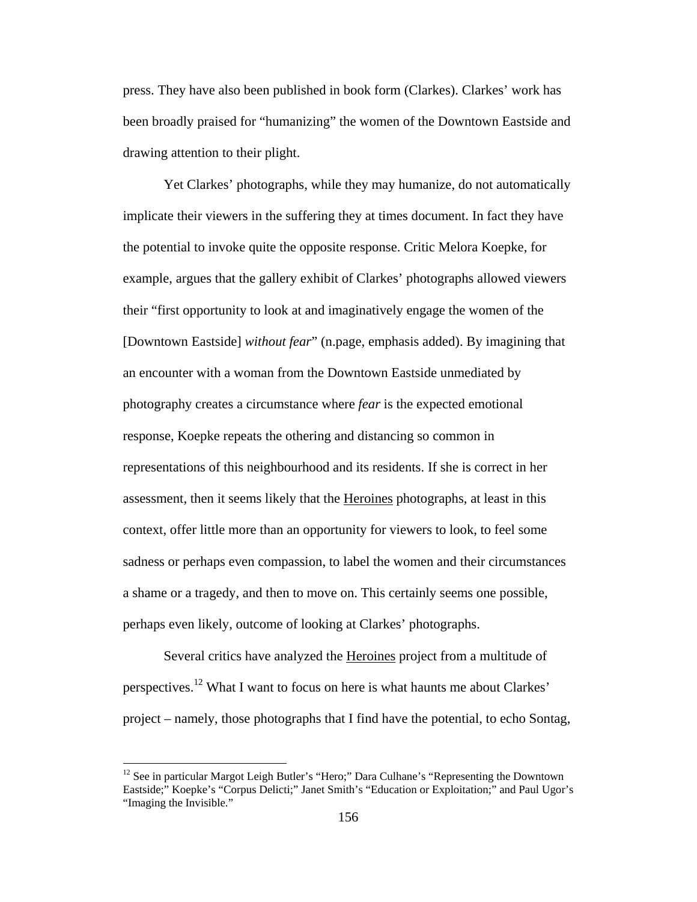press. They have also been published in book form (Clarkes). Clarkes' work has been broadly praised for "humanizing" the women of the Downtown Eastside and drawing attention to their plight.

Yet Clarkes' photographs, while they may humanize, do not automatically implicate their viewers in the suffering they at times document. In fact they have the potential to invoke quite the opposite response. Critic Melora Koepke, for example, argues that the gallery exhibit of Clarkes' photographs allowed viewers their "first opportunity to look at and imaginatively engage the women of the [Downtown Eastside] *without fear*" (n.page, emphasis added). By imagining that an encounter with a woman from the Downtown Eastside unmediated by photography creates a circumstance where *fear* is the expected emotional response, Koepke repeats the othering and distancing so common in representations of this neighbourhood and its residents. If she is correct in her assessment, then it seems likely that the **Heroines** photographs, at least in this context, offer little more than an opportunity for viewers to look, to feel some sadness or perhaps even compassion, to label the women and their circumstances a shame or a tragedy, and then to move on. This certainly seems one possible, perhaps even likely, outcome of looking at Clarkes' photographs.

Several critics have analyzed the Heroines project from a multitude of perspectives.<sup>12</sup> What I want to focus on here is what haunts me about Clarkes' project – namely, those photographs that I find have the potential, to echo Sontag,

 $12$  See in particular Margot Leigh Butler's "Hero;" Dara Culhane's "Representing the Downtown Eastside;" Koepke's "Corpus Delicti;" Janet Smith's "Education or Exploitation;" and Paul Ugor's "Imaging the Invisible."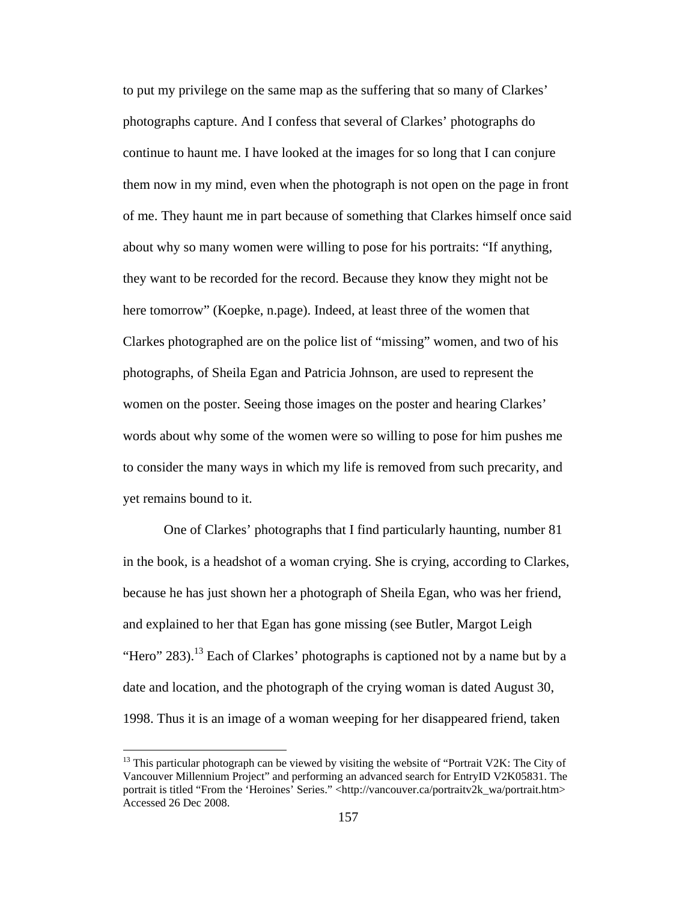to put my privilege on the same map as the suffering that so many of Clarkes' photographs capture. And I confess that several of Clarkes' photographs do continue to haunt me. I have looked at the images for so long that I can conjure them now in my mind, even when the photograph is not open on the page in front of me. They haunt me in part because of something that Clarkes himself once said about why so many women were willing to pose for his portraits: "If anything, they want to be recorded for the record. Because they know they might not be here tomorrow" (Koepke, n.page). Indeed, at least three of the women that Clarkes photographed are on the police list of "missing" women, and two of his photographs, of Sheila Egan and Patricia Johnson, are used to represent the women on the poster. Seeing those images on the poster and hearing Clarkes' words about why some of the women were so willing to pose for him pushes me to consider the many ways in which my life is removed from such precarity, and yet remains bound to it.

One of Clarkes' photographs that I find particularly haunting, number 81 in the book, is a headshot of a woman crying. She is crying, according to Clarkes, because he has just shown her a photograph of Sheila Egan, who was her friend, and explained to her that Egan has gone missing (see Butler, Margot Leigh "Hero" 283).<sup>13</sup> Each of Clarkes' photographs is captioned not by a name but by a date and location, and the photograph of the crying woman is dated August 30, 1998. Thus it is an image of a woman weeping for her disappeared friend, taken

 $13$  This particular photograph can be viewed by visiting the website of "Portrait V2K: The City of Vancouver Millennium Project" and performing an advanced search for EntryID V2K05831. The portrait is titled "From the 'Heroines' Series." <http://vancouver.ca/portraitv2k\_wa/portrait.htm> Accessed 26 Dec 2008.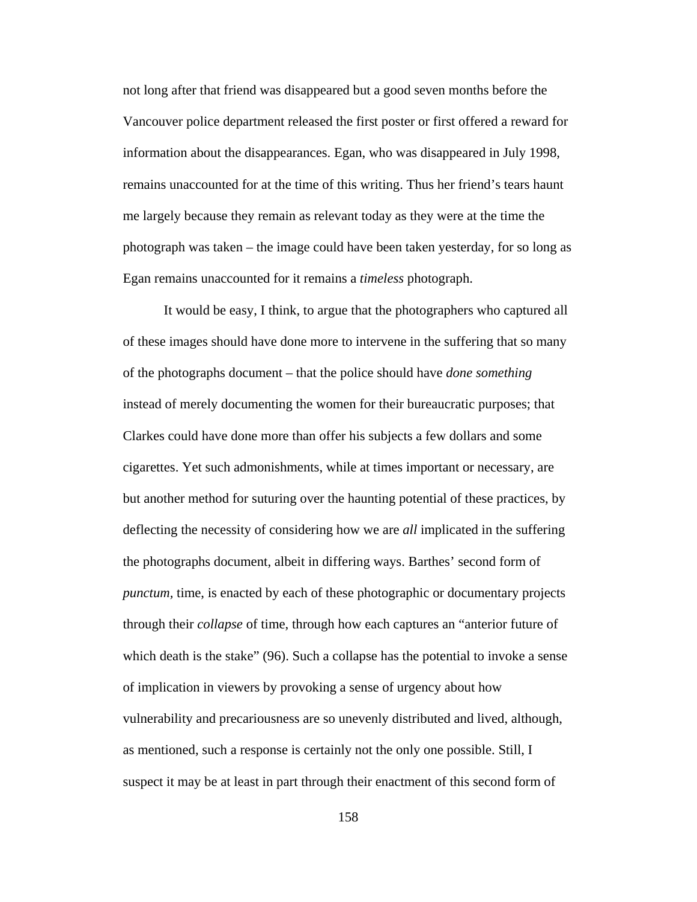not long after that friend was disappeared but a good seven months before the Vancouver police department released the first poster or first offered a reward for information about the disappearances. Egan, who was disappeared in July 1998, remains unaccounted for at the time of this writing. Thus her friend's tears haunt me largely because they remain as relevant today as they were at the time the photograph was taken – the image could have been taken yesterday, for so long as Egan remains unaccounted for it remains a *timeless* photograph.

It would be easy, I think, to argue that the photographers who captured all of these images should have done more to intervene in the suffering that so many of the photographs document – that the police should have *done something*  instead of merely documenting the women for their bureaucratic purposes; that Clarkes could have done more than offer his subjects a few dollars and some cigarettes. Yet such admonishments, while at times important or necessary, are but another method for suturing over the haunting potential of these practices, by deflecting the necessity of considering how we are *all* implicated in the suffering the photographs document, albeit in differing ways. Barthes' second form of *punctum,* time, is enacted by each of these photographic or documentary projects through their *collapse* of time, through how each captures an "anterior future of which death is the stake" (96). Such a collapse has the potential to invoke a sense of implication in viewers by provoking a sense of urgency about how vulnerability and precariousness are so unevenly distributed and lived, although, as mentioned, such a response is certainly not the only one possible. Still, I suspect it may be at least in part through their enactment of this second form of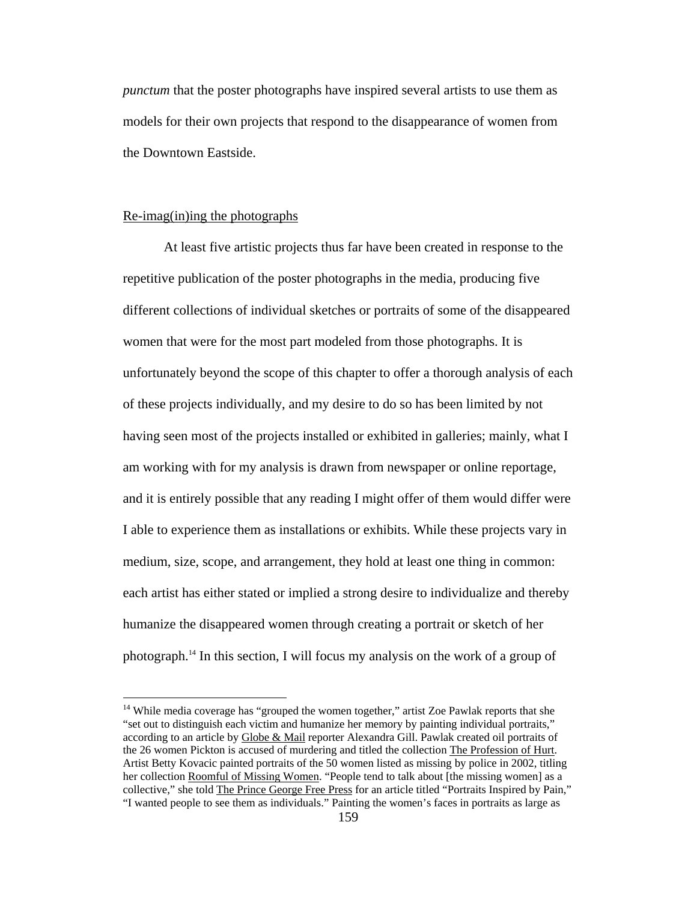*punctum* that the poster photographs have inspired several artists to use them as models for their own projects that respond to the disappearance of women from the Downtown Eastside.

### Re-imag(in)ing the photographs

 $\overline{a}$ 

At least five artistic projects thus far have been created in response to the repetitive publication of the poster photographs in the media, producing five different collections of individual sketches or portraits of some of the disappeared women that were for the most part modeled from those photographs. It is unfortunately beyond the scope of this chapter to offer a thorough analysis of each of these projects individually, and my desire to do so has been limited by not having seen most of the projects installed or exhibited in galleries; mainly, what I am working with for my analysis is drawn from newspaper or online reportage, and it is entirely possible that any reading I might offer of them would differ were I able to experience them as installations or exhibits. While these projects vary in medium, size, scope, and arrangement, they hold at least one thing in common: each artist has either stated or implied a strong desire to individualize and thereby humanize the disappeared women through creating a portrait or sketch of her photograph.14 In this section, I will focus my analysis on the work of a group of

<sup>&</sup>lt;sup>14</sup> While media coverage has "grouped the women together," artist Zoe Pawlak reports that she "set out to distinguish each victim and humanize her memory by painting individual portraits," according to an article by Globe & Mail reporter Alexandra Gill. Pawlak created oil portraits of the 26 women Pickton is accused of murdering and titled the collection The Profession of Hurt. Artist Betty Kovacic painted portraits of the 50 women listed as missing by police in 2002, titling her collection Roomful of Missing Women. "People tend to talk about [the missing women] as a collective," she told The Prince George Free Press for an article titled "Portraits Inspired by Pain," "I wanted people to see them as individuals." Painting the women's faces in portraits as large as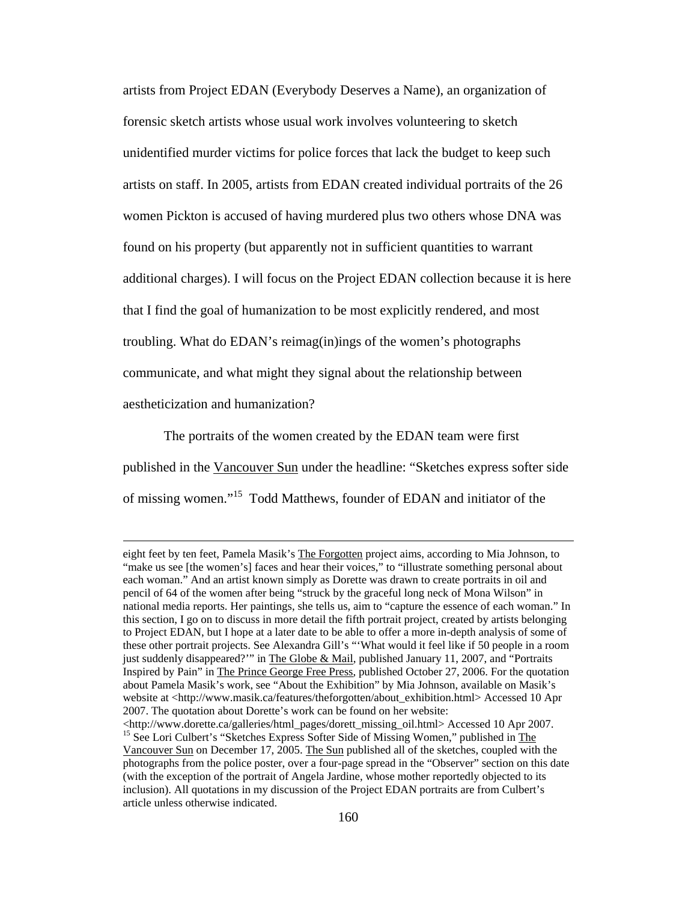artists from Project EDAN (Everybody Deserves a Name), an organization of forensic sketch artists whose usual work involves volunteering to sketch unidentified murder victims for police forces that lack the budget to keep such artists on staff. In 2005, artists from EDAN created individual portraits of the 26 women Pickton is accused of having murdered plus two others whose DNA was found on his property (but apparently not in sufficient quantities to warrant additional charges). I will focus on the Project EDAN collection because it is here that I find the goal of humanization to be most explicitly rendered, and most troubling. What do EDAN's reimag(in)ings of the women's photographs communicate, and what might they signal about the relationship between aestheticization and humanization?

The portraits of the women created by the EDAN team were first published in the Vancouver Sun under the headline: "Sketches express softer side of missing women."15 Todd Matthews, founder of EDAN and initiator of the

eight feet by ten feet, Pamela Masik's The Forgotten project aims, according to Mia Johnson, to "make us see [the women's] faces and hear their voices," to "illustrate something personal about each woman." And an artist known simply as Dorette was drawn to create portraits in oil and pencil of 64 of the women after being "struck by the graceful long neck of Mona Wilson" in national media reports. Her paintings, she tells us, aim to "capture the essence of each woman." In this section, I go on to discuss in more detail the fifth portrait project, created by artists belonging to Project EDAN, but I hope at a later date to be able to offer a more in-depth analysis of some of these other portrait projects. See Alexandra Gill's "'What would it feel like if 50 people in a room just suddenly disappeared?'" in The Globe & Mail, published January 11, 2007, and "Portraits" Inspired by Pain" in The Prince George Free Press, published October 27, 2006. For the quotation about Pamela Masik's work, see "About the Exhibition" by Mia Johnson, available on Masik's website at <http://www.masik.ca/features/theforgotten/about\_exhibition.html> Accessed 10 Apr 2007. The quotation about Dorette's work can be found on her website:

<sup>&</sup>lt;http://www.dorette.ca/galleries/html\_pages/dorett\_missing\_oil.html> Accessed 10 Apr 2007. 15 See Lori Culbert's "Sketches Express Softer Side of Missing Women," published in The Vancouver Sun on December 17, 2005. The Sun published all of the sketches, coupled with the photographs from the police poster, over a four-page spread in the "Observer" section on this date (with the exception of the portrait of Angela Jardine, whose mother reportedly objected to its inclusion). All quotations in my discussion of the Project EDAN portraits are from Culbert's article unless otherwise indicated.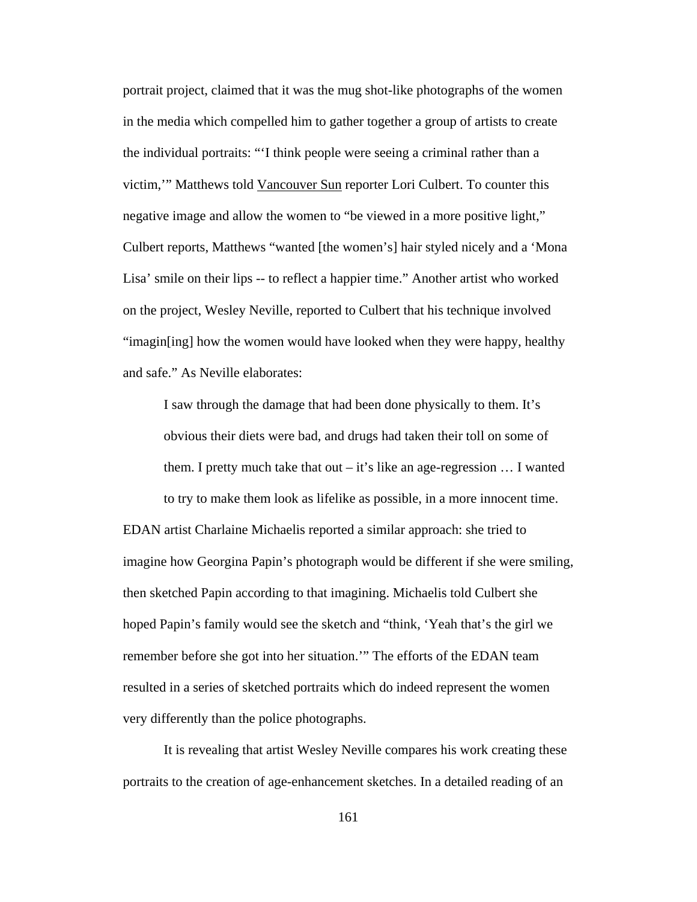portrait project, claimed that it was the mug shot-like photographs of the women in the media which compelled him to gather together a group of artists to create the individual portraits: "'I think people were seeing a criminal rather than a victim,'" Matthews told Vancouver Sun reporter Lori Culbert. To counter this negative image and allow the women to "be viewed in a more positive light," Culbert reports, Matthews "wanted [the women's] hair styled nicely and a 'Mona Lisa' smile on their lips -- to reflect a happier time." Another artist who worked on the project, Wesley Neville, reported to Culbert that his technique involved "imagin[ing] how the women would have looked when they were happy, healthy and safe." As Neville elaborates:

I saw through the damage that had been done physically to them. It's obvious their diets were bad, and drugs had taken their toll on some of them. I pretty much take that out  $-$  it's like an age-regression  $\dots$  I wanted to try to make them look as lifelike as possible, in a more innocent time.

EDAN artist Charlaine Michaelis reported a similar approach: she tried to imagine how Georgina Papin's photograph would be different if she were smiling, then sketched Papin according to that imagining. Michaelis told Culbert she hoped Papin's family would see the sketch and "think, 'Yeah that's the girl we remember before she got into her situation.'" The efforts of the EDAN team resulted in a series of sketched portraits which do indeed represent the women very differently than the police photographs.

 It is revealing that artist Wesley Neville compares his work creating these portraits to the creation of age-enhancement sketches. In a detailed reading of an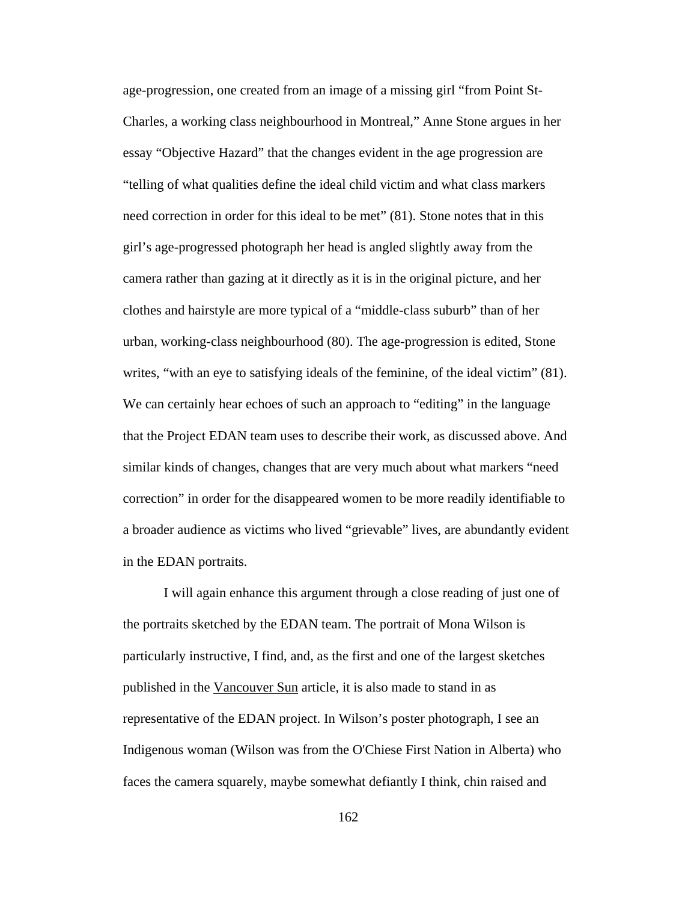age-progression, one created from an image of a missing girl "from Point St-Charles, a working class neighbourhood in Montreal," Anne Stone argues in her essay "Objective Hazard" that the changes evident in the age progression are "telling of what qualities define the ideal child victim and what class markers need correction in order for this ideal to be met" (81). Stone notes that in this girl's age-progressed photograph her head is angled slightly away from the camera rather than gazing at it directly as it is in the original picture, and her clothes and hairstyle are more typical of a "middle-class suburb" than of her urban, working-class neighbourhood (80). The age-progression is edited, Stone writes, "with an eye to satisfying ideals of the feminine, of the ideal victim" (81). We can certainly hear echoes of such an approach to "editing" in the language that the Project EDAN team uses to describe their work, as discussed above. And similar kinds of changes, changes that are very much about what markers "need correction" in order for the disappeared women to be more readily identifiable to a broader audience as victims who lived "grievable" lives, are abundantly evident in the EDAN portraits.

 I will again enhance this argument through a close reading of just one of the portraits sketched by the EDAN team. The portrait of Mona Wilson is particularly instructive, I find, and, as the first and one of the largest sketches published in the Vancouver Sun article, it is also made to stand in as representative of the EDAN project. In Wilson's poster photograph, I see an Indigenous woman (Wilson was from the O'Chiese First Nation in Alberta) who faces the camera squarely, maybe somewhat defiantly I think, chin raised and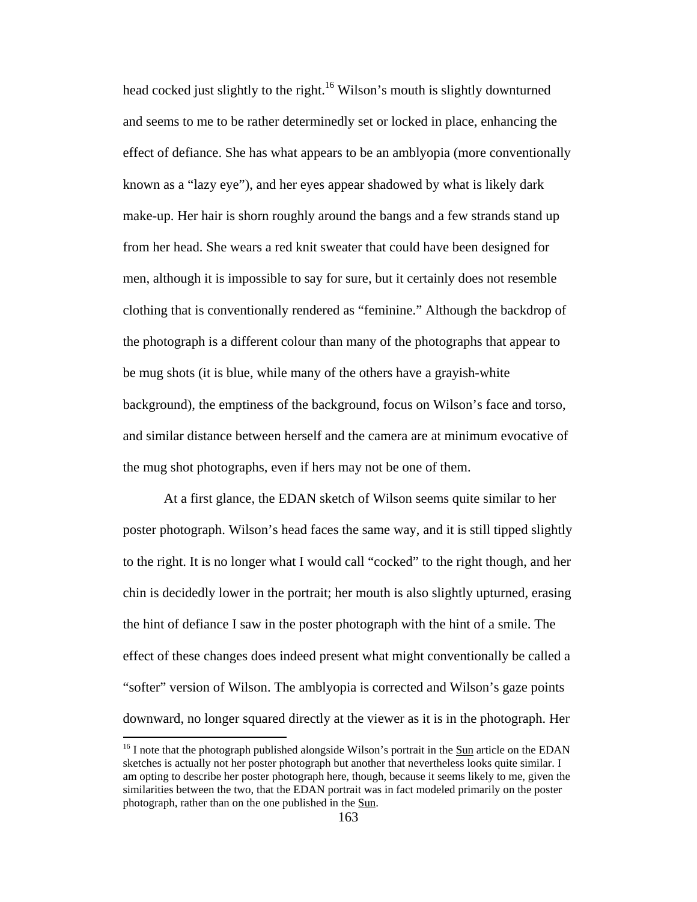head cocked just slightly to the right.<sup>16</sup> Wilson's mouth is slightly downturned and seems to me to be rather determinedly set or locked in place, enhancing the effect of defiance. She has what appears to be an amblyopia (more conventionally known as a "lazy eye"), and her eyes appear shadowed by what is likely dark make-up. Her hair is shorn roughly around the bangs and a few strands stand up from her head. She wears a red knit sweater that could have been designed for men, although it is impossible to say for sure, but it certainly does not resemble clothing that is conventionally rendered as "feminine." Although the backdrop of the photograph is a different colour than many of the photographs that appear to be mug shots (it is blue, while many of the others have a grayish-white background), the emptiness of the background, focus on Wilson's face and torso, and similar distance between herself and the camera are at minimum evocative of the mug shot photographs, even if hers may not be one of them.

 At a first glance, the EDAN sketch of Wilson seems quite similar to her poster photograph. Wilson's head faces the same way, and it is still tipped slightly to the right. It is no longer what I would call "cocked" to the right though, and her chin is decidedly lower in the portrait; her mouth is also slightly upturned, erasing the hint of defiance I saw in the poster photograph with the hint of a smile. The effect of these changes does indeed present what might conventionally be called a "softer" version of Wilson. The amblyopia is corrected and Wilson's gaze points downward, no longer squared directly at the viewer as it is in the photograph. Her

<sup>&</sup>lt;sup>16</sup> I note that the photograph published alongside Wilson's portrait in the Sun article on the EDAN sketches is actually not her poster photograph but another that nevertheless looks quite similar. I am opting to describe her poster photograph here, though, because it seems likely to me, given the similarities between the two, that the EDAN portrait was in fact modeled primarily on the poster photograph, rather than on the one published in the Sun.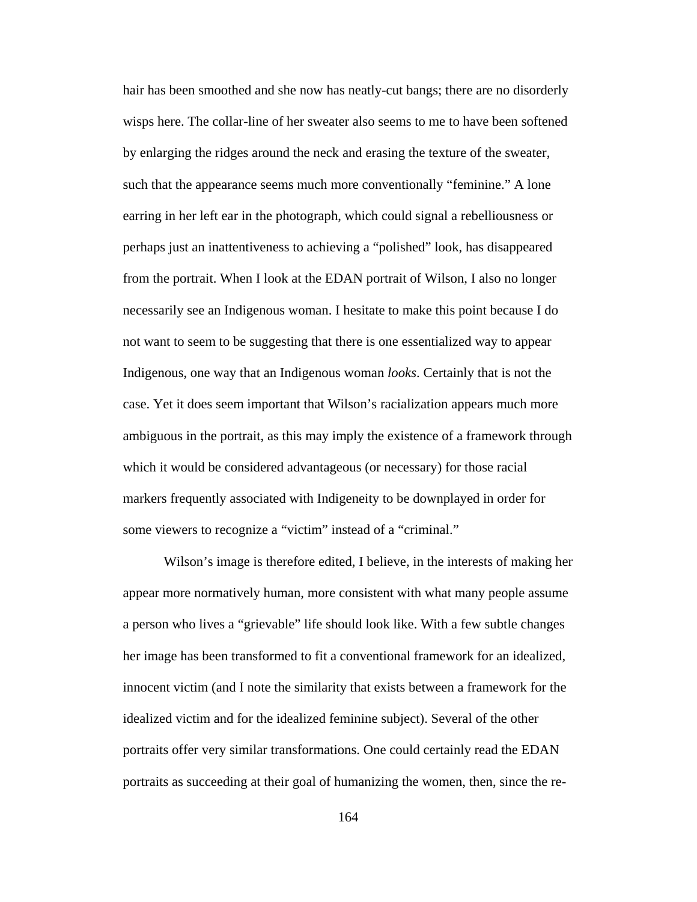hair has been smoothed and she now has neatly-cut bangs; there are no disorderly wisps here. The collar-line of her sweater also seems to me to have been softened by enlarging the ridges around the neck and erasing the texture of the sweater, such that the appearance seems much more conventionally "feminine." A lone earring in her left ear in the photograph, which could signal a rebelliousness or perhaps just an inattentiveness to achieving a "polished" look, has disappeared from the portrait. When I look at the EDAN portrait of Wilson, I also no longer necessarily see an Indigenous woman. I hesitate to make this point because I do not want to seem to be suggesting that there is one essentialized way to appear Indigenous, one way that an Indigenous woman *looks*. Certainly that is not the case. Yet it does seem important that Wilson's racialization appears much more ambiguous in the portrait, as this may imply the existence of a framework through which it would be considered advantageous (or necessary) for those racial markers frequently associated with Indigeneity to be downplayed in order for some viewers to recognize a "victim" instead of a "criminal."

 Wilson's image is therefore edited, I believe, in the interests of making her appear more normatively human, more consistent with what many people assume a person who lives a "grievable" life should look like. With a few subtle changes her image has been transformed to fit a conventional framework for an idealized, innocent victim (and I note the similarity that exists between a framework for the idealized victim and for the idealized feminine subject). Several of the other portraits offer very similar transformations. One could certainly read the EDAN portraits as succeeding at their goal of humanizing the women, then, since the re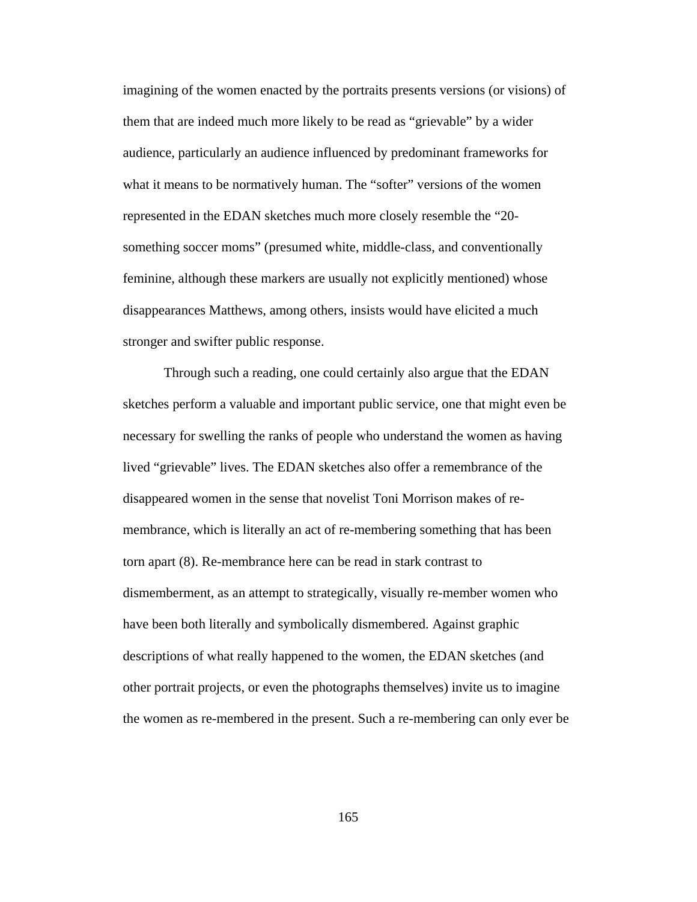imagining of the women enacted by the portraits presents versions (or visions) of them that are indeed much more likely to be read as "grievable" by a wider audience, particularly an audience influenced by predominant frameworks for what it means to be normatively human. The "softer" versions of the women represented in the EDAN sketches much more closely resemble the "20 something soccer moms" (presumed white, middle-class, and conventionally feminine, although these markers are usually not explicitly mentioned) whose disappearances Matthews, among others, insists would have elicited a much stronger and swifter public response.

Through such a reading, one could certainly also argue that the EDAN sketches perform a valuable and important public service, one that might even be necessary for swelling the ranks of people who understand the women as having lived "grievable" lives. The EDAN sketches also offer a remembrance of the disappeared women in the sense that novelist Toni Morrison makes of remembrance, which is literally an act of re-membering something that has been torn apart (8). Re-membrance here can be read in stark contrast to dismemberment, as an attempt to strategically, visually re-member women who have been both literally and symbolically dismembered. Against graphic descriptions of what really happened to the women, the EDAN sketches (and other portrait projects, or even the photographs themselves) invite us to imagine the women as re-membered in the present. Such a re-membering can only ever be

165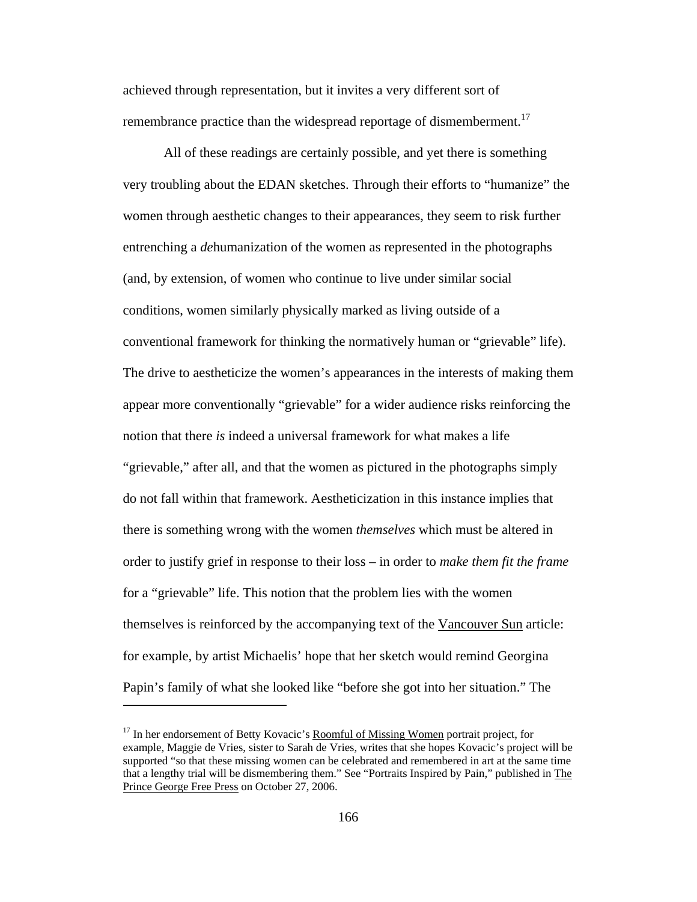achieved through representation, but it invites a very different sort of remembrance practice than the widespread reportage of dismemberment.<sup>17</sup>

All of these readings are certainly possible, and yet there is something very troubling about the EDAN sketches. Through their efforts to "humanize" the women through aesthetic changes to their appearances, they seem to risk further entrenching a *de*humanization of the women as represented in the photographs (and, by extension, of women who continue to live under similar social conditions, women similarly physically marked as living outside of a conventional framework for thinking the normatively human or "grievable" life). The drive to aestheticize the women's appearances in the interests of making them appear more conventionally "grievable" for a wider audience risks reinforcing the notion that there *is* indeed a universal framework for what makes a life "grievable," after all, and that the women as pictured in the photographs simply do not fall within that framework. Aestheticization in this instance implies that there is something wrong with the women *themselves* which must be altered in order to justify grief in response to their loss – in order to *make them fit the frame*  for a "grievable" life. This notion that the problem lies with the women themselves is reinforced by the accompanying text of the Vancouver Sun article: for example, by artist Michaelis' hope that her sketch would remind Georgina Papin's family of what she looked like "before she got into her situation." The

<sup>&</sup>lt;sup>17</sup> In her endorsement of Betty Kovacic's Roomful of Missing Women portrait project, for example, Maggie de Vries, sister to Sarah de Vries, writes that she hopes Kovacic's project will be supported "so that these missing women can be celebrated and remembered in art at the same time that a lengthy trial will be dismembering them." See "Portraits Inspired by Pain," published in The Prince George Free Press on October 27, 2006.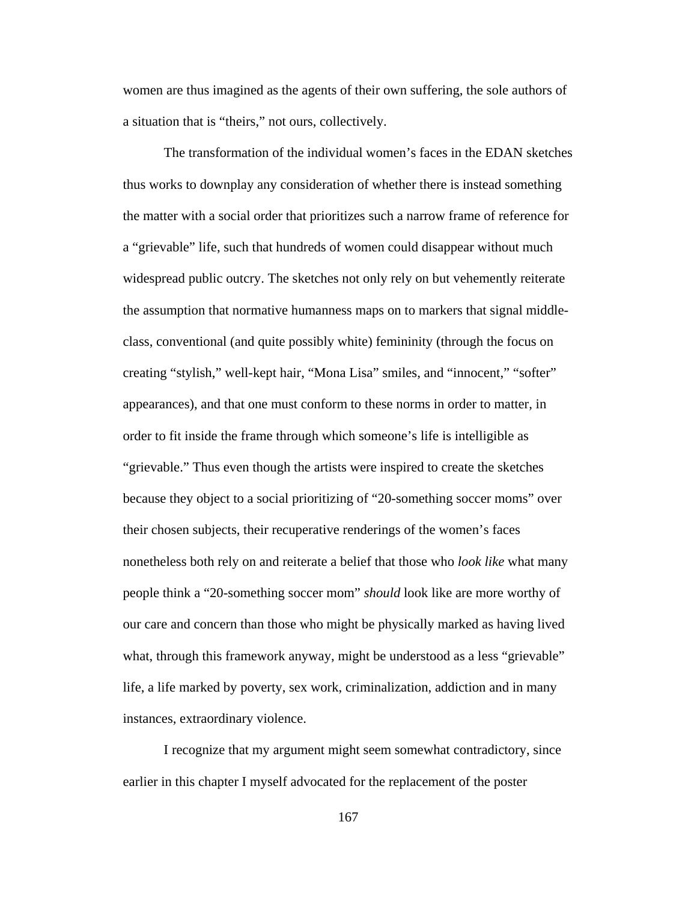women are thus imagined as the agents of their own suffering, the sole authors of a situation that is "theirs," not ours, collectively.

The transformation of the individual women's faces in the EDAN sketches thus works to downplay any consideration of whether there is instead something the matter with a social order that prioritizes such a narrow frame of reference for a "grievable" life, such that hundreds of women could disappear without much widespread public outcry. The sketches not only rely on but vehemently reiterate the assumption that normative humanness maps on to markers that signal middleclass, conventional (and quite possibly white) femininity (through the focus on creating "stylish," well-kept hair, "Mona Lisa" smiles, and "innocent," "softer" appearances), and that one must conform to these norms in order to matter, in order to fit inside the frame through which someone's life is intelligible as "grievable." Thus even though the artists were inspired to create the sketches because they object to a social prioritizing of "20-something soccer moms" over their chosen subjects, their recuperative renderings of the women's faces nonetheless both rely on and reiterate a belief that those who *look like* what many people think a "20-something soccer mom" *should* look like are more worthy of our care and concern than those who might be physically marked as having lived what, through this framework anyway, might be understood as a less "grievable" life, a life marked by poverty, sex work, criminalization, addiction and in many instances, extraordinary violence.

I recognize that my argument might seem somewhat contradictory, since earlier in this chapter I myself advocated for the replacement of the poster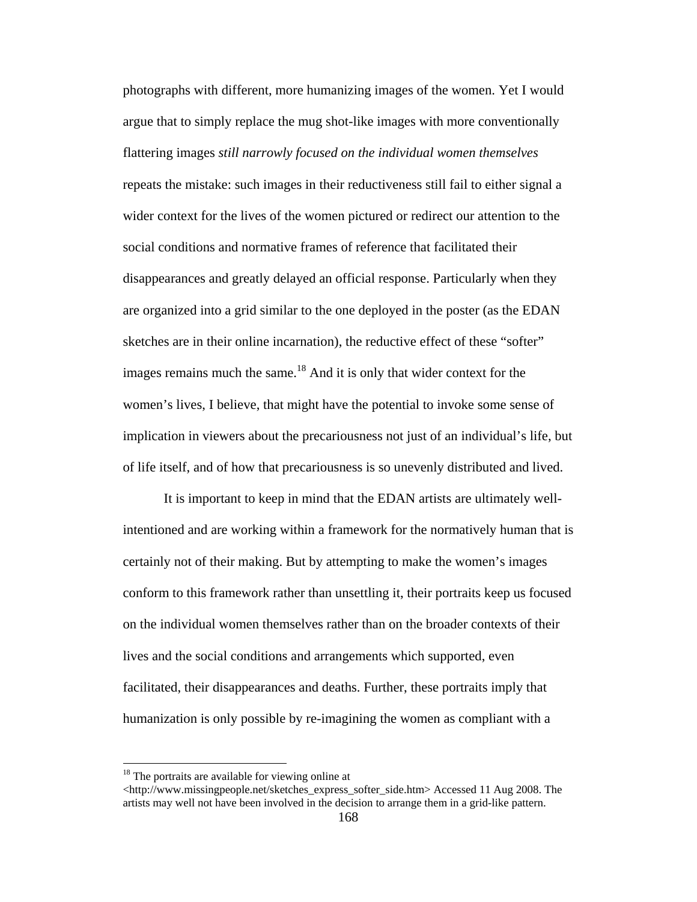photographs with different, more humanizing images of the women. Yet I would argue that to simply replace the mug shot-like images with more conventionally flattering images *still narrowly focused on the individual women themselves* repeats the mistake: such images in their reductiveness still fail to either signal a wider context for the lives of the women pictured or redirect our attention to the social conditions and normative frames of reference that facilitated their disappearances and greatly delayed an official response. Particularly when they are organized into a grid similar to the one deployed in the poster (as the EDAN sketches are in their online incarnation), the reductive effect of these "softer" images remains much the same.<sup>18</sup> And it is only that wider context for the women's lives, I believe, that might have the potential to invoke some sense of implication in viewers about the precariousness not just of an individual's life, but of life itself, and of how that precariousness is so unevenly distributed and lived.

 It is important to keep in mind that the EDAN artists are ultimately wellintentioned and are working within a framework for the normatively human that is certainly not of their making. But by attempting to make the women's images conform to this framework rather than unsettling it, their portraits keep us focused on the individual women themselves rather than on the broader contexts of their lives and the social conditions and arrangements which supported, even facilitated, their disappearances and deaths. Further, these portraits imply that humanization is only possible by re-imagining the women as compliant with a

 $\overline{a}$ 

 $18$  The portraits are available for viewing online at

<sup>&</sup>lt;http://www.missingpeople.net/sketches\_express\_softer\_side.htm> Accessed 11 Aug 2008. The artists may well not have been involved in the decision to arrange them in a grid-like pattern.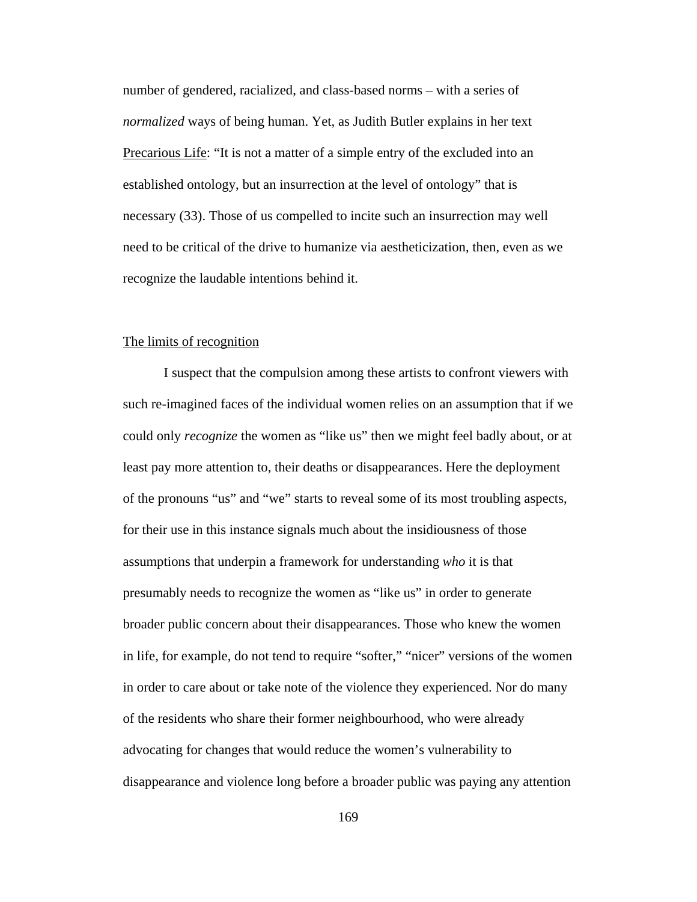number of gendered, racialized, and class-based norms – with a series of *normalized* ways of being human. Yet, as Judith Butler explains in her text Precarious Life: "It is not a matter of a simple entry of the excluded into an established ontology, but an insurrection at the level of ontology" that is necessary (33). Those of us compelled to incite such an insurrection may well need to be critical of the drive to humanize via aestheticization, then, even as we recognize the laudable intentions behind it.

## The limits of recognition

I suspect that the compulsion among these artists to confront viewers with such re-imagined faces of the individual women relies on an assumption that if we could only *recognize* the women as "like us" then we might feel badly about, or at least pay more attention to, their deaths or disappearances. Here the deployment of the pronouns "us" and "we" starts to reveal some of its most troubling aspects, for their use in this instance signals much about the insidiousness of those assumptions that underpin a framework for understanding *who* it is that presumably needs to recognize the women as "like us" in order to generate broader public concern about their disappearances. Those who knew the women in life, for example, do not tend to require "softer," "nicer" versions of the women in order to care about or take note of the violence they experienced. Nor do many of the residents who share their former neighbourhood, who were already advocating for changes that would reduce the women's vulnerability to disappearance and violence long before a broader public was paying any attention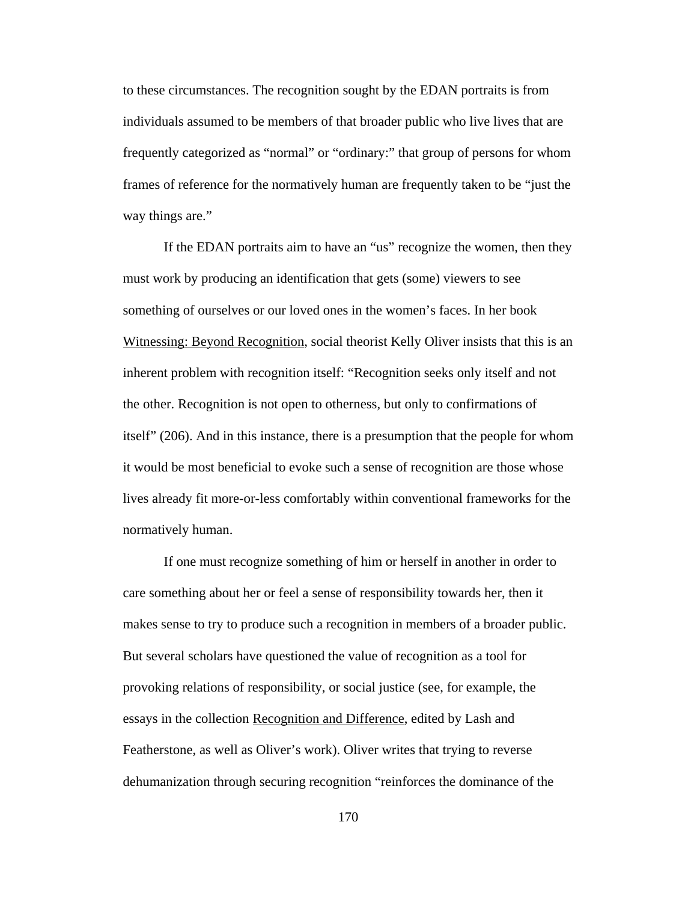to these circumstances. The recognition sought by the EDAN portraits is from individuals assumed to be members of that broader public who live lives that are frequently categorized as "normal" or "ordinary:" that group of persons for whom frames of reference for the normatively human are frequently taken to be "just the way things are."

If the EDAN portraits aim to have an "us" recognize the women, then they must work by producing an identification that gets (some) viewers to see something of ourselves or our loved ones in the women's faces. In her book Witnessing: Beyond Recognition, social theorist Kelly Oliver insists that this is an inherent problem with recognition itself: "Recognition seeks only itself and not the other. Recognition is not open to otherness, but only to confirmations of itself" (206). And in this instance, there is a presumption that the people for whom it would be most beneficial to evoke such a sense of recognition are those whose lives already fit more-or-less comfortably within conventional frameworks for the normatively human.

If one must recognize something of him or herself in another in order to care something about her or feel a sense of responsibility towards her, then it makes sense to try to produce such a recognition in members of a broader public. But several scholars have questioned the value of recognition as a tool for provoking relations of responsibility, or social justice (see, for example, the essays in the collection Recognition and Difference, edited by Lash and Featherstone, as well as Oliver's work). Oliver writes that trying to reverse dehumanization through securing recognition "reinforces the dominance of the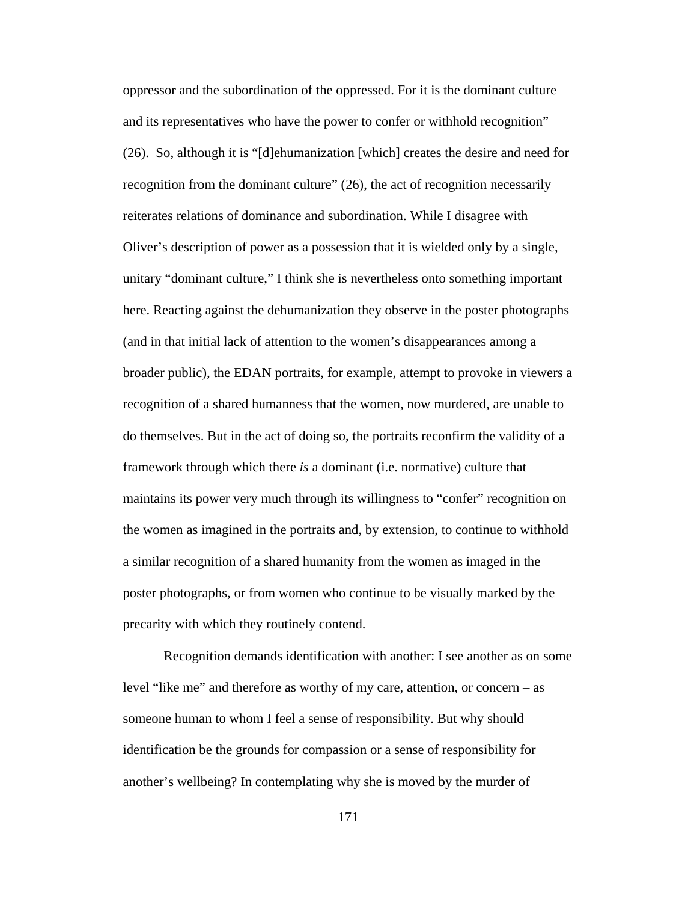oppressor and the subordination of the oppressed. For it is the dominant culture and its representatives who have the power to confer or withhold recognition" (26). So, although it is "[d]ehumanization [which] creates the desire and need for recognition from the dominant culture" (26), the act of recognition necessarily reiterates relations of dominance and subordination. While I disagree with Oliver's description of power as a possession that it is wielded only by a single, unitary "dominant culture," I think she is nevertheless onto something important here. Reacting against the dehumanization they observe in the poster photographs (and in that initial lack of attention to the women's disappearances among a broader public), the EDAN portraits, for example, attempt to provoke in viewers a recognition of a shared humanness that the women, now murdered, are unable to do themselves. But in the act of doing so, the portraits reconfirm the validity of a framework through which there *is* a dominant (i.e. normative) culture that maintains its power very much through its willingness to "confer" recognition on the women as imagined in the portraits and, by extension, to continue to withhold a similar recognition of a shared humanity from the women as imaged in the poster photographs, or from women who continue to be visually marked by the precarity with which they routinely contend.

Recognition demands identification with another: I see another as on some level "like me" and therefore as worthy of my care, attention, or concern – as someone human to whom I feel a sense of responsibility. But why should identification be the grounds for compassion or a sense of responsibility for another's wellbeing? In contemplating why she is moved by the murder of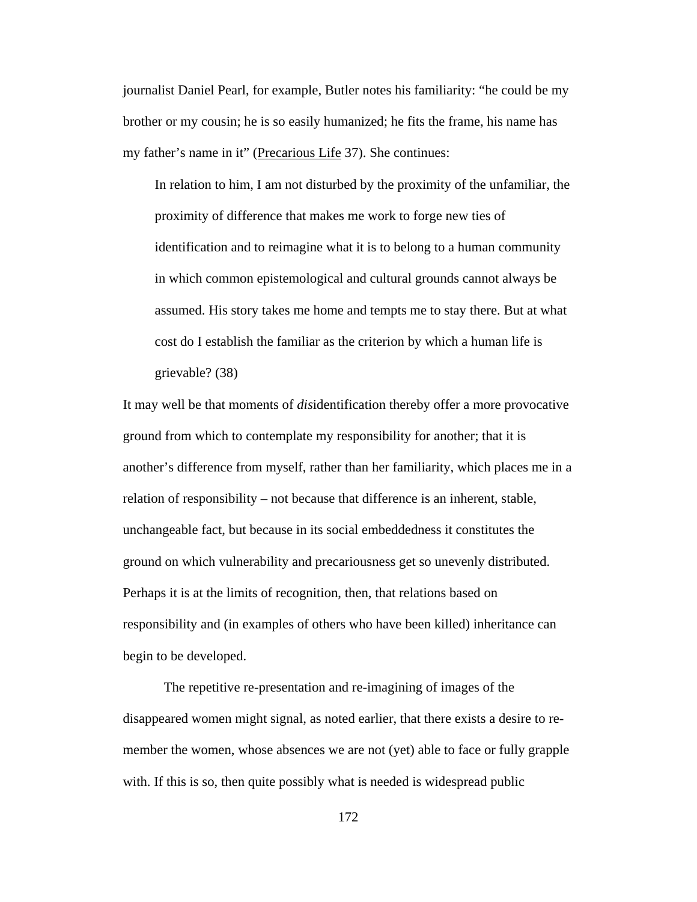journalist Daniel Pearl, for example, Butler notes his familiarity: "he could be my brother or my cousin; he is so easily humanized; he fits the frame, his name has my father's name in it" (Precarious Life 37). She continues:

In relation to him, I am not disturbed by the proximity of the unfamiliar, the proximity of difference that makes me work to forge new ties of identification and to reimagine what it is to belong to a human community in which common epistemological and cultural grounds cannot always be assumed. His story takes me home and tempts me to stay there. But at what cost do I establish the familiar as the criterion by which a human life is grievable? (38)

It may well be that moments of *dis*identification thereby offer a more provocative ground from which to contemplate my responsibility for another; that it is another's difference from myself, rather than her familiarity, which places me in a relation of responsibility – not because that difference is an inherent, stable, unchangeable fact, but because in its social embeddedness it constitutes the ground on which vulnerability and precariousness get so unevenly distributed. Perhaps it is at the limits of recognition, then, that relations based on responsibility and (in examples of others who have been killed) inheritance can begin to be developed.

The repetitive re-presentation and re-imagining of images of the disappeared women might signal, as noted earlier, that there exists a desire to remember the women, whose absences we are not (yet) able to face or fully grapple with. If this is so, then quite possibly what is needed is widespread public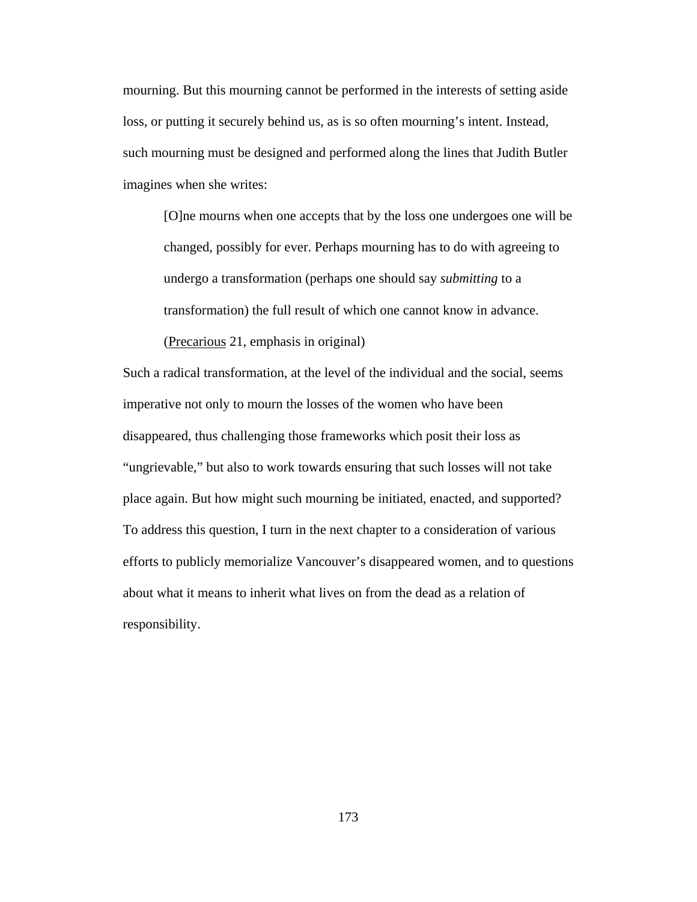mourning. But this mourning cannot be performed in the interests of setting aside loss, or putting it securely behind us, as is so often mourning's intent. Instead, such mourning must be designed and performed along the lines that Judith Butler imagines when she writes:

[O]ne mourns when one accepts that by the loss one undergoes one will be changed, possibly for ever. Perhaps mourning has to do with agreeing to undergo a transformation (perhaps one should say *submitting* to a transformation) the full result of which one cannot know in advance.

(Precarious 21, emphasis in original)

Such a radical transformation, at the level of the individual and the social, seems imperative not only to mourn the losses of the women who have been disappeared, thus challenging those frameworks which posit their loss as "ungrievable," but also to work towards ensuring that such losses will not take place again. But how might such mourning be initiated, enacted, and supported? To address this question, I turn in the next chapter to a consideration of various efforts to publicly memorialize Vancouver's disappeared women, and to questions about what it means to inherit what lives on from the dead as a relation of responsibility.

173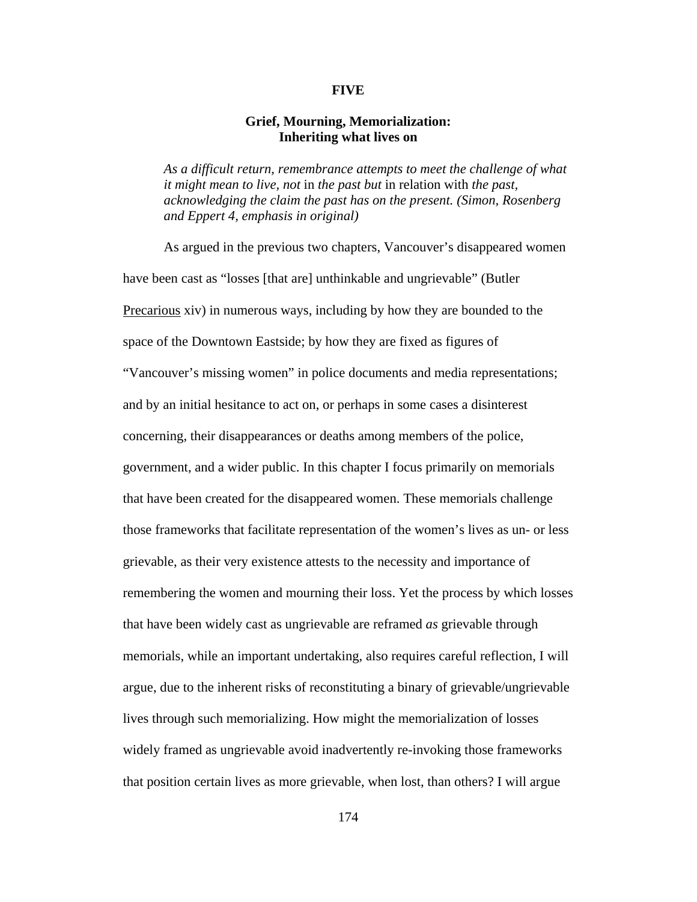#### **FIVE**

# **Grief, Mourning, Memorialization: Inheriting what lives on**

*As a difficult return, remembrance attempts to meet the challenge of what it might mean to live, not* in *the past but* in relation with *the past, acknowledging the claim the past has on the present. (Simon, Rosenberg and Eppert 4, emphasis in original)* 

As argued in the previous two chapters, Vancouver's disappeared women have been cast as "losses [that are] unthinkable and ungrievable" (Butler Precarious xiv) in numerous ways, including by how they are bounded to the space of the Downtown Eastside; by how they are fixed as figures of "Vancouver's missing women" in police documents and media representations; and by an initial hesitance to act on, or perhaps in some cases a disinterest concerning, their disappearances or deaths among members of the police, government, and a wider public. In this chapter I focus primarily on memorials that have been created for the disappeared women. These memorials challenge those frameworks that facilitate representation of the women's lives as un- or less grievable, as their very existence attests to the necessity and importance of remembering the women and mourning their loss. Yet the process by which losses that have been widely cast as ungrievable are reframed *as* grievable through memorials, while an important undertaking, also requires careful reflection, I will argue, due to the inherent risks of reconstituting a binary of grievable/ungrievable lives through such memorializing. How might the memorialization of losses widely framed as ungrievable avoid inadvertently re-invoking those frameworks that position certain lives as more grievable, when lost, than others? I will argue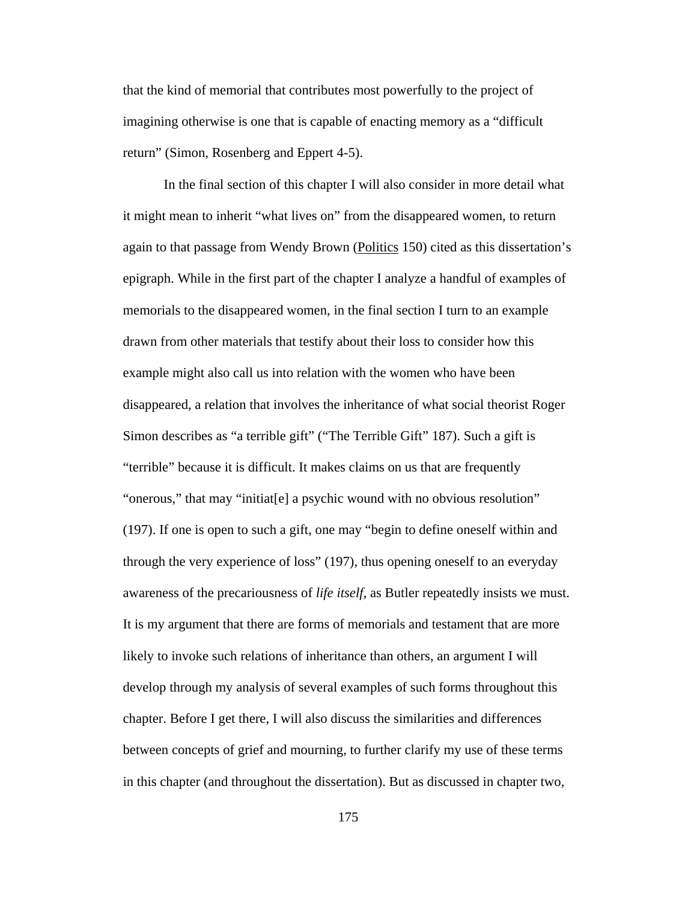that the kind of memorial that contributes most powerfully to the project of imagining otherwise is one that is capable of enacting memory as a "difficult return" (Simon, Rosenberg and Eppert 4-5).

In the final section of this chapter I will also consider in more detail what it might mean to inherit "what lives on" from the disappeared women, to return again to that passage from Wendy Brown (Politics 150) cited as this dissertation's epigraph. While in the first part of the chapter I analyze a handful of examples of memorials to the disappeared women, in the final section I turn to an example drawn from other materials that testify about their loss to consider how this example might also call us into relation with the women who have been disappeared, a relation that involves the inheritance of what social theorist Roger Simon describes as "a terrible gift" ("The Terrible Gift" 187). Such a gift is "terrible" because it is difficult. It makes claims on us that are frequently "onerous," that may "initiat[e] a psychic wound with no obvious resolution" (197). If one is open to such a gift, one may "begin to define oneself within and through the very experience of loss" (197), thus opening oneself to an everyday awareness of the precariousness of *life itself*, as Butler repeatedly insists we must. It is my argument that there are forms of memorials and testament that are more likely to invoke such relations of inheritance than others, an argument I will develop through my analysis of several examples of such forms throughout this chapter. Before I get there, I will also discuss the similarities and differences between concepts of grief and mourning, to further clarify my use of these terms in this chapter (and throughout the dissertation). But as discussed in chapter two,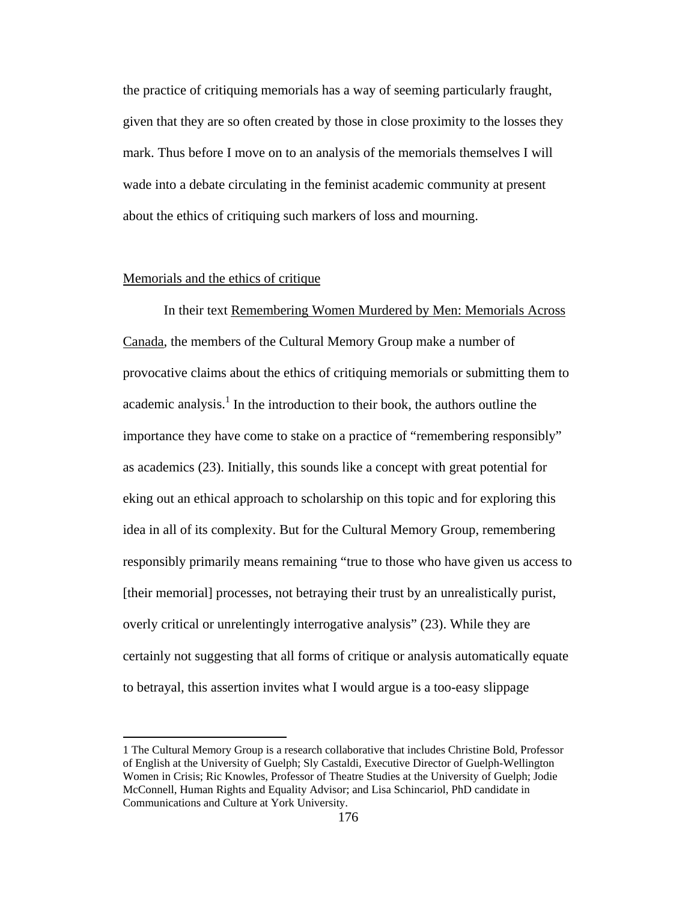the practice of critiquing memorials has a way of seeming particularly fraught, given that they are so often created by those in close proximity to the losses they mark. Thus before I move on to an analysis of the memorials themselves I will wade into a debate circulating in the feminist academic community at present about the ethics of critiquing such markers of loss and mourning.

#### Memorials and the ethics of critique

 $\overline{a}$ 

In their text Remembering Women Murdered by Men: Memorials Across Canada, the members of the Cultural Memory Group make a number of provocative claims about the ethics of critiquing memorials or submitting them to academic analysis.<sup>1</sup> In the introduction to their book, the authors outline the importance they have come to stake on a practice of "remembering responsibly" as academics (23). Initially, this sounds like a concept with great potential for eking out an ethical approach to scholarship on this topic and for exploring this idea in all of its complexity. But for the Cultural Memory Group, remembering responsibly primarily means remaining "true to those who have given us access to [their memorial] processes, not betraying their trust by an unrealistically purist, overly critical or unrelentingly interrogative analysis" (23). While they are certainly not suggesting that all forms of critique or analysis automatically equate to betrayal, this assertion invites what I would argue is a too-easy slippage

<sup>1</sup> The Cultural Memory Group is a research collaborative that includes Christine Bold, Professor of English at the University of Guelph; Sly Castaldi, Executive Director of Guelph-Wellington Women in Crisis; Ric Knowles, Professor of Theatre Studies at the University of Guelph; Jodie McConnell, Human Rights and Equality Advisor; and Lisa Schincariol, PhD candidate in Communications and Culture at York University.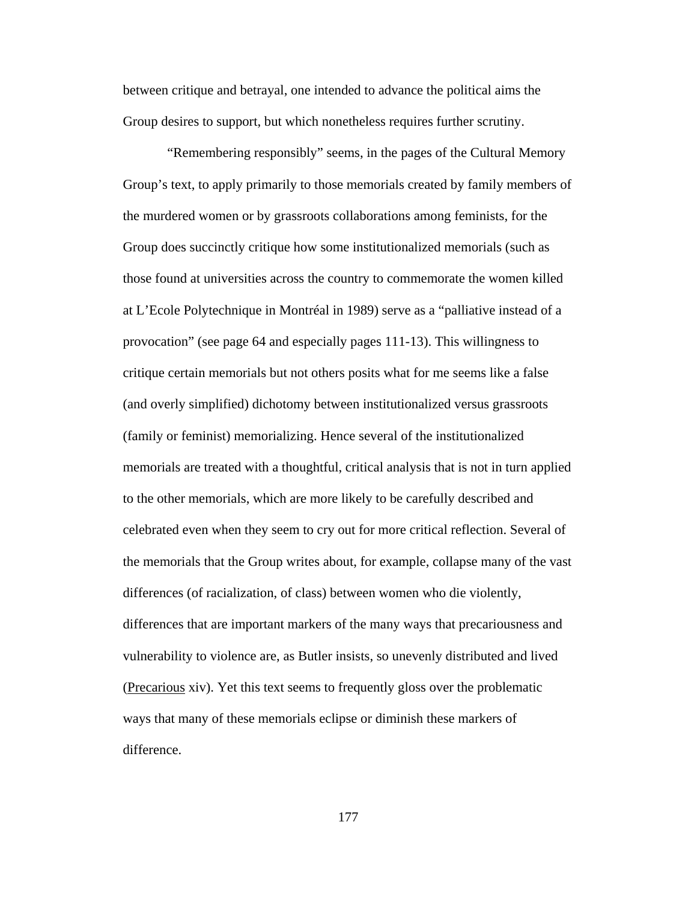between critique and betrayal, one intended to advance the political aims the Group desires to support, but which nonetheless requires further scrutiny.

 "Remembering responsibly" seems, in the pages of the Cultural Memory Group's text, to apply primarily to those memorials created by family members of the murdered women or by grassroots collaborations among feminists, for the Group does succinctly critique how some institutionalized memorials (such as those found at universities across the country to commemorate the women killed at L'Ecole Polytechnique in Montréal in 1989) serve as a "palliative instead of a provocation" (see page 64 and especially pages 111-13). This willingness to critique certain memorials but not others posits what for me seems like a false (and overly simplified) dichotomy between institutionalized versus grassroots (family or feminist) memorializing. Hence several of the institutionalized memorials are treated with a thoughtful, critical analysis that is not in turn applied to the other memorials, which are more likely to be carefully described and celebrated even when they seem to cry out for more critical reflection. Several of the memorials that the Group writes about, for example, collapse many of the vast differences (of racialization, of class) between women who die violently, differences that are important markers of the many ways that precariousness and vulnerability to violence are, as Butler insists, so unevenly distributed and lived (Precarious xiv). Yet this text seems to frequently gloss over the problematic ways that many of these memorials eclipse or diminish these markers of difference.

177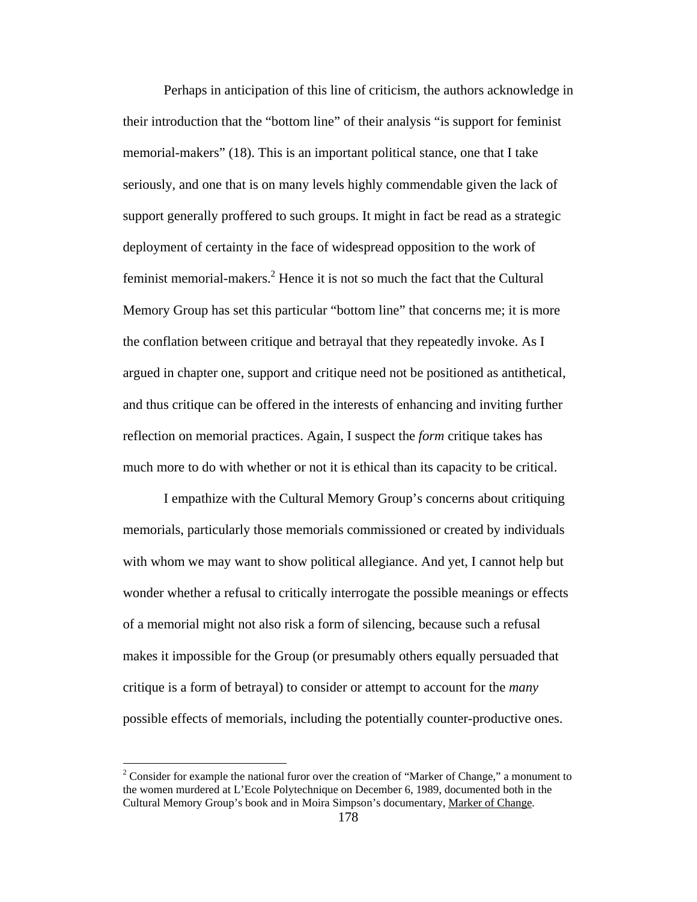Perhaps in anticipation of this line of criticism, the authors acknowledge in their introduction that the "bottom line" of their analysis "is support for feminist memorial-makers" (18). This is an important political stance, one that I take seriously, and one that is on many levels highly commendable given the lack of support generally proffered to such groups. It might in fact be read as a strategic deployment of certainty in the face of widespread opposition to the work of feminist memorial-makers.<sup>2</sup> Hence it is not so much the fact that the Cultural Memory Group has set this particular "bottom line" that concerns me; it is more the conflation between critique and betrayal that they repeatedly invoke. As I argued in chapter one, support and critique need not be positioned as antithetical, and thus critique can be offered in the interests of enhancing and inviting further reflection on memorial practices. Again, I suspect the *form* critique takes has much more to do with whether or not it is ethical than its capacity to be critical.

I empathize with the Cultural Memory Group's concerns about critiquing memorials, particularly those memorials commissioned or created by individuals with whom we may want to show political allegiance. And yet, I cannot help but wonder whether a refusal to critically interrogate the possible meanings or effects of a memorial might not also risk a form of silencing, because such a refusal makes it impossible for the Group (or presumably others equally persuaded that critique is a form of betrayal) to consider or attempt to account for the *many* possible effects of memorials, including the potentially counter-productive ones.

<sup>&</sup>lt;sup>2</sup> Consider for example the national furor over the creation of "Marker of Change," a monument to the women murdered at L'Ecole Polytechnique on December 6, 1989, documented both in the Cultural Memory Group's book and in Moira Simpson's documentary, Marker of Change.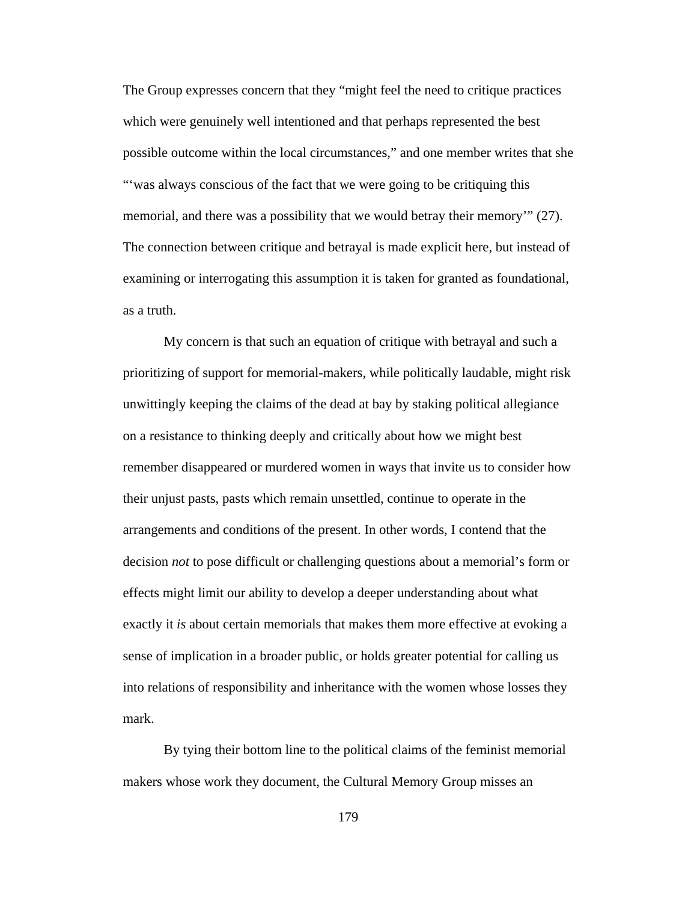The Group expresses concern that they "might feel the need to critique practices which were genuinely well intentioned and that perhaps represented the best possible outcome within the local circumstances," and one member writes that she "'was always conscious of the fact that we were going to be critiquing this memorial, and there was a possibility that we would betray their memory'" (27). The connection between critique and betrayal is made explicit here, but instead of examining or interrogating this assumption it is taken for granted as foundational, as a truth.

My concern is that such an equation of critique with betrayal and such a prioritizing of support for memorial-makers, while politically laudable, might risk unwittingly keeping the claims of the dead at bay by staking political allegiance on a resistance to thinking deeply and critically about how we might best remember disappeared or murdered women in ways that invite us to consider how their unjust pasts, pasts which remain unsettled, continue to operate in the arrangements and conditions of the present. In other words, I contend that the decision *not* to pose difficult or challenging questions about a memorial's form or effects might limit our ability to develop a deeper understanding about what exactly it *is* about certain memorials that makes them more effective at evoking a sense of implication in a broader public, or holds greater potential for calling us into relations of responsibility and inheritance with the women whose losses they mark.

By tying their bottom line to the political claims of the feminist memorial makers whose work they document, the Cultural Memory Group misses an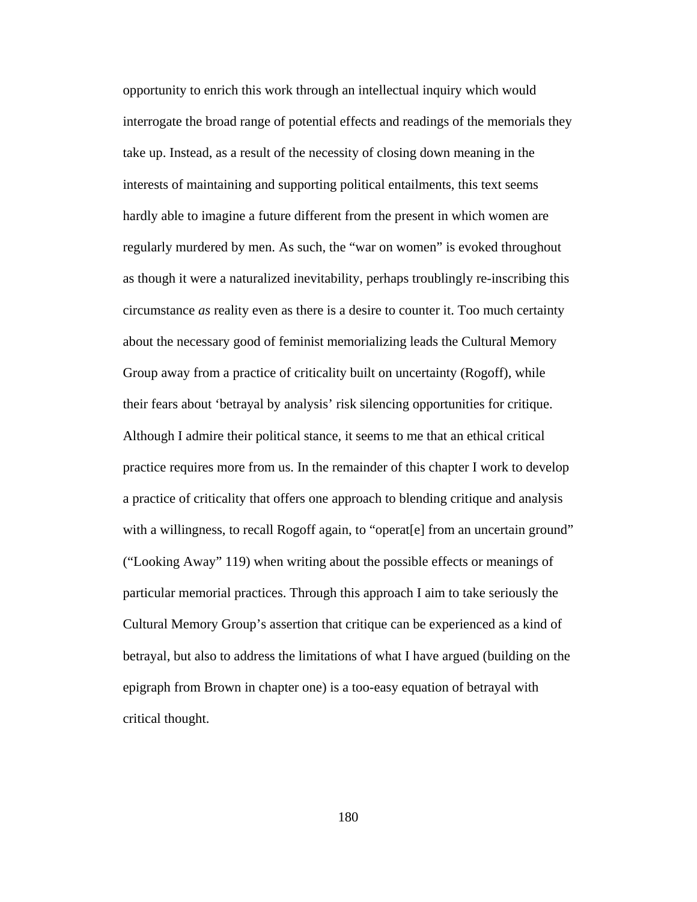opportunity to enrich this work through an intellectual inquiry which would interrogate the broad range of potential effects and readings of the memorials they take up. Instead, as a result of the necessity of closing down meaning in the interests of maintaining and supporting political entailments, this text seems hardly able to imagine a future different from the present in which women are regularly murdered by men. As such, the "war on women" is evoked throughout as though it were a naturalized inevitability, perhaps troublingly re-inscribing this circumstance *as* reality even as there is a desire to counter it. Too much certainty about the necessary good of feminist memorializing leads the Cultural Memory Group away from a practice of criticality built on uncertainty (Rogoff), while their fears about 'betrayal by analysis' risk silencing opportunities for critique. Although I admire their political stance, it seems to me that an ethical critical practice requires more from us. In the remainder of this chapter I work to develop a practice of criticality that offers one approach to blending critique and analysis with a willingness, to recall Rogoff again, to "operat<sup>[e]</sup> from an uncertain ground" ("Looking Away" 119) when writing about the possible effects or meanings of particular memorial practices. Through this approach I aim to take seriously the Cultural Memory Group's assertion that critique can be experienced as a kind of betrayal, but also to address the limitations of what I have argued (building on the epigraph from Brown in chapter one) is a too-easy equation of betrayal with critical thought.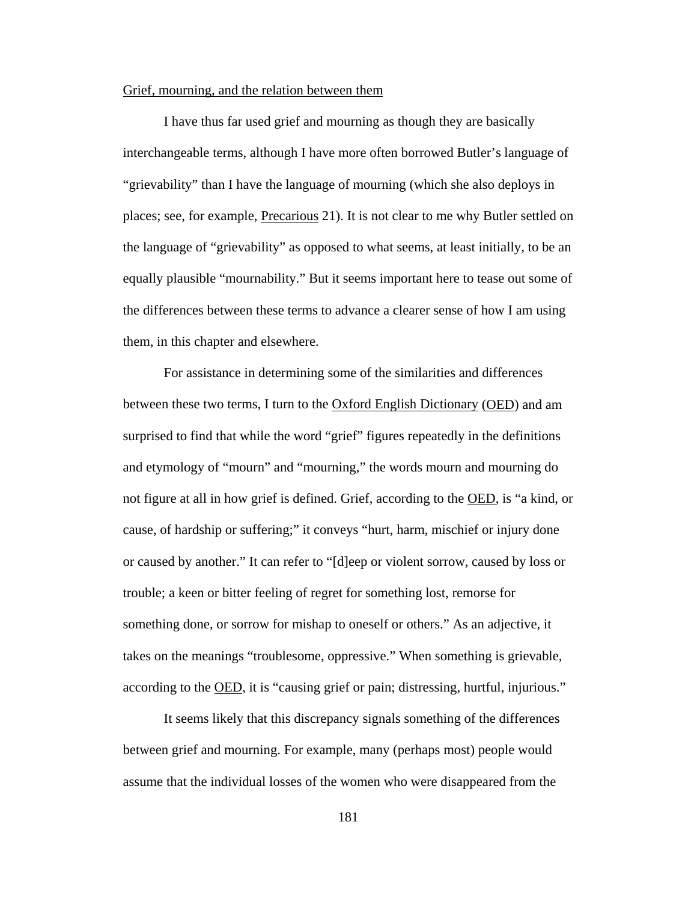### Grief, mourning, and the relation between them

 I have thus far used grief and mourning as though they are basically interchangeable terms, although I have more often borrowed Butler's language of "grievability" than I have the language of mourning (which she also deploys in places; see, for example, Precarious 21). It is not clear to me why Butler settled on the language of "grievability" as opposed to what seems, at least initially, to be an equally plausible "mournability." But it seems important here to tease out some of the differences between these terms to advance a clearer sense of how I am using them, in this chapter and elsewhere.

 For assistance in determining some of the similarities and differences between these two terms, I turn to the Oxford English Dictionary (OED) and am surprised to find that while the word "grief" figures repeatedly in the definitions and etymology of "mourn" and "mourning," the words mourn and mourning do not figure at all in how grief is defined. Grief, according to the OED, is "a kind, or cause, of hardship or suffering;" it conveys "hurt, harm, mischief or injury done or caused by another." It can refer to "[d]eep or violent sorrow, caused by loss or trouble; a keen or bitter feeling of regret for something lost, remorse for something done, or sorrow for mishap to oneself or others." As an adjective, it takes on the meanings "troublesome, oppressive." When something is grievable, according to the OED, it is "causing grief or pain; distressing, hurtful, injurious."

 It seems likely that this discrepancy signals something of the differences between grief and mourning. For example, many (perhaps most) people would assume that the individual losses of the women who were disappeared from the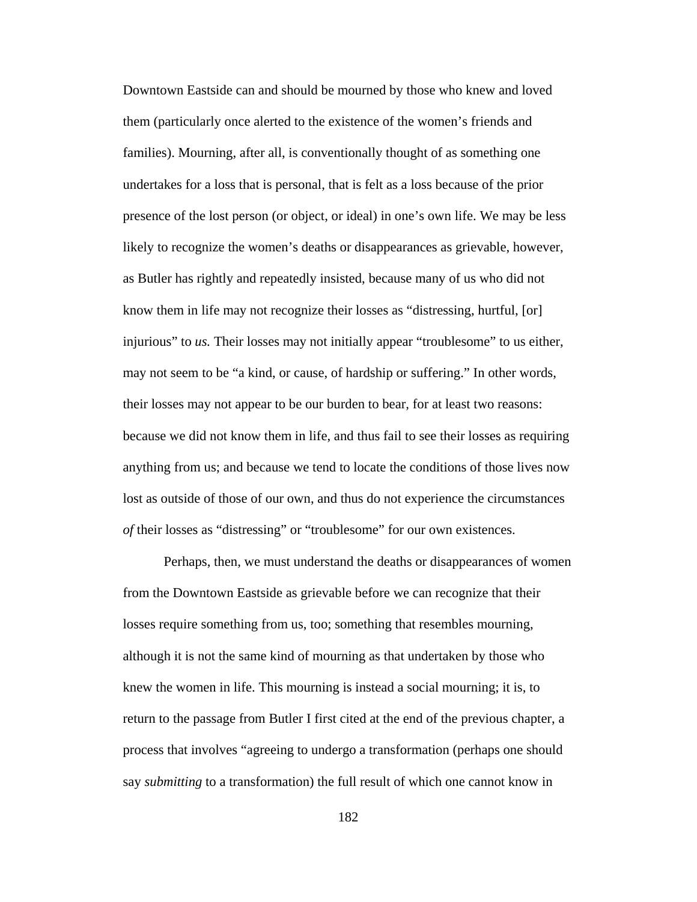Downtown Eastside can and should be mourned by those who knew and loved them (particularly once alerted to the existence of the women's friends and families). Mourning, after all, is conventionally thought of as something one undertakes for a loss that is personal, that is felt as a loss because of the prior presence of the lost person (or object, or ideal) in one's own life. We may be less likely to recognize the women's deaths or disappearances as grievable, however, as Butler has rightly and repeatedly insisted, because many of us who did not know them in life may not recognize their losses as "distressing, hurtful, [or] injurious" to *us.* Their losses may not initially appear "troublesome" to us either, may not seem to be "a kind, or cause, of hardship or suffering." In other words, their losses may not appear to be our burden to bear, for at least two reasons: because we did not know them in life, and thus fail to see their losses as requiring anything from us; and because we tend to locate the conditions of those lives now lost as outside of those of our own, and thus do not experience the circumstances *of* their losses as "distressing" or "troublesome" for our own existences.

Perhaps, then, we must understand the deaths or disappearances of women from the Downtown Eastside as grievable before we can recognize that their losses require something from us, too; something that resembles mourning, although it is not the same kind of mourning as that undertaken by those who knew the women in life. This mourning is instead a social mourning; it is, to return to the passage from Butler I first cited at the end of the previous chapter, a process that involves "agreeing to undergo a transformation (perhaps one should say *submitting* to a transformation) the full result of which one cannot know in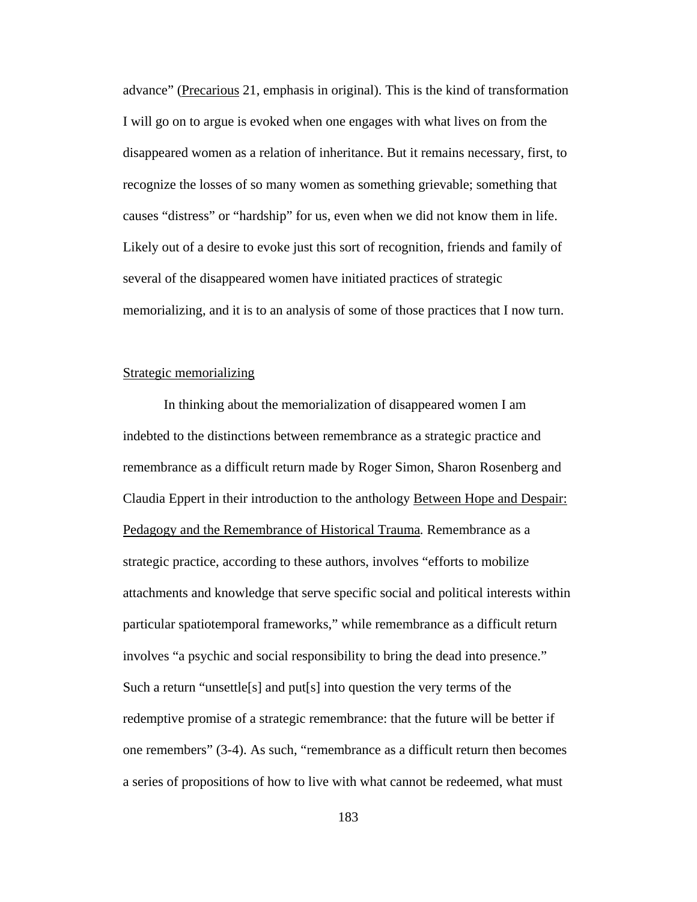advance" (Precarious 21, emphasis in original). This is the kind of transformation I will go on to argue is evoked when one engages with what lives on from the disappeared women as a relation of inheritance. But it remains necessary, first, to recognize the losses of so many women as something grievable; something that causes "distress" or "hardship" for us, even when we did not know them in life. Likely out of a desire to evoke just this sort of recognition, friends and family of several of the disappeared women have initiated practices of strategic memorializing, and it is to an analysis of some of those practices that I now turn.

### Strategic memorializing

 In thinking about the memorialization of disappeared women I am indebted to the distinctions between remembrance as a strategic practice and remembrance as a difficult return made by Roger Simon, Sharon Rosenberg and Claudia Eppert in their introduction to the anthology Between Hope and Despair: Pedagogy and the Remembrance of Historical Trauma*.* Remembrance as a strategic practice, according to these authors, involves "efforts to mobilize attachments and knowledge that serve specific social and political interests within particular spatiotemporal frameworks," while remembrance as a difficult return involves "a psychic and social responsibility to bring the dead into presence." Such a return "unsettle[s] and put[s] into question the very terms of the redemptive promise of a strategic remembrance: that the future will be better if one remembers" (3-4). As such, "remembrance as a difficult return then becomes a series of propositions of how to live with what cannot be redeemed, what must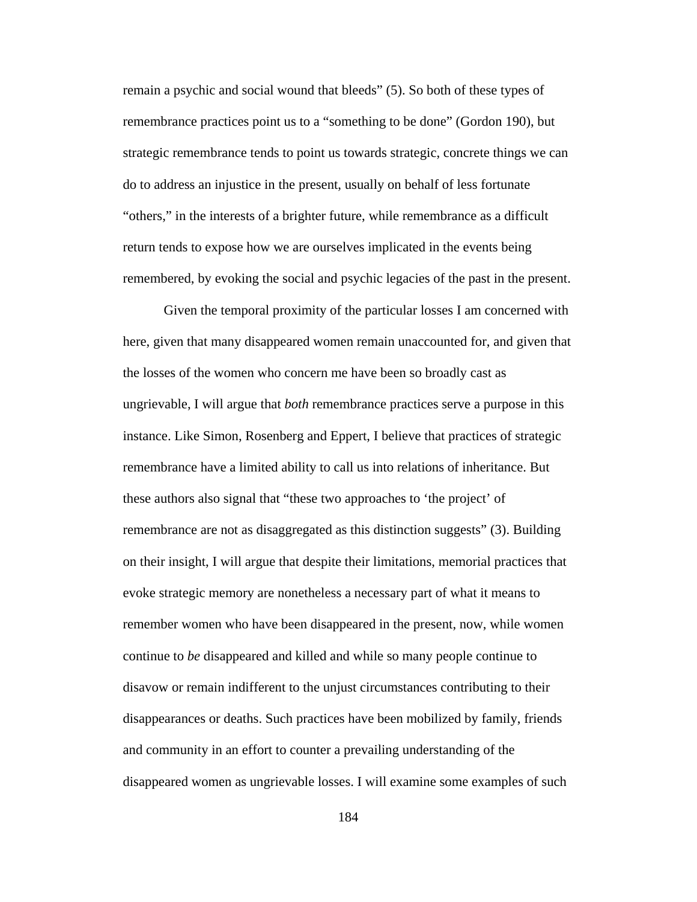remain a psychic and social wound that bleeds" (5). So both of these types of remembrance practices point us to a "something to be done" (Gordon 190), but strategic remembrance tends to point us towards strategic, concrete things we can do to address an injustice in the present, usually on behalf of less fortunate "others," in the interests of a brighter future, while remembrance as a difficult return tends to expose how we are ourselves implicated in the events being remembered, by evoking the social and psychic legacies of the past in the present.

Given the temporal proximity of the particular losses I am concerned with here, given that many disappeared women remain unaccounted for, and given that the losses of the women who concern me have been so broadly cast as ungrievable, I will argue that *both* remembrance practices serve a purpose in this instance. Like Simon, Rosenberg and Eppert, I believe that practices of strategic remembrance have a limited ability to call us into relations of inheritance. But these authors also signal that "these two approaches to 'the project' of remembrance are not as disaggregated as this distinction suggests" (3). Building on their insight, I will argue that despite their limitations, memorial practices that evoke strategic memory are nonetheless a necessary part of what it means to remember women who have been disappeared in the present, now, while women continue to *be* disappeared and killed and while so many people continue to disavow or remain indifferent to the unjust circumstances contributing to their disappearances or deaths. Such practices have been mobilized by family, friends and community in an effort to counter a prevailing understanding of the disappeared women as ungrievable losses. I will examine some examples of such

184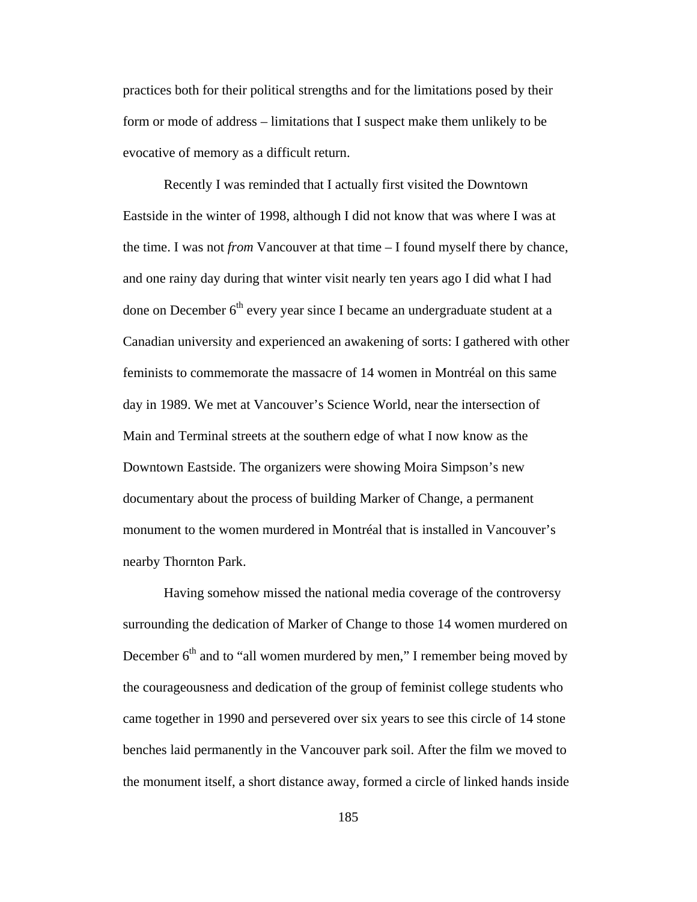practices both for their political strengths and for the limitations posed by their form or mode of address – limitations that I suspect make them unlikely to be evocative of memory as a difficult return.

Recently I was reminded that I actually first visited the Downtown Eastside in the winter of 1998, although I did not know that was where I was at the time. I was not *from* Vancouver at that time – I found myself there by chance, and one rainy day during that winter visit nearly ten years ago I did what I had done on December  $6<sup>th</sup>$  every year since I became an undergraduate student at a Canadian university and experienced an awakening of sorts: I gathered with other feminists to commemorate the massacre of 14 women in Montréal on this same day in 1989. We met at Vancouver's Science World, near the intersection of Main and Terminal streets at the southern edge of what I now know as the Downtown Eastside. The organizers were showing Moira Simpson's new documentary about the process of building Marker of Change, a permanent monument to the women murdered in Montréal that is installed in Vancouver's nearby Thornton Park.

Having somehow missed the national media coverage of the controversy surrounding the dedication of Marker of Change to those 14 women murdered on December  $6<sup>th</sup>$  and to "all women murdered by men," I remember being moved by the courageousness and dedication of the group of feminist college students who came together in 1990 and persevered over six years to see this circle of 14 stone benches laid permanently in the Vancouver park soil. After the film we moved to the monument itself, a short distance away, formed a circle of linked hands inside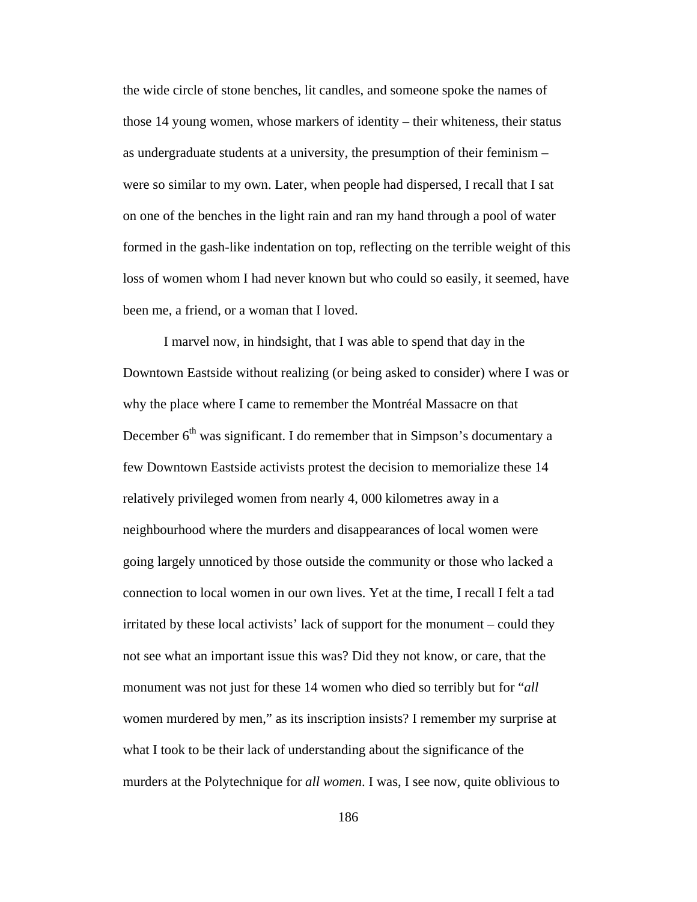the wide circle of stone benches, lit candles, and someone spoke the names of those 14 young women, whose markers of identity – their whiteness, their status as undergraduate students at a university, the presumption of their feminism – were so similar to my own. Later, when people had dispersed, I recall that I sat on one of the benches in the light rain and ran my hand through a pool of water formed in the gash-like indentation on top, reflecting on the terrible weight of this loss of women whom I had never known but who could so easily, it seemed, have been me, a friend, or a woman that I loved.

I marvel now, in hindsight, that I was able to spend that day in the Downtown Eastside without realizing (or being asked to consider) where I was or why the place where I came to remember the Montréal Massacre on that December  $6<sup>th</sup>$  was significant. I do remember that in Simpson's documentary a few Downtown Eastside activists protest the decision to memorialize these 14 relatively privileged women from nearly 4, 000 kilometres away in a neighbourhood where the murders and disappearances of local women were going largely unnoticed by those outside the community or those who lacked a connection to local women in our own lives. Yet at the time, I recall I felt a tad irritated by these local activists' lack of support for the monument – could they not see what an important issue this was? Did they not know, or care, that the monument was not just for these 14 women who died so terribly but for "*all*  women murdered by men," as its inscription insists? I remember my surprise at what I took to be their lack of understanding about the significance of the murders at the Polytechnique for *all women*. I was, I see now, quite oblivious to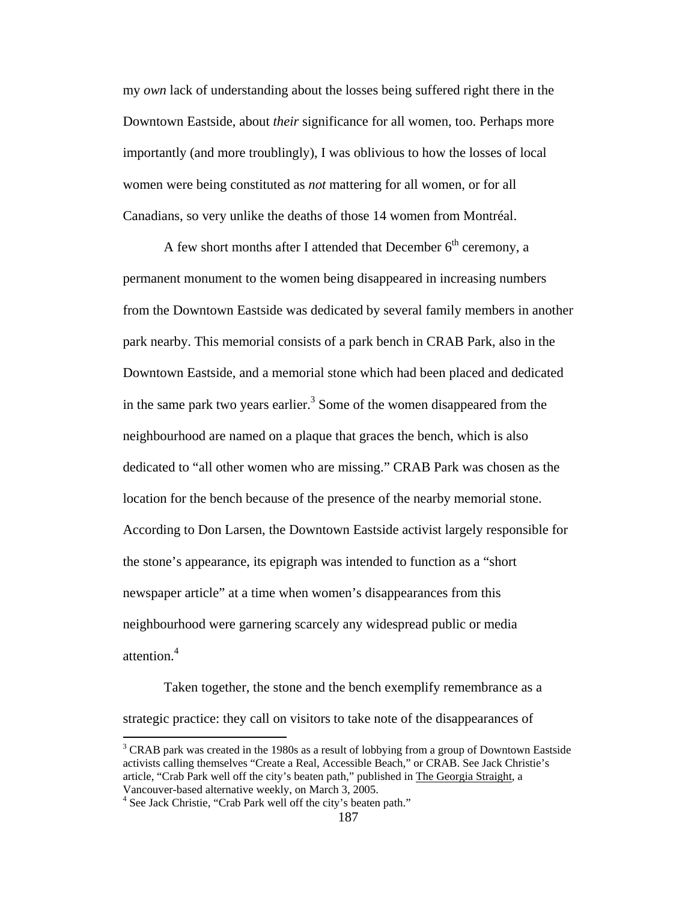my *own* lack of understanding about the losses being suffered right there in the Downtown Eastside, about *their* significance for all women, too. Perhaps more importantly (and more troublingly), I was oblivious to how the losses of local women were being constituted as *not* mattering for all women, or for all Canadians, so very unlike the deaths of those 14 women from Montréal.

A few short months after I attended that December  $6<sup>th</sup>$  ceremony, a permanent monument to the women being disappeared in increasing numbers from the Downtown Eastside was dedicated by several family members in another park nearby. This memorial consists of a park bench in CRAB Park, also in the Downtown Eastside, and a memorial stone which had been placed and dedicated in the same park two years earlier.<sup>3</sup> Some of the women disappeared from the neighbourhood are named on a plaque that graces the bench, which is also dedicated to "all other women who are missing." CRAB Park was chosen as the location for the bench because of the presence of the nearby memorial stone. According to Don Larsen, the Downtown Eastside activist largely responsible for the stone's appearance, its epigraph was intended to function as a "short newspaper article" at a time when women's disappearances from this neighbourhood were garnering scarcely any widespread public or media attention.<sup>4</sup>

Taken together, the stone and the bench exemplify remembrance as a strategic practice: they call on visitors to take note of the disappearances of

 $\overline{a}$ 

 $3$  CRAB park was created in the 1980s as a result of lobbying from a group of Downtown Eastside activists calling themselves "Create a Real, Accessible Beach," or CRAB. See Jack Christie's article, "Crab Park well off the city's beaten path," published in The Georgia Straight, a Vancouver-based alternative weekly, on March 3, 2005.

<sup>&</sup>lt;sup>4</sup> See Jack Christie, "Crab Park well off the city's beaten path."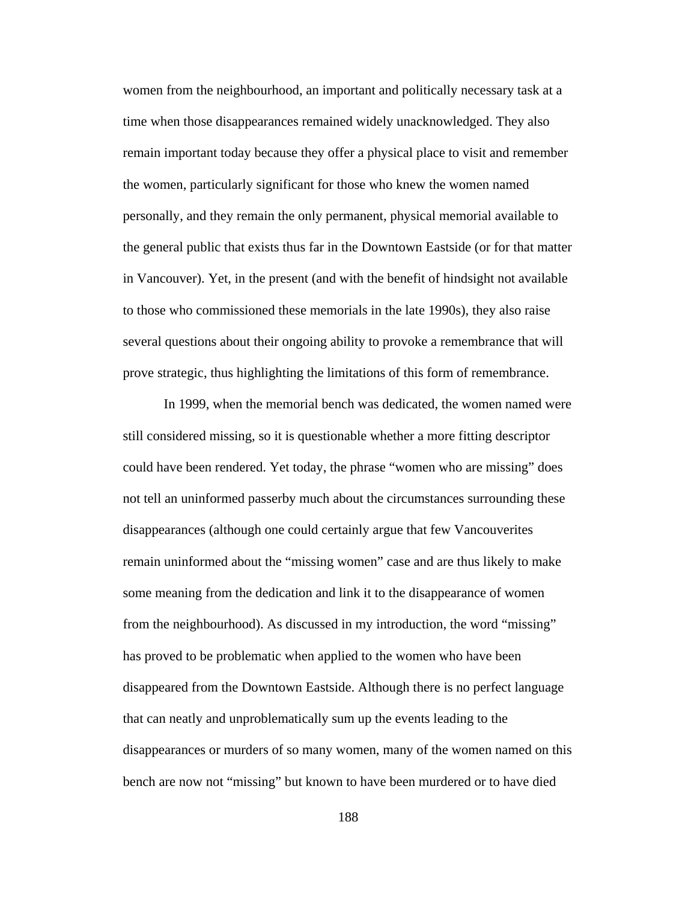women from the neighbourhood, an important and politically necessary task at a time when those disappearances remained widely unacknowledged. They also remain important today because they offer a physical place to visit and remember the women, particularly significant for those who knew the women named personally, and they remain the only permanent, physical memorial available to the general public that exists thus far in the Downtown Eastside (or for that matter in Vancouver). Yet, in the present (and with the benefit of hindsight not available to those who commissioned these memorials in the late 1990s), they also raise several questions about their ongoing ability to provoke a remembrance that will prove strategic, thus highlighting the limitations of this form of remembrance.

In 1999, when the memorial bench was dedicated, the women named were still considered missing, so it is questionable whether a more fitting descriptor could have been rendered. Yet today, the phrase "women who are missing" does not tell an uninformed passerby much about the circumstances surrounding these disappearances (although one could certainly argue that few Vancouverites remain uninformed about the "missing women" case and are thus likely to make some meaning from the dedication and link it to the disappearance of women from the neighbourhood). As discussed in my introduction, the word "missing" has proved to be problematic when applied to the women who have been disappeared from the Downtown Eastside. Although there is no perfect language that can neatly and unproblematically sum up the events leading to the disappearances or murders of so many women, many of the women named on this bench are now not "missing" but known to have been murdered or to have died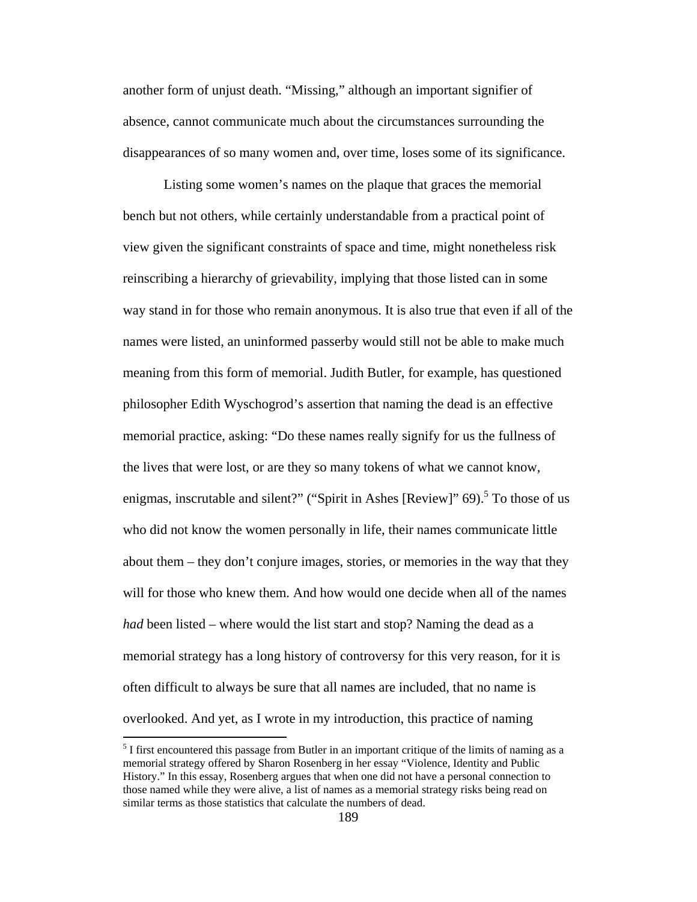another form of unjust death. "Missing," although an important signifier of absence, cannot communicate much about the circumstances surrounding the disappearances of so many women and, over time, loses some of its significance.

Listing some women's names on the plaque that graces the memorial bench but not others, while certainly understandable from a practical point of view given the significant constraints of space and time, might nonetheless risk reinscribing a hierarchy of grievability, implying that those listed can in some way stand in for those who remain anonymous. It is also true that even if all of the names were listed, an uninformed passerby would still not be able to make much meaning from this form of memorial. Judith Butler, for example, has questioned philosopher Edith Wyschogrod's assertion that naming the dead is an effective memorial practice, asking: "Do these names really signify for us the fullness of the lives that were lost, or are they so many tokens of what we cannot know, enigmas, inscrutable and silent?" ("Spirit in Ashes [Review]"  $69$ ).<sup>5</sup> To those of us who did not know the women personally in life, their names communicate little about them – they don't conjure images, stories, or memories in the way that they will for those who knew them. And how would one decide when all of the names *had* been listed – where would the list start and stop? Naming the dead as a memorial strategy has a long history of controversy for this very reason, for it is often difficult to always be sure that all names are included, that no name is overlooked. And yet, as I wrote in my introduction, this practice of naming

<u>.</u>

 $<sup>5</sup>$  I first encountered this passage from Butler in an important critique of the limits of naming as a</sup> memorial strategy offered by Sharon Rosenberg in her essay "Violence, Identity and Public History." In this essay, Rosenberg argues that when one did not have a personal connection to those named while they were alive, a list of names as a memorial strategy risks being read on similar terms as those statistics that calculate the numbers of dead.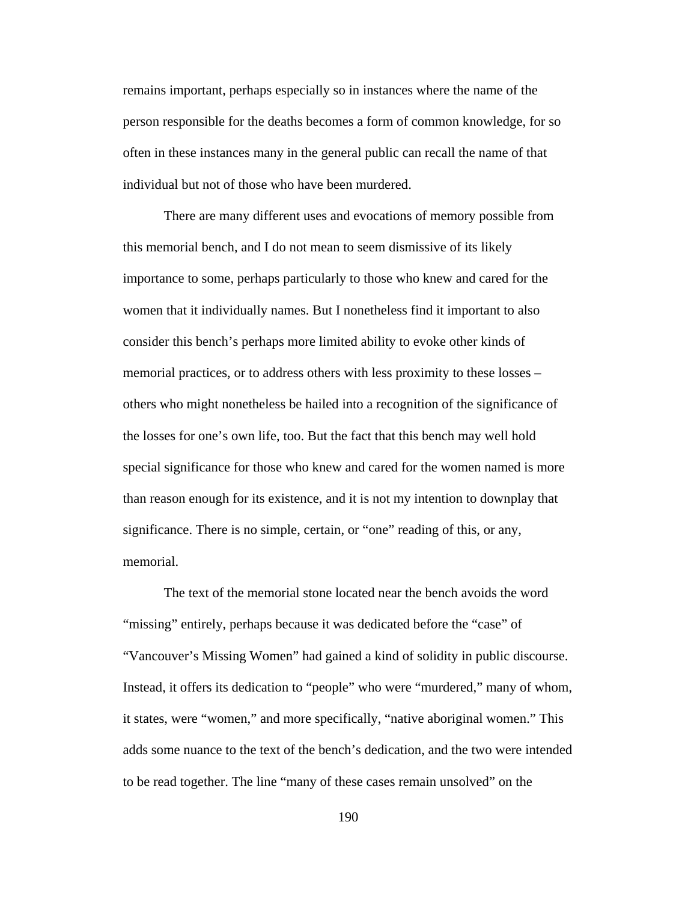remains important, perhaps especially so in instances where the name of the person responsible for the deaths becomes a form of common knowledge, for so often in these instances many in the general public can recall the name of that individual but not of those who have been murdered.

There are many different uses and evocations of memory possible from this memorial bench, and I do not mean to seem dismissive of its likely importance to some, perhaps particularly to those who knew and cared for the women that it individually names. But I nonetheless find it important to also consider this bench's perhaps more limited ability to evoke other kinds of memorial practices, or to address others with less proximity to these losses – others who might nonetheless be hailed into a recognition of the significance of the losses for one's own life, too. But the fact that this bench may well hold special significance for those who knew and cared for the women named is more than reason enough for its existence, and it is not my intention to downplay that significance. There is no simple, certain, or "one" reading of this, or any, memorial.

The text of the memorial stone located near the bench avoids the word "missing" entirely, perhaps because it was dedicated before the "case" of "Vancouver's Missing Women" had gained a kind of solidity in public discourse. Instead, it offers its dedication to "people" who were "murdered," many of whom, it states, were "women," and more specifically, "native aboriginal women." This adds some nuance to the text of the bench's dedication, and the two were intended to be read together. The line "many of these cases remain unsolved" on the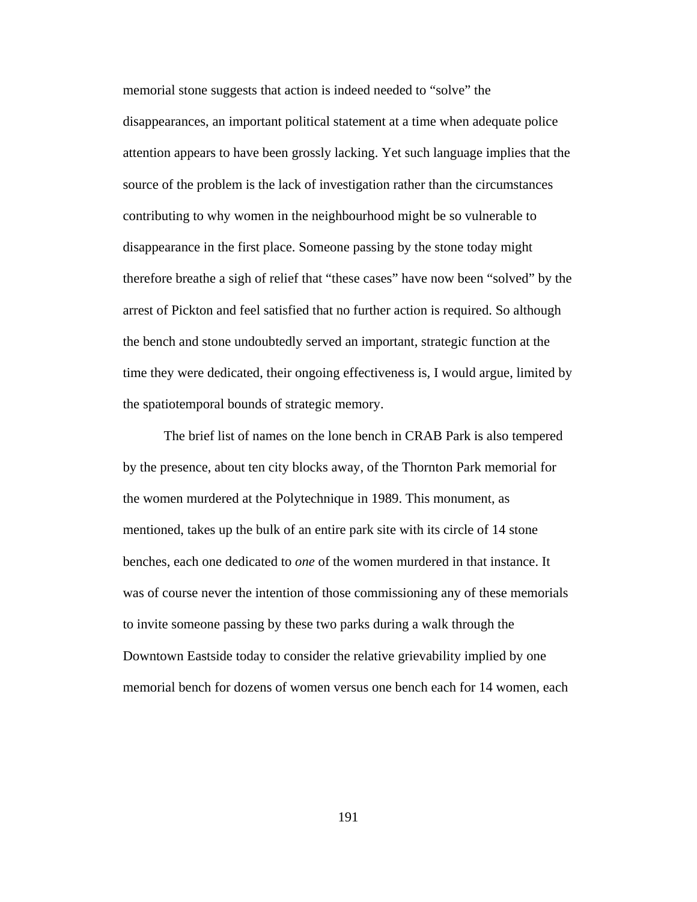memorial stone suggests that action is indeed needed to "solve" the disappearances, an important political statement at a time when adequate police attention appears to have been grossly lacking. Yet such language implies that the source of the problem is the lack of investigation rather than the circumstances contributing to why women in the neighbourhood might be so vulnerable to disappearance in the first place. Someone passing by the stone today might therefore breathe a sigh of relief that "these cases" have now been "solved" by the arrest of Pickton and feel satisfied that no further action is required. So although the bench and stone undoubtedly served an important, strategic function at the time they were dedicated, their ongoing effectiveness is, I would argue, limited by the spatiotemporal bounds of strategic memory.

The brief list of names on the lone bench in CRAB Park is also tempered by the presence, about ten city blocks away, of the Thornton Park memorial for the women murdered at the Polytechnique in 1989. This monument, as mentioned, takes up the bulk of an entire park site with its circle of 14 stone benches, each one dedicated to *one* of the women murdered in that instance. It was of course never the intention of those commissioning any of these memorials to invite someone passing by these two parks during a walk through the Downtown Eastside today to consider the relative grievability implied by one memorial bench for dozens of women versus one bench each for 14 women, each

191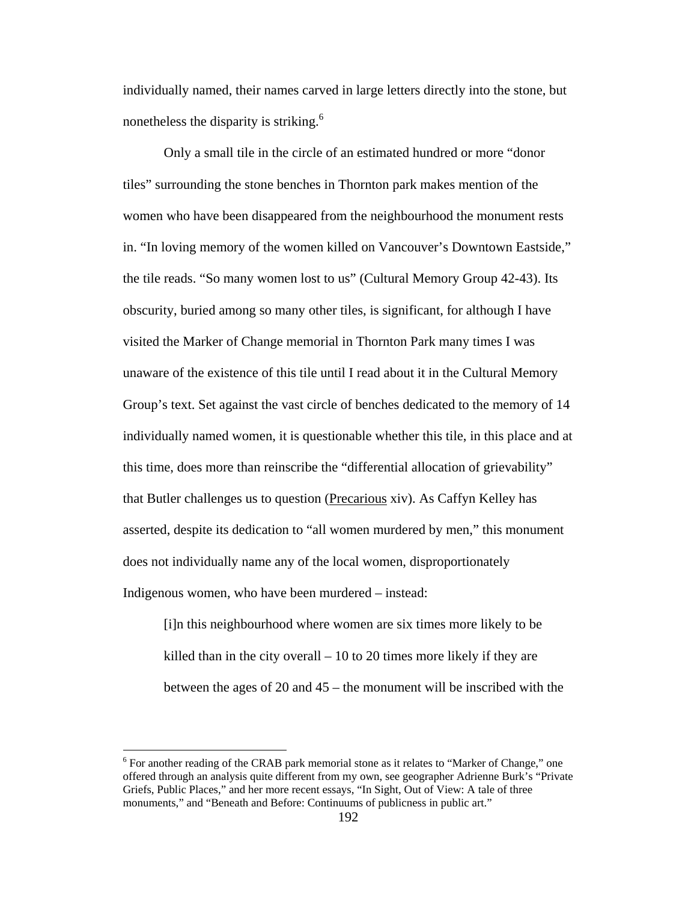individually named, their names carved in large letters directly into the stone, but nonetheless the disparity is striking.<sup>6</sup>

Only a small tile in the circle of an estimated hundred or more "donor tiles" surrounding the stone benches in Thornton park makes mention of the women who have been disappeared from the neighbourhood the monument rests in. "In loving memory of the women killed on Vancouver's Downtown Eastside," the tile reads. "So many women lost to us" (Cultural Memory Group 42-43). Its obscurity, buried among so many other tiles, is significant, for although I have visited the Marker of Change memorial in Thornton Park many times I was unaware of the existence of this tile until I read about it in the Cultural Memory Group's text. Set against the vast circle of benches dedicated to the memory of 14 individually named women, it is questionable whether this tile, in this place and at this time, does more than reinscribe the "differential allocation of grievability" that Butler challenges us to question (Precarious xiv). As Caffyn Kelley has asserted, despite its dedication to "all women murdered by men," this monument does not individually name any of the local women, disproportionately Indigenous women, who have been murdered – instead:

[i]n this neighbourhood where women are six times more likely to be killed than in the city overall – 10 to 20 times more likely if they are between the ages of 20 and 45 – the monument will be inscribed with the

 $\overline{a}$ 

<sup>&</sup>lt;sup>6</sup> For another reading of the CRAB park memorial stone as it relates to "Marker of Change," one offered through an analysis quite different from my own, see geographer Adrienne Burk's "Private Griefs, Public Places," and her more recent essays, "In Sight, Out of View: A tale of three monuments," and "Beneath and Before: Continuums of publicness in public art."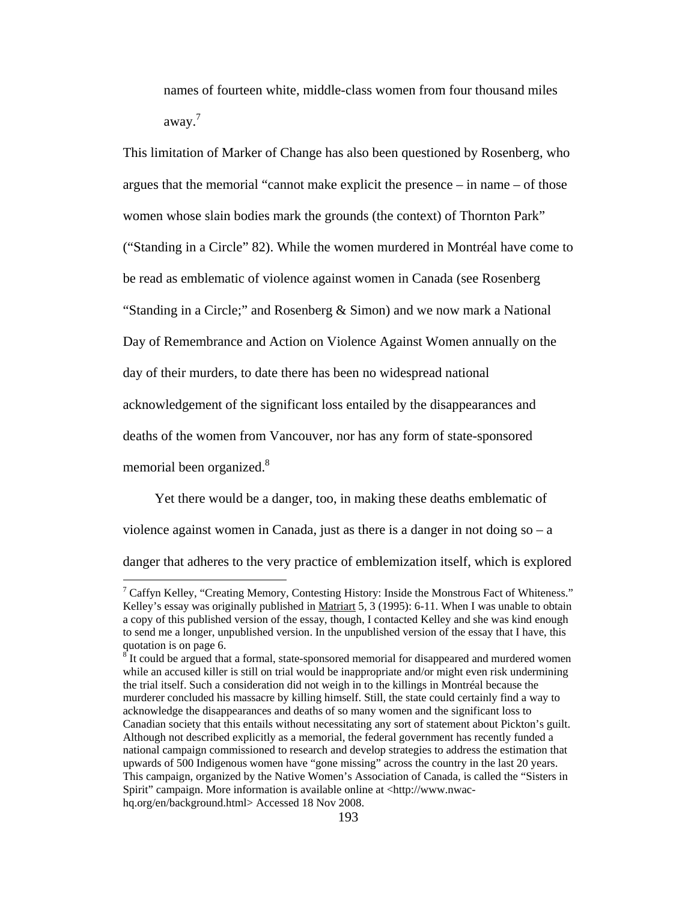names of fourteen white, middle-class women from four thousand miles away.7

This limitation of Marker of Change has also been questioned by Rosenberg, who argues that the memorial "cannot make explicit the presence – in name – of those women whose slain bodies mark the grounds (the context) of Thornton Park" ("Standing in a Circle" 82). While the women murdered in Montréal have come to be read as emblematic of violence against women in Canada (see Rosenberg "Standing in a Circle;" and Rosenberg & Simon) and we now mark a National Day of Remembrance and Action on Violence Against Women annually on the day of their murders, to date there has been no widespread national acknowledgement of the significant loss entailed by the disappearances and deaths of the women from Vancouver, nor has any form of state-sponsored memorial been organized.<sup>8</sup>

Yet there would be a danger, too, in making these deaths emblematic of violence against women in Canada, just as there is a danger in not doing  $so - a$ danger that adheres to the very practice of emblemization itself, which is explored

 $\overline{a}$ 

<sup>&</sup>lt;sup>7</sup> Caffyn Kelley, "Creating Memory, Contesting History: Inside the Monstrous Fact of Whiteness." Kelley's essay was originally published in Matriart 5, 3 (1995): 6-11. When I was unable to obtain a copy of this published version of the essay, though, I contacted Kelley and she was kind enough to send me a longer, unpublished version. In the unpublished version of the essay that I have, this quotation is on page 6.

 $\frac{8}{8}$  It could be argued that a formal, state-sponsored memorial for disappeared and murdered women while an accused killer is still on trial would be inappropriate and/or might even risk undermining the trial itself. Such a consideration did not weigh in to the killings in Montréal because the murderer concluded his massacre by killing himself. Still, the state could certainly find a way to acknowledge the disappearances and deaths of so many women and the significant loss to Canadian society that this entails without necessitating any sort of statement about Pickton's guilt. Although not described explicitly as a memorial, the federal government has recently funded a national campaign commissioned to research and develop strategies to address the estimation that upwards of 500 Indigenous women have "gone missing" across the country in the last 20 years. This campaign, organized by the Native Women's Association of Canada, is called the "Sisters in Spirit" campaign. More information is available online at <http://www.nwachq.org/en/background.html> Accessed 18 Nov 2008.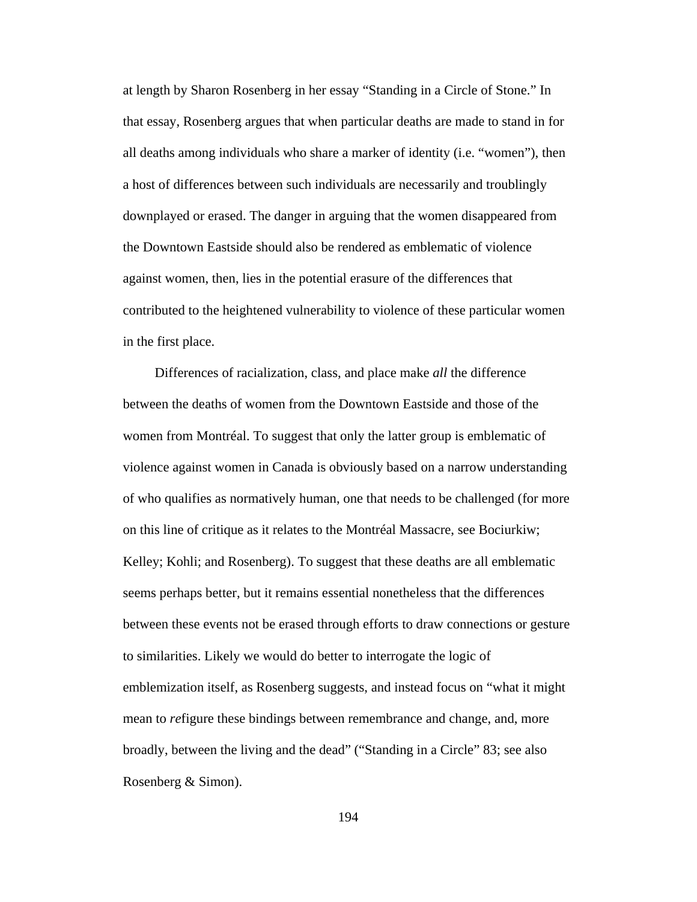at length by Sharon Rosenberg in her essay "Standing in a Circle of Stone." In that essay, Rosenberg argues that when particular deaths are made to stand in for all deaths among individuals who share a marker of identity (i.e. "women"), then a host of differences between such individuals are necessarily and troublingly downplayed or erased. The danger in arguing that the women disappeared from the Downtown Eastside should also be rendered as emblematic of violence against women, then, lies in the potential erasure of the differences that contributed to the heightened vulnerability to violence of these particular women in the first place.

Differences of racialization, class, and place make *all* the difference between the deaths of women from the Downtown Eastside and those of the women from Montréal. To suggest that only the latter group is emblematic of violence against women in Canada is obviously based on a narrow understanding of who qualifies as normatively human, one that needs to be challenged (for more on this line of critique as it relates to the Montréal Massacre, see Bociurkiw; Kelley; Kohli; and Rosenberg). To suggest that these deaths are all emblematic seems perhaps better, but it remains essential nonetheless that the differences between these events not be erased through efforts to draw connections or gesture to similarities. Likely we would do better to interrogate the logic of emblemization itself, as Rosenberg suggests, and instead focus on "what it might mean to *re*figure these bindings between remembrance and change, and, more broadly, between the living and the dead" ("Standing in a Circle" 83; see also Rosenberg & Simon).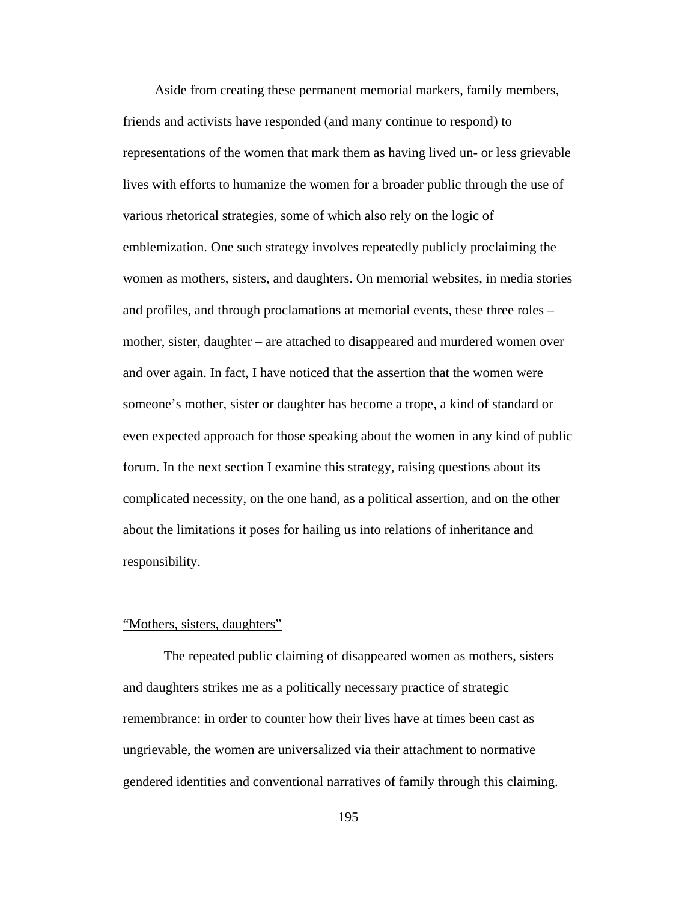Aside from creating these permanent memorial markers, family members, friends and activists have responded (and many continue to respond) to representations of the women that mark them as having lived un- or less grievable lives with efforts to humanize the women for a broader public through the use of various rhetorical strategies, some of which also rely on the logic of emblemization. One such strategy involves repeatedly publicly proclaiming the women as mothers, sisters, and daughters. On memorial websites, in media stories and profiles, and through proclamations at memorial events, these three roles – mother, sister, daughter – are attached to disappeared and murdered women over and over again. In fact, I have noticed that the assertion that the women were someone's mother, sister or daughter has become a trope, a kind of standard or even expected approach for those speaking about the women in any kind of public forum. In the next section I examine this strategy, raising questions about its complicated necessity, on the one hand, as a political assertion, and on the other about the limitations it poses for hailing us into relations of inheritance and responsibility.

### "Mothers, sisters, daughters"

The repeated public claiming of disappeared women as mothers, sisters and daughters strikes me as a politically necessary practice of strategic remembrance: in order to counter how their lives have at times been cast as ungrievable, the women are universalized via their attachment to normative gendered identities and conventional narratives of family through this claiming.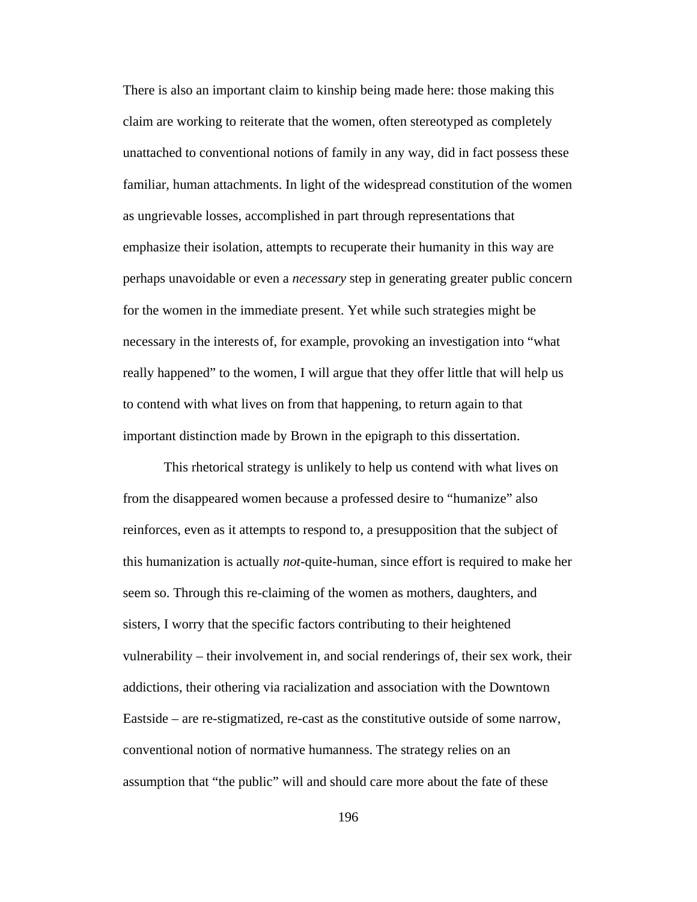There is also an important claim to kinship being made here: those making this claim are working to reiterate that the women, often stereotyped as completely unattached to conventional notions of family in any way, did in fact possess these familiar, human attachments. In light of the widespread constitution of the women as ungrievable losses, accomplished in part through representations that emphasize their isolation, attempts to recuperate their humanity in this way are perhaps unavoidable or even a *necessary* step in generating greater public concern for the women in the immediate present. Yet while such strategies might be necessary in the interests of, for example, provoking an investigation into "what really happened" to the women, I will argue that they offer little that will help us to contend with what lives on from that happening, to return again to that important distinction made by Brown in the epigraph to this dissertation.

This rhetorical strategy is unlikely to help us contend with what lives on from the disappeared women because a professed desire to "humanize" also reinforces, even as it attempts to respond to, a presupposition that the subject of this humanization is actually *not*-quite-human, since effort is required to make her seem so. Through this re-claiming of the women as mothers, daughters, and sisters, I worry that the specific factors contributing to their heightened vulnerability – their involvement in, and social renderings of, their sex work, their addictions, their othering via racialization and association with the Downtown Eastside – are re-stigmatized, re-cast as the constitutive outside of some narrow, conventional notion of normative humanness. The strategy relies on an assumption that "the public" will and should care more about the fate of these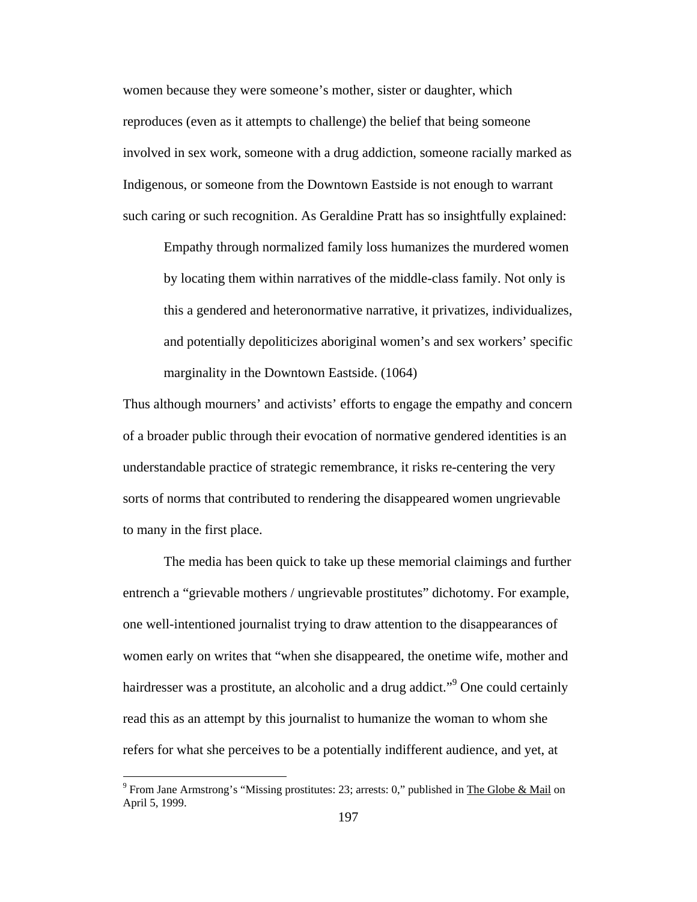women because they were someone's mother, sister or daughter, which reproduces (even as it attempts to challenge) the belief that being someone involved in sex work, someone with a drug addiction, someone racially marked as Indigenous, or someone from the Downtown Eastside is not enough to warrant such caring or such recognition. As Geraldine Pratt has so insightfully explained:

Empathy through normalized family loss humanizes the murdered women by locating them within narratives of the middle-class family. Not only is this a gendered and heteronormative narrative, it privatizes, individualizes, and potentially depoliticizes aboriginal women's and sex workers' specific marginality in the Downtown Eastside. (1064)

Thus although mourners' and activists' efforts to engage the empathy and concern of a broader public through their evocation of normative gendered identities is an understandable practice of strategic remembrance, it risks re-centering the very sorts of norms that contributed to rendering the disappeared women ungrievable to many in the first place.

The media has been quick to take up these memorial claimings and further entrench a "grievable mothers / ungrievable prostitutes" dichotomy. For example, one well-intentioned journalist trying to draw attention to the disappearances of women early on writes that "when she disappeared, the onetime wife, mother and hairdresser was a prostitute, an alcoholic and a drug addict."<sup>9</sup> One could certainly read this as an attempt by this journalist to humanize the woman to whom she refers for what she perceives to be a potentially indifferent audience, and yet, at

 $\overline{a}$ 

<sup>&</sup>lt;sup>9</sup> From Jane Armstrong's "Missing prostitutes: 23; arrests: 0," published in The Globe & Mail on April 5, 1999.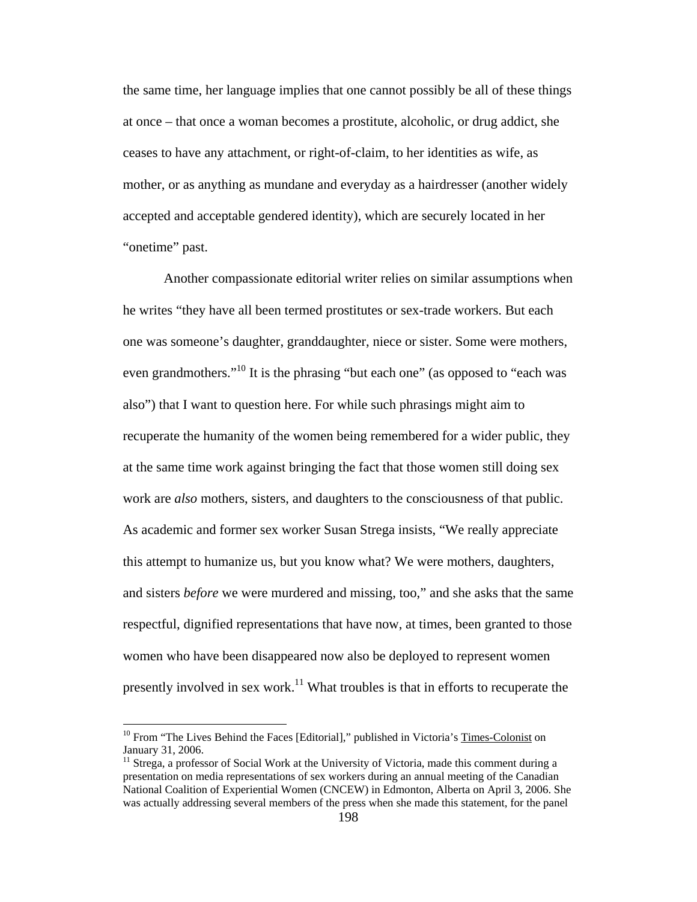the same time, her language implies that one cannot possibly be all of these things at once – that once a woman becomes a prostitute, alcoholic, or drug addict, she ceases to have any attachment, or right-of-claim, to her identities as wife, as mother, or as anything as mundane and everyday as a hairdresser (another widely accepted and acceptable gendered identity), which are securely located in her "onetime" past.

Another compassionate editorial writer relies on similar assumptions when he writes "they have all been termed prostitutes or sex-trade workers. But each one was someone's daughter, granddaughter, niece or sister. Some were mothers, even grandmothers."<sup>10</sup> It is the phrasing "but each one" (as opposed to "each was also") that I want to question here. For while such phrasings might aim to recuperate the humanity of the women being remembered for a wider public, they at the same time work against bringing the fact that those women still doing sex work are *also* mothers, sisters, and daughters to the consciousness of that public. As academic and former sex worker Susan Strega insists, "We really appreciate this attempt to humanize us, but you know what? We were mothers, daughters, and sisters *before* we were murdered and missing, too," and she asks that the same respectful, dignified representations that have now, at times, been granted to those women who have been disappeared now also be deployed to represent women presently involved in sex work.<sup>11</sup> What troubles is that in efforts to recuperate the

 $\overline{a}$ 

<sup>&</sup>lt;sup>10</sup> From "The Lives Behind the Faces [Editorial]," published in Victoria's Times-Colonist on January 31, 2006.

 $11$  Strega, a professor of Social Work at the University of Victoria, made this comment during a presentation on media representations of sex workers during an annual meeting of the Canadian National Coalition of Experiential Women (CNCEW) in Edmonton, Alberta on April 3, 2006. She was actually addressing several members of the press when she made this statement, for the panel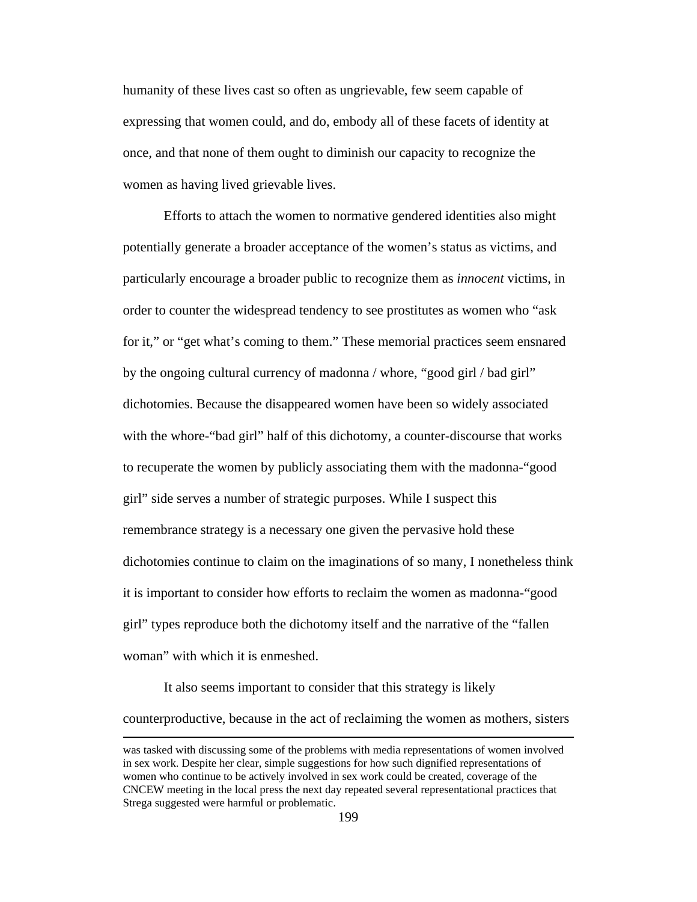humanity of these lives cast so often as ungrievable, few seem capable of expressing that women could, and do, embody all of these facets of identity at once, and that none of them ought to diminish our capacity to recognize the women as having lived grievable lives.

Efforts to attach the women to normative gendered identities also might potentially generate a broader acceptance of the women's status as victims, and particularly encourage a broader public to recognize them as *innocent* victims, in order to counter the widespread tendency to see prostitutes as women who "ask for it," or "get what's coming to them." These memorial practices seem ensnared by the ongoing cultural currency of madonna / whore, "good girl / bad girl" dichotomies. Because the disappeared women have been so widely associated with the whore-"bad girl" half of this dichotomy, a counter-discourse that works to recuperate the women by publicly associating them with the madonna-"good girl" side serves a number of strategic purposes. While I suspect this remembrance strategy is a necessary one given the pervasive hold these dichotomies continue to claim on the imaginations of so many, I nonetheless think it is important to consider how efforts to reclaim the women as madonna-"good girl" types reproduce both the dichotomy itself and the narrative of the "fallen woman" with which it is enmeshed.

It also seems important to consider that this strategy is likely counterproductive, because in the act of reclaiming the women as mothers, sisters

was tasked with discussing some of the problems with media representations of women involved in sex work. Despite her clear, simple suggestions for how such dignified representations of women who continue to be actively involved in sex work could be created, coverage of the CNCEW meeting in the local press the next day repeated several representational practices that Strega suggested were harmful or problematic.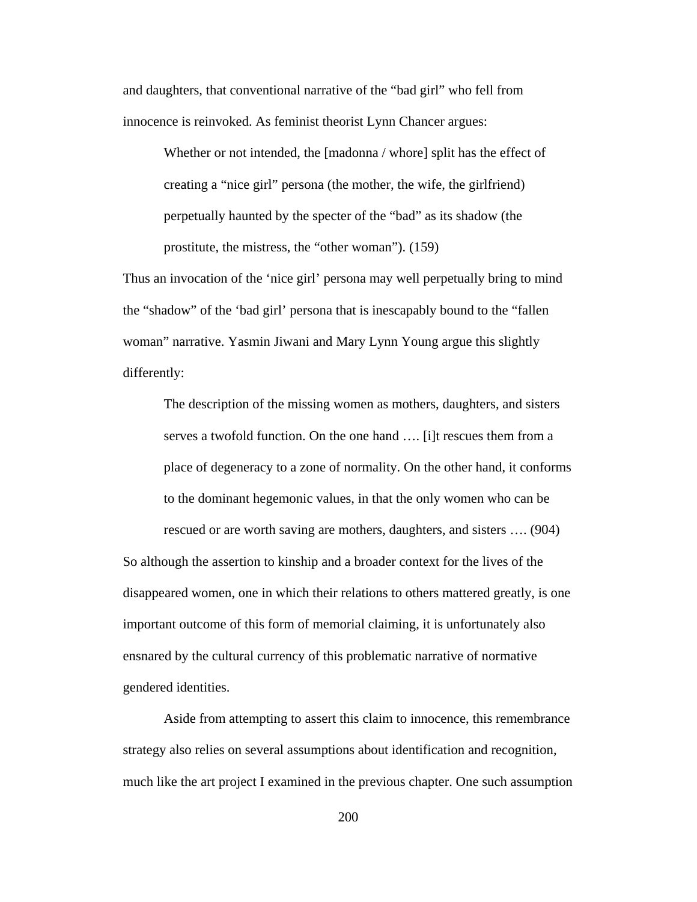and daughters, that conventional narrative of the "bad girl" who fell from innocence is reinvoked. As feminist theorist Lynn Chancer argues:

Whether or not intended, the [madonna / whore] split has the effect of creating a "nice girl" persona (the mother, the wife, the girlfriend) perpetually haunted by the specter of the "bad" as its shadow (the prostitute, the mistress, the "other woman"). (159)

Thus an invocation of the 'nice girl' persona may well perpetually bring to mind the "shadow" of the 'bad girl' persona that is inescapably bound to the "fallen woman" narrative. Yasmin Jiwani and Mary Lynn Young argue this slightly differently:

The description of the missing women as mothers, daughters, and sisters serves a twofold function. On the one hand …. [i]t rescues them from a place of degeneracy to a zone of normality. On the other hand, it conforms to the dominant hegemonic values, in that the only women who can be

rescued or are worth saving are mothers, daughters, and sisters …. (904)

So although the assertion to kinship and a broader context for the lives of the disappeared women, one in which their relations to others mattered greatly, is one important outcome of this form of memorial claiming, it is unfortunately also ensnared by the cultural currency of this problematic narrative of normative gendered identities.

Aside from attempting to assert this claim to innocence, this remembrance strategy also relies on several assumptions about identification and recognition, much like the art project I examined in the previous chapter. One such assumption

200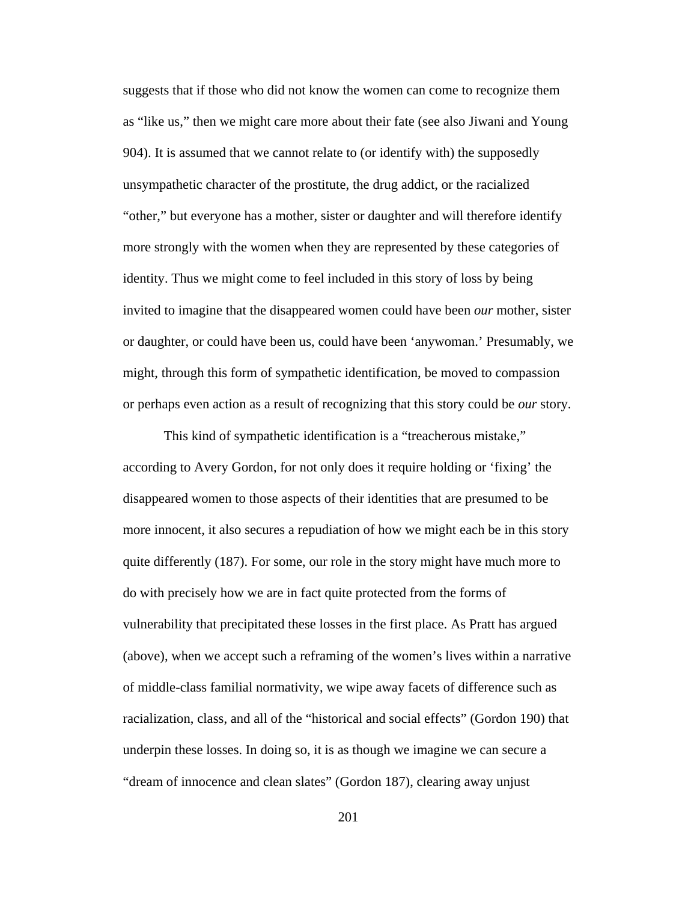suggests that if those who did not know the women can come to recognize them as "like us," then we might care more about their fate (see also Jiwani and Young 904). It is assumed that we cannot relate to (or identify with) the supposedly unsympathetic character of the prostitute, the drug addict, or the racialized "other," but everyone has a mother, sister or daughter and will therefore identify more strongly with the women when they are represented by these categories of identity. Thus we might come to feel included in this story of loss by being invited to imagine that the disappeared women could have been *our* mother, sister or daughter, or could have been us, could have been 'anywoman.' Presumably, we might, through this form of sympathetic identification, be moved to compassion or perhaps even action as a result of recognizing that this story could be *our* story.

This kind of sympathetic identification is a "treacherous mistake," according to Avery Gordon, for not only does it require holding or 'fixing' the disappeared women to those aspects of their identities that are presumed to be more innocent, it also secures a repudiation of how we might each be in this story quite differently (187). For some, our role in the story might have much more to do with precisely how we are in fact quite protected from the forms of vulnerability that precipitated these losses in the first place. As Pratt has argued (above), when we accept such a reframing of the women's lives within a narrative of middle-class familial normativity, we wipe away facets of difference such as racialization, class, and all of the "historical and social effects" (Gordon 190) that underpin these losses. In doing so, it is as though we imagine we can secure a "dream of innocence and clean slates" (Gordon 187), clearing away unjust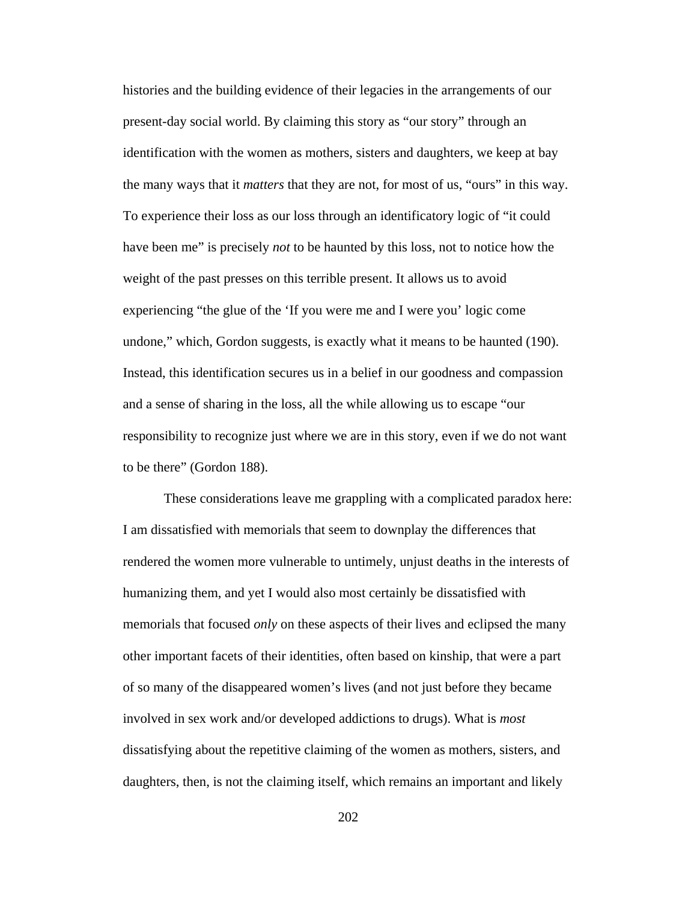histories and the building evidence of their legacies in the arrangements of our present-day social world. By claiming this story as "our story" through an identification with the women as mothers, sisters and daughters, we keep at bay the many ways that it *matters* that they are not, for most of us, "ours" in this way. To experience their loss as our loss through an identificatory logic of "it could have been me" is precisely *not* to be haunted by this loss, not to notice how the weight of the past presses on this terrible present. It allows us to avoid experiencing "the glue of the 'If you were me and I were you' logic come undone," which, Gordon suggests, is exactly what it means to be haunted (190). Instead, this identification secures us in a belief in our goodness and compassion and a sense of sharing in the loss, all the while allowing us to escape "our responsibility to recognize just where we are in this story, even if we do not want to be there" (Gordon 188).

 These considerations leave me grappling with a complicated paradox here: I am dissatisfied with memorials that seem to downplay the differences that rendered the women more vulnerable to untimely, unjust deaths in the interests of humanizing them, and yet I would also most certainly be dissatisfied with memorials that focused *only* on these aspects of their lives and eclipsed the many other important facets of their identities, often based on kinship, that were a part of so many of the disappeared women's lives (and not just before they became involved in sex work and/or developed addictions to drugs). What is *most*  dissatisfying about the repetitive claiming of the women as mothers, sisters, and daughters, then, is not the claiming itself, which remains an important and likely

202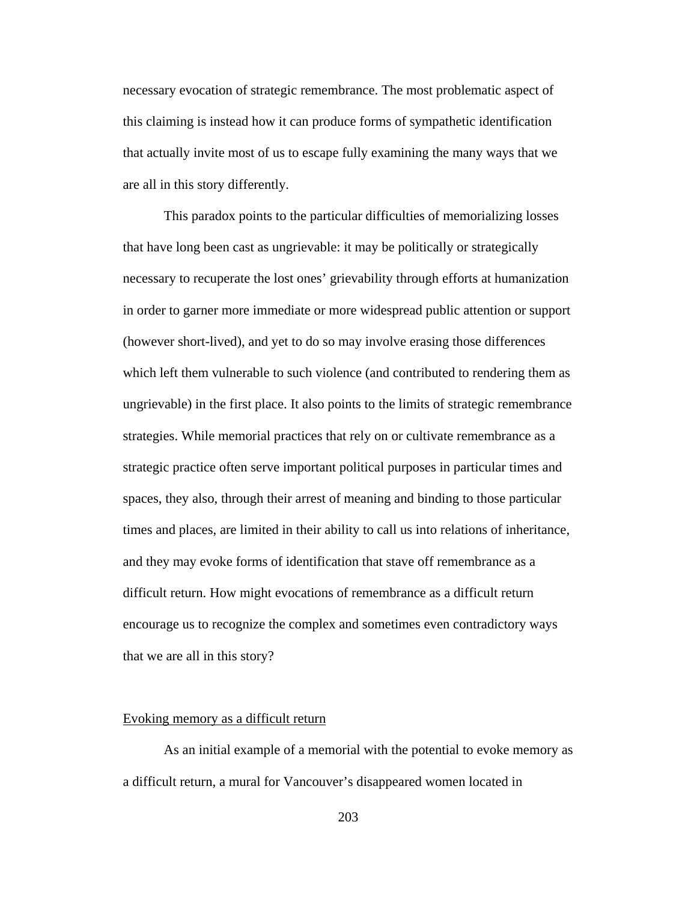necessary evocation of strategic remembrance. The most problematic aspect of this claiming is instead how it can produce forms of sympathetic identification that actually invite most of us to escape fully examining the many ways that we are all in this story differently.

This paradox points to the particular difficulties of memorializing losses that have long been cast as ungrievable: it may be politically or strategically necessary to recuperate the lost ones' grievability through efforts at humanization in order to garner more immediate or more widespread public attention or support (however short-lived), and yet to do so may involve erasing those differences which left them vulnerable to such violence (and contributed to rendering them as ungrievable) in the first place. It also points to the limits of strategic remembrance strategies. While memorial practices that rely on or cultivate remembrance as a strategic practice often serve important political purposes in particular times and spaces, they also, through their arrest of meaning and binding to those particular times and places, are limited in their ability to call us into relations of inheritance, and they may evoke forms of identification that stave off remembrance as a difficult return. How might evocations of remembrance as a difficult return encourage us to recognize the complex and sometimes even contradictory ways that we are all in this story?

#### Evoking memory as a difficult return

As an initial example of a memorial with the potential to evoke memory as a difficult return, a mural for Vancouver's disappeared women located in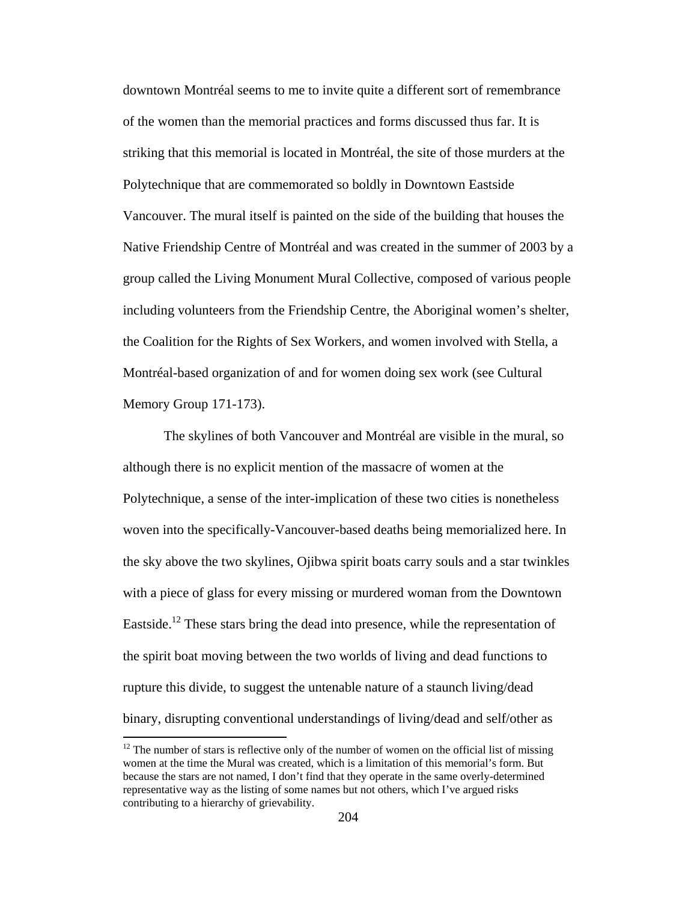downtown Montréal seems to me to invite quite a different sort of remembrance of the women than the memorial practices and forms discussed thus far. It is striking that this memorial is located in Montréal, the site of those murders at the Polytechnique that are commemorated so boldly in Downtown Eastside Vancouver. The mural itself is painted on the side of the building that houses the Native Friendship Centre of Montréal and was created in the summer of 2003 by a group called the Living Monument Mural Collective, composed of various people including volunteers from the Friendship Centre, the Aboriginal women's shelter, the Coalition for the Rights of Sex Workers, and women involved with Stella, a Montréal-based organization of and for women doing sex work (see Cultural Memory Group 171-173).

The skylines of both Vancouver and Montréal are visible in the mural, so although there is no explicit mention of the massacre of women at the Polytechnique, a sense of the inter-implication of these two cities is nonetheless woven into the specifically-Vancouver-based deaths being memorialized here. In the sky above the two skylines, Ojibwa spirit boats carry souls and a star twinkles with a piece of glass for every missing or murdered woman from the Downtown Eastside.<sup>12</sup> These stars bring the dead into presence, while the representation of the spirit boat moving between the two worlds of living and dead functions to rupture this divide, to suggest the untenable nature of a staunch living/dead binary, disrupting conventional understandings of living/dead and self/other as

 $\overline{a}$ 

 $12$  The number of stars is reflective only of the number of women on the official list of missing women at the time the Mural was created, which is a limitation of this memorial's form. But because the stars are not named, I don't find that they operate in the same overly-determined representative way as the listing of some names but not others, which I've argued risks contributing to a hierarchy of grievability.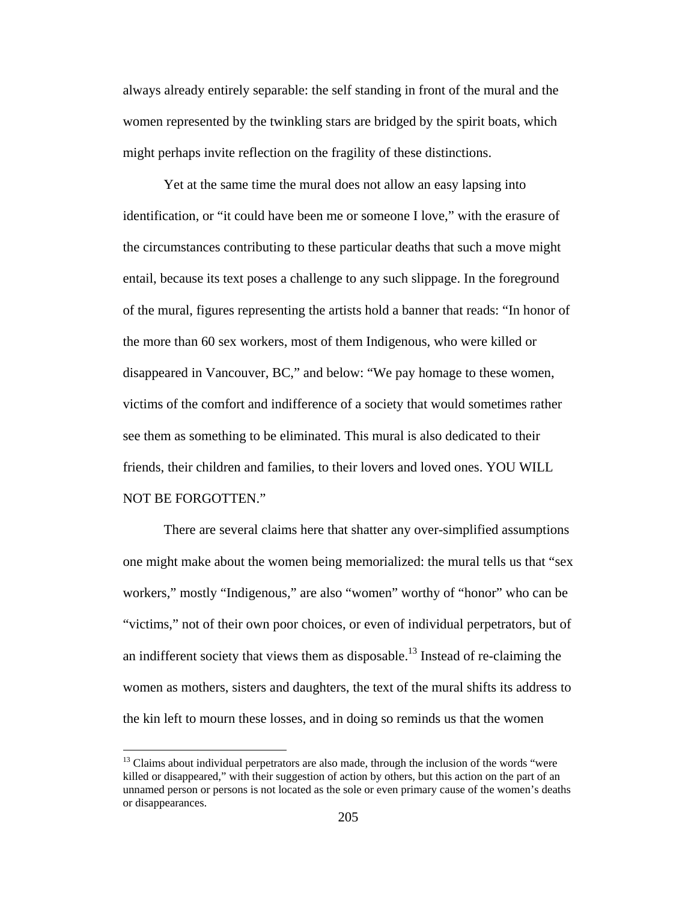always already entirely separable: the self standing in front of the mural and the women represented by the twinkling stars are bridged by the spirit boats, which might perhaps invite reflection on the fragility of these distinctions.

Yet at the same time the mural does not allow an easy lapsing into identification, or "it could have been me or someone I love," with the erasure of the circumstances contributing to these particular deaths that such a move might entail, because its text poses a challenge to any such slippage. In the foreground of the mural, figures representing the artists hold a banner that reads: "In honor of the more than 60 sex workers, most of them Indigenous, who were killed or disappeared in Vancouver, BC," and below: "We pay homage to these women, victims of the comfort and indifference of a society that would sometimes rather see them as something to be eliminated. This mural is also dedicated to their friends, their children and families, to their lovers and loved ones. YOU WILL NOT BE FORGOTTEN."

There are several claims here that shatter any over-simplified assumptions one might make about the women being memorialized: the mural tells us that "sex workers," mostly "Indigenous," are also "women" worthy of "honor" who can be "victims," not of their own poor choices, or even of individual perpetrators, but of an indifferent society that views them as disposable.<sup>13</sup> Instead of re-claiming the women as mothers, sisters and daughters, the text of the mural shifts its address to the kin left to mourn these losses, and in doing so reminds us that the women

 $\overline{a}$ 

 $<sup>13</sup>$  Claims about individual perpetrators are also made, through the inclusion of the words "were"</sup> killed or disappeared," with their suggestion of action by others, but this action on the part of an unnamed person or persons is not located as the sole or even primary cause of the women's deaths or disappearances.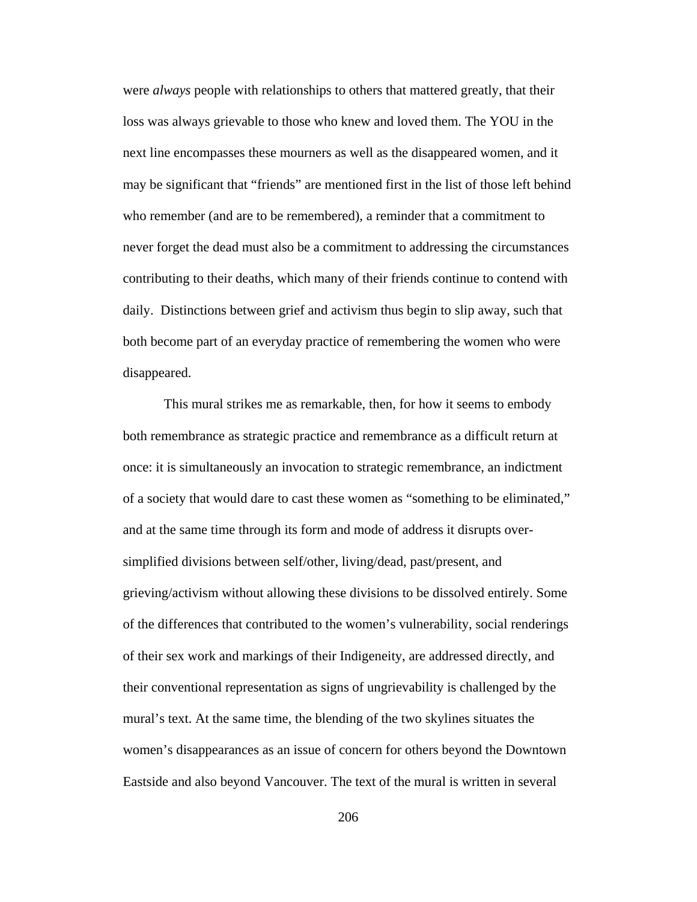were *always* people with relationships to others that mattered greatly, that their loss was always grievable to those who knew and loved them. The YOU in the next line encompasses these mourners as well as the disappeared women, and it may be significant that "friends" are mentioned first in the list of those left behind who remember (and are to be remembered), a reminder that a commitment to never forget the dead must also be a commitment to addressing the circumstances contributing to their deaths, which many of their friends continue to contend with daily. Distinctions between grief and activism thus begin to slip away, such that both become part of an everyday practice of remembering the women who were disappeared.

This mural strikes me as remarkable, then, for how it seems to embody both remembrance as strategic practice and remembrance as a difficult return at once: it is simultaneously an invocation to strategic remembrance, an indictment of a society that would dare to cast these women as "something to be eliminated," and at the same time through its form and mode of address it disrupts oversimplified divisions between self/other, living/dead, past/present, and grieving/activism without allowing these divisions to be dissolved entirely. Some of the differences that contributed to the women's vulnerability, social renderings of their sex work and markings of their Indigeneity, are addressed directly, and their conventional representation as signs of ungrievability is challenged by the mural's text. At the same time, the blending of the two skylines situates the women's disappearances as an issue of concern for others beyond the Downtown Eastside and also beyond Vancouver. The text of the mural is written in several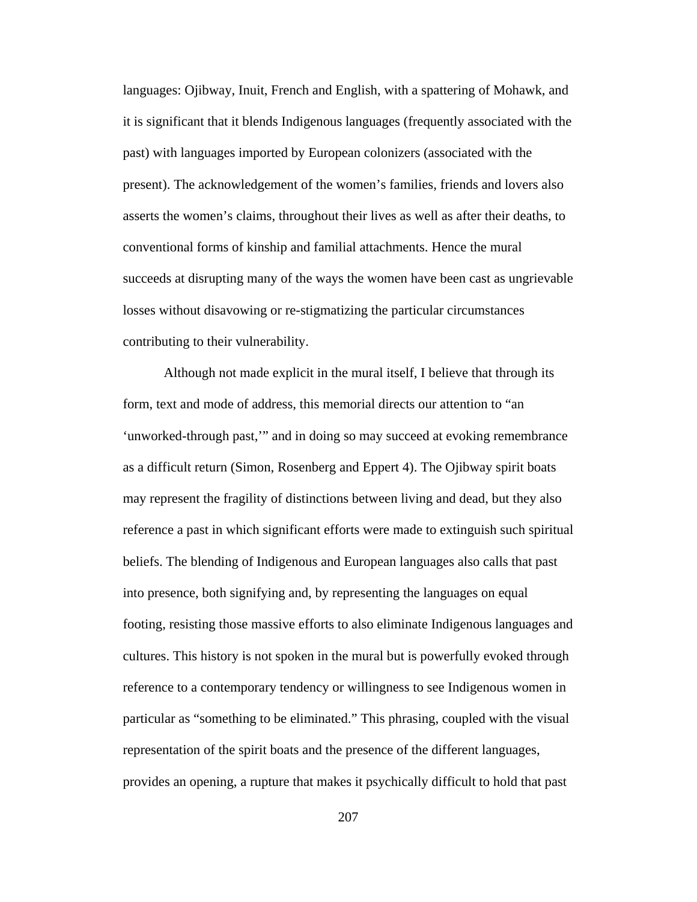languages: Ojibway, Inuit, French and English, with a spattering of Mohawk, and it is significant that it blends Indigenous languages (frequently associated with the past) with languages imported by European colonizers (associated with the present). The acknowledgement of the women's families, friends and lovers also asserts the women's claims, throughout their lives as well as after their deaths, to conventional forms of kinship and familial attachments. Hence the mural succeeds at disrupting many of the ways the women have been cast as ungrievable losses without disavowing or re-stigmatizing the particular circumstances contributing to their vulnerability.

Although not made explicit in the mural itself, I believe that through its form, text and mode of address, this memorial directs our attention to "an 'unworked-through past,'" and in doing so may succeed at evoking remembrance as a difficult return (Simon, Rosenberg and Eppert 4). The Ojibway spirit boats may represent the fragility of distinctions between living and dead, but they also reference a past in which significant efforts were made to extinguish such spiritual beliefs. The blending of Indigenous and European languages also calls that past into presence, both signifying and, by representing the languages on equal footing, resisting those massive efforts to also eliminate Indigenous languages and cultures. This history is not spoken in the mural but is powerfully evoked through reference to a contemporary tendency or willingness to see Indigenous women in particular as "something to be eliminated." This phrasing, coupled with the visual representation of the spirit boats and the presence of the different languages, provides an opening, a rupture that makes it psychically difficult to hold that past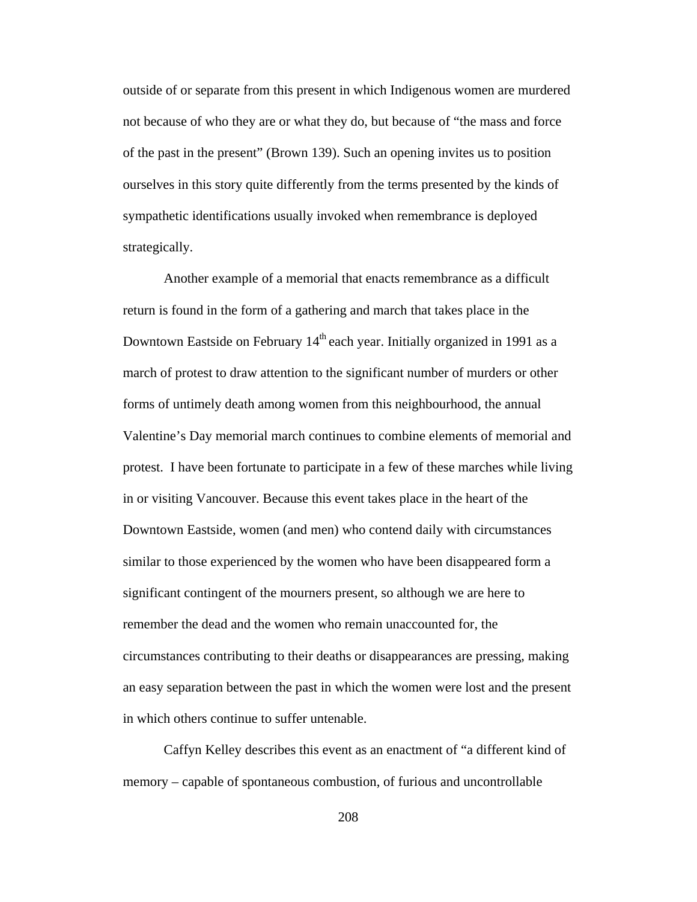outside of or separate from this present in which Indigenous women are murdered not because of who they are or what they do, but because of "the mass and force of the past in the present" (Brown 139). Such an opening invites us to position ourselves in this story quite differently from the terms presented by the kinds of sympathetic identifications usually invoked when remembrance is deployed strategically.

Another example of a memorial that enacts remembrance as a difficult return is found in the form of a gathering and march that takes place in the Downtown Eastside on February  $14<sup>th</sup>$  each year. Initially organized in 1991 as a march of protest to draw attention to the significant number of murders or other forms of untimely death among women from this neighbourhood, the annual Valentine's Day memorial march continues to combine elements of memorial and protest. I have been fortunate to participate in a few of these marches while living in or visiting Vancouver. Because this event takes place in the heart of the Downtown Eastside, women (and men) who contend daily with circumstances similar to those experienced by the women who have been disappeared form a significant contingent of the mourners present, so although we are here to remember the dead and the women who remain unaccounted for, the circumstances contributing to their deaths or disappearances are pressing, making an easy separation between the past in which the women were lost and the present in which others continue to suffer untenable.

Caffyn Kelley describes this event as an enactment of "a different kind of memory – capable of spontaneous combustion, of furious and uncontrollable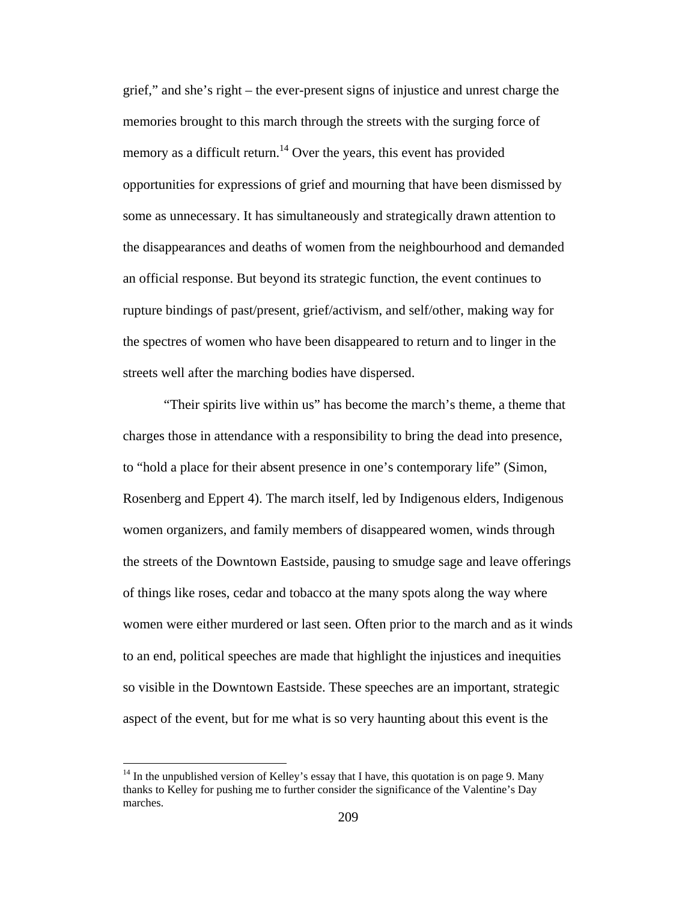grief," and she's right – the ever-present signs of injustice and unrest charge the memories brought to this march through the streets with the surging force of memory as a difficult return.<sup>14</sup> Over the years, this event has provided opportunities for expressions of grief and mourning that have been dismissed by some as unnecessary. It has simultaneously and strategically drawn attention to the disappearances and deaths of women from the neighbourhood and demanded an official response. But beyond its strategic function, the event continues to rupture bindings of past/present, grief/activism, and self/other, making way for the spectres of women who have been disappeared to return and to linger in the streets well after the marching bodies have dispersed.

"Their spirits live within us" has become the march's theme, a theme that charges those in attendance with a responsibility to bring the dead into presence, to "hold a place for their absent presence in one's contemporary life" (Simon, Rosenberg and Eppert 4). The march itself, led by Indigenous elders, Indigenous women organizers, and family members of disappeared women, winds through the streets of the Downtown Eastside, pausing to smudge sage and leave offerings of things like roses, cedar and tobacco at the many spots along the way where women were either murdered or last seen. Often prior to the march and as it winds to an end, political speeches are made that highlight the injustices and inequities so visible in the Downtown Eastside. These speeches are an important, strategic aspect of the event, but for me what is so very haunting about this event is the

 $\overline{a}$ 

<sup>&</sup>lt;sup>14</sup> In the unpublished version of Kelley's essay that I have, this quotation is on page 9. Many thanks to Kelley for pushing me to further consider the significance of the Valentine's Day marches.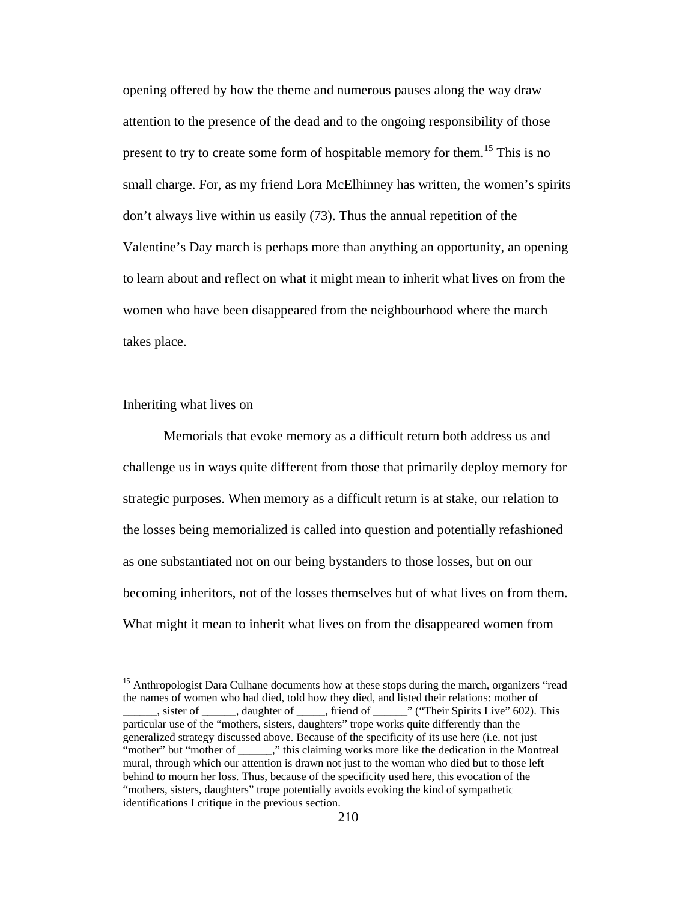opening offered by how the theme and numerous pauses along the way draw attention to the presence of the dead and to the ongoing responsibility of those present to try to create some form of hospitable memory for them.<sup>15</sup> This is no small charge. For, as my friend Lora McElhinney has written, the women's spirits don't always live within us easily (73). Thus the annual repetition of the Valentine's Day march is perhaps more than anything an opportunity, an opening to learn about and reflect on what it might mean to inherit what lives on from the women who have been disappeared from the neighbourhood where the march takes place.

## Inheriting what lives on

 $\overline{a}$ 

 Memorials that evoke memory as a difficult return both address us and challenge us in ways quite different from those that primarily deploy memory for strategic purposes. When memory as a difficult return is at stake, our relation to the losses being memorialized is called into question and potentially refashioned as one substantiated not on our being bystanders to those losses, but on our becoming inheritors, not of the losses themselves but of what lives on from them. What might it mean to inherit what lives on from the disappeared women from

<sup>&</sup>lt;sup>15</sup> Anthropologist Dara Culhane documents how at these stops during the march, organizers "read" the names of women who had died, told how they died, and listed their relations: mother of \_\_\_\_\_\_, sister of \_\_\_\_\_\_, daughter of \_\_\_\_\_, friend of \_\_\_\_\_\_" ("Their Spirits Live" 602). This particular use of the "mothers, sisters, daughters" trope works quite differently than the generalized strategy discussed above. Because of the specificity of its use here (i.e. not just "mother" but "mother of  $\therefore$ " this claiming works more like the dedication in the Montreal mural, through which our attention is drawn not just to the woman who died but to those left behind to mourn her loss. Thus, because of the specificity used here, this evocation of the "mothers, sisters, daughters" trope potentially avoids evoking the kind of sympathetic identifications I critique in the previous section.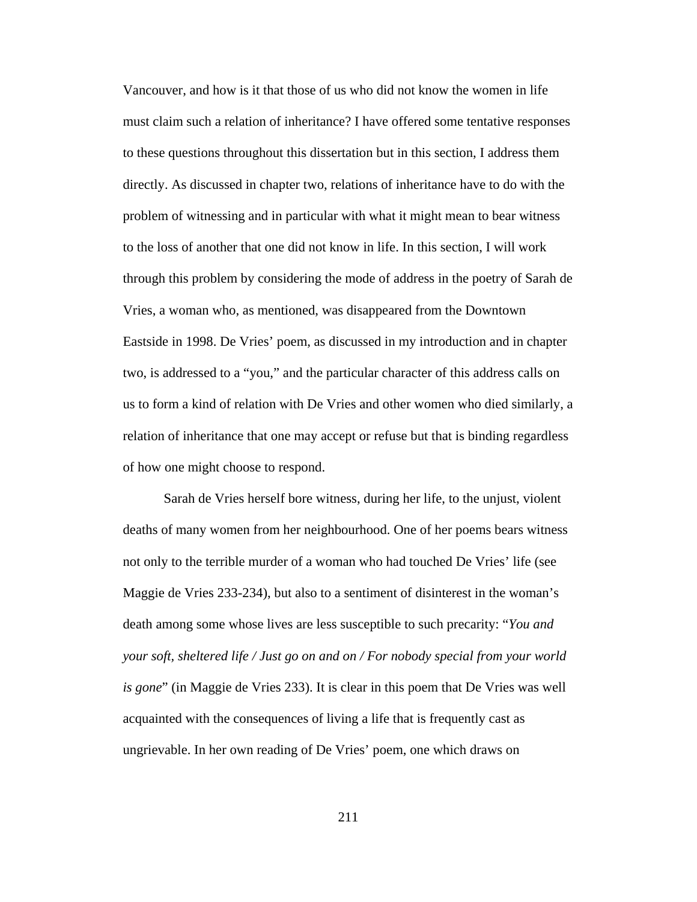Vancouver, and how is it that those of us who did not know the women in life must claim such a relation of inheritance? I have offered some tentative responses to these questions throughout this dissertation but in this section, I address them directly. As discussed in chapter two, relations of inheritance have to do with the problem of witnessing and in particular with what it might mean to bear witness to the loss of another that one did not know in life. In this section, I will work through this problem by considering the mode of address in the poetry of Sarah de Vries, a woman who, as mentioned, was disappeared from the Downtown Eastside in 1998. De Vries' poem, as discussed in my introduction and in chapter two, is addressed to a "you," and the particular character of this address calls on us to form a kind of relation with De Vries and other women who died similarly, a relation of inheritance that one may accept or refuse but that is binding regardless of how one might choose to respond.

 Sarah de Vries herself bore witness, during her life, to the unjust, violent deaths of many women from her neighbourhood. One of her poems bears witness not only to the terrible murder of a woman who had touched De Vries' life (see Maggie de Vries 233-234), but also to a sentiment of disinterest in the woman's death among some whose lives are less susceptible to such precarity: "*You and your soft, sheltered life / Just go on and on / For nobody special from your world is gone*" (in Maggie de Vries 233). It is clear in this poem that De Vries was well acquainted with the consequences of living a life that is frequently cast as ungrievable. In her own reading of De Vries' poem, one which draws on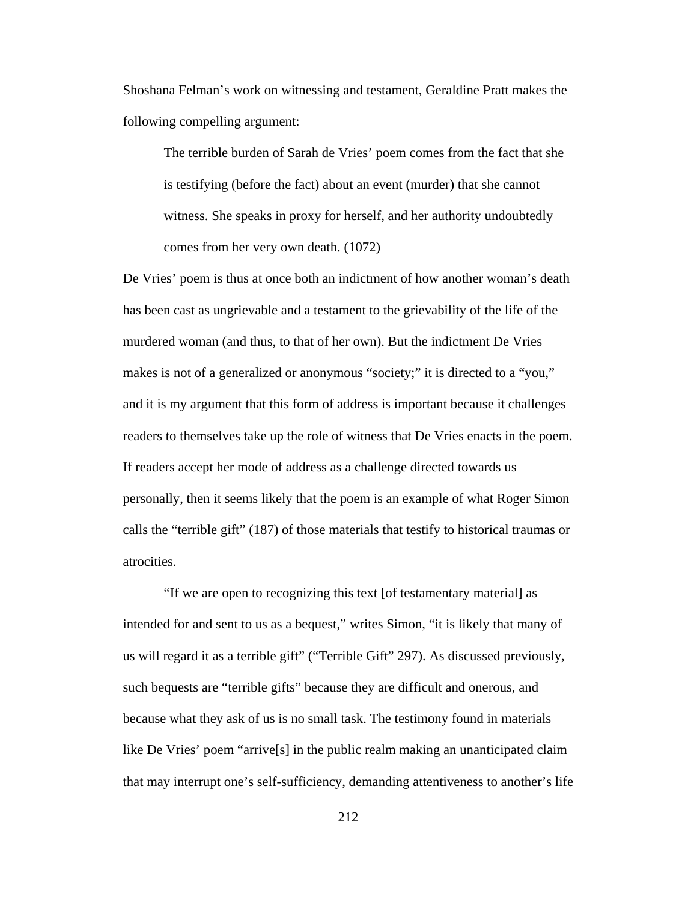Shoshana Felman's work on witnessing and testament, Geraldine Pratt makes the following compelling argument:

The terrible burden of Sarah de Vries' poem comes from the fact that she is testifying (before the fact) about an event (murder) that she cannot witness. She speaks in proxy for herself, and her authority undoubtedly comes from her very own death. (1072)

De Vries' poem is thus at once both an indictment of how another woman's death has been cast as ungrievable and a testament to the grievability of the life of the murdered woman (and thus, to that of her own). But the indictment De Vries makes is not of a generalized or anonymous "society;" it is directed to a "you," and it is my argument that this form of address is important because it challenges readers to themselves take up the role of witness that De Vries enacts in the poem. If readers accept her mode of address as a challenge directed towards us personally, then it seems likely that the poem is an example of what Roger Simon calls the "terrible gift" (187) of those materials that testify to historical traumas or atrocities.

 "If we are open to recognizing this text [of testamentary material] as intended for and sent to us as a bequest," writes Simon, "it is likely that many of us will regard it as a terrible gift" ("Terrible Gift" 297). As discussed previously, such bequests are "terrible gifts" because they are difficult and onerous, and because what they ask of us is no small task. The testimony found in materials like De Vries' poem "arrive[s] in the public realm making an unanticipated claim that may interrupt one's self-sufficiency, demanding attentiveness to another's life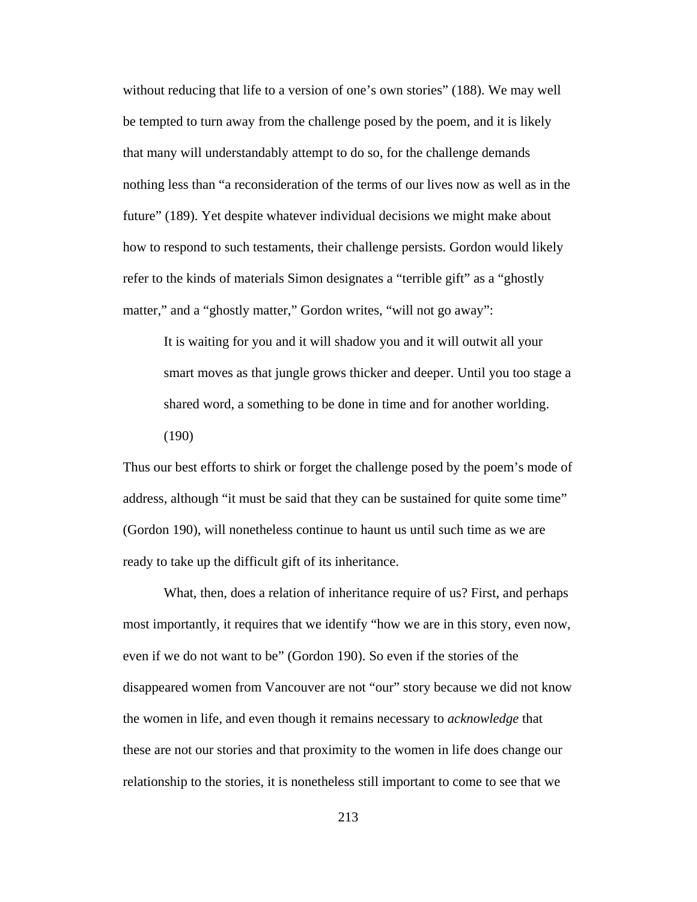without reducing that life to a version of one's own stories" (188). We may well be tempted to turn away from the challenge posed by the poem, and it is likely that many will understandably attempt to do so, for the challenge demands nothing less than "a reconsideration of the terms of our lives now as well as in the future" (189). Yet despite whatever individual decisions we might make about how to respond to such testaments, their challenge persists. Gordon would likely refer to the kinds of materials Simon designates a "terrible gift" as a "ghostly matter," and a "ghostly matter," Gordon writes, "will not go away":

It is waiting for you and it will shadow you and it will outwit all your smart moves as that jungle grows thicker and deeper. Until you too stage a shared word, a something to be done in time and for another worlding. (190)

Thus our best efforts to shirk or forget the challenge posed by the poem's mode of address, although "it must be said that they can be sustained for quite some time" (Gordon 190), will nonetheless continue to haunt us until such time as we are ready to take up the difficult gift of its inheritance.

 What, then, does a relation of inheritance require of us? First, and perhaps most importantly, it requires that we identify "how we are in this story, even now, even if we do not want to be" (Gordon 190). So even if the stories of the disappeared women from Vancouver are not "our" story because we did not know the women in life, and even though it remains necessary to *acknowledge* that these are not our stories and that proximity to the women in life does change our relationship to the stories, it is nonetheless still important to come to see that we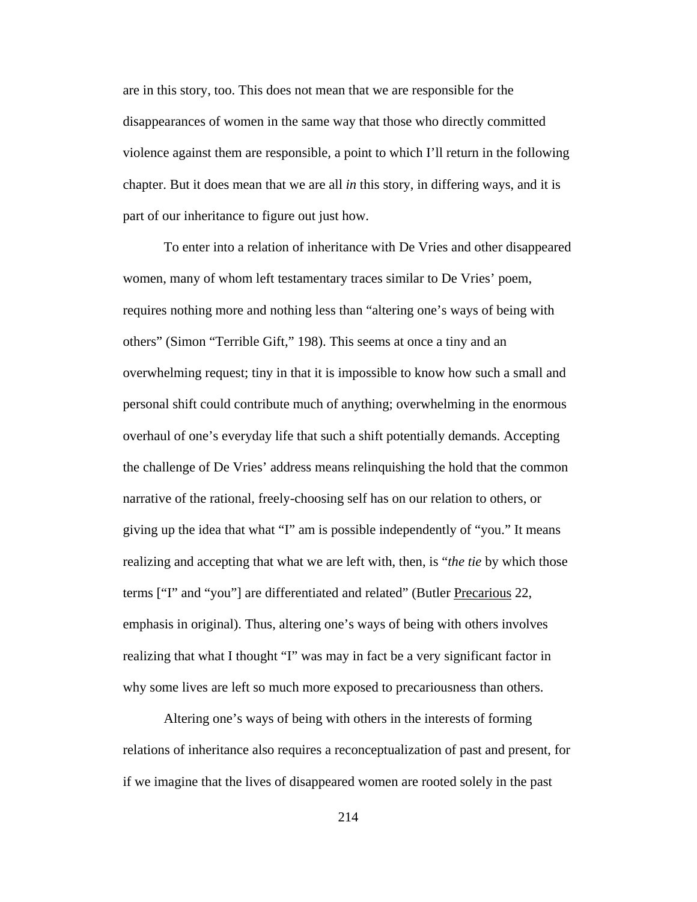are in this story, too. This does not mean that we are responsible for the disappearances of women in the same way that those who directly committed violence against them are responsible, a point to which I'll return in the following chapter. But it does mean that we are all *in* this story, in differing ways, and it is part of our inheritance to figure out just how.

 To enter into a relation of inheritance with De Vries and other disappeared women, many of whom left testamentary traces similar to De Vries' poem, requires nothing more and nothing less than "altering one's ways of being with others" (Simon "Terrible Gift," 198). This seems at once a tiny and an overwhelming request; tiny in that it is impossible to know how such a small and personal shift could contribute much of anything; overwhelming in the enormous overhaul of one's everyday life that such a shift potentially demands. Accepting the challenge of De Vries' address means relinquishing the hold that the common narrative of the rational, freely-choosing self has on our relation to others, or giving up the idea that what "I" am is possible independently of "you." It means realizing and accepting that what we are left with, then, is "*the tie* by which those terms ["I" and "you"] are differentiated and related" (Butler Precarious 22, emphasis in original). Thus, altering one's ways of being with others involves realizing that what I thought "I" was may in fact be a very significant factor in why some lives are left so much more exposed to precariousness than others.

 Altering one's ways of being with others in the interests of forming relations of inheritance also requires a reconceptualization of past and present, for if we imagine that the lives of disappeared women are rooted solely in the past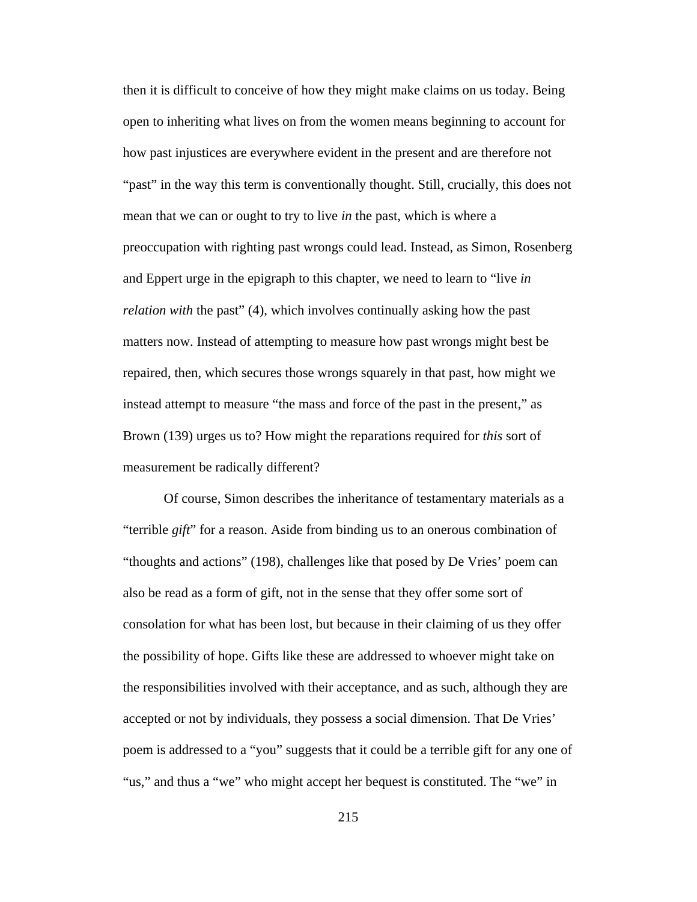then it is difficult to conceive of how they might make claims on us today. Being open to inheriting what lives on from the women means beginning to account for how past injustices are everywhere evident in the present and are therefore not "past" in the way this term is conventionally thought. Still, crucially, this does not mean that we can or ought to try to live *in* the past, which is where a preoccupation with righting past wrongs could lead. Instead, as Simon, Rosenberg and Eppert urge in the epigraph to this chapter, we need to learn to "live *in relation with* the past" (4), which involves continually asking how the past matters now. Instead of attempting to measure how past wrongs might best be repaired, then, which secures those wrongs squarely in that past, how might we instead attempt to measure "the mass and force of the past in the present," as Brown (139) urges us to? How might the reparations required for *this* sort of measurement be radically different?

 Of course, Simon describes the inheritance of testamentary materials as a "terrible *gift*" for a reason. Aside from binding us to an onerous combination of "thoughts and actions" (198), challenges like that posed by De Vries' poem can also be read as a form of gift, not in the sense that they offer some sort of consolation for what has been lost, but because in their claiming of us they offer the possibility of hope. Gifts like these are addressed to whoever might take on the responsibilities involved with their acceptance, and as such, although they are accepted or not by individuals, they possess a social dimension. That De Vries' poem is addressed to a "you" suggests that it could be a terrible gift for any one of "us," and thus a "we" who might accept her bequest is constituted. The "we" in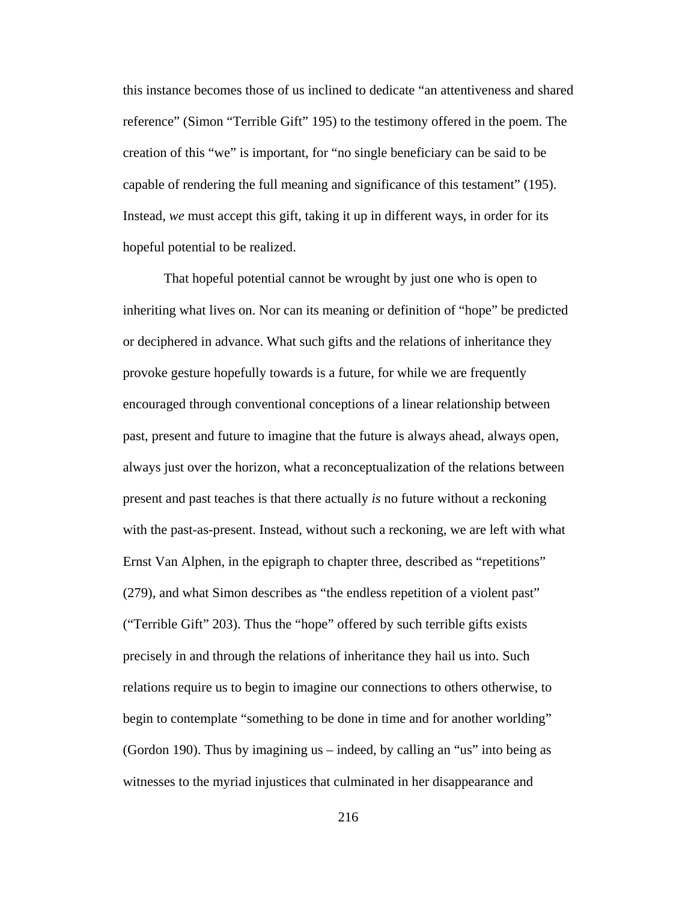this instance becomes those of us inclined to dedicate "an attentiveness and shared reference" (Simon "Terrible Gift" 195) to the testimony offered in the poem. The creation of this "we" is important, for "no single beneficiary can be said to be capable of rendering the full meaning and significance of this testament" (195). Instead, *we* must accept this gift, taking it up in different ways, in order for its hopeful potential to be realized.

 That hopeful potential cannot be wrought by just one who is open to inheriting what lives on. Nor can its meaning or definition of "hope" be predicted or deciphered in advance. What such gifts and the relations of inheritance they provoke gesture hopefully towards is a future, for while we are frequently encouraged through conventional conceptions of a linear relationship between past, present and future to imagine that the future is always ahead, always open, always just over the horizon, what a reconceptualization of the relations between present and past teaches is that there actually *is* no future without a reckoning with the past-as-present. Instead, without such a reckoning, we are left with what Ernst Van Alphen, in the epigraph to chapter three, described as "repetitions" (279), and what Simon describes as "the endless repetition of a violent past" ("Terrible Gift" 203). Thus the "hope" offered by such terrible gifts exists precisely in and through the relations of inheritance they hail us into. Such relations require us to begin to imagine our connections to others otherwise, to begin to contemplate "something to be done in time and for another worlding" (Gordon 190). Thus by imagining us – indeed, by calling an "us" into being as witnesses to the myriad injustices that culminated in her disappearance and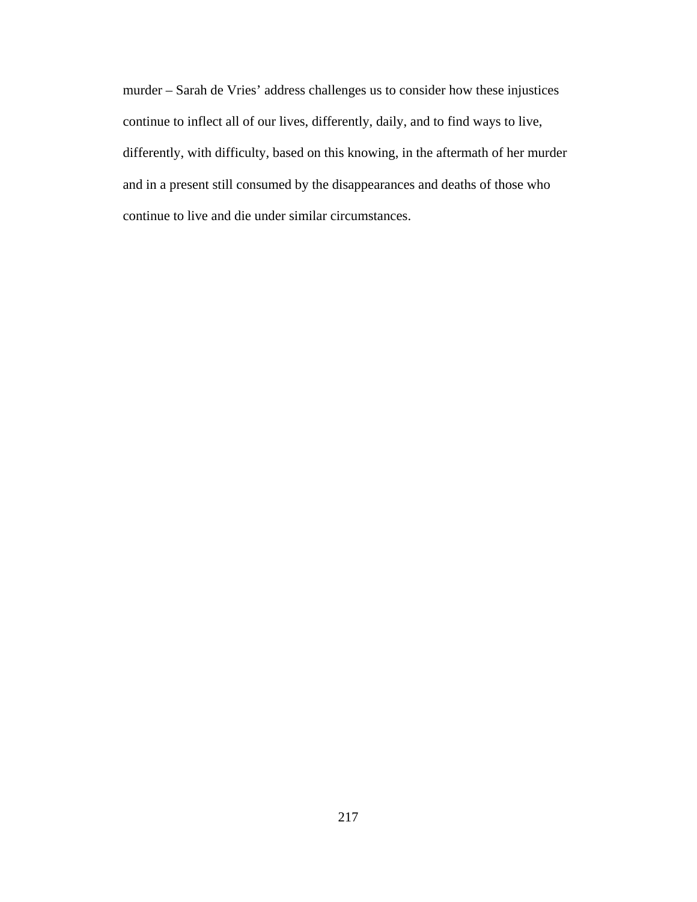murder – Sarah de Vries' address challenges us to consider how these injustices continue to inflect all of our lives, differently, daily, and to find ways to live, differently, with difficulty, based on this knowing, in the aftermath of her murder and in a present still consumed by the disappearances and deaths of those who continue to live and die under similar circumstances.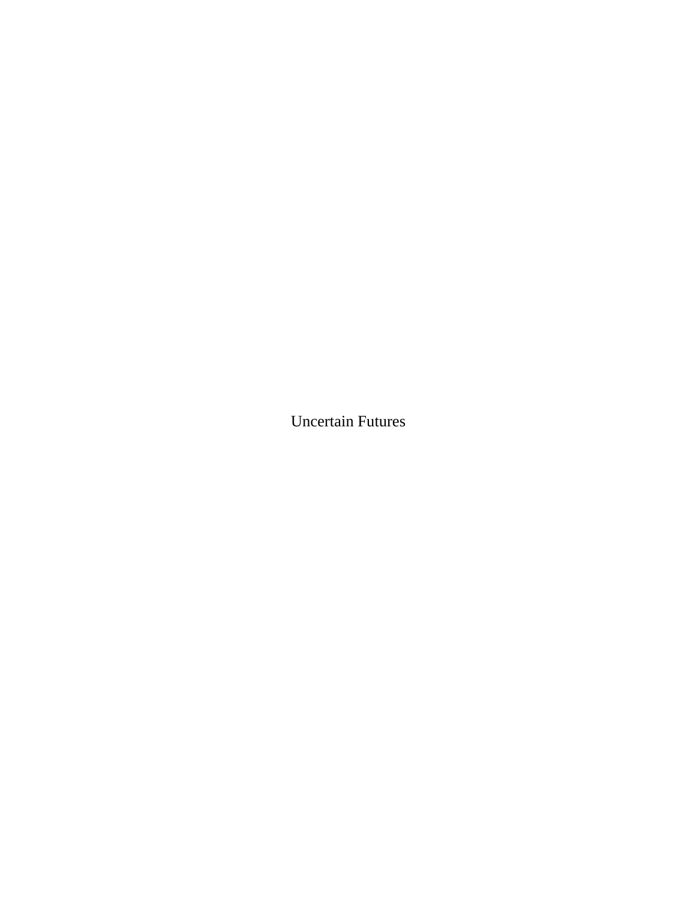Uncertain Futures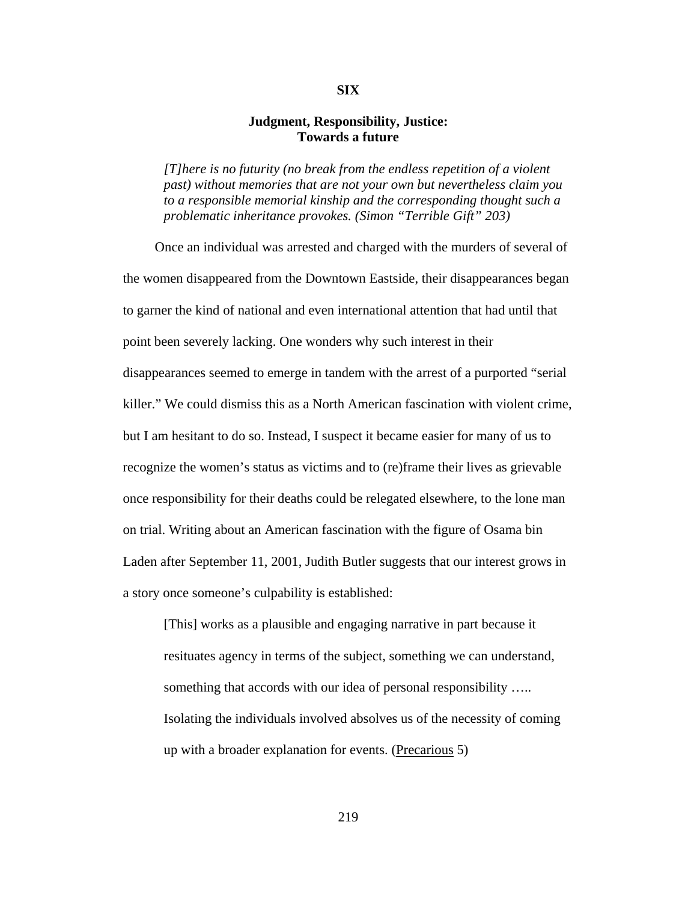# **Judgment, Responsibility, Justice: Towards a future**

**SIX**

*[T]here is no futurity (no break from the endless repetition of a violent past) without memories that are not your own but nevertheless claim you to a responsible memorial kinship and the corresponding thought such a problematic inheritance provokes. (Simon "Terrible Gift" 203)* 

Once an individual was arrested and charged with the murders of several of the women disappeared from the Downtown Eastside, their disappearances began to garner the kind of national and even international attention that had until that point been severely lacking. One wonders why such interest in their disappearances seemed to emerge in tandem with the arrest of a purported "serial killer." We could dismiss this as a North American fascination with violent crime, but I am hesitant to do so. Instead, I suspect it became easier for many of us to recognize the women's status as victims and to (re)frame their lives as grievable once responsibility for their deaths could be relegated elsewhere, to the lone man on trial. Writing about an American fascination with the figure of Osama bin Laden after September 11, 2001, Judith Butler suggests that our interest grows in a story once someone's culpability is established:

[This] works as a plausible and engaging narrative in part because it resituates agency in terms of the subject, something we can understand, something that accords with our idea of personal responsibility ..... Isolating the individuals involved absolves us of the necessity of coming up with a broader explanation for events. (Precarious 5)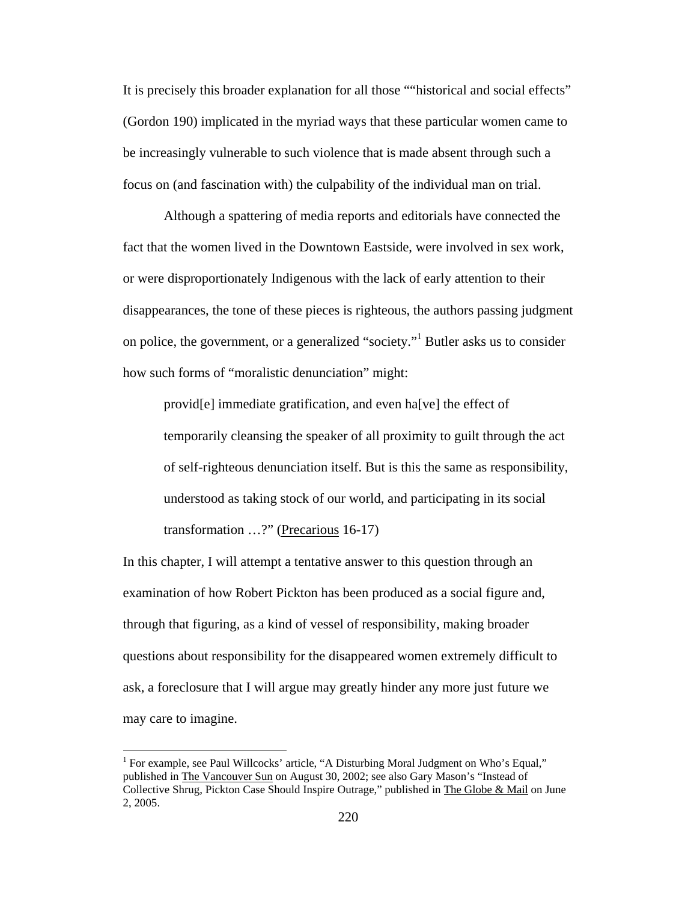It is precisely this broader explanation for all those ""historical and social effects" (Gordon 190) implicated in the myriad ways that these particular women came to be increasingly vulnerable to such violence that is made absent through such a focus on (and fascination with) the culpability of the individual man on trial.

Although a spattering of media reports and editorials have connected the fact that the women lived in the Downtown Eastside, were involved in sex work, or were disproportionately Indigenous with the lack of early attention to their disappearances, the tone of these pieces is righteous, the authors passing judgment on police, the government, or a generalized "society."<sup>1</sup> Butler asks us to consider how such forms of "moralistic denunciation" might:

provid[e] immediate gratification, and even ha[ve] the effect of temporarily cleansing the speaker of all proximity to guilt through the act of self-righteous denunciation itself. But is this the same as responsibility, understood as taking stock of our world, and participating in its social transformation …?" (Precarious 16-17)

In this chapter, I will attempt a tentative answer to this question through an examination of how Robert Pickton has been produced as a social figure and, through that figuring, as a kind of vessel of responsibility, making broader questions about responsibility for the disappeared women extremely difficult to ask, a foreclosure that I will argue may greatly hinder any more just future we may care to imagine.

 $\overline{a}$ 

<sup>&</sup>lt;sup>1</sup> For example, see Paul Willcocks' article, "A Disturbing Moral Judgment on Who's Equal," published in The Vancouver Sun on August 30, 2002; see also Gary Mason's "Instead of Collective Shrug, Pickton Case Should Inspire Outrage," published in The Globe & Mail on June 2, 2005.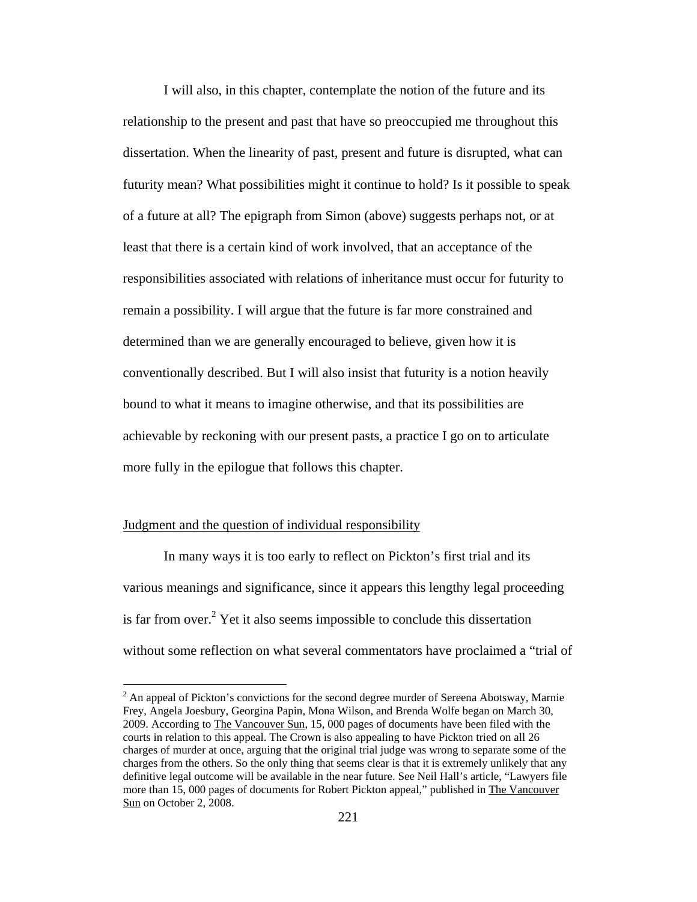I will also, in this chapter, contemplate the notion of the future and its relationship to the present and past that have so preoccupied me throughout this dissertation. When the linearity of past, present and future is disrupted, what can futurity mean? What possibilities might it continue to hold? Is it possible to speak of a future at all? The epigraph from Simon (above) suggests perhaps not, or at least that there is a certain kind of work involved, that an acceptance of the responsibilities associated with relations of inheritance must occur for futurity to remain a possibility. I will argue that the future is far more constrained and determined than we are generally encouraged to believe, given how it is conventionally described. But I will also insist that futurity is a notion heavily bound to what it means to imagine otherwise, and that its possibilities are achievable by reckoning with our present pasts, a practice I go on to articulate more fully in the epilogue that follows this chapter.

## Judgment and the question of individual responsibility

 In many ways it is too early to reflect on Pickton's first trial and its various meanings and significance, since it appears this lengthy legal proceeding is far from over.<sup>2</sup> Yet it also seems impossible to conclude this dissertation without some reflection on what several commentators have proclaimed a "trial of

<sup>&</sup>lt;sup>2</sup> An appeal of Pickton's convictions for the second degree murder of Sereena Abotsway, Marnie Frey, Angela Joesbury, Georgina Papin, Mona Wilson, and Brenda Wolfe began on March 30, 2009. According to The Vancouver Sun, 15, 000 pages of documents have been filed with the courts in relation to this appeal. The Crown is also appealing to have Pickton tried on all 26 charges of murder at once, arguing that the original trial judge was wrong to separate some of the charges from the others. So the only thing that seems clear is that it is extremely unlikely that any definitive legal outcome will be available in the near future. See Neil Hall's article, "Lawyers file more than 15, 000 pages of documents for Robert Pickton appeal," published in The Vancouver Sun on October 2, 2008.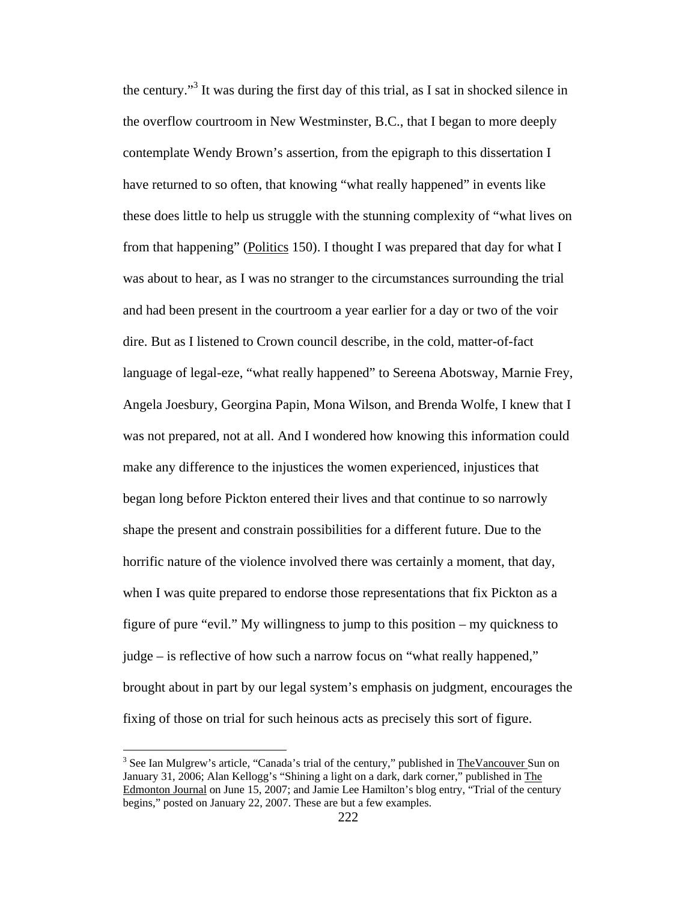the century."<sup>3</sup> It was during the first day of this trial, as I sat in shocked silence in the overflow courtroom in New Westminster, B.C., that I began to more deeply contemplate Wendy Brown's assertion, from the epigraph to this dissertation I have returned to so often, that knowing "what really happened" in events like these does little to help us struggle with the stunning complexity of "what lives on from that happening" (Politics 150). I thought I was prepared that day for what I was about to hear, as I was no stranger to the circumstances surrounding the trial and had been present in the courtroom a year earlier for a day or two of the voir dire. But as I listened to Crown council describe, in the cold, matter-of-fact language of legal-eze, "what really happened" to Sereena Abotsway, Marnie Frey, Angela Joesbury, Georgina Papin, Mona Wilson, and Brenda Wolfe, I knew that I was not prepared, not at all. And I wondered how knowing this information could make any difference to the injustices the women experienced, injustices that began long before Pickton entered their lives and that continue to so narrowly shape the present and constrain possibilities for a different future. Due to the horrific nature of the violence involved there was certainly a moment, that day, when I was quite prepared to endorse those representations that fix Pickton as a figure of pure "evil." My willingness to jump to this position – my quickness to judge – is reflective of how such a narrow focus on "what really happened," brought about in part by our legal system's emphasis on judgment, encourages the fixing of those on trial for such heinous acts as precisely this sort of figure.

 $\overline{a}$ 

 $3$  See Ian Mulgrew's article, "Canada's trial of the century," published in The Vancouver Sun on January 31, 2006; Alan Kellogg's "Shining a light on a dark, dark corner," published in The Edmonton Journal on June 15, 2007; and Jamie Lee Hamilton's blog entry, "Trial of the century begins," posted on January 22, 2007. These are but a few examples.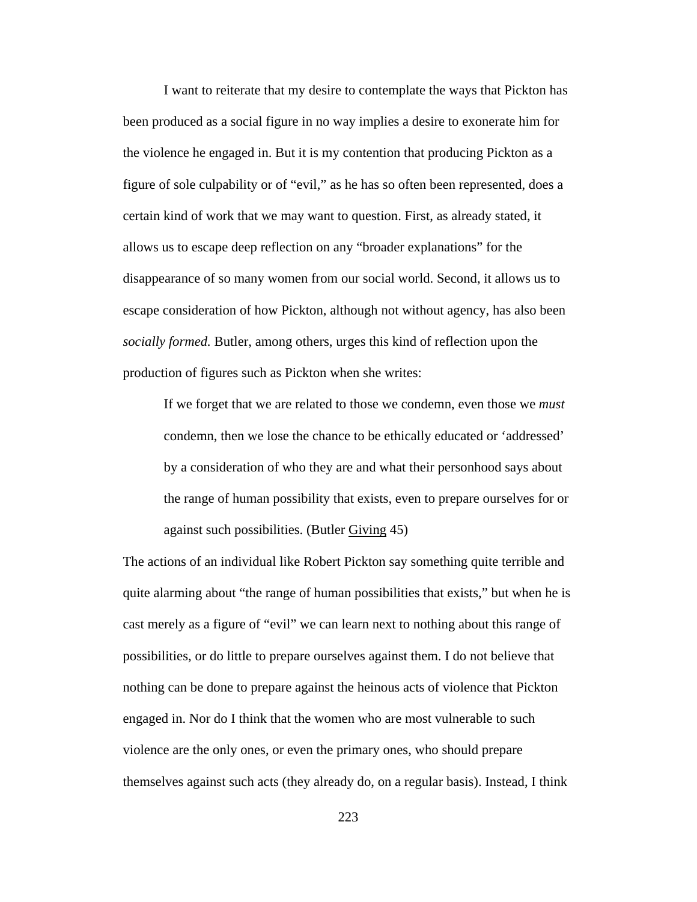I want to reiterate that my desire to contemplate the ways that Pickton has been produced as a social figure in no way implies a desire to exonerate him for the violence he engaged in. But it is my contention that producing Pickton as a figure of sole culpability or of "evil," as he has so often been represented, does a certain kind of work that we may want to question. First, as already stated, it allows us to escape deep reflection on any "broader explanations" for the disappearance of so many women from our social world. Second, it allows us to escape consideration of how Pickton, although not without agency, has also been *socially formed.* Butler, among others, urges this kind of reflection upon the production of figures such as Pickton when she writes:

If we forget that we are related to those we condemn, even those we *must*  condemn, then we lose the chance to be ethically educated or 'addressed' by a consideration of who they are and what their personhood says about the range of human possibility that exists, even to prepare ourselves for or against such possibilities. (Butler Giving 45)

The actions of an individual like Robert Pickton say something quite terrible and quite alarming about "the range of human possibilities that exists," but when he is cast merely as a figure of "evil" we can learn next to nothing about this range of possibilities, or do little to prepare ourselves against them. I do not believe that nothing can be done to prepare against the heinous acts of violence that Pickton engaged in. Nor do I think that the women who are most vulnerable to such violence are the only ones, or even the primary ones, who should prepare themselves against such acts (they already do, on a regular basis). Instead, I think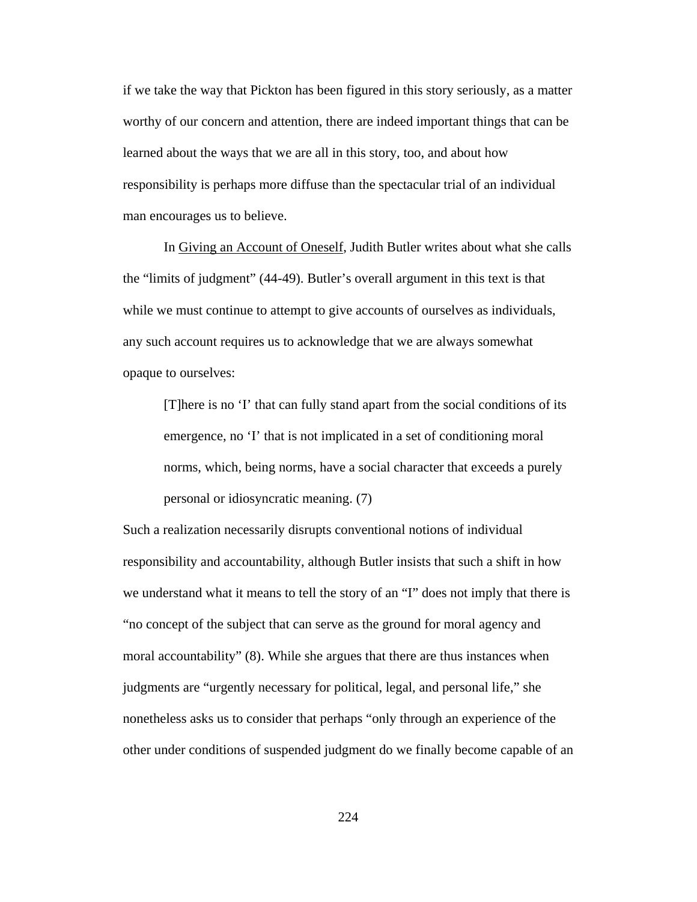if we take the way that Pickton has been figured in this story seriously, as a matter worthy of our concern and attention, there are indeed important things that can be learned about the ways that we are all in this story, too, and about how responsibility is perhaps more diffuse than the spectacular trial of an individual man encourages us to believe.

In Giving an Account of Oneself, Judith Butler writes about what she calls the "limits of judgment" (44-49). Butler's overall argument in this text is that while we must continue to attempt to give accounts of ourselves as individuals, any such account requires us to acknowledge that we are always somewhat opaque to ourselves:

[T]here is no 'I' that can fully stand apart from the social conditions of its emergence, no 'I' that is not implicated in a set of conditioning moral norms, which, being norms, have a social character that exceeds a purely personal or idiosyncratic meaning. (7)

Such a realization necessarily disrupts conventional notions of individual responsibility and accountability, although Butler insists that such a shift in how we understand what it means to tell the story of an "I" does not imply that there is "no concept of the subject that can serve as the ground for moral agency and moral accountability" (8). While she argues that there are thus instances when judgments are "urgently necessary for political, legal, and personal life," she nonetheless asks us to consider that perhaps "only through an experience of the other under conditions of suspended judgment do we finally become capable of an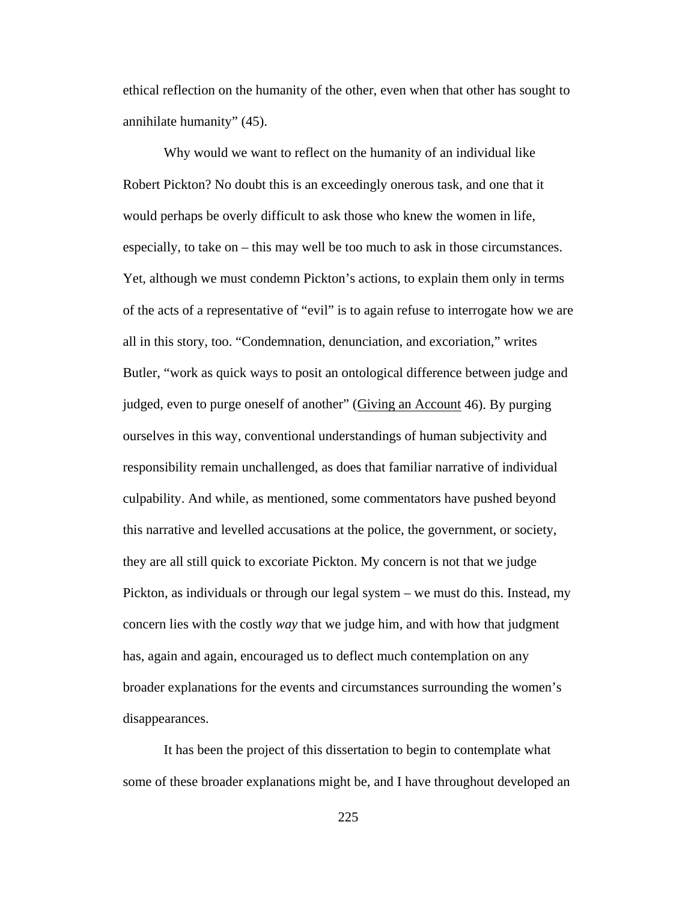ethical reflection on the humanity of the other, even when that other has sought to annihilate humanity" (45).

Why would we want to reflect on the humanity of an individual like Robert Pickton? No doubt this is an exceedingly onerous task, and one that it would perhaps be overly difficult to ask those who knew the women in life, especially, to take on – this may well be too much to ask in those circumstances. Yet, although we must condemn Pickton's actions, to explain them only in terms of the acts of a representative of "evil" is to again refuse to interrogate how we are all in this story, too. "Condemnation, denunciation, and excoriation," writes Butler, "work as quick ways to posit an ontological difference between judge and judged, even to purge oneself of another" (Giving an Account 46). By purging ourselves in this way, conventional understandings of human subjectivity and responsibility remain unchallenged, as does that familiar narrative of individual culpability. And while, as mentioned, some commentators have pushed beyond this narrative and levelled accusations at the police, the government, or society, they are all still quick to excoriate Pickton. My concern is not that we judge Pickton, as individuals or through our legal system – we must do this. Instead, my concern lies with the costly *way* that we judge him, and with how that judgment has, again and again, encouraged us to deflect much contemplation on any broader explanations for the events and circumstances surrounding the women's disappearances.

It has been the project of this dissertation to begin to contemplate what some of these broader explanations might be, and I have throughout developed an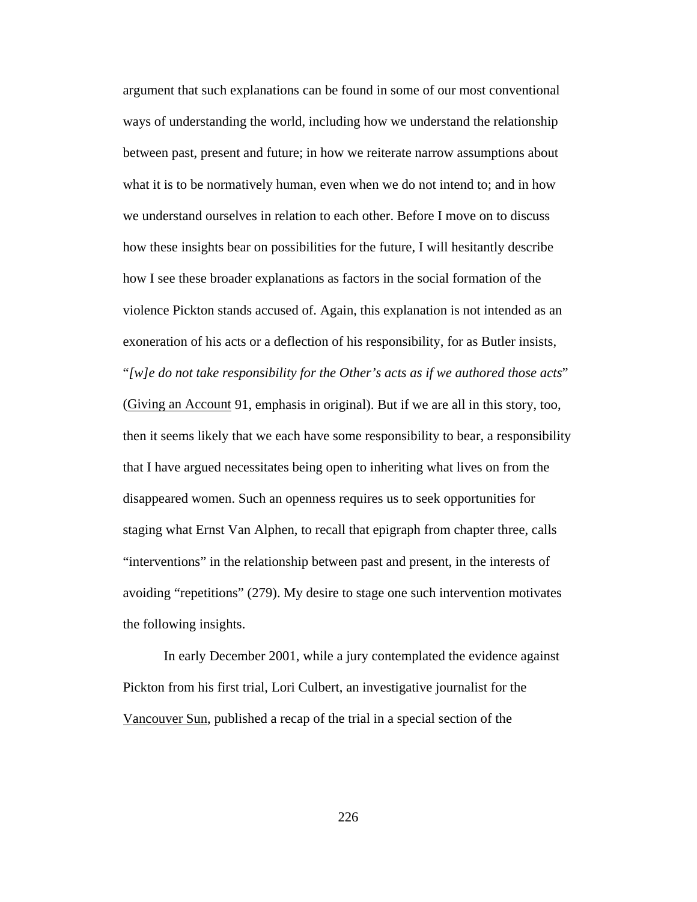argument that such explanations can be found in some of our most conventional ways of understanding the world, including how we understand the relationship between past, present and future; in how we reiterate narrow assumptions about what it is to be normatively human, even when we do not intend to; and in how we understand ourselves in relation to each other. Before I move on to discuss how these insights bear on possibilities for the future, I will hesitantly describe how I see these broader explanations as factors in the social formation of the violence Pickton stands accused of. Again, this explanation is not intended as an exoneration of his acts or a deflection of his responsibility, for as Butler insists, "*[w]e do not take responsibility for the Other's acts as if we authored those acts*" (Giving an Account 91, emphasis in original). But if we are all in this story, too, then it seems likely that we each have some responsibility to bear, a responsibility that I have argued necessitates being open to inheriting what lives on from the disappeared women. Such an openness requires us to seek opportunities for staging what Ernst Van Alphen, to recall that epigraph from chapter three, calls "interventions" in the relationship between past and present, in the interests of avoiding "repetitions" (279). My desire to stage one such intervention motivates the following insights.

In early December 2001, while a jury contemplated the evidence against Pickton from his first trial, Lori Culbert, an investigative journalist for the Vancouver Sun, published a recap of the trial in a special section of the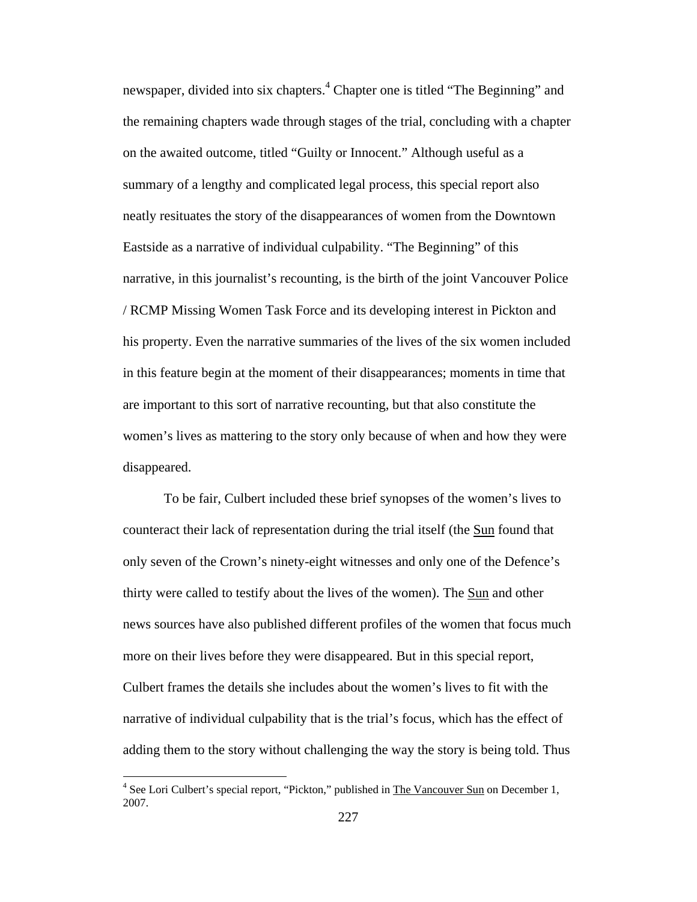newspaper, divided into six chapters.<sup>4</sup> Chapter one is titled "The Beginning" and the remaining chapters wade through stages of the trial, concluding with a chapter on the awaited outcome, titled "Guilty or Innocent." Although useful as a summary of a lengthy and complicated legal process, this special report also neatly resituates the story of the disappearances of women from the Downtown Eastside as a narrative of individual culpability. "The Beginning" of this narrative, in this journalist's recounting, is the birth of the joint Vancouver Police / RCMP Missing Women Task Force and its developing interest in Pickton and his property. Even the narrative summaries of the lives of the six women included in this feature begin at the moment of their disappearances; moments in time that are important to this sort of narrative recounting, but that also constitute the women's lives as mattering to the story only because of when and how they were disappeared.

To be fair, Culbert included these brief synopses of the women's lives to counteract their lack of representation during the trial itself (the Sun found that only seven of the Crown's ninety-eight witnesses and only one of the Defence's thirty were called to testify about the lives of the women). The Sun and other news sources have also published different profiles of the women that focus much more on their lives before they were disappeared. But in this special report, Culbert frames the details she includes about the women's lives to fit with the narrative of individual culpability that is the trial's focus, which has the effect of adding them to the story without challenging the way the story is being told. Thus

 $\overline{a}$ 

<sup>&</sup>lt;sup>4</sup> See Lori Culbert's special report, "Pickton," published in The Vancouver Sun on December 1, 2007.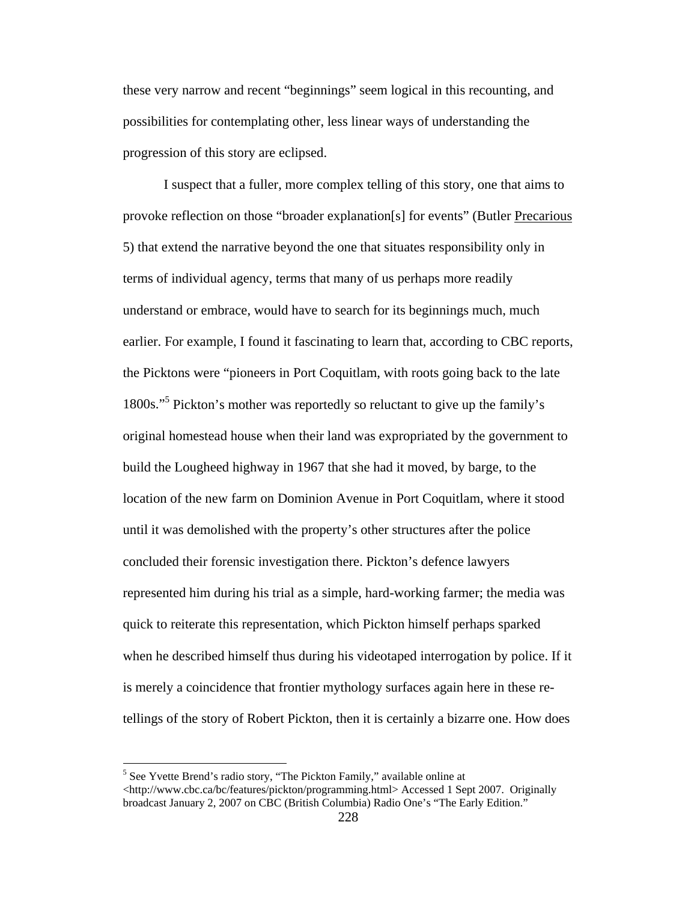these very narrow and recent "beginnings" seem logical in this recounting, and possibilities for contemplating other, less linear ways of understanding the progression of this story are eclipsed.

I suspect that a fuller, more complex telling of this story, one that aims to provoke reflection on those "broader explanation[s] for events" (Butler Precarious 5) that extend the narrative beyond the one that situates responsibility only in terms of individual agency, terms that many of us perhaps more readily understand or embrace, would have to search for its beginnings much, much earlier. For example, I found it fascinating to learn that, according to CBC reports, the Picktons were "pioneers in Port Coquitlam, with roots going back to the late 1800s."<sup>5</sup> Pickton's mother was reportedly so reluctant to give up the family's original homestead house when their land was expropriated by the government to build the Lougheed highway in 1967 that she had it moved, by barge, to the location of the new farm on Dominion Avenue in Port Coquitlam, where it stood until it was demolished with the property's other structures after the police concluded their forensic investigation there. Pickton's defence lawyers represented him during his trial as a simple, hard-working farmer; the media was quick to reiterate this representation, which Pickton himself perhaps sparked when he described himself thus during his videotaped interrogation by police. If it is merely a coincidence that frontier mythology surfaces again here in these retellings of the story of Robert Pickton, then it is certainly a bizarre one. How does

<sup>&</sup>lt;sup>5</sup> See Yvette Brend's radio story, "The Pickton Family," available online at <http://www.cbc.ca/bc/features/pickton/programming.html> Accessed 1 Sept 2007. Originally broadcast January 2, 2007 on CBC (British Columbia) Radio One's "The Early Edition."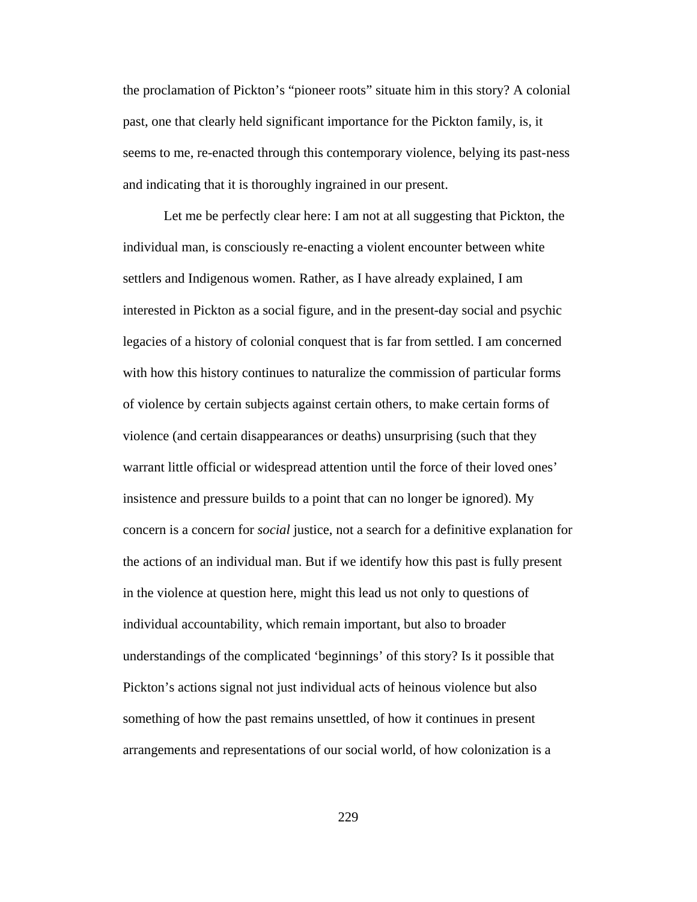the proclamation of Pickton's "pioneer roots" situate him in this story? A colonial past, one that clearly held significant importance for the Pickton family, is, it seems to me, re-enacted through this contemporary violence, belying its past-ness and indicating that it is thoroughly ingrained in our present.

Let me be perfectly clear here: I am not at all suggesting that Pickton, the individual man, is consciously re-enacting a violent encounter between white settlers and Indigenous women. Rather, as I have already explained, I am interested in Pickton as a social figure, and in the present-day social and psychic legacies of a history of colonial conquest that is far from settled. I am concerned with how this history continues to naturalize the commission of particular forms of violence by certain subjects against certain others, to make certain forms of violence (and certain disappearances or deaths) unsurprising (such that they warrant little official or widespread attention until the force of their loved ones' insistence and pressure builds to a point that can no longer be ignored). My concern is a concern for *social* justice, not a search for a definitive explanation for the actions of an individual man. But if we identify how this past is fully present in the violence at question here, might this lead us not only to questions of individual accountability, which remain important, but also to broader understandings of the complicated 'beginnings' of this story? Is it possible that Pickton's actions signal not just individual acts of heinous violence but also something of how the past remains unsettled, of how it continues in present arrangements and representations of our social world, of how colonization is a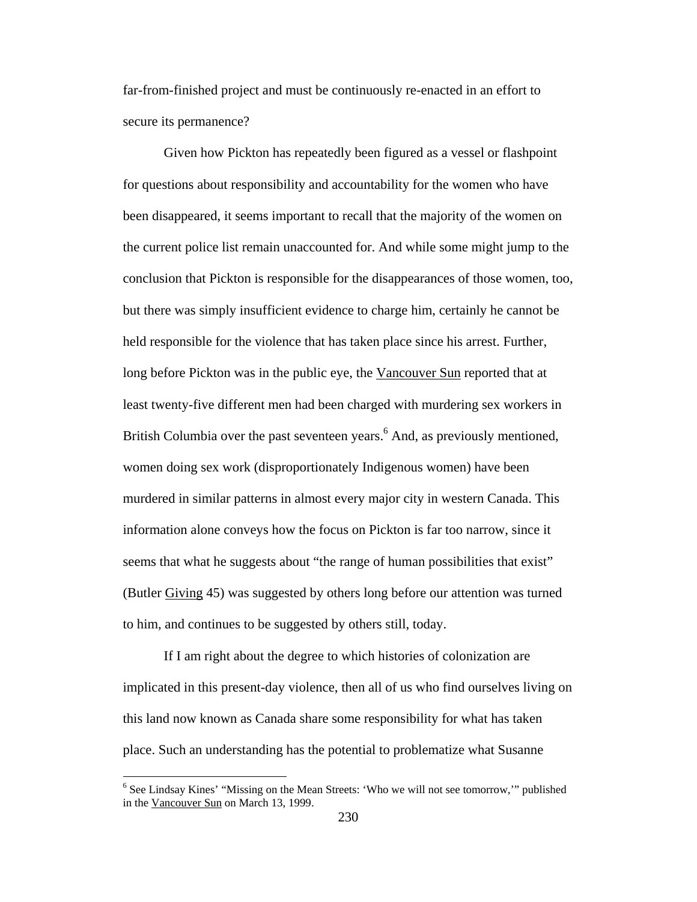far-from-finished project and must be continuously re-enacted in an effort to secure its permanence?

Given how Pickton has repeatedly been figured as a vessel or flashpoint for questions about responsibility and accountability for the women who have been disappeared, it seems important to recall that the majority of the women on the current police list remain unaccounted for. And while some might jump to the conclusion that Pickton is responsible for the disappearances of those women, too, but there was simply insufficient evidence to charge him, certainly he cannot be held responsible for the violence that has taken place since his arrest. Further, long before Pickton was in the public eye, the Vancouver Sun reported that at least twenty-five different men had been charged with murdering sex workers in British Columbia over the past seventeen years.<sup>6</sup> And, as previously mentioned, women doing sex work (disproportionately Indigenous women) have been murdered in similar patterns in almost every major city in western Canada. This information alone conveys how the focus on Pickton is far too narrow, since it seems that what he suggests about "the range of human possibilities that exist" (Butler Giving 45) was suggested by others long before our attention was turned to him, and continues to be suggested by others still, today.

If I am right about the degree to which histories of colonization are implicated in this present-day violence, then all of us who find ourselves living on this land now known as Canada share some responsibility for what has taken place. Such an understanding has the potential to problematize what Susanne

 $\overline{a}$ 

<sup>&</sup>lt;sup>6</sup> See Lindsay Kines' "Missing on the Mean Streets: 'Who we will not see tomorrow,'" published in the Vancouver Sun on March 13, 1999.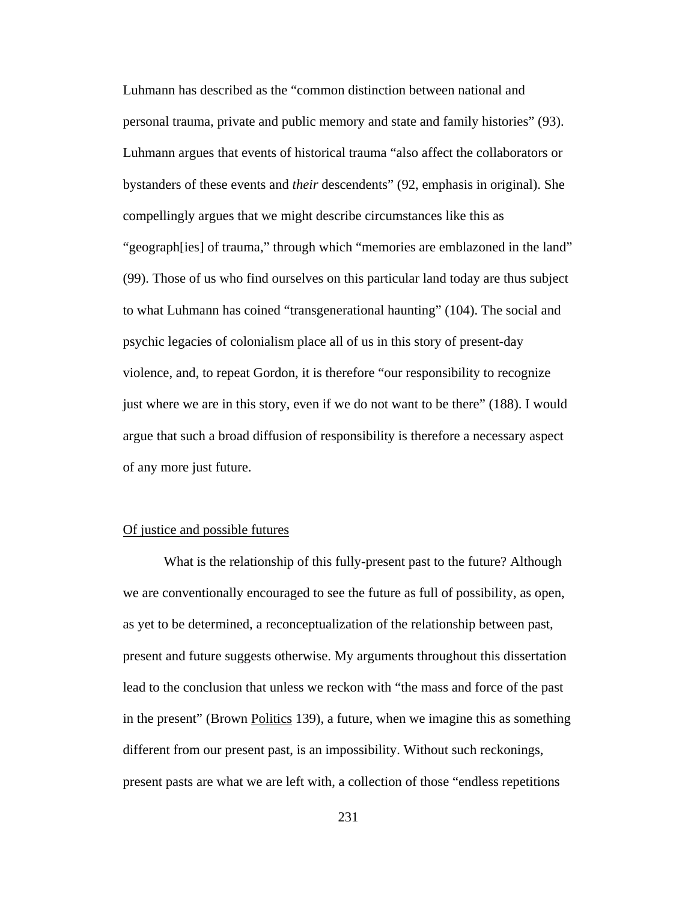Luhmann has described as the "common distinction between national and personal trauma, private and public memory and state and family histories" (93). Luhmann argues that events of historical trauma "also affect the collaborators or bystanders of these events and *their* descendents" (92, emphasis in original). She compellingly argues that we might describe circumstances like this as "geograph[ies] of trauma," through which "memories are emblazoned in the land" (99). Those of us who find ourselves on this particular land today are thus subject to what Luhmann has coined "transgenerational haunting" (104). The social and psychic legacies of colonialism place all of us in this story of present-day violence, and, to repeat Gordon, it is therefore "our responsibility to recognize just where we are in this story, even if we do not want to be there" (188). I would argue that such a broad diffusion of responsibility is therefore a necessary aspect of any more just future.

## Of justice and possible futures

What is the relationship of this fully-present past to the future? Although we are conventionally encouraged to see the future as full of possibility, as open, as yet to be determined, a reconceptualization of the relationship between past, present and future suggests otherwise. My arguments throughout this dissertation lead to the conclusion that unless we reckon with "the mass and force of the past in the present" (Brown Politics 139), a future, when we imagine this as something different from our present past, is an impossibility. Without such reckonings, present pasts are what we are left with, a collection of those "endless repetitions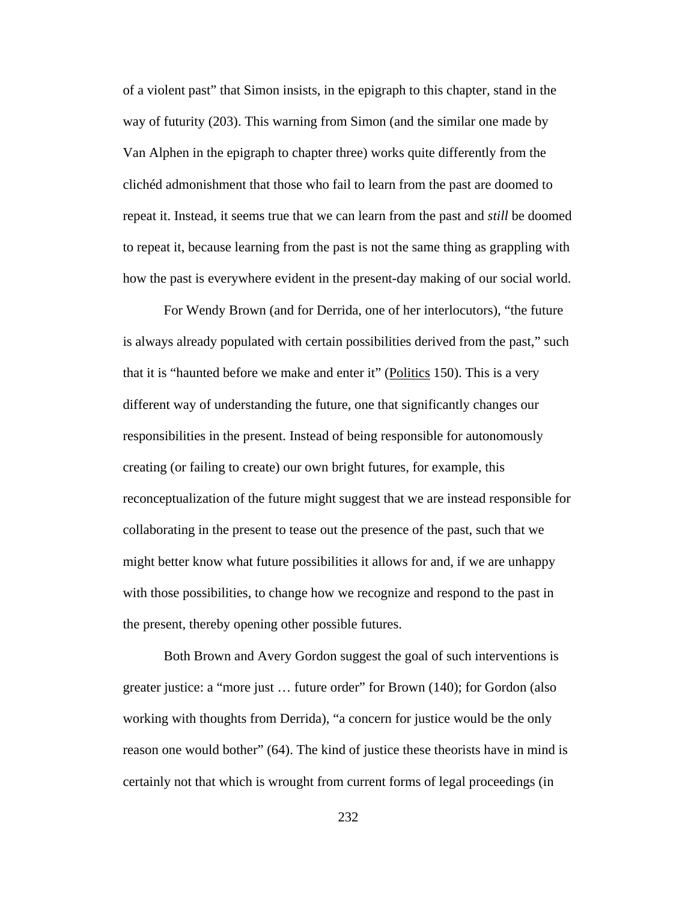of a violent past" that Simon insists, in the epigraph to this chapter, stand in the way of futurity (203). This warning from Simon (and the similar one made by Van Alphen in the epigraph to chapter three) works quite differently from the clichéd admonishment that those who fail to learn from the past are doomed to repeat it. Instead, it seems true that we can learn from the past and *still* be doomed to repeat it, because learning from the past is not the same thing as grappling with how the past is everywhere evident in the present-day making of our social world.

For Wendy Brown (and for Derrida, one of her interlocutors), "the future is always already populated with certain possibilities derived from the past," such that it is "haunted before we make and enter it" (Politics 150). This is a very different way of understanding the future, one that significantly changes our responsibilities in the present. Instead of being responsible for autonomously creating (or failing to create) our own bright futures, for example, this reconceptualization of the future might suggest that we are instead responsible for collaborating in the present to tease out the presence of the past, such that we might better know what future possibilities it allows for and, if we are unhappy with those possibilities, to change how we recognize and respond to the past in the present, thereby opening other possible futures.

Both Brown and Avery Gordon suggest the goal of such interventions is greater justice: a "more just … future order" for Brown (140); for Gordon (also working with thoughts from Derrida), "a concern for justice would be the only reason one would bother" (64). The kind of justice these theorists have in mind is certainly not that which is wrought from current forms of legal proceedings (in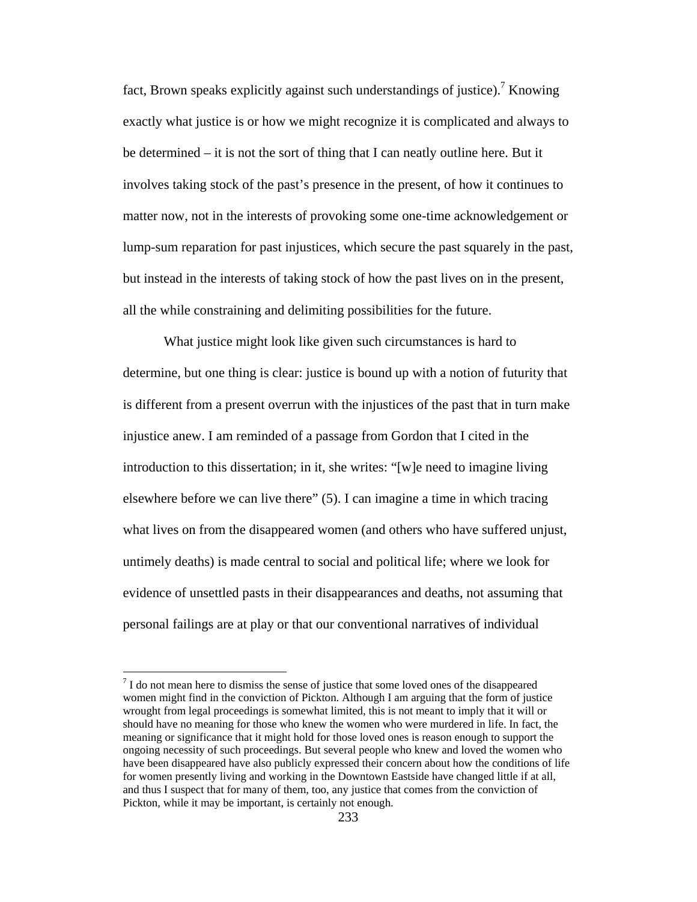fact, Brown speaks explicitly against such understandings of justice).<sup>7</sup> Knowing exactly what justice is or how we might recognize it is complicated and always to be determined – it is not the sort of thing that I can neatly outline here. But it involves taking stock of the past's presence in the present, of how it continues to matter now, not in the interests of provoking some one-time acknowledgement or lump-sum reparation for past injustices, which secure the past squarely in the past, but instead in the interests of taking stock of how the past lives on in the present, all the while constraining and delimiting possibilities for the future.

What justice might look like given such circumstances is hard to determine, but one thing is clear: justice is bound up with a notion of futurity that is different from a present overrun with the injustices of the past that in turn make injustice anew. I am reminded of a passage from Gordon that I cited in the introduction to this dissertation; in it, she writes: "[w]e need to imagine living elsewhere before we can live there" (5). I can imagine a time in which tracing what lives on from the disappeared women (and others who have suffered unjust, untimely deaths) is made central to social and political life; where we look for evidence of unsettled pasts in their disappearances and deaths, not assuming that personal failings are at play or that our conventional narratives of individual

 $7$  I do not mean here to dismiss the sense of justice that some loved ones of the disappeared women might find in the conviction of Pickton. Although I am arguing that the form of justice wrought from legal proceedings is somewhat limited, this is not meant to imply that it will or should have no meaning for those who knew the women who were murdered in life. In fact, the meaning or significance that it might hold for those loved ones is reason enough to support the ongoing necessity of such proceedings. But several people who knew and loved the women who have been disappeared have also publicly expressed their concern about how the conditions of life for women presently living and working in the Downtown Eastside have changed little if at all, and thus I suspect that for many of them, too, any justice that comes from the conviction of Pickton, while it may be important, is certainly not enough.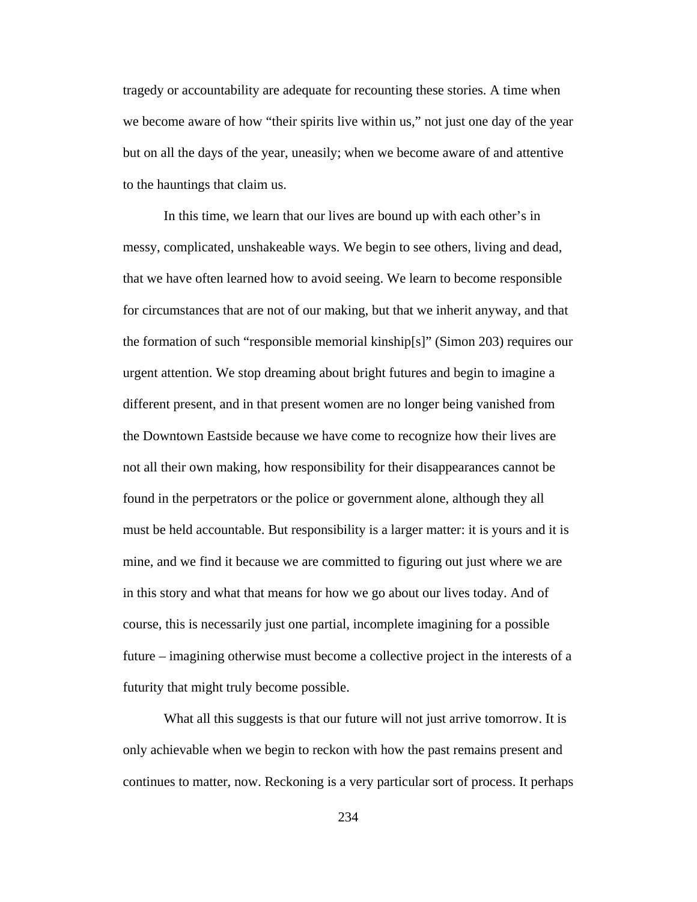tragedy or accountability are adequate for recounting these stories. A time when we become aware of how "their spirits live within us," not just one day of the year but on all the days of the year, uneasily; when we become aware of and attentive to the hauntings that claim us.

In this time, we learn that our lives are bound up with each other's in messy, complicated, unshakeable ways. We begin to see others, living and dead, that we have often learned how to avoid seeing. We learn to become responsible for circumstances that are not of our making, but that we inherit anyway, and that the formation of such "responsible memorial kinship[s]" (Simon 203) requires our urgent attention. We stop dreaming about bright futures and begin to imagine a different present, and in that present women are no longer being vanished from the Downtown Eastside because we have come to recognize how their lives are not all their own making, how responsibility for their disappearances cannot be found in the perpetrators or the police or government alone, although they all must be held accountable. But responsibility is a larger matter: it is yours and it is mine, and we find it because we are committed to figuring out just where we are in this story and what that means for how we go about our lives today. And of course, this is necessarily just one partial, incomplete imagining for a possible future – imagining otherwise must become a collective project in the interests of a futurity that might truly become possible.

What all this suggests is that our future will not just arrive tomorrow. It is only achievable when we begin to reckon with how the past remains present and continues to matter, now. Reckoning is a very particular sort of process. It perhaps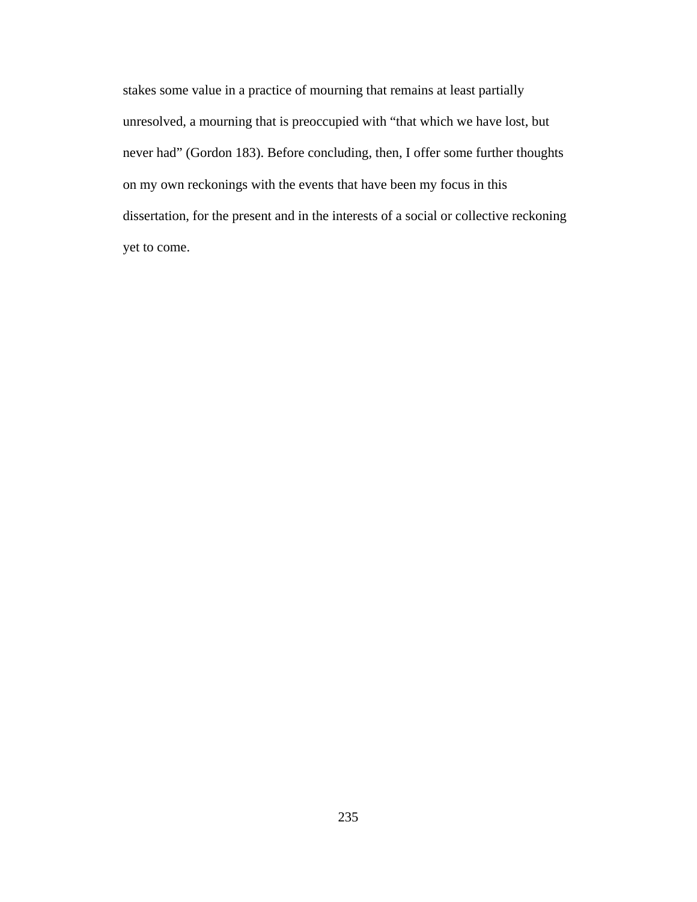stakes some value in a practice of mourning that remains at least partially unresolved, a mourning that is preoccupied with "that which we have lost, but never had" (Gordon 183). Before concluding, then, I offer some further thoughts on my own reckonings with the events that have been my focus in this dissertation, for the present and in the interests of a social or collective reckoning yet to come.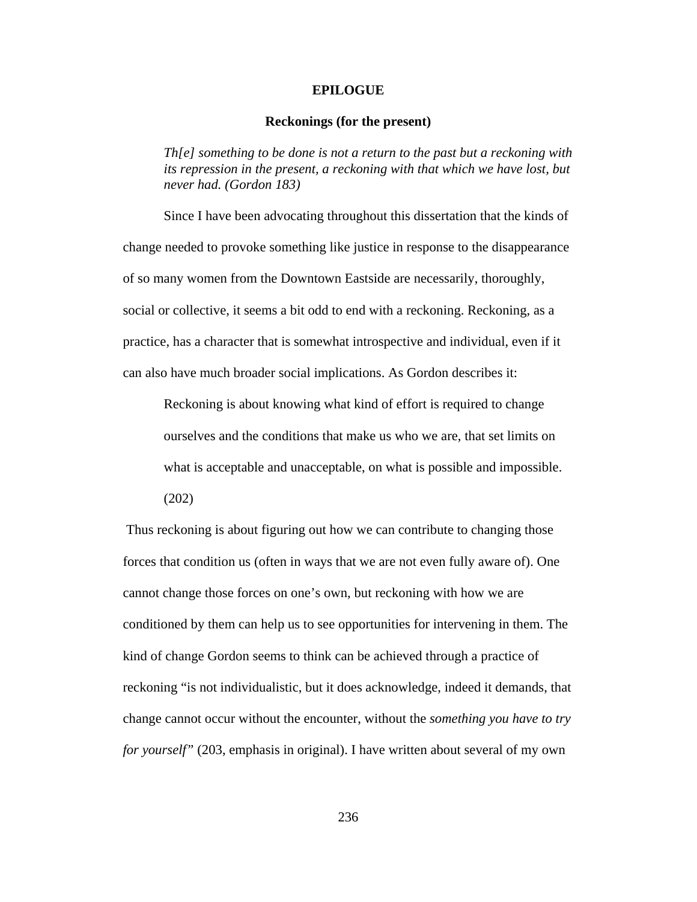#### **EPILOGUE**

#### **Reckonings (for the present)**

*Th[e] something to be done is not a return to the past but a reckoning with its repression in the present, a reckoning with that which we have lost, but never had. (Gordon 183)* 

 Since I have been advocating throughout this dissertation that the kinds of change needed to provoke something like justice in response to the disappearance of so many women from the Downtown Eastside are necessarily, thoroughly, social or collective, it seems a bit odd to end with a reckoning. Reckoning, as a practice, has a character that is somewhat introspective and individual, even if it can also have much broader social implications. As Gordon describes it:

Reckoning is about knowing what kind of effort is required to change ourselves and the conditions that make us who we are, that set limits on what is acceptable and unacceptable, on what is possible and impossible. (202)

 Thus reckoning is about figuring out how we can contribute to changing those forces that condition us (often in ways that we are not even fully aware of). One cannot change those forces on one's own, but reckoning with how we are conditioned by them can help us to see opportunities for intervening in them. The kind of change Gordon seems to think can be achieved through a practice of reckoning "is not individualistic, but it does acknowledge, indeed it demands, that change cannot occur without the encounter, without the *something you have to try for yourself"* (203, emphasis in original). I have written about several of my own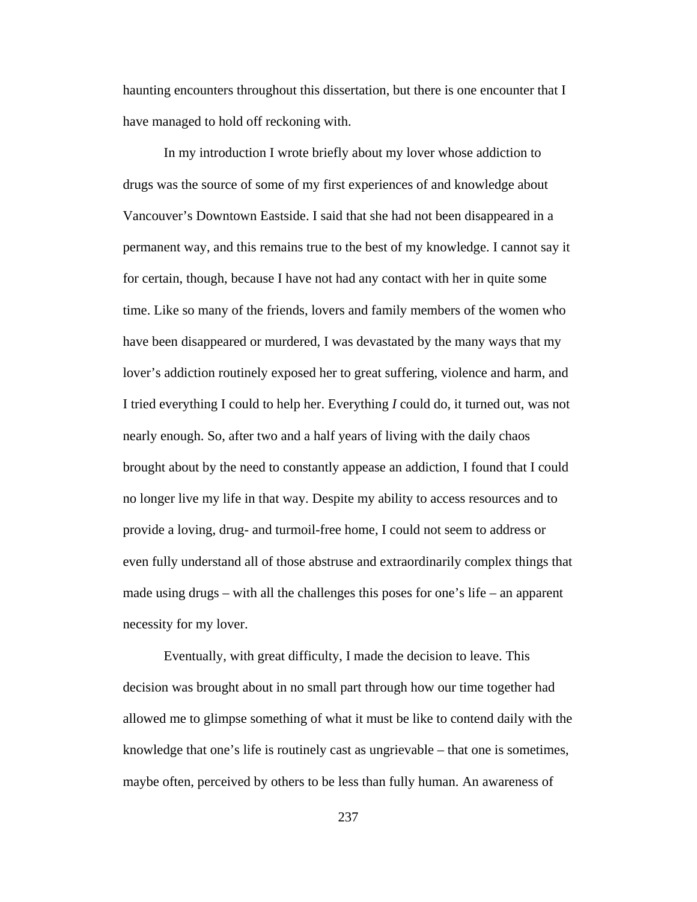haunting encounters throughout this dissertation, but there is one encounter that I have managed to hold off reckoning with.

 In my introduction I wrote briefly about my lover whose addiction to drugs was the source of some of my first experiences of and knowledge about Vancouver's Downtown Eastside. I said that she had not been disappeared in a permanent way, and this remains true to the best of my knowledge. I cannot say it for certain, though, because I have not had any contact with her in quite some time. Like so many of the friends, lovers and family members of the women who have been disappeared or murdered, I was devastated by the many ways that my lover's addiction routinely exposed her to great suffering, violence and harm, and I tried everything I could to help her. Everything *I* could do, it turned out, was not nearly enough. So, after two and a half years of living with the daily chaos brought about by the need to constantly appease an addiction, I found that I could no longer live my life in that way. Despite my ability to access resources and to provide a loving, drug- and turmoil-free home, I could not seem to address or even fully understand all of those abstruse and extraordinarily complex things that made using drugs – with all the challenges this poses for one's life – an apparent necessity for my lover.

 Eventually, with great difficulty, I made the decision to leave. This decision was brought about in no small part through how our time together had allowed me to glimpse something of what it must be like to contend daily with the knowledge that one's life is routinely cast as ungrievable – that one is sometimes, maybe often, perceived by others to be less than fully human. An awareness of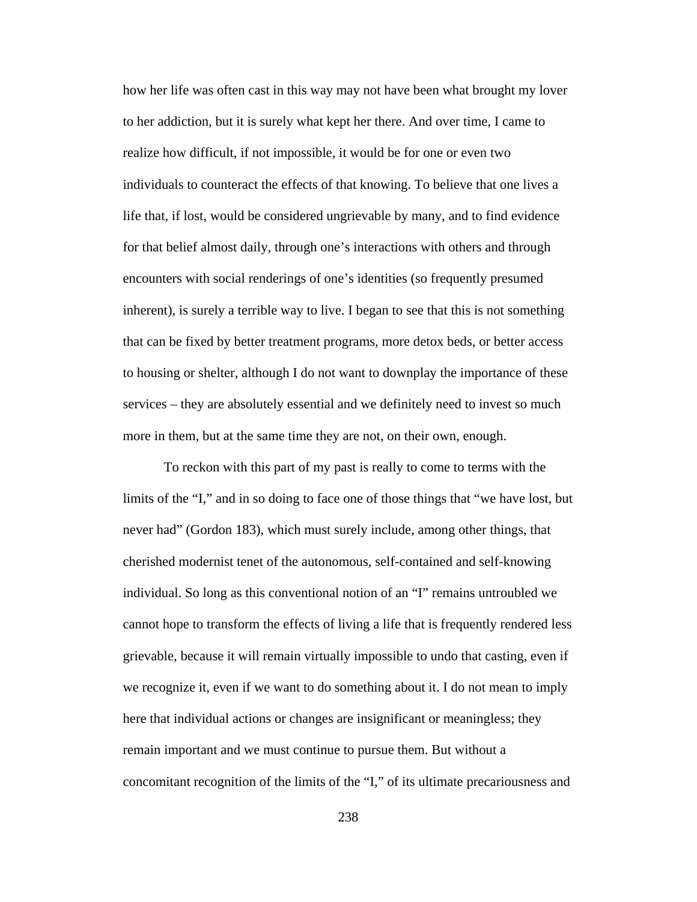how her life was often cast in this way may not have been what brought my lover to her addiction, but it is surely what kept her there. And over time, I came to realize how difficult, if not impossible, it would be for one or even two individuals to counteract the effects of that knowing. To believe that one lives a life that, if lost, would be considered ungrievable by many, and to find evidence for that belief almost daily, through one's interactions with others and through encounters with social renderings of one's identities (so frequently presumed inherent), is surely a terrible way to live. I began to see that this is not something that can be fixed by better treatment programs, more detox beds, or better access to housing or shelter, although I do not want to downplay the importance of these services – they are absolutely essential and we definitely need to invest so much more in them, but at the same time they are not, on their own, enough.

To reckon with this part of my past is really to come to terms with the limits of the "I," and in so doing to face one of those things that "we have lost, but never had" (Gordon 183), which must surely include, among other things, that cherished modernist tenet of the autonomous, self-contained and self-knowing individual. So long as this conventional notion of an "I" remains untroubled we cannot hope to transform the effects of living a life that is frequently rendered less grievable, because it will remain virtually impossible to undo that casting, even if we recognize it, even if we want to do something about it. I do not mean to imply here that individual actions or changes are insignificant or meaningless; they remain important and we must continue to pursue them. But without a concomitant recognition of the limits of the "I," of its ultimate precariousness and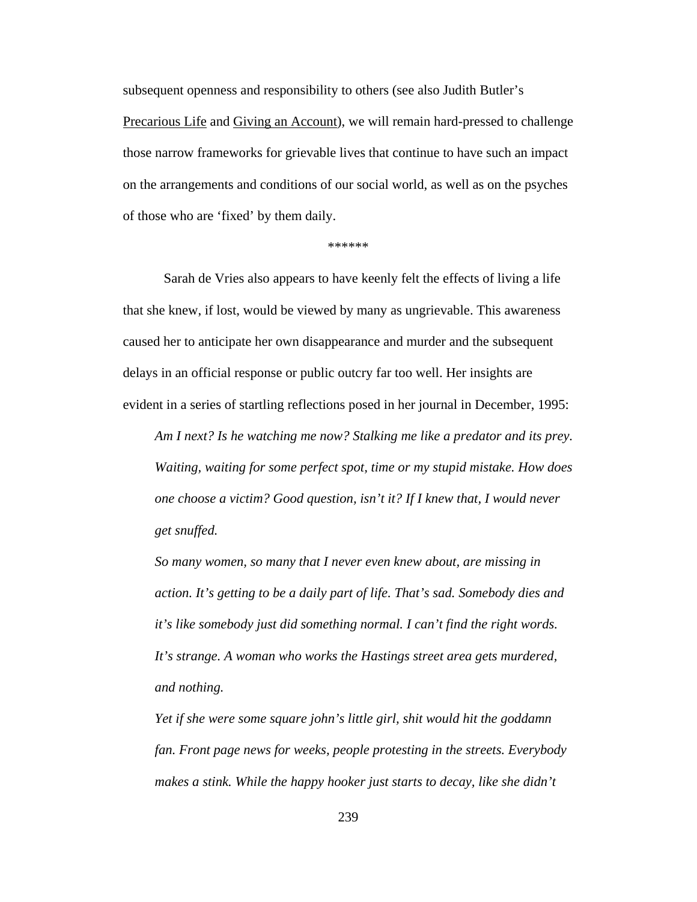subsequent openness and responsibility to others (see also Judith Butler's Precarious Life and Giving an Account), we will remain hard-pressed to challenge those narrow frameworks for grievable lives that continue to have such an impact on the arrangements and conditions of our social world, as well as on the psyches of those who are 'fixed' by them daily.

\*\*\*\*\*\*

Sarah de Vries also appears to have keenly felt the effects of living a life that she knew, if lost, would be viewed by many as ungrievable. This awareness caused her to anticipate her own disappearance and murder and the subsequent delays in an official response or public outcry far too well. Her insights are evident in a series of startling reflections posed in her journal in December, 1995:

*Am I next? Is he watching me now? Stalking me like a predator and its prey. Waiting, waiting for some perfect spot, time or my stupid mistake. How does one choose a victim? Good question, isn't it? If I knew that, I would never get snuffed.* 

*So many women, so many that I never even knew about, are missing in action. It's getting to be a daily part of life. That's sad. Somebody dies and it's like somebody just did something normal. I can't find the right words. It's strange. A woman who works the Hastings street area gets murdered, and nothing.* 

*Yet if she were some square john's little girl, shit would hit the goddamn fan. Front page news for weeks, people protesting in the streets. Everybody makes a stink. While the happy hooker just starts to decay, like she didn't*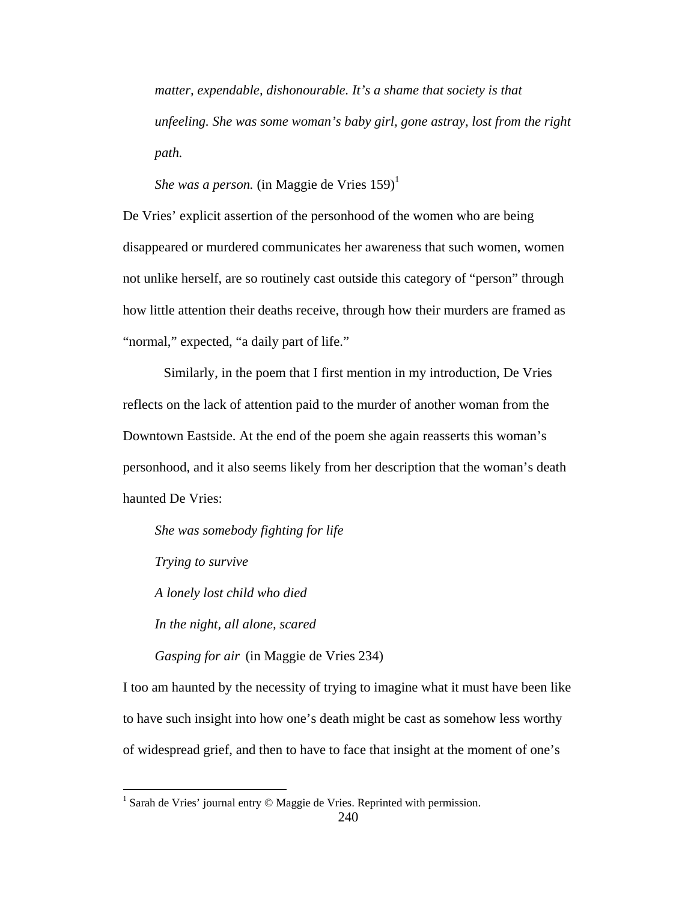*matter, expendable, dishonourable. It's a shame that society is that unfeeling. She was some woman's baby girl, gone astray, lost from the right path.* 

*She was a person.* (in Maggie de Vries  $159$ )<sup>1</sup>

De Vries' explicit assertion of the personhood of the women who are being disappeared or murdered communicates her awareness that such women, women not unlike herself, are so routinely cast outside this category of "person" through how little attention their deaths receive, through how their murders are framed as "normal," expected, "a daily part of life."

Similarly, in the poem that I first mention in my introduction, De Vries reflects on the lack of attention paid to the murder of another woman from the Downtown Eastside. At the end of the poem she again reasserts this woman's personhood, and it also seems likely from her description that the woman's death haunted De Vries:

*She was somebody fighting for life* 

*Trying to survive* 

 $\overline{a}$ 

*A lonely lost child who died* 

*In the night, all alone, scared* 

*Gasping for air* (in Maggie de Vries 234)

I too am haunted by the necessity of trying to imagine what it must have been like to have such insight into how one's death might be cast as somehow less worthy of widespread grief, and then to have to face that insight at the moment of one's

<sup>&</sup>lt;sup>1</sup> Sarah de Vries' journal entry © Maggie de Vries. Reprinted with permission.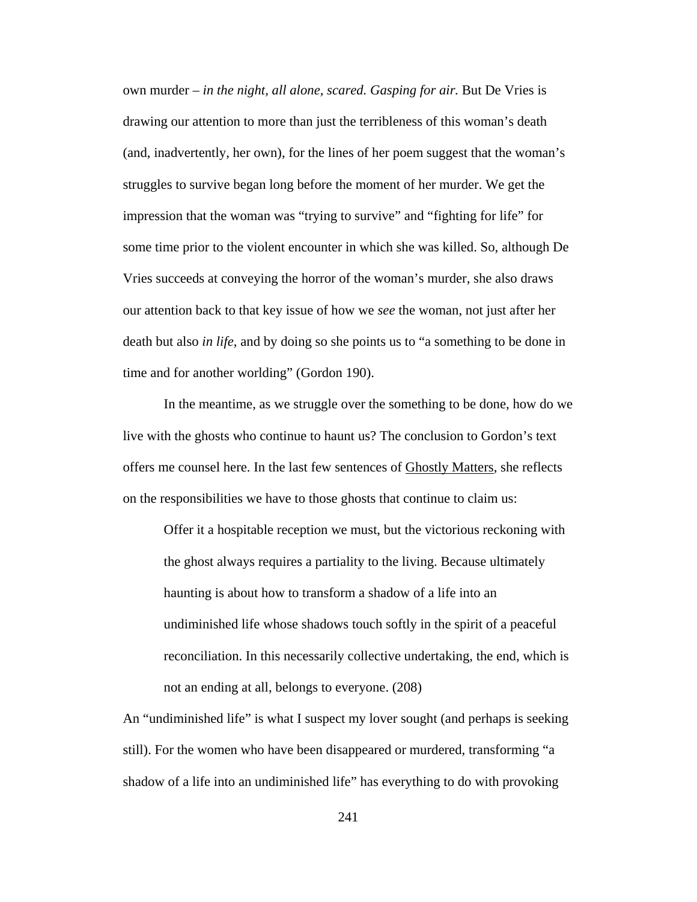own murder – *in the night, all alone, scared. Gasping for air.* But De Vries is drawing our attention to more than just the terribleness of this woman's death (and, inadvertently, her own), for the lines of her poem suggest that the woman's struggles to survive began long before the moment of her murder. We get the impression that the woman was "trying to survive" and "fighting for life" for some time prior to the violent encounter in which she was killed. So, although De Vries succeeds at conveying the horror of the woman's murder, she also draws our attention back to that key issue of how we *see* the woman, not just after her death but also *in life*, and by doing so she points us to "a something to be done in time and for another worlding" (Gordon 190).

In the meantime, as we struggle over the something to be done, how do we live with the ghosts who continue to haunt us? The conclusion to Gordon's text offers me counsel here. In the last few sentences of Ghostly Matters, she reflects on the responsibilities we have to those ghosts that continue to claim us:

Offer it a hospitable reception we must, but the victorious reckoning with the ghost always requires a partiality to the living. Because ultimately haunting is about how to transform a shadow of a life into an undiminished life whose shadows touch softly in the spirit of a peaceful reconciliation. In this necessarily collective undertaking, the end, which is not an ending at all, belongs to everyone. (208)

An "undiminished life" is what I suspect my lover sought (and perhaps is seeking still). For the women who have been disappeared or murdered, transforming "a shadow of a life into an undiminished life" has everything to do with provoking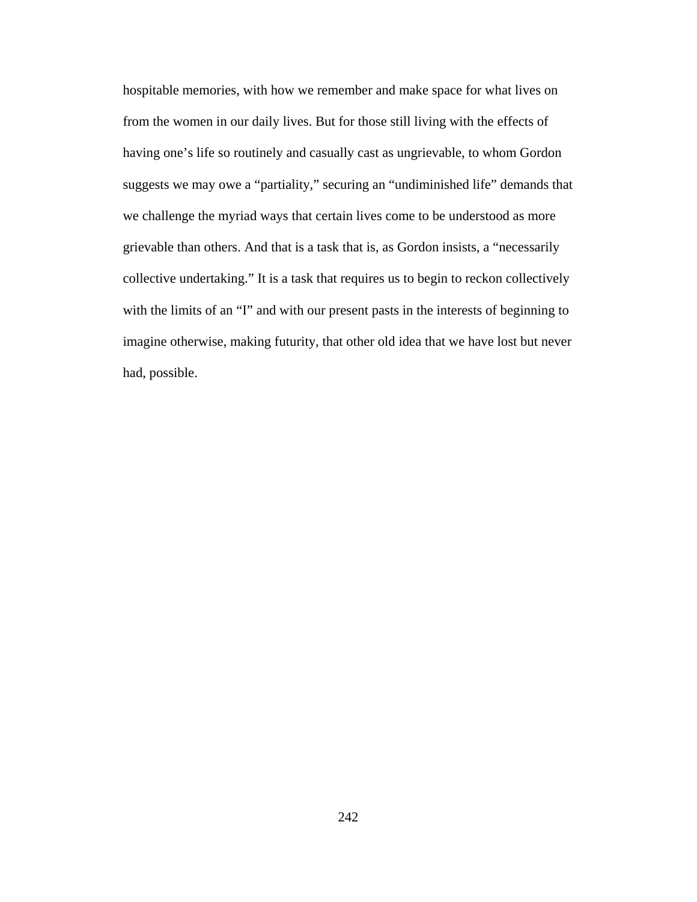hospitable memories, with how we remember and make space for what lives on from the women in our daily lives. But for those still living with the effects of having one's life so routinely and casually cast as ungrievable, to whom Gordon suggests we may owe a "partiality," securing an "undiminished life" demands that we challenge the myriad ways that certain lives come to be understood as more grievable than others. And that is a task that is, as Gordon insists, a "necessarily collective undertaking." It is a task that requires us to begin to reckon collectively with the limits of an "I" and with our present pasts in the interests of beginning to imagine otherwise, making futurity, that other old idea that we have lost but never had, possible.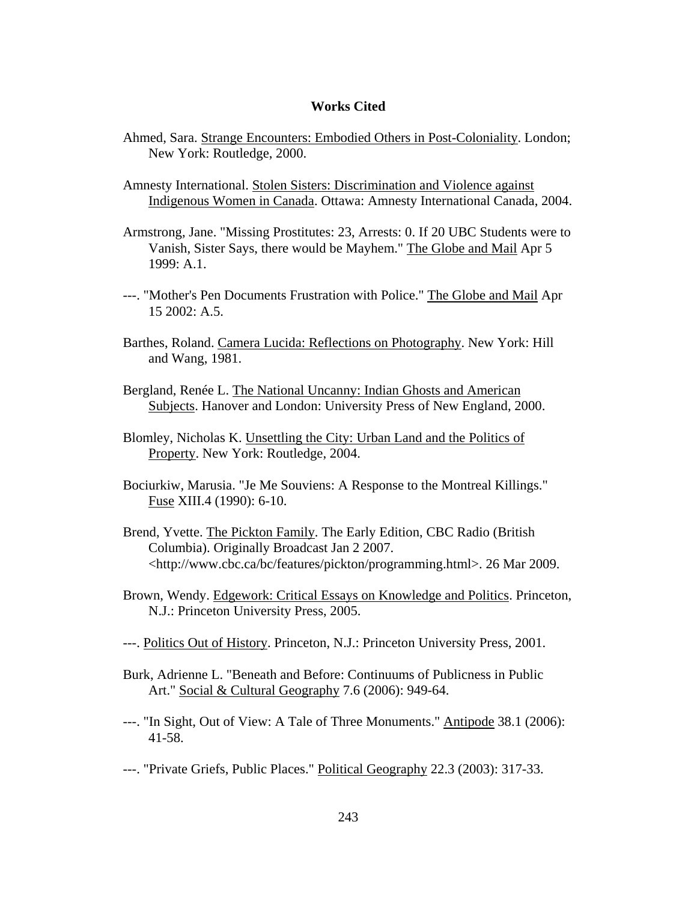## **Works Cited**

- Ahmed, Sara. Strange Encounters: Embodied Others in Post-Coloniality. London; New York: Routledge, 2000.
- Amnesty International. Stolen Sisters: Discrimination and Violence against Indigenous Women in Canada. Ottawa: Amnesty International Canada, 2004.
- Armstrong, Jane. "Missing Prostitutes: 23, Arrests: 0. If 20 UBC Students were to Vanish, Sister Says, there would be Mayhem." The Globe and Mail Apr 5 1999: A.1.
- ---. "Mother's Pen Documents Frustration with Police." The Globe and Mail Apr 15 2002: A.5.
- Barthes, Roland. Camera Lucida: Reflections on Photography. New York: Hill and Wang, 1981.
- Bergland, Renée L. The National Uncanny: Indian Ghosts and American Subjects. Hanover and London: University Press of New England, 2000.
- Blomley, Nicholas K. Unsettling the City: Urban Land and the Politics of Property. New York: Routledge, 2004.
- Bociurkiw, Marusia. "Je Me Souviens: A Response to the Montreal Killings." Fuse XIII.4 (1990): 6-10.
- Brend, Yvette. The Pickton Family. The Early Edition, CBC Radio (British Columbia). Originally Broadcast Jan 2 2007. <http://www.cbc.ca/bc/features/pickton/programming.html>. 26 Mar 2009.
- Brown, Wendy. Edgework: Critical Essays on Knowledge and Politics. Princeton, N.J.: Princeton University Press, 2005.
- ---. Politics Out of History. Princeton, N.J.: Princeton University Press, 2001.
- Burk, Adrienne L. "Beneath and Before: Continuums of Publicness in Public Art." Social & Cultural Geography 7.6 (2006): 949-64.
- ---. "In Sight, Out of View: A Tale of Three Monuments." Antipode 38.1 (2006): 41-58.
- ---. "Private Griefs, Public Places." Political Geography 22.3 (2003): 317-33.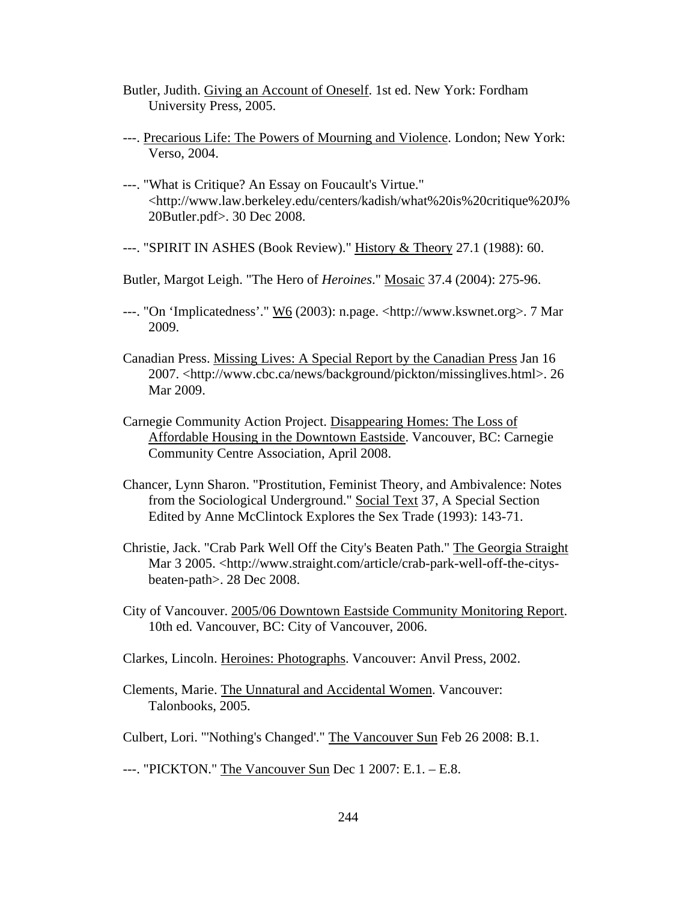- Butler, Judith. Giving an Account of Oneself. 1st ed. New York: Fordham University Press, 2005.
- ---. Precarious Life: The Powers of Mourning and Violence. London; New York: Verso, 2004.
- ---. "What is Critique? An Essay on Foucault's Virtue." <http://www.law.berkeley.edu/centers/kadish/what%20is%20critique%20J% 20Butler.pdf>. 30 Dec 2008.
- ---. "SPIRIT IN ASHES (Book Review)." History & Theory 27.1 (1988): 60.

Butler, Margot Leigh. "The Hero of *Heroines*." Mosaic 37.4 (2004): 275-96.

- ---. "On 'Implicatedness'." W6 (2003): n.page. <http://www.kswnet.org>. 7 Mar 2009.
- Canadian Press. Missing Lives: A Special Report by the Canadian Press Jan 16 2007. <http://www.cbc.ca/news/background/pickton/missinglives.html>. 26 Mar 2009.
- Carnegie Community Action Project. Disappearing Homes: The Loss of Affordable Housing in the Downtown Eastside. Vancouver, BC: Carnegie Community Centre Association, April 2008.
- Chancer, Lynn Sharon. "Prostitution, Feminist Theory, and Ambivalence: Notes from the Sociological Underground." Social Text 37, A Special Section Edited by Anne McClintock Explores the Sex Trade (1993): 143-71.
- Christie, Jack. "Crab Park Well Off the City's Beaten Path." The Georgia Straight Mar 3 2005. <http://www.straight.com/article/crab-park-well-off-the-citysbeaten-path>. 28 Dec 2008.
- City of Vancouver. 2005/06 Downtown Eastside Community Monitoring Report. 10th ed. Vancouver, BC: City of Vancouver, 2006.
- Clarkes, Lincoln. Heroines: Photographs. Vancouver: Anvil Press, 2002.
- Clements, Marie. The Unnatural and Accidental Women. Vancouver: Talonbooks, 2005.
- Culbert, Lori. "'Nothing's Changed'." The Vancouver Sun Feb 26 2008: B.1.
- ---. "PICKTON." The Vancouver Sun Dec 1 2007: E.1. E.8.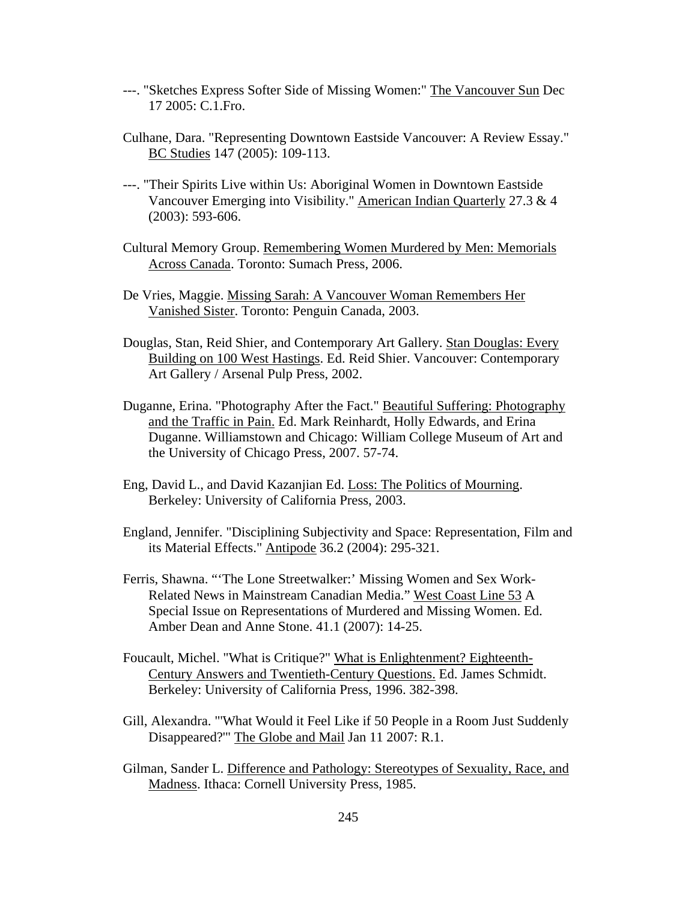- ---. "Sketches Express Softer Side of Missing Women:" The Vancouver Sun Dec 17 2005: C.1.Fro.
- Culhane, Dara. "Representing Downtown Eastside Vancouver: A Review Essay." BC Studies 147 (2005): 109-113.
- ---. "Their Spirits Live within Us: Aboriginal Women in Downtown Eastside Vancouver Emerging into Visibility." American Indian Quarterly 27.3 & 4 (2003): 593-606.
- Cultural Memory Group. Remembering Women Murdered by Men: Memorials Across Canada. Toronto: Sumach Press, 2006.
- De Vries, Maggie. Missing Sarah: A Vancouver Woman Remembers Her Vanished Sister. Toronto: Penguin Canada, 2003.
- Douglas, Stan, Reid Shier, and Contemporary Art Gallery. Stan Douglas: Every Building on 100 West Hastings. Ed. Reid Shier. Vancouver: Contemporary Art Gallery / Arsenal Pulp Press, 2002.
- Duganne, Erina. "Photography After the Fact." Beautiful Suffering: Photography and the Traffic in Pain. Ed. Mark Reinhardt, Holly Edwards, and Erina Duganne. Williamstown and Chicago: William College Museum of Art and the University of Chicago Press, 2007. 57-74.
- Eng, David L., and David Kazanjian Ed. Loss: The Politics of Mourning. Berkeley: University of California Press, 2003.
- England, Jennifer. "Disciplining Subjectivity and Space: Representation, Film and its Material Effects." Antipode 36.2 (2004): 295-321.
- Ferris, Shawna. "'The Lone Streetwalker:' Missing Women and Sex Work-Related News in Mainstream Canadian Media." West Coast Line 53 A Special Issue on Representations of Murdered and Missing Women. Ed. Amber Dean and Anne Stone. 41.1 (2007): 14-25.
- Foucault, Michel. "What is Critique?" What is Enlightenment? Eighteenth-Century Answers and Twentieth-Century Questions. Ed. James Schmidt. Berkeley: University of California Press, 1996. 382-398.
- Gill, Alexandra. "'What Would it Feel Like if 50 People in a Room Just Suddenly Disappeared?'" The Globe and Mail Jan 11 2007: R.1.
- Gilman, Sander L. Difference and Pathology: Stereotypes of Sexuality, Race, and Madness. Ithaca: Cornell University Press, 1985.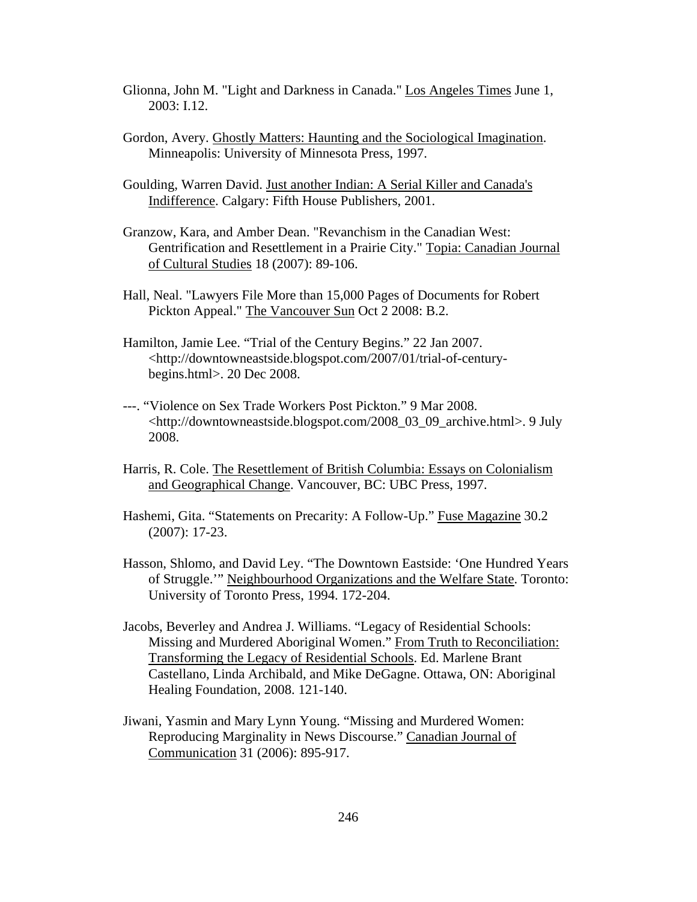- Glionna, John M. "Light and Darkness in Canada." Los Angeles Times June 1, 2003: I.12.
- Gordon, Avery. Ghostly Matters: Haunting and the Sociological Imagination. Minneapolis: University of Minnesota Press, 1997.
- Goulding, Warren David. Just another Indian: A Serial Killer and Canada's Indifference. Calgary: Fifth House Publishers, 2001.
- Granzow, Kara, and Amber Dean. "Revanchism in the Canadian West: Gentrification and Resettlement in a Prairie City." Topia: Canadian Journal of Cultural Studies 18 (2007): 89-106.
- Hall, Neal. "Lawyers File More than 15,000 Pages of Documents for Robert Pickton Appeal." The Vancouver Sun Oct 2 2008: B.2.
- Hamilton, Jamie Lee. "Trial of the Century Begins." 22 Jan 2007. <http://downtowneastside.blogspot.com/2007/01/trial-of-centurybegins.html>. 20 Dec 2008.
- ---. "Violence on Sex Trade Workers Post Pickton." 9 Mar 2008. <http://downtowneastside.blogspot.com/2008\_03\_09\_archive.html>. 9 July 2008.
- Harris, R. Cole. The Resettlement of British Columbia: Essays on Colonialism and Geographical Change. Vancouver, BC: UBC Press, 1997.
- Hashemi, Gita. "Statements on Precarity: A Follow-Up." Fuse Magazine 30.2 (2007): 17-23.
- Hasson, Shlomo, and David Ley. "The Downtown Eastside: 'One Hundred Years of Struggle.'" Neighbourhood Organizations and the Welfare State. Toronto: University of Toronto Press, 1994. 172-204.
- Jacobs, Beverley and Andrea J. Williams. "Legacy of Residential Schools: Missing and Murdered Aboriginal Women." From Truth to Reconciliation: Transforming the Legacy of Residential Schools. Ed. Marlene Brant Castellano, Linda Archibald, and Mike DeGagne. Ottawa, ON: Aboriginal Healing Foundation, 2008. 121-140.
- Jiwani, Yasmin and Mary Lynn Young. "Missing and Murdered Women: Reproducing Marginality in News Discourse." Canadian Journal of Communication 31 (2006): 895-917.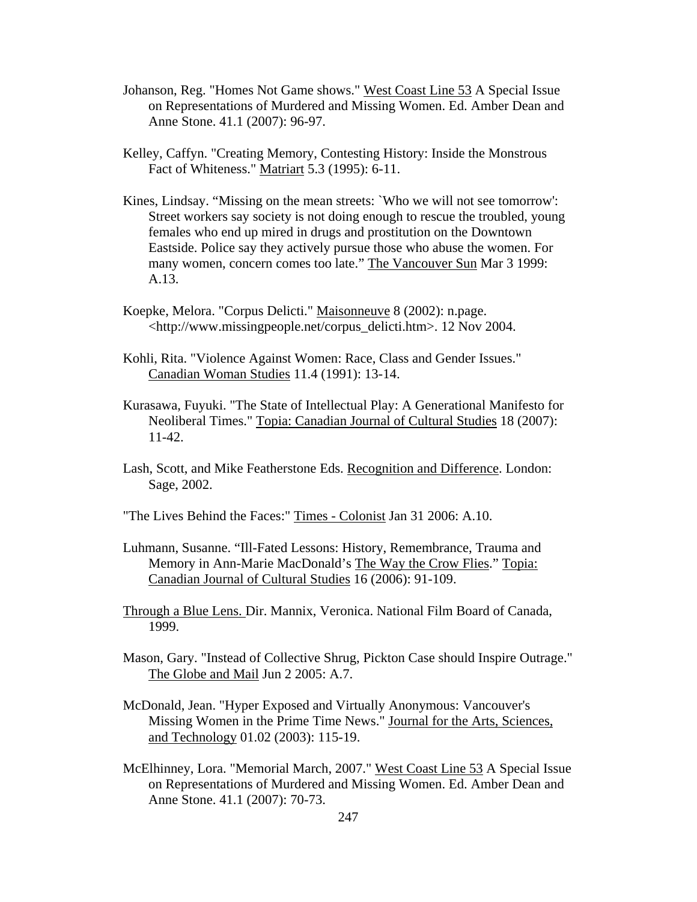- Johanson, Reg. "Homes Not Game shows." West Coast Line 53 A Special Issue on Representations of Murdered and Missing Women. Ed. Amber Dean and Anne Stone. 41.1 (2007): 96-97.
- Kelley, Caffyn. "Creating Memory, Contesting History: Inside the Monstrous Fact of Whiteness." Matriart 5.3 (1995): 6-11.
- Kines, Lindsay. "Missing on the mean streets: `Who we will not see tomorrow': Street workers say society is not doing enough to rescue the troubled, young females who end up mired in drugs and prostitution on the Downtown Eastside. Police say they actively pursue those who abuse the women. For many women, concern comes too late." The Vancouver Sun Mar 3 1999: A.13.
- Koepke, Melora. "Corpus Delicti." Maisonneuve 8 (2002): n.page. <http://www.missingpeople.net/corpus\_delicti.htm>. 12 Nov 2004.
- Kohli, Rita. "Violence Against Women: Race, Class and Gender Issues." Canadian Woman Studies 11.4 (1991): 13-14.
- Kurasawa, Fuyuki. "The State of Intellectual Play: A Generational Manifesto for Neoliberal Times." Topia: Canadian Journal of Cultural Studies 18 (2007): 11-42.
- Lash, Scott, and Mike Featherstone Eds. Recognition and Difference. London: Sage, 2002.
- "The Lives Behind the Faces:" Times Colonist Jan 31 2006: A.10.
- Luhmann, Susanne. "Ill-Fated Lessons: History, Remembrance, Trauma and Memory in Ann-Marie MacDonald's The Way the Crow Flies." Topia: Canadian Journal of Cultural Studies 16 (2006): 91-109.
- Through a Blue Lens. Dir. Mannix, Veronica. National Film Board of Canada, 1999.
- Mason, Gary. "Instead of Collective Shrug, Pickton Case should Inspire Outrage." The Globe and Mail Jun 2 2005: A.7.
- McDonald, Jean. "Hyper Exposed and Virtually Anonymous: Vancouver's Missing Women in the Prime Time News." Journal for the Arts, Sciences, and Technology 01.02 (2003): 115-19.
- McElhinney, Lora. "Memorial March, 2007." West Coast Line 53 A Special Issue on Representations of Murdered and Missing Women. Ed. Amber Dean and Anne Stone. 41.1 (2007): 70-73.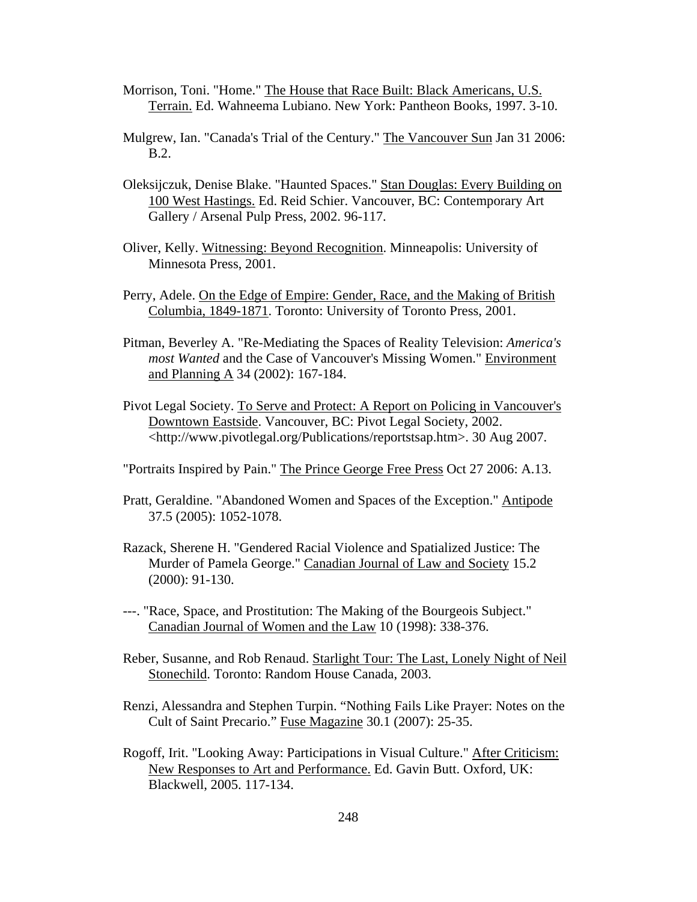- Morrison, Toni. "Home." The House that Race Built: Black Americans, U.S. Terrain. Ed. Wahneema Lubiano. New York: Pantheon Books, 1997. 3-10.
- Mulgrew, Ian. "Canada's Trial of the Century." The Vancouver Sun Jan 31 2006: B.2.
- Oleksijczuk, Denise Blake. "Haunted Spaces." Stan Douglas: Every Building on 100 West Hastings. Ed. Reid Schier. Vancouver, BC: Contemporary Art Gallery / Arsenal Pulp Press, 2002. 96-117.
- Oliver, Kelly. Witnessing: Beyond Recognition. Minneapolis: University of Minnesota Press, 2001.
- Perry, Adele. On the Edge of Empire: Gender, Race, and the Making of British Columbia, 1849-1871. Toronto: University of Toronto Press, 2001.
- Pitman, Beverley A. "Re-Mediating the Spaces of Reality Television: *America's most Wanted* and the Case of Vancouver's Missing Women." Environment and Planning A 34 (2002): 167-184.
- Pivot Legal Society. To Serve and Protect: A Report on Policing in Vancouver's Downtown Eastside. Vancouver, BC: Pivot Legal Society, 2002. <http://www.pivotlegal.org/Publications/reportstsap.htm>. 30 Aug 2007.
- "Portraits Inspired by Pain." The Prince George Free Press Oct 27 2006: A.13.
- Pratt, Geraldine. "Abandoned Women and Spaces of the Exception." Antipode 37.5 (2005): 1052-1078.
- Razack, Sherene H. "Gendered Racial Violence and Spatialized Justice: The Murder of Pamela George." Canadian Journal of Law and Society 15.2 (2000): 91-130.
- ---. "Race, Space, and Prostitution: The Making of the Bourgeois Subject." Canadian Journal of Women and the Law 10 (1998): 338-376.
- Reber, Susanne, and Rob Renaud. Starlight Tour: The Last, Lonely Night of Neil Stonechild. Toronto: Random House Canada, 2003.
- Renzi, Alessandra and Stephen Turpin. "Nothing Fails Like Prayer: Notes on the Cult of Saint Precario." Fuse Magazine 30.1 (2007): 25-35.
- Rogoff, Irit. "Looking Away: Participations in Visual Culture." After Criticism: New Responses to Art and Performance. Ed. Gavin Butt. Oxford, UK: Blackwell, 2005. 117-134.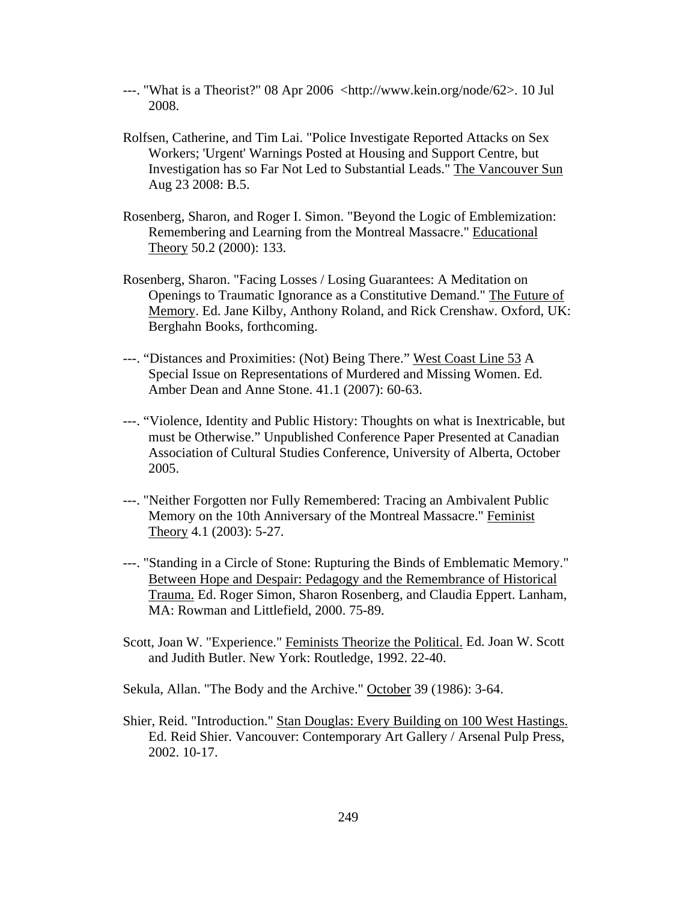- ---. "What is a Theorist?" 08 Apr 2006 <http://www.kein.org/node/62>. 10 Jul 2008.
- Rolfsen, Catherine, and Tim Lai. "Police Investigate Reported Attacks on Sex Workers; 'Urgent' Warnings Posted at Housing and Support Centre, but Investigation has so Far Not Led to Substantial Leads." The Vancouver Sun Aug 23 2008: B.5.
- Rosenberg, Sharon, and Roger I. Simon. "Beyond the Logic of Emblemization: Remembering and Learning from the Montreal Massacre." Educational Theory 50.2 (2000): 133.
- Rosenberg, Sharon. "Facing Losses / Losing Guarantees: A Meditation on Openings to Traumatic Ignorance as a Constitutive Demand." The Future of Memory. Ed. Jane Kilby, Anthony Roland, and Rick Crenshaw. Oxford, UK: Berghahn Books, forthcoming.
- ---. "Distances and Proximities: (Not) Being There." West Coast Line 53 A Special Issue on Representations of Murdered and Missing Women. Ed. Amber Dean and Anne Stone. 41.1 (2007): 60-63.
- ---. "Violence, Identity and Public History: Thoughts on what is Inextricable, but must be Otherwise." Unpublished Conference Paper Presented at Canadian Association of Cultural Studies Conference, University of Alberta, October 2005.
- ---. "Neither Forgotten nor Fully Remembered: Tracing an Ambivalent Public Memory on the 10th Anniversary of the Montreal Massacre." Feminist Theory 4.1 (2003): 5-27.
- ---. "Standing in a Circle of Stone: Rupturing the Binds of Emblematic Memory." Between Hope and Despair: Pedagogy and the Remembrance of Historical Trauma. Ed. Roger Simon, Sharon Rosenberg, and Claudia Eppert. Lanham, MA: Rowman and Littlefield, 2000. 75-89.
- Scott, Joan W. "Experience." Feminists Theorize the Political. Ed. Joan W. Scott and Judith Butler. New York: Routledge, 1992. 22-40.
- Sekula, Allan. "The Body and the Archive." October 39 (1986): 3-64.
- Shier, Reid. "Introduction." Stan Douglas: Every Building on 100 West Hastings. Ed. Reid Shier. Vancouver: Contemporary Art Gallery / Arsenal Pulp Press, 2002. 10-17.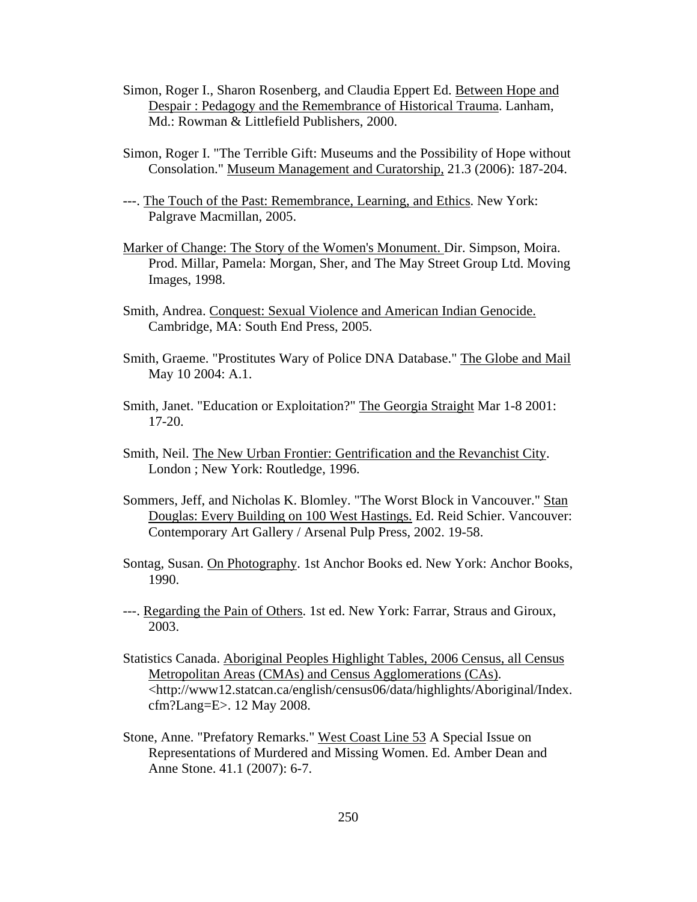- Simon, Roger I., Sharon Rosenberg, and Claudia Eppert Ed. Between Hope and Despair : Pedagogy and the Remembrance of Historical Trauma. Lanham, Md.: Rowman & Littlefield Publishers, 2000.
- Simon, Roger I. "The Terrible Gift: Museums and the Possibility of Hope without Consolation." Museum Management and Curatorship, 21.3 (2006): 187-204.
- ---. The Touch of the Past: Remembrance, Learning, and Ethics. New York: Palgrave Macmillan, 2005.
- Marker of Change: The Story of the Women's Monument. Dir. Simpson, Moira. Prod. Millar, Pamela: Morgan, Sher, and The May Street Group Ltd. Moving Images, 1998.
- Smith, Andrea. Conquest: Sexual Violence and American Indian Genocide. Cambridge, MA: South End Press, 2005.
- Smith, Graeme. "Prostitutes Wary of Police DNA Database." The Globe and Mail May 10 2004: A.1.
- Smith, Janet. "Education or Exploitation?" The Georgia Straight Mar 1-8 2001: 17-20.
- Smith, Neil. The New Urban Frontier: Gentrification and the Revanchist City. London ; New York: Routledge, 1996.
- Sommers, Jeff, and Nicholas K. Blomley. "The Worst Block in Vancouver." Stan Douglas: Every Building on 100 West Hastings. Ed. Reid Schier. Vancouver: Contemporary Art Gallery / Arsenal Pulp Press, 2002. 19-58.
- Sontag, Susan. On Photography. 1st Anchor Books ed. New York: Anchor Books, 1990.
- ---. Regarding the Pain of Others. 1st ed. New York: Farrar, Straus and Giroux, 2003.
- Statistics Canada. Aboriginal Peoples Highlight Tables, 2006 Census, all Census Metropolitan Areas (CMAs) and Census Agglomerations (CAs). <http://www12.statcan.ca/english/census06/data/highlights/Aboriginal/Index. cfm?Lang=E>. 12 May 2008.
- Stone, Anne. "Prefatory Remarks." West Coast Line 53 A Special Issue on Representations of Murdered and Missing Women. Ed. Amber Dean and Anne Stone. 41.1 (2007): 6-7.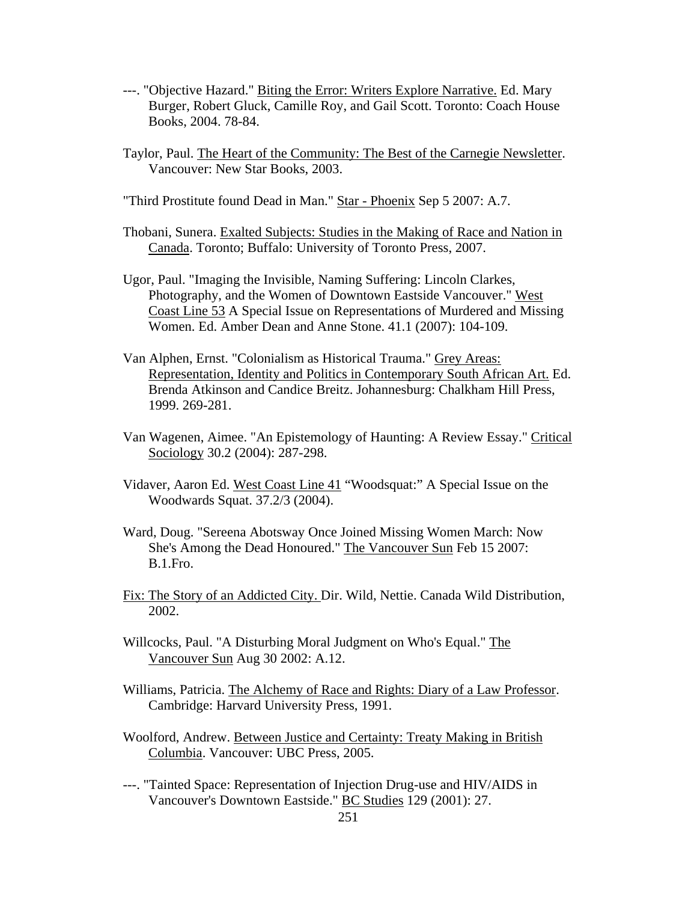- ---. "Objective Hazard." Biting the Error: Writers Explore Narrative. Ed. Mary Burger, Robert Gluck, Camille Roy, and Gail Scott. Toronto: Coach House Books, 2004. 78-84.
- Taylor, Paul. The Heart of the Community: The Best of the Carnegie Newsletter. Vancouver: New Star Books, 2003.
- "Third Prostitute found Dead in Man." Star Phoenix Sep 5 2007: A.7.
- Thobani, Sunera. Exalted Subjects: Studies in the Making of Race and Nation in Canada. Toronto; Buffalo: University of Toronto Press, 2007.
- Ugor, Paul. "Imaging the Invisible, Naming Suffering: Lincoln Clarkes, Photography, and the Women of Downtown Eastside Vancouver." West Coast Line 53 A Special Issue on Representations of Murdered and Missing Women. Ed. Amber Dean and Anne Stone. 41.1 (2007): 104-109.
- Van Alphen, Ernst. "Colonialism as Historical Trauma." Grey Areas: Representation, Identity and Politics in Contemporary South African Art. Ed. Brenda Atkinson and Candice Breitz. Johannesburg: Chalkham Hill Press, 1999. 269-281.
- Van Wagenen, Aimee. "An Epistemology of Haunting: A Review Essay." Critical Sociology 30.2 (2004): 287-298.
- Vidaver, Aaron Ed. West Coast Line 41 "Woodsquat:" A Special Issue on the Woodwards Squat. 37.2/3 (2004).
- Ward, Doug. "Sereena Abotsway Once Joined Missing Women March: Now She's Among the Dead Honoured." The Vancouver Sun Feb 15 2007: B.1.Fro.
- Fix: The Story of an Addicted City. Dir. Wild, Nettie. Canada Wild Distribution, 2002.
- Willcocks, Paul. "A Disturbing Moral Judgment on Who's Equal." The Vancouver Sun Aug 30 2002: A.12.
- Williams, Patricia. The Alchemy of Race and Rights: Diary of a Law Professor. Cambridge: Harvard University Press, 1991.
- Woolford, Andrew. Between Justice and Certainty: Treaty Making in British Columbia. Vancouver: UBC Press, 2005.
- ---. "Tainted Space: Representation of Injection Drug-use and HIV/AIDS in Vancouver's Downtown Eastside." BC Studies 129 (2001): 27.